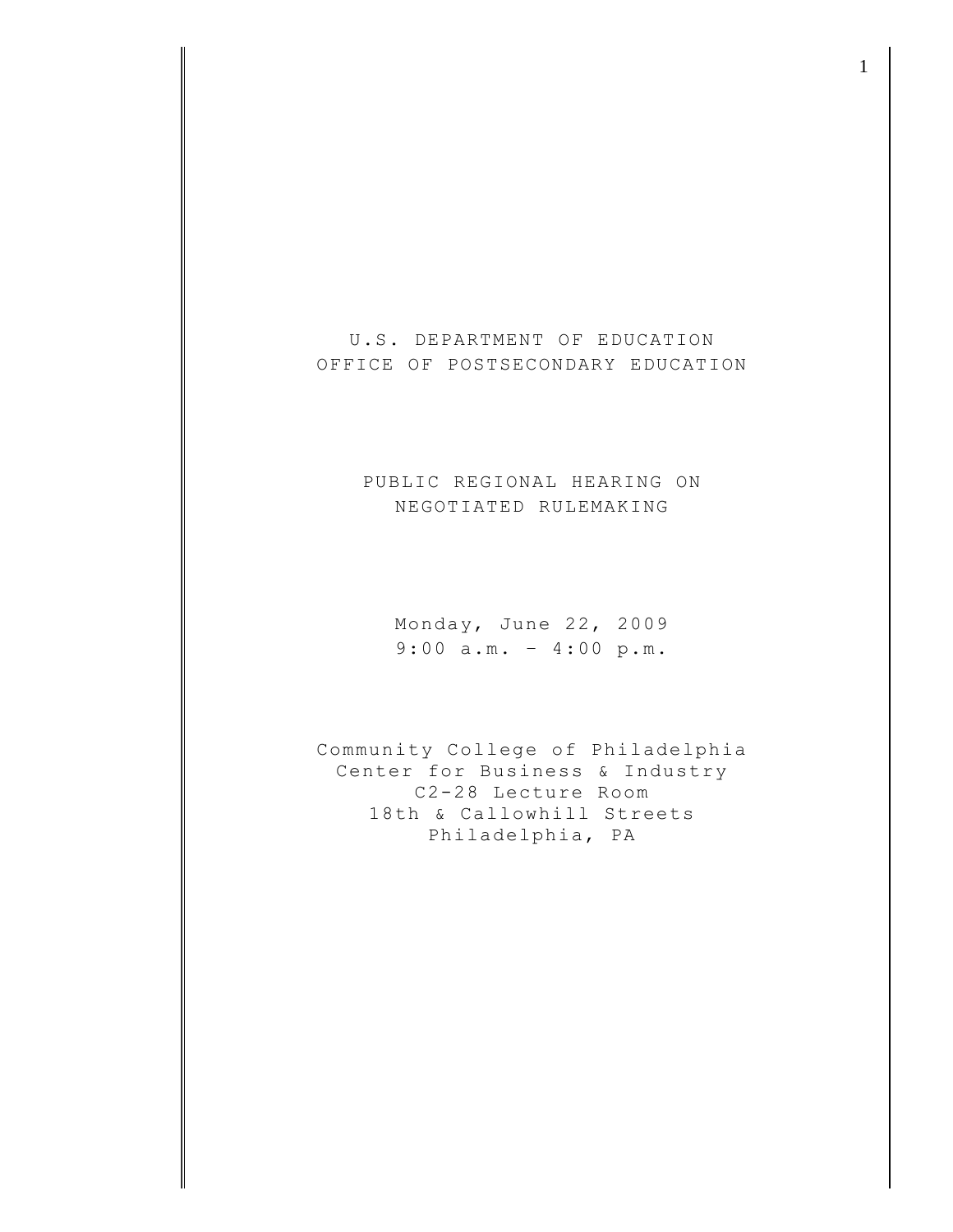U.S. DEPARTMENT OF EDUCATION OFFICE OF POSTSECONDARY EDUCATION

> PUBLIC REGIONAL HEARING ON NEGOTIATED RULEMAKING

Monday, June 22, 2009 9:00 a.m. – 4:00 p.m.

Community College of Philadelphia Center for Business & Industry C2-28 Lecture Room 18th & Callowhill Streets Philadelphia, PA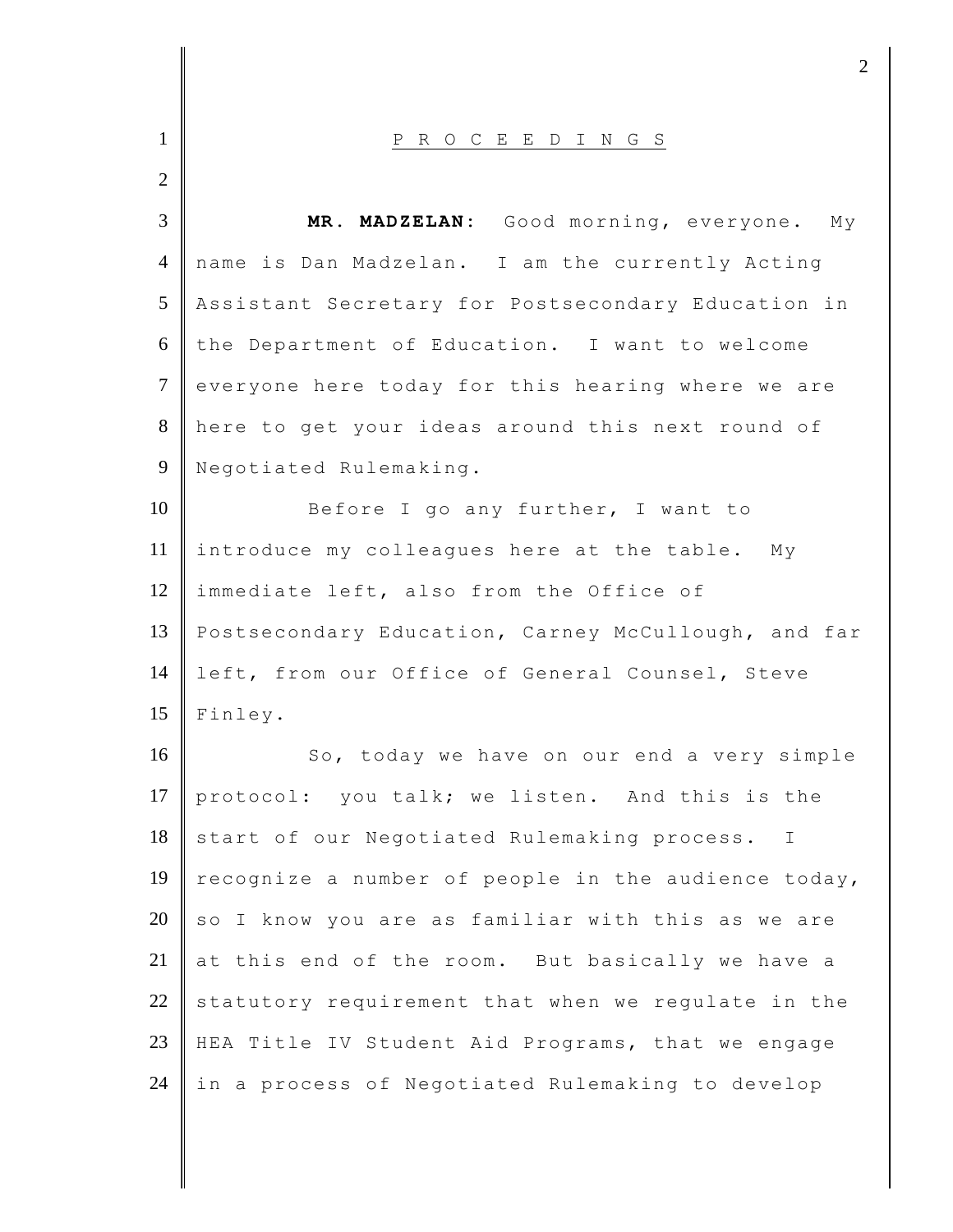| $\mathbf{1}$   | P R O C E E D I N G S                               |
|----------------|-----------------------------------------------------|
| $\overline{2}$ |                                                     |
| $\overline{3}$ | MR. MADZELAN: Good morning, everyone. My            |
| $\overline{4}$ | name is Dan Madzelan. I am the currently Acting     |
| 5              | Assistant Secretary for Postsecondary Education in  |
| 6              | the Department of Education. I want to welcome      |
| $\tau$         | everyone here today for this hearing where we are   |
| 8              | here to get your ideas around this next round of    |
| $\mathbf{9}$   | Negotiated Rulemaking.                              |
| 10             | Before I go any further, I want to                  |
| 11             | introduce my colleagues here at the table. My       |
| 12             | immediate left, also from the Office of             |
| 13             | Postsecondary Education, Carney McCullough, and far |
| 14             | left, from our Office of General Counsel, Steve     |
| 15             | Finley.                                             |
| 16             | So, today we have on our end a very simple          |
| 17             | protocol: you talk; we listen. And this is the      |
| 18             | start of our Negotiated Rulemaking process.<br>I    |
| 19             | recognize a number of people in the audience today, |
| 20             | so I know you are as familiar with this as we are   |
| 21             | at this end of the room. But basically we have a    |
| 22             | statutory requirement that when we regulate in the  |
| 23             | HEA Title IV Student Aid Programs, that we engage   |
| 24             | in a process of Negotiated Rulemaking to develop    |

 $\frac{1}{2}$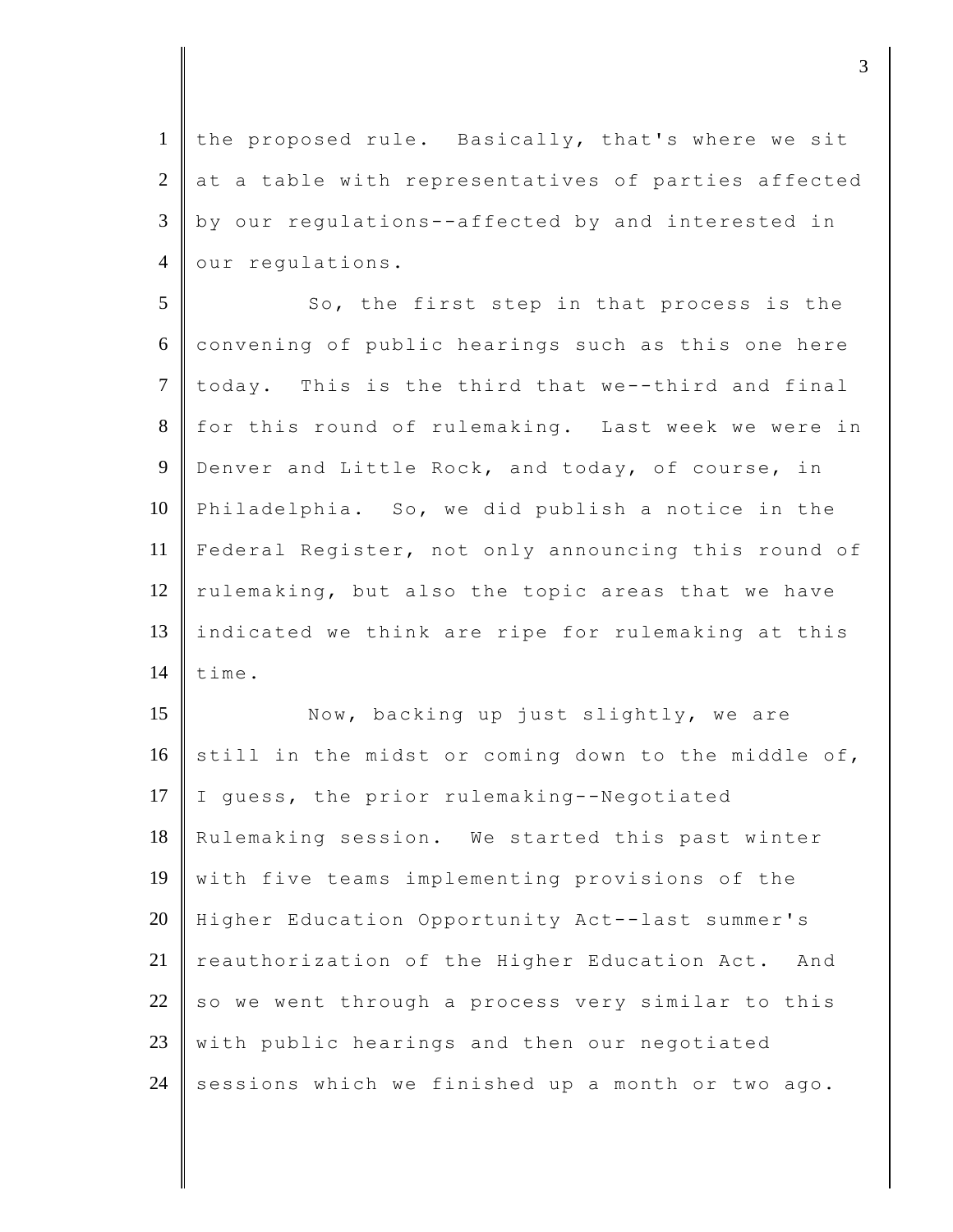1 | the proposed rule. Basically, that's where we sit  $2$  at a table with representatives of parties affected 3 by our regulations--affected by and interested in 4 our regulations.

5 So, the first step in that process is the 6 convening of public hearings such as this one here  $7$  today. This is the third that we--third and final 8 for this round of rulemaking. Last week we were in 9 Denver and Little Rock, and today, of course, in 10 Philadelphia. So, we did publish a notice in the 11 Federal Register, not only announcing this round of 12 rulemaking, but also the topic areas that we have 13 indicated we think are ripe for rulemaking at this  $14$  time.

15 Now, backing up just slightly, we are 16 still in the midst or coming down to the middle of, 17  $\parallel$  I guess, the prior rulemaking--Negotiated 18 Rulemaking session. We started this past winter 19 with five teams implementing provisions of the 20 Higher Education Opportunity Act--last summer's 21 reauthorization of the Higher Education Act. And 22 so we went through a process very similar to this  $23$  with public hearings and then our negotiated 24 sessions which we finished up a month or two ago.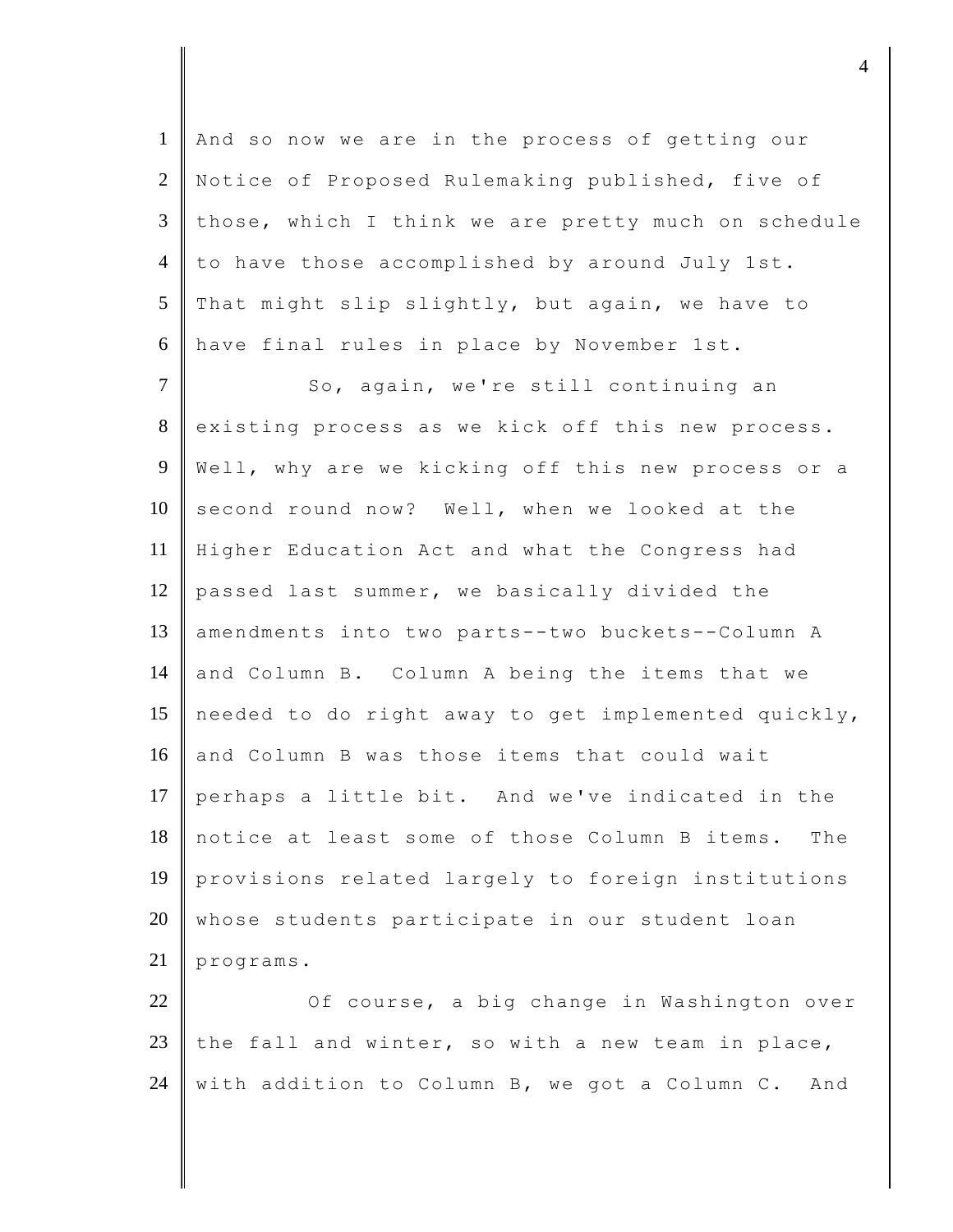1 And so now we are in the process of getting our 2 Notice of Proposed Rulemaking published, five of 3 those, which I think we are pretty much on schedule 4 to have those accomplished by around July 1st. 5 That might slip slightly, but again, we have to 6 have final rules in place by November 1st.

7 So, again, we're still continuing an 8 existing process as we kick off this new process. 9 | Well, why are we kicking off this new process or a 10 second round now? Well, when we looked at the 11 Higher Education Act and what the Congress had 12 passed last summer, we basically divided the 13 amendments into two parts--two buckets--Column A 14 and Column B. Column A being the items that we 15 needed to do right away to get implemented quickly, 16 and Column B was those items that could wait 17 perhaps a little bit. And we've indicated in the 18 notice at least some of those Column B items. The 19 provisions related largely to foreign institutions 20 whose students participate in our student loan 21 programs.

22 Of course, a big change in Washington over 23 the fall and winter, so with a new team in place, 24 with addition to Column B, we got a Column C. And

djective the contract of  $4$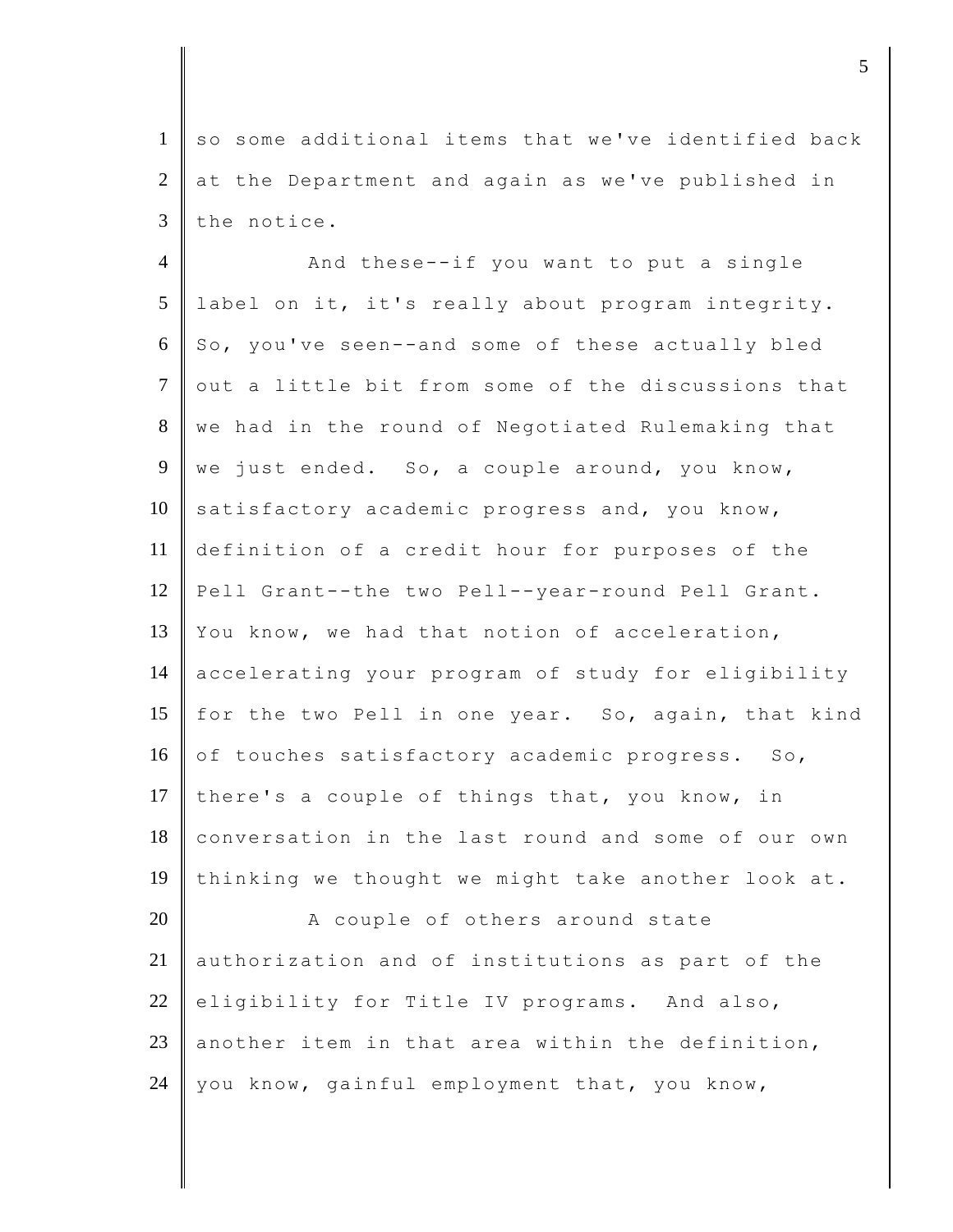1 so some additional items that we've identified back 2 at the Department and again as we've published in  $3$  the notice.

4 || And these--if you want to put a single 5 label on it, it's really about program integrity.  $6 \parallel$  So, you've seen--and some of these actually bled  $7$  out a little bit from some of the discussions that 8 we had in the round of Negotiated Rulemaking that 9 we just ended. So, a couple around, you know,  $10$  satisfactory academic progress and, you know, 11 definition of a credit hour for purposes of the 12 Pell Grant--the two Pell--year-round Pell Grant. 13 You know, we had that notion of acceleration, 14 accelerating your program of study for eligibility 15  $\parallel$  for the two Pell in one year. So, again, that kind 16 of touches satisfactory academic progress. So, 17 there's a couple of things that, you know, in 18 conversation in the last round and some of our own 19 thinking we thought we might take another look at. 20 A couple of others around state 21 authorization and of institutions as part of the 22 eligibility for Title IV programs. And also, 23 another item in that area within the definition,

24 | you know, gainful employment that, you know,

djecture to the contract of  $\sim$  5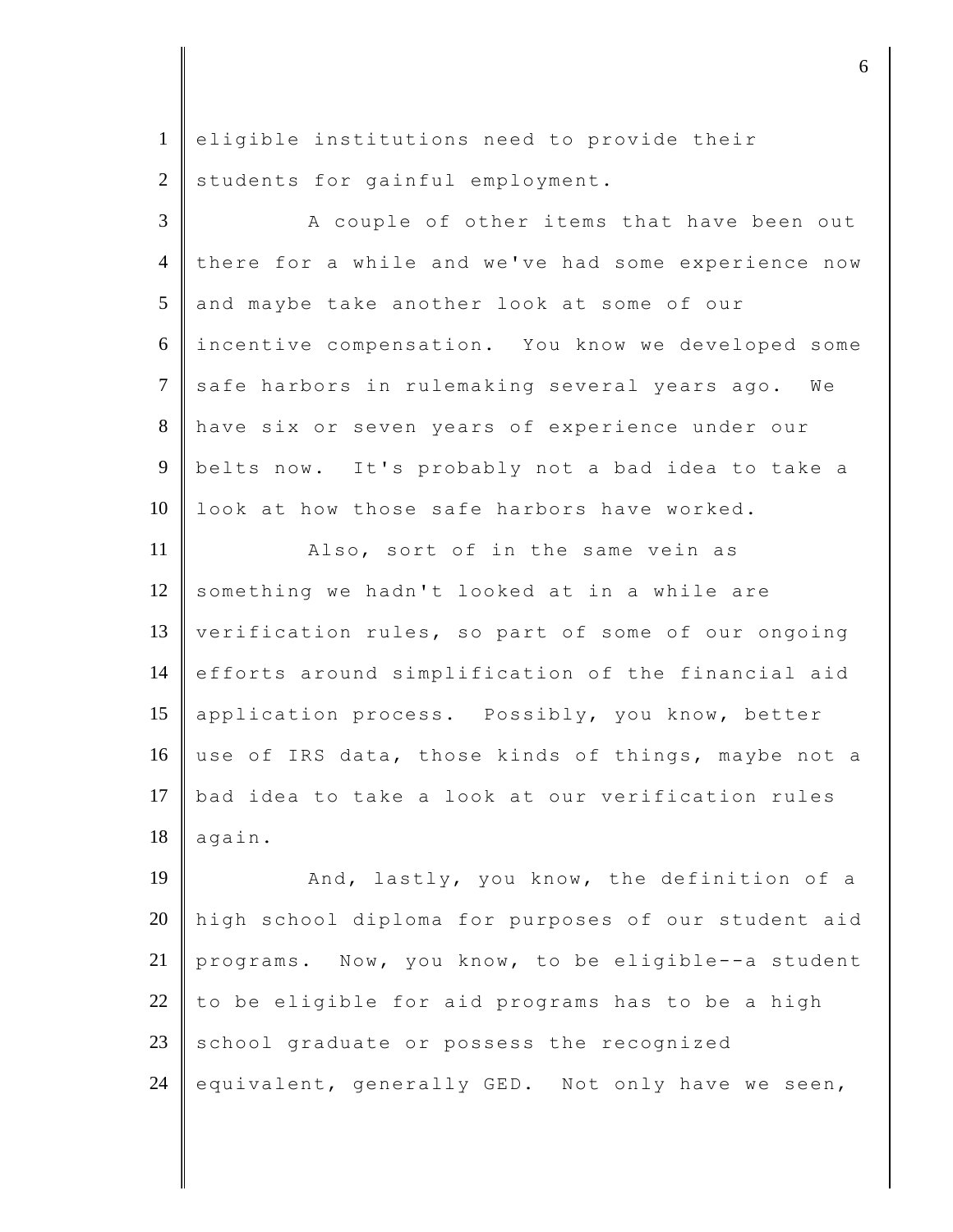1 eligible institutions need to provide their 2 students for gainful employment.

3 A couple of other items that have been out 4 there for a while and we've had some experience now 5 and maybe take another look at some of our 6 incentive compensation. You know we developed some 7 safe harbors in rulemaking several years ago. We 8 have six or seven years of experience under our 9 belts now. It's probably not a bad idea to take a 10 | look at how those safe harbors have worked.

11 **Also, sort of in the same vein as** 12 something we hadn't looked at in a while are 13 verification rules, so part of some of our ongoing 14 efforts around simplification of the financial aid 15 application process. Possibly, you know, better 16 use of IRS data, those kinds of things, maybe not a 17 bad idea to take a look at our verification rules  $18$  again.

19 And, lastly, you know, the definition of a 20 high school diploma for purposes of our student aid 21 programs. Now, you know, to be eligible--a student 22 to be eligible for aid programs has to be a high  $23$  school graduate or possess the recognized 24 equivalent, generally GED. Not only have we seen,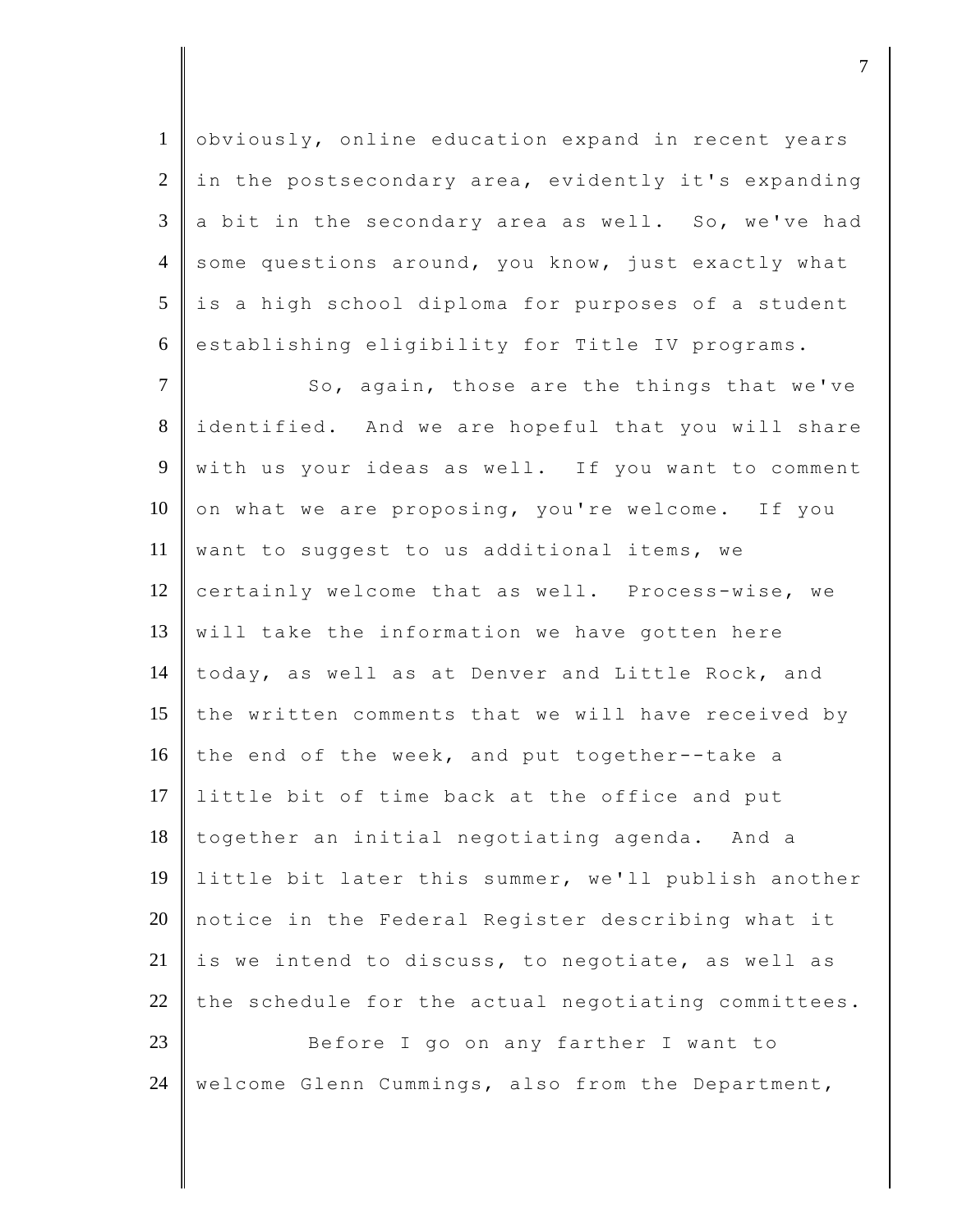1 obviously, online education expand in recent years  $2 \parallel$  in the postsecondary area, evidently it's expanding  $3 \parallel a$  bit in the secondary area as well. So, we've had 4 some questions around, you know, just exactly what  $5$  is a high school diploma for purposes of a student 6 establishing eligibility for Title IV programs.

7 So, again, those are the things that we've 8 identified. And we are hopeful that you will share 9 with us your ideas as well. If you want to comment  $10$  on what we are proposing, you're welcome. If you 11 want to suggest to us additional items, we 12 certainly welcome that as well. Process-wise, we 13 || will take the information we have gotten here 14 today, as well as at Denver and Little Rock, and 15 the written comments that we will have received by 16 the end of the week, and put together--take a 17 Iittle bit of time back at the office and put 18 together an initial negotiating agenda. And a 19 little bit later this summer, we'll publish another 20 notice in the Federal Register describing what it 21 is we intend to discuss, to negotiate, as well as 22  $\parallel$  the schedule for the actual negotiating committees. 23 Before I go on any farther I want to

24 | welcome Glenn Cummings, also from the Department,

djective terms of  $\overline{a}$  7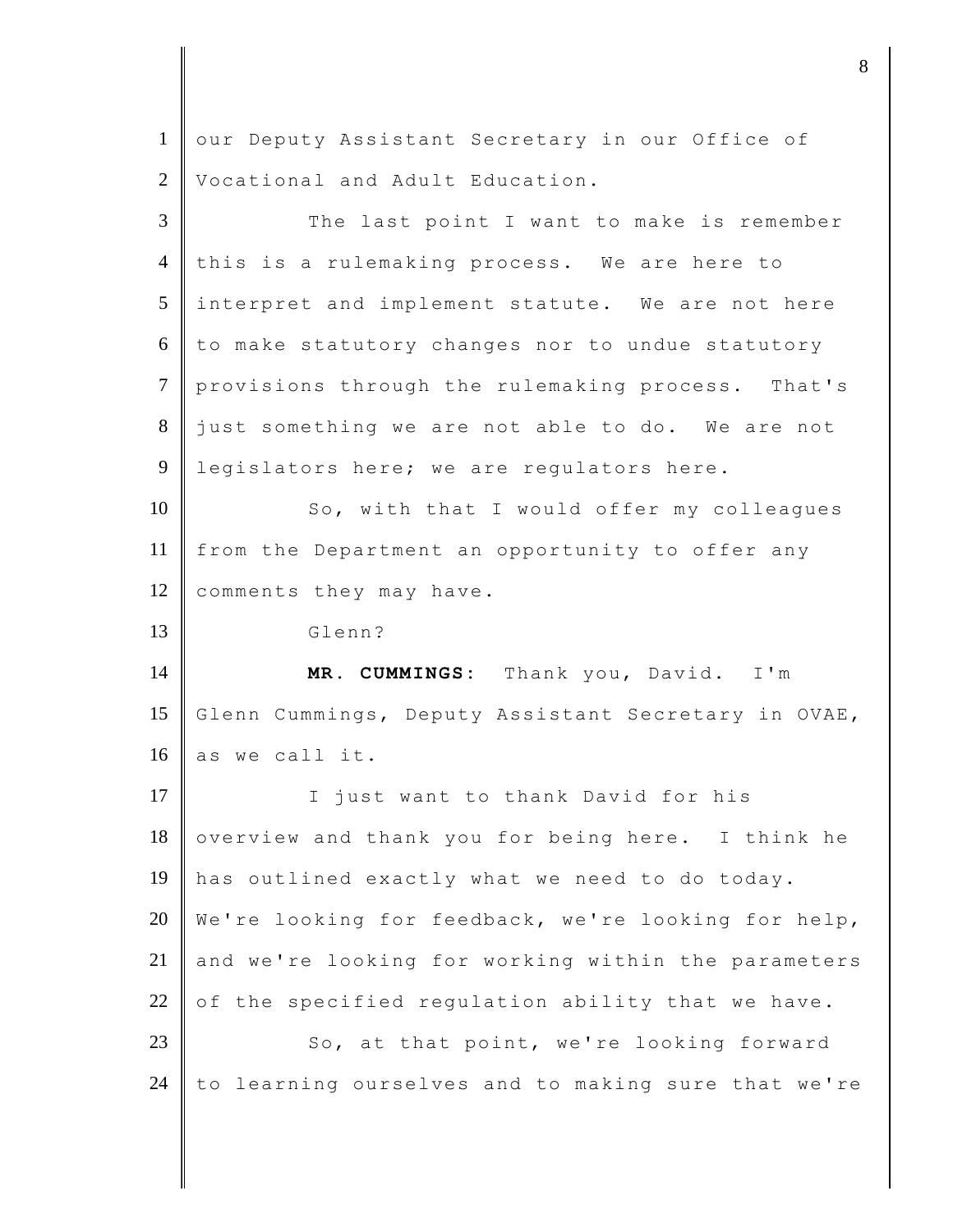1 our Deputy Assistant Secretary in our Office of 2 Vocational and Adult Education. 3 The last point I want to make is remember 4 this is a rulemaking process. We are here to 5 interpret and implement statute. We are not here  $6$  to make statutory changes nor to undue statutory 7 provisions through the rulemaking process. That's 8 just something we are not able to do. We are not 9 | legislators here; we are regulators here. 10 So, with that I would offer my colleagues 11 from the Department an opportunity to offer any 12 comments they may have. 13 Glenn? 14 **MR. CUMMINGS:** Thank you, David. I'm 15 Glenn Cummings, Deputy Assistant Secretary in OVAE, 16 as we call it. 17 | I just want to thank David for his  $18$  overview and thank you for being here. I think he 19 has outlined exactly what we need to do today. 20 We're looking for feedback, we're looking for help, 21 and we're looking for working within the parameters 22 of the specified regulation ability that we have. 23 So, at that point, we're looking forward  $24$  to learning ourselves and to making sure that we're

djecter and the set of  $\mathbf{8}$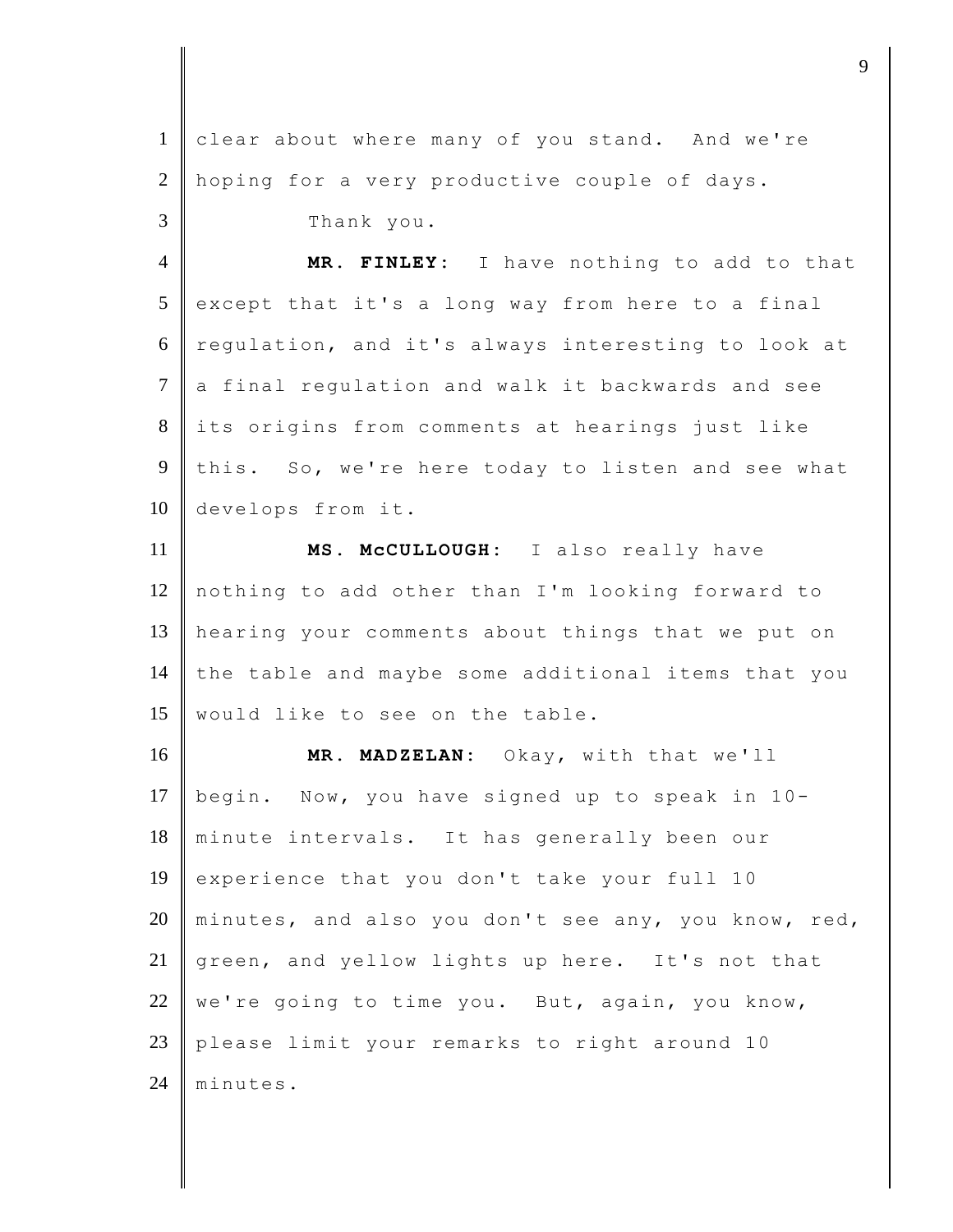| $\mathbf{1}$   | clear about where many of you stand. And we're      |
|----------------|-----------------------------------------------------|
| $\overline{2}$ | hoping for a very productive couple of days.        |
| 3              | Thank you.                                          |
| $\overline{4}$ | MR. FINLEY: I have nothing to add to that           |
| 5              | except that it's a long way from here to a final    |
| 6              | regulation, and it's always interesting to look at  |
| $\tau$         | a final regulation and walk it backwards and see    |
| 8              | its origins from comments at hearings just like     |
| 9              | this. So, we're here today to listen and see what   |
| 10             | develops from it.                                   |
| 11             | MS. McCULLOUGH: I also really have                  |
| 12             | nothing to add other than I'm looking forward to    |
| 13             | hearing your comments about things that we put on   |
| 14             | the table and maybe some additional items that you  |
| 15             | would like to see on the table.                     |
| 16             | MR. MADZELAN: Okay, with that we'll                 |
| 17             | begin. Now, you have signed up to speak in 10-      |
| 18             | minute intervals. It has generally been our         |
| 19             | experience that you don't take your full 10         |
| 20             | minutes, and also you don't see any, you know, red, |
| 21             |                                                     |
| 22             | green, and yellow lights up here. It's not that     |
|                | we're going to time you. But, again, you know,      |
| 23             | please limit your remarks to right around 10        |
| 24             | minutes.                                            |

djective terms of  $\overline{9}$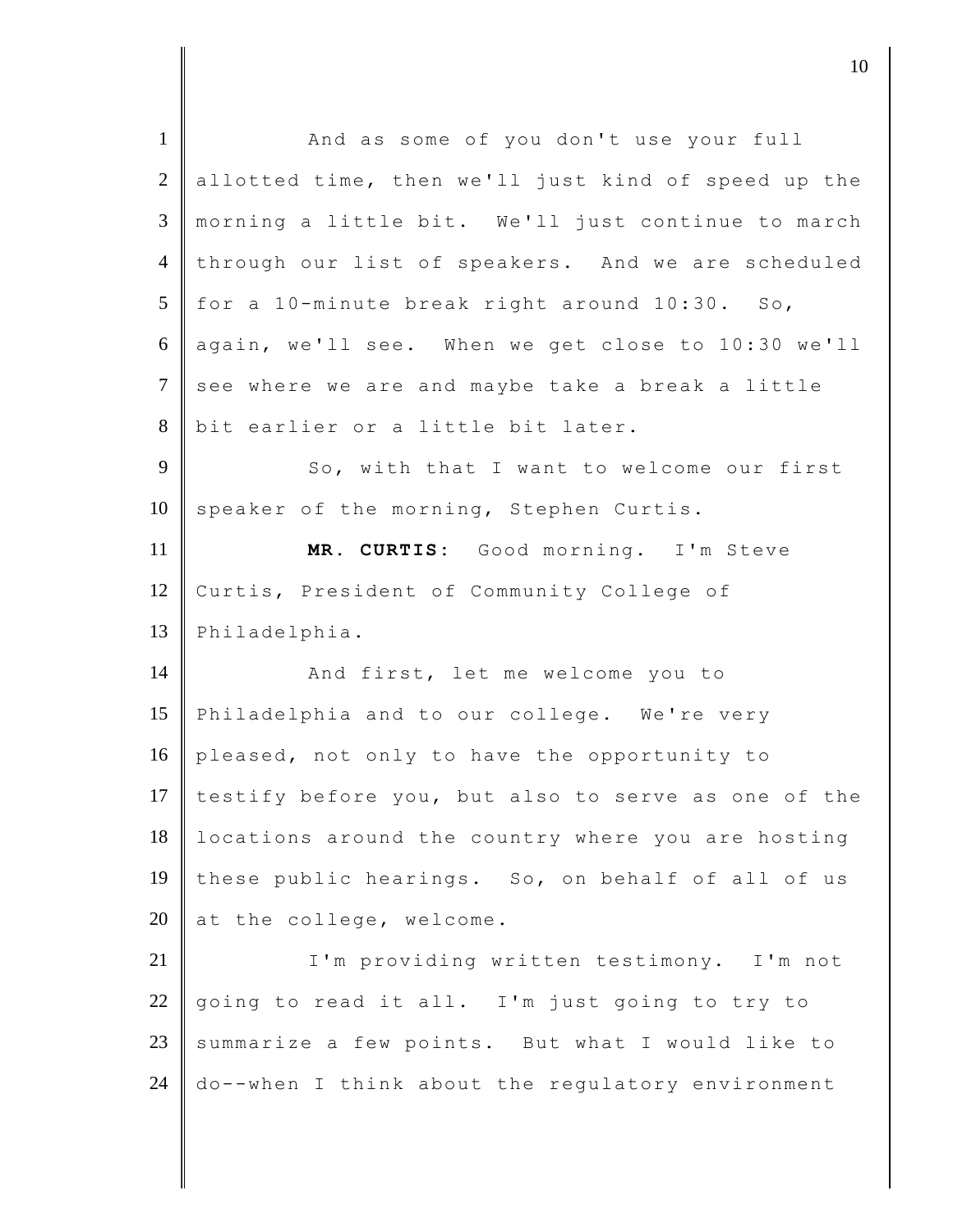| $\mathbf{1}$   | And as some of you don't use your full                                                                |
|----------------|-------------------------------------------------------------------------------------------------------|
| $\overline{2}$ | allotted time, then we'll just kind of speed up the                                                   |
| 3              | morning a little bit. We'll just continue to march                                                    |
| $\overline{4}$ | through our list of speakers. And we are scheduled                                                    |
| 5              | for a 10-minute break right around 10:30. So,                                                         |
| 6              | again, we'll see. When we get close to 10:30 we'll                                                    |
| $\overline{7}$ | see where we are and maybe take a break a little                                                      |
| $8\,$          | bit earlier or a little bit later.                                                                    |
| 9              | So, with that I want to welcome our first                                                             |
| 10             | speaker of the morning, Stephen Curtis.                                                               |
| 11             | MR. CURTIS: Good morning. I'm Steve                                                                   |
| 12             | Curtis, President of Community College of                                                             |
|                |                                                                                                       |
| 13             | Philadelphia.                                                                                         |
| 14             | And first, let me welcome you to                                                                      |
| 15             | Philadelphia and to our college. We're very                                                           |
| 16             | pleased, not only to have the opportunity to                                                          |
| 17             | testify before you, but also to serve as one of the                                                   |
| 18             | locations around the country where you are hosting                                                    |
| 19             | these public hearings. So, on behalf of all of us                                                     |
| 20             | at the college, welcome.                                                                              |
| 21             | I'm providing written testimony. I'm not                                                              |
| 22             | going to read it all. I'm just going to try to                                                        |
| 23             | summarize a few points. But what I would like to<br>do--when I think about the regulatory environment |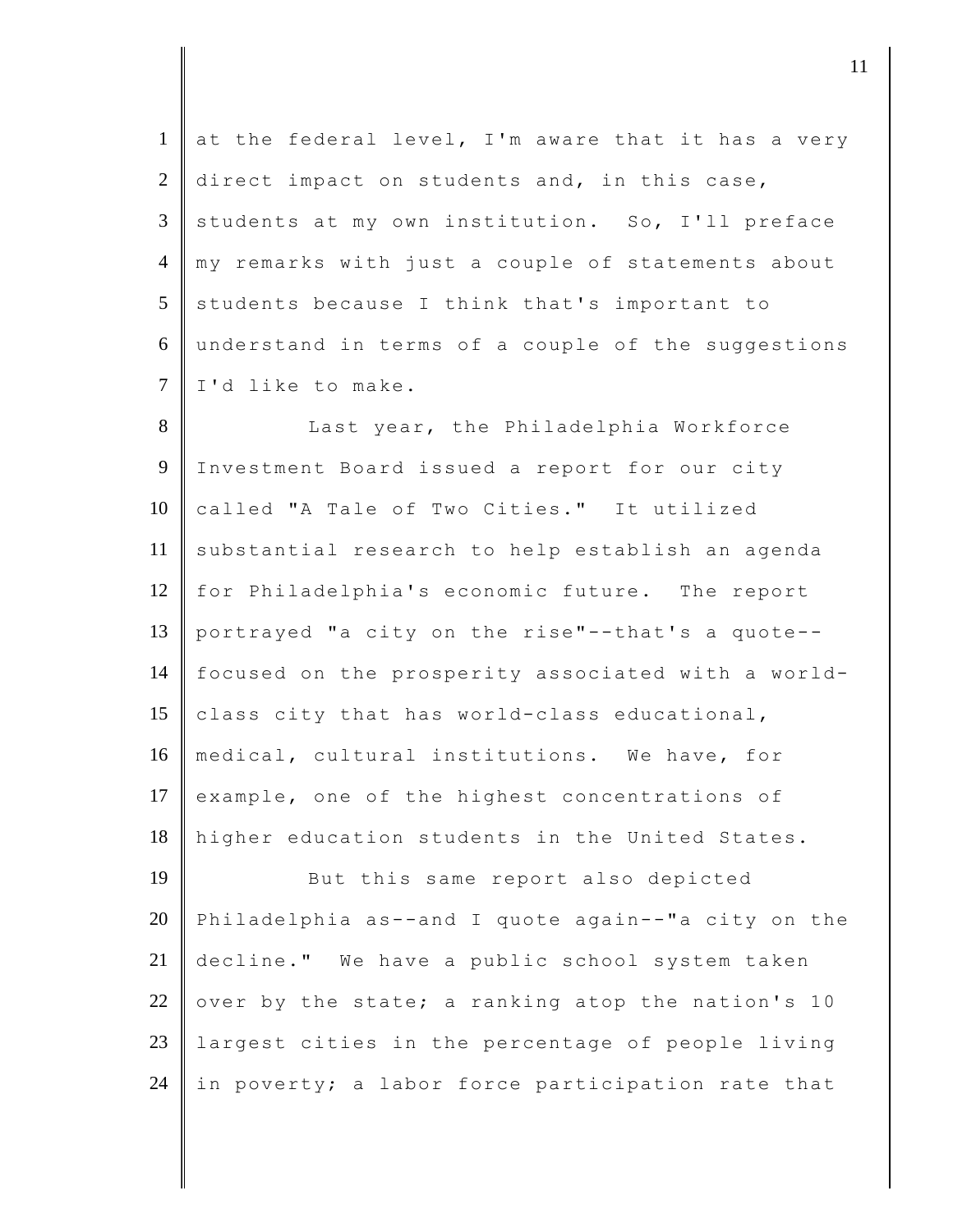$1$  at the federal level, I'm aware that it has a very 2 direct impact on students and, in this case,  $3 \parallel$  students at my own institution. So, I'll preface 4 my remarks with just a couple of statements about  $5$  students because I think that's important to 6 understand in terms of a couple of the suggestions 7 I'd like to make.

8 || Last year, the Philadelphia Workforce 9 Investment Board issued a report for our city 10 called "A Tale of Two Cities." It utilized 11 substantial research to help establish an agenda 12 for Philadelphia's economic future. The report 13 portrayed "a city on the rise"--that's a quote-- 14 focused on the prosperity associated with a world-15  $\vert$  class city that has world-class educational, 16 medical, cultural institutions. We have, for 17 example, one of the highest concentrations of 18 higher education students in the United States.

19 But this same report also depicted 20 Philadelphia as--and I quote again--"a city on the 21 decline." We have a public school system taken 22 over by the state; a ranking atop the nation's 10 23 largest cities in the percentage of people living 24 in poverty; a labor force participation rate that

djecamental in the contract of  $\mathbf{11}$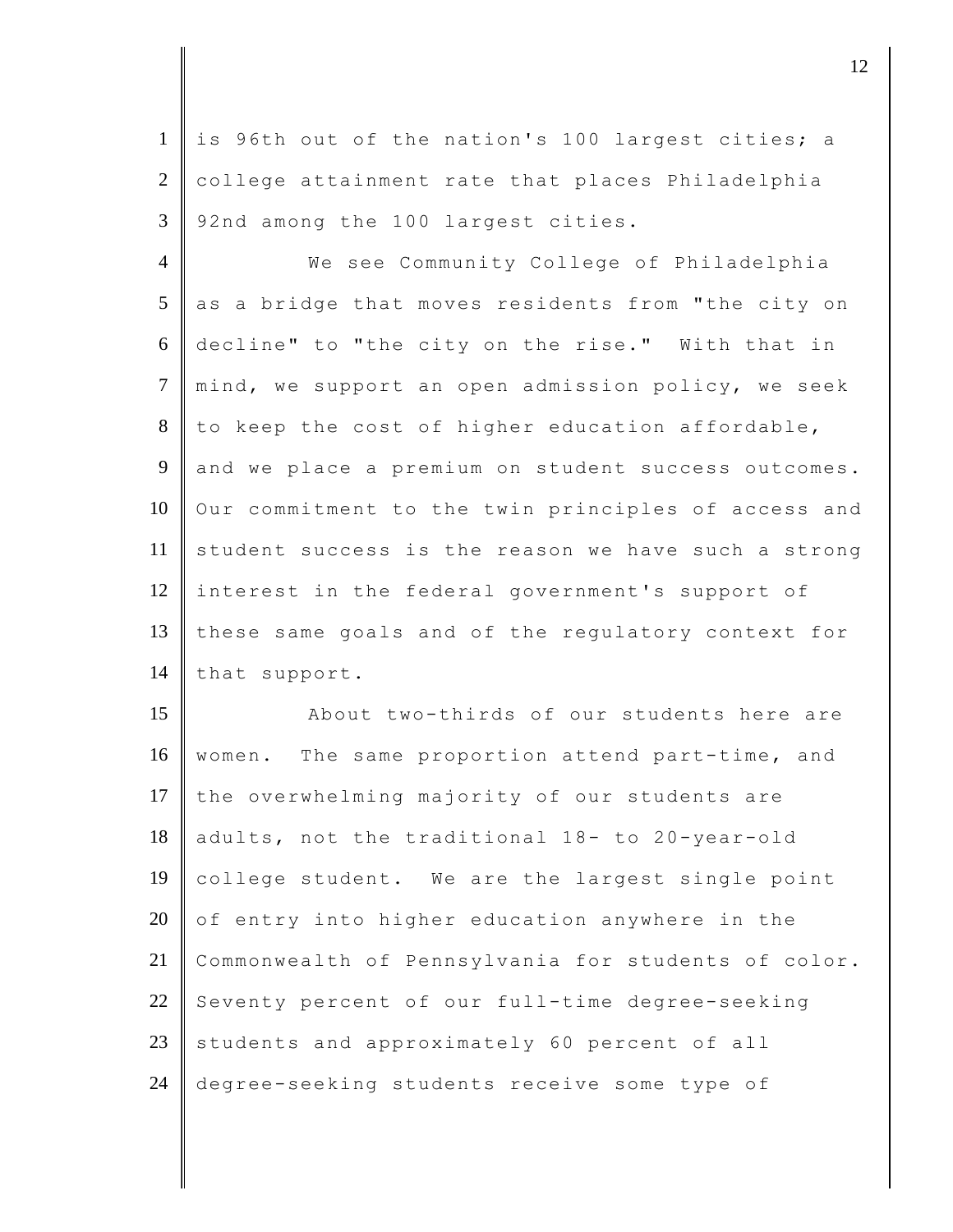1 | is 96th out of the nation's 100 largest cities; a 2 | college attainment rate that places Philadelphia 3 92nd among the 100 largest cities.

4 We see Community College of Philadelphia  $5$  as a bridge that moves residents from "the city on 6 decline" to "the city on the rise." With that in 7 mind, we support an open admission policy, we seek  $8$  to keep the cost of higher education affordable, 9 and we place a premium on student success outcomes. 10 Our commitment to the twin principles of access and 11 student success is the reason we have such a strong 12 interest in the federal government's support of 13 | these same goals and of the regulatory context for 14 | that support.

15 About two-thirds of our students here are 16 | women. The same proportion attend part-time, and 17 the overwhelming majority of our students are 18 adults, not the traditional 18- to 20-year-old 19 college student. We are the largest single point 20  $\circ$  of entry into higher education anywhere in the 21 Commonwealth of Pennsylvania for students of color. 22 Seventy percent of our full-time degree-seeking 23 students and approximately 60 percent of all 24 degree-seeking students receive some type of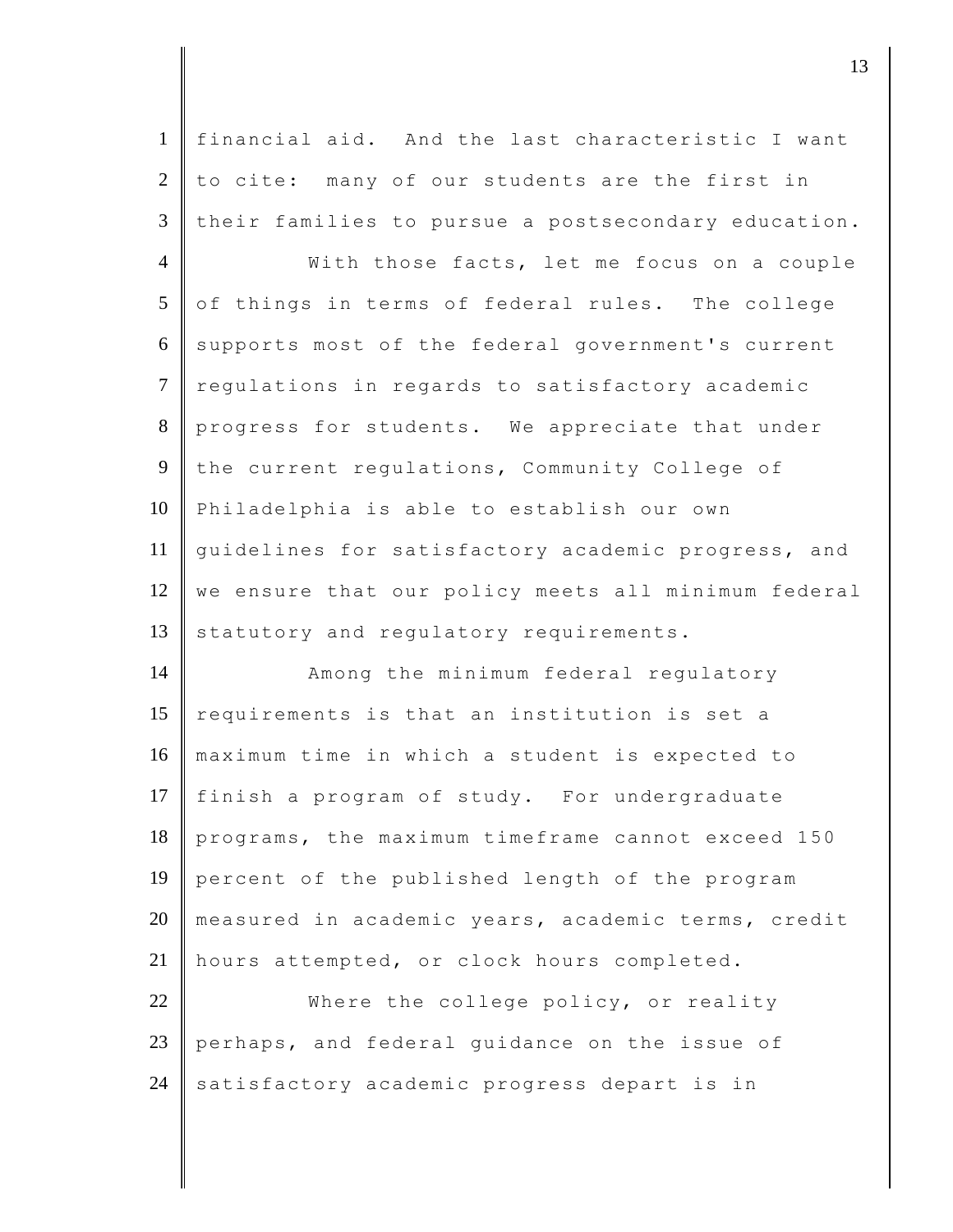| $\mathbf{1}$   | financial aid. And the last characteristic I want   |
|----------------|-----------------------------------------------------|
| $\mathfrak{2}$ | to cite: many of our students are the first in      |
| 3              | their families to pursue a postsecondary education. |
| $\overline{4}$ | With those facts, let me focus on a couple          |
| 5              | of things in terms of federal rules. The college    |
| 6              | supports most of the federal government's current   |
| $\tau$         | regulations in regards to satisfactory academic     |
| $8\,$          | progress for students. We appreciate that under     |
| 9              | the current regulations, Community College of       |
| 10             | Philadelphia is able to establish our own           |
| 11             | quidelines for satisfactory academic progress, and  |
| 12             | we ensure that our policy meets all minimum federal |
| 13             | statutory and regulatory requirements.              |
| 14             | Among the minimum federal regulatory                |
| 15             | requirements is that an institution is set a        |
| 16             | maximum time in which a student is expected to      |
| 17             | finish a program of study. For undergraduate        |
| 18             | programs, the maximum timeframe cannot exceed 150   |
| 19             | percent of the published length of the program      |
| 20             | measured in academic years, academic terms, credit  |
| 21             | hours attempted, or clock hours completed.          |
| 22             | Where the college policy, or reality                |
| 23             | perhaps, and federal guidance on the issue of       |
| 24             | satisfactory academic progress depart is in         |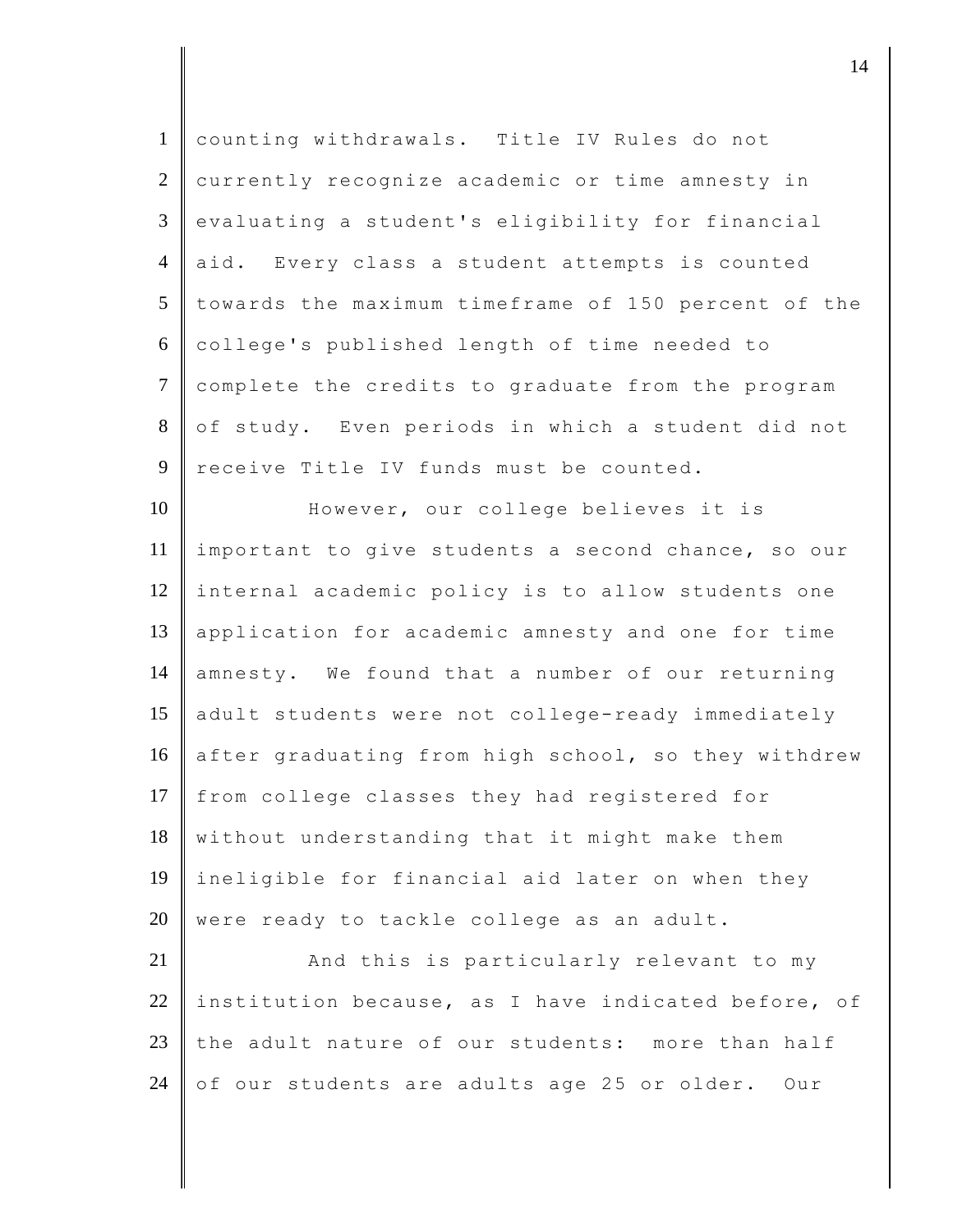| $\mathbf{1}$   | counting withdrawals. Title IV Rules do not         |
|----------------|-----------------------------------------------------|
| 2              | currently recognize academic or time amnesty in     |
| 3              | evaluating a student's eligibility for financial    |
| $\overline{4}$ | aid. Every class a student attempts is counted      |
| 5              | towards the maximum timeframe of 150 percent of the |
| 6              | college's published length of time needed to        |
| $\overline{7}$ | complete the credits to graduate from the program   |
| 8              | of study. Even periods in which a student did not   |
| 9              | receive Title IV funds must be counted.             |
| 10             | However, our college believes it is                 |
| 11             | important to give students a second chance, so our  |
| 12             | internal academic policy is to allow students one   |
| 13             | application for academic amnesty and one for time   |
| 14             | amnesty. We found that a number of our returning    |
| 15             | adult students were not college-ready immediately   |
| 16             | after graduating from high school, so they withdrew |
| 17             | from college classes they had registered for        |
| 18             | without understanding that it might make them       |
| 19             | ineligible for financial aid later on when they     |
| 20             | were ready to tackle college as an adult.           |
| 21             | And this is particularly relevant to my             |
| 22             | institution because, as I have indicated before, of |
| 23             | the adult nature of our students: more than half    |
| 24             | of our students are adults age 25 or older.<br>Our  |
|                |                                                     |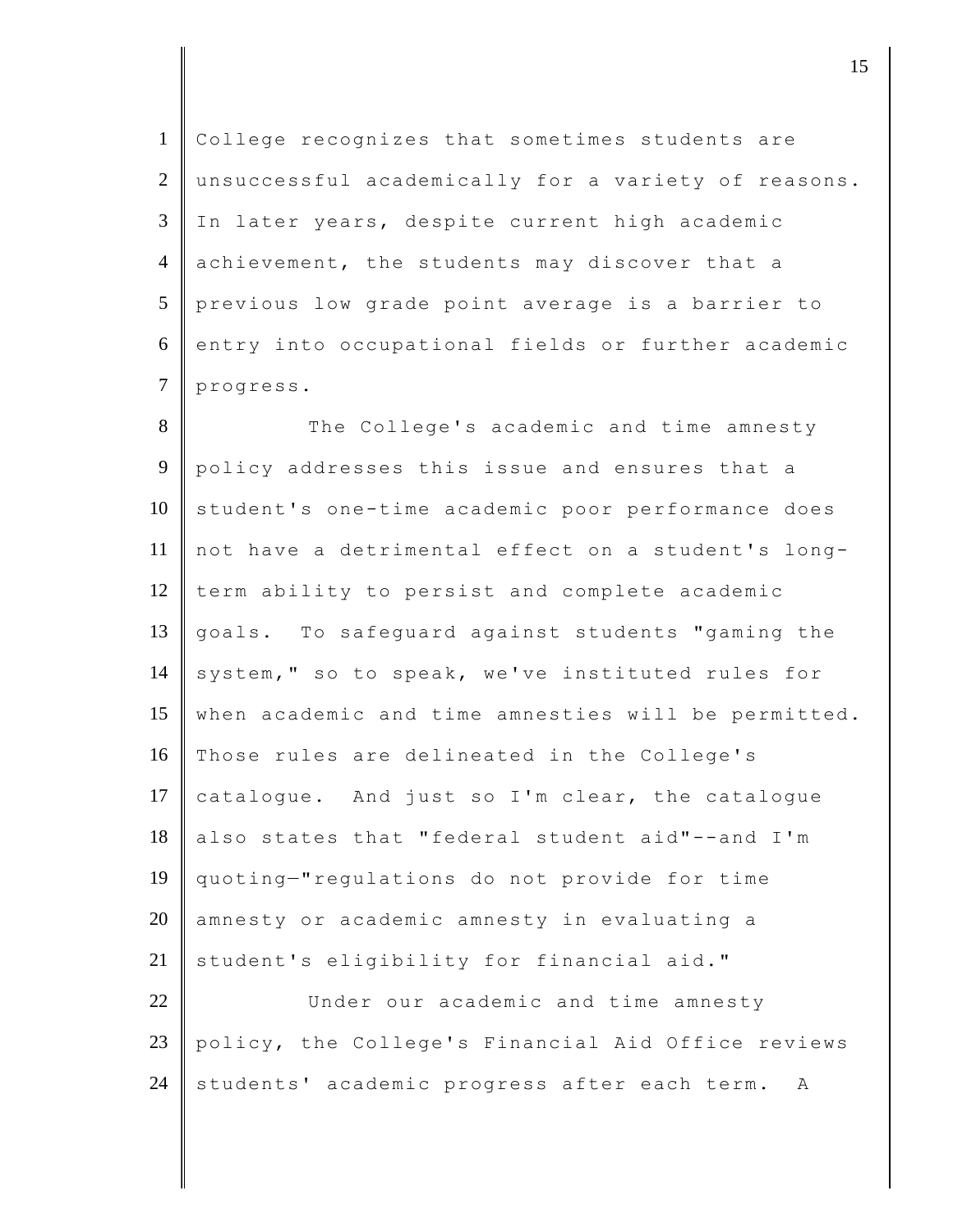1 College recognizes that sometimes students are 2 unsuccessful academically for a variety of reasons. 3 In later years, despite current high academic 4 achievement, the students may discover that a 5 previous low grade point average is a barrier to 6 entry into occupational fields or further academic 7 progress.

8 The College's academic and time amnesty 9 policy addresses this issue and ensures that a 10 student's one-time academic poor performance does 11 not have a detrimental effect on a student's long- $12$  term ability to persist and complete academic 13 goals. To safeguard against students "gaming the 14 system," so to speak, we've instituted rules for 15 when academic and time amnesties will be permitted. 16 Those rules are delineated in the College's 17 catalogue. And just so I'm clear, the catalogue 18 also states that "federal student aid"--and I'm 19 quoting—"regulations do not provide for time 20 amnesty or academic amnesty in evaluating a 21 student's eligibility for financial aid." 22 Under our academic and time amnesty 23 policy, the College's Financial Aid Office reviews

 $24$  students' academic progress after each term. A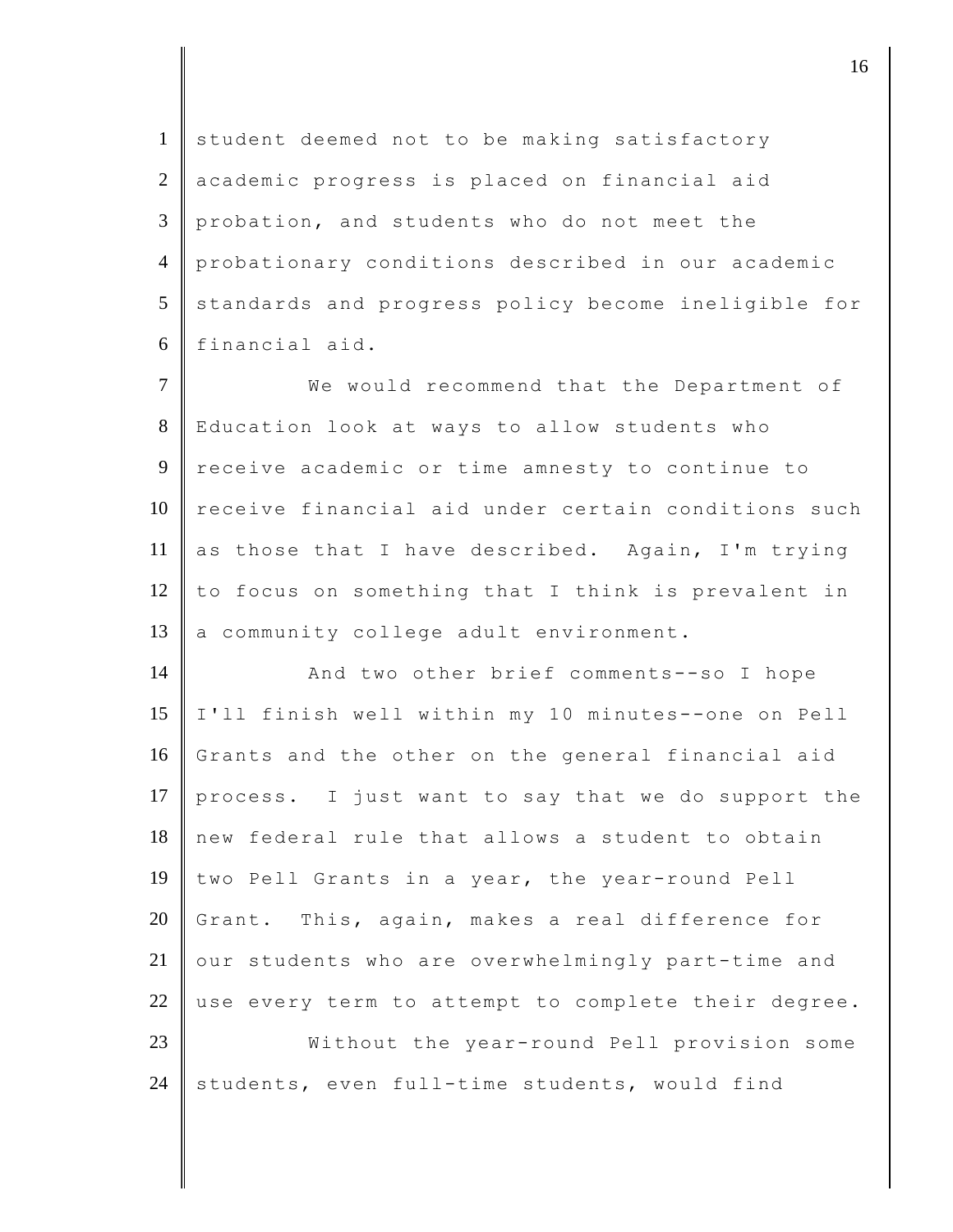1 student deemed not to be making satisfactory 2 academic progress is placed on financial aid 3 probation, and students who do not meet the 4 probationary conditions described in our academic 5 standards and progress policy become ineligible for 6 financial aid.

7 We would recommend that the Department of 8 Education look at ways to allow students who 9 receive academic or time amnesty to continue to 10 receive financial aid under certain conditions such 11 as those that I have described. Again, I'm trying 12 to focus on something that I think is prevalent in 13 a community college adult environment.

14 And two other brief comments--so I hope 15 I'll finish well within my 10 minutes--one on Pell 16 Grants and the other on the general financial aid 17 process. I just want to say that we do support the 18 new federal rule that allows a student to obtain 19 two Pell Grants in a year, the year-round Pell 20 Grant. This, again, makes a real difference for  $21$  our students who are overwhelmingly part-time and 22 use every term to attempt to complete their degree. 23 Without the year-round Pell provision some 24 students, even full-time students, would find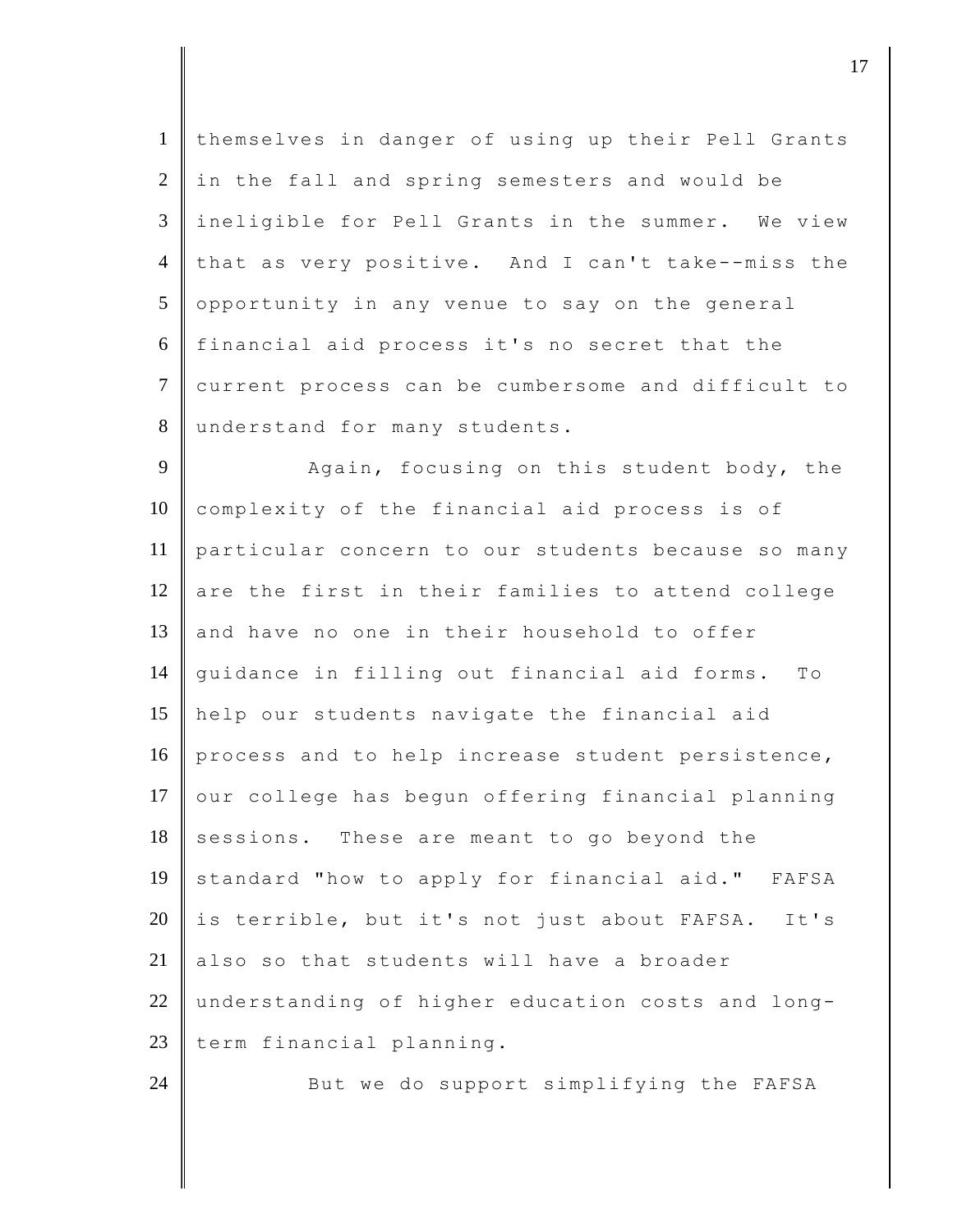themselves in danger of using up their Pell Grants in the fall and spring semesters and would be ineligible for Pell Grants in the summer. We view 4 that as very positive. And I can't take--miss the opportunity in any venue to say on the general financial aid process it's no secret that the 7 current process can be cumbersome and difficult to 8 understand for many students.

9 Again, focusing on this student body, the 10 complexity of the financial aid process is of 11 particular concern to our students because so many  $12$  are the first in their families to attend college 13 and have no one in their household to offer 14 guidance in filling out financial aid forms. To 15 help our students navigate the financial aid 16 process and to help increase student persistence,  $17$  our college has begun offering financial planning 18 sessions. These are meant to go beyond the 19 standard "how to apply for financial aid." FAFSA  $20$  is terrible, but it's not just about FAFSA. It's 21 also so that students will have a broader 22 understanding of higher education costs and long-23 term financial planning.

24 But we do support simplifying the FAFSA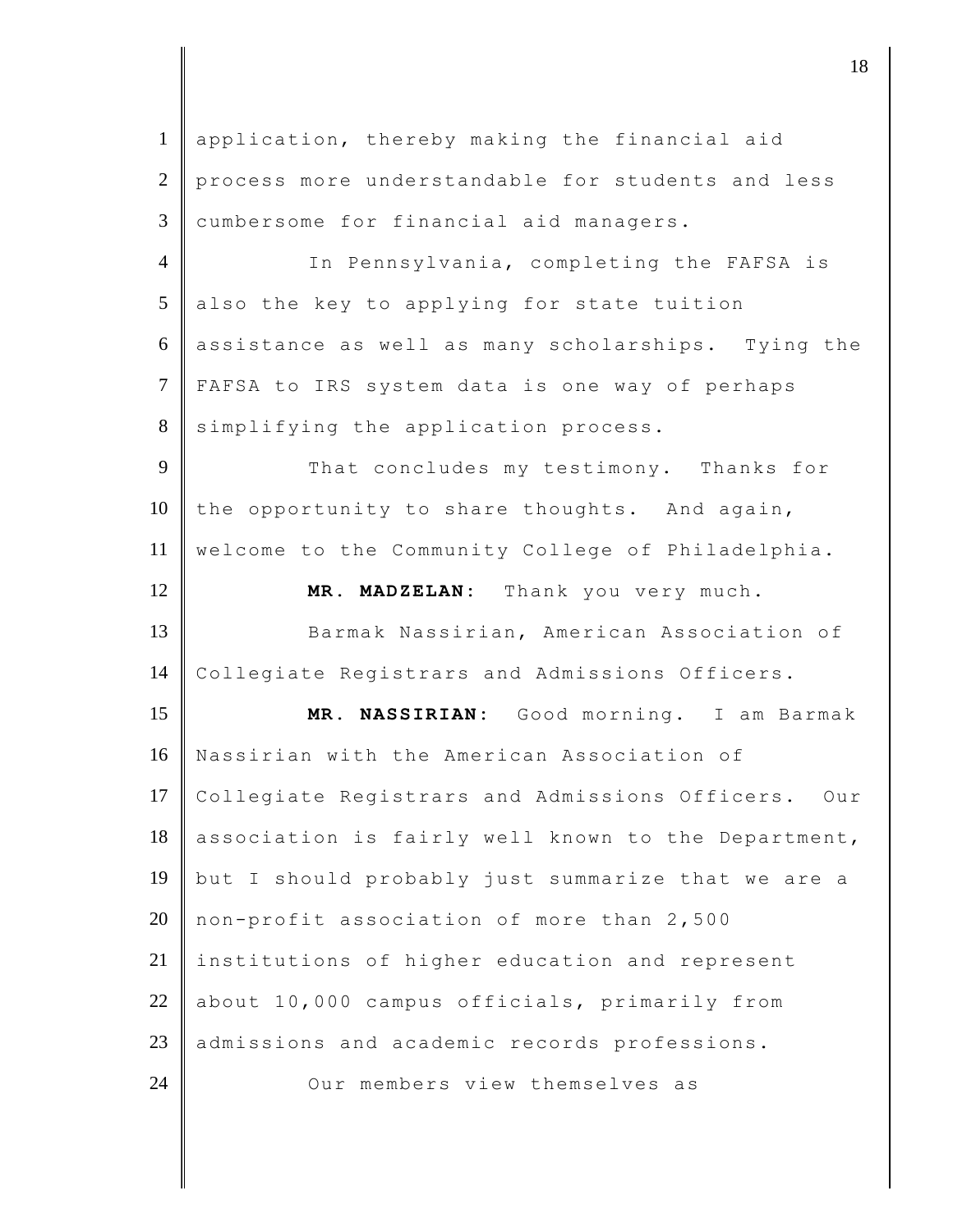| $\mathbf{1}$   | application, thereby making the financial aid         |
|----------------|-------------------------------------------------------|
| $\overline{2}$ | process more understandable for students and less     |
| 3              | cumbersome for financial aid managers.                |
| $\overline{4}$ | In Pennsylvania, completing the FAFSA is              |
| 5              | also the key to applying for state tuition            |
| 6              | assistance as well as many scholarships. Tying the    |
| $\tau$         | FAFSA to IRS system data is one way of perhaps        |
| 8              | simplifying the application process.                  |
| 9              | That concludes my testimony. Thanks for               |
| 10             | the opportunity to share thoughts. And again,         |
| 11             | welcome to the Community College of Philadelphia.     |
| 12             | MR. MADZELAN: Thank you very much.                    |
|                |                                                       |
| 13             | Barmak Nassirian, American Association of             |
| 14             | Collegiate Registrars and Admissions Officers.        |
| 15             | MR. NASSIRIAN: Good morning. I am Barmak              |
| 16             | Nassirian with the American Association of            |
| 17             | Collegiate Registrars and Admissions Officers.<br>Our |
| 18             | association is fairly well known to the Department,   |
| 19             | but I should probably just summarize that we are a    |
| 20             | non-profit association of more than 2,500             |
| 21             | institutions of higher education and represent        |
| 22             | about 10,000 campus officials, primarily from         |
| 23             | admissions and academic records professions.          |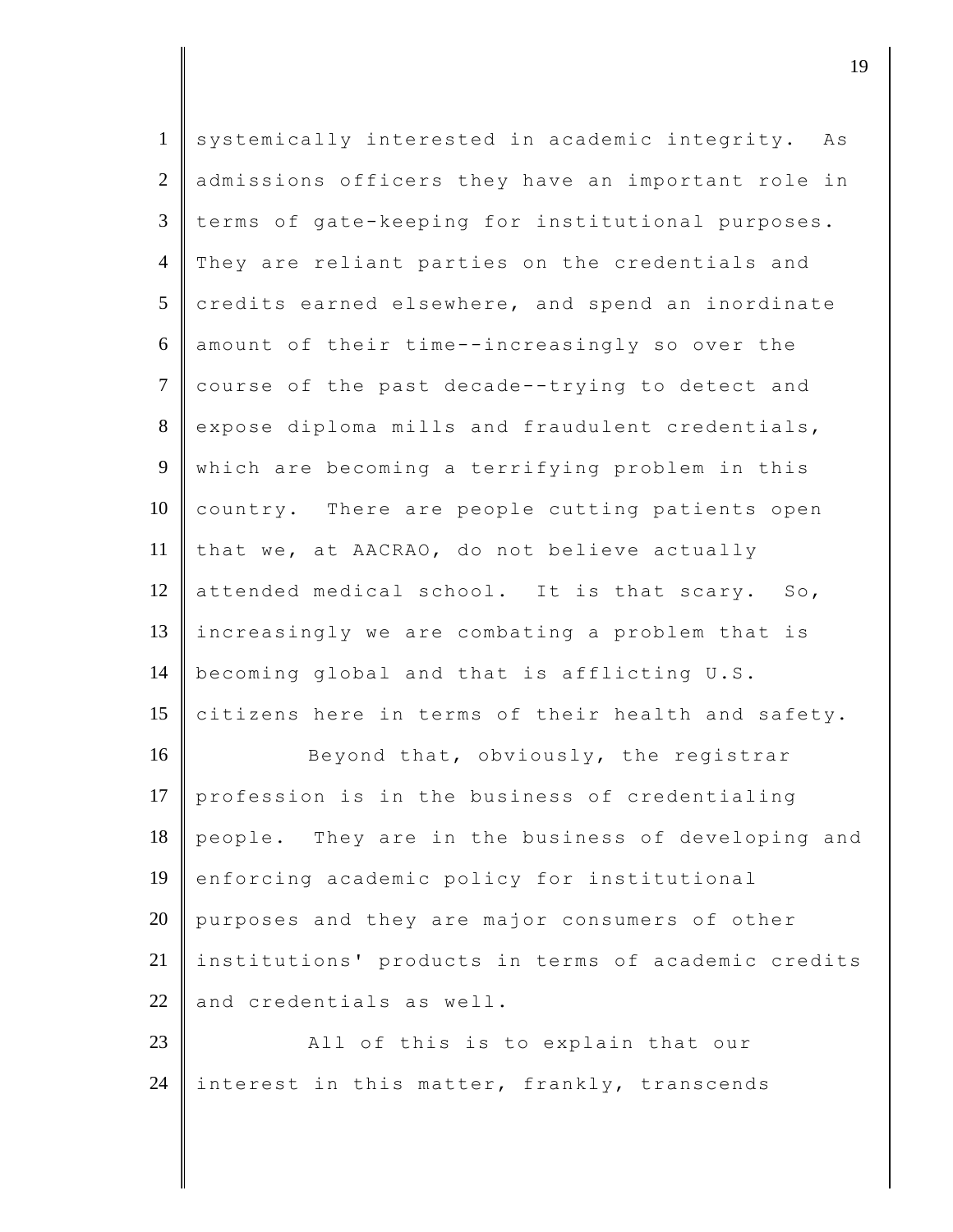| $\mathbf{1}$   | systemically interested in academic integrity.<br>Αs |
|----------------|------------------------------------------------------|
| $\mathfrak{2}$ | admissions officers they have an important role in   |
| $\mathfrak{Z}$ | terms of gate-keeping for institutional purposes.    |
| $\overline{4}$ | They are reliant parties on the credentials and      |
| 5              | credits earned elsewhere, and spend an inordinate    |
| 6              | amount of their time--increasingly so over the       |
| $\overline{7}$ | course of the past decade--trying to detect and      |
| $8\,$          | expose diploma mills and fraudulent credentials,     |
| 9              | which are becoming a terrifying problem in this      |
| 10             | country. There are people cutting patients open      |
| 11             | that we, at AACRAO, do not believe actually          |
| 12             | attended medical school. It is that scary. So,       |
| 13             | increasingly we are combating a problem that is      |
| 14             | becoming global and that is afflicting U.S.          |
| 15             | citizens here in terms of their health and safety.   |
| 16             | Beyond that, obviously, the registrar                |
| 17             | profession is in the business of credentialing       |
| 18             | people. They are in the business of developing and   |
| 19             | enforcing academic policy for institutional          |
| 20             | purposes and they are major consumers of other       |
| 21             | institutions' products in terms of academic credits  |
| 22             | and credentials as well.                             |
| 23             | All of this is to explain that our                   |
| 24             | interest in this matter, frankly, transcends         |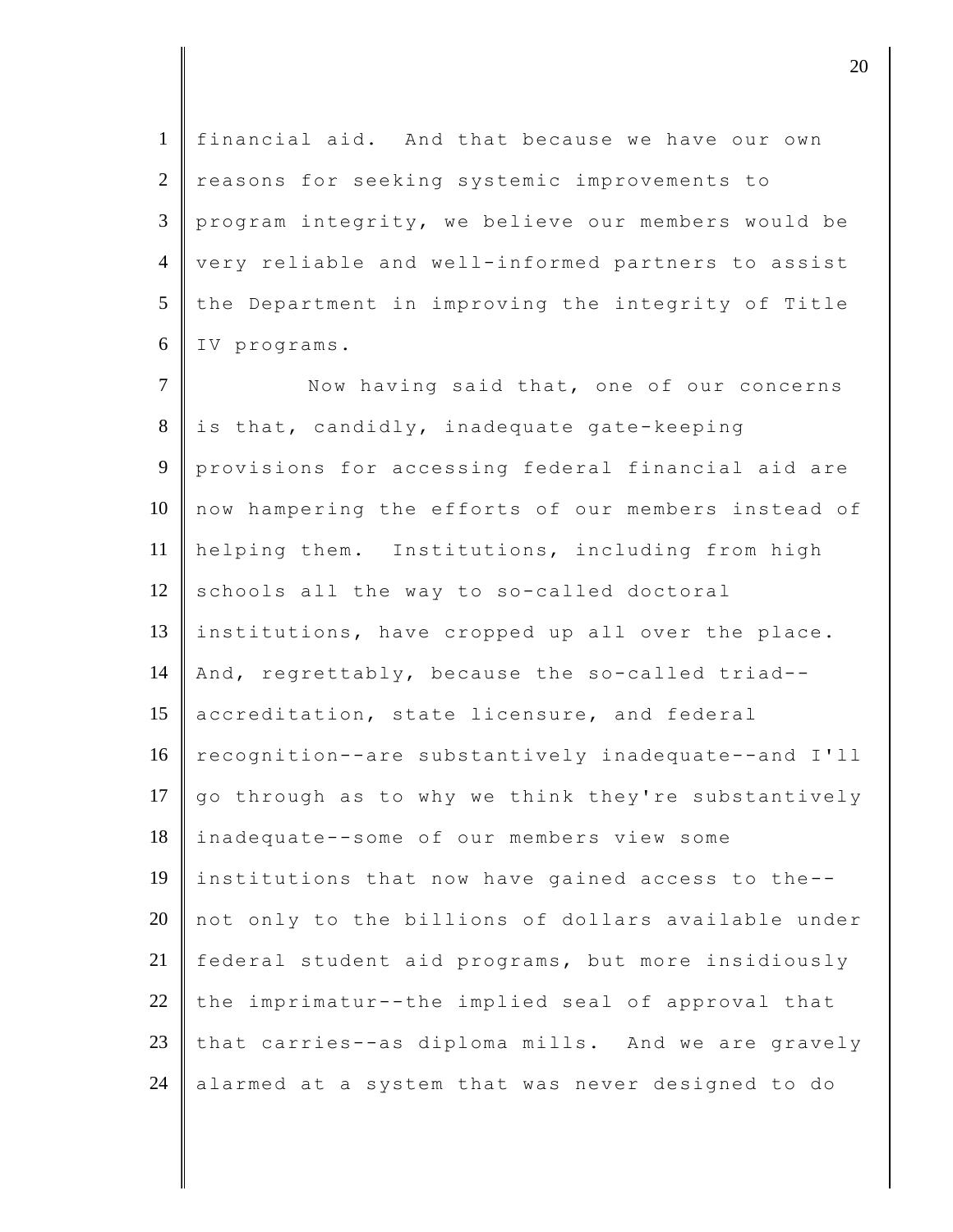financial aid. And that because we have our own 2 reasons for seeking systemic improvements to program integrity, we believe our members would be 4 | very reliable and well-informed partners to assist the Department in improving the integrity of Title IV programs. 7 Now having said that, one of our concerns is that, candidly, inadequate gate-keeping provisions for accessing federal financial aid are 10 now hampering the efforts of our members instead of helping them. Institutions, including from high schools all the way to so-called doctoral institutions, have cropped up all over the place. 14 And, regrettably, because the so-called triad--15 accreditation, state licensure, and federal 16 recognition--are substantively inadequate--and I'll  $\parallel$  go through as to why we think they're substantively inadequate--some of our members view some institutions that now have gained access to the-- not only to the billions of dollars available under federal student aid programs, but more insidiously 22 the imprimatur--the implied seal of approval that 23 that carries--as diploma mills. And we are gravely alarmed at a system that was never designed to do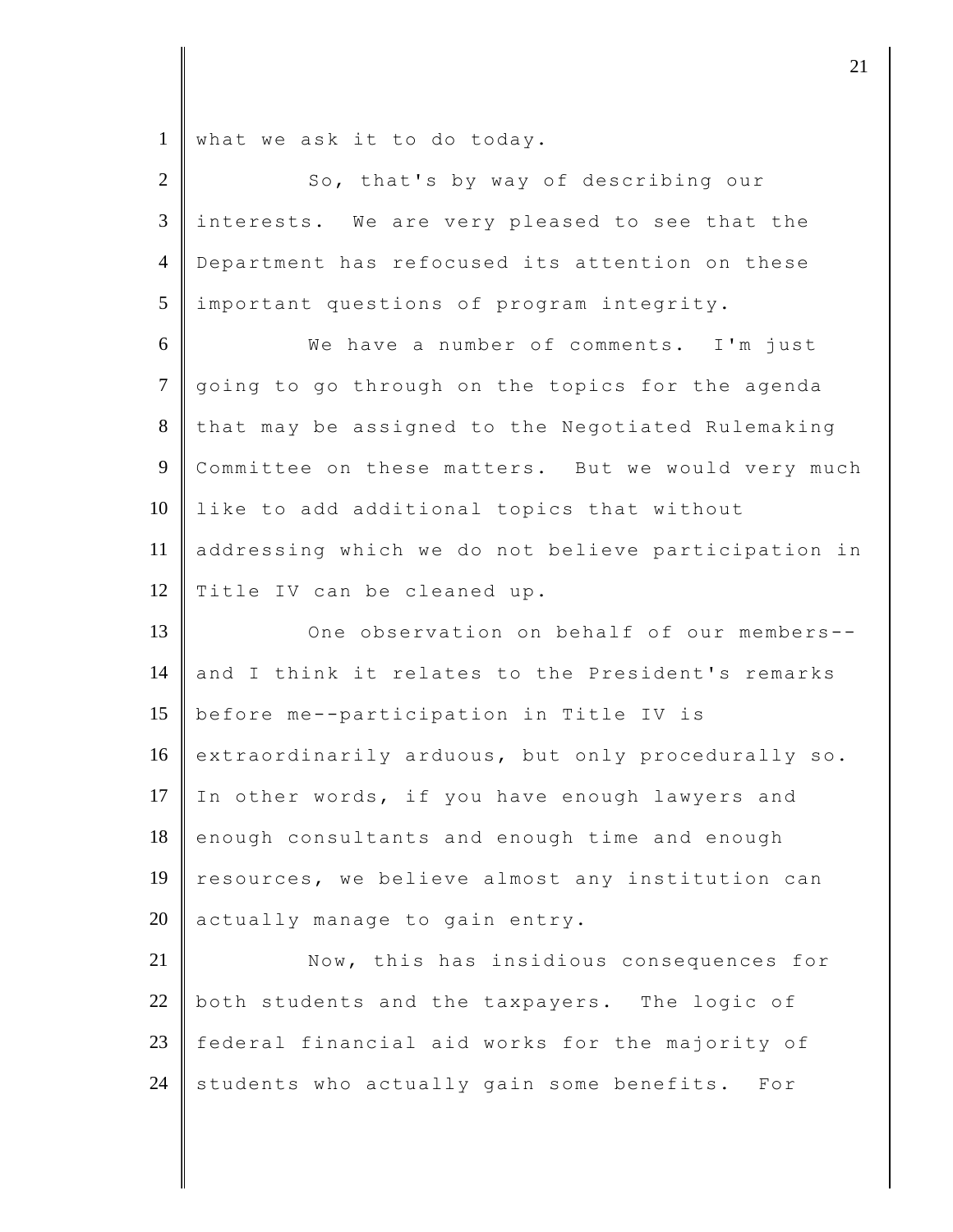1 what we ask it to do today.

| $\overline{2}$ | So, that's by way of describing our                      |
|----------------|----------------------------------------------------------|
| 3              | interests. We are very pleased to see that the           |
| $\overline{4}$ | Department has refocused its attention on these          |
| 5              | important questions of program integrity.                |
| 6              | We have a number of comments. I'm just                   |
| $\tau$         | going to go through on the topics for the agenda         |
| 8              | that may be assigned to the Negotiated Rulemaking        |
| $\overline{9}$ | Committee on these matters. But we would very much       |
| 10             | like to add additional topics that without               |
| 11             | addressing which we do not believe participation in      |
| 12             | Title IV can be cleaned up.                              |
| 13             | One observation on behalf of our members--               |
| 14             | and I think it relates to the President's remarks        |
| 15             | before me--participation in Title IV is                  |
| 16             | extraordinarily arduous, but only procedurally so.       |
| 17             | In other words, if you have enough lawyers and           |
| 18             | enough consultants and enough time and enough            |
| 19             | resources, we believe almost any institution can         |
| 20             | actually manage to gain entry.                           |
| 21             | Now, this has insidious consequences for                 |
| 22             | both students and the taxpayers. The logic of            |
| 23             | federal financial aid works for the majority of          |
| 24             | students who actually gain some benefits.<br>$F \circ r$ |
|                |                                                          |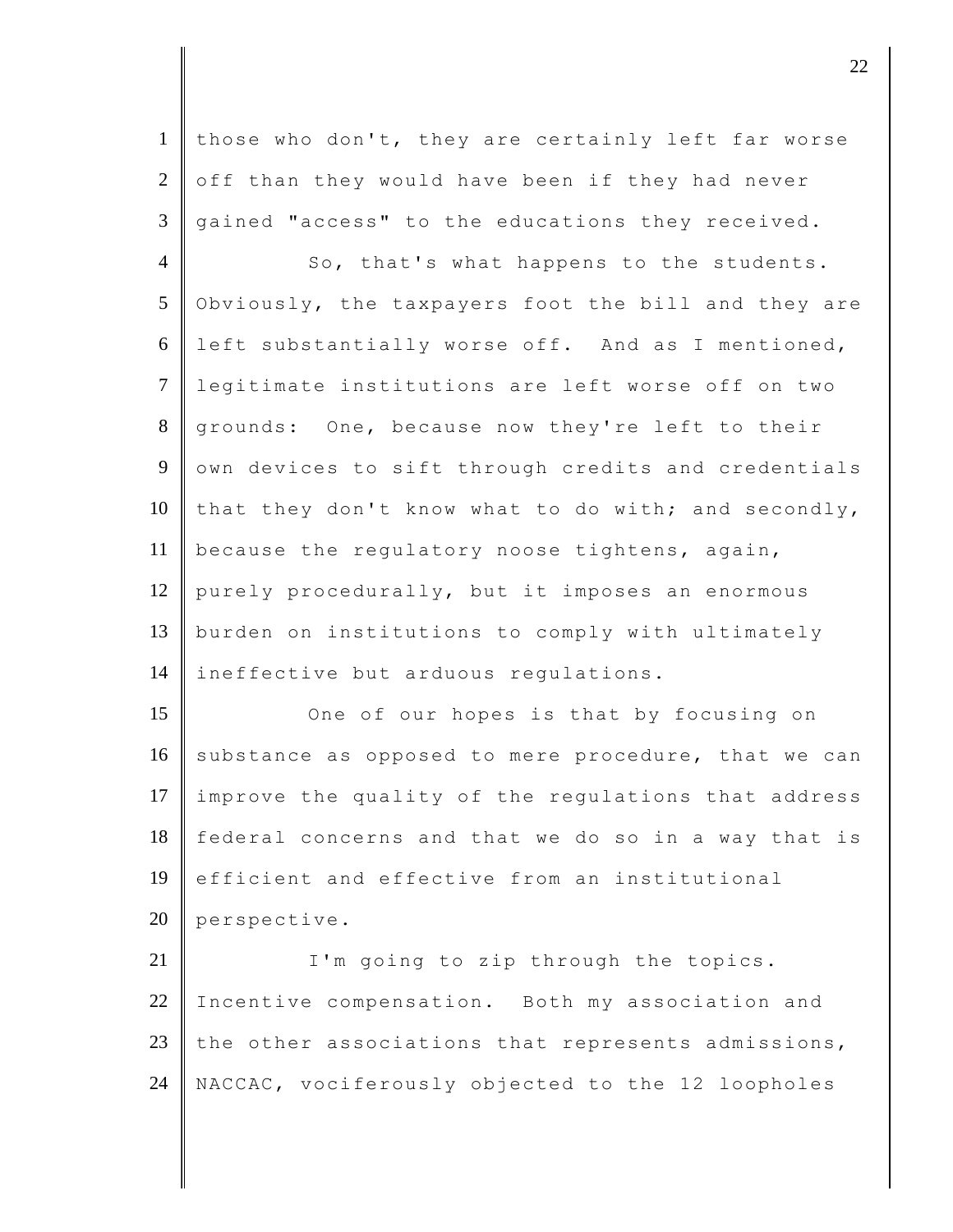1 those who don't, they are certainly left far worse  $2 \parallel$  off than they would have been if they had never  $3 \parallel$  gained "access" to the educations they received.

4 So, that's what happens to the students. 5 Obviously, the taxpayers foot the bill and they are 6 left substantially worse off. And as I mentioned, 7 legitimate institutions are left worse off on two 8 grounds: One, because now they're left to their 9 own devices to sift through credits and credentials 10 that they don't know what to do with; and secondly, 11 because the regulatory noose tightens, again, 12 purely procedurally, but it imposes an enormous 13 burden on institutions to comply with ultimately 14 ineffective but arduous requiations.

15 One of our hopes is that by focusing on 16 substance as opposed to mere procedure, that we can 17 improve the quality of the regulations that address 18 federal concerns and that we do so in a way that is 19 efficient and effective from an institutional 20 perspective.

21 | I'm going to zip through the topics. 22 Incentive compensation. Both my association and 23 the other associations that represents admissions, 24 NACCAC, vociferously objected to the 12 loopholes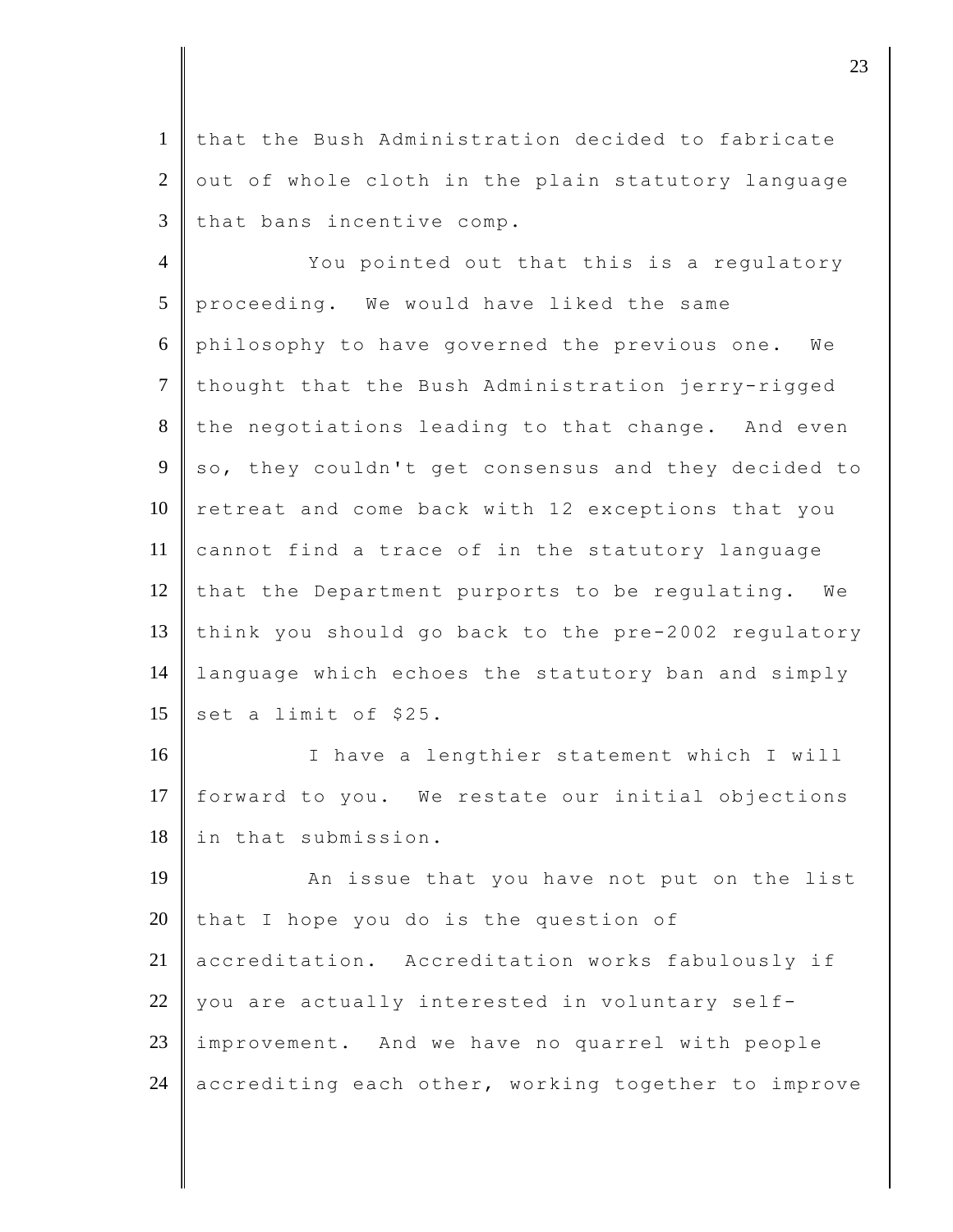1 that the Bush Administration decided to fabricate  $2 \parallel$  out of whole cloth in the plain statutory language  $3$  that bans incentive comp.

4 You pointed out that this is a regulatory 5 proceeding. We would have liked the same 6 philosophy to have governed the previous one. We 7 thought that the Bush Administration jerry-rigged 8 the negotiations leading to that change. And even 9 so, they couldn't get consensus and they decided to  $10$  retreat and come back with 12 exceptions that you 11 cannot find a trace of in the statutory language 12 that the Department purports to be regulating. We 13 think you should go back to the pre-2002 regulatory 14 language which echoes the statutory ban and simply 15 set a limit of \$25.

16 I have a lengthier statement which I will 17 forward to you. We restate our initial objections 18 in that submission.

19 An issue that you have not put on the list 20 that I hope you do is the question of 21 | accreditation. Accreditation works fabulously if 22 you are actually interested in voluntary self-23 improvement. And we have no quarrel with people 24 accrediting each other, working together to improve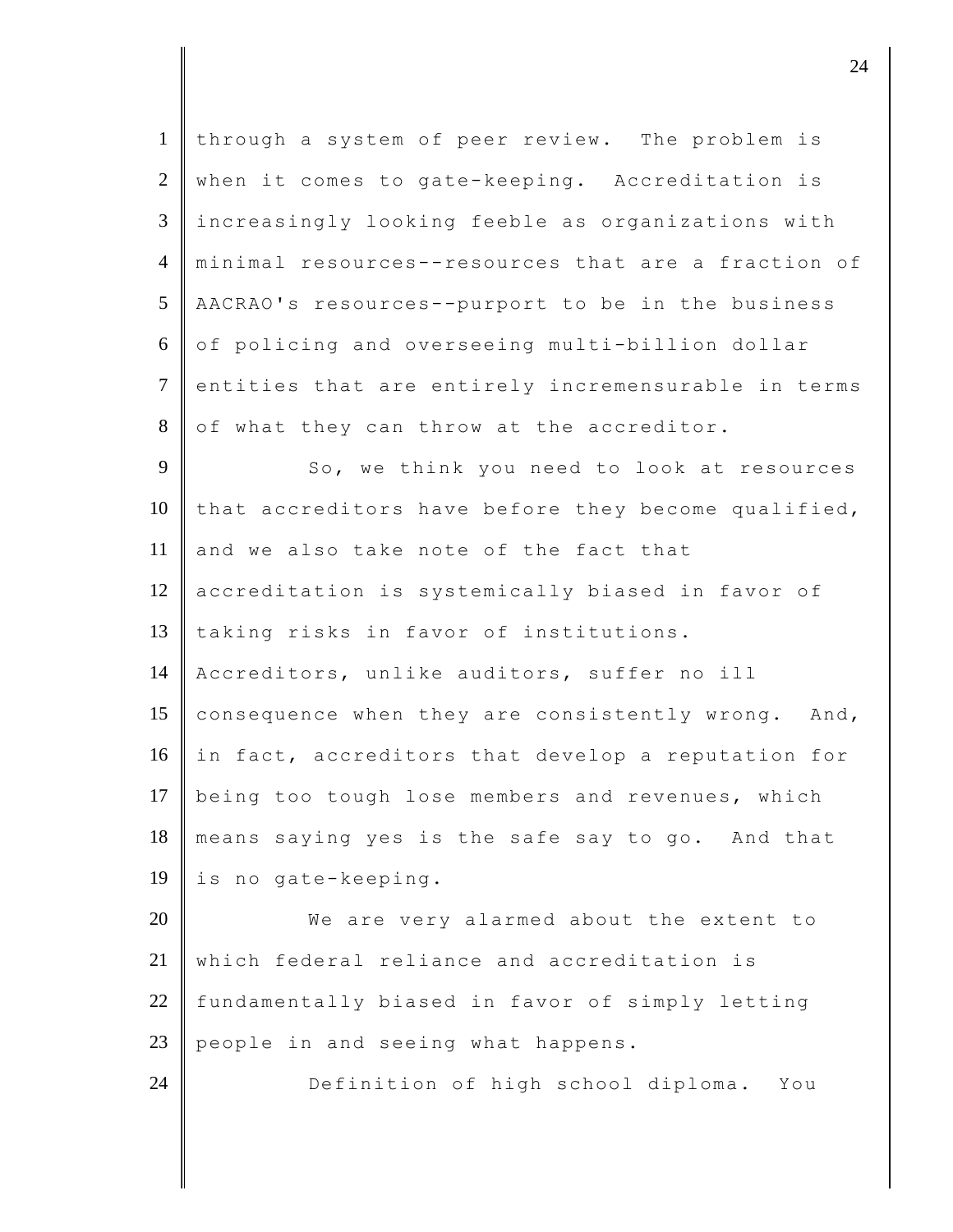| $\mathbf{1}$   | through a system of peer review. The problem is     |
|----------------|-----------------------------------------------------|
| 2              | when it comes to gate-keeping. Accreditation is     |
| $\mathfrak{Z}$ | increasingly looking feeble as organizations with   |
| $\overline{4}$ | minimal resources--resources that are a fraction of |
| 5              | AACRAO's resources--purport to be in the business   |
| 6              | of policing and overseeing multi-billion dollar     |
| $\tau$         | entities that are entirely incremensurable in terms |
| 8              | of what they can throw at the accreditor.           |
| 9              | So, we think you need to look at resources          |
| 10             | that accreditors have before they become qualified, |
| 11             | and we also take note of the fact that              |
| 12             | accreditation is systemically biased in favor of    |
| 13             | taking risks in favor of institutions.              |
| 14             | Accreditors, unlike auditors, suffer no ill         |
| 15             | consequence when they are consistently wrong. And,  |
| 16             | in fact, accreditors that develop a reputation for  |
| 17             | being too tough lose members and revenues, which    |
| 18             | means saying yes is the safe say to go. And that    |
| 19             | is no gate-keeping.                                 |
| 20             | We are very alarmed about the extent to             |
| 21             | which federal reliance and accreditation is         |
| 22             | fundamentally biased in favor of simply letting     |
| 23             | people in and seeing what happens.                  |
| 24             | Definition of high school diploma.<br>You           |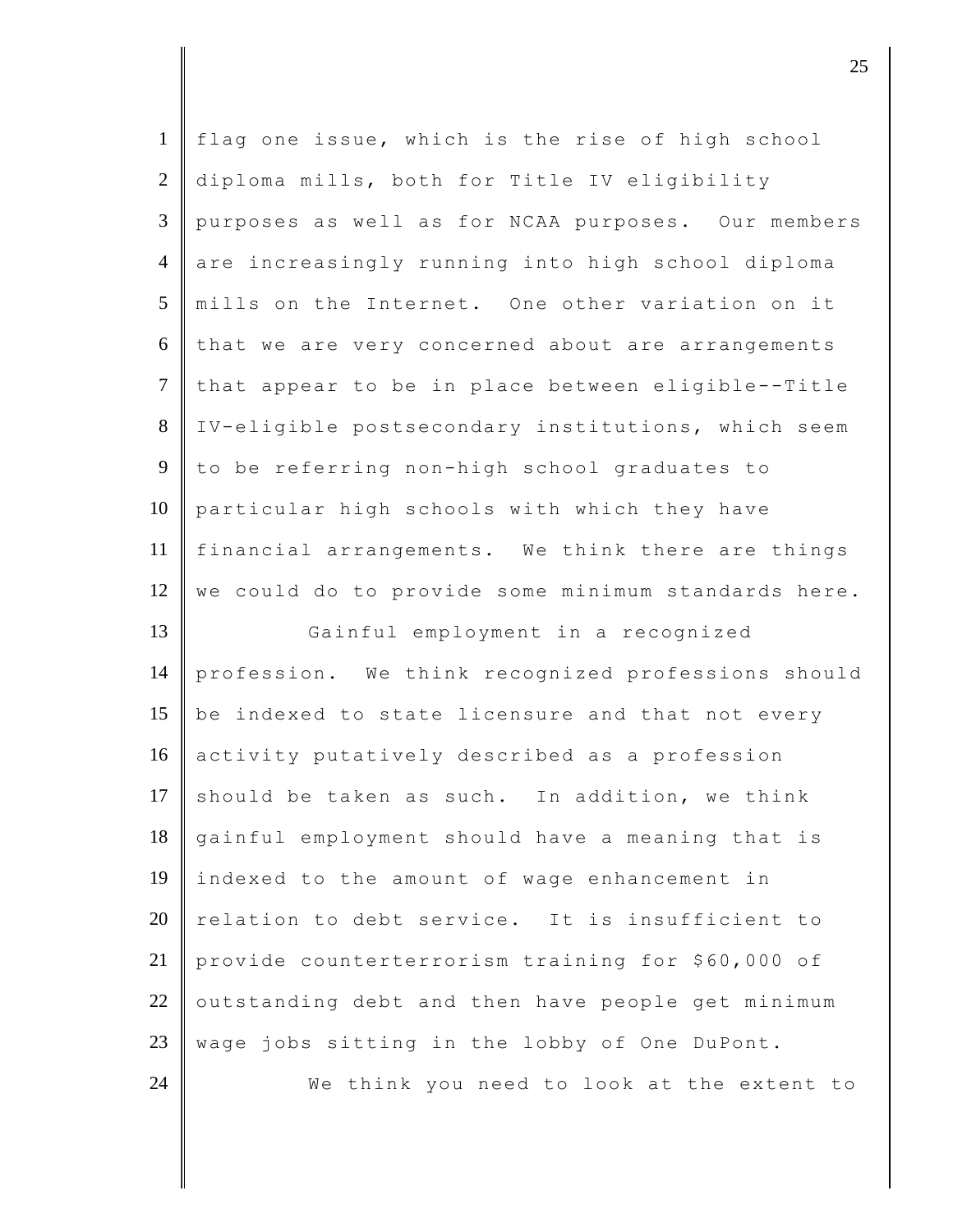| $\mathbf{1}$   | flag one issue, which is the rise of high school    |
|----------------|-----------------------------------------------------|
| $\overline{2}$ | diploma mills, both for Title IV eligibility        |
| 3              | purposes as well as for NCAA purposes. Our members  |
| $\overline{4}$ | are increasingly running into high school diploma   |
| 5              | mills on the Internet. One other variation on it    |
| 6              | that we are very concerned about are arrangements   |
| $\tau$         | that appear to be in place between eligible--Title  |
| 8              | IV-eligible postsecondary institutions, which seem  |
| 9              | to be referring non-high school graduates to        |
|                |                                                     |
| 10             | particular high schools with which they have        |
| 11             | financial arrangements. We think there are things   |
| 12             | we could do to provide some minimum standards here. |
|                |                                                     |
| 13             | Gainful employment in a recognized                  |
| 14             | profession. We think recognized professions should  |
| 15             | be indexed to state licensure and that not every    |
| 16             | activity putatively described as a profession       |
| 17             | should be taken as such. In addition, we think      |
| 18             | gainful employment should have a meaning that is    |
| 19             | indexed to the amount of wage enhancement in        |
| 20             | relation to debt service. It is insufficient to     |
| 21             | provide counterterrorism training for \$60,000 of   |
| 22             | outstanding debt and then have people get minimum   |
| 23             | wage jobs sitting in the lobby of One DuPont.       |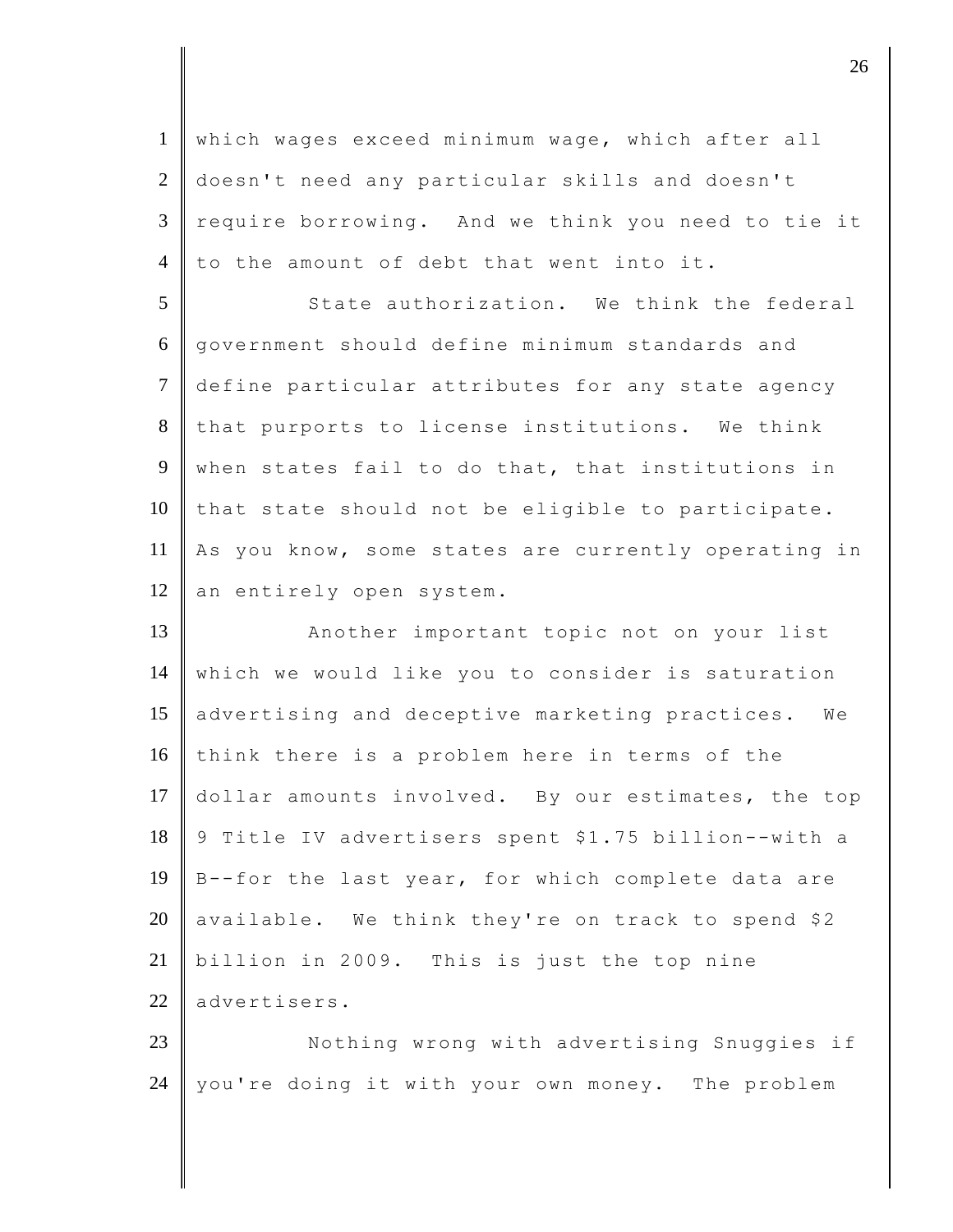1 which wages exceed minimum wage, which after all 2 doesn't need any particular skills and doesn't 3 require borrowing. And we think you need to tie it 4 to the amount of debt that went into it.

5 State authorization. We think the federal 6 government should define minimum standards and 7 define particular attributes for any state agency 8 that purports to license institutions. We think 9 when states fail to do that, that institutions in  $10$  that state should not be eligible to participate. 11 As you know, some states are currently operating in 12 an entirely open system.

13 Another important topic not on your list 14 which we would like you to consider is saturation 15 advertising and deceptive marketing practices. We 16 think there is a problem here in terms of the 17 dollar amounts involved. By our estimates, the top 18 9 Title IV advertisers spent \$1.75 billion--with a 19 B--for the last year, for which complete data are 20 available. We think they're on track to spend \$2 21 billion in 2009. This is just the top nine 22 advertisers.

23 Nothing wrong with advertising Snuggies if 24 | you're doing it with your own money. The problem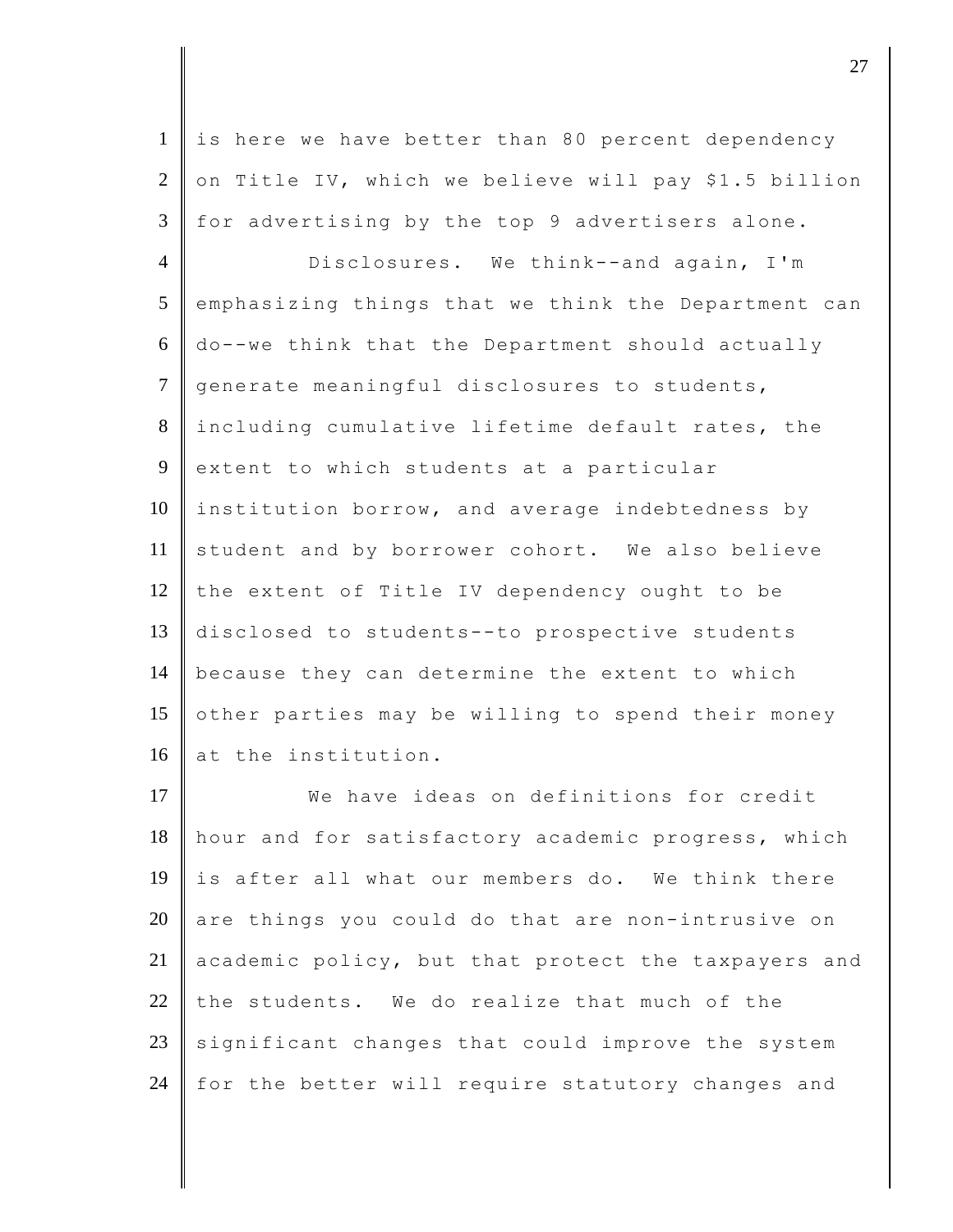1 is here we have better than 80 percent dependency  $2 \parallel$  on Title IV, which we believe will pay \$1.5 billion  $3 \parallel$  for advertising by the top 9 advertisers alone.

 Disclosures. We think--and again, I'm emphasizing things that we think the Department can do--we think that the Department should actually 7 generate meaningful disclosures to students, including cumulative lifetime default rates, the 9 extent to which students at a particular 10 | institution borrow, and average indebtedness by student and by borrower cohort. We also believe  $\parallel$  the extent of Title IV dependency ought to be disclosed to students--to prospective students because they can determine the extent to which 15 other parties may be willing to spend their money 16 at the institution.

17 We have ideas on definitions for credit hour and for satisfactory academic progress, which 19 is after all what our members do. We think there are things you could do that are non-intrusive on academic policy, but that protect the taxpayers and 22 the students. We do realize that much of the significant changes that could improve the system  $\parallel$  for the better will require statutory changes and

 $\overline{\phantom{a}}$  27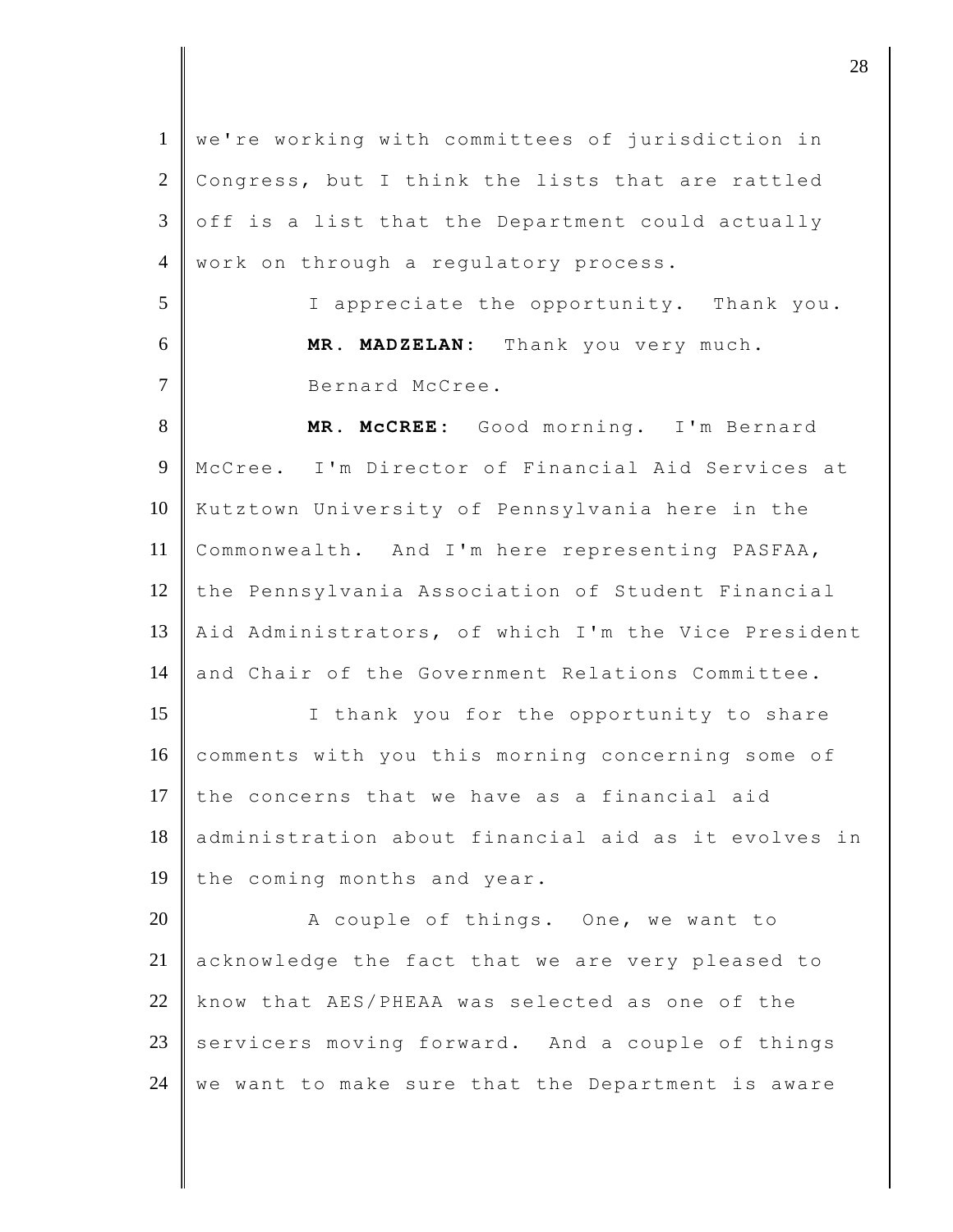1 we're working with committees of jurisdiction in  $2$  Congress, but I think the lists that are rattled  $3 \parallel$  off is a list that the Department could actually 4 work on through a regulatory process. 5 I appreciate the opportunity. Thank you. 6 **MR. MADZELAN:** Thank you very much. 7 Bernard McCree. 8 **MR. McCREE:** Good morning. I'm Bernard 9 McCree. I'm Director of Financial Aid Services at 10 Kutztown University of Pennsylvania here in the 11 Commonwealth. And I'm here representing PASFAA, 12 the Pennsylvania Association of Student Financial 13 || Aid Administrators, of which I'm the Vice President 14 and Chair of the Government Relations Committee. 15 | I thank you for the opportunity to share 16 comments with you this morning concerning some of 17 the concerns that we have as a financial aid 18 administration about financial aid as it evolves in 19 the coming months and year. 20 A couple of things. One, we want to 21 acknowledge the fact that we are very pleased to 22 know that AES/PHEAA was selected as one of the  $23$  servicers moving forward. And a couple of things  $24$  we want to make sure that the Department is aware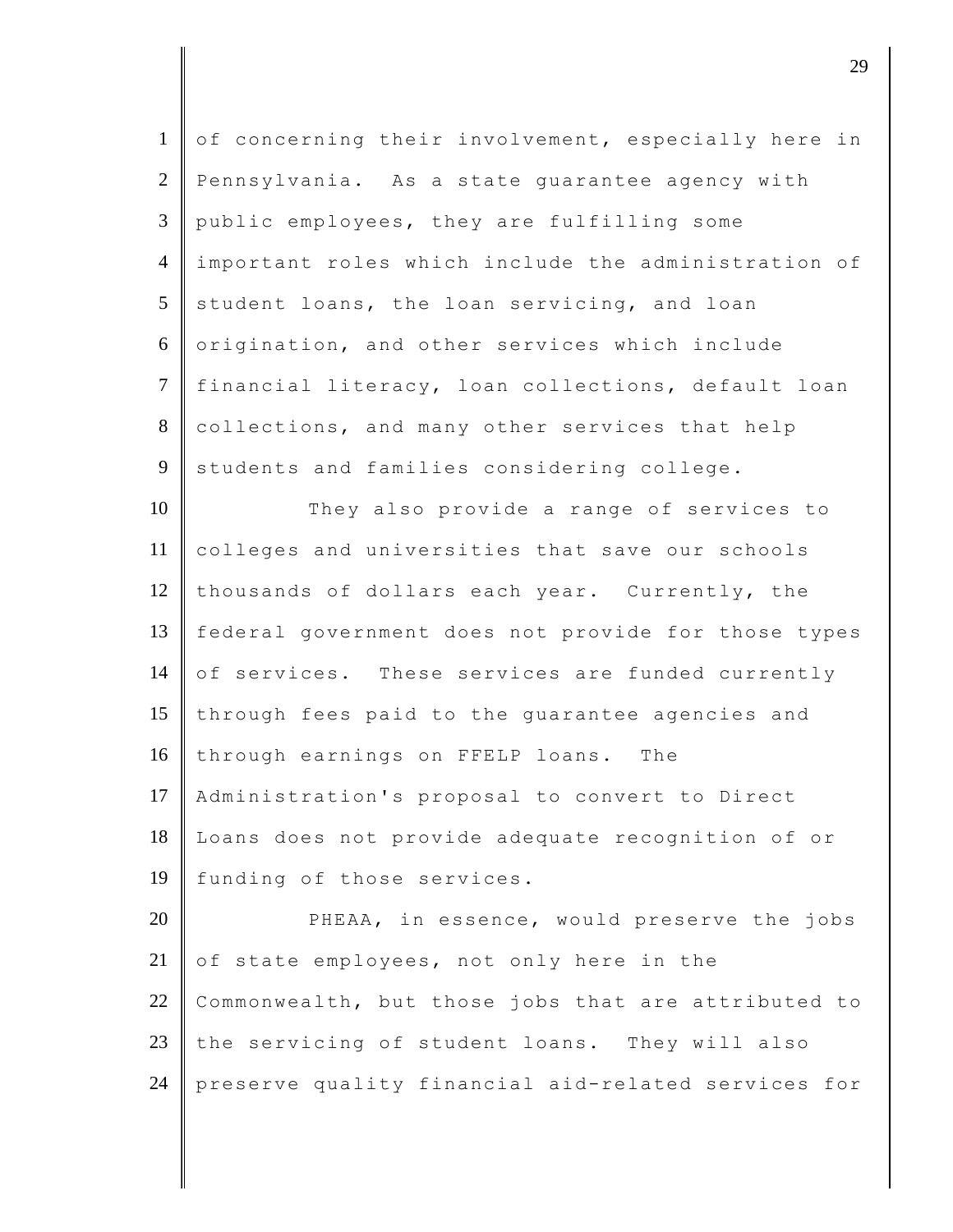| $\mathbf{1}$   | of concerning their involvement, especially here in |
|----------------|-----------------------------------------------------|
| $\overline{2}$ | Pennsylvania. As a state guarantee agency with      |
| 3              | public employees, they are fulfilling some          |
| $\overline{4}$ | important roles which include the administration of |
| 5              | student loans, the loan servicing, and loan         |
| 6              | origination, and other services which include       |
| $\overline{7}$ | financial literacy, loan collections, default loan  |
| 8              | collections, and many other services that help      |
| 9              | students and families considering college.          |
| 10             | They also provide a range of services to            |
| 11             | colleges and universities that save our schools     |
| 12             | thousands of dollars each year. Currently, the      |
| 13             | federal government does not provide for those types |
| 14             | of services. These services are funded currently    |
| 15             | through fees paid to the guarantee agencies and     |
| 16             | through earnings on FFELP loans. The                |
| 17             | Administration's proposal to convert to Direct      |
| 18             | Loans does not provide adequate recognition of or   |
| 19             | funding of those services.                          |
| 20             | PHEAA, in essence, would preserve the jobs          |
| 21             | of state employees, not only here in the            |
| 22             | Commonwealth, but those jobs that are attributed to |
| 23             | the servicing of student loans. They will also      |
| 24             | preserve quality financial aid-related services for |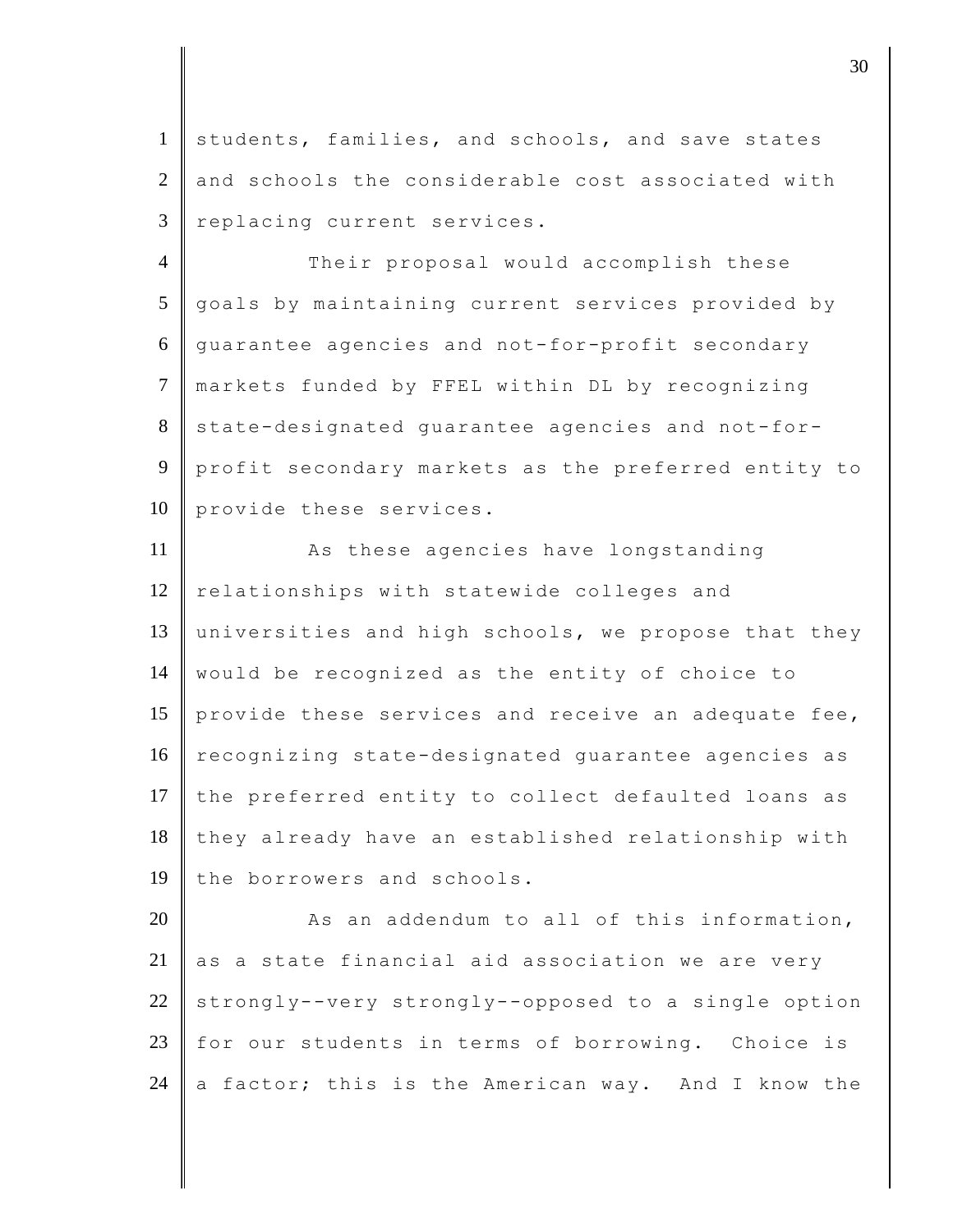1 students, families, and schools, and save states  $2 \parallel$  and schools the considerable cost associated with 3 replacing current services.

4 Their proposal would accomplish these 5 goals by maintaining current services provided by 6 guarantee agencies and not-for-profit secondary 7 markets funded by FFEL within DL by recognizing 8 state-designated quarantee agencies and not-for-9 profit secondary markets as the preferred entity to 10 provide these services.

11 As these agencies have longstanding  $12$  relationships with statewide colleges and 13 universities and high schools, we propose that they 14 would be recognized as the entity of choice to 15 provide these services and receive an adequate fee, 16 recognizing state-designated guarantee agencies as 17 the preferred entity to collect defaulted loans as 18 they already have an established relationship with 19 the borrowers and schools.

 $20$   $\parallel$  As an addendum to all of this information,  $21$  as a state financial aid association we are very 22 strongly--very strongly--opposed to a single option 23 for our students in terms of borrowing. Choice is 24 a factor; this is the American way. And I know the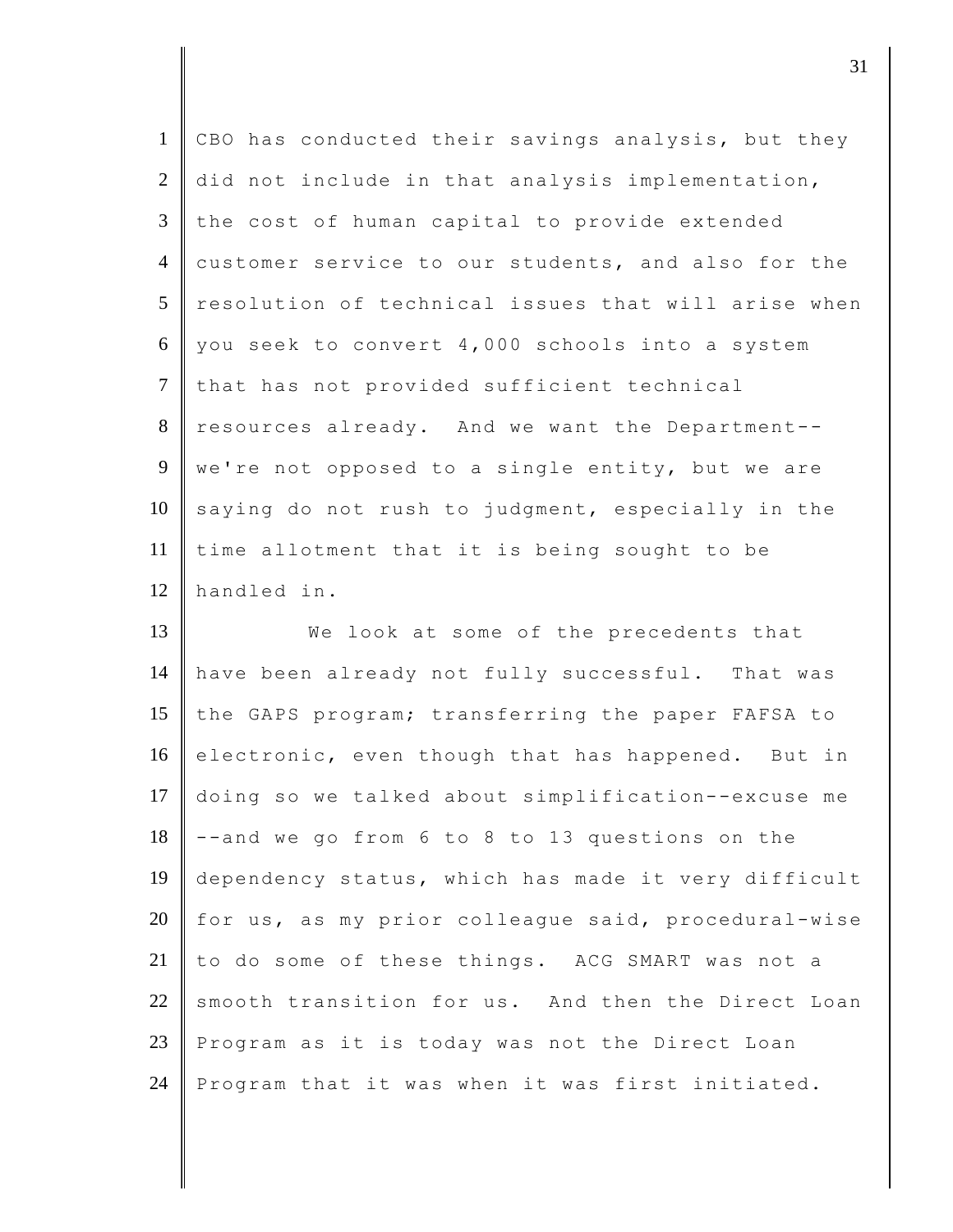| $\mathbf{1}$   | CBO has conducted their savings analysis, but they  |
|----------------|-----------------------------------------------------|
|                |                                                     |
| $\overline{2}$ | did not include in that analysis implementation,    |
| $\overline{3}$ | the cost of human capital to provide extended       |
| $\overline{4}$ | customer service to our students, and also for the  |
| 5              | resolution of technical issues that will arise when |
| 6              | you seek to convert 4,000 schools into a system     |
| $\tau$         | that has not provided sufficient technical          |
| 8              | resources already. And we want the Department--     |
| 9              | we're not opposed to a single entity, but we are    |
| 10             | saying do not rush to judgment, especially in the   |
| 11             | time allotment that it is being sought to be        |
| 12             | handled in.                                         |
|                |                                                     |
| 13             | We look at some of the precedents that              |
| 14             | have been already not fully successful. That was    |
| 15             | the GAPS program; transferring the paper FAFSA to   |
| 16             | electronic, even though that has happened. But in   |
| 17             | doing so we talked about simplification--excuse me  |
| 18             | --and we go from 6 to 8 to 13 questions on the      |
| 19             | dependency status, which has made it very difficult |
| 20             | for us, as my prior colleague said, procedural-wise |
| 21             | to do some of these things. ACG SMART was not a     |
| 22             | smooth transition for us. And then the Direct Loan  |
| 23             | Program as it is today was not the Direct Loan      |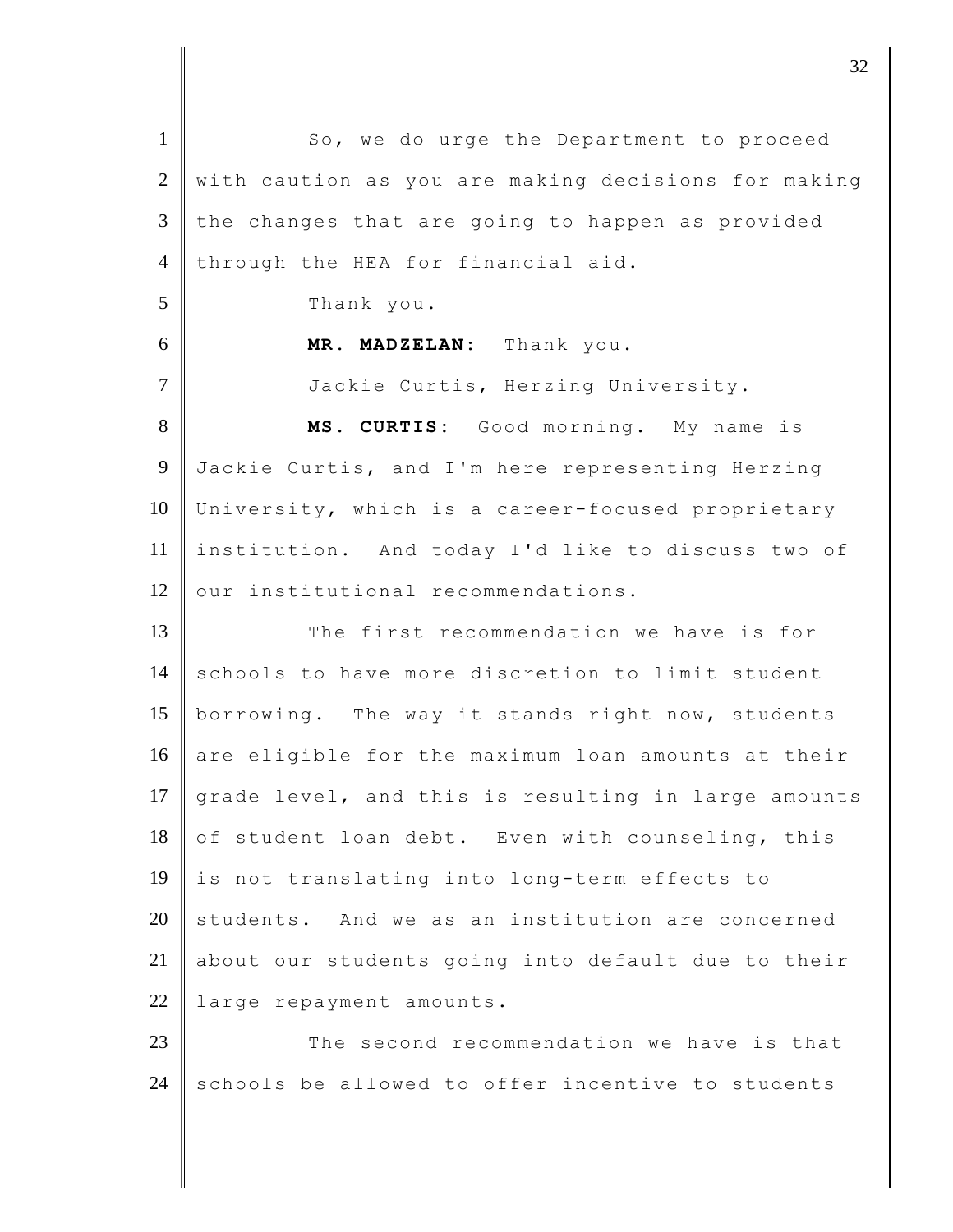1 So, we do urge the Department to proceed 2 with caution as you are making decisions for making  $3$  the changes that are going to happen as provided 4 through the HEA for financial aid. 5 Thank you. 6 **MR. MADZELAN:** Thank you. 7 Jackie Curtis, Herzing University. 8 **MS. CURTIS:** Good morning. My name is 9 Jackie Curtis, and I'm here representing Herzing 10 University, which is a career-focused proprietary 11 institution. And today I'd like to discuss two of 12 our institutional recommendations. 13 The first recommendation we have is for 14 schools to have more discretion to limit student 15 borrowing. The way it stands right now, students 16 are eligible for the maximum loan amounts at their 17  $\sqrt{r}$  grade level, and this is resulting in large amounts 18 of student loan debt. Even with counseling, this 19 is not translating into long-term effects to  $20$  students. And we as an institution are concerned 21 about our students going into default due to their 22 large repayment amounts. 23 The second recommendation we have is that  $24$  schools be allowed to offer incentive to students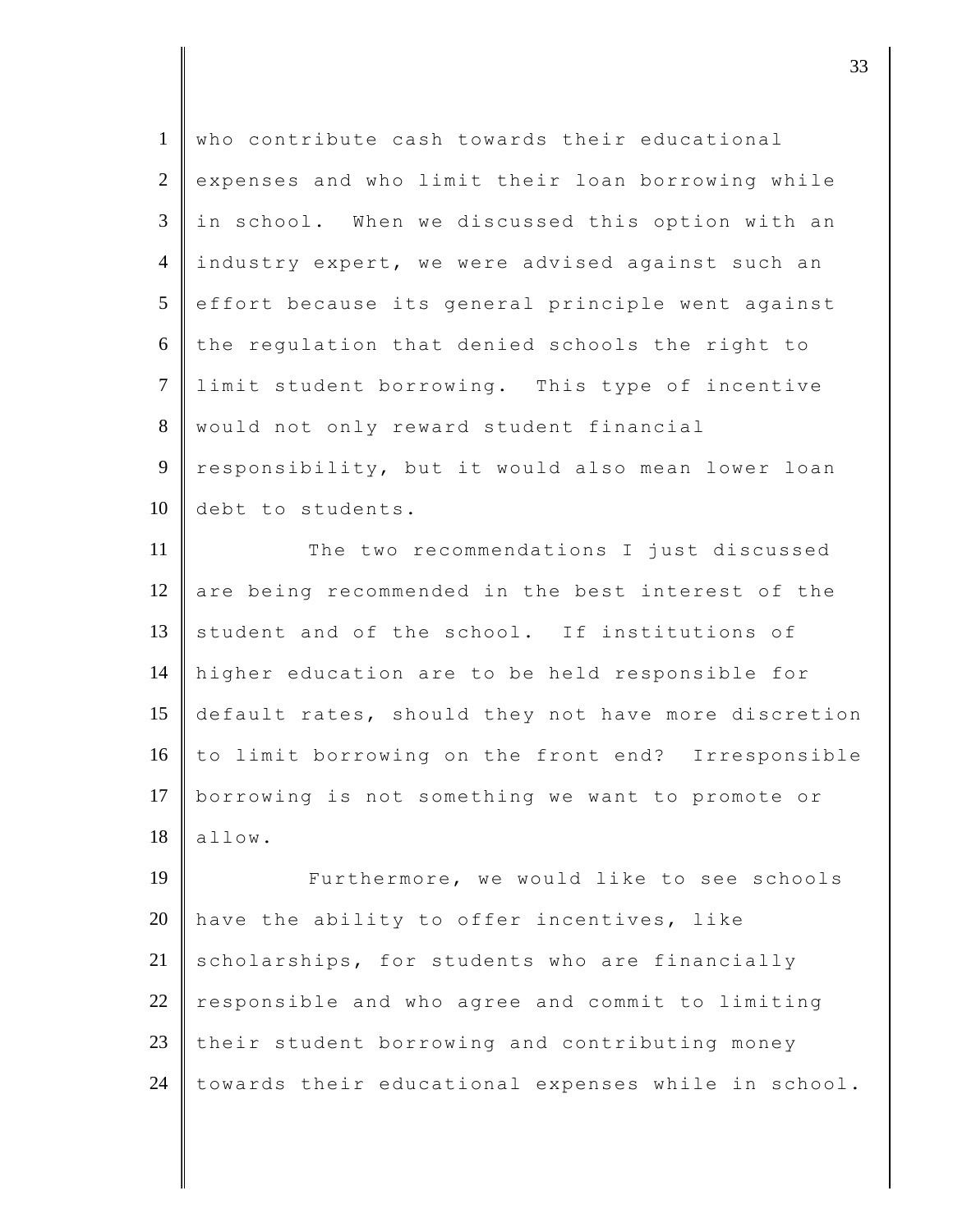| $\mathbf{1}$   | who contribute cash towards their educational       |
|----------------|-----------------------------------------------------|
| $\mathbf{2}$   | expenses and who limit their loan borrowing while   |
| 3              | in school. When we discussed this option with an    |
| $\overline{4}$ | industry expert, we were advised against such an    |
| 5              | effort because its general principle went against   |
| 6              | the regulation that denied schools the right to     |
| $\overline{7}$ | limit student borrowing. This type of incentive     |
| $8\,$          | would not only reward student financial             |
| $\overline{9}$ | responsibility, but it would also mean lower loan   |
| 10             | debt to students.                                   |
| 11             | The two recommendations I just discussed            |
| 12             | are being recommended in the best interest of the   |
| 13             | student and of the school. If institutions of       |
| 14             | higher education are to be held responsible for     |
| 15             | default rates, should they not have more discretion |
| 16             | to limit borrowing on the front end? Irresponsible  |
| 17             | borrowing is not something we want to promote or    |
| 18             | allow.                                              |
| 19             | Furthermore, we would like to see schools           |
| 20             | have the ability to offer incentives, like          |
| 21             | scholarships, for students who are financially      |
| 22             | responsible and who agree and commit to limiting    |
| 23             | their student borrowing and contributing money      |
| 24             | towards their educational expenses while in school. |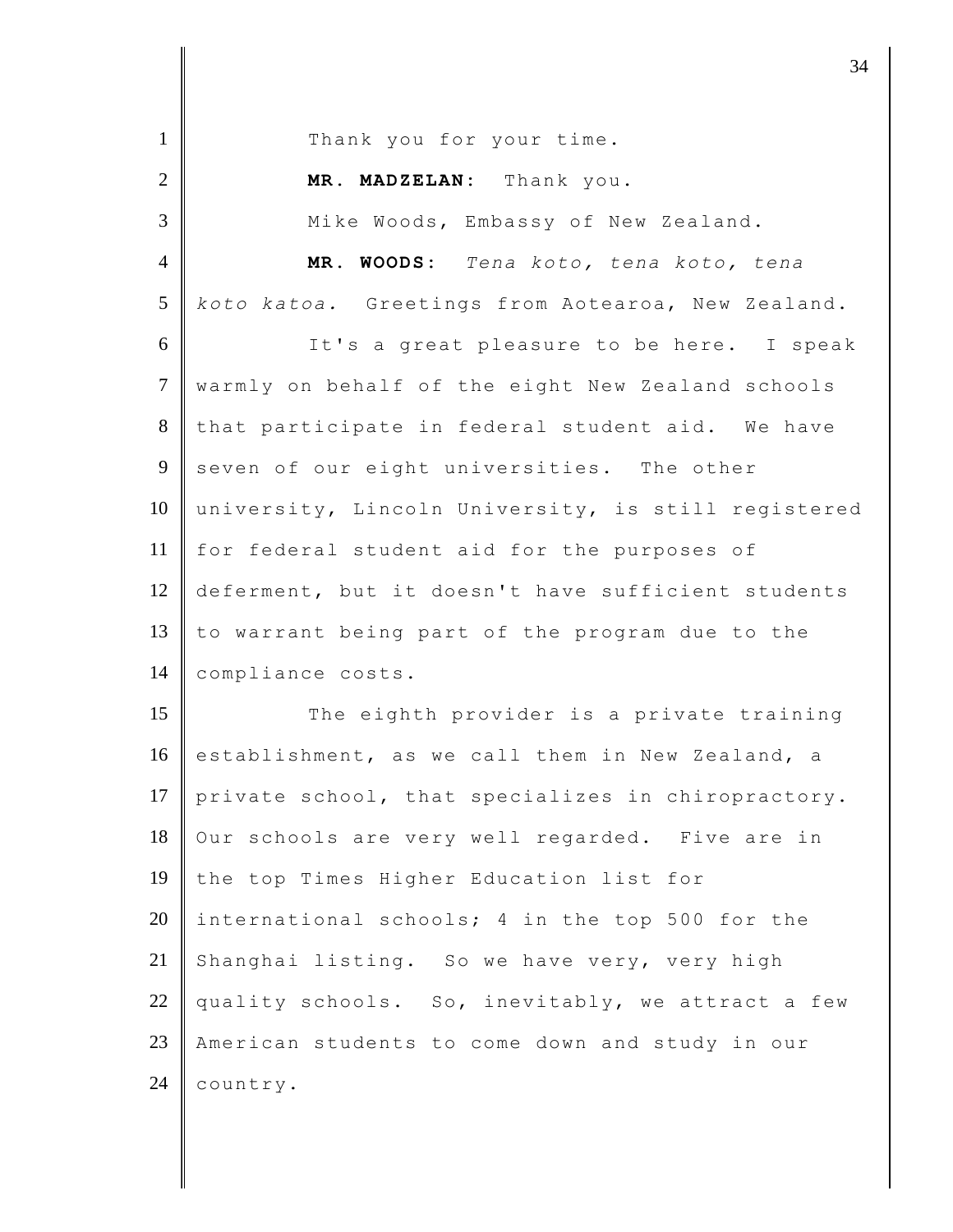| $\mathbf{1}$   | Thank you for your time.                            |
|----------------|-----------------------------------------------------|
| $\overline{2}$ | MR. MADZELAN: Thank you.                            |
| $\overline{3}$ | Mike Woods, Embassy of New Zealand.                 |
| $\overline{4}$ | MR. WOODS: Tena koto, tena koto, tena               |
| 5              | koto katoa. Greetings from Aotearoa, New Zealand.   |
| 6              | It's a great pleasure to be here. I speak           |
| $\tau$         | warmly on behalf of the eight New Zealand schools   |
| 8              | that participate in federal student aid. We have    |
| 9              | seven of our eight universities. The other          |
| 10             | university, Lincoln University, is still registered |
| 11             | for federal student aid for the purposes of         |
| 12             | deferment, but it doesn't have sufficient students  |
| 13             | to warrant being part of the program due to the     |
| 14             | compliance costs.                                   |
| 15             | The eighth provider is a private training           |
| 16             | establishment, as we call them in New Zealand, a    |
| 17             | private school, that specializes in chiropractory.  |
| 18             | Our schools are very well regarded. Five are in     |
| 19             | the top Times Higher Education list for             |
| 20             | international schools; 4 in the top 500 for the     |
| 21             | Shanghai listing. So we have very, very high        |
| 22             | quality schools. So, inevitably, we attract a few   |
| 23             | American students to come down and study in our     |
| 24             | country.                                            |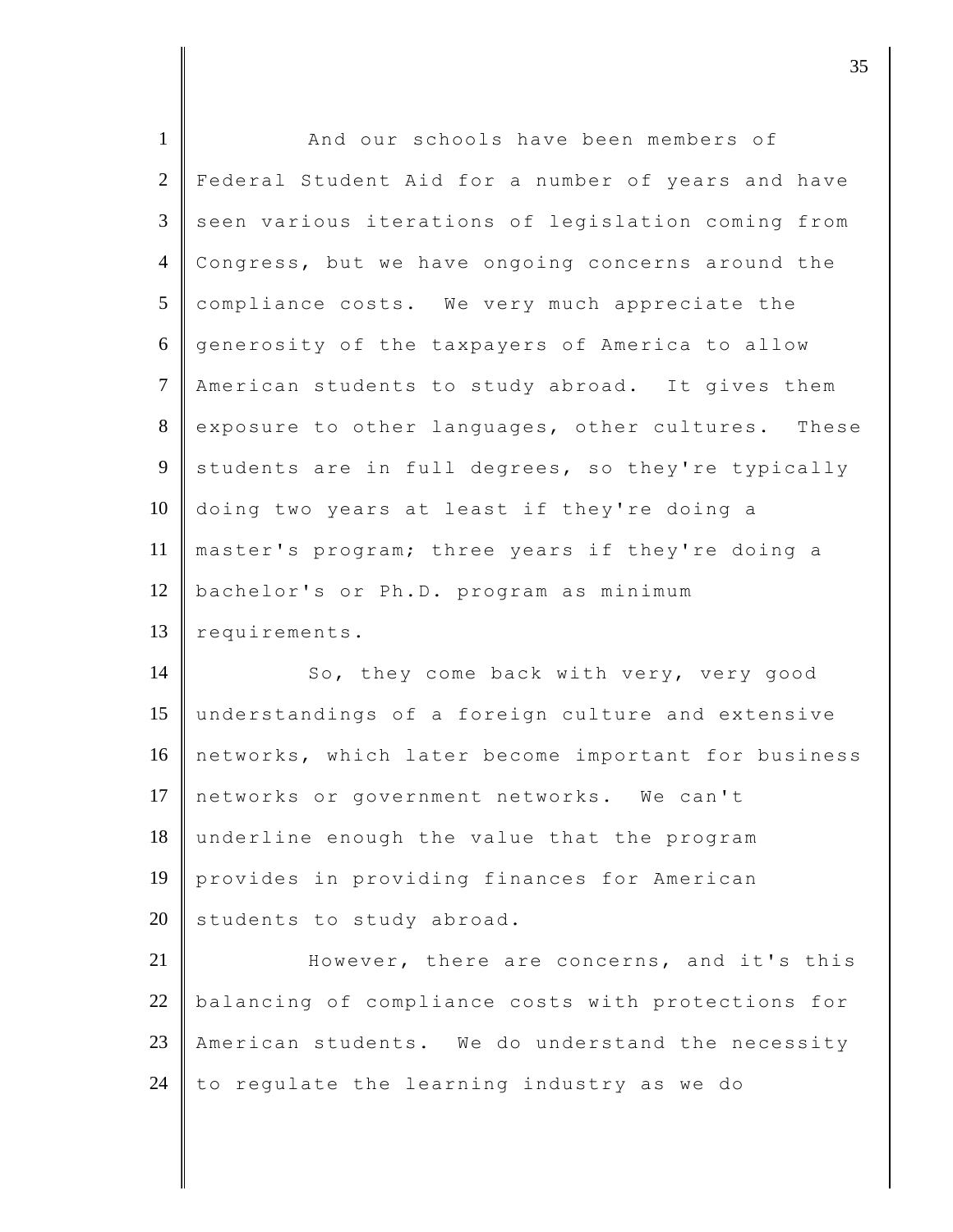| $\mathbf{1}$   | And our schools have been members of                |
|----------------|-----------------------------------------------------|
| $\overline{2}$ | Federal Student Aid for a number of years and have  |
| 3              | seen various iterations of legislation coming from  |
| $\overline{4}$ | Congress, but we have ongoing concerns around the   |
| 5              | compliance costs. We very much appreciate the       |
| 6              | generosity of the taxpayers of America to allow     |
| $\tau$         | American students to study abroad. It gives them    |
| 8              | exposure to other languages, other cultures. These  |
| 9              | students are in full degrees, so they're typically  |
| 10             | doing two years at least if they're doing a         |
| 11             | master's program; three years if they're doing a    |
| 12             | bachelor's or Ph.D. program as minimum              |
| 13             | requirements.                                       |
| 14             | So, they come back with very, very good             |
| 15             | understandings of a foreign culture and extensive   |
| 16             | networks, which later become important for business |
| 17             | networks or government networks. We can't           |
| 18             | underline enough the value that the program         |
| 19             | provides in providing finances for American         |
| 20             | students to study abroad.                           |
| 21             | However, there are concerns, and it's this          |
| 22             | balancing of compliance costs with protections for  |
| 23             | American students. We do understand the necessity   |
|                |                                                     |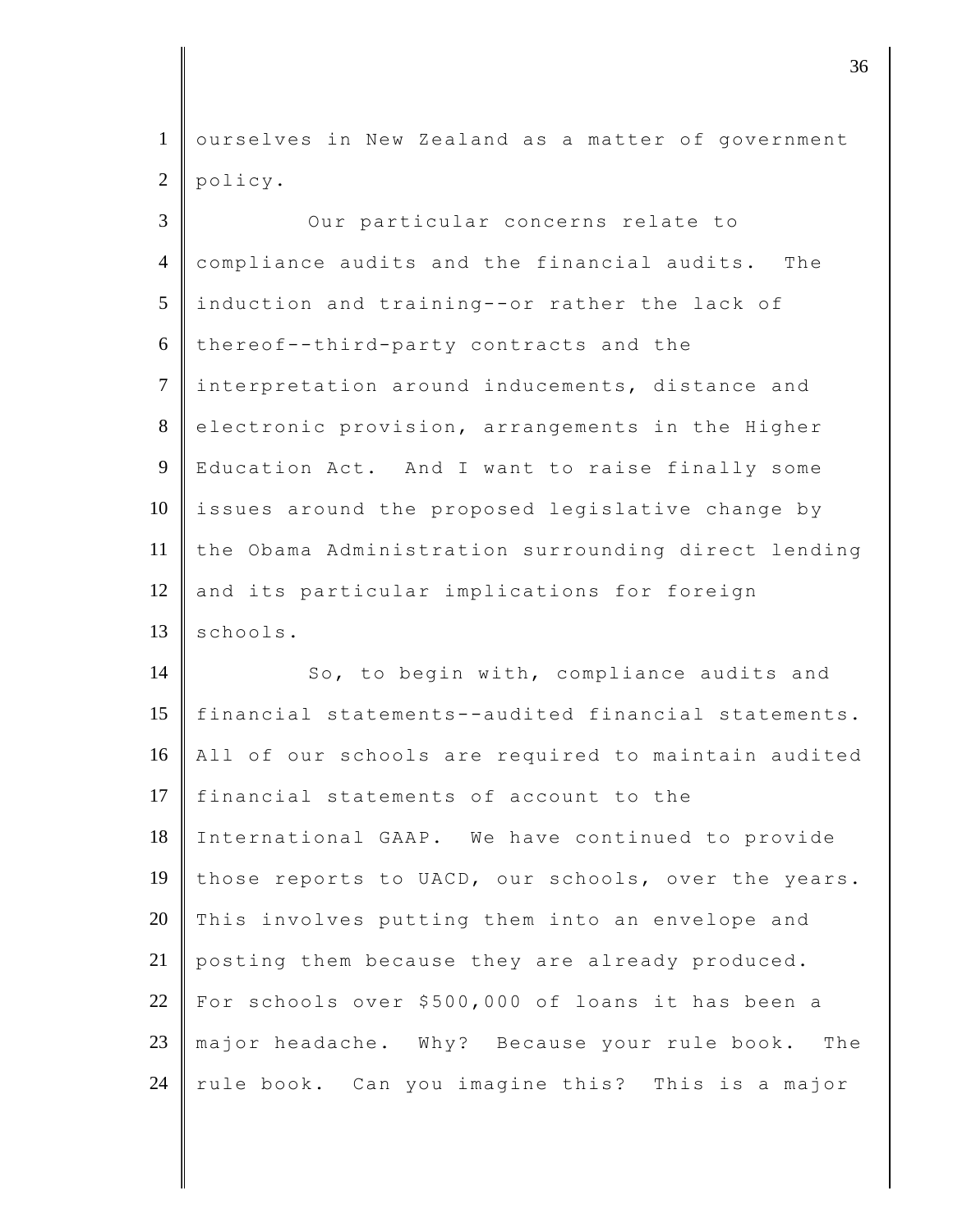1 ourselves in New Zealand as a matter of government 2 policy.

3 || Our particular concerns relate to 4 compliance audits and the financial audits. The 5 induction and training--or rather the lack of  $6$  thereof--third-party contracts and the 7 interpretation around inducements, distance and 8 electronic provision, arrangements in the Higher 9 Education Act. And I want to raise finally some  $10$  issues around the proposed legislative change by 11 the Obama Administration surrounding direct lending 12 || and its particular implications for foreign  $13$  schools.

14 So, to begin with, compliance audits and 15 financial statements--audited financial statements. 16 All of our schools are required to maintain audited 17 financial statements of account to the 18 International GAAP. We have continued to provide 19 those reports to UACD, our schools, over the years. 20 This involves putting them into an envelope and 21 posting them because they are already produced. 22 For schools over \$500,000 of loans it has been a 23 major headache. Why? Because your rule book. The  $24$  rule book. Can you imagine this? This is a major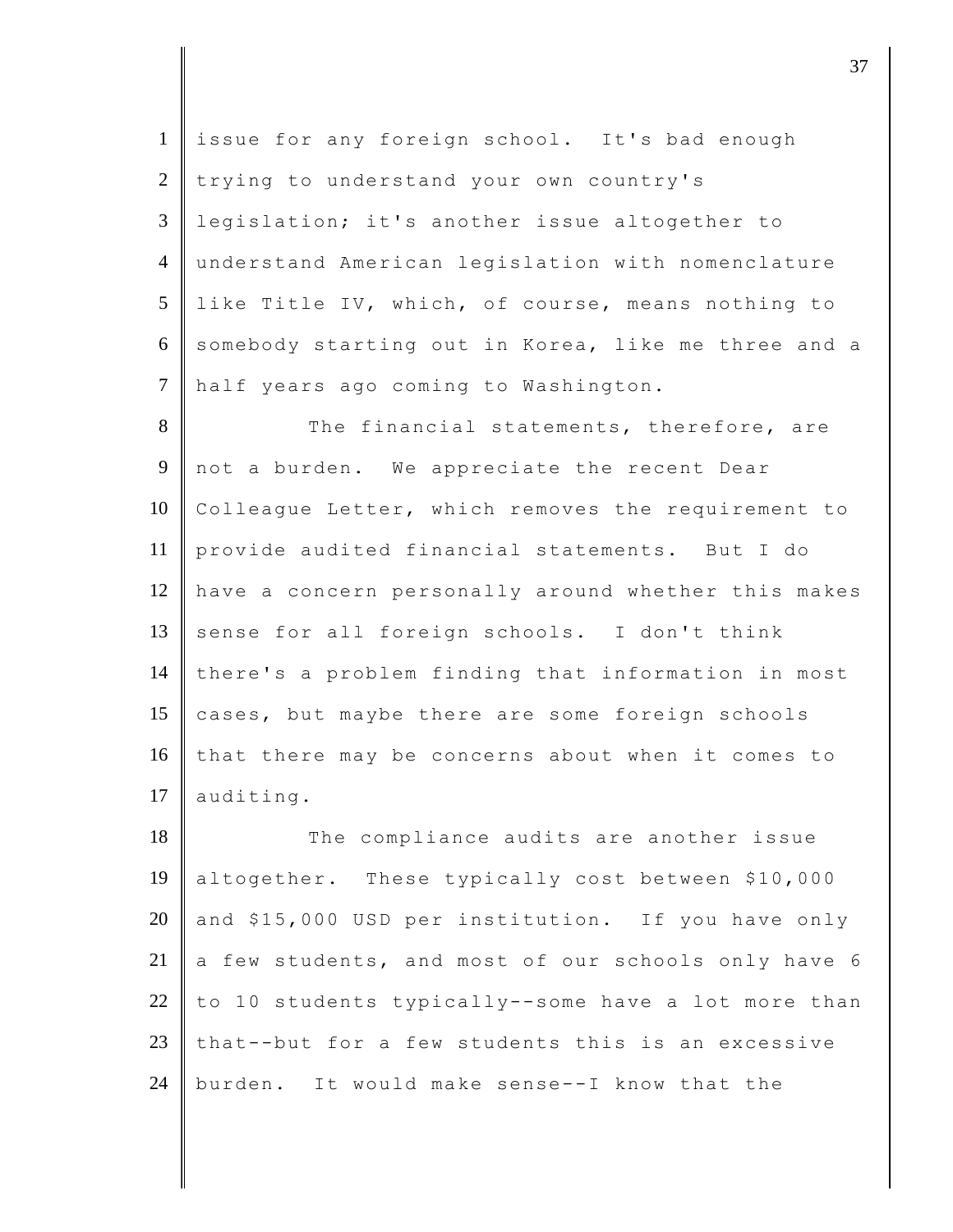1 issue for any foreign school. It's bad enough 2 trying to understand your own country's 3 legislation; it's another issue altogether to 4 understand American legislation with nomenclature 5 like Title IV, which, of course, means nothing to 6 somebody starting out in Korea, like me three and a 7 half years ago coming to Washington.

8 The financial statements, therefore, are 9 not a burden. We appreciate the recent Dear 10 Colleague Letter, which removes the requirement to 11 provide audited financial statements. But I do 12 have a concern personally around whether this makes 13 sense for all foreign schools. I don't think 14 there's a problem finding that information in most 15 cases, but maybe there are some foreign schools 16 that there may be concerns about when it comes to 17 auditing.

18 The compliance audits are another issue 19 altogether. These typically cost between \$10,000 20 and \$15,000 USD per institution. If you have only 21  $\parallel$  a few students, and most of our schools only have 6 22 to 10 students typically--some have a lot more than 23 that--but for a few students this is an excessive 24 burden. It would make sense--I know that the

 $\vert$  37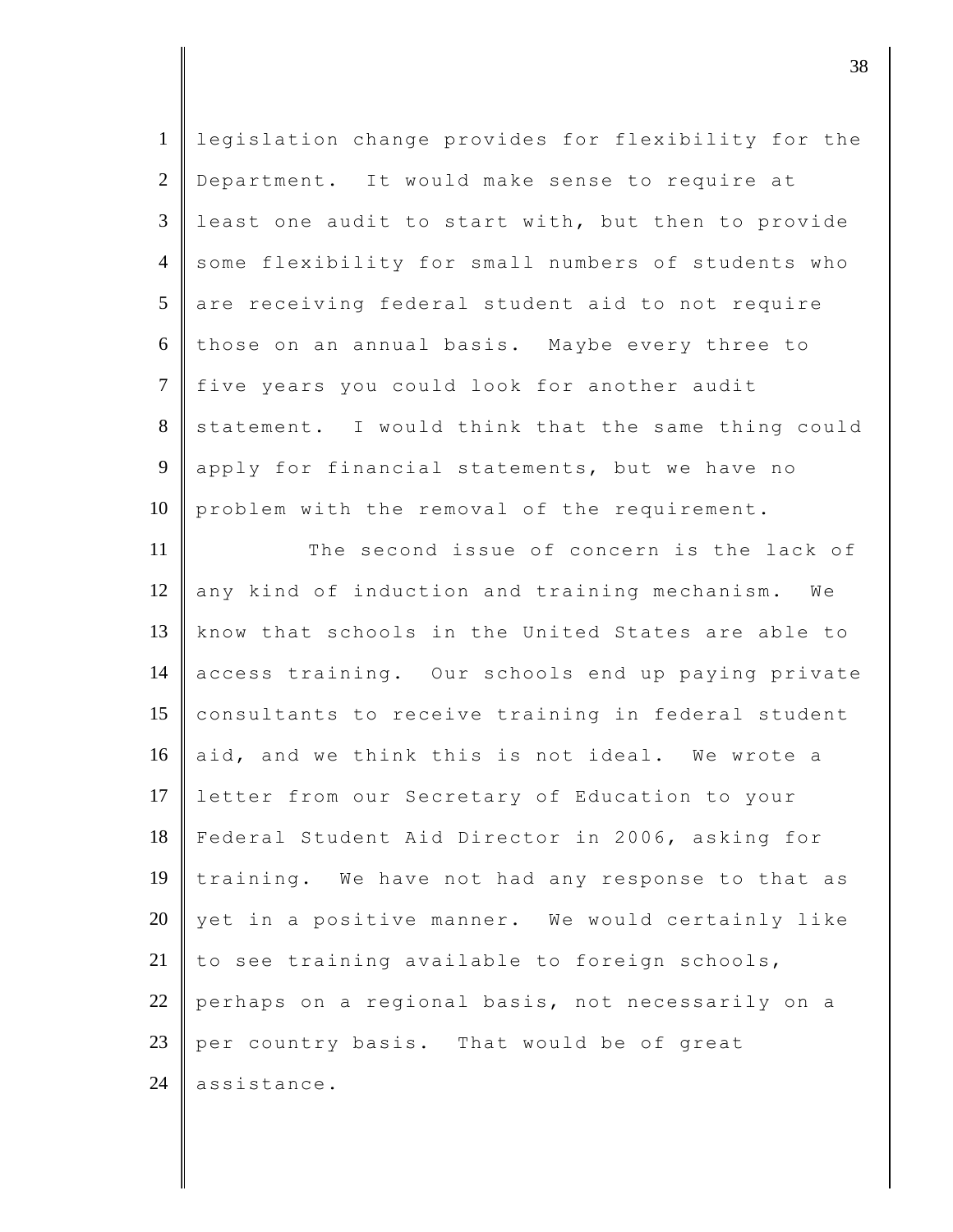| $\mathbf{1}$    | legislation change provides for flexibility for the |
|-----------------|-----------------------------------------------------|
| $\overline{2}$  | Department. It would make sense to require at       |
| $\mathfrak{Z}$  | least one audit to start with, but then to provide  |
| $\overline{4}$  | some flexibility for small numbers of students who  |
| $5\overline{)}$ | are receiving federal student aid to not require    |
| 6               | those on an annual basis. Maybe every three to      |
| $\overline{7}$  | five years you could look for another audit         |
| 8               | statement. I would think that the same thing could  |
| 9               | apply for financial statements, but we have no      |
| 10              | problem with the removal of the requirement.        |
| 11              | The second issue of concern is the lack of          |
| 12              | any kind of induction and training mechanism. We    |
| 13              | know that schools in the United States are able to  |
| 14              | access training. Our schools end up paying private  |
| 15              | consultants to receive training in federal student  |
| 16              | aid, and we think this is not ideal. We wrote a     |
| 17              | letter from our Secretary of Education to your      |
| 18              | Federal Student Aid Director in 2006, asking for    |
| 19              | training. We have not had any response to that as   |
| 20              | yet in a positive manner. We would certainly like   |
| 21              | to see training available to foreign schools,       |
| 22              | perhaps on a regional basis, not necessarily on a   |
| 23              | per country basis. That would be of great           |
| 24              | assistance.                                         |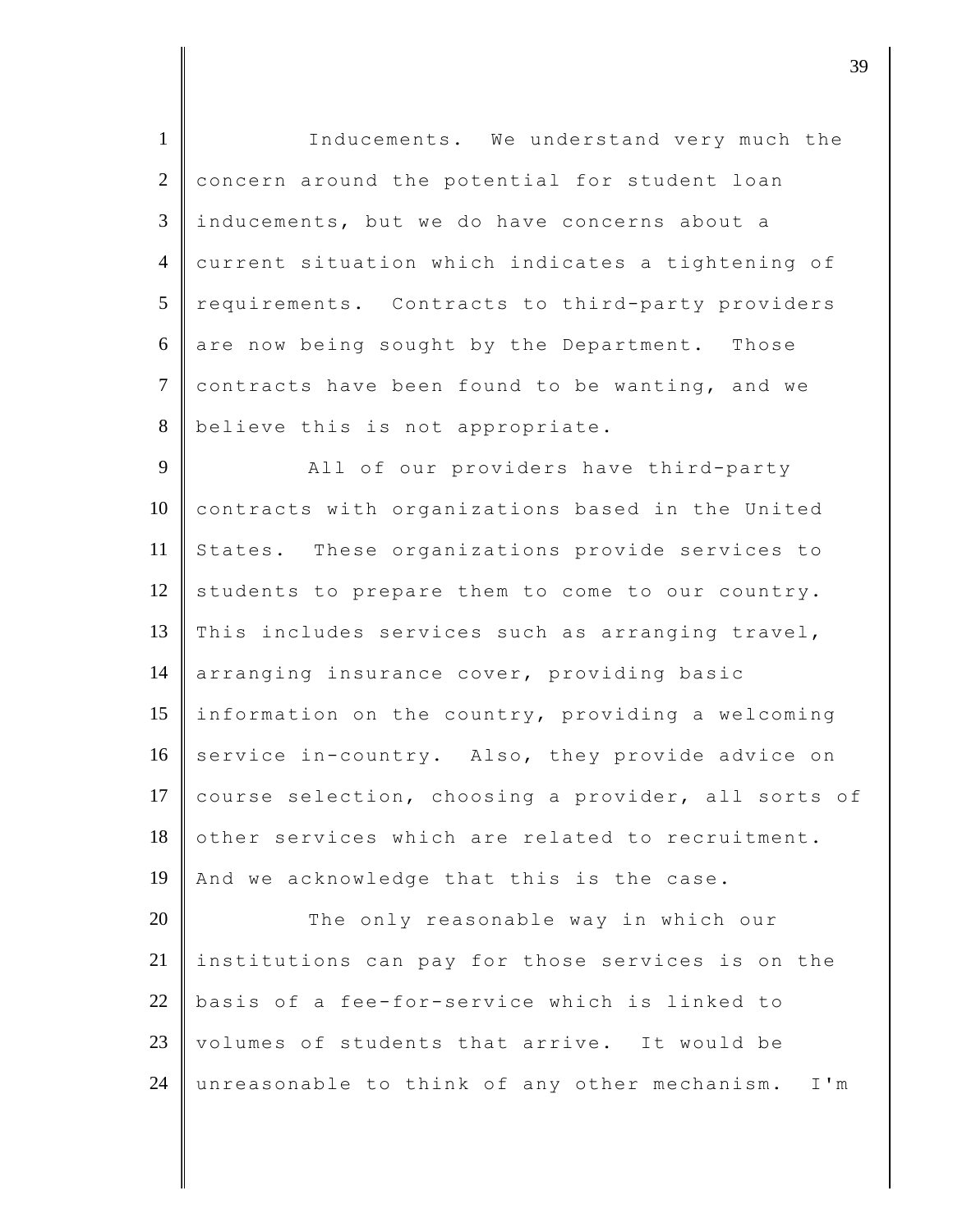1 Inducements. We understand very much the 2 concern around the potential for student loan 3 inducements, but we do have concerns about a 4 current situation which indicates a tightening of 5 requirements. Contracts to third-party providers  $6 \parallel$  are now being sought by the Department. Those  $7$  contracts have been found to be wanting, and we 8 believe this is not appropriate.

9 | All of our providers have third-party 10 contracts with organizations based in the United 11 States. These organizations provide services to  $12$  students to prepare them to come to our country. 13 This includes services such as arranging travel, 14 arranging insurance cover, providing basic 15 information on the country, providing a welcoming 16 service in-country. Also, they provide advice on 17 course selection, choosing a provider, all sorts of 18 other services which are related to recruitment. 19 And we acknowledge that this is the case.

20 The only reasonable way in which our 21 institutions can pay for those services is on the 22 basis of a fee-for-service which is linked to  $23$  volumes of students that arrive. It would be 24 unreasonable to think of any other mechanism. I'm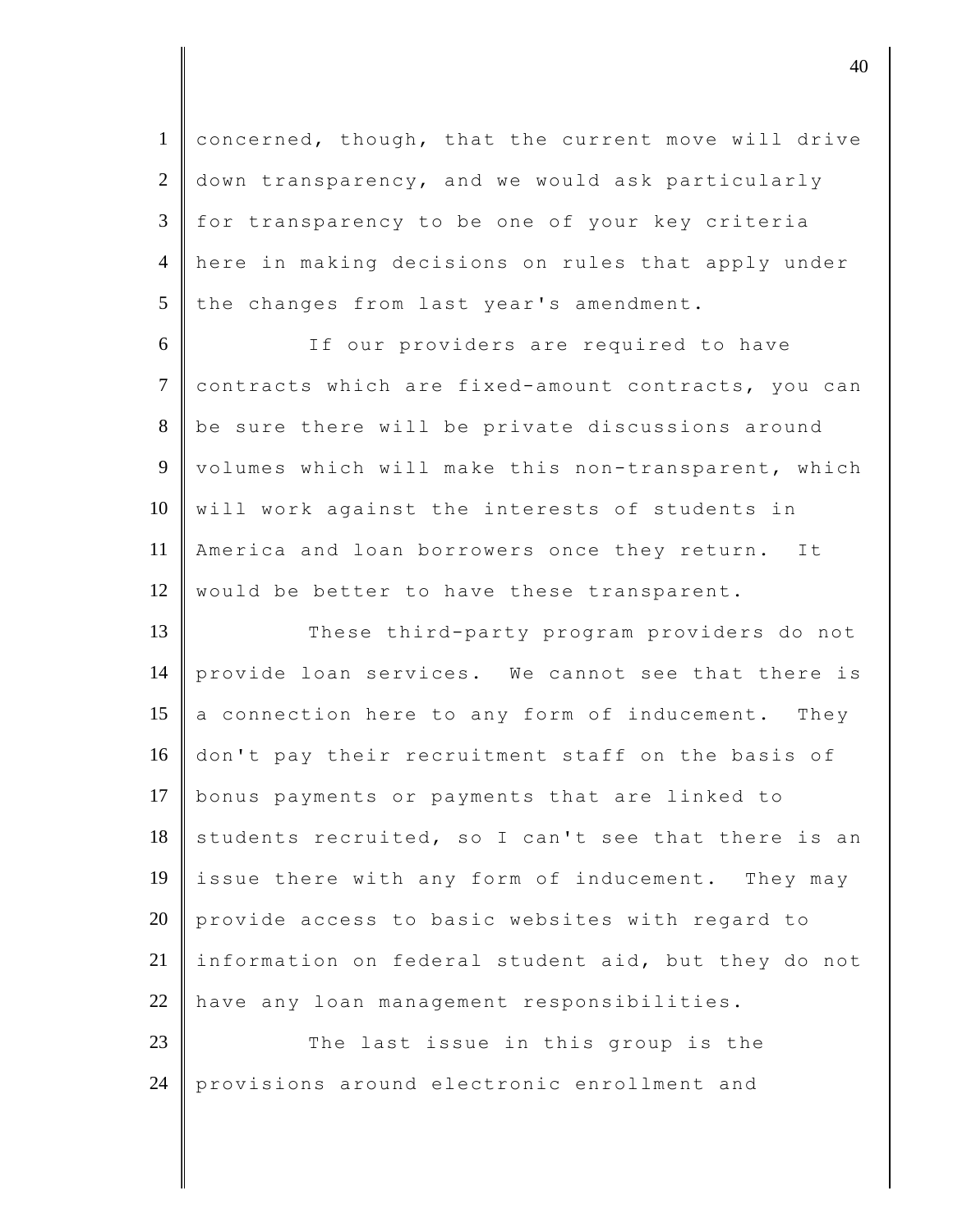concerned, though, that the current move will drive 2 down transparency, and we would ask particularly for transparency to be one of your key criteria here in making decisions on rules that apply under the changes from last year's amendment.

6 If our providers are required to have 7 contracts which are fixed-amount contracts, you can 8 be sure there will be private discussions around 9 volumes which will make this non-transparent, which  $10$  will work against the interests of students in 11 America and loan borrowers once they return. It 12 | would be better to have these transparent.

13 These third-party program providers do not 14 provide loan services. We cannot see that there is 15  $\parallel$  a connection here to any form of inducement. They 16 don't pay their recruitment staff on the basis of 17 bonus payments or payments that are linked to  $18$  students recruited, so I can't see that there is an 19 issue there with any form of inducement. They may 20 provide access to basic websites with regard to 21 information on federal student aid, but they do not 22 have any loan management responsibilities.

23 The last issue in this group is the 24 provisions around electronic enrollment and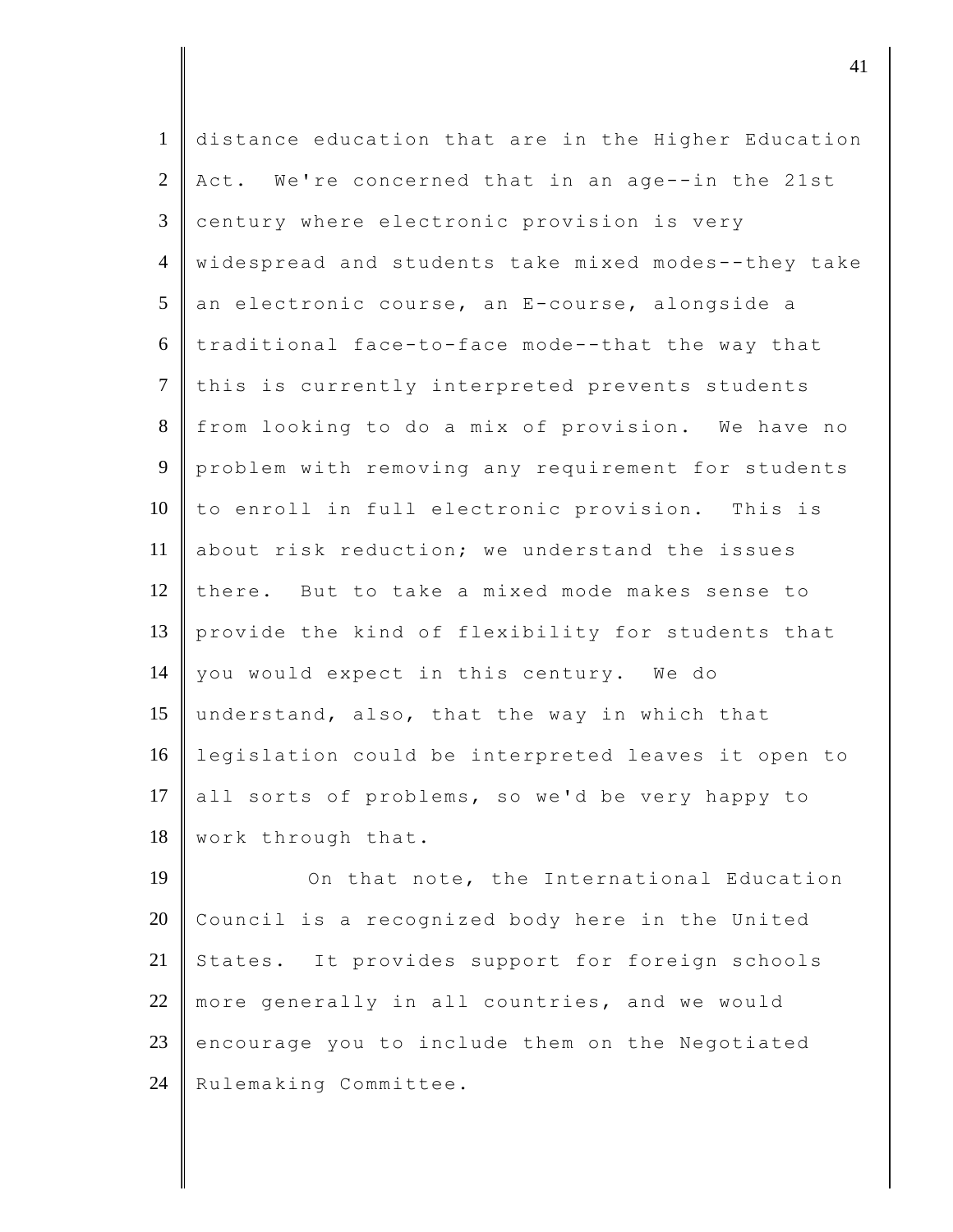| $\mathbf{1}$   | distance education that are in the Higher Education |
|----------------|-----------------------------------------------------|
| $\overline{2}$ | Act. We're concerned that in an age--in the 21st    |
| 3              | century where electronic provision is very          |
| $\overline{4}$ | widespread and students take mixed modes--they take |
| $\mathfrak{S}$ | an electronic course, an E-course, alongside a      |
| 6              | traditional face-to-face mode--that the way that    |
| $\tau$         | this is currently interpreted prevents students     |
| 8              | from looking to do a mix of provision. We have no   |
| $\overline{9}$ | problem with removing any requirement for students  |
| 10             | to enroll in full electronic provision. This is     |
| 11             | about risk reduction; we understand the issues      |
| 12             | there. But to take a mixed mode makes sense to      |
| 13             | provide the kind of flexibility for students that   |
| 14             | you would expect in this century. We do             |
| 15             | understand, also, that the way in which that        |
| 16             | legislation could be interpreted leaves it open to  |
| 17             | all sorts of problems, so we'd be very happy to     |
| 18             | work through that.                                  |
| 19             | On that note, the International Education           |

20 Council is a recognized body here in the United 21 States. It provides support for foreign schools 22 more generally in all countries, and we would encourage you to include them on the Negotiated 24 Rulemaking Committee.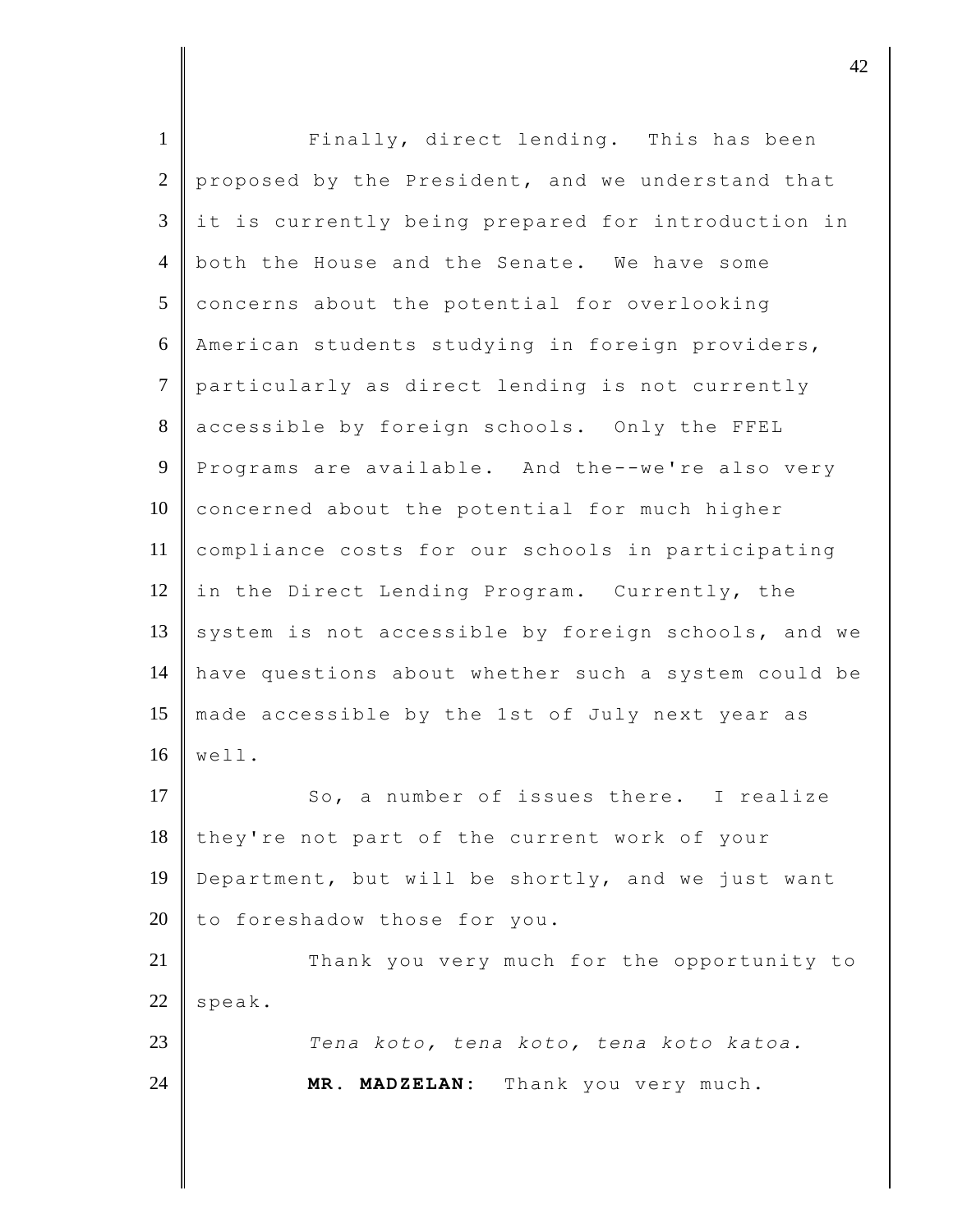| $\mathbf{1}$   | Finally, direct lending. This has been              |
|----------------|-----------------------------------------------------|
| 2              | proposed by the President, and we understand that   |
| 3              | it is currently being prepared for introduction in  |
| $\overline{4}$ | both the House and the Senate. We have some         |
| 5              | concerns about the potential for overlooking        |
| 6              | American students studying in foreign providers,    |
| $\tau$         | particularly as direct lending is not currently     |
| 8              | accessible by foreign schools. Only the FFEL        |
| 9              | Programs are available. And the--we're also very    |
| 10             | concerned about the potential for much higher       |
| 11             | compliance costs for our schools in participating   |
| 12             | in the Direct Lending Program. Currently, the       |
| 13             | system is not accessible by foreign schools, and we |
| 14             | have questions about whether such a system could be |
| 15             | made accessible by the 1st of July next year as     |
| 16             | well.                                               |
| 17             | So, a number of issues there. I realize             |
| 18             | they're not part of the current work of your        |
| 19             | Department, but will be shortly, and we just want   |
| 20             | to foreshadow those for you.                        |
| 21             | Thank you very much for the opportunity to          |
| 22             | speak.                                              |
| 23             | Tena koto, tena koto, tena koto katoa.              |
| 24             | MR. MADZELAN: Thank you very much.                  |
|                |                                                     |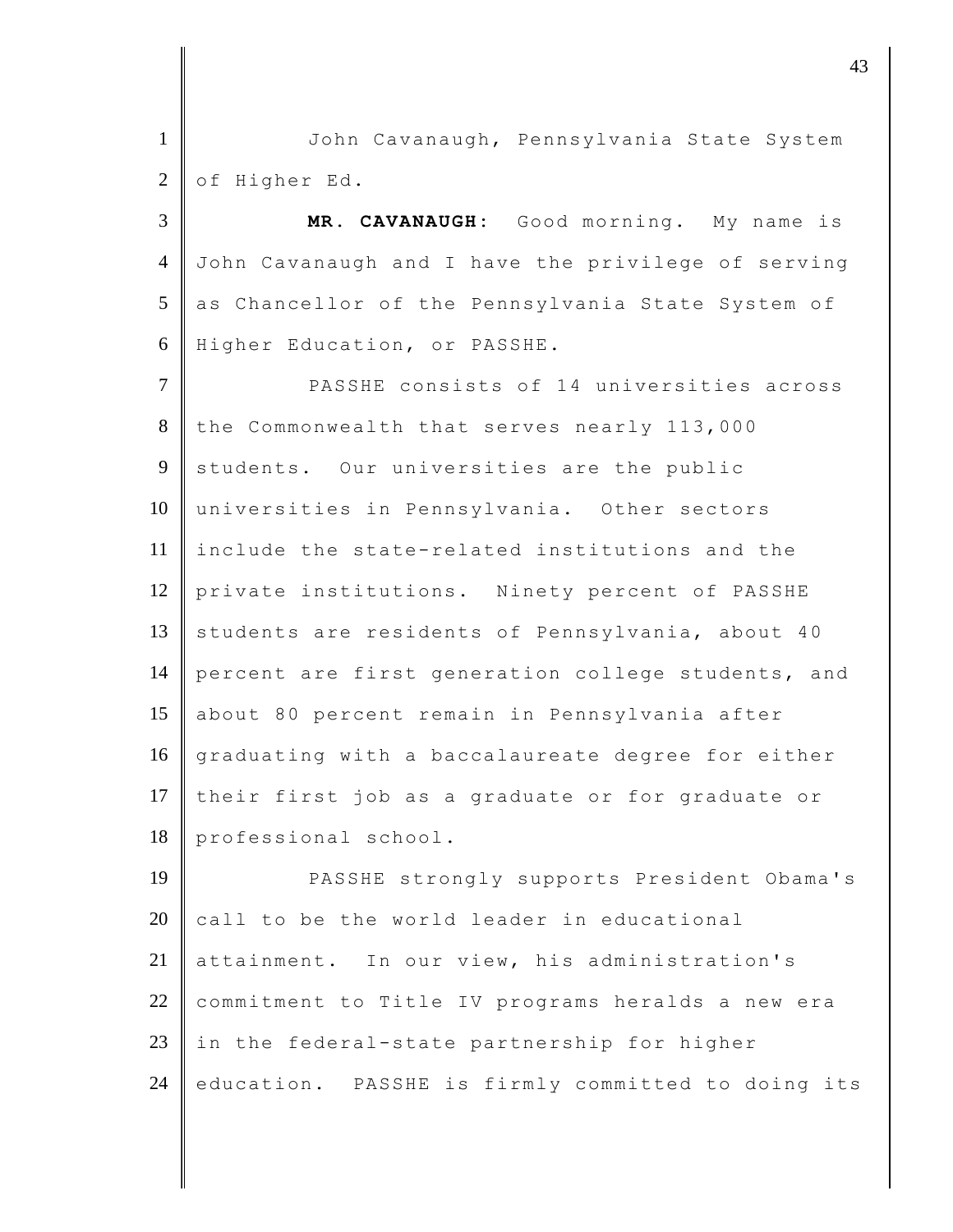1 John Cavanaugh, Pennsylvania State System  $2 \parallel$  of Higher Ed.

 **MR. CAVANAUGH:** Good morning. My name is John Cavanaugh and I have the privilege of serving 5 as Chancellor of the Pennsylvania State System of Higher Education, or PASSHE.

7 PASSHE consists of 14 universities across 8 the Commonwealth that serves nearly 113,000 9 students. Our universities are the public 10 universities in Pennsylvania. Other sectors 11 include the state-related institutions and the 12 private institutions. Ninety percent of PASSHE 13 students are residents of Pennsylvania, about 40 14 percent are first generation college students, and 15 about 80 percent remain in Pennsylvania after 16 graduating with a baccalaureate degree for either 17 their first job as a graduate or for graduate or 18 professional school.

19 PASSHE strongly supports President Obama's  $20$  call to be the world leader in educational 21 attainment. In our view, his administration's 22 commitment to Title IV programs heralds a new era 23 in the federal-state partnership for higher 24 education. PASSHE is firmly committed to doing its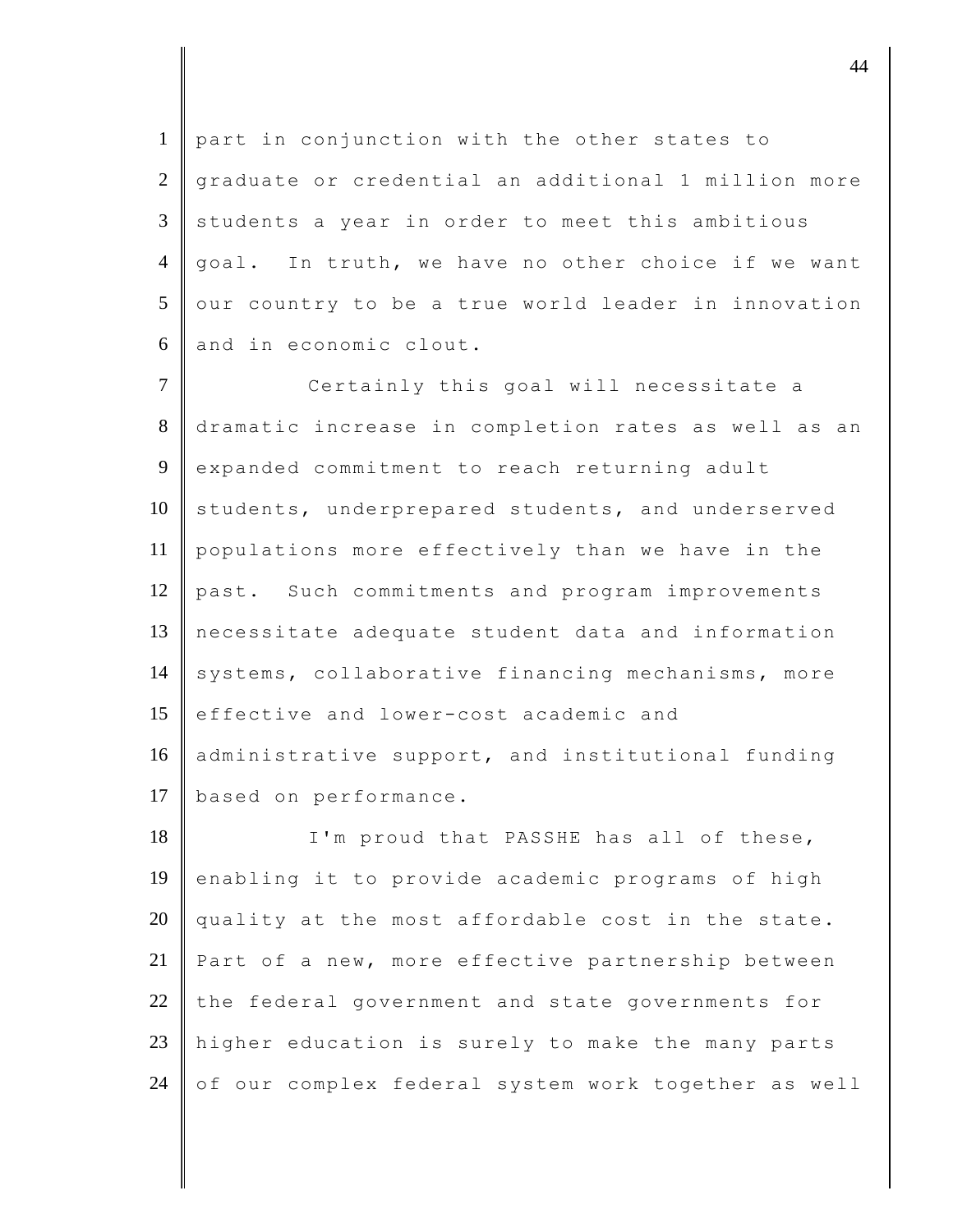1 part in conjunction with the other states to 2 graduate or credential an additional 1 million more  $3 \parallel$  students a year in order to meet this ambitious 4 goal. In truth, we have no other choice if we want  $5$  our country to be a true world leader in innovation 6 and in economic clout.

7 Certainly this goal will necessitate a 8 dramatic increase in completion rates as well as an 9 expanded commitment to reach returning adult 10 students, underprepared students, and underserved 11 populations more effectively than we have in the 12 past. Such commitments and program improvements 13 necessitate adequate student data and information 14 systems, collaborative financing mechanisms, more 15 effective and lower-cost academic and 16 administrative support, and institutional funding 17 | based on performance.

18 I'm proud that PASSHE has all of these, 19 enabling it to provide academic programs of high  $20$  quality at the most affordable cost in the state. 21 | Part of a new, more effective partnership between  $22$  the federal government and state governments for 23 higher education is surely to make the many parts 24 of our complex federal system work together as well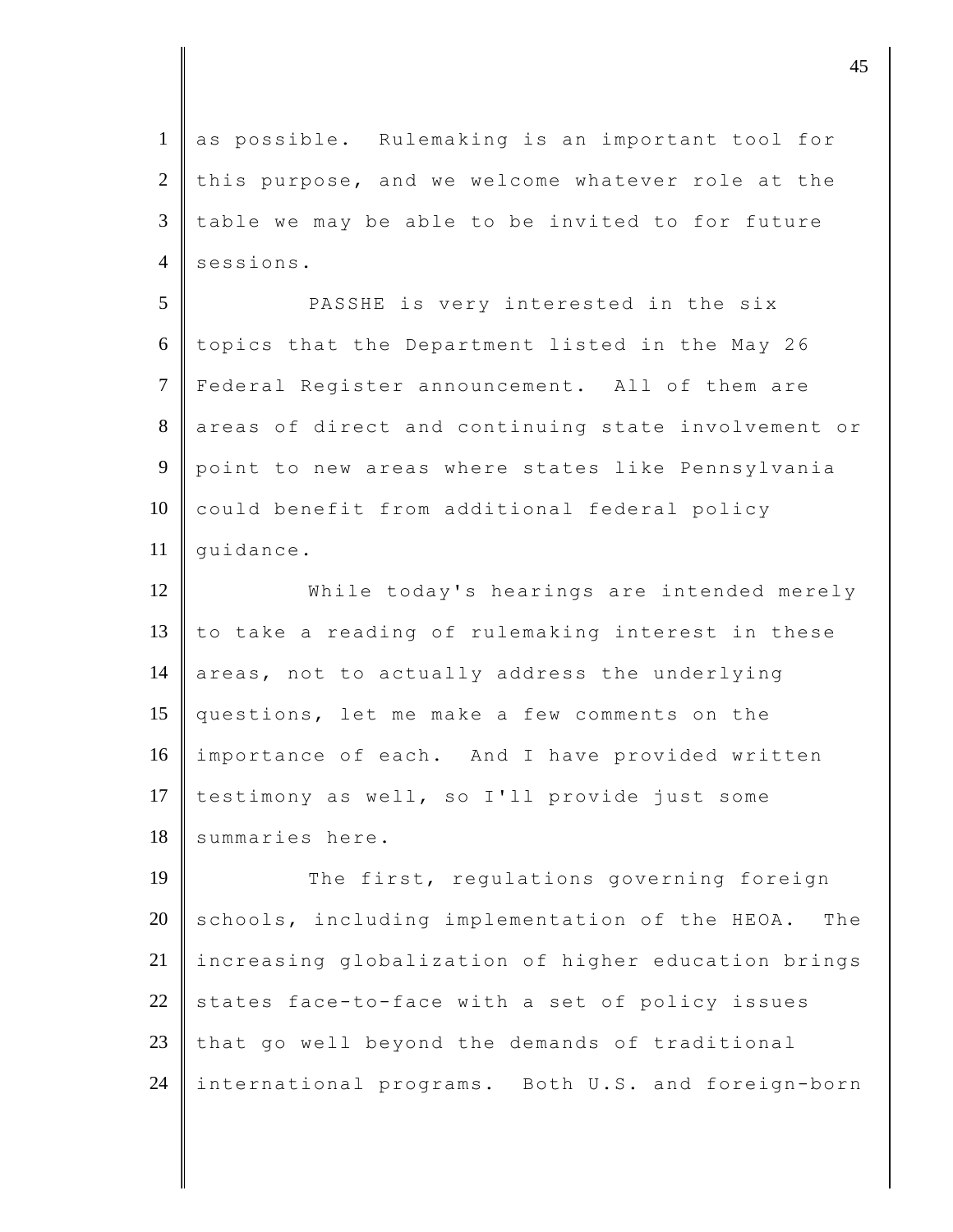1 as possible. Rulemaking is an important tool for  $2$  this purpose, and we welcome whatever role at the  $3$   $\parallel$  table we may be able to be invited to for future 4 sessions. 5 PASSHE is very interested in the six  $6$  topics that the Department listed in the May 26 7 Federal Register announcement. All of them are 8 areas of direct and continuing state involvement or 9 point to new areas where states like Pennsylvania 10 could benefit from additional federal policy 11  $\parallel$  quidance. 12 While today's hearings are intended merely 13  $\parallel$  to take a reading of rulemaking interest in these 14 areas, not to actually address the underlying 15 questions, let me make a few comments on the 16 importance of each. And I have provided written 17 testimony as well, so I'll provide just some 18 summaries here. 19 The first, regulations governing foreign  $20$  schools, including implementation of the HEOA. The 21 increasing globalization of higher education brings 22 states face-to-face with a set of policy issues  $23$  that go well beyond the demands of traditional 24 international programs. Both U.S. and foreign-born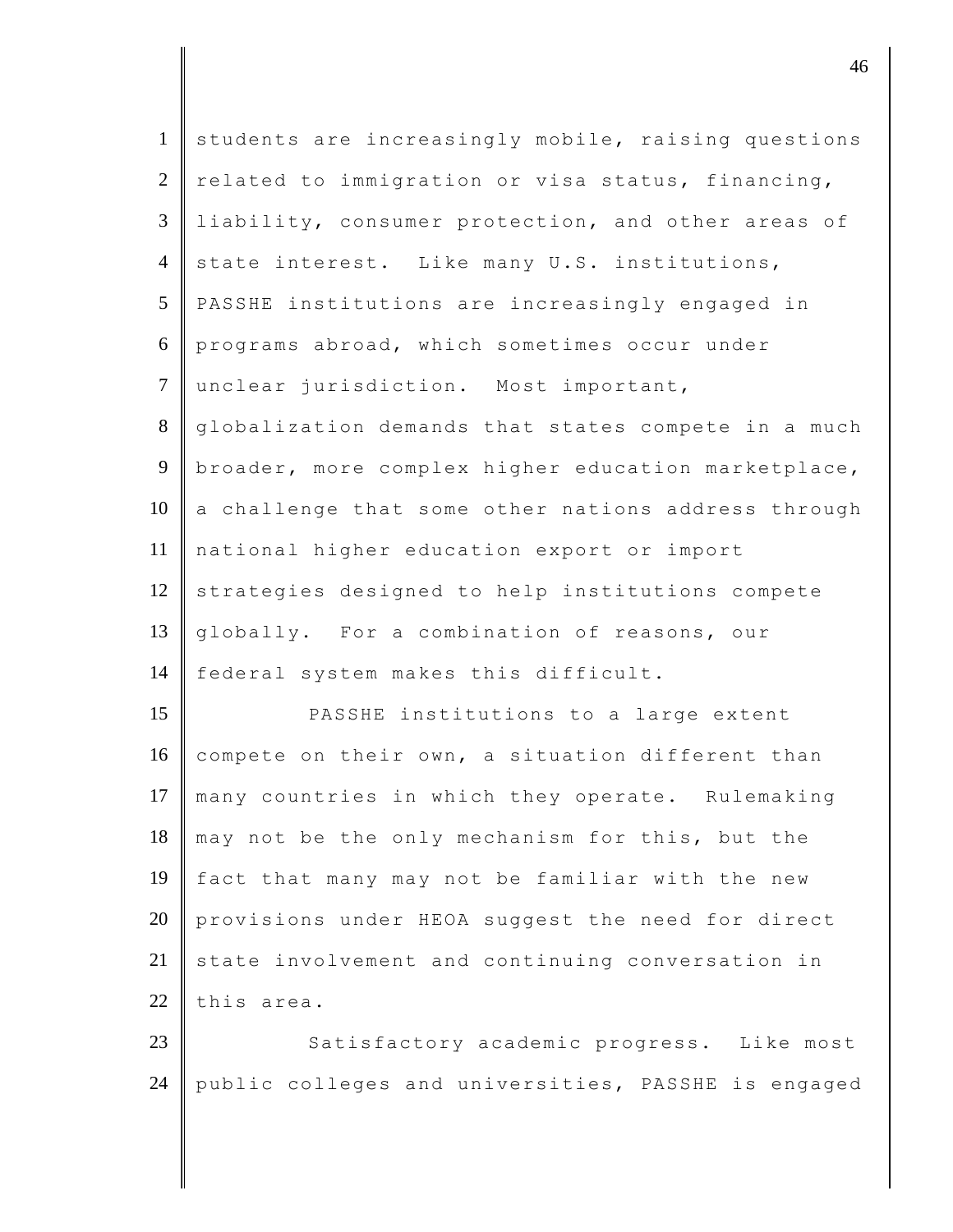| $\mathbf{1}$   | students are increasingly mobile, raising questions |
|----------------|-----------------------------------------------------|
|                |                                                     |
| $\overline{2}$ | related to immigration or visa status, financing,   |
| $\mathfrak{Z}$ | liability, consumer protection, and other areas of  |
| $\overline{4}$ | state interest. Like many U.S. institutions,        |
| 5              | PASSHE institutions are increasingly engaged in     |
| 6              | programs abroad, which sometimes occur under        |
| $\tau$         | unclear jurisdiction. Most important,               |
| 8              | globalization demands that states compete in a much |
| 9              | broader, more complex higher education marketplace, |
| 10             | a challenge that some other nations address through |
| 11             | national higher education export or import          |
| 12             | strategies designed to help institutions compete    |
| 13             | globally. For a combination of reasons, our         |
| 14             | federal system makes this difficult.                |
| 15             | PASSHE institutions to a large extent               |
| 16             | compete on their own, a situation different than    |
| 17             | many countries in which they operate. Rulemaking    |
| 18             | may not be the only mechanism for this, but the     |
| 19             | fact that many may not be familiar with the new     |
| 20             | provisions under HEOA suggest the need for direct   |
| 21             | state involvement and continuing conversation in    |
| 22             | this area.                                          |
| 23             | Satisfactory academic progress. Like most           |
| 24             | public colleges and universities, PASSHE is engaged |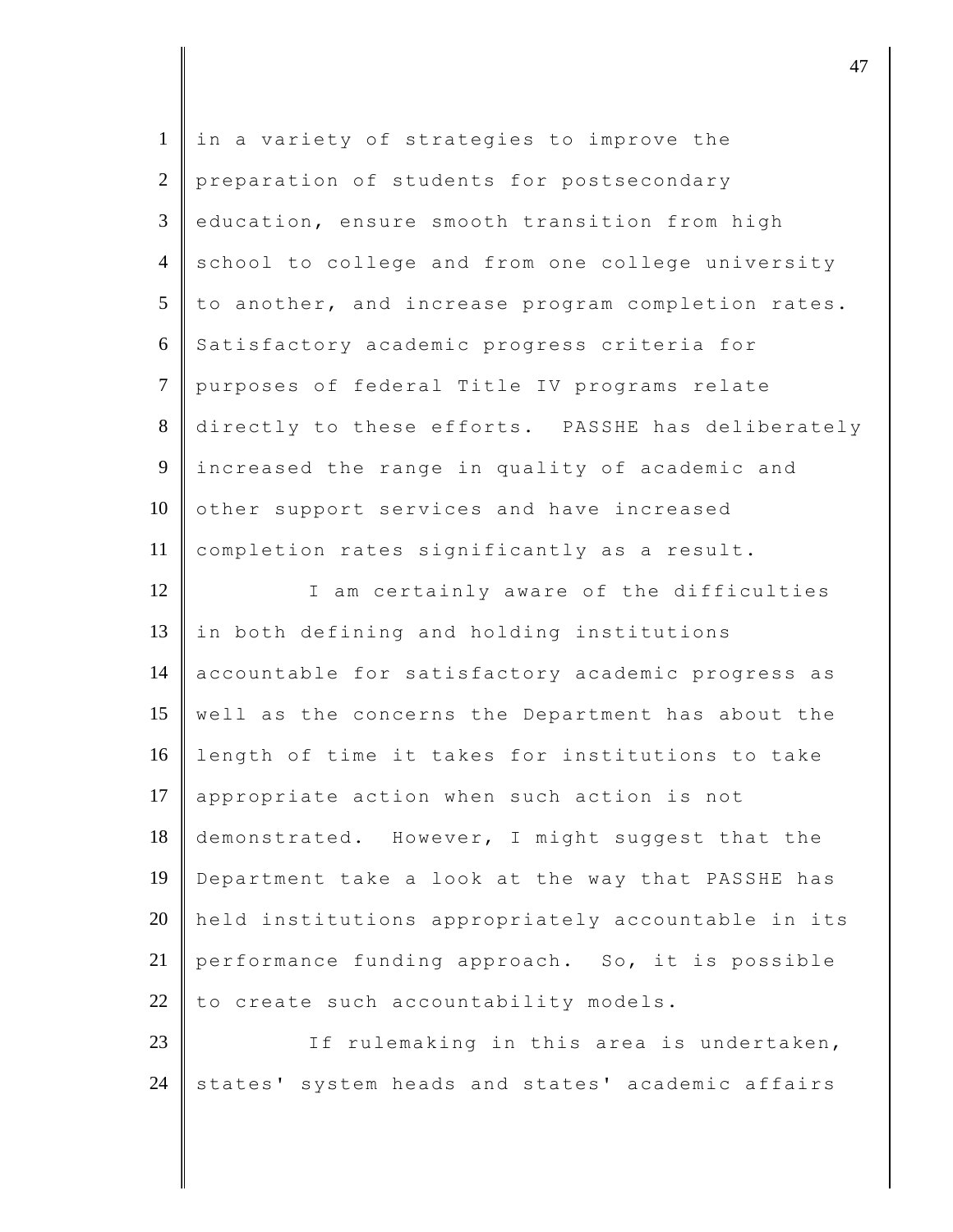| $\mathbf{1}$   | in a variety of strategies to improve the          |
|----------------|----------------------------------------------------|
| $\mathfrak{2}$ | preparation of students for postsecondary          |
| 3              | education, ensure smooth transition from high      |
| $\overline{4}$ | school to college and from one college university  |
| 5              | to another, and increase program completion rates. |
| 6              | Satisfactory academic progress criteria for        |
| $\overline{7}$ | purposes of federal Title IV programs relate       |
| $8\,$          | directly to these efforts. PASSHE has deliberately |
| $\mathbf{9}$   | increased the range in quality of academic and     |
| 10             | other support services and have increased          |
| 11             | completion rates significantly as a result.        |
| 12             | I am certainly aware of the difficulties           |
| 13             | in both defining and holding institutions          |
| 14             | accountable for satisfactory academic progress as  |
| 15             | well as the concerns the Department has about the  |
| 16             | length of time it takes for institutions to take   |
| 17             | appropriate action when such action is not         |
| 18             | demonstrated. However, I might suggest that the    |
| 19             | Department take a look at the way that PASSHE has  |
| 20             | held institutions appropriately accountable in its |
| 21             | performance funding approach. So, it is possible   |
| 22             | to create such accountability models.              |
| 23             | If rulemaking in this area is undertaken,          |
| 24             | states' system heads and states' academic affairs  |

denote the contract of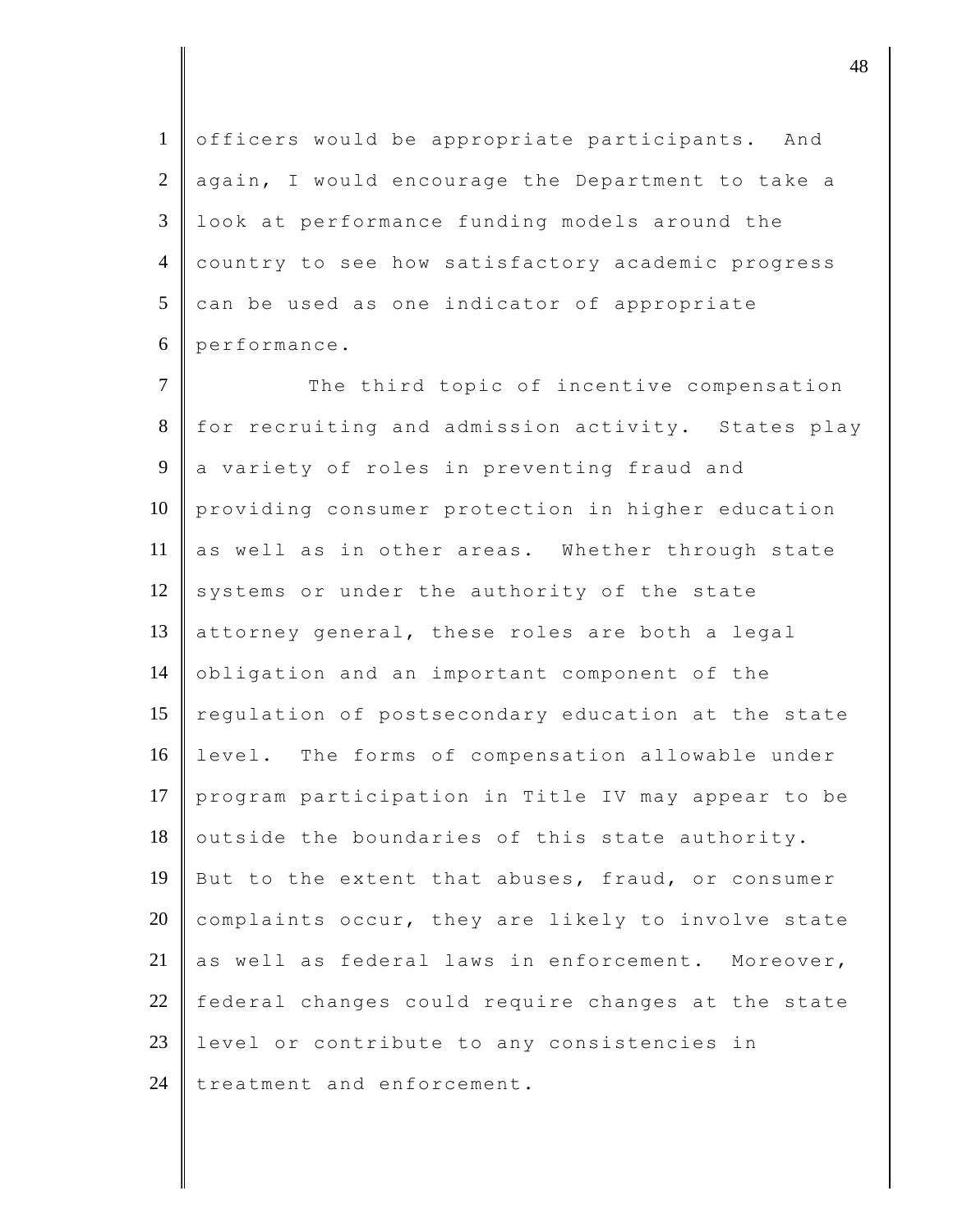1 officers would be appropriate participants. And  $2 \parallel$  again, I would encourage the Department to take a 3 look at performance funding models around the 4 country to see how satisfactory academic progress  $5$  can be used as one indicator of appropriate  $6 \parallel$  performance.

7 The third topic of incentive compensation 8 for recruiting and admission activity. States play 9 a variety of roles in preventing fraud and 10 providing consumer protection in higher education 11 as well as in other areas. Whether through state 12 systems or under the authority of the state 13 attorney general, these roles are both a legal 14 obligation and an important component of the 15 regulation of postsecondary education at the state 16 level. The forms of compensation allowable under 17 program participation in Title IV may appear to be  $18$  outside the boundaries of this state authority. 19 But to the extent that abuses, fraud, or consumer 20 complaints occur, they are likely to involve state 21 as well as federal laws in enforcement. Moreover, 22 federal changes could require changes at the state 23 level or contribute to any consistencies in 24 treatment and enforcement.

djective the contract of  $\overline{a}$  48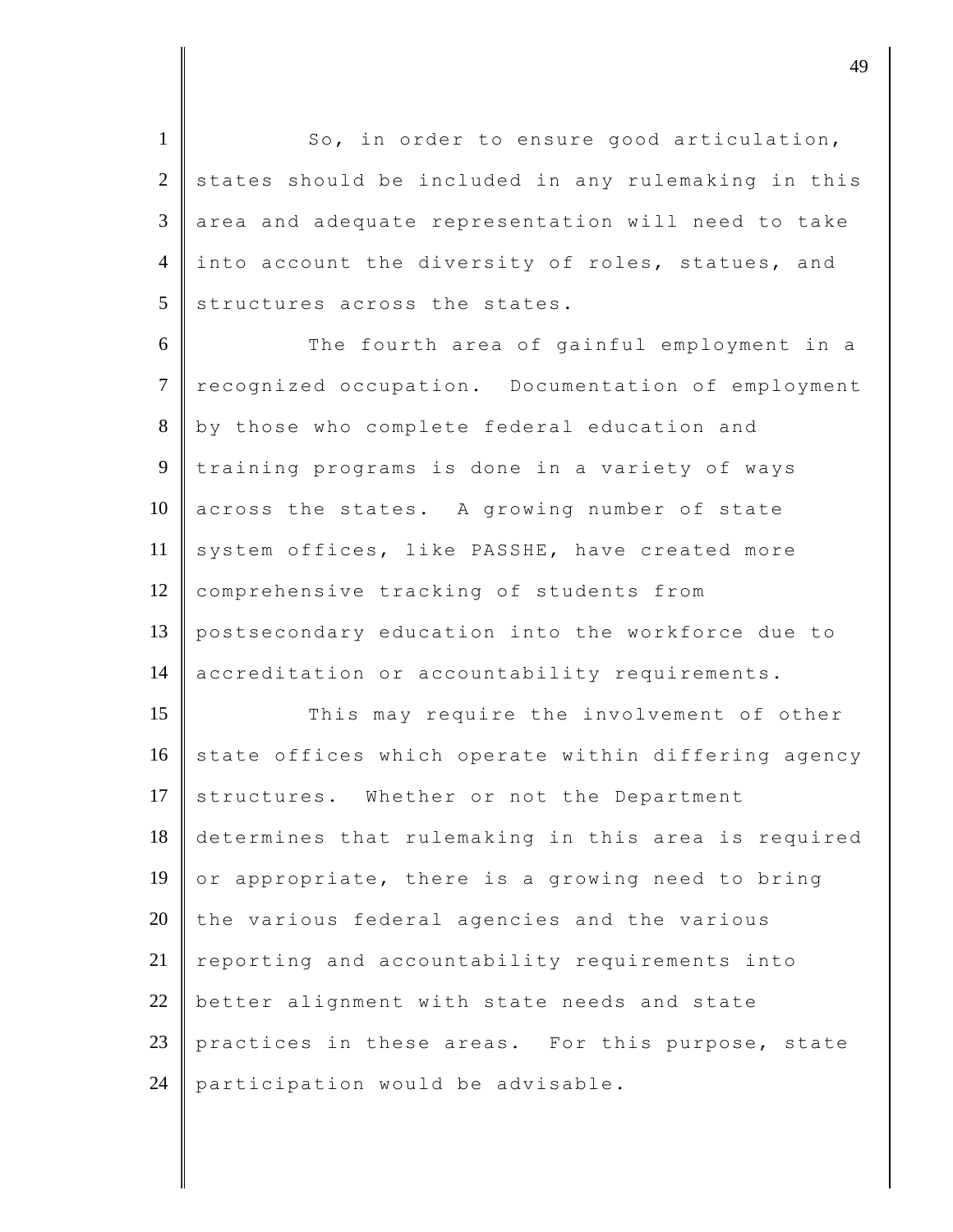1 So, in order to ensure good articulation,  $2$  states should be included in any rulemaking in this  $3 \parallel$  area and adequate representation will need to take 4 into account the diversity of roles, statues, and  $5$  structures across the states.

6 The fourth area of gainful employment in a 7 recognized occupation. Documentation of employment 8 by those who complete federal education and 9 training programs is done in a variety of ways 10 across the states. A growing number of state 11 system offices, like PASSHE, have created more 12 comprehensive tracking of students from 13 postsecondary education into the workforce due to 14 accreditation or accountability requirements.

15 This may require the involvement of other  $16$  state offices which operate within differing agency 17 structures. Whether or not the Department 18 determines that rulemaking in this area is required 19 or appropriate, there is a growing need to bring  $20$  the various federal agencies and the various  $21$  reporting and accountability requirements into  $22$  better alignment with state needs and state 23 practices in these areas. For this purpose, state 24 participation would be advisable.

dje diskografije diskografije diskografije diskografije diskografije diskografije diskografije diskografije diskografije diskografije diskografije diskografije diskografije diskografije diskografije diskografije diskograf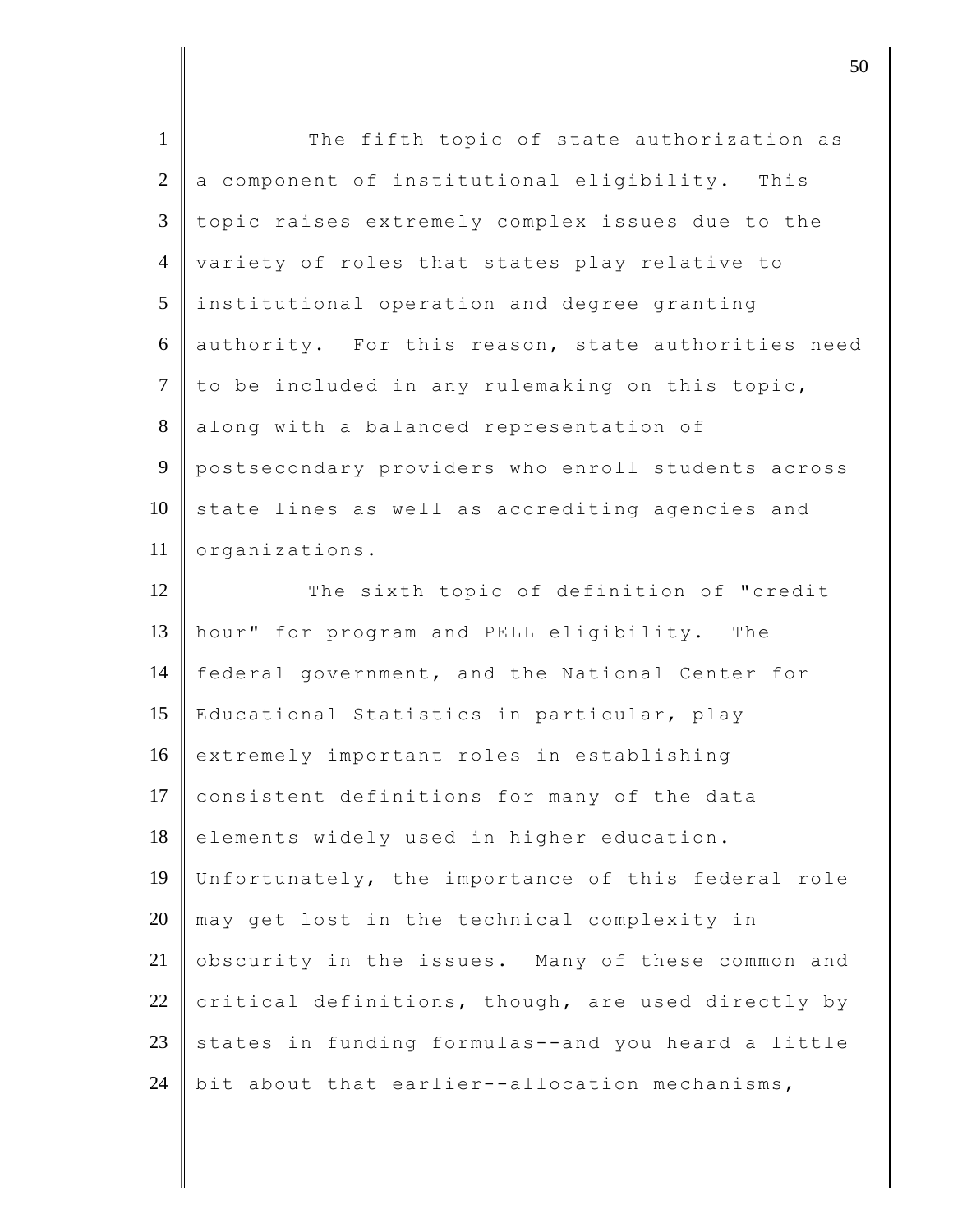| $\mathbf{1}$    | The fifth topic of state authorization as          |
|-----------------|----------------------------------------------------|
| $\overline{2}$  | a component of institutional eligibility. This     |
| 3               | topic raises extremely complex issues due to the   |
| $\overline{4}$  | variety of roles that states play relative to      |
| $5\overline{)}$ | institutional operation and degree granting        |
| 6               | authority. For this reason, state authorities need |
| $\tau$          | to be included in any rulemaking on this topic,    |
| 8               | along with a balanced representation of            |
| 9               | postsecondary providers who enroll students across |
| 10              | state lines as well as accrediting agencies and    |
| 11              | organizations.                                     |
| 12              | The sixth topic of definition of "credit           |
| 13              | hour" for program and PELL eligibility. The        |
| 14              | federal government, and the National Center for    |
| 15              | Educational Statistics in particular, play         |
| 16              | extremely important roles in establishing          |
| 17              | consistent definitions for many of the data        |
| 18              | elements widely used in higher education.          |
| 19              | Unfortunately, the importance of this federal role |
| 20              | may get lost in the technical complexity in        |
| 21              | obscurity in the issues. Many of these common and  |
| 22              | critical definitions, though, are used directly by |
| 23              | states in funding formulas--and you heard a little |
| 24              | bit about that earlier--allocation mechanisms,     |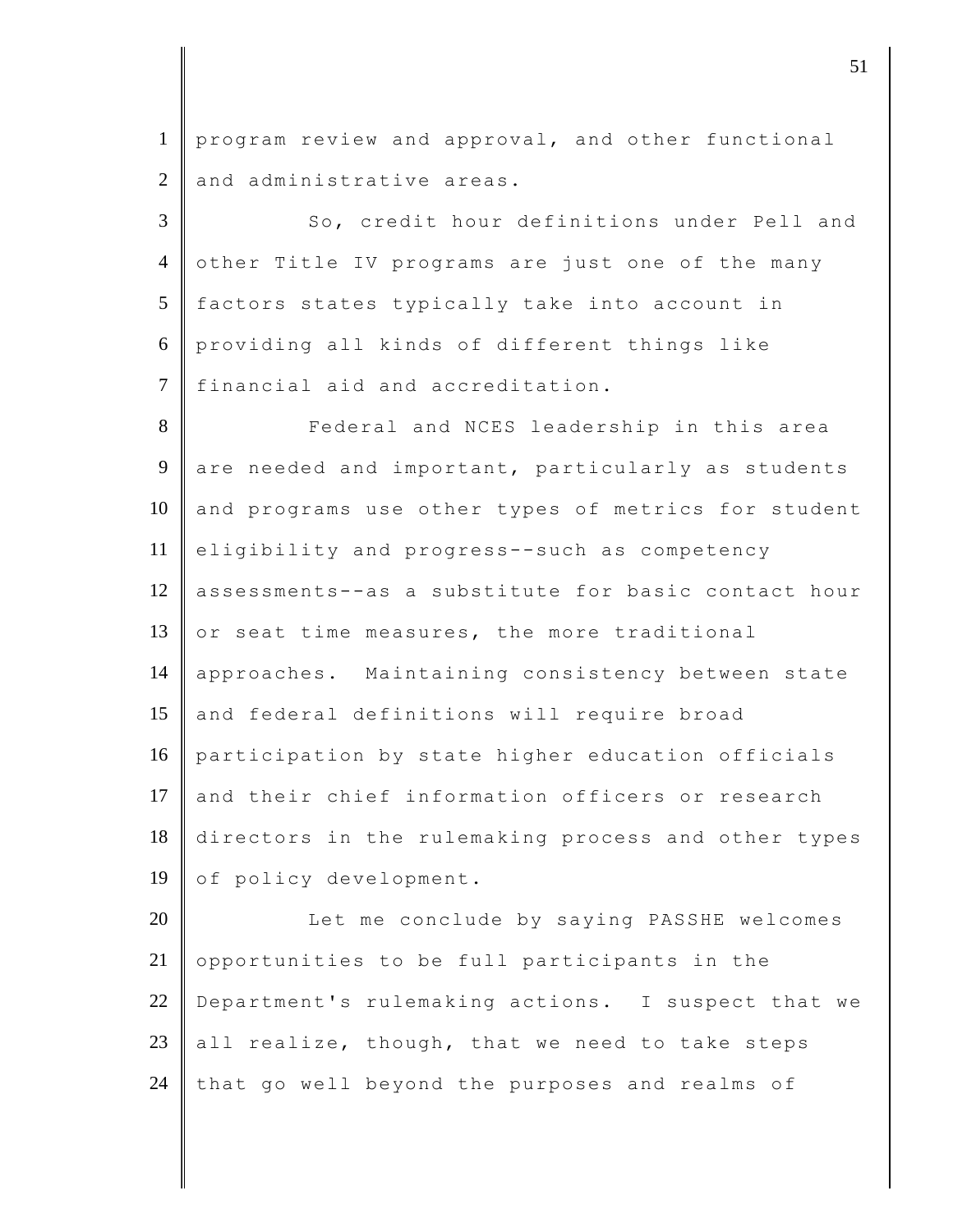1 program review and approval, and other functional  $2 \parallel$  and administrative areas.

3 So, credit hour definitions under Pell and 4 other Title IV programs are just one of the many 5 factors states typically take into account in 6 providing all kinds of different things like 7 financial aid and accreditation.

8 **Federal and NCES leadership in this area** 9 are needed and important, particularly as students  $10$  and programs use other types of metrics for student 11 eligibility and progress--such as competency 12 assessments--as a substitute for basic contact hour 13  $\circ$  or seat time measures, the more traditional 14 approaches. Maintaining consistency between state 15 and federal definitions will require broad 16 participation by state higher education officials 17 and their chief information officers or research 18 directors in the rulemaking process and other types 19 of policy development.

20 Let me conclude by saying PASSHE welcomes  $21$  opportunities to be full participants in the 22 Department's rulemaking actions. I suspect that we 23 all realize, though, that we need to take steps  $24$  that go well beyond the purposes and realms of

 $\vert$  51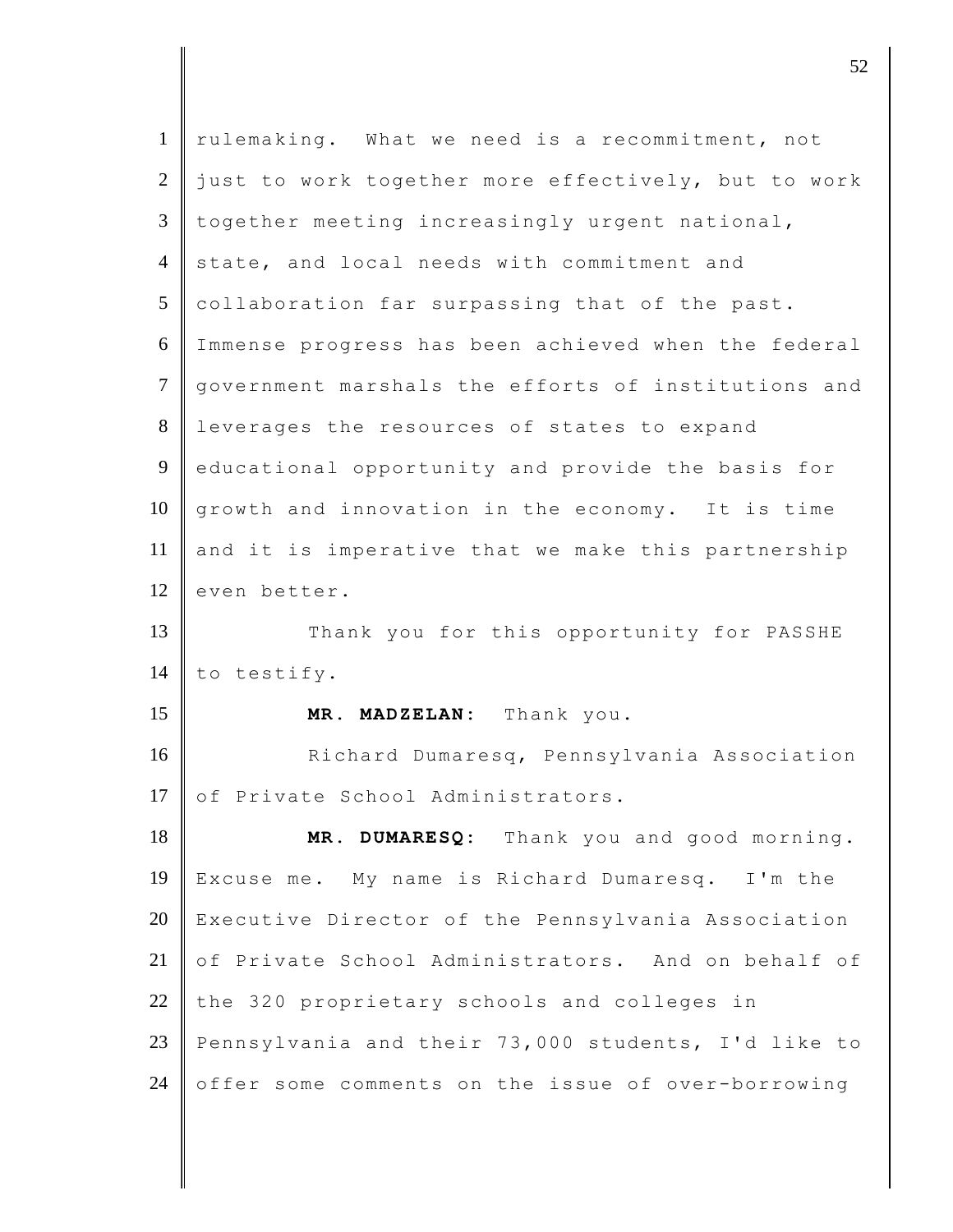| $\mathbf{1}$   | rulemaking. What we need is a recommitment, not     |
|----------------|-----------------------------------------------------|
| 2              | just to work together more effectively, but to work |
| $\mathfrak{Z}$ | together meeting increasingly urgent national,      |
| $\overline{4}$ | state, and local needs with commitment and          |
| 5              | collaboration far surpassing that of the past.      |
| 6              | Immense progress has been achieved when the federal |
| $\tau$         | government marshals the efforts of institutions and |
| $8\,$          | leverages the resources of states to expand         |
| 9              | educational opportunity and provide the basis for   |
| 10             | growth and innovation in the economy. It is time    |
| 11             | and it is imperative that we make this partnership  |
| 12             | even better.                                        |
| 13             | Thank you for this opportunity for PASSHE           |
| 14             | to testify.                                         |
| 15             | MR. MADZELAN: Thank you.                            |
| 16             | Richard Dumaresq, Pennsylvania Association          |
| 17             | of Private School Administrators.                   |
| 18             | MR. DUMARESQ: Thank you and good morning.           |
| 19             | Excuse me. My name is Richard Dumaresq. I'm the     |
| 20             |                                                     |
|                | Executive Director of the Pennsylvania Association  |
| 21             | of Private School Administrators. And on behalf of  |
|                | the 320 proprietary schools and colleges in         |
| 22<br>23       | Pennsylvania and their 73,000 students, I'd like to |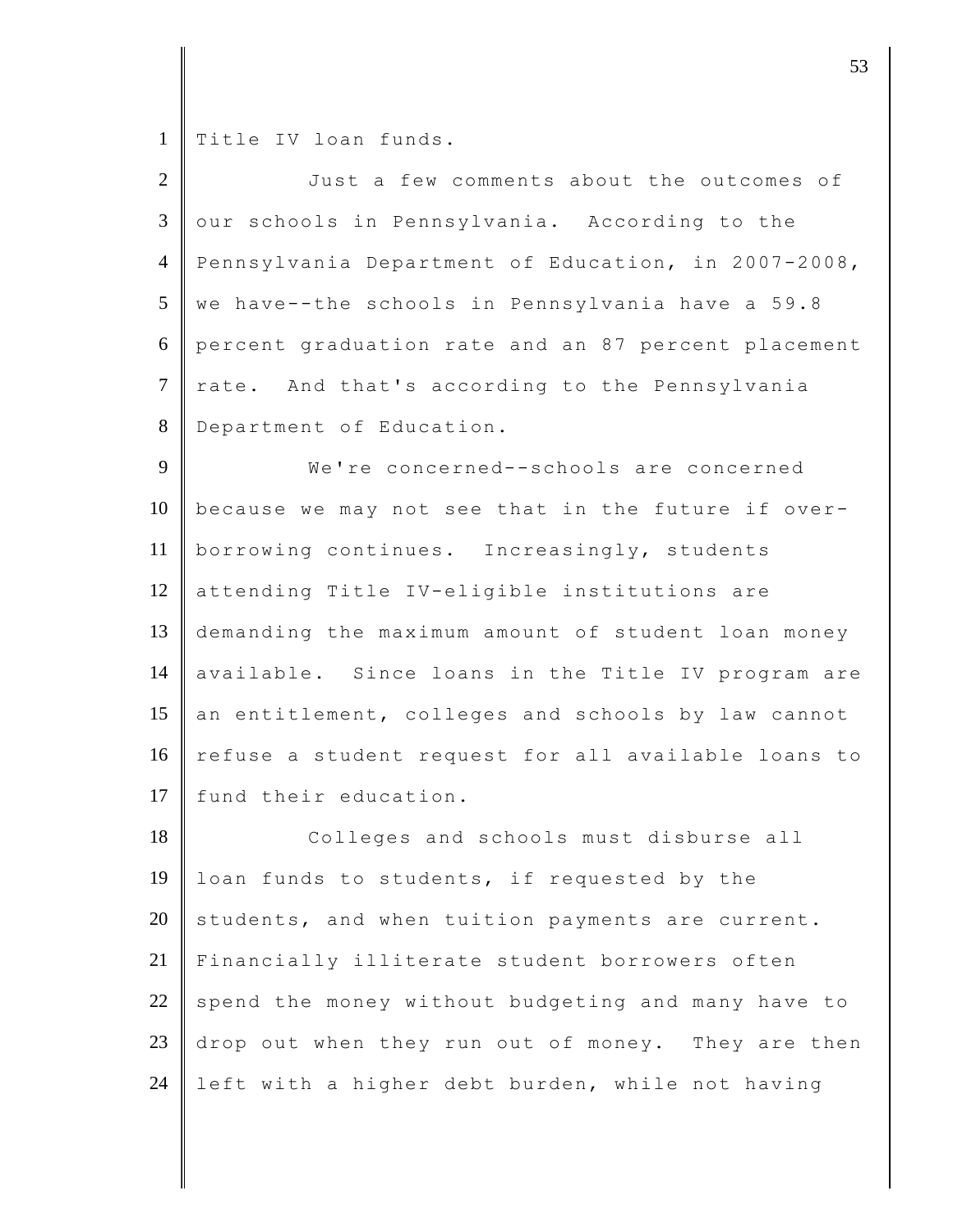1 Title IV loan funds.

| $\overline{2}$ | Just a few comments about the outcomes of           |
|----------------|-----------------------------------------------------|
| $\overline{3}$ | our schools in Pennsylvania. According to the       |
| $\overline{4}$ | Pennsylvania Department of Education, in 2007-2008, |
| 5              | we have--the schools in Pennsylvania have a 59.8    |
| 6              | percent graduation rate and an 87 percent placement |
| $\overline{7}$ | rate. And that's according to the Pennsylvania      |
| 8              | Department of Education.                            |
| 9              | We're concerned--schools are concerned              |
| 10             | because we may not see that in the future if over-  |
| 11             | borrowing continues. Increasingly, students         |
| 12             | attending Title IV-eligible institutions are        |
| 13             | demanding the maximum amount of student loan money  |
| 14             | available. Since loans in the Title IV program are  |
| 15             | an entitlement, colleges and schools by law cannot  |
| 16             | refuse a student request for all available loans to |
| 17             | fund their education.                               |
| 18             | Colleges and schools must disburse all              |
| 19             | loan funds to students, if requested by the         |
| 20             | students, and when tuition payments are current.    |
| 21             | Financially illiterate student borrowers often      |
| 22             | spend the money without budgeting and many have to  |
| 23             | drop out when they run out of money. They are then  |
| 24             | left with a higher debt burden, while not having    |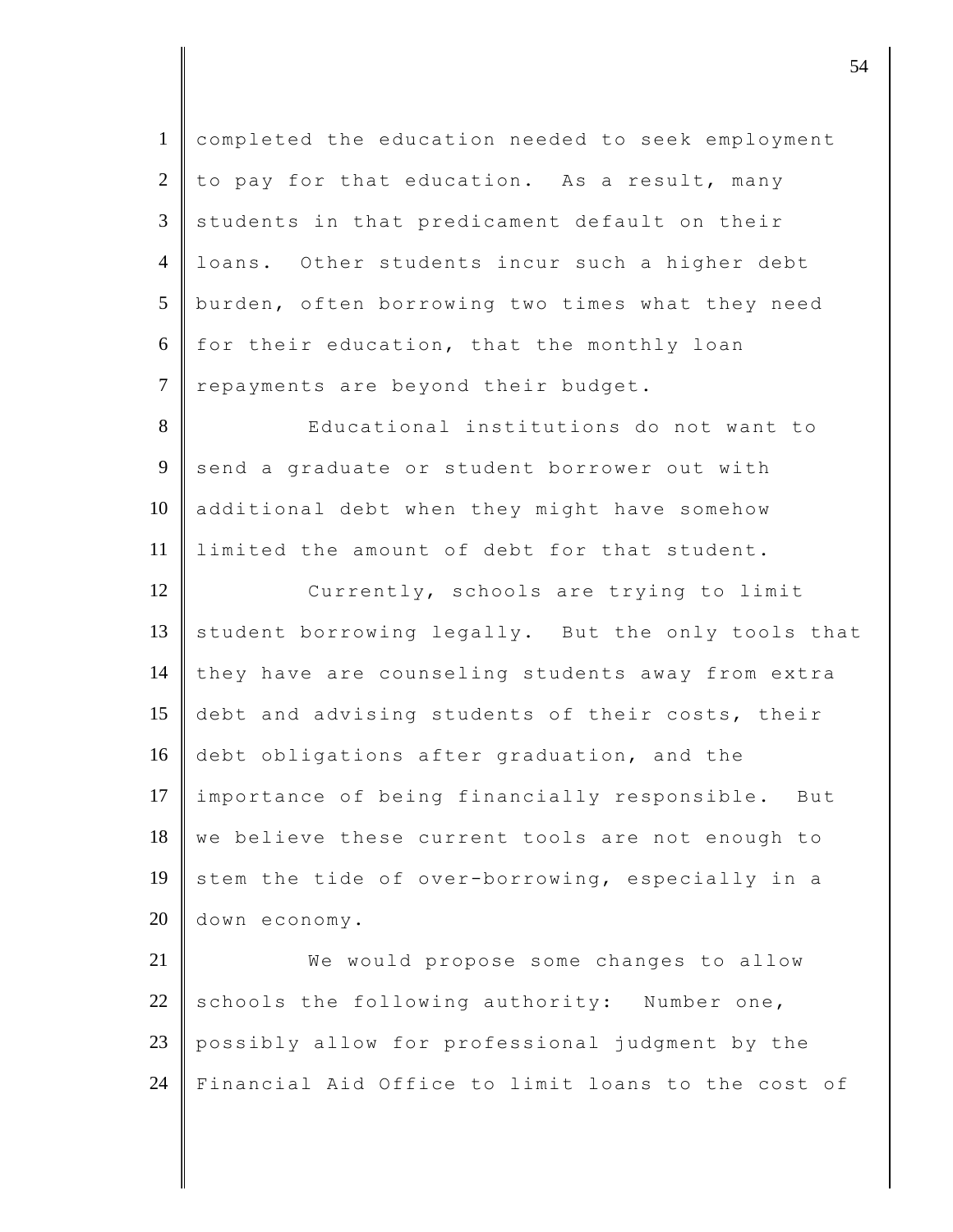| $\mathbf{1}$   | completed the education needed to seek employment  |
|----------------|----------------------------------------------------|
| $\overline{2}$ | to pay for that education. As a result, many       |
| $\mathfrak{Z}$ | students in that predicament default on their      |
| $\overline{4}$ | loans. Other students incur such a higher debt     |
| 5              | burden, often borrowing two times what they need   |
| 6              | for their education, that the monthly loan         |
| $\tau$         | repayments are beyond their budget.                |
| 8              | Educational institutions do not want to            |
| 9              | send a graduate or student borrower out with       |
| 10             | additional debt when they might have somehow       |
| 11             | limited the amount of debt for that student.       |
| 12             | Currently, schools are trying to limit             |
| 13             | student borrowing legally. But the only tools that |
| 14             | they have are counseling students away from extra  |
| 15             | debt and advising students of their costs, their   |
| 16             | debt obligations after graduation, and the         |
| 17             | importance of being financially responsible. But   |
| 18             | we believe these current tools are not enough to   |
| 19             | stem the tide of over-borrowing, especially in a   |
| 20             | down economy.                                      |
| 21             | We would propose some changes to allow             |
| 22             | schools the following authority: Number one,       |
| 23             | possibly allow for professional judgment by the    |
| 24             | Financial Aid Office to limit loans to the cost of |

djective terms of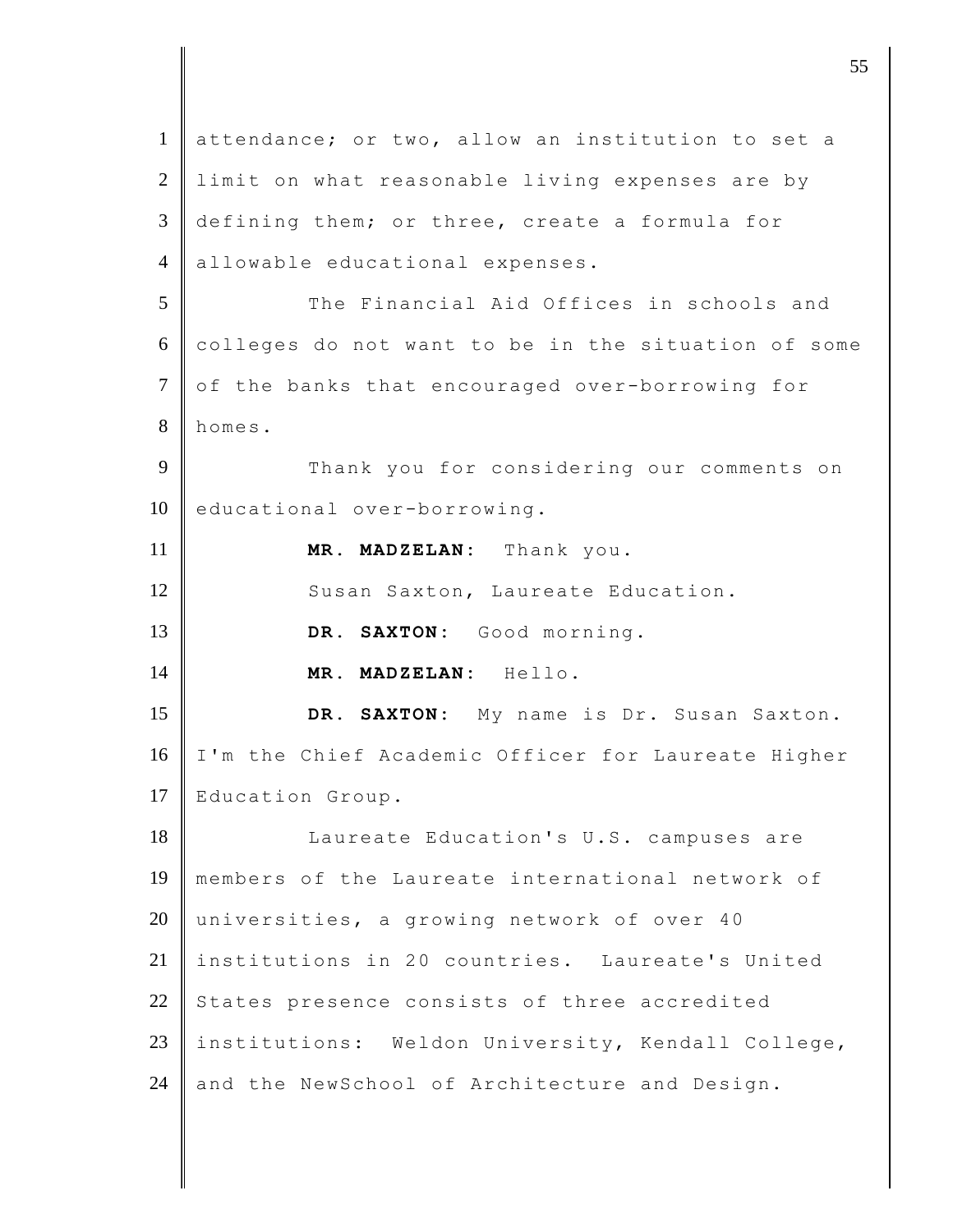1 attendance; or two, allow an institution to set a 2 limit on what reasonable living expenses are by 3 defining them; or three, create a formula for 4 allowable educational expenses. 5 The Financial Aid Offices in schools and 6 colleges do not want to be in the situation of some 7 of the banks that encouraged over-borrowing for 8 homes. 9 Thank you for considering our comments on 10 educational over-borrowing. 11 **MR. MADZELAN:** Thank you. 12 Susan Saxton, Laureate Education. 13 **DR. SAXTON:** Good morning. 14 **MR. MADZELAN:** Hello. 15 **DR. SAXTON:** My name is Dr. Susan Saxton. 16 | I'm the Chief Academic Officer for Laureate Higher 17 Education Group. 18 | Laureate Education's U.S. campuses are 19 members of the Laureate international network of 20 universities, a growing network of over 40 21 institutions in 20 countries. Laureate's United 22 States presence consists of three accredited 23 institutions: Weldon University, Kendall College, 24 and the NewSchool of Architecture and Design.

discrete the contract of  $\overline{55}$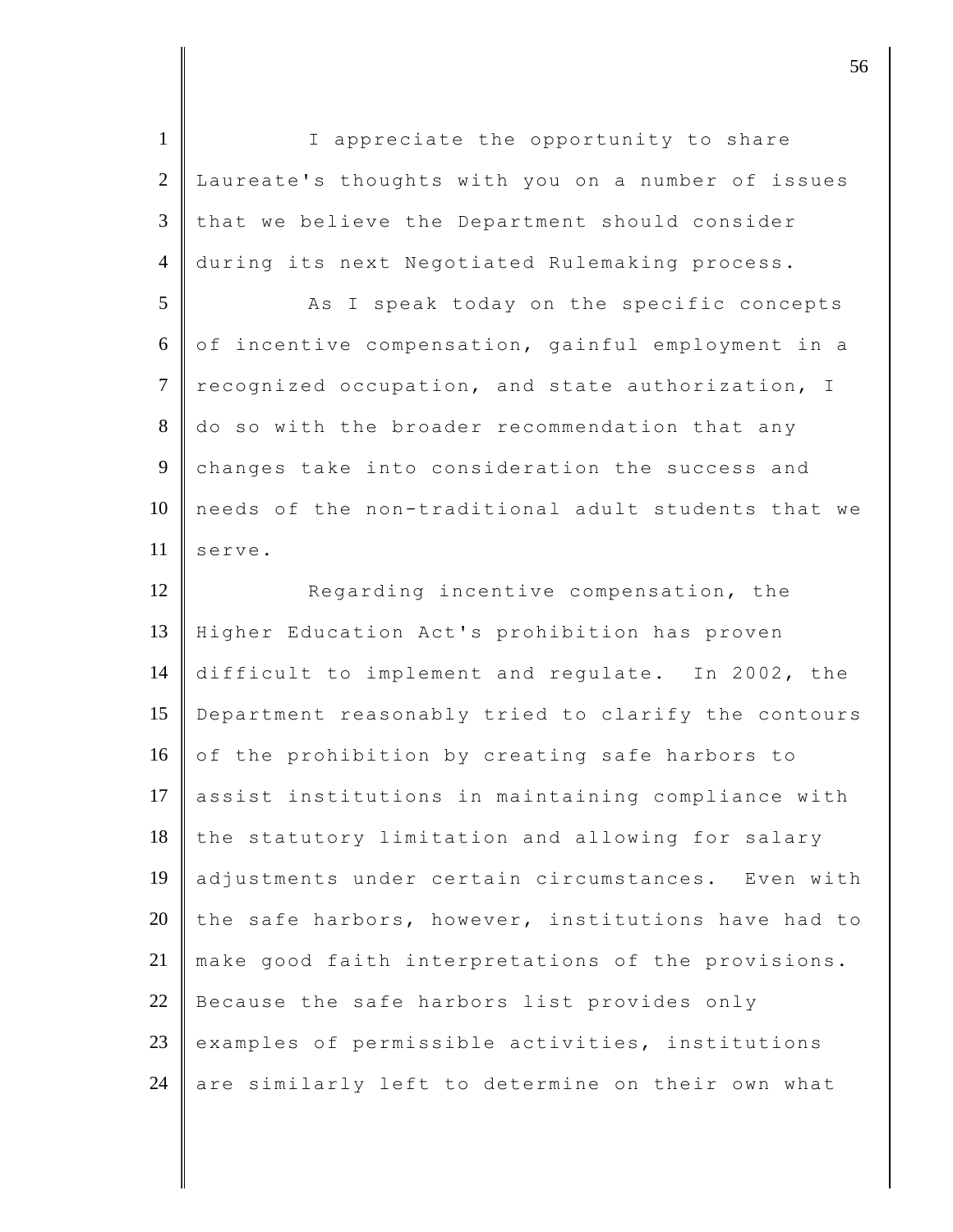1 | I appreciate the opportunity to share 2 Laureate's thoughts with you on a number of issues  $3$  that we believe the Department should consider 4 during its next Negotiated Rulemaking process. 5 As I speak today on the specific concepts  $6 \parallel$  of incentive compensation, gainful employment in a 7 recognized occupation, and state authorization, I 8 do so with the broader recommendation that any 9 changes take into consideration the success and 10 needs of the non-traditional adult students that we  $11 \parallel$  serve. 12 Regarding incentive compensation, the 13 Higher Education Act's prohibition has proven 14 difficult to implement and regulate. In 2002, the 15 Department reasonably tried to clarify the contours 16 of the prohibition by creating safe harbors to 17 assist institutions in maintaining compliance with 18 the statutory limitation and allowing for salary 19 adjustments under certain circumstances. Even with 20 the safe harbors, however, institutions have had to 21 make good faith interpretations of the provisions. 22 Because the safe harbors list provides only  $23$  examples of permissible activities, institutions 24 are similarly left to determine on their own what

discrete the set of  $\sim$  56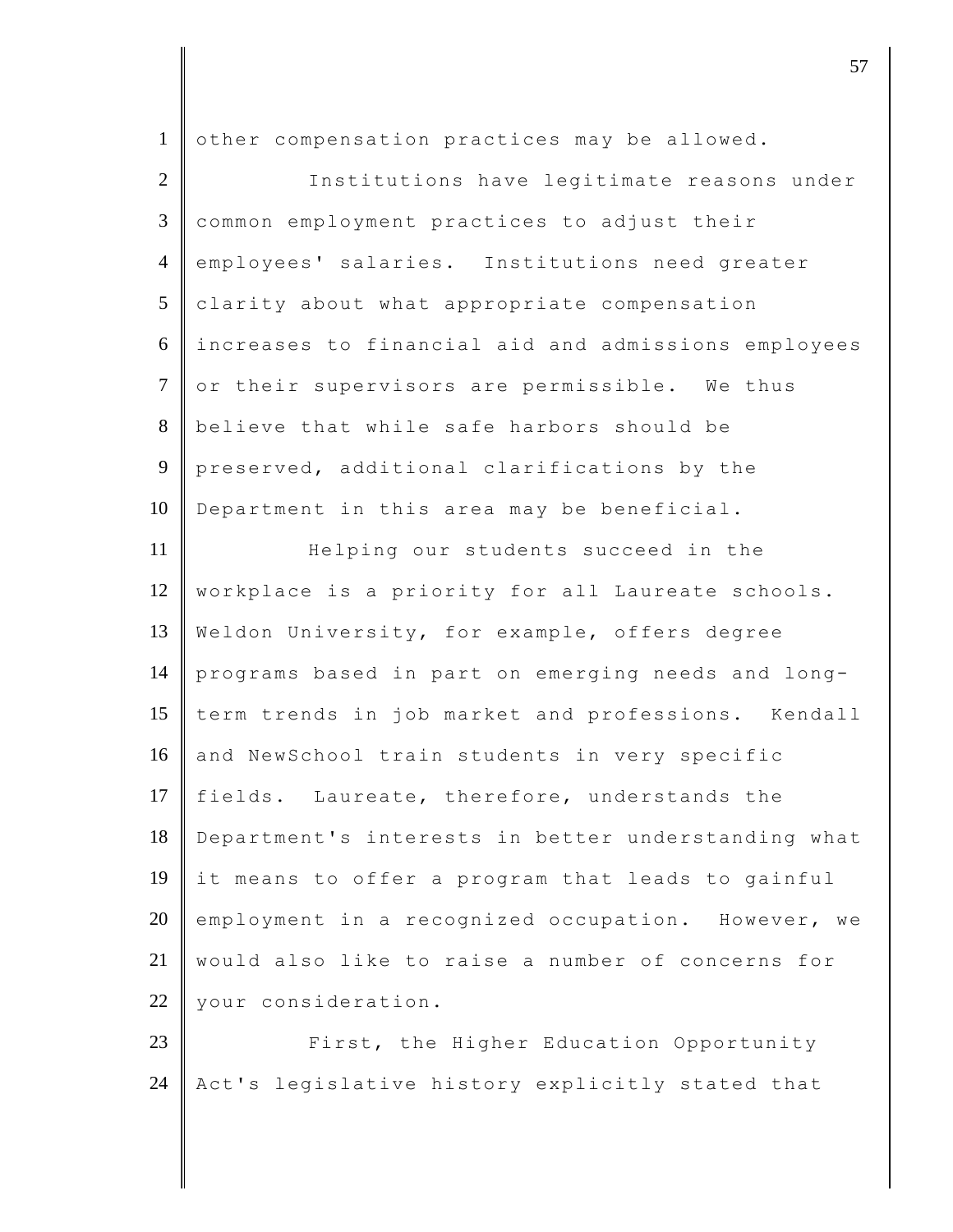| $\mathbf{1}$   | other compensation practices may be allowed.        |
|----------------|-----------------------------------------------------|
| 2              | Institutions have legitimate reasons under          |
| 3              | common employment practices to adjust their         |
| $\overline{4}$ | employees' salaries. Institutions need greater      |
| 5              | clarity about what appropriate compensation         |
| 6              | increases to financial aid and admissions employees |
| $\tau$         | or their supervisors are permissible. We thus       |
| 8              | believe that while safe harbors should be           |
| 9              | preserved, additional clarifications by the         |
| 10             | Department in this area may be beneficial.          |
| 11             | Helping our students succeed in the                 |
| 12             | workplace is a priority for all Laureate schools.   |
| 13             | Weldon University, for example, offers degree       |
| 14             | programs based in part on emerging needs and long-  |
| 15             | term trends in job market and professions. Kendall  |
| 16             | and NewSchool train students in very specific       |
| 17             | fields. Laureate, therefore, understands the        |
| 18             | Department's interests in better understanding what |
| 19             | it means to offer a program that leads to gainful   |
| 20             | employment in a recognized occupation. However, we  |
| 21             | would also like to raise a number of concerns for   |
| 22             | your consideration.                                 |
| 23             | First, the Higher Education Opportunity             |
| 24             | Act's legislative history explicitly stated that    |

discrete the contract of  $\overline{57}$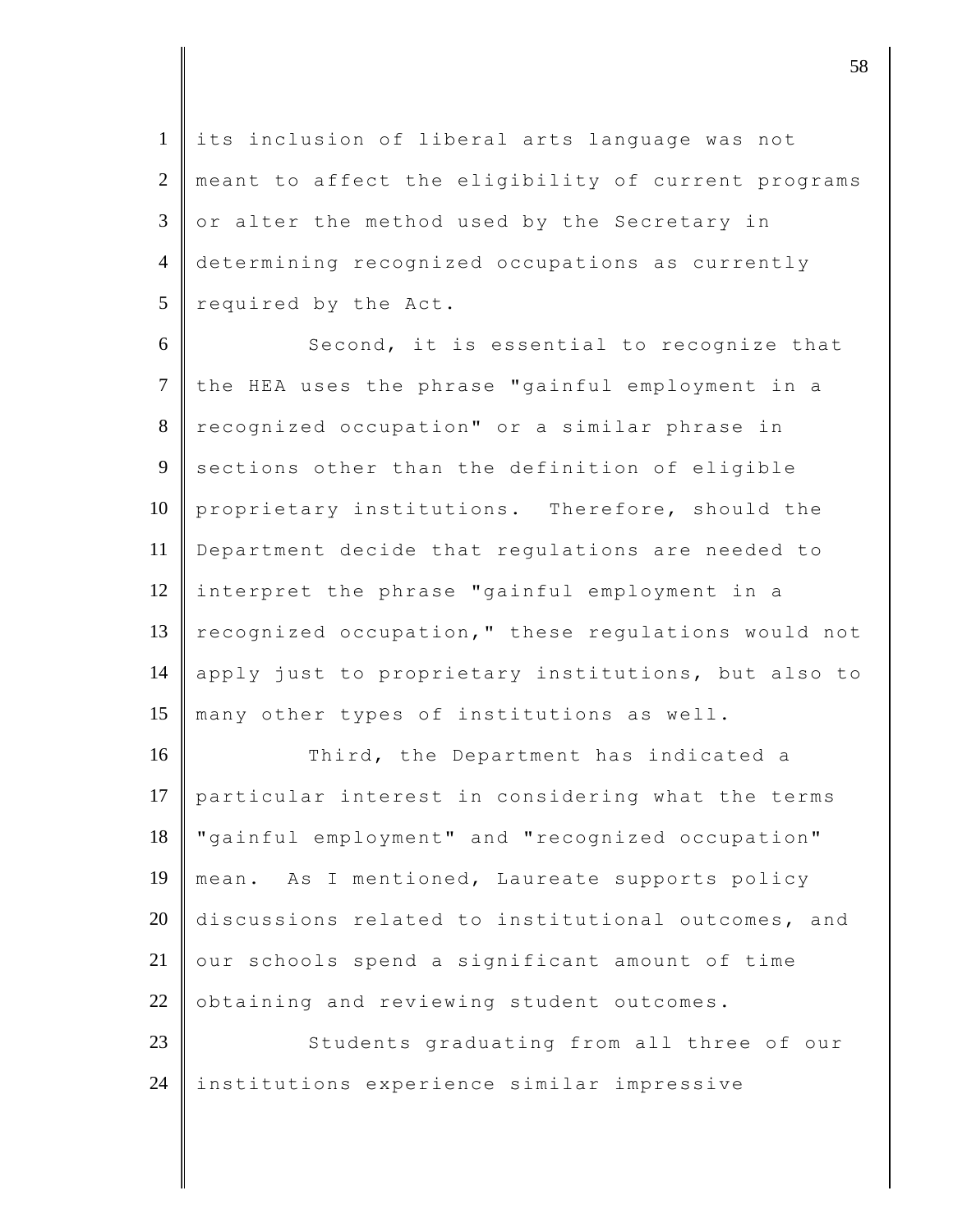1 its inclusion of liberal arts language was not 2 meant to affect the eligibility of current programs  $3 \parallel$  or alter the method used by the Secretary in 4 determining recognized occupations as currently 5 required by the Act.

6 Second, it is essential to recognize that 7 the HEA uses the phrase "gainful employment in a 8 recognized occupation" or a similar phrase in 9 sections other than the definition of eligible 10 proprietary institutions. Therefore, should the 11 Department decide that regulations are needed to 12 interpret the phrase "gainful employment in a 13 recognized occupation," these regulations would not 14 apply just to proprietary institutions, but also to 15 many other types of institutions as well.

16 Third, the Department has indicated a 17 particular interest in considering what the terms 18 "gainful employment" and "recognized occupation" 19 mean. As I mentioned, Laureate supports policy 20 discussions related to institutional outcomes, and  $21$  our schools spend a significant amount of time  $22$  obtaining and reviewing student outcomes.

23 Students graduating from all three of our 24 | institutions experience similar impressive

 $\vert$  58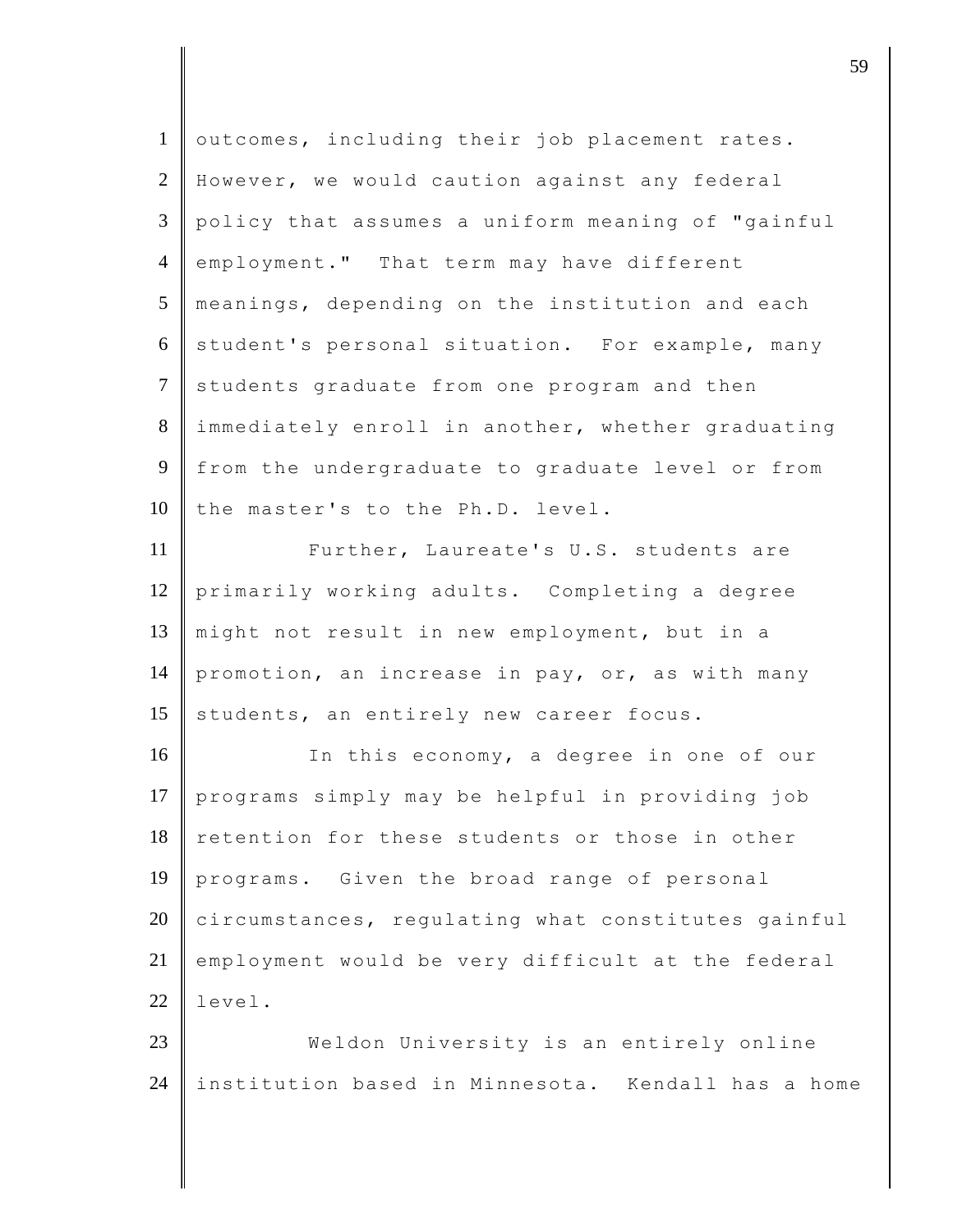| $\mathbf{1}$   | outcomes, including their job placement rates.     |
|----------------|----------------------------------------------------|
| $\overline{2}$ | However, we would caution against any federal      |
| 3              | policy that assumes a uniform meaning of "gainful  |
| $\overline{4}$ | employment." That term may have different          |
| 5              | meanings, depending on the institution and each    |
| 6              | student's personal situation. For example, many    |
| $\tau$         | students graduate from one program and then        |
| 8              | immediately enroll in another, whether graduating  |
| 9              | from the undergraduate to graduate level or from   |
| 10             | the master's to the Ph.D. level.                   |
| 11             | Further, Laureate's U.S. students are              |
| 12             | primarily working adults. Completing a degree      |
| 13             | might not result in new employment, but in a       |
| 14             | promotion, an increase in pay, or, as with many    |
| 15             | students, an entirely new career focus.            |
| 16             | In this economy, a degree in one of our            |
| 17             | programs simply may be helpful in providing job    |
| 18             | retention for these students or those in other     |
| 19             | Given the broad range of personal<br>programs.     |
| 20             | circumstances, regulating what constitutes gainful |
| 21             | employment would be very difficult at the federal  |
| 22             | level.                                             |
| 23             | Weldon University is an entirely online            |
| 24             | institution based in Minnesota. Kendall has a home |

djective terms of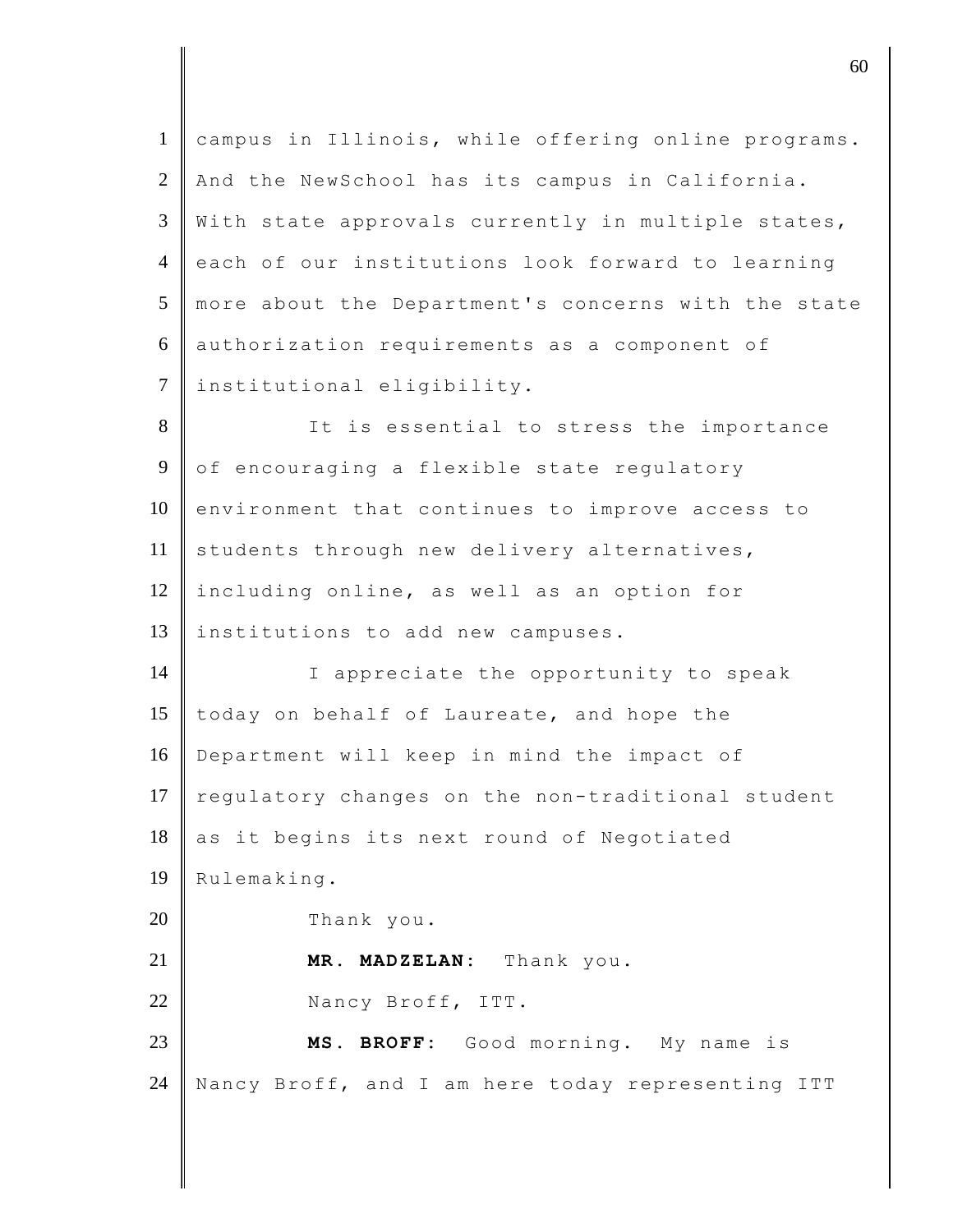| $\mathbf{1}$   | campus in Illinois, while offering online programs. |
|----------------|-----------------------------------------------------|
| $\overline{2}$ | And the NewSchool has its campus in California.     |
| 3              | With state approvals currently in multiple states,  |
| $\overline{4}$ | each of our institutions look forward to learning   |
| 5              | more about the Department's concerns with the state |
| 6              | authorization requirements as a component of        |
| $\overline{7}$ | institutional eligibility.                          |
| 8              | It is essential to stress the importance            |
| $\overline{9}$ | of encouraging a flexible state regulatory          |
| 10             | environment that continues to improve access to     |
| 11             | students through new delivery alternatives,         |
| 12             | including online, as well as an option for          |
| 13             | institutions to add new campuses.                   |
| 14             | I appreciate the opportunity to speak               |
| 15             | today on behalf of Laureate, and hope the           |
| 16             | Department will keep in mind the impact of          |
| 17             | regulatory changes on the non-traditional student   |
| 18             | as it begins its next round of Negotiated           |
| 19             | Rulemaking.                                         |
| 20             | Thank you.                                          |
| 21             | MADZELAN: Thank you.<br>MR.                         |
| 22             | Nancy Broff, ITT.                                   |
| 23             | MS. BROFF: Good morning. My name is                 |
| 24             | Nancy Broff, and I am here today representing ITT   |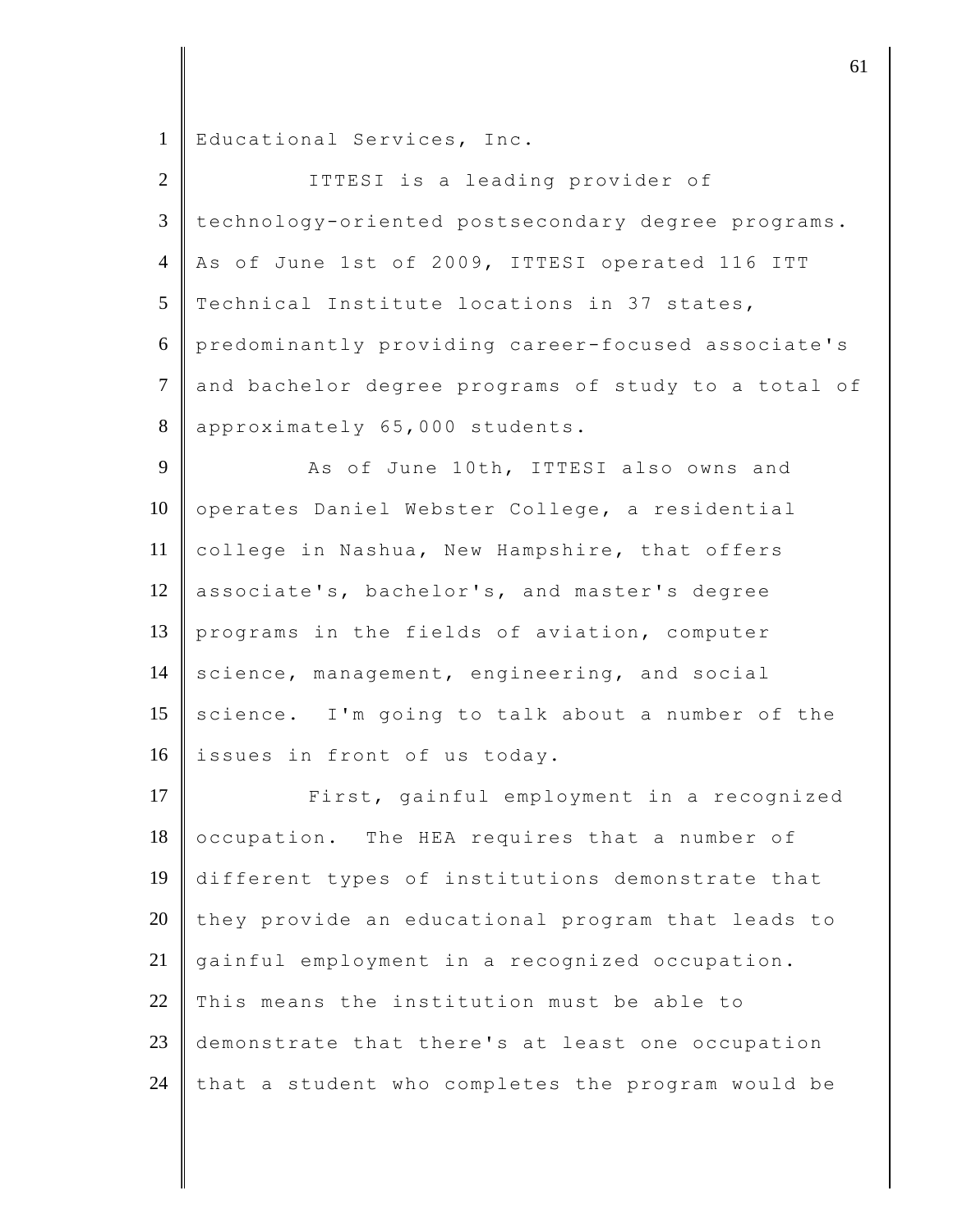Educational Services, Inc.

| $\overline{2}$ | ITTESI is a leading provider of                     |
|----------------|-----------------------------------------------------|
| 3              | technology-oriented postsecondary degree programs.  |
| $\overline{4}$ | As of June 1st of 2009, ITTESI operated 116 ITT     |
| 5              | Technical Institute locations in 37 states,         |
| 6              | predominantly providing career-focused associate's  |
| $\tau$         | and bachelor degree programs of study to a total of |
| $8\,$          | approximately 65,000 students.                      |
| 9              | As of June 10th, ITTESI also owns and               |
| 10             | operates Daniel Webster College, a residential      |
| 11             | college in Nashua, New Hampshire, that offers       |
| 12             | associate's, bachelor's, and master's degree        |
| 13             | programs in the fields of aviation, computer        |
| 14             | science, management, engineering, and social        |
| 15             | science. I'm going to talk about a number of the    |
| 16             | issues in front of us today.                        |
| 17             | First, gainful employment in a recognized           |
| 18             | occupation. The HEA requires that a number of       |
| 19             | different types of institutions demonstrate that    |
| 20             | they provide an educational program that leads to   |
| 21             | gainful employment in a recognized occupation.      |
| $22\,$         | This means the institution must be able to          |
| 23             | demonstrate that there's at least one occupation    |
| 24             | that a student who completes the program would be   |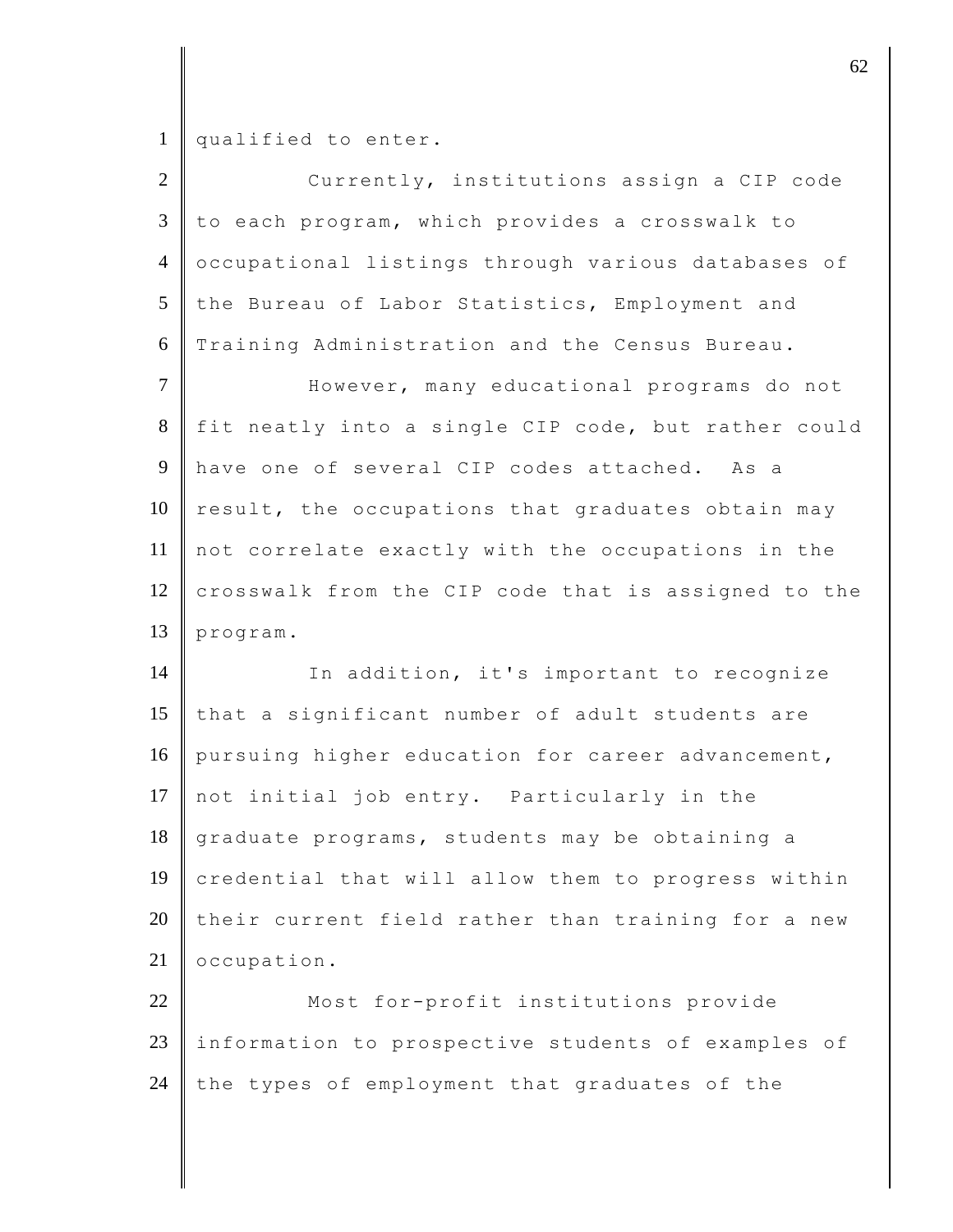qualified to enter.

| $\overline{2}$ | Currently, institutions assign a CIP code           |
|----------------|-----------------------------------------------------|
| 3              | to each program, which provides a crosswalk to      |
| $\overline{4}$ | occupational listings through various databases of  |
| 5              | the Bureau of Labor Statistics, Employment and      |
| 6              | Training Administration and the Census Bureau.      |
| $\overline{7}$ | However, many educational programs do not           |
| 8              | fit neatly into a single CIP code, but rather could |
| 9              | have one of several CIP codes attached. As a        |
| 10             | result, the occupations that graduates obtain may   |
| 11             | not correlate exactly with the occupations in the   |
| 12             | crosswalk from the CIP code that is assigned to the |
|                | program.                                            |
|                |                                                     |
| 14             | In addition, it's important to recognize            |
| 13<br>15       | that a significant number of adult students are     |
| 16             | pursuing higher education for career advancement,   |
|                | not initial job entry. Particularly in the          |
| 18             | graduate programs, students may be obtaining a      |
| 19             | credential that will allow them to progress within  |
| 17<br>20       | their current field rather than training for a new  |
| 21             | occupation.                                         |
| 22             | Most for-profit institutions provide                |
| 23             | information to prospective students of examples of  |
| 24             | the types of employment that graduates of the       |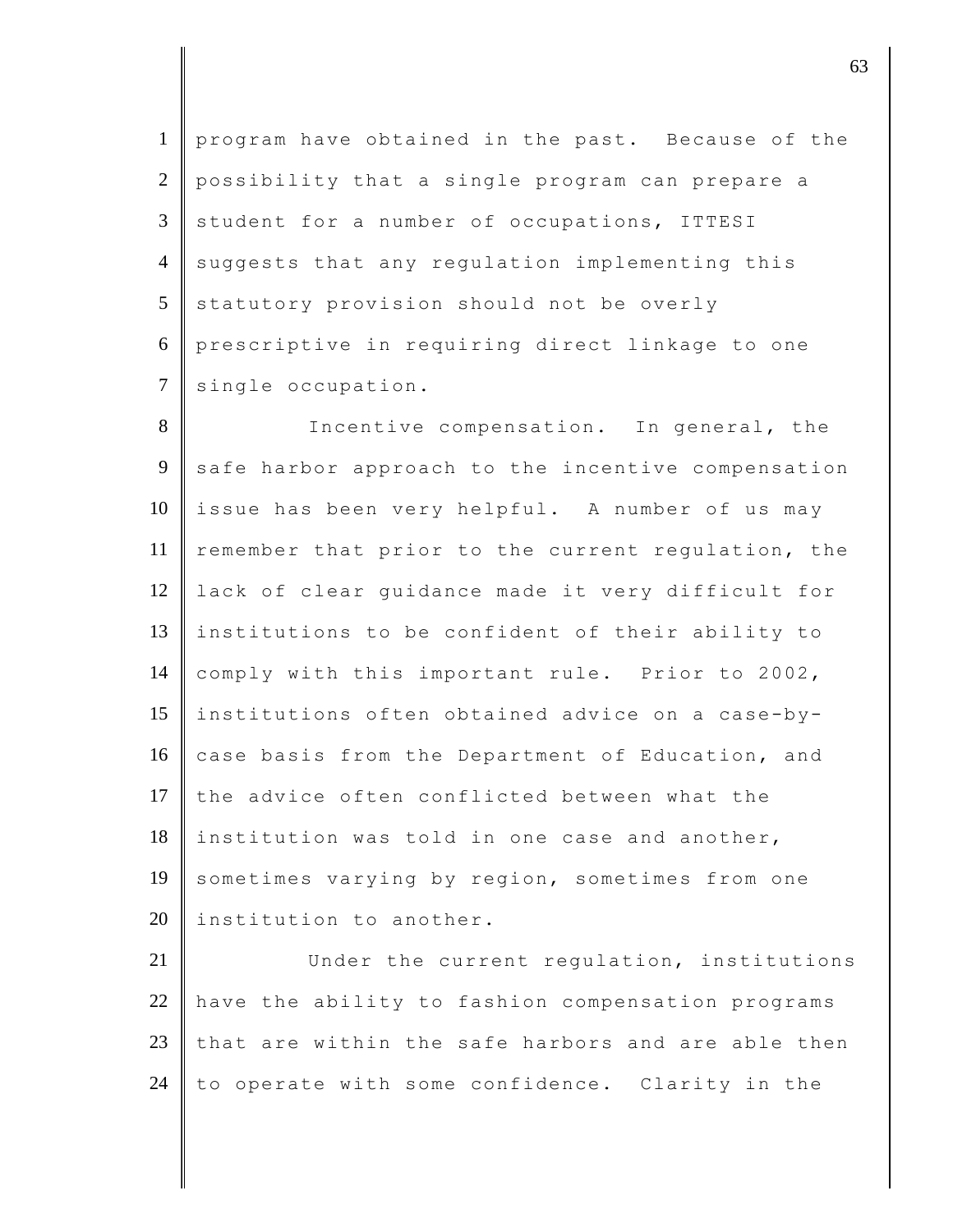1 program have obtained in the past. Because of the 2 possibility that a single program can prepare a  $3 \parallel$  student for a number of occupations, ITTESI 4 suggests that any regulation implementing this  $5$  statutory provision should not be overly 6 prescriptive in requiring direct linkage to one 7 single occupation.

8 Incentive compensation. In general, the 9 safe harbor approach to the incentive compensation  $10$  issue has been very helpful. A number of us may 11 remember that prior to the current regulation, the 12 lack of clear guidance made it very difficult for 13 institutions to be confident of their ability to 14 comply with this important rule. Prior to 2002, 15 institutions often obtained advice on a case-by-16 case basis from the Department of Education, and 17 the advice often conflicted between what the  $18$  institution was told in one case and another, 19 sometimes varying by region, sometimes from one 20  $\parallel$  institution to another.

21 Under the current requlation, institutions have the ability to fashion compensation programs that are within the safe harbors and are able then  $\parallel$  to operate with some confidence. Clarity in the

 $\vert$  63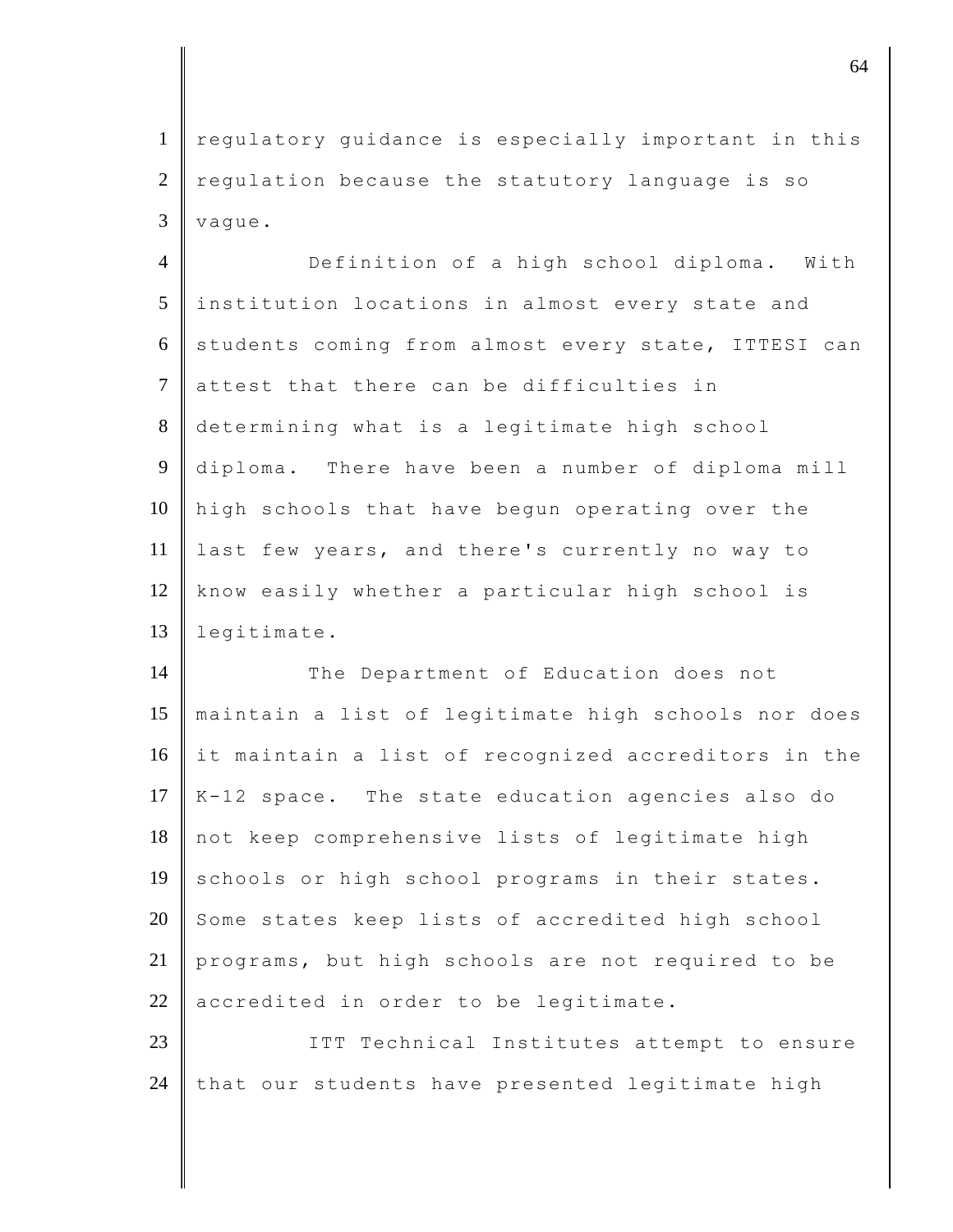1 regulatory guidance is especially important in this  $2 \parallel$  regulation because the statutory language is so  $3$  vague.

4 Definition of a high school diploma. With 5 institution locations in almost every state and 6 students coming from almost every state, ITTESI can 7 attest that there can be difficulties in 8 determining what is a legitimate high school 9 diploma. There have been a number of diploma mill 10 high schools that have begun operating over the 11 last few years, and there's currently no way to 12 | know easily whether a particular high school is 13 legitimate.

14 The Department of Education does not maintain a list of legitimate high schools nor does it maintain a list of recognized accreditors in the  $K-12$  space. The state education agencies also do not keep comprehensive lists of legitimate high 19 schools or high school programs in their states. 20 Some states keep lists of accredited high school programs, but high schools are not required to be accredited in order to be legitimate.

23 | ITT Technical Institutes attempt to ensure 24 that our students have presented legitimate high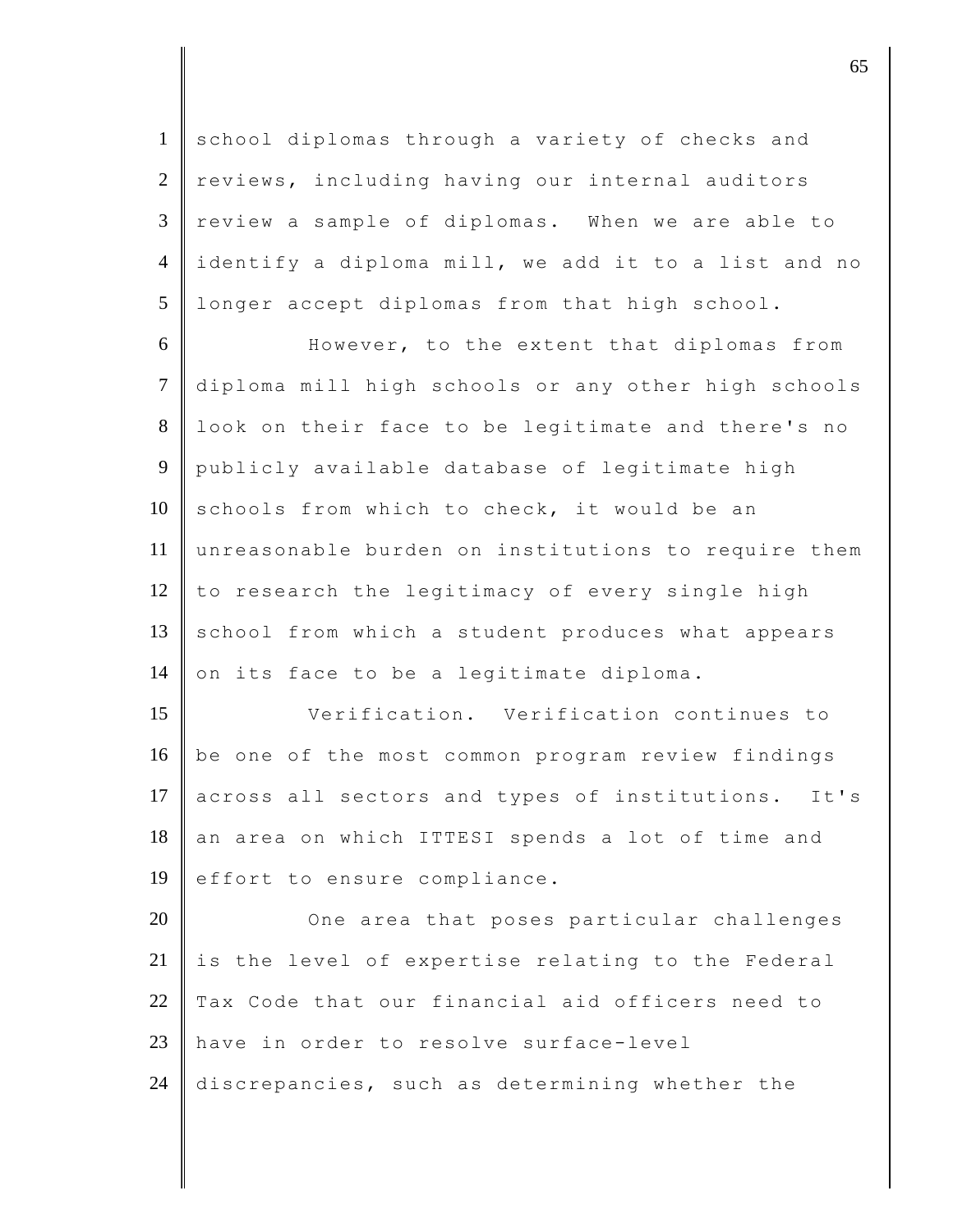1 school diplomas through a variety of checks and 2 reviews, including having our internal auditors  $3 \parallel$  review a sample of diplomas. When we are able to 4 identify a diploma mill, we add it to a list and no 5 longer accept diplomas from that high school.

6 However, to the extent that diplomas from 7 diploma mill high schools or any other high schools 8 look on their face to be legitimate and there's no 9 publicly available database of legitimate high  $10$  schools from which to check, it would be an 11 unreasonable burden on institutions to require them  $12$  to research the legitimacy of every single high 13 school from which a student produces what appears 14 on its face to be a legitimate diploma.

15 Verification. Verification continues to 16 be one of the most common program review findings 17 across all sectors and types of institutions. It's 18 an area on which ITTESI spends a lot of time and 19  $\parallel$  effort to ensure compliance.

20 **One area that poses particular challenges**  $21$  is the level of expertise relating to the Federal 22 Tax Code that our financial aid officers need to 23 have in order to resolve surface-level 24 discrepancies, such as determining whether the

discrete the contract of  $65$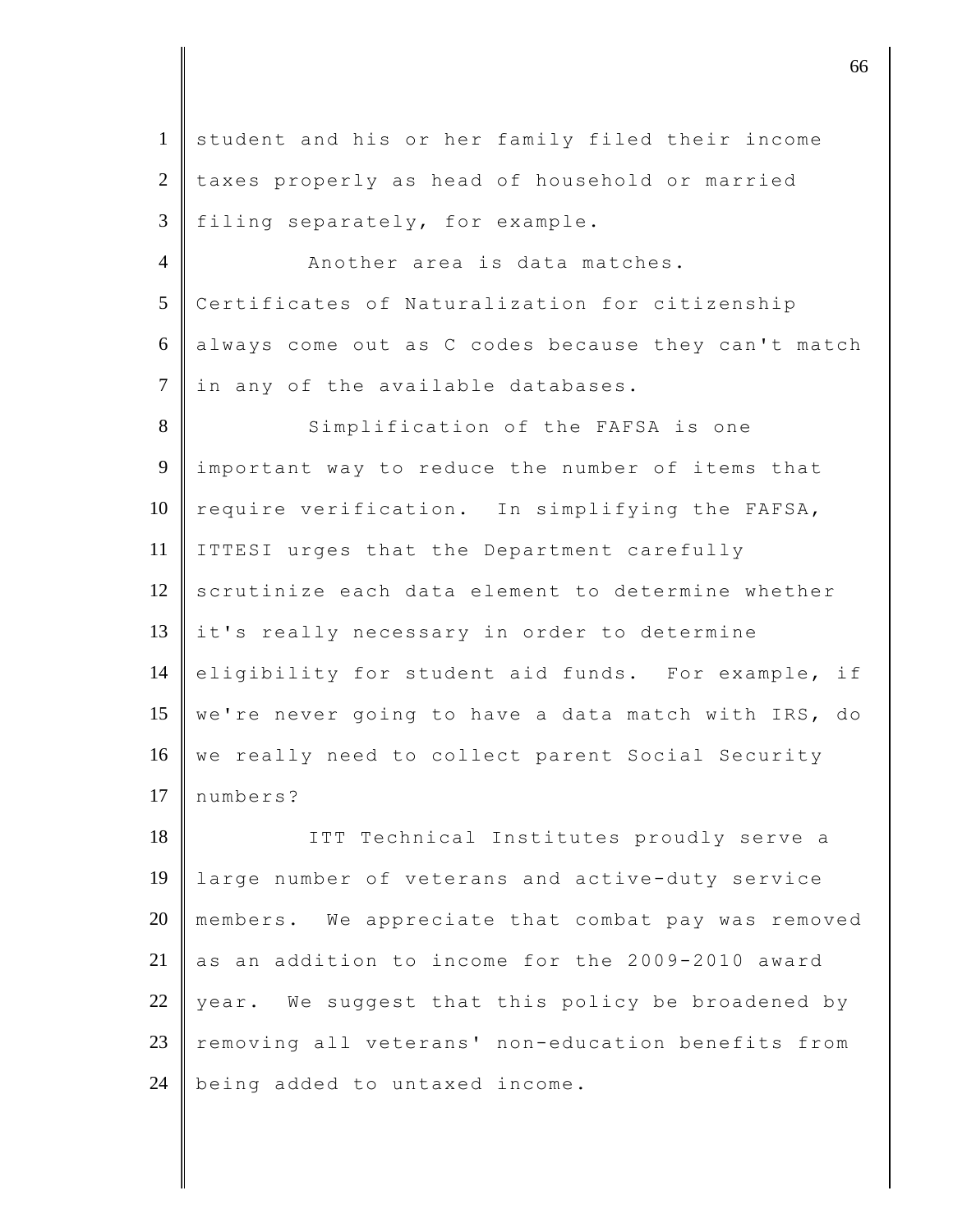1 student and his or her family filed their income 2 taxes properly as head of household or married  $3$  filing separately, for example. 4 Another area is data matches.

5 Certificates of Naturalization for citizenship 6 always come out as C codes because they can't match 7 | in any of the available databases.

8 Simplification of the FAFSA is one 9 important way to reduce the number of items that  $10$  require verification. In simplifying the FAFSA, 11 ITTESI urges that the Department carefully 12 scrutinize each data element to determine whether 13 it's really necessary in order to determine 14 eligibility for student aid funds. For example, if 15 | we're never going to have a data match with IRS, do 16 we really need to collect parent Social Security 17 numbers?

18 || ITT Technical Institutes proudly serve a 19 large number of veterans and active-duty service 20 members. We appreciate that combat pay was removed 21 as an addition to income for the 2009-2010 award 22 vear. We suggest that this policy be broadened by 23 | removing all veterans' non-education benefits from 24  $\parallel$  being added to untaxed income.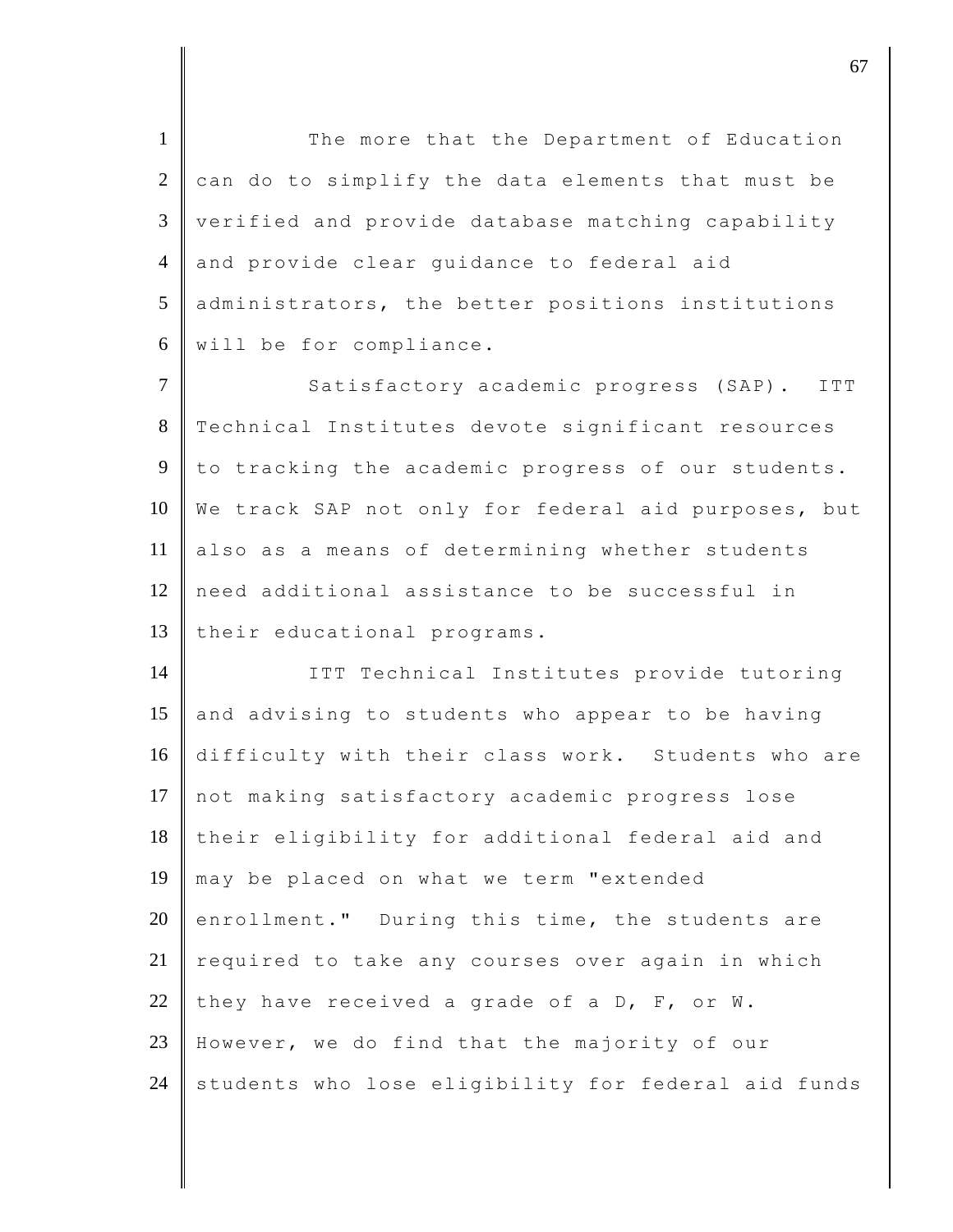1 The more that the Department of Education  $2$  can do to simplify the data elements that must be 3 verified and provide database matching capability 4 and provide clear guidance to federal aid 5 administrators, the better positions institutions 6 will be for compliance.

7 Satisfactory academic progress (SAP). ITT 8 Technical Institutes devote significant resources 9 to tracking the academic progress of our students. 10 We track SAP not only for federal aid purposes, but 11 also as a means of determining whether students 12 need additional assistance to be successful in 13 their educational programs.

14 | ITT Technical Institutes provide tutoring 15 and advising to students who appear to be having 16 difficulty with their class work. Students who are 17 not making satisfactory academic progress lose 18 their eligibility for additional federal aid and 19 may be placed on what we term "extended 20 enrollment." During this time, the students are  $21$  required to take any courses over again in which 22 they have received a grade of a D, F, or W. 23 | However, we do find that the majority of our  $24$  students who lose eligibility for federal aid funds

discrete the contract of  $\sim$  67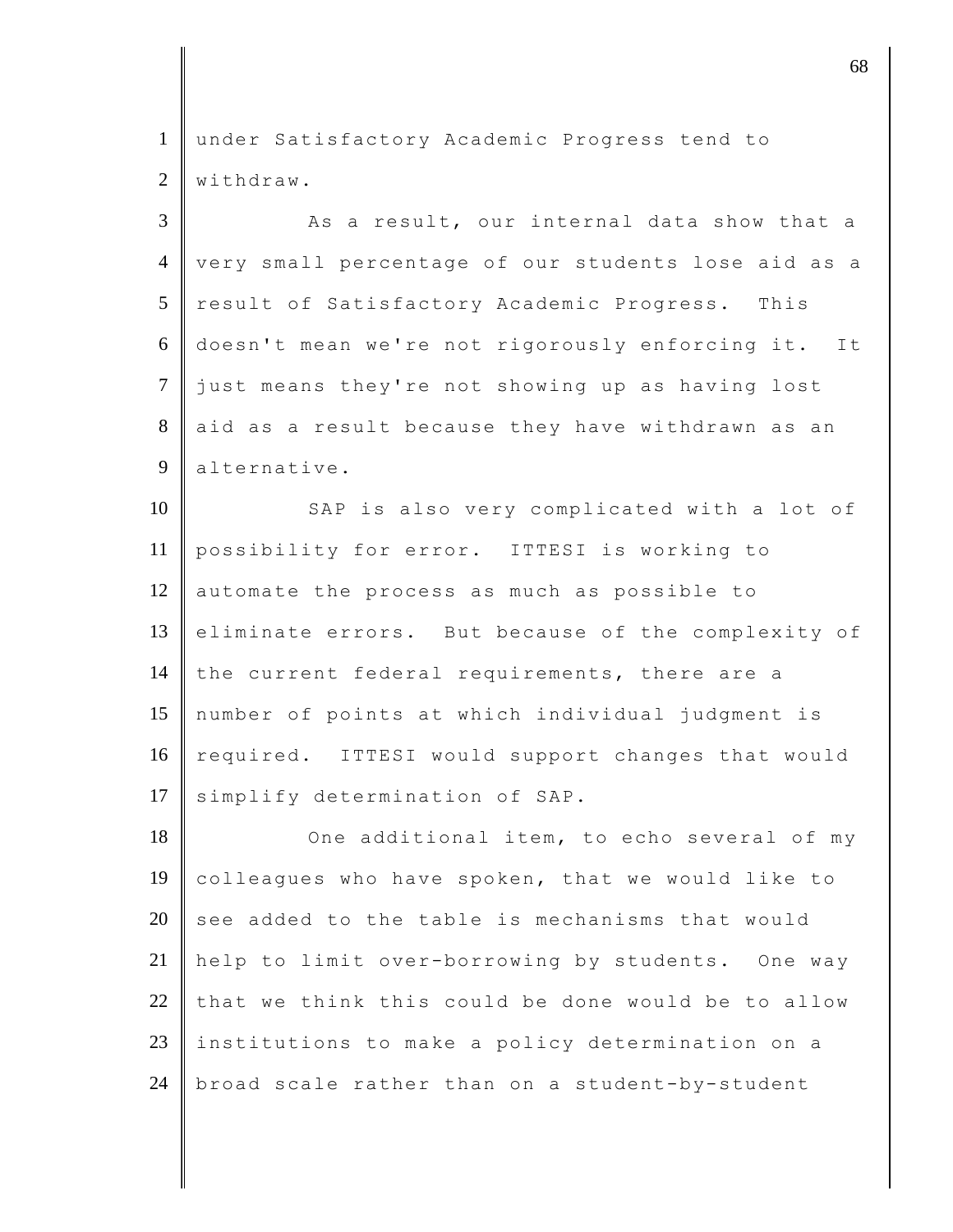1 under Satisfactory Academic Progress tend to 2 Withdraw.

 $3 \parallel$  As a result, our internal data show that a 4 very small percentage of our students lose aid as a 5 result of Satisfactory Academic Progress. This 6 doesn't mean we're not rigorously enforcing it. It 7 just means they're not showing up as having lost 8 aid as a result because they have withdrawn as an 9 alternative. 10 SAP is also very complicated with a lot of 11 possibility for error. ITTESI is working to 12 automate the process as much as possible to 13 eliminate errors. But because of the complexity of  $14$  the current federal requirements, there are a 15 number of points at which individual judgment is 16 required. ITTESI would support changes that would

17 simplify determination of SAP.

18 One additional item, to echo several of my 19 colleagues who have spoken, that we would like to 20 see added to the table is mechanisms that would 21 help to limit over-borrowing by students. One way  $22$  that we think this could be done would be to allow 23 institutions to make a policy determination on a 24 | broad scale rather than on a student-by-student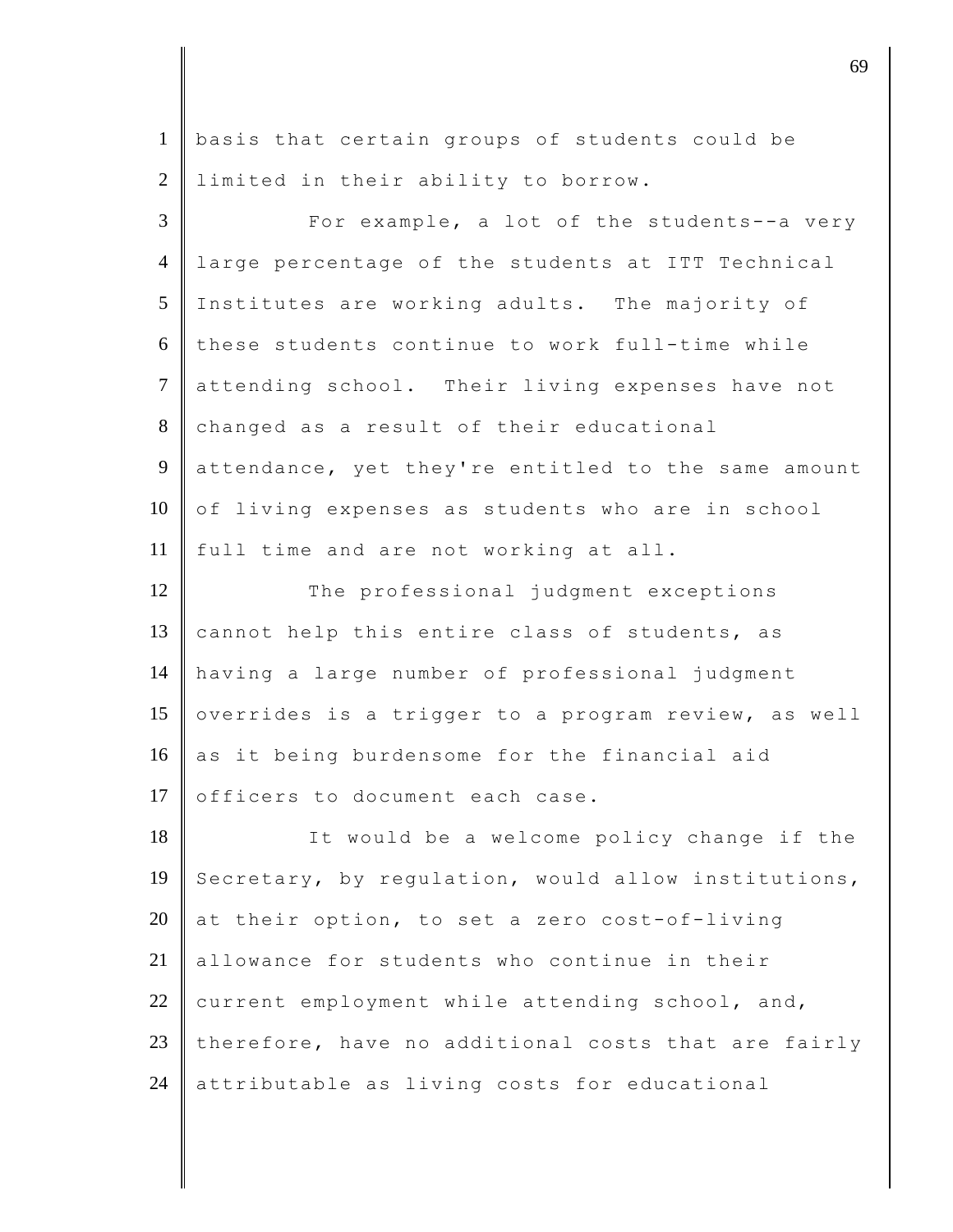1 basis that certain groups of students could be 2 | limited in their ability to borrow.

3 **For example, a lot of the students--a very** 4 large percentage of the students at ITT Technical 5 Institutes are working adults. The majority of 6 these students continue to work full-time while 7 attending school. Their living expenses have not 8 changed as a result of their educational 9 attendance, yet they're entitled to the same amount 10 of living expenses as students who are in school 11 full time and are not working at all. 12 The professional judgment exceptions 13 cannot help this entire class of students, as 14 having a large number of professional judgment 15 overrides is a trigger to a program review, as well  $16$  as it being burdensome for the financial aid 17 officers to document each case. 18 It would be a welcome policy change if the 19 Secretary, by regulation, would allow institutions, 20 at their option, to set a zero cost-of-living 21 allowance for students who continue in their

23 therefore, have no additional costs that are fairly 24 attributable as living costs for educational

22 current employment while attending school, and,

discrete the contract of  $\theta$  69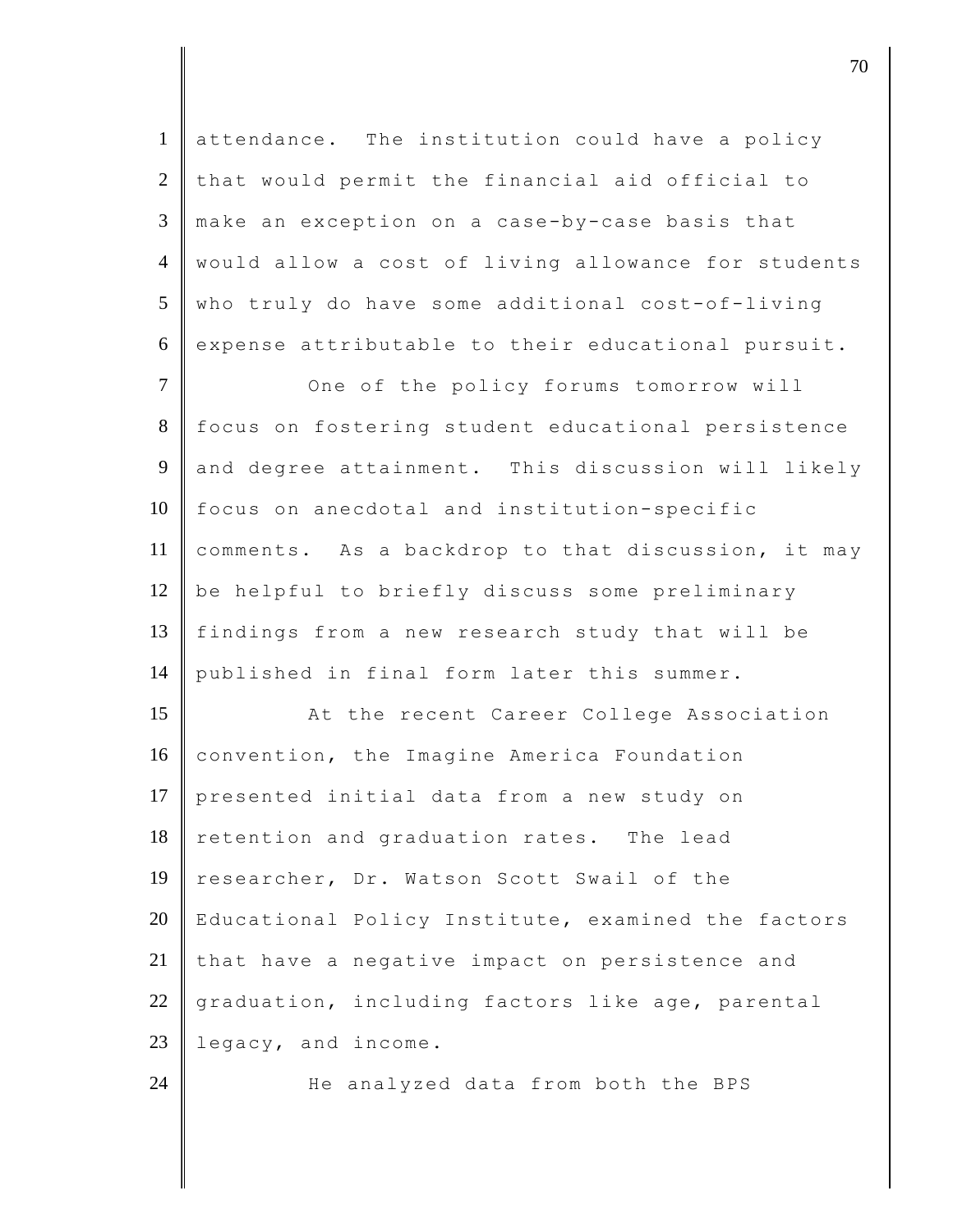| $\mathbf{1}$   | attendance. The institution could have a policy     |
|----------------|-----------------------------------------------------|
| $\overline{2}$ | that would permit the financial aid official to     |
| 3              | make an exception on a case-by-case basis that      |
| $\overline{4}$ | would allow a cost of living allowance for students |
| 5              | who truly do have some additional cost-of-living    |
| 6              | expense attributable to their educational pursuit.  |
| $\tau$         | One of the policy forums tomorrow will              |
| 8              | focus on fostering student educational persistence  |
| 9              | and degree attainment. This discussion will likely  |
| 10             | focus on anecdotal and institution-specific         |
| 11             | comments. As a backdrop to that discussion, it may  |
| 12             | be helpful to briefly discuss some preliminary      |
| 13             | findings from a new research study that will be     |
| 14             | published in final form later this summer.          |
| 15             | At the recent Career College Association            |
| 16             | convention, the Imagine America Foundation          |
| 17             | presented initial data from a new study on          |
| 18             | retention and graduation rates. The lead            |
| 19             | researcher, Dr. Watson Scott Swail of the           |
| 20             | Educational Policy Institute, examined the factors  |
| 21             | that have a negative impact on persistence and      |
| 22             | graduation, including factors like age, parental    |
| 23             | legacy, and income.                                 |
| 24             | He analyzed data from both the BPS                  |

discrete the contract of  $\overline{70}$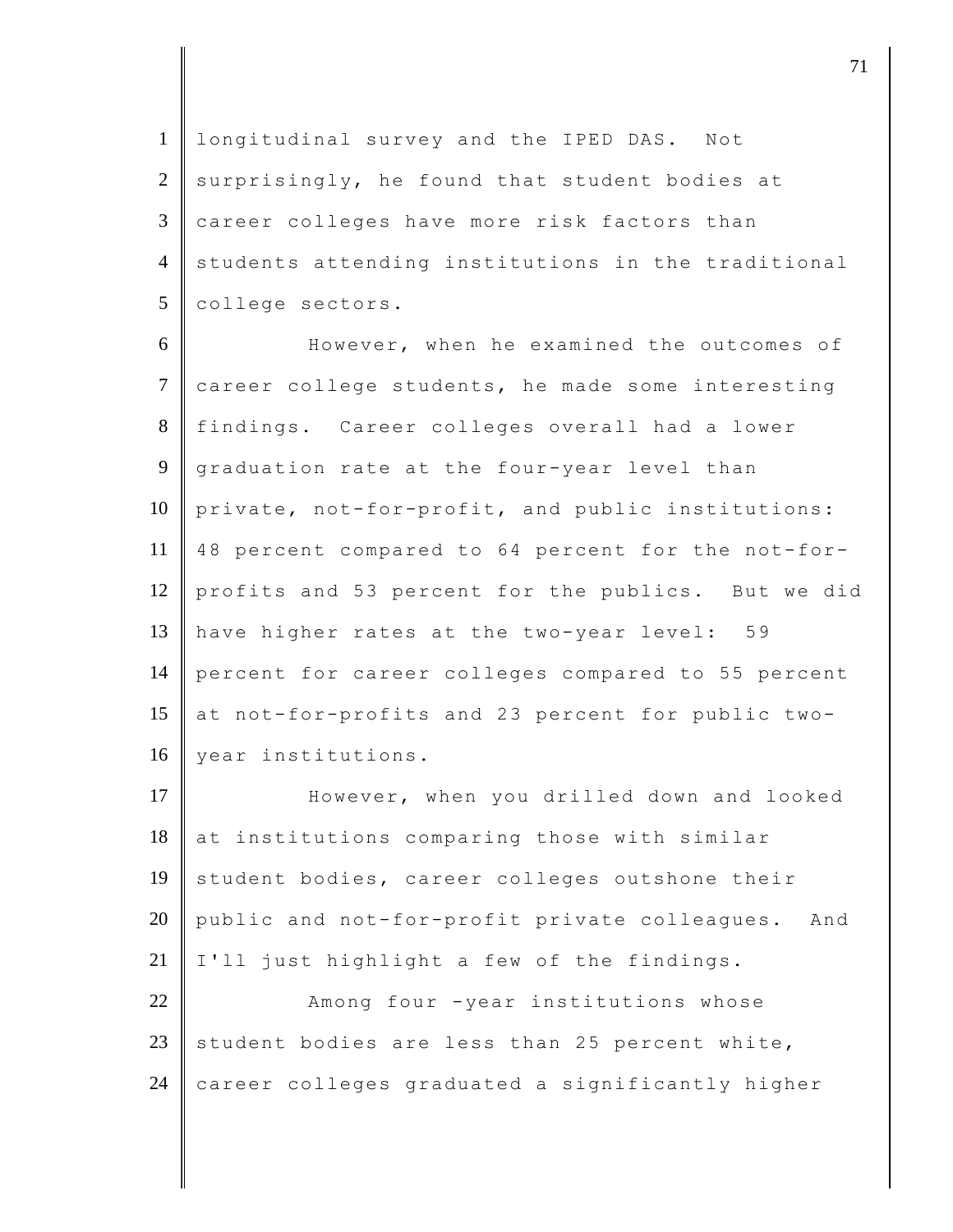1 longitudinal survey and the IPED DAS. Not  $2$  surprisingly, he found that student bodies at  $3 \parallel$  career colleges have more risk factors than 4 students attending institutions in the traditional 5 college sectors.

6 However, when he examined the outcomes of 7 career college students, he made some interesting 8 findings. Career colleges overall had a lower 9 graduation rate at the four-year level than 10 private, not-for-profit, and public institutions: 11 48 percent compared to 64 percent for the not-for-12 profits and 53 percent for the publics. But we did 13 have higher rates at the two-year level: 59 14 percent for career colleges compared to 55 percent 15 at not-for-profits and 23 percent for public two-16 year institutions.

17 **However,** when you drilled down and looked  $18$  at institutions comparing those with similar  $19$  student bodies, career colleges outshone their 20 public and not-for-profit private colleagues. And  $21$  I'll just highlight a few of the findings. 22 Among four -year institutions whose 23 student bodies are less than 25 percent white,

24 career colleges graduated a significantly higher

djective terms of  $\overline{a}$  71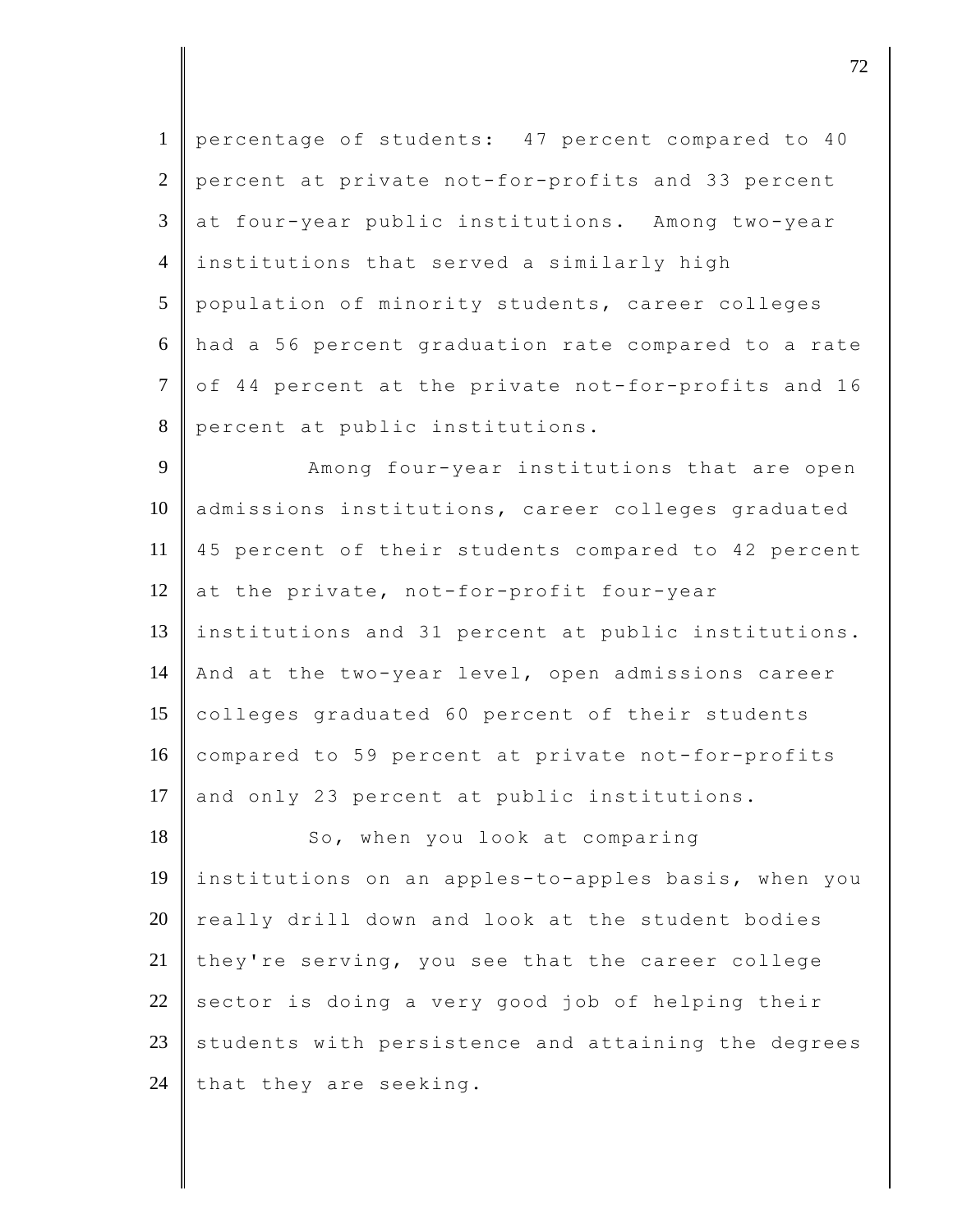1 percentage of students: 47 percent compared to 40 2 percent at private not-for-profits and 33 percent 3 at four-year public institutions. Among two-year 4 institutions that served a similarly high 5 population of minority students, career colleges 6 had a 56 percent graduation rate compared to a rate 7 of 44 percent at the private not-for-profits and 16 8 percent at public institutions. 9 Among four-year institutions that are open

10 admissions institutions, career colleges graduated 11 45 percent of their students compared to 42 percent 12 at the private, not-for-profit four-year 13 institutions and 31 percent at public institutions. 14 And at the two-year level, open admissions career 15 colleges graduated 60 percent of their students 16 compared to 59 percent at private not-for-profits 17 and only 23 percent at public institutions.

18 So, when you look at comparing 19 institutions on an apples-to-apples basis, when you  $20$  really drill down and look at the student bodies 21 they're serving, you see that the career college  $22$  sector is doing a very good job of helping their  $23$  students with persistence and attaining the degrees 24 that they are seeking.

discrete the contract of  $\overline{72}$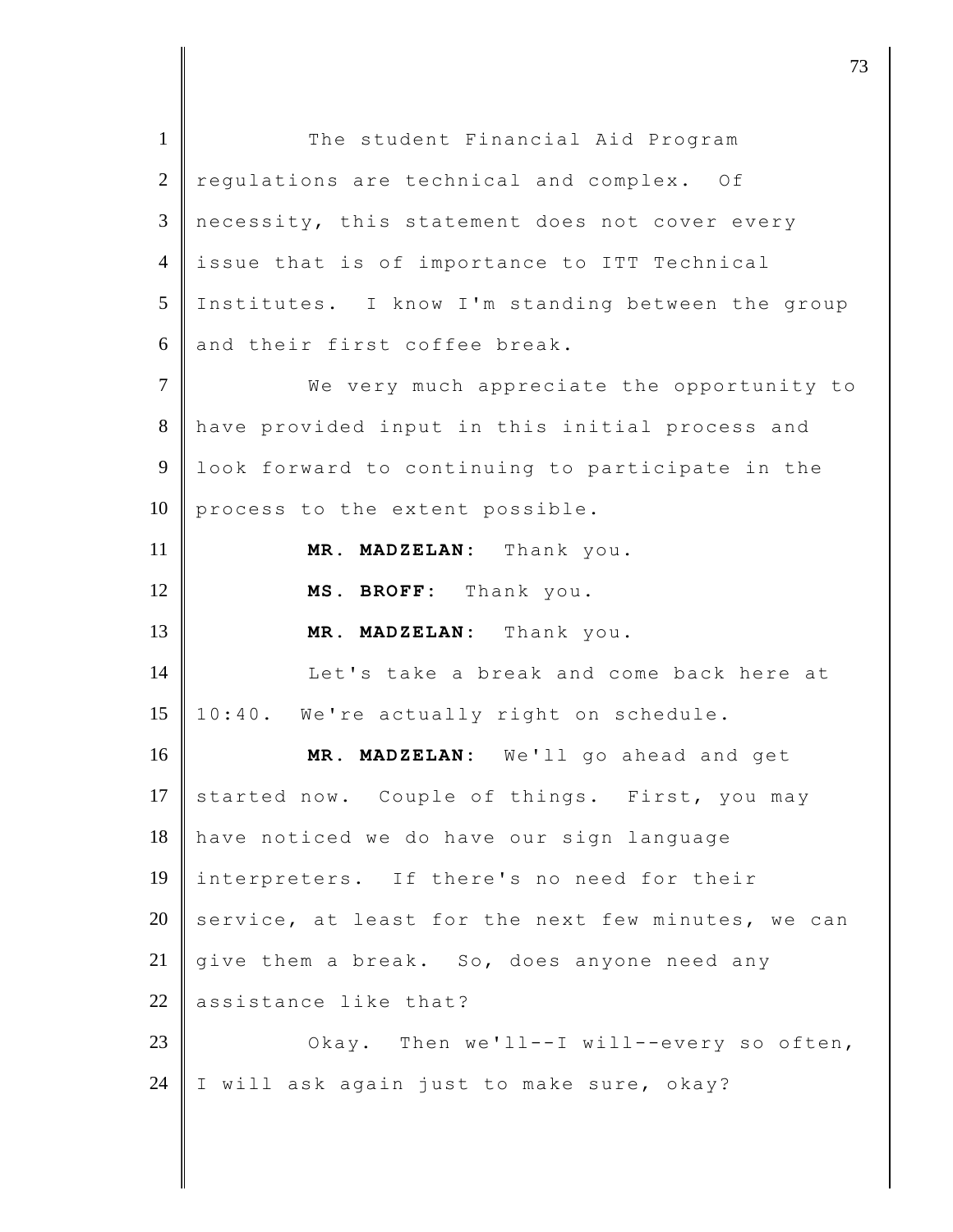1 The student Financial Aid Program  $2 \parallel$  regulations are technical and complex. Of 3 necessity, this statement does not cover every 4 issue that is of importance to ITT Technical 5 Institutes. I know I'm standing between the group  $6$  and their first coffee break. 7 We very much appreciate the opportunity to 8 have provided input in this initial process and 9 | look forward to continuing to participate in the  $10$  process to the extent possible. 11 **MR. MADZELAN:** Thank you. 12 **MS. BROFF:** Thank you. 13 **MR. MADZELAN:** Thank you. 14 Let's take a break and come back here at 15 10:40. We're actually right on schedule. 16 **MR. MADZELAN:** We'll go ahead and get 17 started now. Couple of things. First, you may 18 have noticed we do have our sign language 19 interpreters. If there's no need for their 20 service, at least for the next few minutes, we can 21  $\parallel$  give them a break. So, does anyone need any  $22$  assistance like that? 23 Okay. Then we'll--I will--every so often, 24 I will ask again just to make sure, okay?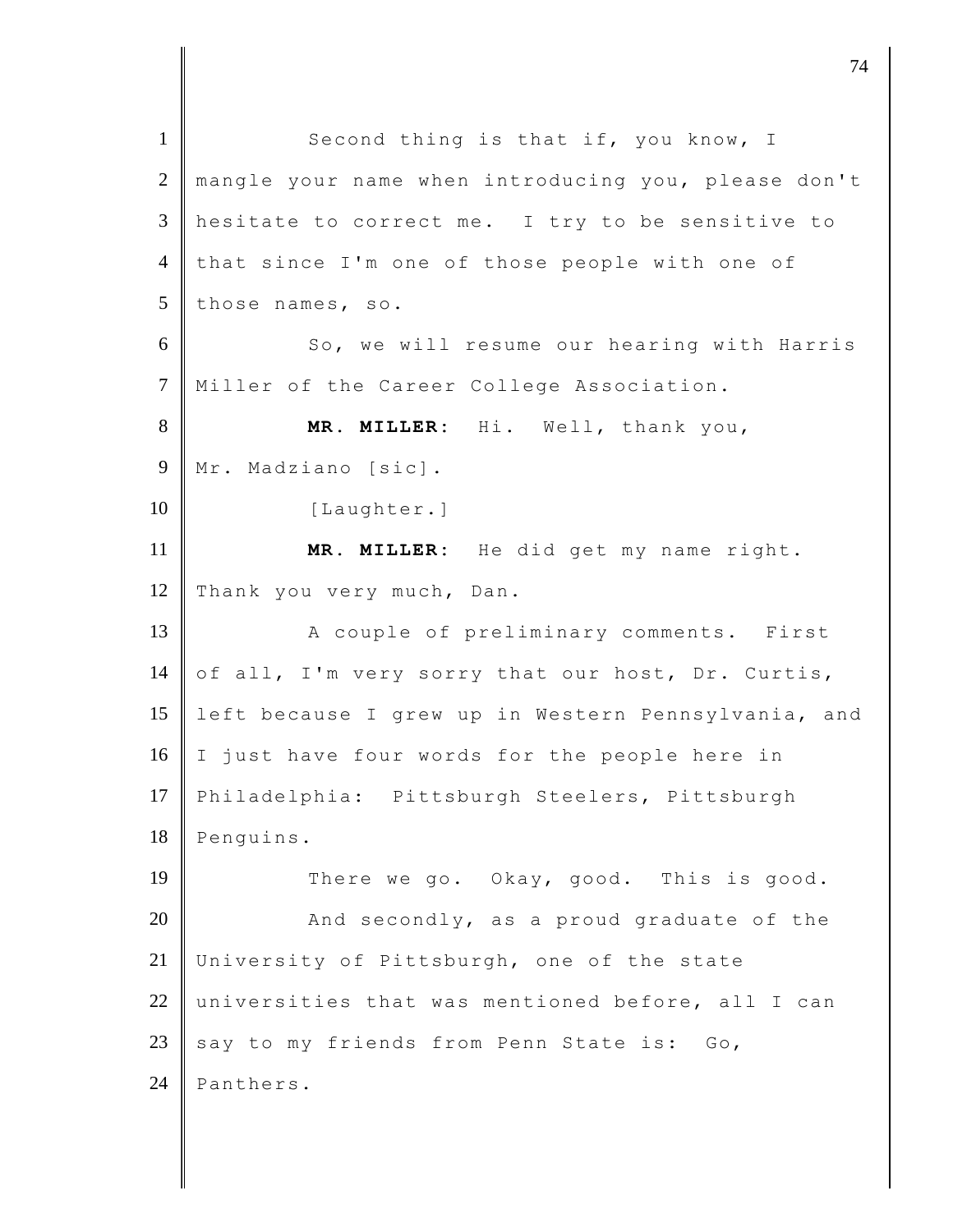| $\mathbf{1}$   | Second thing is that if, you know, I                |
|----------------|-----------------------------------------------------|
| $\overline{2}$ | mangle your name when introducing you, please don't |
| 3              | hesitate to correct me. I try to be sensitive to    |
| $\overline{4}$ | that since I'm one of those people with one of      |
| 5              | those names, so.                                    |
| 6              | So, we will resume our hearing with Harris          |
| $\tau$         | Miller of the Career College Association.           |
| $8\,$          | MR. MILLER: Hi. Well, thank you,                    |
| 9              | Mr. Madziano [sic].                                 |
| 10             | [Laughter.]                                         |
| 11             | MR. MILLER: He did get my name right.               |
| 12             | Thank you very much, Dan.                           |
| 13             | A couple of preliminary comments. First             |
| 14             | of all, I'm very sorry that our host, Dr. Curtis,   |
| 15             | left because I grew up in Western Pennsylvania, and |
| 16             | I just have four words for the people here in       |
| 17             | Philadelphia: Pittsburgh Steelers, Pittsburgh       |
| 18             | Penguins.                                           |
| 19             | There we go. Okay, good. This is good.              |
| 20             | And secondly, as a proud graduate of the            |
| 21             | University of Pittsburgh, one of the state          |
| 22             | universities that was mentioned before, all I can   |
| 23             | say to my friends from Penn State is:<br>Go,        |
| 24             | Panthers.                                           |

djective terms of  $\overline{a}$  74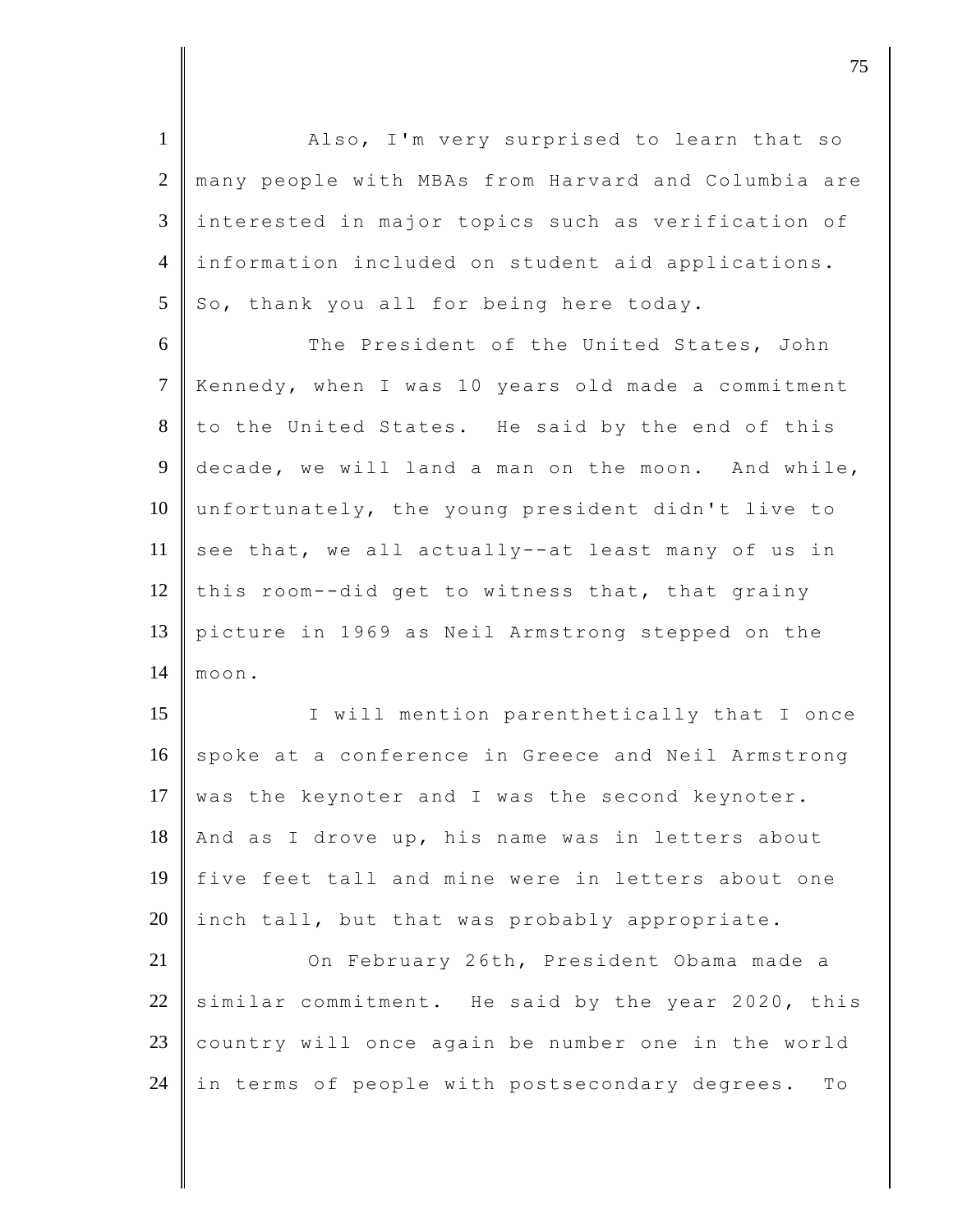1 Also, I'm very surprised to learn that so 2 many people with MBAs from Harvard and Columbia are 3 interested in major topics such as verification of 4 information included on student aid applications.  $5 \parallel$  So, thank you all for being here today.

6 The President of the United States, John 7 Kennedy, when I was 10 years old made a commitment  $8$  to the United States. He said by the end of this 9 decade, we will land a man on the moon. And while, 10 unfortunately, the young president didn't live to 11 see that, we all actually--at least many of us in 12 this room--did get to witness that, that grainy 13 picture in 1969 as Neil Armstrong stepped on the 14 moon.

15 || I will mention parenthetically that I once 16 spoke at a conference in Greece and Neil Armstrong 17 was the keynoter and I was the second keynoter. 18 And as I drove up, his name was in letters about 19 five feet tall and mine were in letters about one 20 inch tall, but that was probably appropriate.

21 On February 26th, President Obama made a 22 similar commitment. He said by the year 2020, this 23 country will once again be number one in the world 24 in terms of people with postsecondary degrees. To

discrete the contract of  $\overline{75}$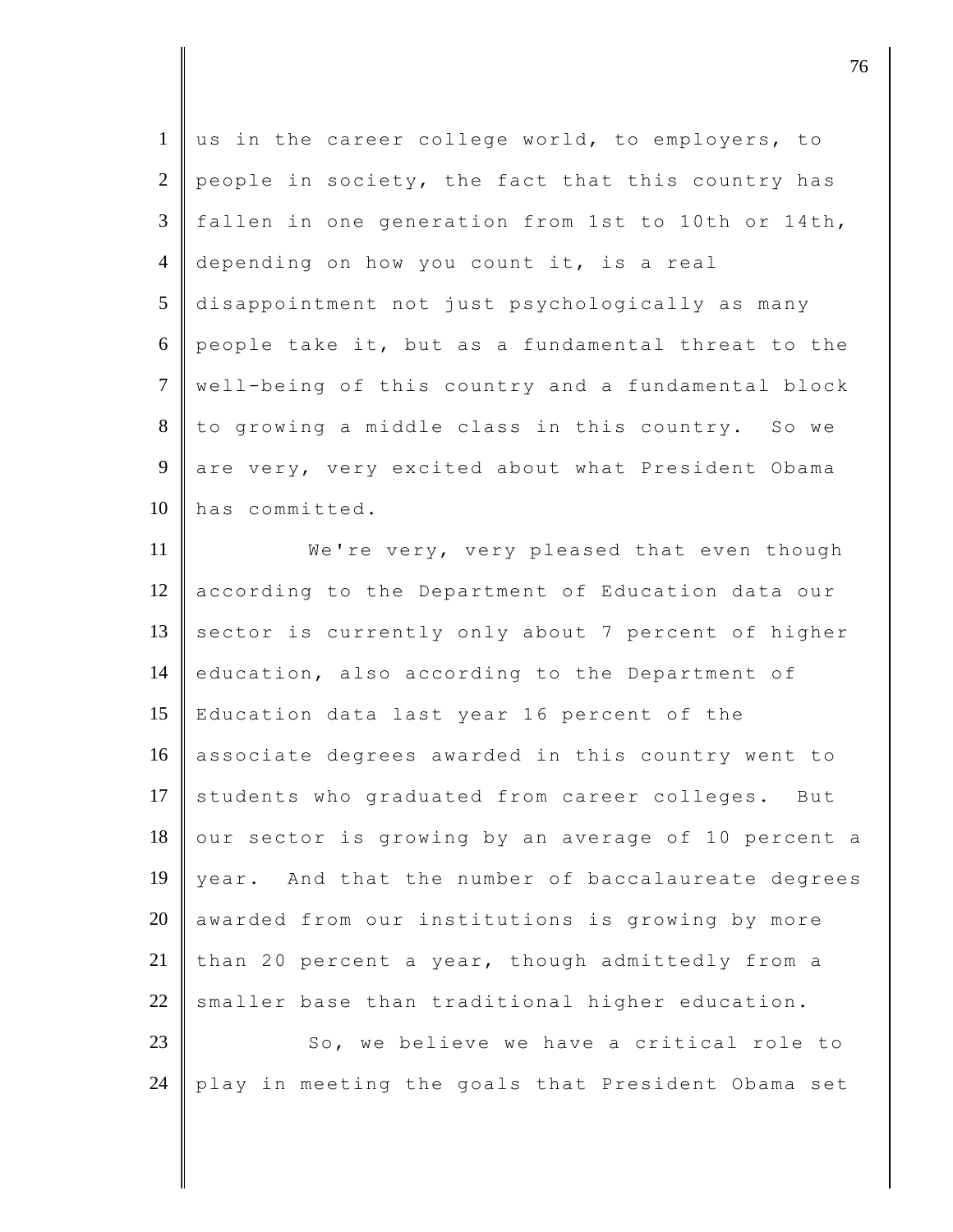1 us in the career college world, to employers, to 2 people in society, the fact that this country has 3 fallen in one generation from 1st to 10th or 14th, 4 depending on how you count it, is a real 5 disappointment not just psychologically as many 6 people take it, but as a fundamental threat to the 7 well-being of this country and a fundamental block 8 to growing a middle class in this country. So we 9 are very, very excited about what President Obama 10 has committed.

11 **We're very, very pleased that even though** 12 according to the Department of Education data our 13 sector is currently only about 7 percent of higher 14 education, also according to the Department of 15 Education data last year 16 percent of the 16 associate degrees awarded in this country went to 17 students who graduated from career colleges. But 18 our sector is growing by an average of 10 percent a 19 year. And that the number of baccalaureate degrees  $20$  awarded from our institutions is growing by more 21 than 20 percent a year, though admittedly from a  $22$  smaller base than traditional higher education.

23 So, we believe we have a critical role to 24 play in meeting the goals that President Obama set

discrete the contract of  $\overline{76}$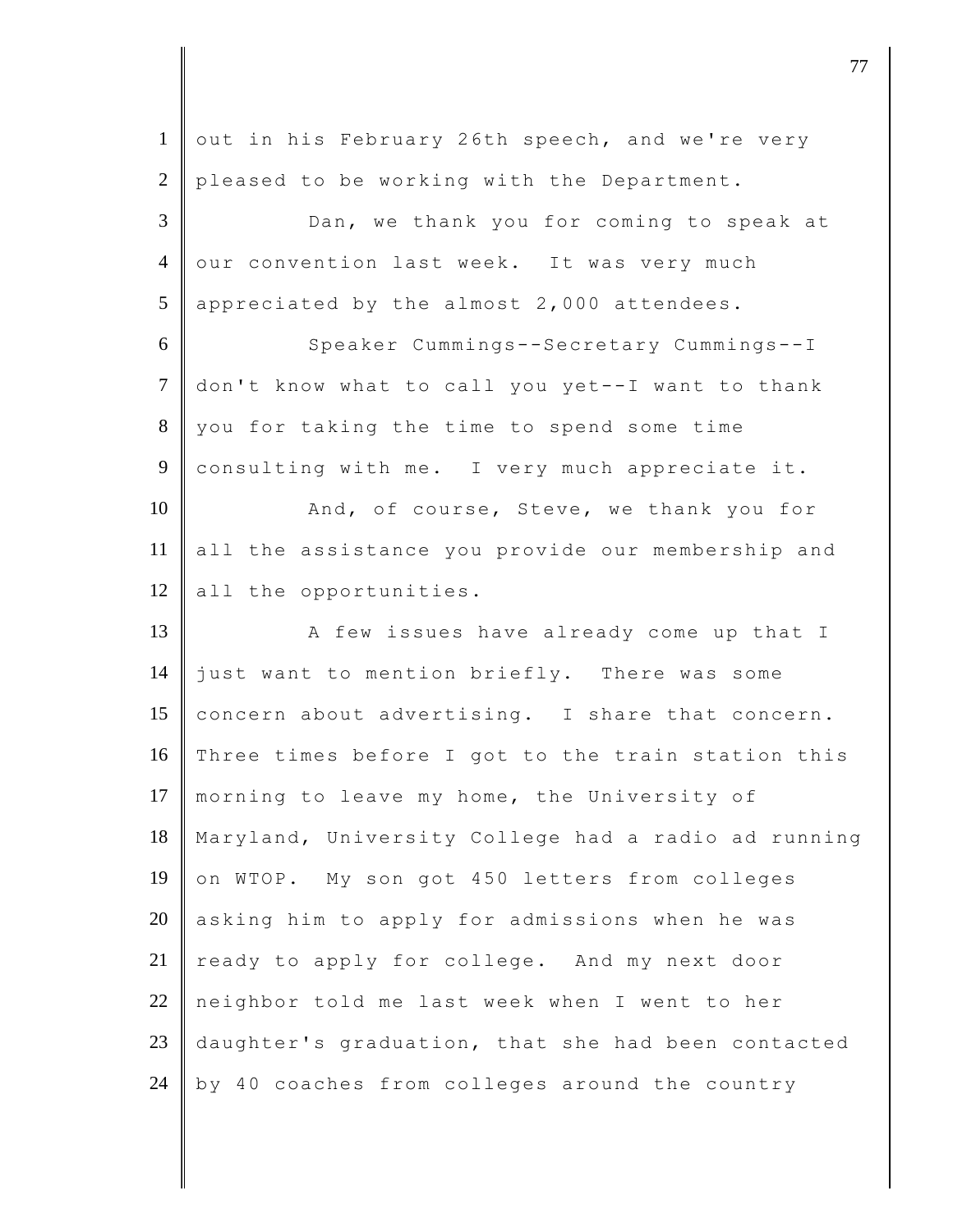| $\mathbf{1}$   | out in his February 26th speech, and we're very     |
|----------------|-----------------------------------------------------|
| $\overline{2}$ | pleased to be working with the Department.          |
| 3              | Dan, we thank you for coming to speak at            |
| $\overline{4}$ | our convention last week. It was very much          |
| 5              | appreciated by the almost 2,000 attendees.          |
| 6              | Speaker Cummings--Secretary Cummings--I             |
| $\overline{7}$ | don't know what to call you yet--I want to thank    |
| $8\,$          | you for taking the time to spend some time          |
| 9              | consulting with me. I very much appreciate it.      |
| 10             | And, of course, Steve, we thank you for             |
| 11             | all the assistance you provide our membership and   |
| 12             | all the opportunities.                              |
| 13             | A few issues have already come up that I            |
| 14             | just want to mention briefly. There was some        |
| 15             | concern about advertising. I share that concern.    |
| 16             | Three times before I got to the train station this  |
| 17             | morning to leave my home, the University of         |
| 18             | Maryland, University College had a radio ad running |
| 19             | on WTOP. My son got 450 letters from colleges       |
| 20             | asking him to apply for admissions when he was      |
| 21             | ready to apply for college. And my next door        |
| 22             | neighbor told me last week when I went to her       |
| 23             |                                                     |
|                | daughter's graduation, that she had been contacted  |

djective terms of the contract of the contract of  $\overline{a}$  77  $\overline{a}$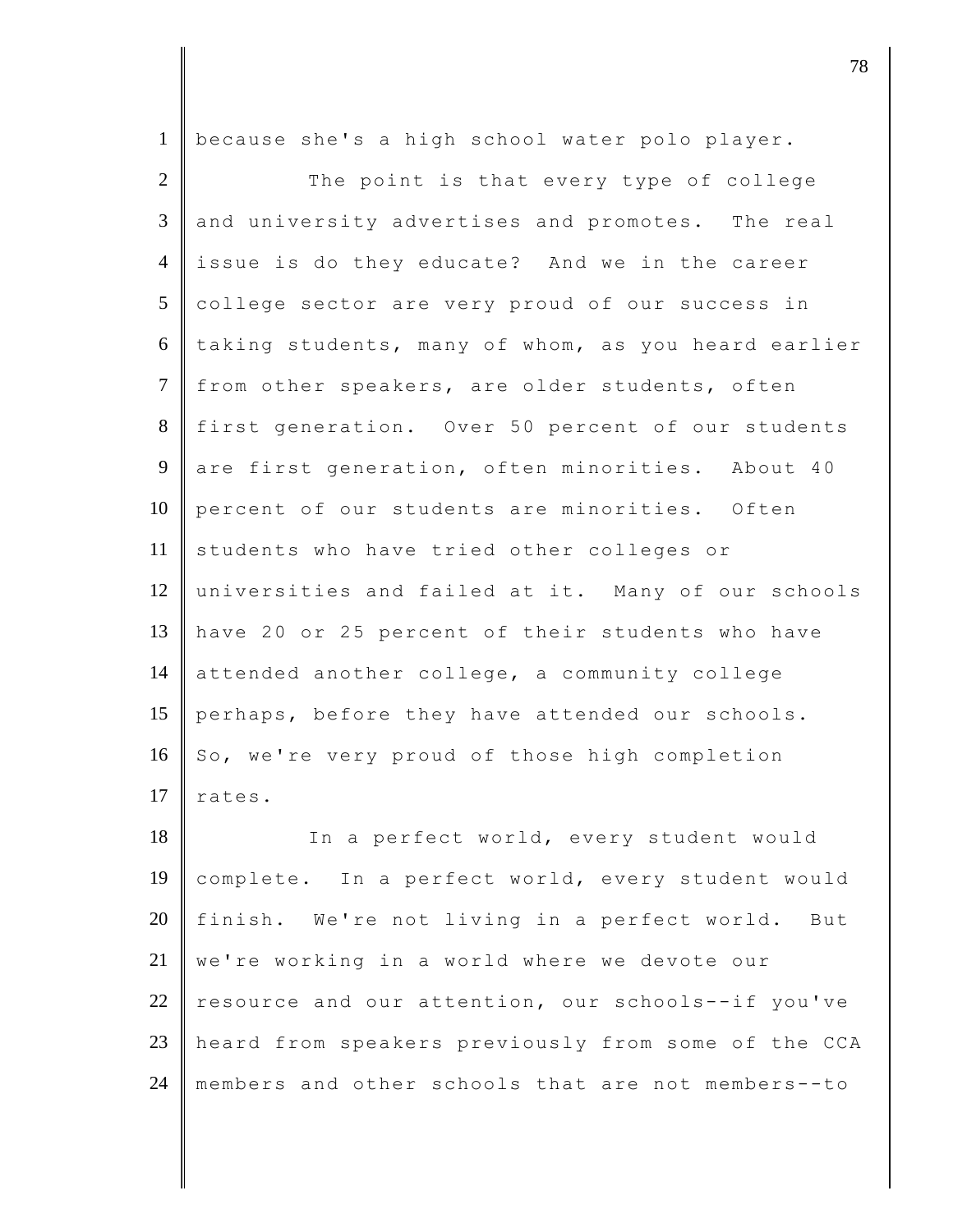| $\mathbf{1}$   | because she's a high school water polo player.      |
|----------------|-----------------------------------------------------|
| $\overline{2}$ | The point is that every type of college             |
| 3              | and university advertises and promotes. The real    |
| $\overline{4}$ | issue is do they educate? And we in the career      |
| 5              | college sector are very proud of our success in     |
| 6              | taking students, many of whom, as you heard earlier |
| $\tau$         | from other speakers, are older students, often      |
| 8              | first generation. Over 50 percent of our students   |
| 9              | are first generation, often minorities. About 40    |
| 10             | percent of our students are minorities. Often       |
| 11             | students who have tried other colleges or           |
| 12             | universities and failed at it. Many of our schools  |
| 13             | have 20 or 25 percent of their students who have    |
| 14             | attended another college, a community college       |
| 15             | perhaps, before they have attended our schools.     |
| 16             | So, we're very proud of those high completion       |
| 17             | rates.                                              |
| 18             | In a perfect world, every student would             |
| 19             | complete. In a perfect world, every student would   |
| 20             | We're not living in a perfect world. But<br>finish. |
| 21             | we're working in a world where we devote our        |
| 22             | resource and our attention, our schools--if you've  |
| 23             | heard from speakers previously from some of the CCA |
| 24             | members and other schools that are not members--to  |

djective terms of  $\overline{a}$  78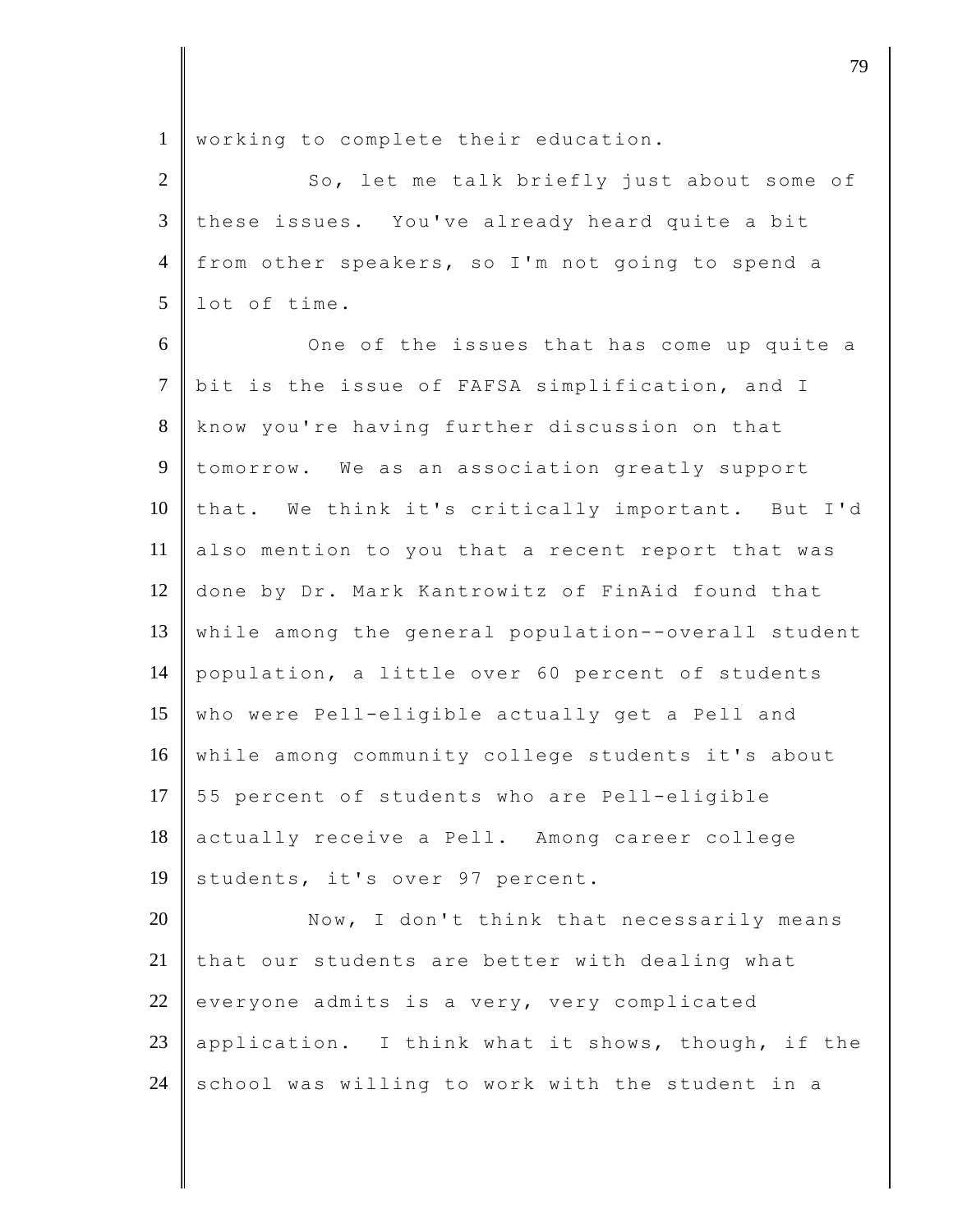1 | working to complete their education.

| 2 So, let me talk briefly just about some of         |
|------------------------------------------------------|
| 3 these issues. You've already heard quite a bit     |
| 4   from other speakers, so I'm not going to spend a |
| $5 \parallel$ lot of time.                           |

6 One of the issues that has come up quite a 7 bit is the issue of FAFSA simplification, and I 8 know you're having further discussion on that 9 tomorrow. We as an association greatly support 10 that. We think it's critically important. But I'd 11 also mention to you that a recent report that was 12 done by Dr. Mark Kantrowitz of FinAid found that 13 while among the general population--overall student 14 population, a little over 60 percent of students 15 who were Pell-eligible actually get a Pell and 16 while among community college students it's about 17 55 percent of students who are Pell-eligible 18 actually receive a Pell. Among career college 19 students, it's over 97 percent.

20 Now, I don't think that necessarily means 21 that our students are better with dealing what 22 everyone admits is a very, very complicated 23 application. I think what it shows, though, if the 24 school was willing to work with the student in a

djective terms of the contract of  $\overline{a}$  79  $\overline{a}$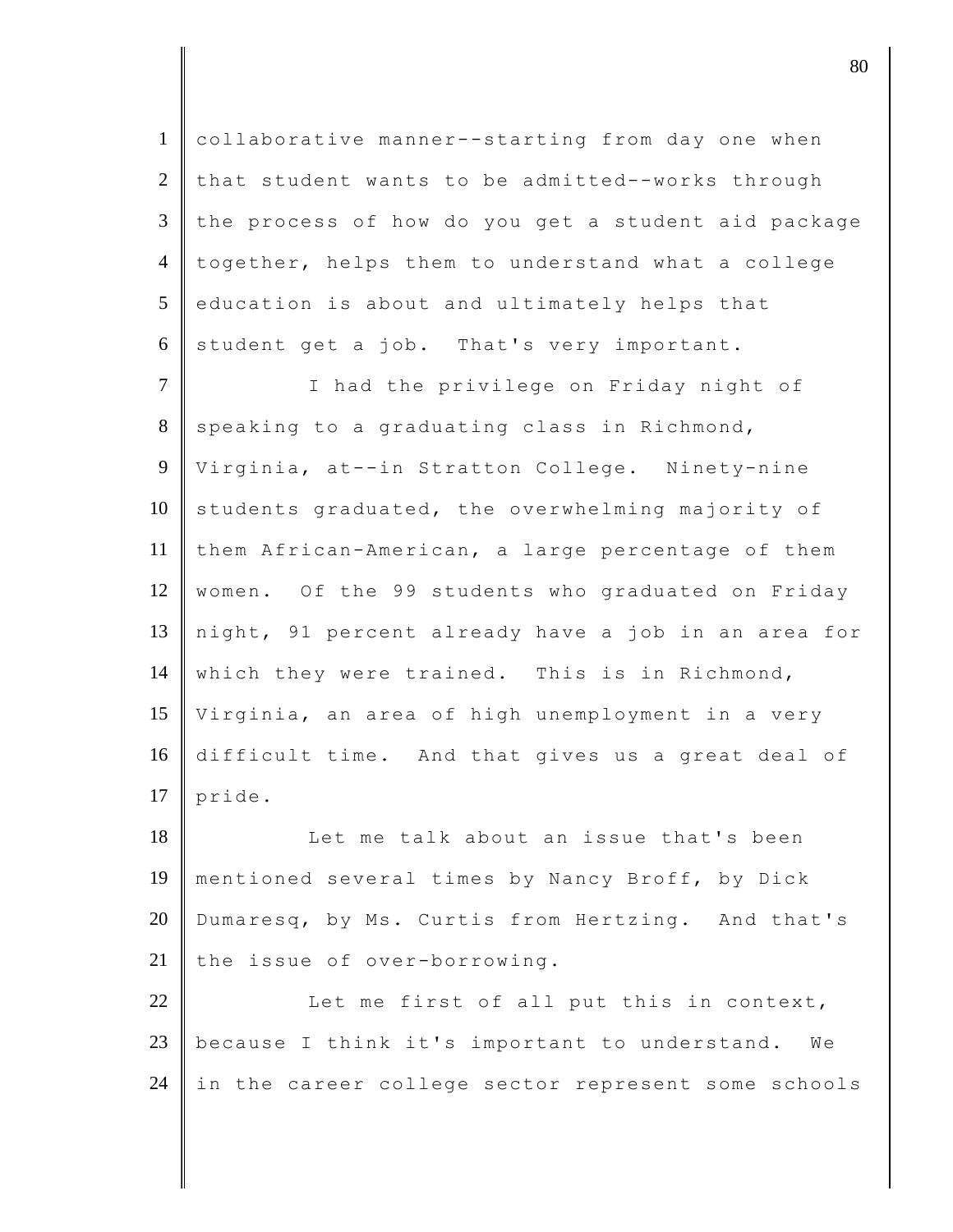1 collaborative manner--starting from day one when 2 that student wants to be admitted--works through  $3$  the process of how do you get a student aid package 4 together, helps them to understand what a college  $5$  education is about and ultimately helps that  $6$  student get a job. That's very important.

7 | I had the privilege on Friday night of 8 speaking to a graduating class in Richmond, 9 Virginia, at--in Stratton College. Ninety-nine  $10$  students graduated, the overwhelming majority of 11 them African-American, a large percentage of them 12 | women. Of the 99 students who graduated on Friday 13 night, 91 percent already have a job in an area for 14 which they were trained. This is in Richmond, 15 Virginia, an area of high unemployment in a very 16 difficult time. And that gives us a great deal of  $17$  pride.

18 Let me talk about an issue that's been 19 mentioned several times by Nancy Broff, by Dick 20 Dumaresq, by Ms. Curtis from Hertzing. And that's 21 the issue of over-borrowing.

22 Let me first of all put this in context, 23 because I think it's important to understand. We 24 in the career college sector represent some schools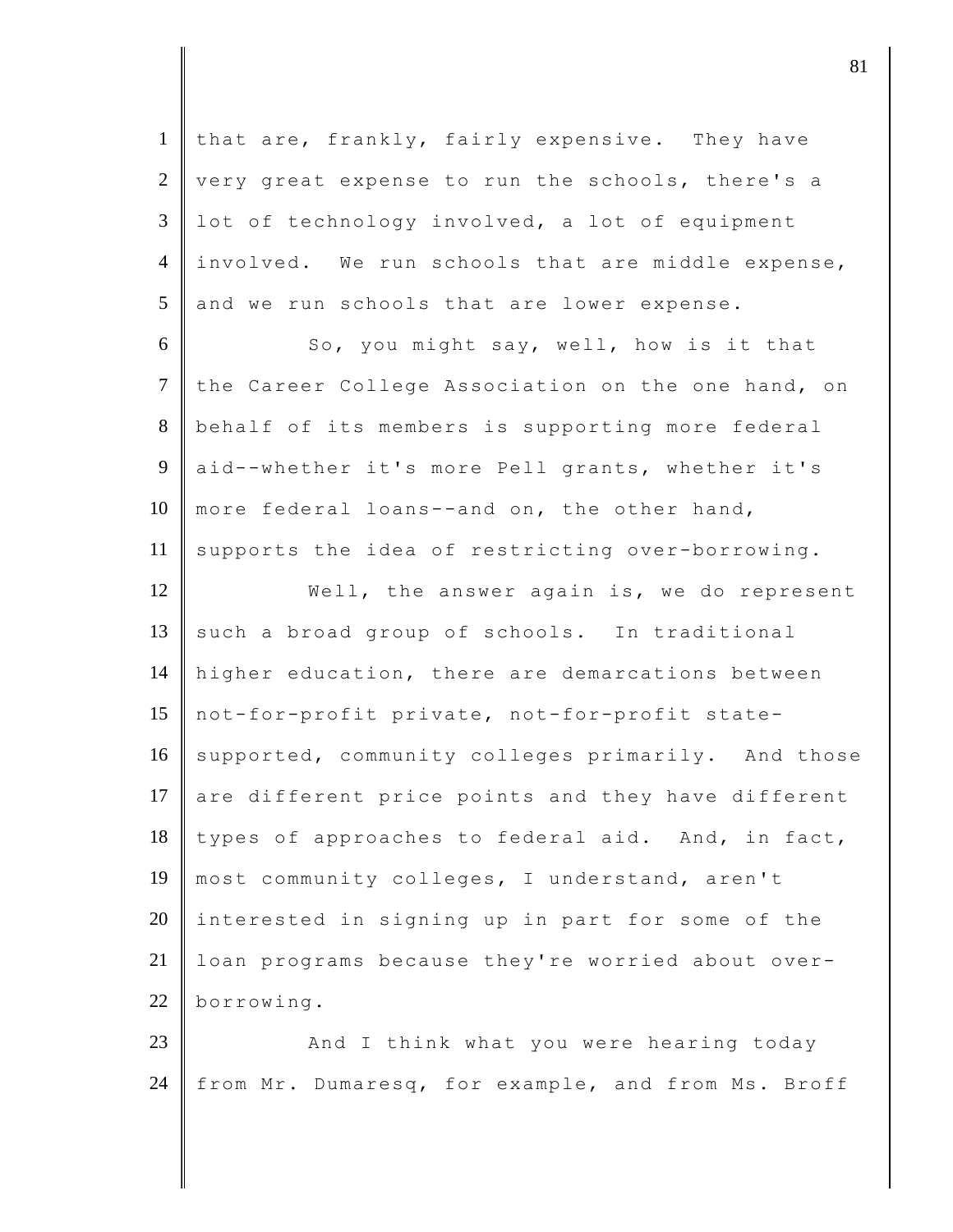1 that are, frankly, fairly expensive. They have  $2 \parallel$  very great expense to run the schools, there's a  $3 \parallel$  lot of technology involved, a lot of equipment 4 involved. We run schools that are middle expense,  $5$  and we run schools that are lower expense. 6 So, you might say, well, how is it that 7 the Career College Association on the one hand, on 8 behalf of its members is supporting more federal 9 aid--whether it's more Pell grants, whether it's 10 more federal loans--and on, the other hand, 11 supports the idea of restricting over-borrowing. 12 Well, the answer again is, we do represent  $13$  such a broad group of schools. In traditional 14 higher education, there are demarcations between 15 not-for-profit private, not-for-profit state-16 supported, community colleges primarily. And those 17 are different price points and they have different  $18$  types of approaches to federal aid. And, in fact, 19 most community colleges, I understand, aren't  $20$  interested in signing up in part for some of the 21 | loan programs because they're worried about over-22 borrowing. 23 **And I** think what you were hearing today

24 from Mr. Dumaresq, for example, and from Ms. Broff

 $\parallel$  81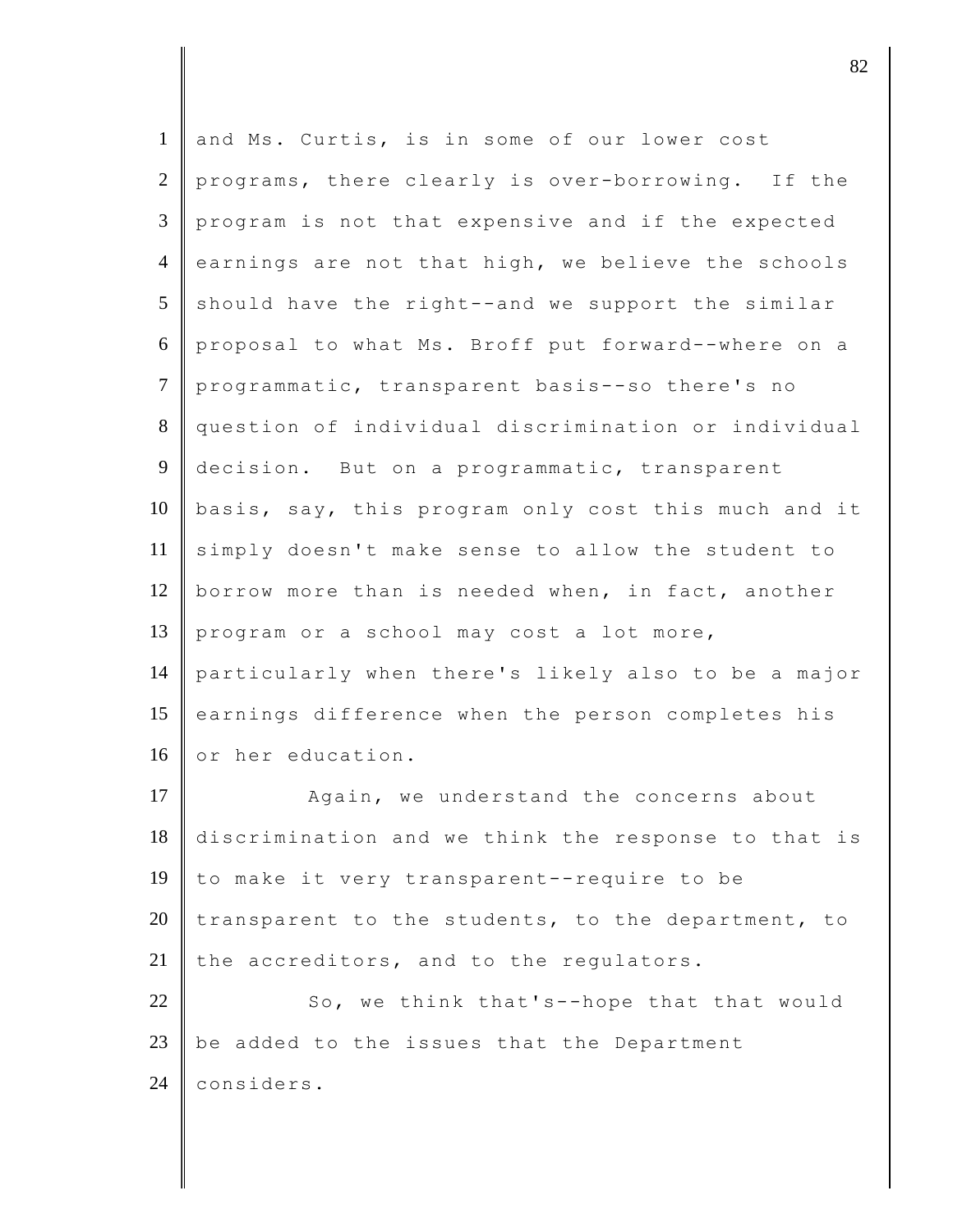| 1               | and Ms. Curtis, is in some of our lower cost        |
|-----------------|-----------------------------------------------------|
| 2               | programs, there clearly is over-borrowing. If the   |
| 3               | program is not that expensive and if the expected   |
| $\overline{4}$  | earnings are not that high, we believe the schools  |
| $5\overline{)}$ | should have the right--and we support the similar   |
| 6               | proposal to what Ms. Broff put forward--where on a  |
| $\overline{7}$  | programmatic, transparent basis--so there's no      |
| 8               | question of individual discrimination or individual |
| 9               | decision. But on a programmatic, transparent        |
| 10              | basis, say, this program only cost this much and it |
| 11              | simply doesn't make sense to allow the student to   |
| 12              | borrow more than is needed when, in fact, another   |
| 13              | program or a school may cost a lot more,            |
| 14              | particularly when there's likely also to be a major |
| 15              | earnings difference when the person completes his   |
| 16              | or her education.                                   |
| 17              | Again, we understand the concerns about             |
| 18              | discrimination and we think the response to that is |
| 19              | to make it very transparent--require to be          |
| 20              | transparent to the students, to the department, to  |
| 21              | the accreditors, and to the regulators.             |
| 22              | So, we think that's--hope that that would           |
| 23              | be added to the issues that the Department          |
| 24              | considers.                                          |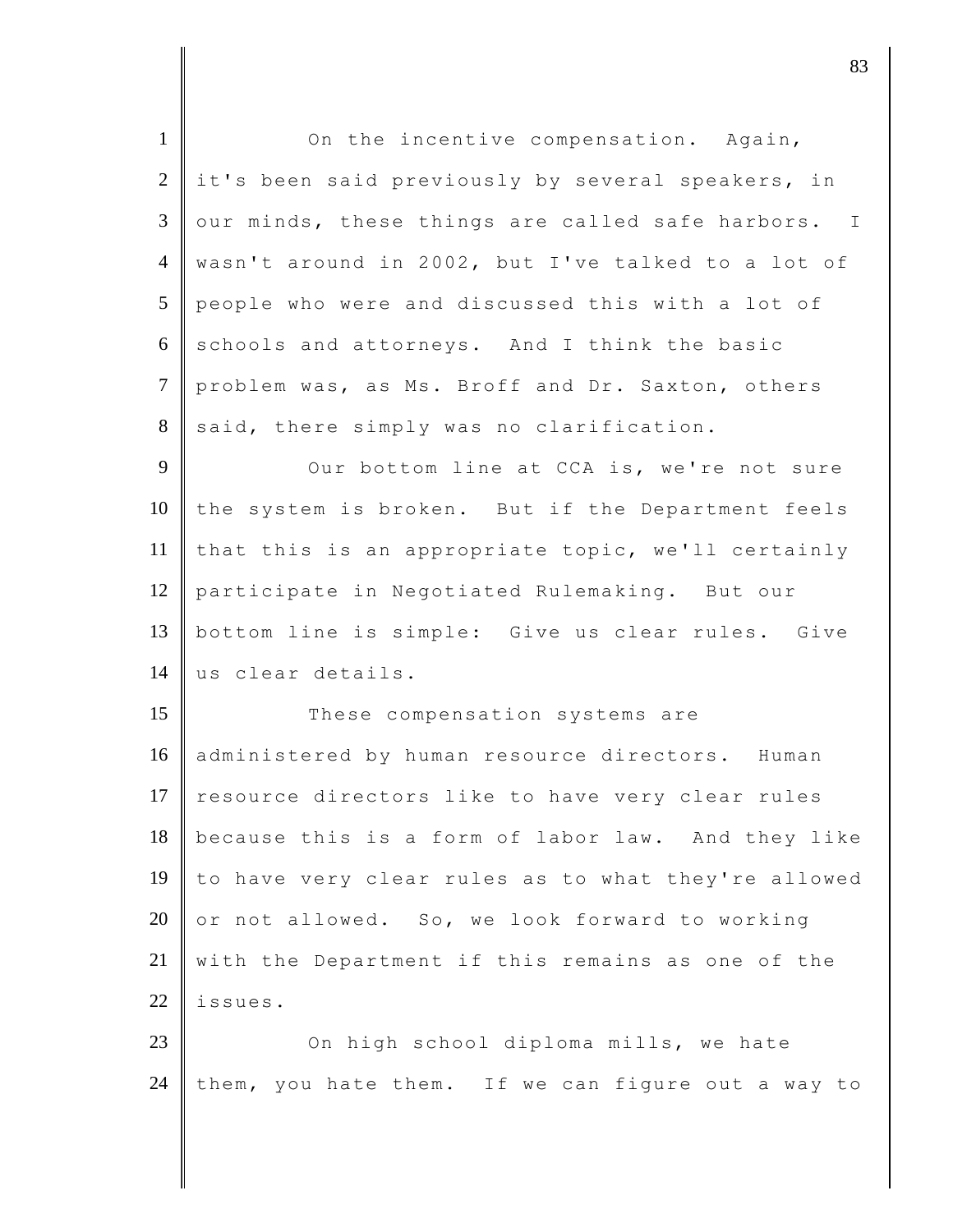| $\mathbf{1}$   | On the incentive compensation. Again,               |
|----------------|-----------------------------------------------------|
| $\overline{2}$ | it's been said previously by several speakers, in   |
| 3              | our minds, these things are called safe harbors. I  |
| $\overline{4}$ | wasn't around in 2002, but I've talked to a lot of  |
| 5              | people who were and discussed this with a lot of    |
| 6              | schools and attorneys. And I think the basic        |
| $\tau$         | problem was, as Ms. Broff and Dr. Saxton, others    |
| 8              | said, there simply was no clarification.            |
| 9              | Our bottom line at CCA is, we're not sure           |
| 10             | the system is broken. But if the Department feels   |
| 11             | that this is an appropriate topic, we'll certainly  |
| 12             | participate in Negotiated Rulemaking. But our       |
| 13             | bottom line is simple: Give us clear rules. Give    |
| 14             | us clear details.                                   |
| 15             | These compensation systems are                      |
| 16             | administered by human resource directors. Human     |
| 17             | resource directors like to have very clear rules    |
| 18             | because this is a form of labor law. And they like  |
| 19             | to have very clear rules as to what they're allowed |
| 20             | or not allowed. So, we look forward to working      |
| 21             | with the Department if this remains as one of the   |
| 22             | issues.                                             |
| 23             | On high school diploma mills, we hate               |
| 24             | them, you hate them. If we can figure out a way to  |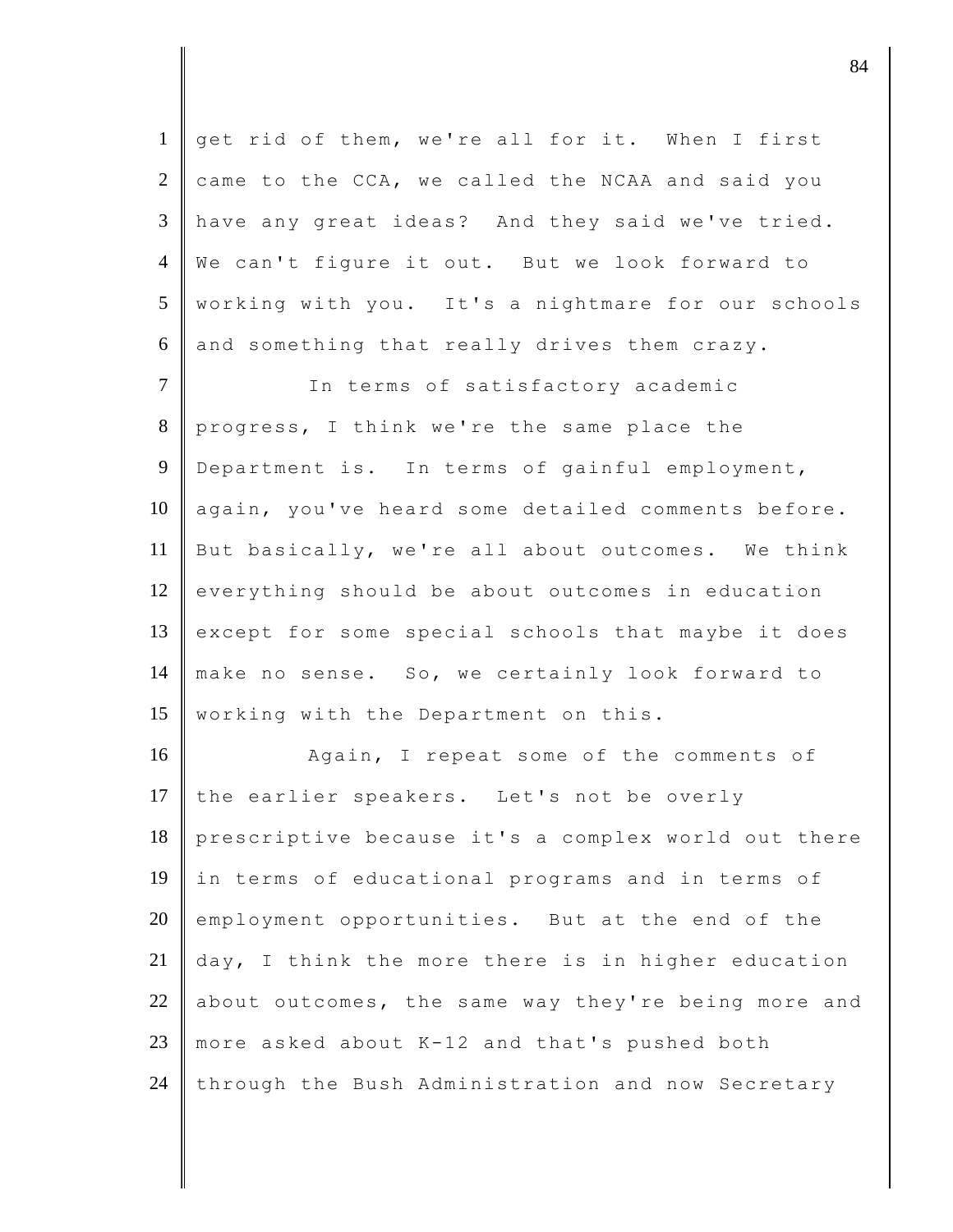get rid of them, we're all for it. When I first came to the CCA, we called the NCAA and said you have any great ideas? And they said we've tried. We can't figure it out. But we look forward to working with you. It's a nightmare for our schools and something that really drives them crazy. 7 | The terms of satisfactory academic 8 progress, I think we're the same place the 9 Department is. In terms of gainful employment, 10 | again, you've heard some detailed comments before. But basically, we're all about outcomes. We think

12 everything should be about outcomes in education 13 except for some special schools that maybe it does 14 make no sense. So, we certainly look forward to 15 | working with the Department on this.

16 Again, I repeat some of the comments of 17 the earlier speakers. Let's not be overly prescriptive because it's a complex world out there in terms of educational programs and in terms of employment opportunities. But at the end of the  $\parallel$  day, I think the more there is in higher education 22 about outcomes, the same way they're being more and more asked about K-12 and that's pushed both through the Bush Administration and now Secretary

djective terms of  $\overline{84}$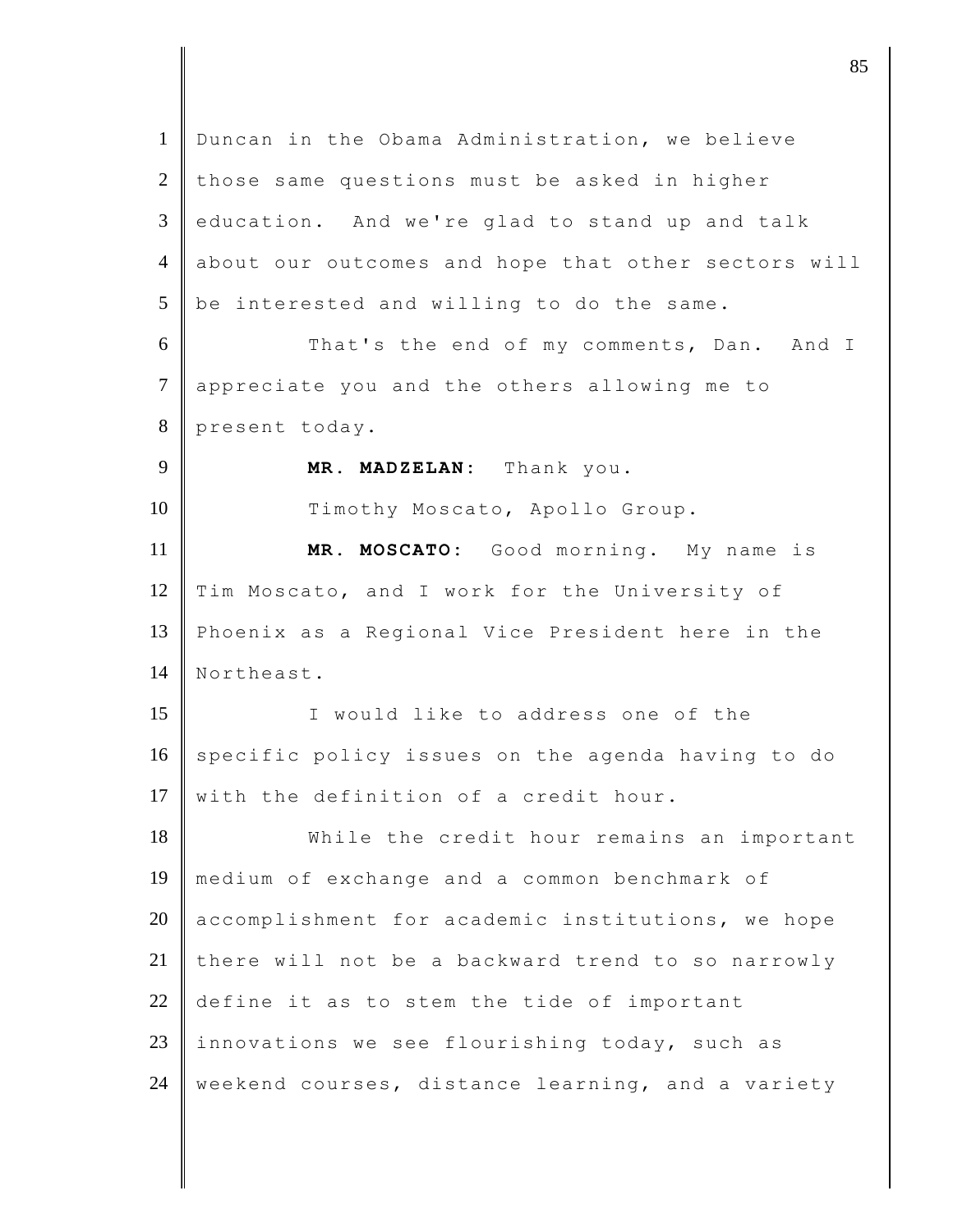1 Duncan in the Obama Administration, we believe  $2$  those same questions must be asked in higher  $3 \parallel$  education. And we're glad to stand up and talk 4 about our outcomes and hope that other sectors will  $5$  be interested and willing to do the same. 6 That's the end of my comments, Dan. And I 7 appreciate you and the others allowing me to 8 present today. 9 **MR. MADZELAN:** Thank you. 10 Timothy Moscato, Apollo Group. 11 **MR. MOSCATO:** Good morning. My name is 12 Tim Moscato, and I work for the University of 13 Phoenix as a Regional Vice President here in the 14 Northeast. 15 I would like to address one of the 16 specific policy issues on the agenda having to do 17 with the definition of a credit hour. 18 While the credit hour remains an important 19 medium of exchange and a common benchmark of 20 accomplishment for academic institutions, we hope 21 there will not be a backward trend to so narrowly 22 define it as to stem the tide of important 23 innovations we see flourishing today, such as  $24$  weekend courses, distance learning, and a variety

 $\parallel$  85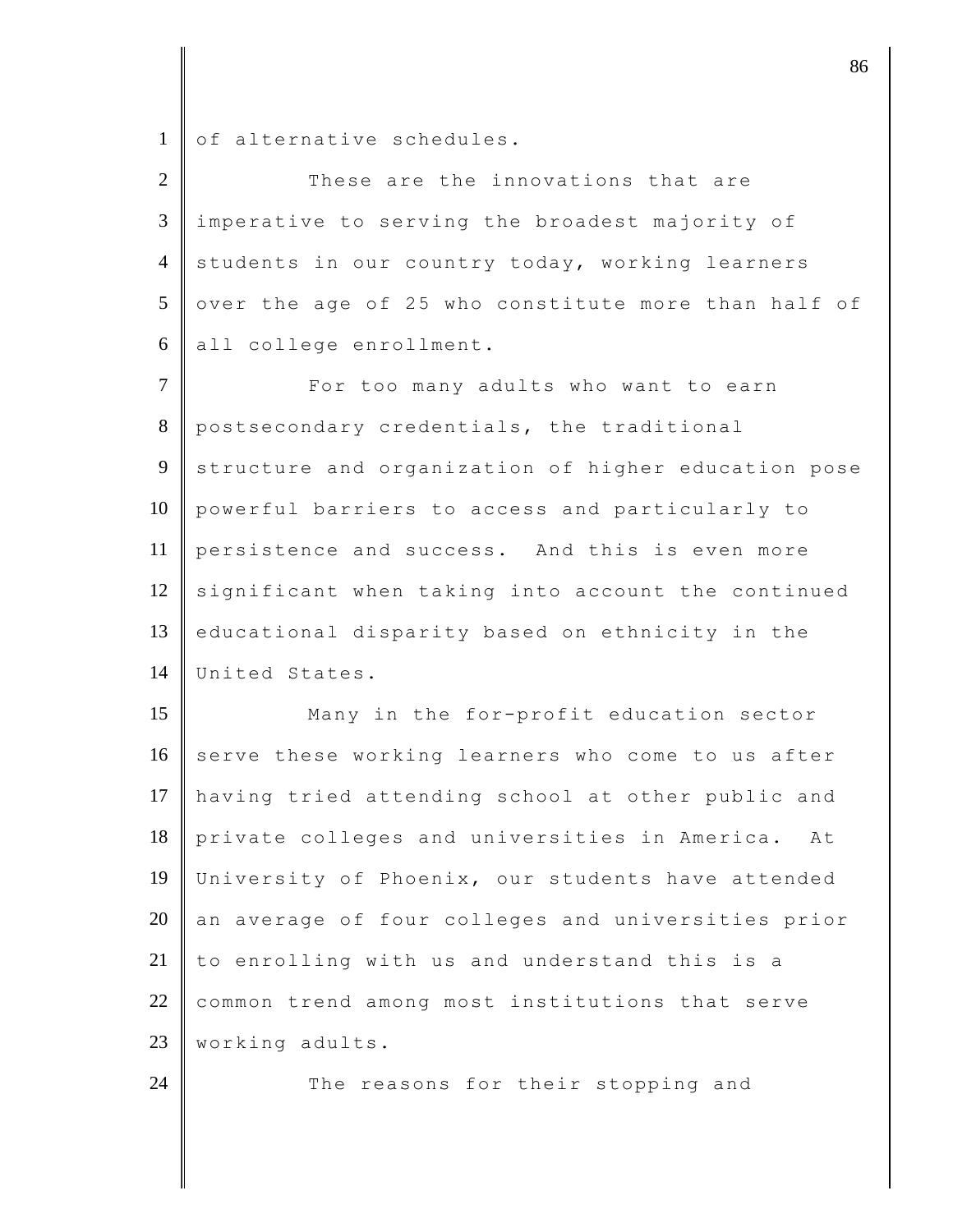1 of alternative schedules.

| $\overline{2}$ | These are the innovations that are                  |
|----------------|-----------------------------------------------------|
| 3              | imperative to serving the broadest majority of      |
| $\overline{4}$ | students in our country today, working learners     |
| 5              | over the age of 25 who constitute more than half of |
| 6              | all college enrollment.                             |
| $\overline{7}$ | For too many adults who want to earn                |
| 8              | postsecondary credentials, the traditional          |
| 9              | structure and organization of higher education pose |
| 10             | powerful barriers to access and particularly to     |
| 11             | persistence and success. And this is even more      |
| 12             | significant when taking into account the continued  |
| 13             | educational disparity based on ethnicity in the     |
| 14             | United States.                                      |
| 15             | Many in the for-profit education sector             |
| 16             | serve these working learners who come to us after   |
| 17             | having tried attending school at other public and   |
| 18             | private colleges and universities in America.<br>At |
| 19             | University of Phoenix, our students have attended   |
| 20             | an average of four colleges and universities prior  |
| 21             | to enrolling with us and understand this is a       |
| 22             | common trend among most institutions that serve     |
| 23             | working adults.                                     |
| 24             | The reasons for their stopping and                  |

discrete the set of  $\sim$  86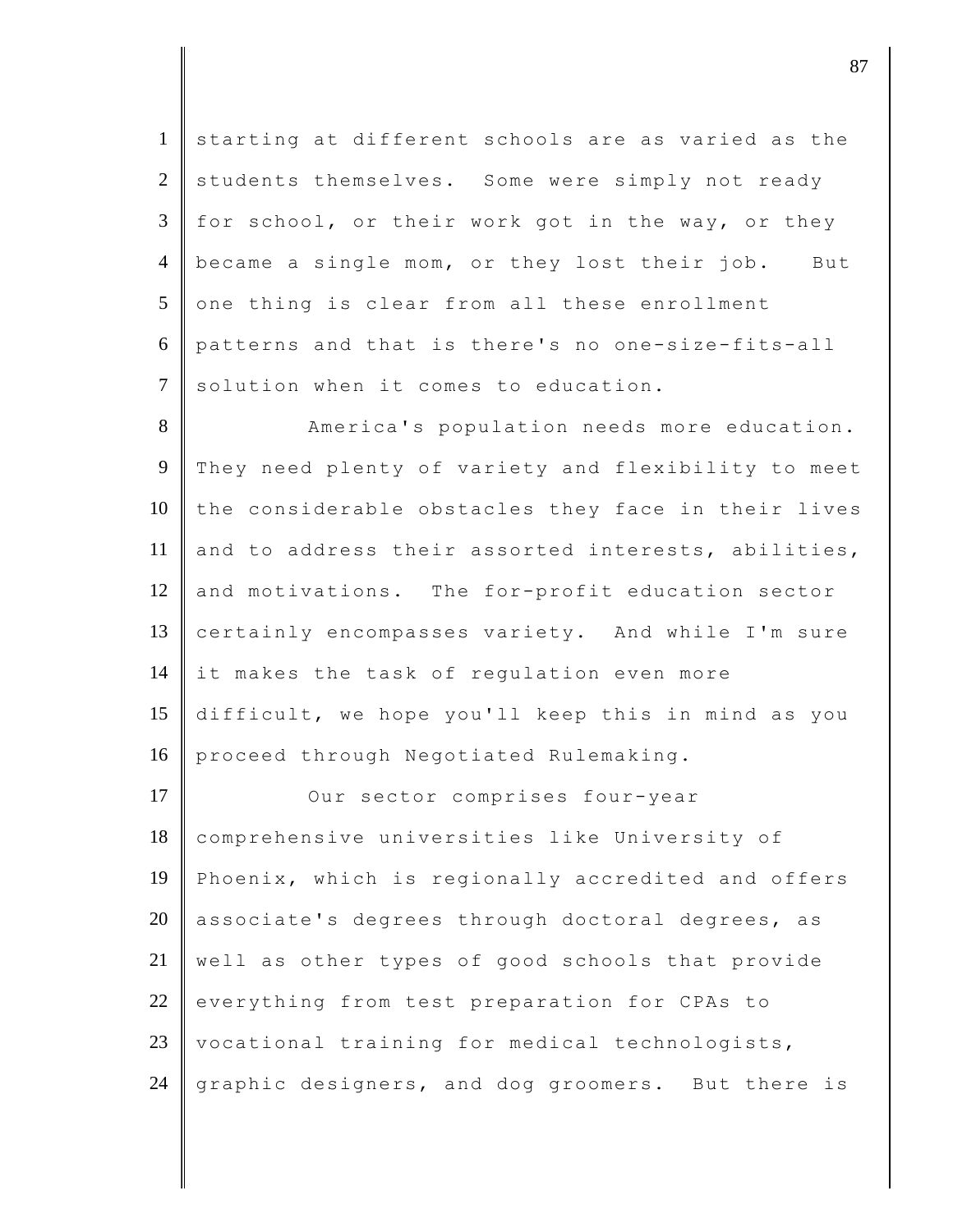1 starting at different schools are as varied as the 2 students themselves. Some were simply not ready  $3 \parallel$  for school, or their work got in the way, or they 4 became a single mom, or they lost their job. But  $5$  one thing is clear from all these enrollment 6 patterns and that is there's no one-size-fits-all  $7$  solution when it comes to education.

8 America's population needs more education. 9 They need plenty of variety and flexibility to meet  $10$  the considerable obstacles they face in their lives 11 and to address their assorted interests, abilities, 12 and motivations. The for-profit education sector 13 certainly encompasses variety. And while I'm sure 14 it makes the task of regulation even more 15 difficult, we hope you'll keep this in mind as you 16 proceed through Negotiated Rulemaking.

17 | Our sector comprises four-year 18 comprehensive universities like University of 19 Phoenix, which is regionally accredited and offers 20  $\parallel$  associate's degrees through doctoral degrees, as 21 well as other types of good schools that provide 22 everything from test preparation for CPAs to 23 vocational training for medical technologists, 24 graphic designers, and dog groomers. But there is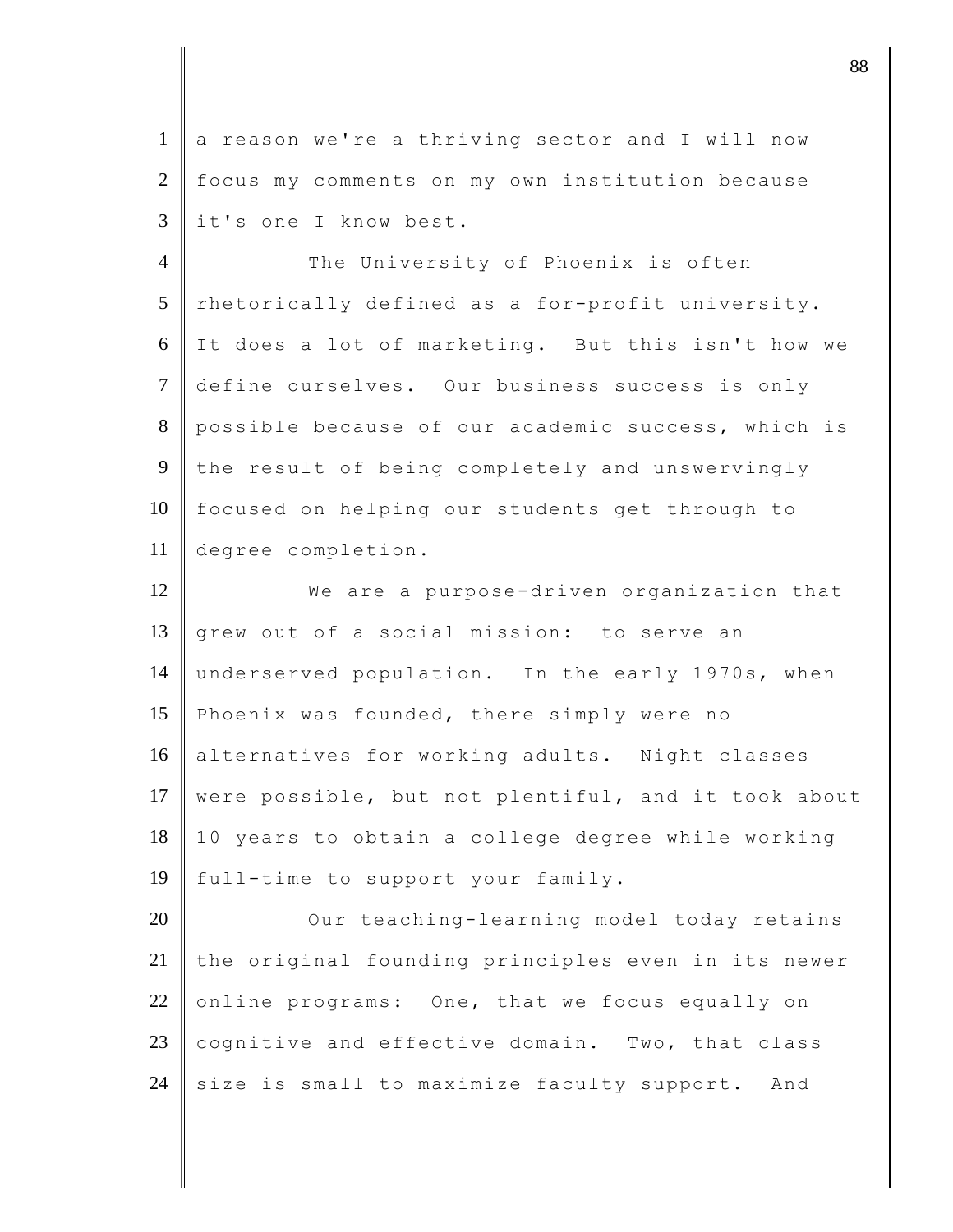1 a reason we're a thriving sector and I will now 2 focus my comments on my own institution because 3 it's one I know best.

4 The University of Phoenix is often  $5$  rhetorically defined as a for-profit university. 6 It does a lot of marketing. But this isn't how we 7 define ourselves. Our business success is only 8 possible because of our academic success, which is 9 the result of being completely and unswervingly 10 focused on helping our students get through to 11 degree completion.

12 We are a purpose-driven organization that 13 grew out of a social mission: to serve an 14 underserved population. In the early 1970s, when 15 Phoenix was founded, there simply were no 16 alternatives for working adults. Night classes 17 were possible, but not plentiful, and it took about 18 10 years to obtain a college degree while working 19 full-time to support your family.

20 Our teaching-learning model today retains 21 the original founding principles even in its newer 22 online programs: One, that we focus equally on 23 cognitive and effective domain. Two, that class 24 size is small to maximize faculty support. And

djective the set of  $\sim$  88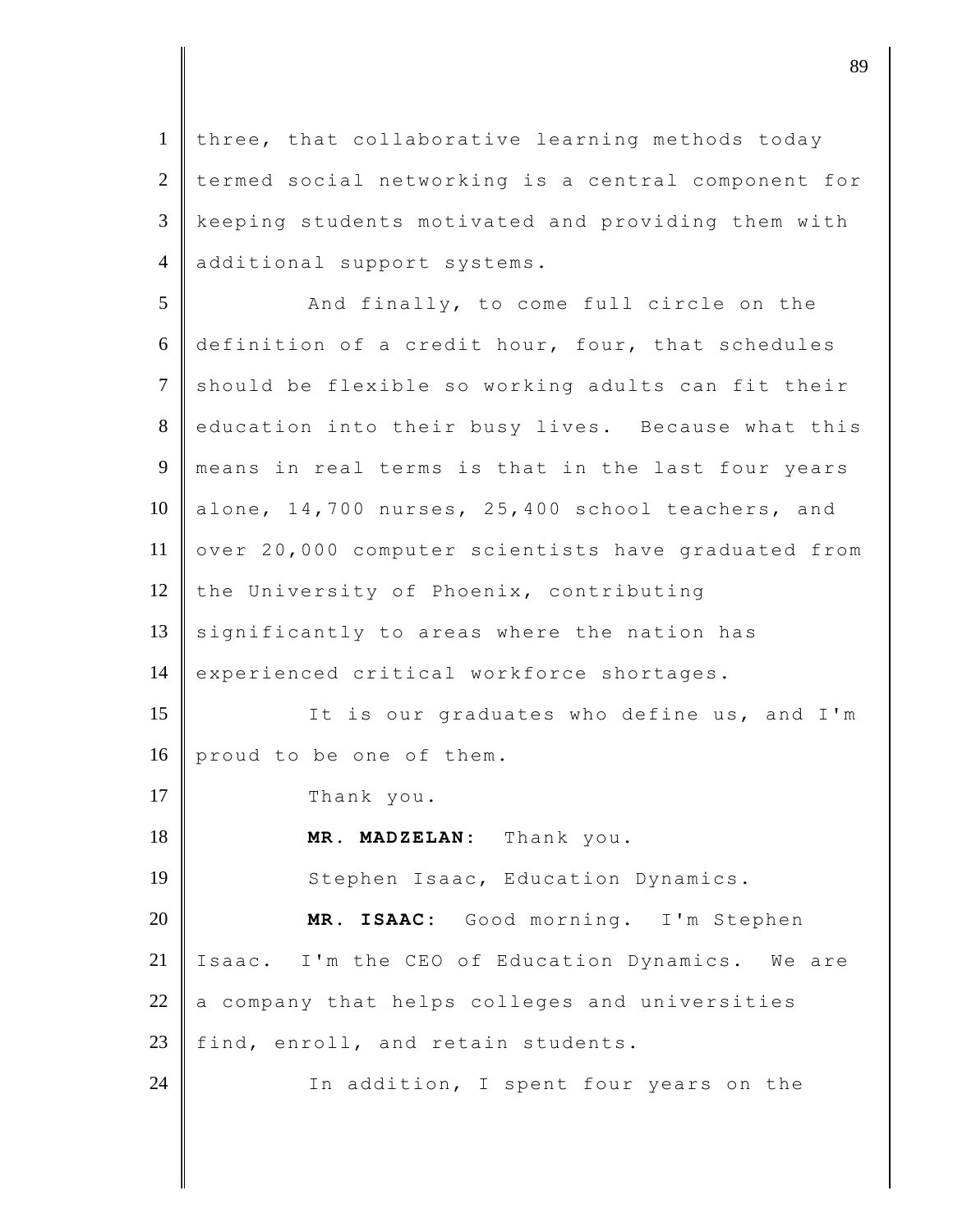1 three, that collaborative learning methods today 2 termed social networking is a central component for 3 keeping students motivated and providing them with 4 additional support systems.

5 And finally, to come full circle on the 6 definition of a credit hour, four, that schedules 7 should be flexible so working adults can fit their 8 education into their busy lives. Because what this 9 means in real terms is that in the last four years 10 alone, 14,700 nurses, 25,400 school teachers, and 11 over 20,000 computer scientists have graduated from 12 the University of Phoenix, contributing  $13$  significantly to areas where the nation has 14 experienced critical workforce shortages. 15 **I** It is our graduates who define us, and I'm 16 proud to be one of them. 17 Thank you. 18 **MR. MADZELAN:** Thank you. 19 | Stephen Isaac, Education Dynamics. 20 **MR. ISAAC:** Good morning. I'm Stephen 21 | Isaac. I'm the CEO of Education Dynamics. We are  $22$  a company that helps colleges and universities 23 find, enroll, and retain students. 24 In addition, I spent four years on the

djective terms of  $\overline{89}$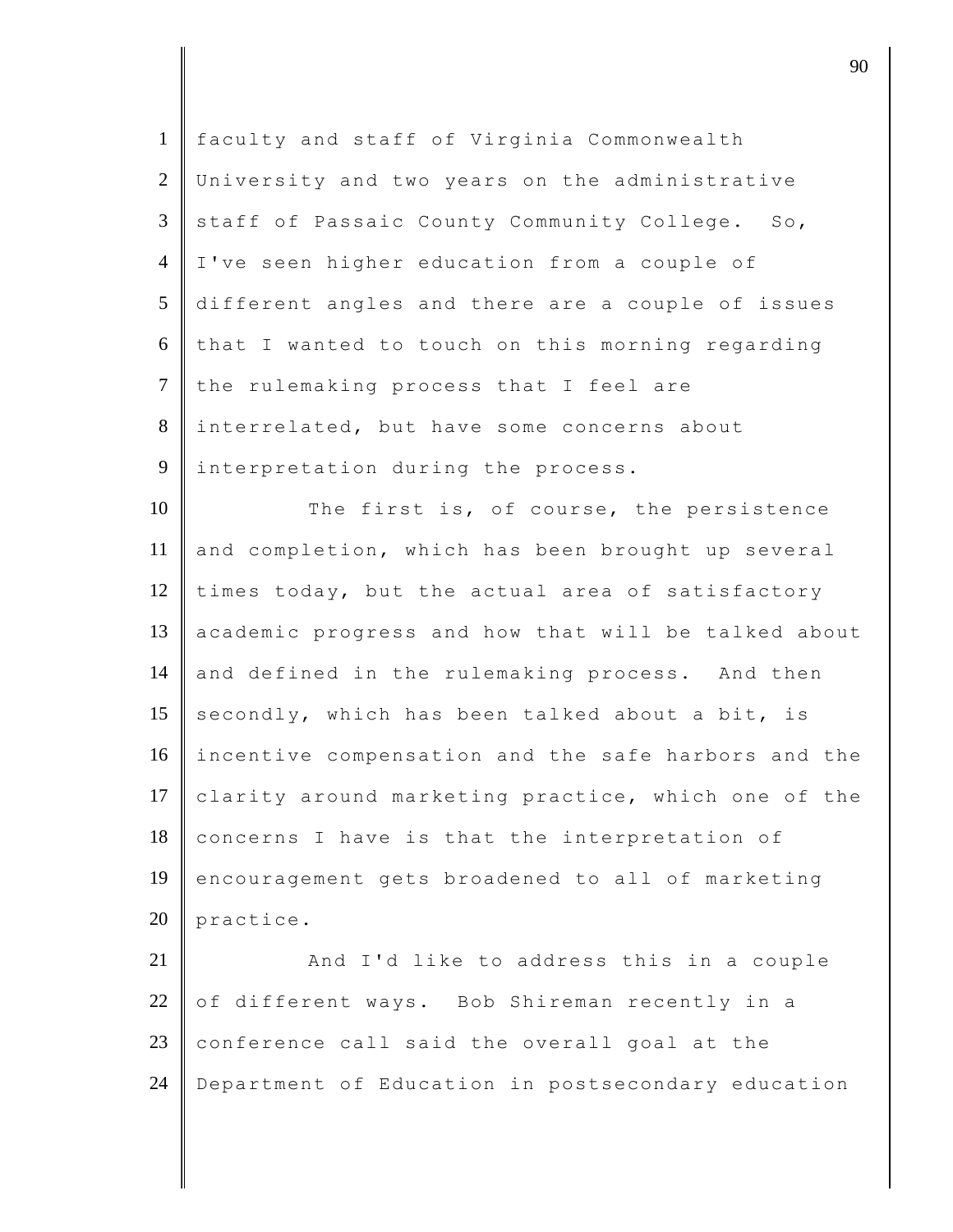| $\mathbf{1}$   | faculty and staff of Virginia Commonwealth          |
|----------------|-----------------------------------------------------|
| 2              | University and two years on the administrative      |
| 3              | staff of Passaic County Community College. So,      |
| $\overline{4}$ | I've seen higher education from a couple of         |
| 5              | different angles and there are a couple of issues   |
| 6              | that I wanted to touch on this morning regarding    |
| $\overline{7}$ | the rulemaking process that I feel are              |
| 8              | interrelated, but have some concerns about          |
| 9              | interpretation during the process.                  |
| 10             | The first is, of course, the persistence            |
| 11             | and completion, which has been brought up several   |
| 12             | times today, but the actual area of satisfactory    |
| 13             | academic progress and how that will be talked about |
| 14             | and defined in the rulemaking process. And then     |
| 15             | secondly, which has been talked about a bit, is     |
| 16             | incentive compensation and the safe harbors and the |
| 17             | clarity around marketing practice, which one of the |
| 18             | concerns I have is that the interpretation of       |
| 19             | encouragement gets broadened to all of marketing    |
| 20             | practice.                                           |
| 21             | And I'd like to address this in a couple            |
| 22             | of different ways. Bob Shireman recently in a       |
| 23             | conference call said the overall goal at the        |
| 24             | Department of Education in postsecondary education  |
|                |                                                     |

discrete the contract of  $\overline{90}$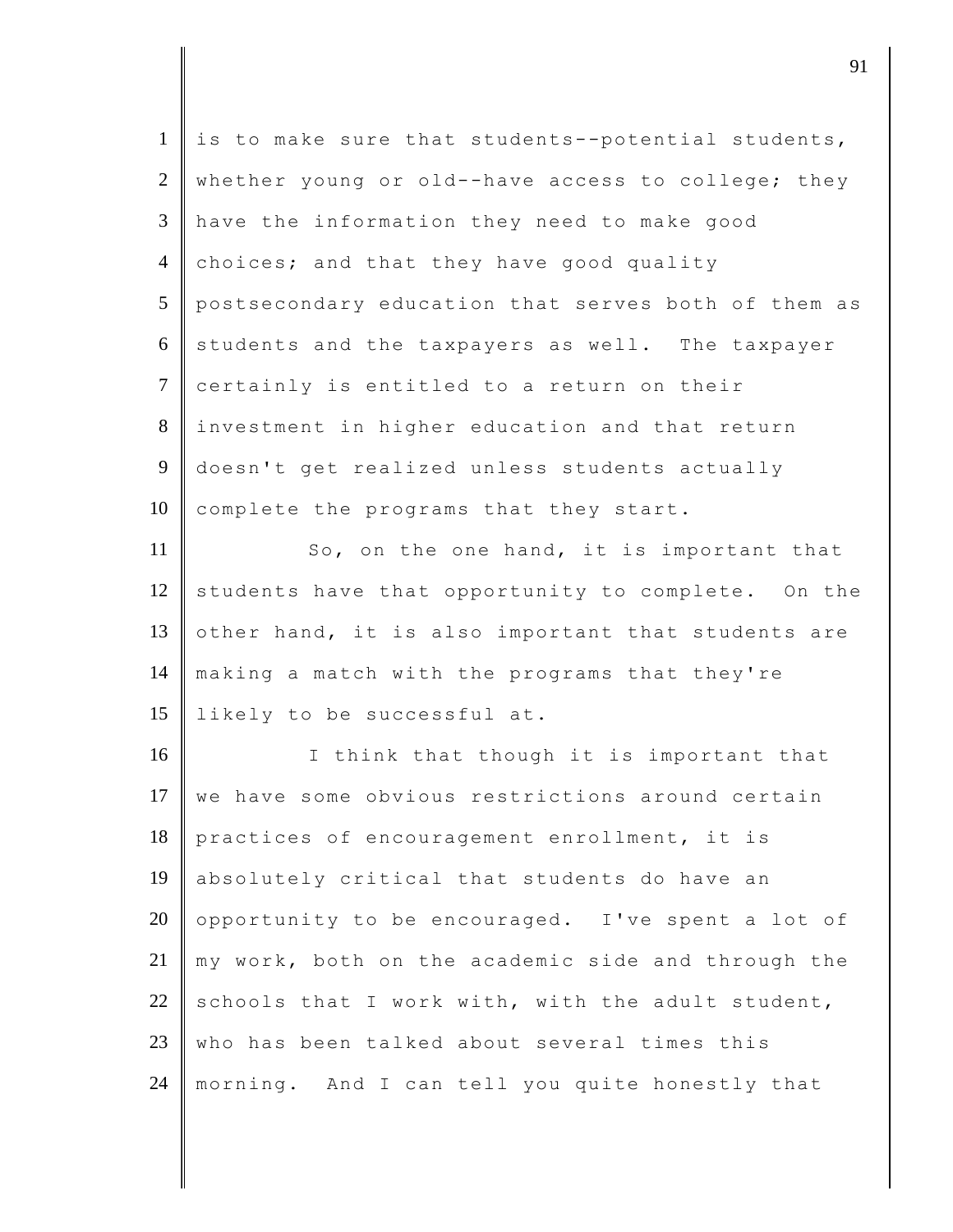| $\mathbf{1}$   | is to make sure that students--potential students,  |
|----------------|-----------------------------------------------------|
| $\overline{2}$ | whether young or old--have access to college; they  |
| 3              | have the information they need to make good         |
| $\overline{4}$ | choices; and that they have good quality            |
| 5              | postsecondary education that serves both of them as |
| 6              | students and the taxpayers as well. The taxpayer    |
| $\overline{7}$ | certainly is entitled to a return on their          |
| 8              | investment in higher education and that return      |
| 9              | doesn't get realized unless students actually       |
| 10             | complete the programs that they start.              |
| 11             | So, on the one hand, it is important that           |
| 12             | students have that opportunity to complete. On the  |
| 13             | other hand, it is also important that students are  |
| 14             | making a match with the programs that they're       |
| 15             | likely to be successful at.                         |
| 16             | I think that though it is important that            |
| 17             | we have some obvious restrictions around certain    |
| 18             | practices of encouragement enrollment, it is        |
| 19             | absolutely critical that students do have an        |
| 20             | opportunity to be encouraged. I've spent a lot of   |
| 21             | my work, both on the academic side and through the  |
| 22             | schools that I work with, with the adult student,   |
| 23             | who has been talked about several times this        |
| 24             | morning. And I can tell you quite honestly that     |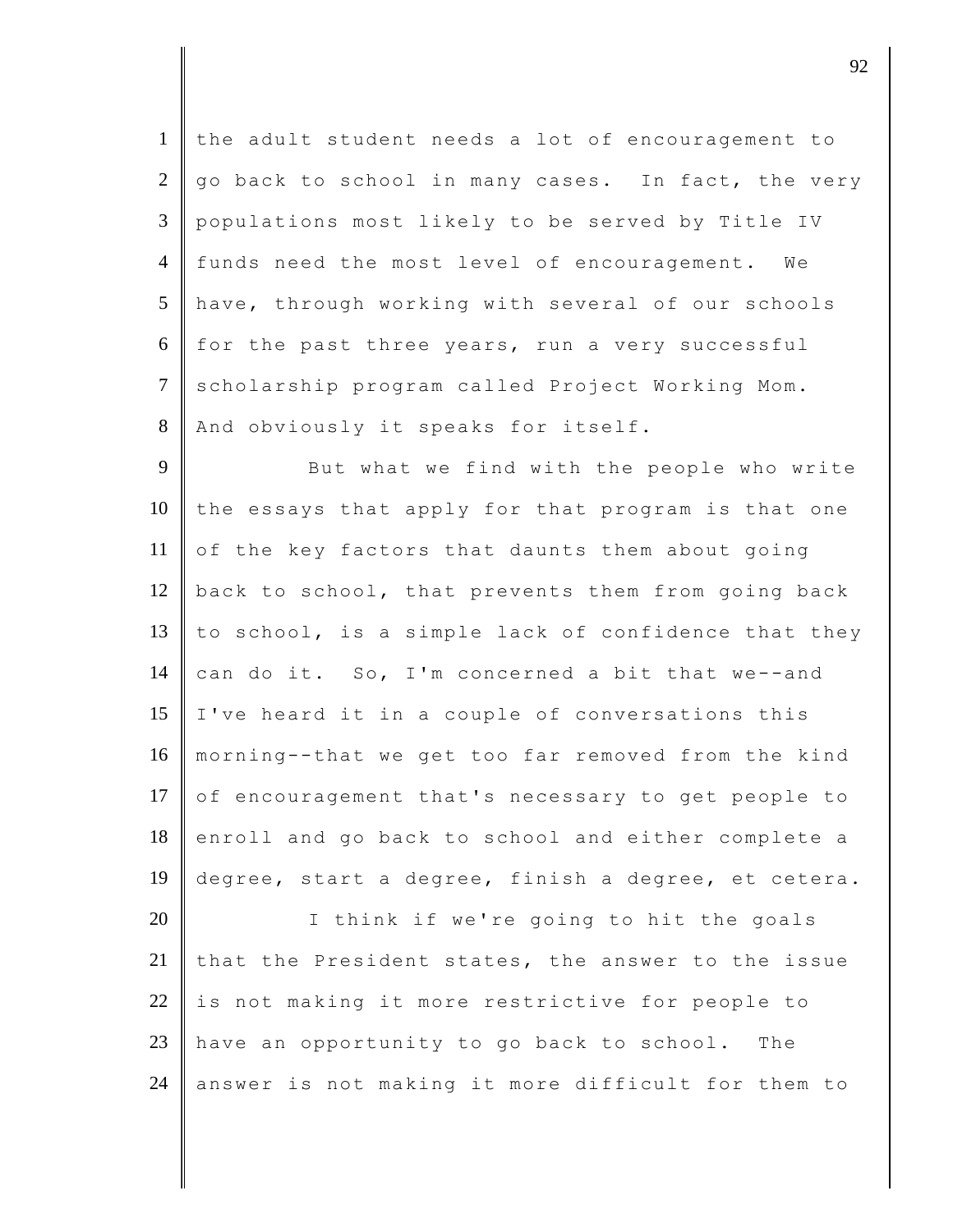1 the adult student needs a lot of encouragement to  $2 \parallel qo$  back to school in many cases. In fact, the very 3 populations most likely to be served by Title IV 4 funds need the most level of encouragement. We 5 have, through working with several of our schools 6 for the past three years, run a very successful 7 scholarship program called Project Working Mom. 8 | And obviously it speaks for itself.

9 But what we find with the people who write  $10$  the essays that apply for that program is that one 11 of the key factors that daunts them about going 12  $\parallel$  back to school, that prevents them from going back 13 to school, is a simple lack of confidence that they 14 can do it. So, I'm concerned a bit that we--and 15 I've heard it in a couple of conversations this 16 morning--that we get too far removed from the kind 17 of encouragement that's necessary to get people to 18 enroll and go back to school and either complete a 19 degree, start a degree, finish a degree, et cetera.

20 I think if we're going to hit the goals 21 that the President states, the answer to the issue  $22$  is not making it more restrictive for people to 23 have an opportunity to go back to school. The 24 answer is not making it more difficult for them to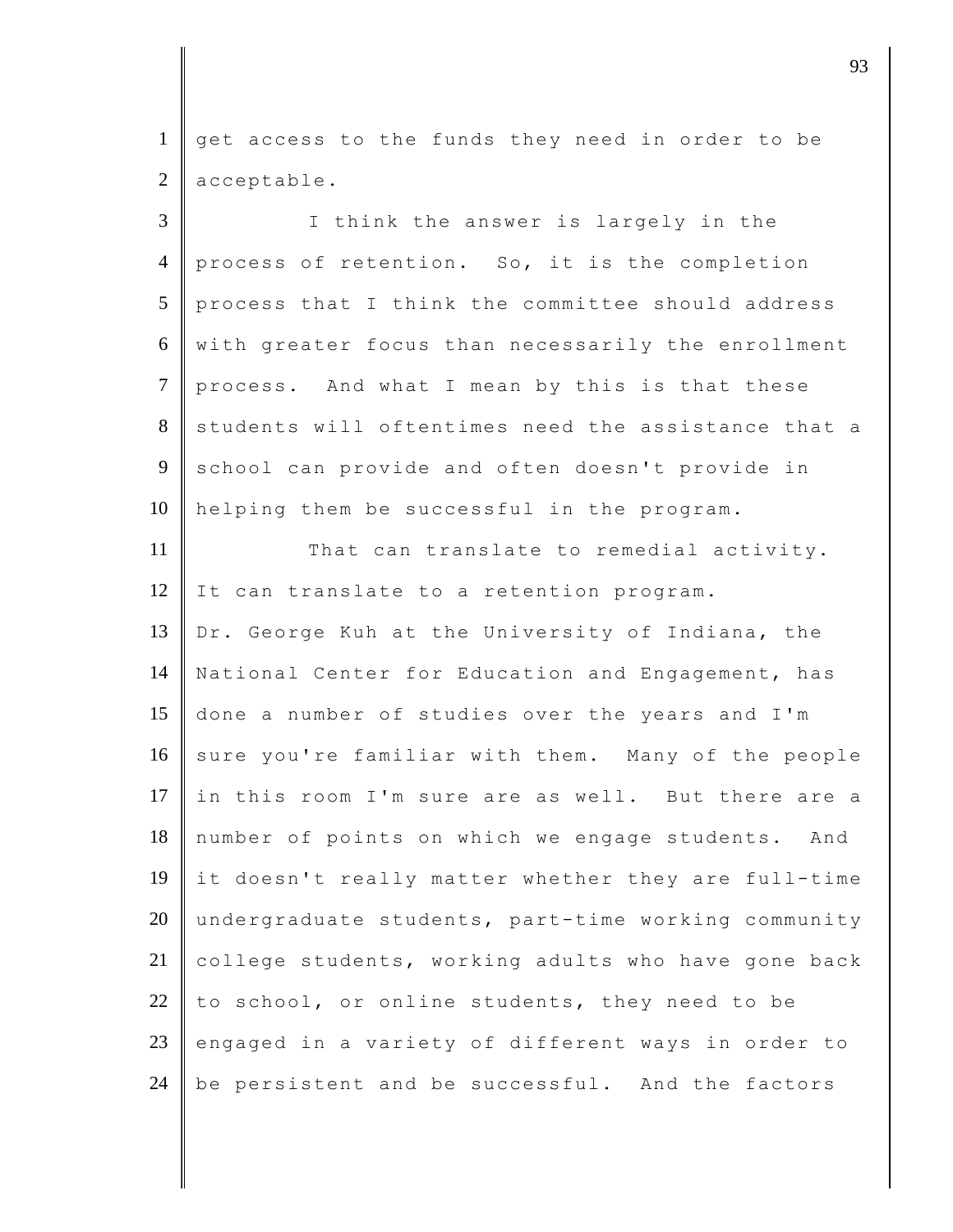1 get access to the funds they need in order to be 2 acceptable.

| $\overline{3}$ | I think the answer is largely in the                |
|----------------|-----------------------------------------------------|
| $\overline{4}$ | process of retention. So, it is the completion      |
| 5              | process that I think the committee should address   |
| 6              | with greater focus than necessarily the enrollment  |
| $\overline{7}$ | process. And what I mean by this is that these      |
| 8              | students will oftentimes need the assistance that a |
| 9              | school can provide and often doesn't provide in     |
| 10             | helping them be successful in the program.          |
| 11             | That can translate to remedial activity.            |
| 12             | It can translate to a retention program.            |
| 13             | Dr. George Kuh at the University of Indiana, the    |
| 14             | National Center for Education and Engagement, has   |
| 15             | done a number of studies over the years and I'm     |
| 16             | sure you're familiar with them. Many of the people  |
| 17             | in this room I'm sure are as well. But there are a  |
| 18             | number of points on which we engage students. And   |
| 19             | it doesn't really matter whether they are full-time |
| 20             | undergraduate students, part-time working community |
| 21             | college students, working adults who have gone back |
| 22             | to school, or online students, they need to be      |
| 23             | engaged in a variety of different ways in order to  |
| 24             | be persistent and be successful. And the factors    |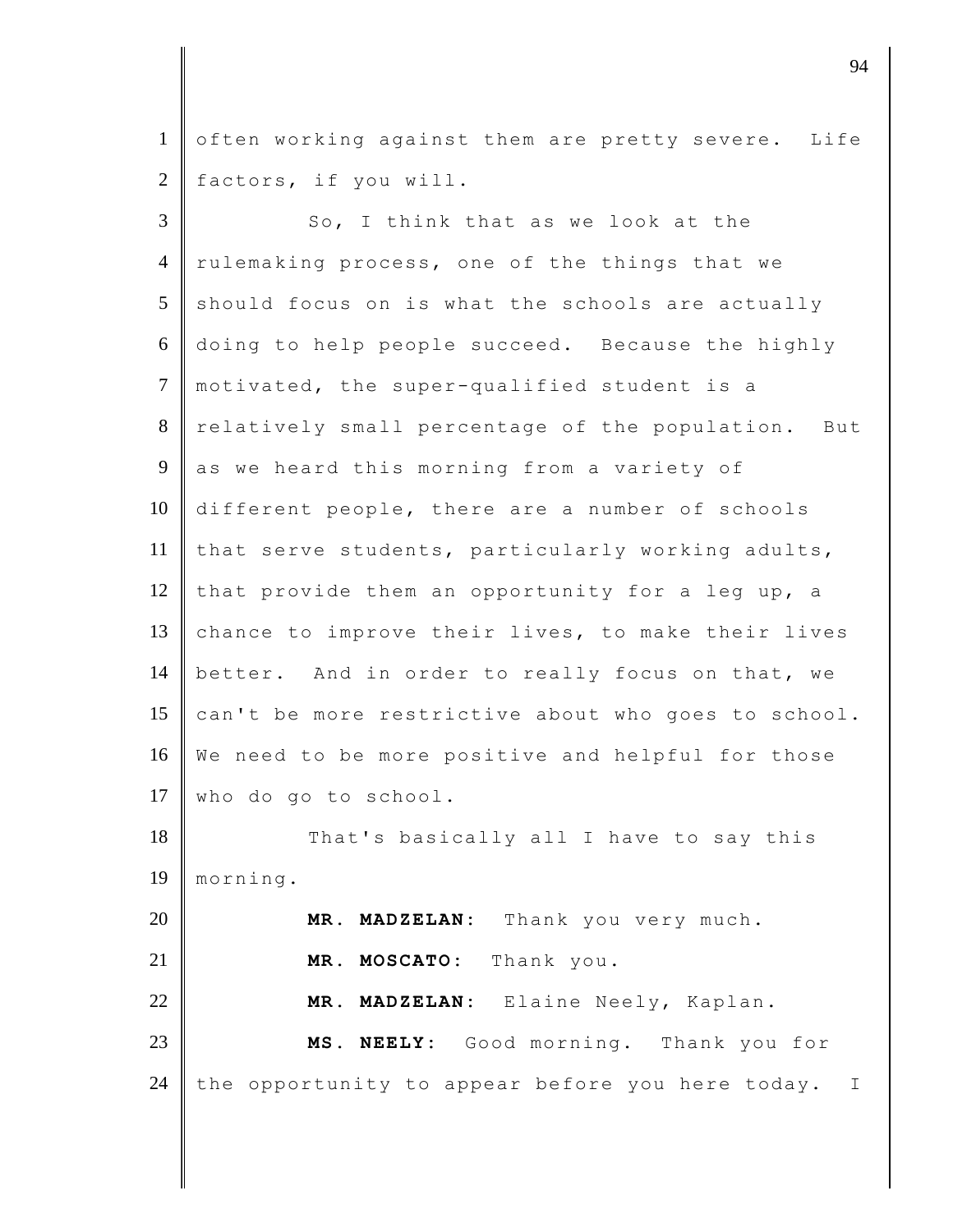1 often working against them are pretty severe. Life 2 factors, if you will.

3 So, I think that as we look at the 4 rulemaking process, one of the things that we  $5$  should focus on is what the schools are actually 6 doing to help people succeed. Because the highly 7 motivated, the super-qualified student is a 8 relatively small percentage of the population. But 9 as we heard this morning from a variety of 10 different people, there are a number of schools 11 that serve students, particularly working adults, 12 that provide them an opportunity for a leg up, a 13 chance to improve their lives, to make their lives 14 better. And in order to really focus on that, we 15 can't be more restrictive about who goes to school. 16 We need to be more positive and helpful for those 17 who do go to school. 18 That's basically all I have to say this 19 morning. 20 **MR. MADZELAN:** Thank you very much. 21 **MR. MOSCATO:** Thank you. 22 **MR. MADZELAN:** Elaine Neely, Kaplan. 23 **MS. NEELY:** Good morning. Thank you for 24 the opportunity to appear before you here today. I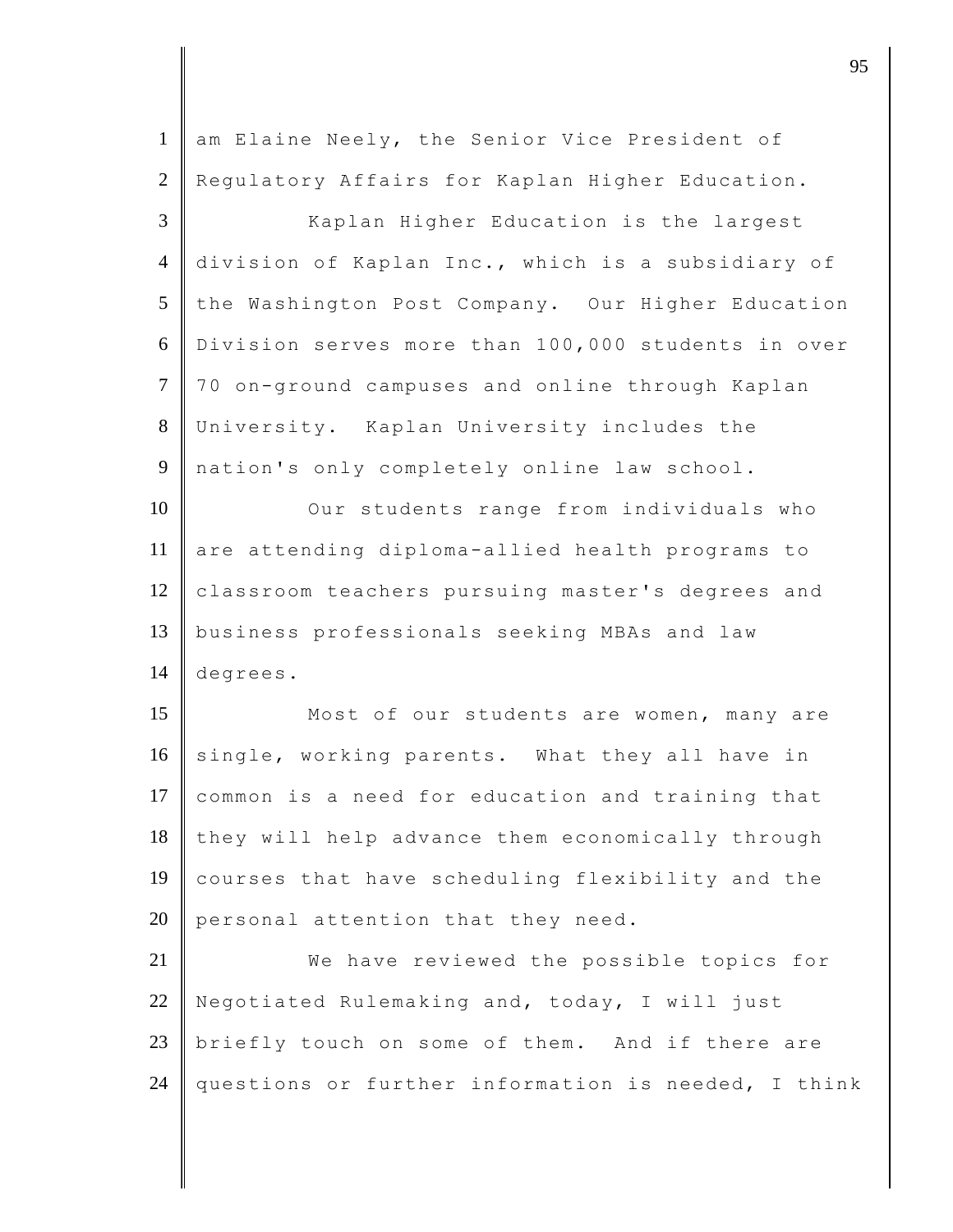| $\mathbf{1}$   | am Elaine Neely, the Senior Vice President of       |
|----------------|-----------------------------------------------------|
| 2              | Regulatory Affairs for Kaplan Higher Education.     |
| 3              | Kaplan Higher Education is the largest              |
| $\overline{4}$ | division of Kaplan Inc., which is a subsidiary of   |
| 5              | the Washington Post Company. Our Higher Education   |
| 6              | Division serves more than 100,000 students in over  |
| $\tau$         | 70 on-ground campuses and online through Kaplan     |
| $8\,$          | University. Kaplan University includes the          |
| 9              | nation's only completely online law school.         |
| 10             | Our students range from individuals who             |
| 11             | are attending diploma-allied health programs to     |
| 12             | classroom teachers pursuing master's degrees and    |
| 13             | business professionals seeking MBAs and law         |
| 14             | degrees.                                            |
| 15             | Most of our students are women, many are            |
| 16             | single, working parents. What they all have in      |
| 17             | common is a need for education and training that    |
| 18             | they will help advance them economically through    |
| 19             | courses that have scheduling flexibility and the    |
| 20             | personal attention that they need.                  |
| 21             | We have reviewed the possible topics for            |
| 22             | Negotiated Rulemaking and, today, I will just       |
| 23             | briefly touch on some of them. And if there are     |
| 24             | questions or further information is needed, I think |
|                |                                                     |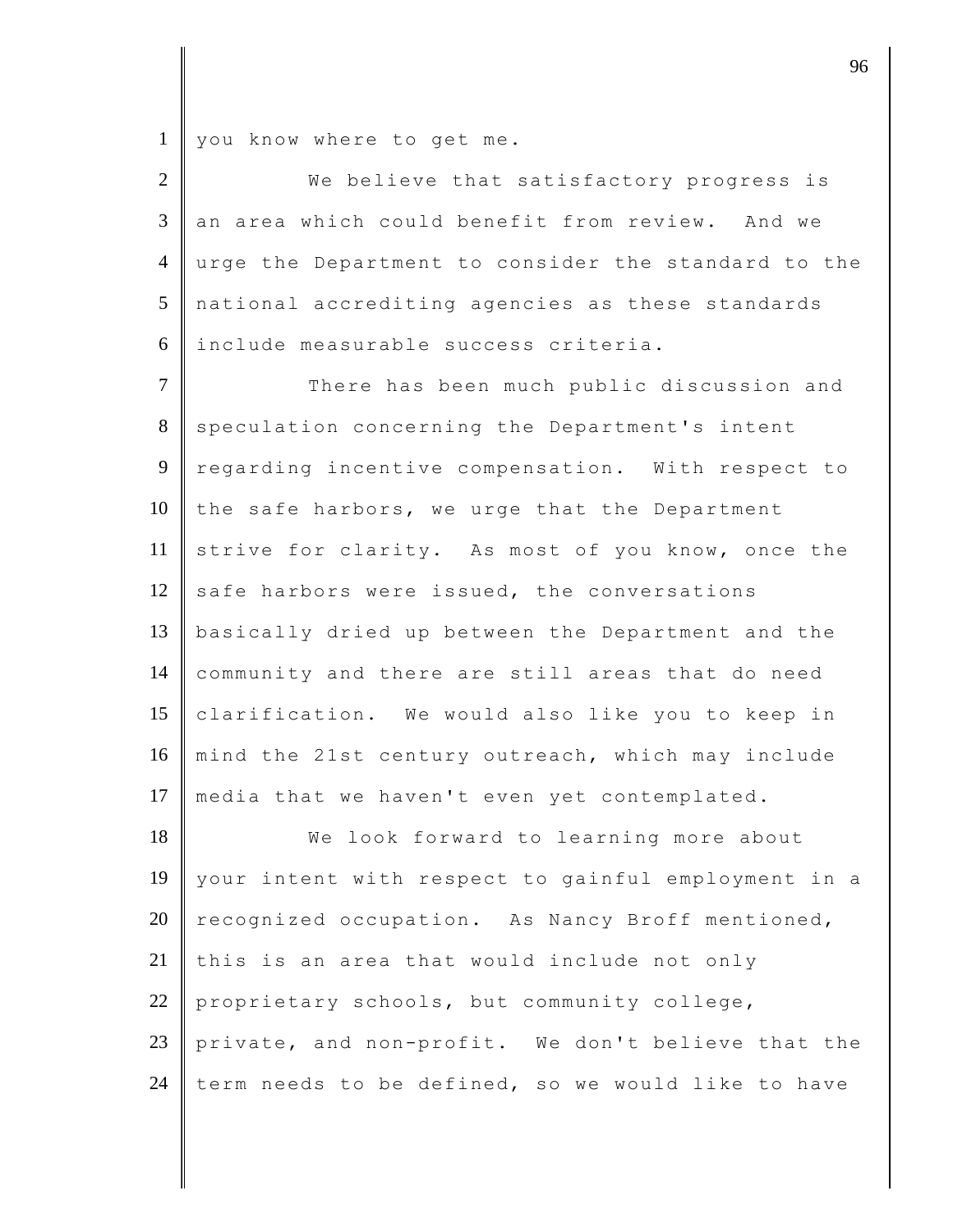1 you know where to get me.

| $2 \parallel$ | We believe that satisfactory progress is              |
|---------------|-------------------------------------------------------|
|               | 3 an area which could benefit from review. And we     |
|               | 4 urge the Department to consider the standard to the |
|               | 5 national accrediting agencies as these standards    |
|               | 6 include measurable success criteria.                |

7 There has been much public discussion and 8 speculation concerning the Department's intent 9 regarding incentive compensation. With respect to 10 the safe harbors, we urge that the Department 11 strive for clarity. As most of you know, once the 12 safe harbors were issued, the conversations 13 basically dried up between the Department and the 14 community and there are still areas that do need 15 clarification. We would also like you to keep in 16 mind the 21st century outreach, which may include 17 media that we haven't even yet contemplated.

18 We look forward to learning more about 19 your intent with respect to gainful employment in a 20 recognized occupation. As Nancy Broff mentioned, 21 this is an area that would include not only 22 proprietary schools, but community college, 23 private, and non-profit. We don't believe that the 24 term needs to be defined, so we would like to have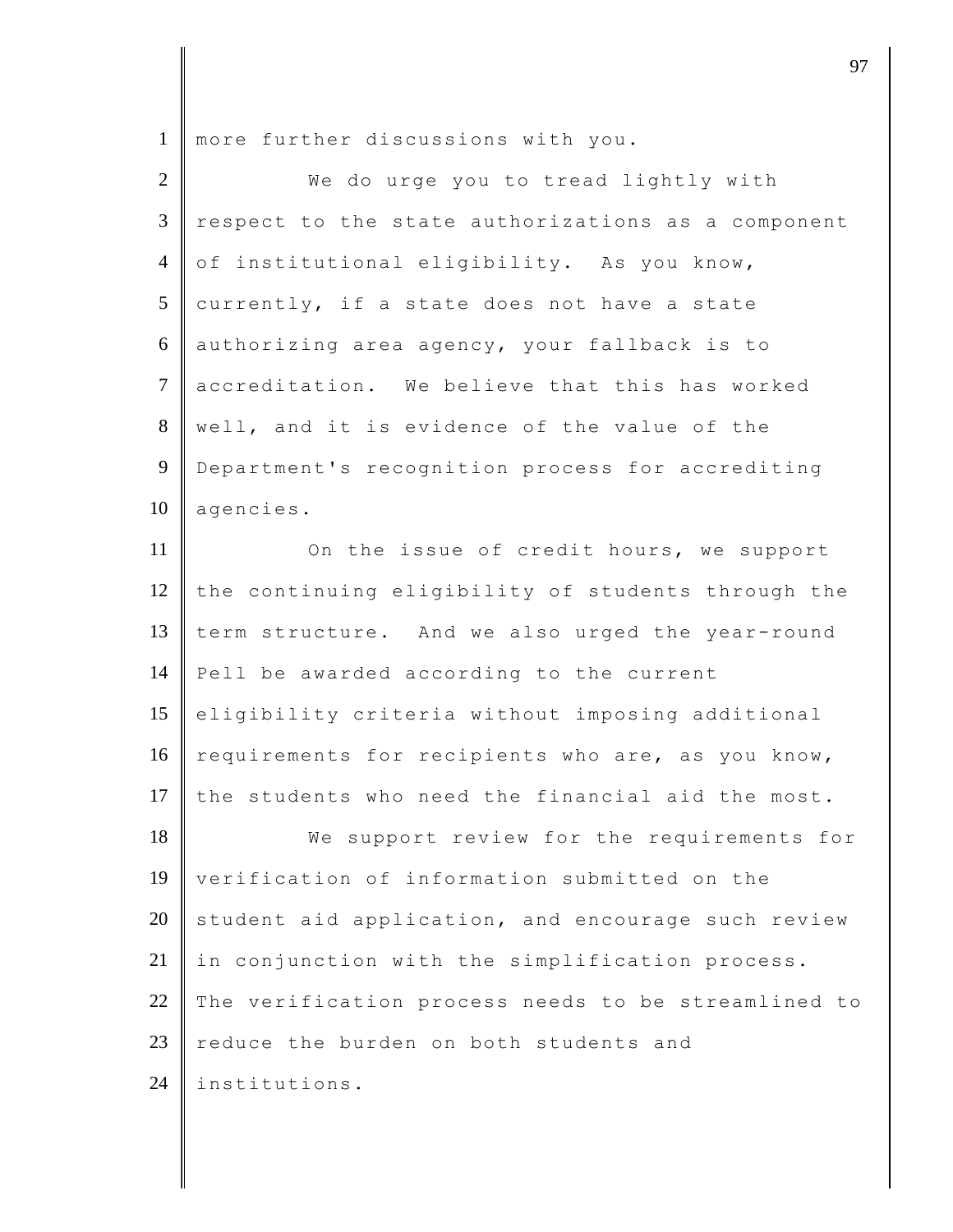1 more further discussions with you.

| $\overline{2}$ | We do urge you to tread lightly with                |
|----------------|-----------------------------------------------------|
| 3              | respect to the state authorizations as a component  |
| $\overline{4}$ | of institutional eligibility. As you know,          |
| 5              | currently, if a state does not have a state         |
| 6              | authorizing area agency, your fallback is to        |
| $\tau$         | accreditation. We believe that this has worked      |
| 8              | well, and it is evidence of the value of the        |
| 9              | Department's recognition process for accrediting    |
| 10             | agencies.                                           |
| 11             | On the issue of credit hours, we support            |
| 12             | the continuing eligibility of students through the  |
| 13             | term structure. And we also urged the year-round    |
| 14             | Pell be awarded according to the current            |
| 15             | eligibility criteria without imposing additional    |
| 16             | requirements for recipients who are, as you know,   |
| 17             | the students who need the financial aid the most.   |
| 18             | We support review for the requirements for          |
| 19             | verification of information submitted on the        |
| 20             | student aid application, and encourage such review  |
| 21             | in conjunction with the simplification process.     |
| 22             | The verification process needs to be streamlined to |
| 23             | reduce the burden on both students and              |
| 24             | institutions.                                       |

discrete the set of  $\overline{97}$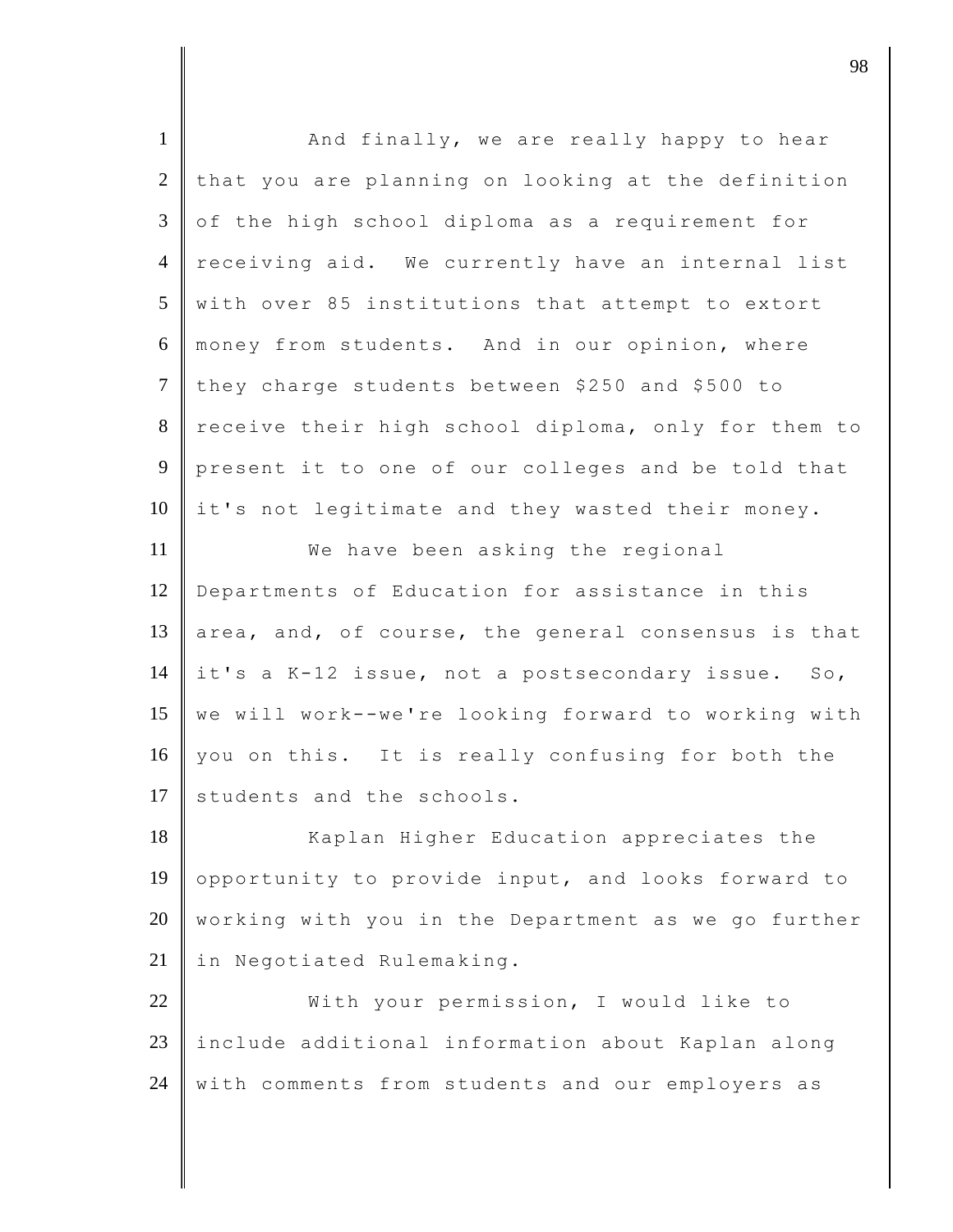| $\mathbf{1}$   | And finally, we are really happy to hear            |
|----------------|-----------------------------------------------------|
| $\overline{2}$ | that you are planning on looking at the definition  |
| 3              | of the high school diploma as a requirement for     |
| $\overline{4}$ | receiving aid. We currently have an internal list   |
| 5              | with over 85 institutions that attempt to extort    |
| 6              | money from students. And in our opinion, where      |
| $\tau$         | they charge students between \$250 and \$500 to     |
| 8              | receive their high school diploma, only for them to |
| 9              | present it to one of our colleges and be told that  |
| 10             | it's not legitimate and they wasted their money.    |
| 11             | We have been asking the regional                    |
| 12             | Departments of Education for assistance in this     |
| 13             | area, and, of course, the general consensus is that |
| 14             | it's a K-12 issue, not a postsecondary issue. So,   |
| 15             | we will work--we're looking forward to working with |
| 16             | you on this. It is really confusing for both the    |
| 17             | students and the schools.                           |
| 18             | Kaplan Higher Education appreciates the             |
| 19             | opportunity to provide input, and looks forward to  |
| 20             | working with you in the Department as we go further |
| 21             | in Negotiated Rulemaking.                           |
| 22             | With your permission, I would like to               |
| 23             | include additional information about Kaplan along   |
| 24             | with comments from students and our employers as    |
|                |                                                     |

djective terms of  $\overline{98}$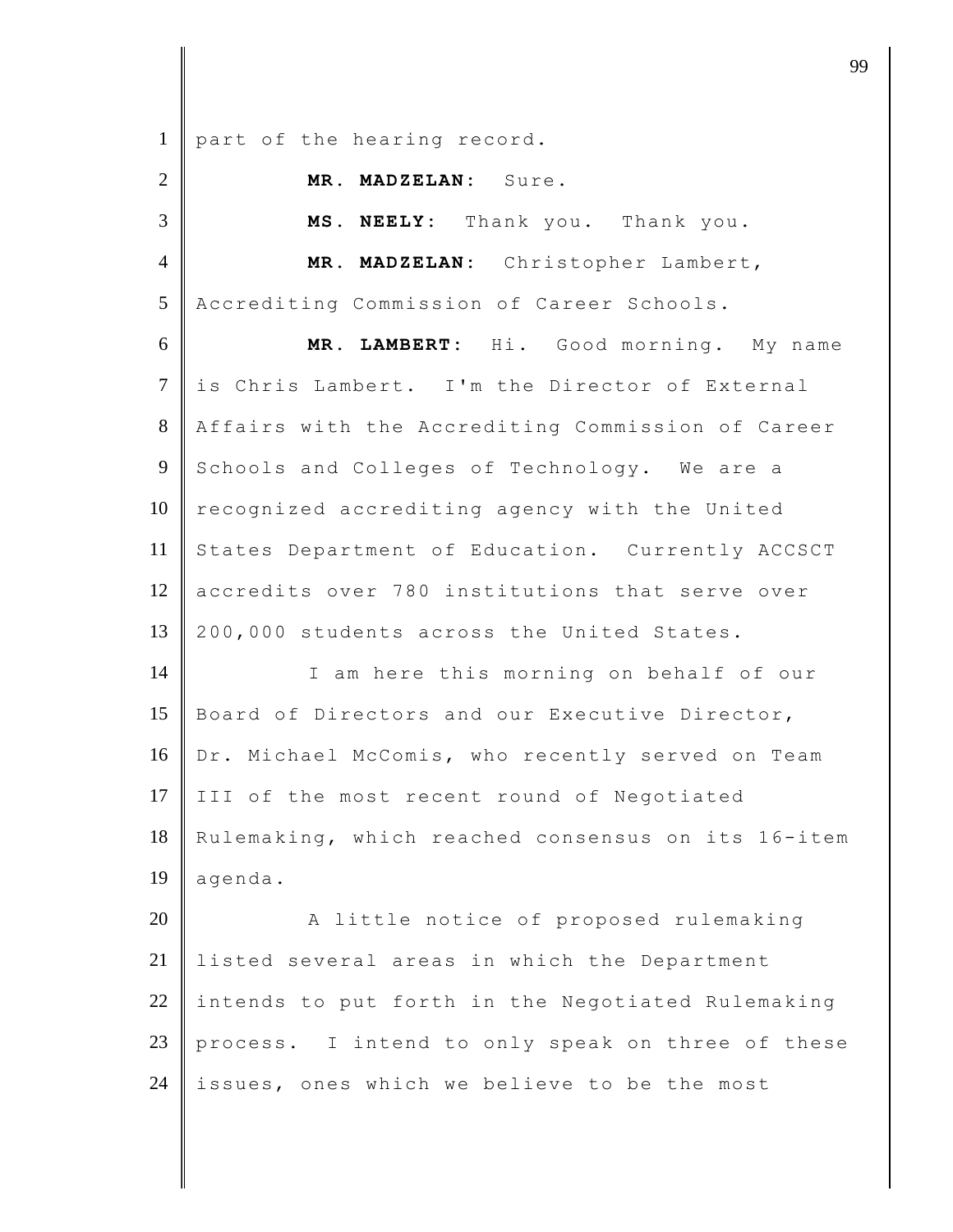1 part of the hearing record.

2 **MR. MADZELAN:** Sure.

3 **MS. NEELY:** Thank you. Thank you. 4 **MR. MADZELAN:** Christopher Lambert, 5 Accrediting Commission of Career Schools. 6 **MR. LAMBERT:** Hi. Good morning. My name 7 is Chris Lambert. I'm the Director of External 8 Affairs with the Accrediting Commission of Career 9 Schools and Colleges of Technology. We are a 10 recognized accrediting agency with the United 11 States Department of Education. Currently ACCSCT 12 accredits over 780 institutions that serve over 13 200,000 students across the United States. 14 I am here this morning on behalf of our 15 Board of Directors and our Executive Director, 16 Dr. Michael McComis, who recently served on Team 17 III of the most recent round of Negotiated 18 Rulemaking, which reached consensus on its 16-item 19 agenda. 20 A little notice of proposed rulemaking 21 listed several areas in which the Department  $22$  intends to put forth in the Negotiated Rulemaking 23 process. I intend to only speak on three of these

24 issues, ones which we believe to be the most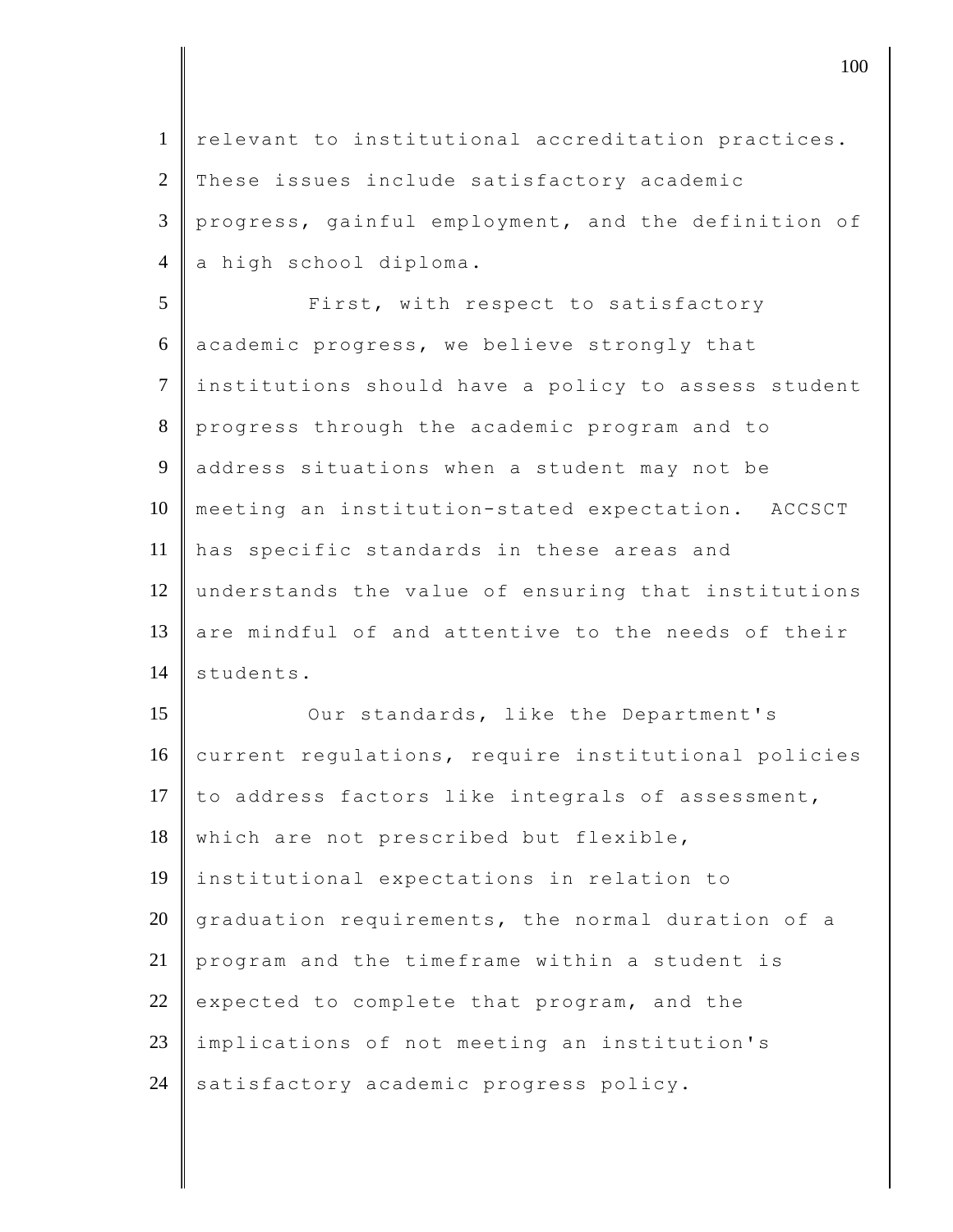1 | relevant to institutional accreditation practices. 2 These issues include satisfactory academic 3 progress, gainful employment, and the definition of 4 a high school diploma. 5 | First, with respect to satisfactory 6 academic progress, we believe strongly that 7 institutions should have a policy to assess student 8 progress through the academic program and to 9 address situations when a student may not be 10 meeting an institution-stated expectation. ACCSCT 11 has specific standards in these areas and 12 understands the value of ensuring that institutions 13 are mindful of and attentive to the needs of their 14 students. 15 Our standards, like the Department's 16 current regulations, require institutional policies 17  $\|$  to address factors like integrals of assessment, 18 which are not prescribed but flexible, 19 institutional expectations in relation to 20 graduation requirements, the normal duration of a 21 program and the timeframe within a student is 22 expected to complete that program, and the 23 implications of not meeting an institution's 24 satisfactory academic progress policy.

 $\parallel$  100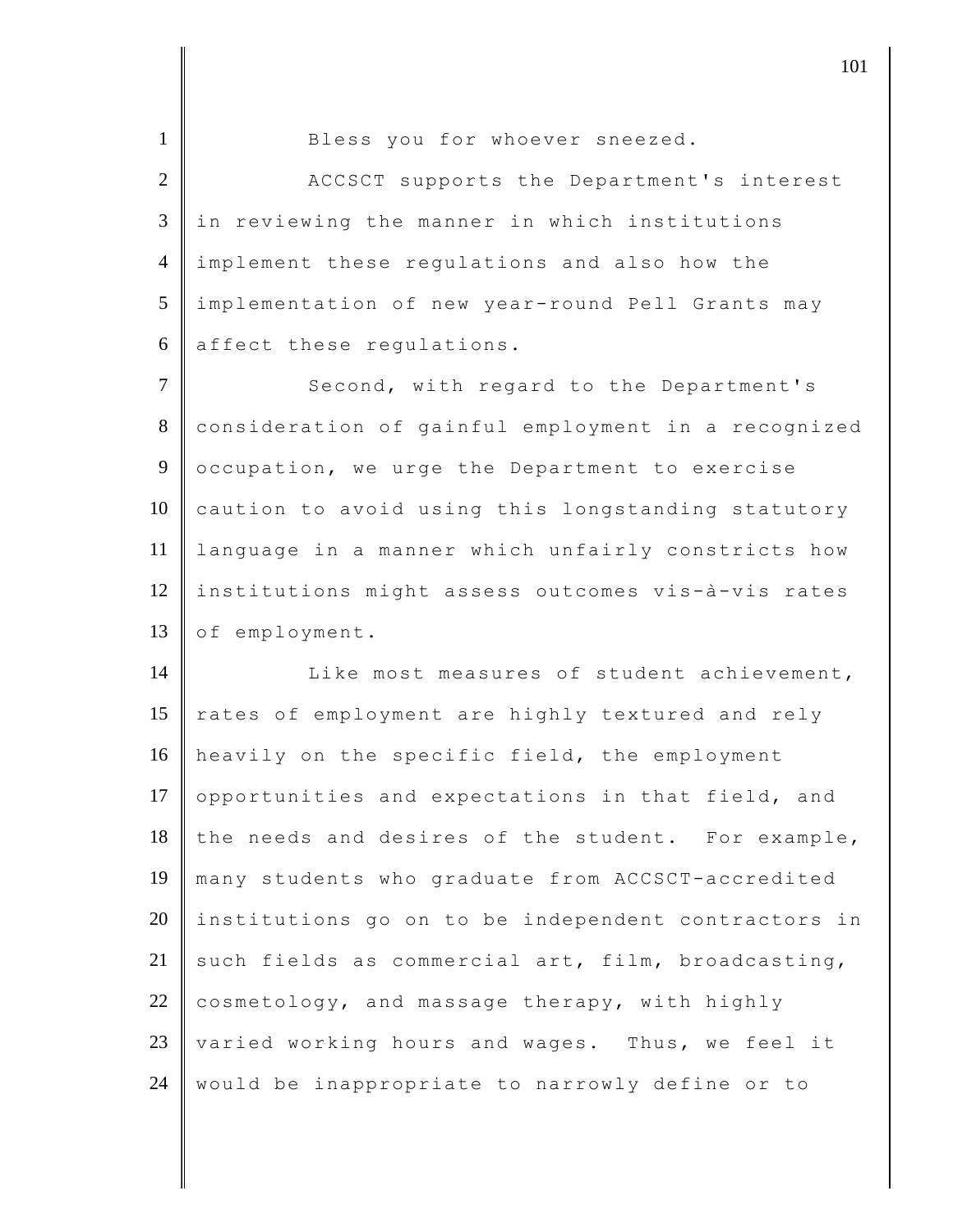1 Bless you for whoever sneezed.

2 ACCSCT supports the Department's interest 3 in reviewing the manner in which institutions 4 implement these regulations and also how the 5 implementation of new year-round Pell Grants may 6 affect these regulations.

7 Second, with regard to the Department's 8 consideration of gainful employment in a recognized 9 occupation, we urge the Department to exercise 10 caution to avoid using this longstanding statutory 11 language in a manner which unfairly constricts how 12 institutions might assess outcomes vis-à-vis rates 13 of employment.

14 | Like most measures of student achievement, 15 rates of employment are highly textured and rely 16 heavily on the specific field, the employment 17 opportunities and expectations in that field, and  $18$  the needs and desires of the student. For example, 19 many students who graduate from ACCSCT-accredited 20 institutions go on to be independent contractors in 21 such fields as commercial art, film, broadcasting, 22 cosmetology, and massage therapy, with highly 23 varied working hours and wages. Thus, we feel it 24 | would be inappropriate to narrowly define or to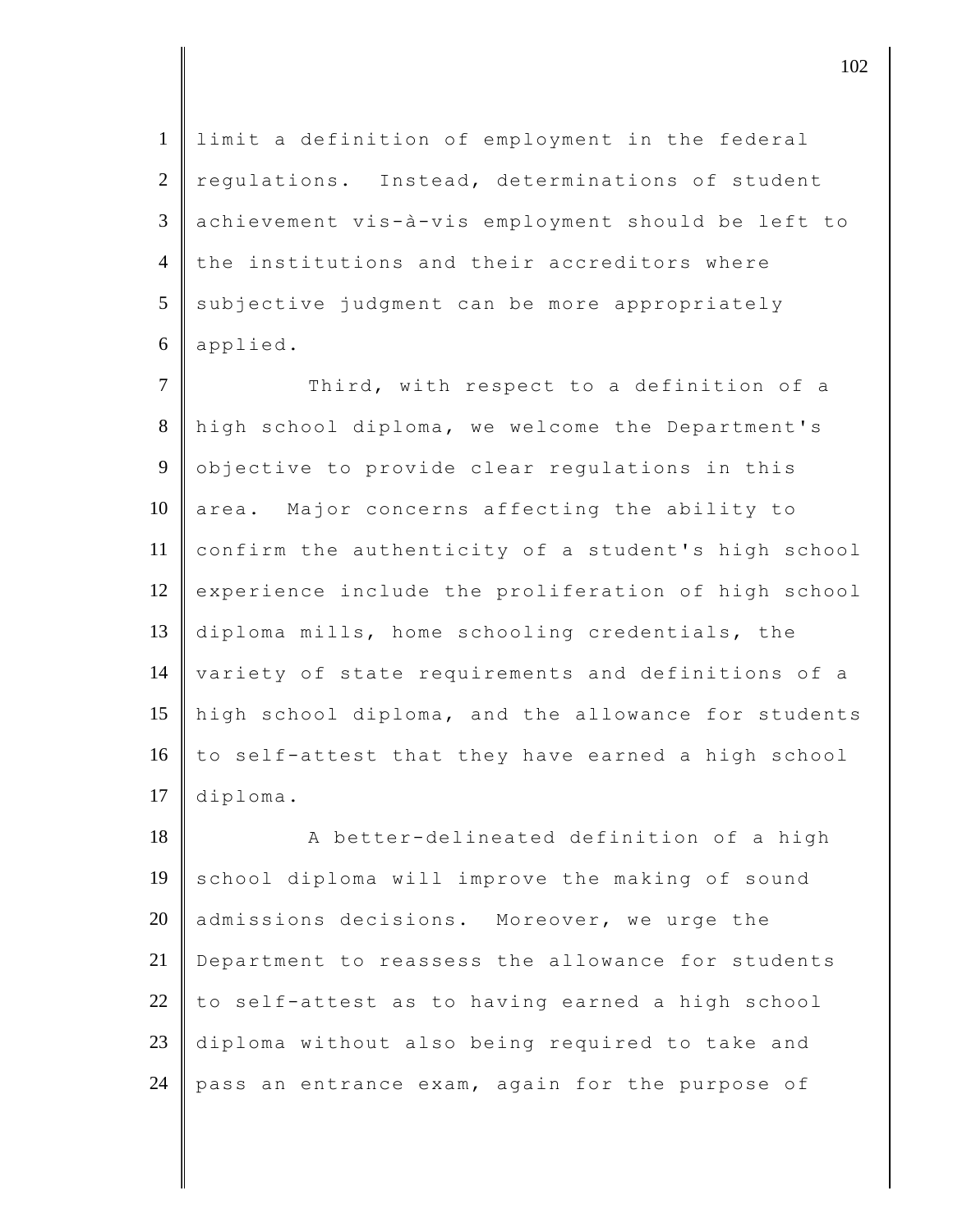limit a definition of employment in the federal  $2 \parallel$  regulations. Instead, determinations of student achievement vis-à-vis employment should be left to 4 the institutions and their accreditors where subjective judgment can be more appropriately applied.

7 Third, with respect to a definition of a 8 high school diploma, we welcome the Department's 9 objective to provide clear regulations in this  $10$  area. Major concerns affecting the ability to 11 confirm the authenticity of a student's high school 12 experience include the proliferation of high school 13 diploma mills, home schooling credentials, the 14 variety of state requirements and definitions of a 15 high school diploma, and the allowance for students 16 to self-attest that they have earned a high school 17 diploma.

18 A better-delineated definition of a high 19 school diploma will improve the making of sound 20 admissions decisions. Moreover, we urge the 21 Department to reassess the allowance for students  $22$  to self-attest as to having earned a high school 23 diploma without also being required to take and 24 pass an entrance exam, again for the purpose of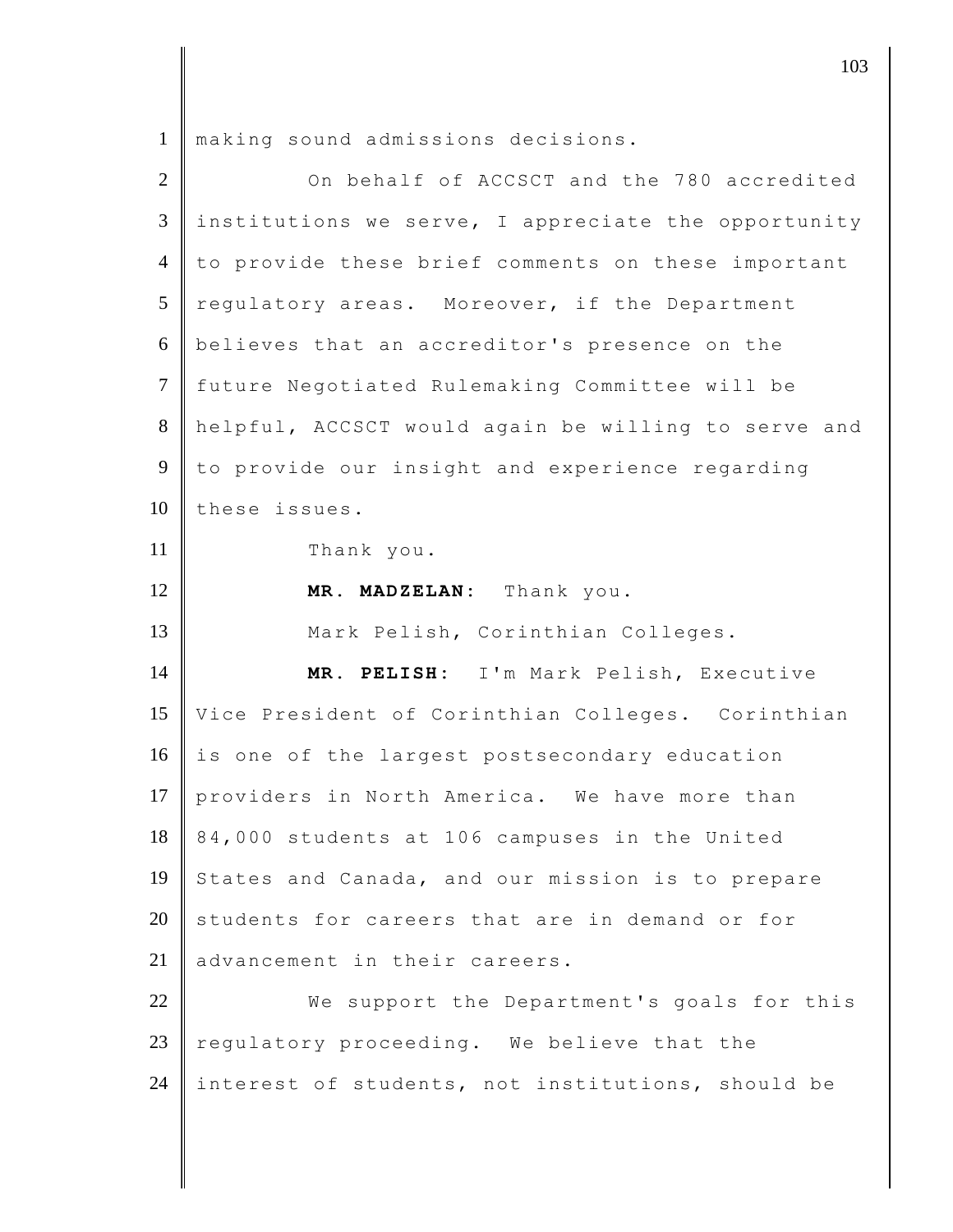making sound admissions decisions.

| $\overline{2}$ | On behalf of ACCSCT and the 780 accredited          |
|----------------|-----------------------------------------------------|
| 3              | institutions we serve, I appreciate the opportunity |
| $\overline{4}$ | to provide these brief comments on these important  |
| 5              | requlatory areas. Moreover, if the Department       |
| 6              | believes that an accreditor's presence on the       |
| $\overline{7}$ | future Negotiated Rulemaking Committee will be      |
| $8\,$          | helpful, ACCSCT would again be willing to serve and |
| 9              | to provide our insight and experience regarding     |
| 10             | these issues.                                       |
| 11             | Thank you.                                          |
| 12             | MR. MADZELAN: Thank you.                            |
| 13             | Mark Pelish, Corinthian Colleges.                   |
| 14             | MR. PELISH: I'm Mark Pelish, Executive              |
| 15             | Vice President of Corinthian Colleges. Corinthian   |
| 16             | is one of the largest postsecondary education       |
| 17             | providers in North America. We have more than       |
| 18             | 84,000 students at 106 campuses in the United       |
| 19             | States and Canada, and our mission is to prepare    |
| 20             | students for careers that are in demand or for      |
| 21             | advancement in their careers.                       |
| 22             | We support the Department's goals for this          |
| 23             | regulatory proceeding. We believe that the          |
| 24             | interest of students, not institutions, should be   |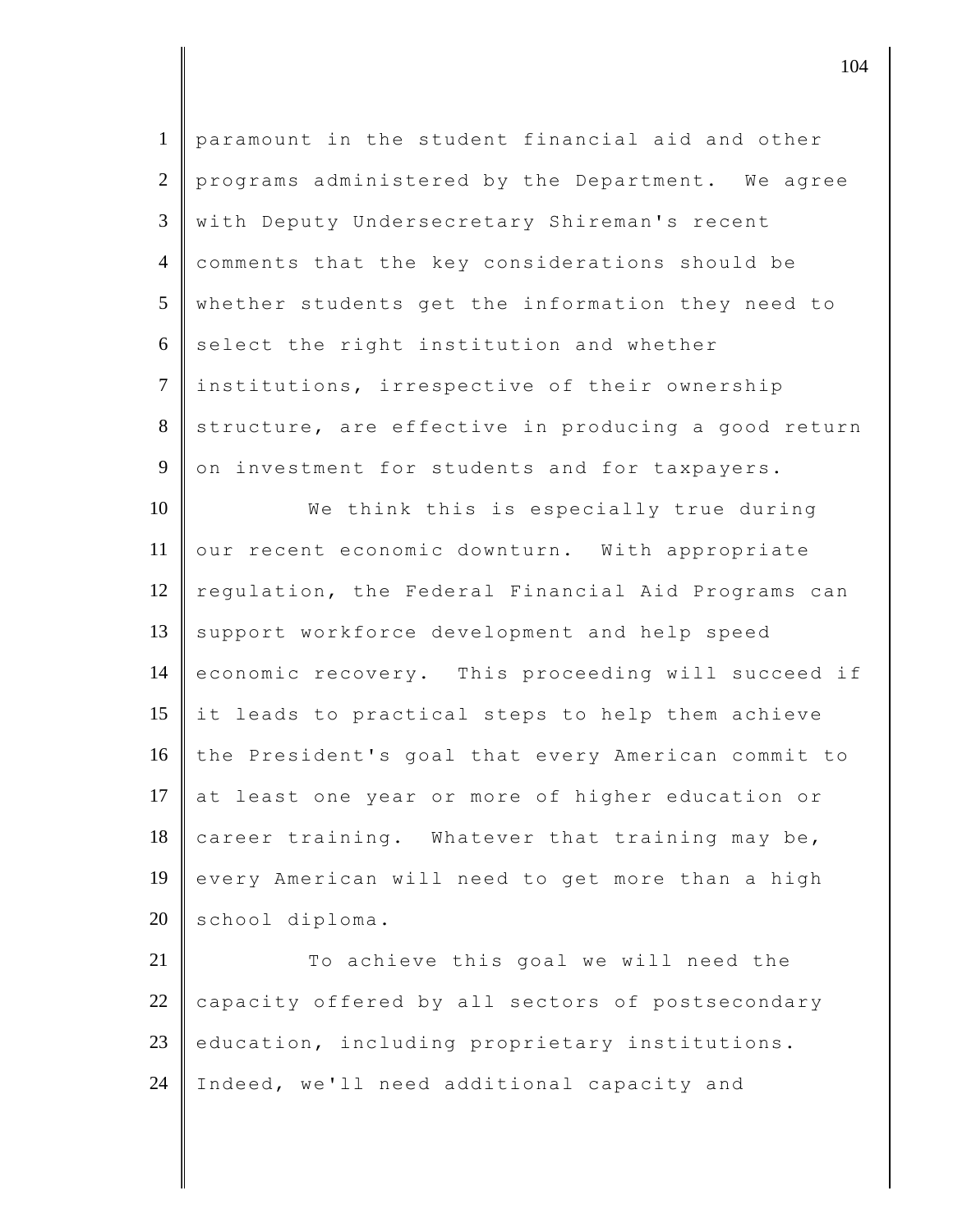| $\mathbf{1}$   | paramount in the student financial aid and other    |
|----------------|-----------------------------------------------------|
| 2              | programs administered by the Department. We agree   |
| $\mathfrak{Z}$ | with Deputy Undersecretary Shireman's recent        |
| $\overline{4}$ | comments that the key considerations should be      |
| 5              | whether students get the information they need to   |
| 6              | select the right institution and whether            |
| $\tau$         | institutions, irrespective of their ownership       |
| 8              | structure, are effective in producing a good return |
| $\overline{9}$ | on investment for students and for taxpayers.       |
| 10             | We think this is especially true during             |
| 11             | our recent economic downturn. With appropriate      |
| 12             | regulation, the Federal Financial Aid Programs can  |
| 13             | support workforce development and help speed        |
| 14             | economic recovery. This proceeding will succeed if  |
| 15             | it leads to practical steps to help them achieve    |
| 16             | the President's goal that every American commit to  |
| 17             | at least one year or more of higher education or    |
| 18             | career training. Whatever that training may be,     |
| 19             | every American will need to get more than a high    |
| 20             | school diploma.                                     |
| 21             | To achieve this goal we will need the               |
| 22             | capacity offered by all sectors of postsecondary    |
| 23             | education, including proprietary institutions.      |
| 24             | Indeed, we'll need additional capacity and          |
|                |                                                     |

 $\parallel$  104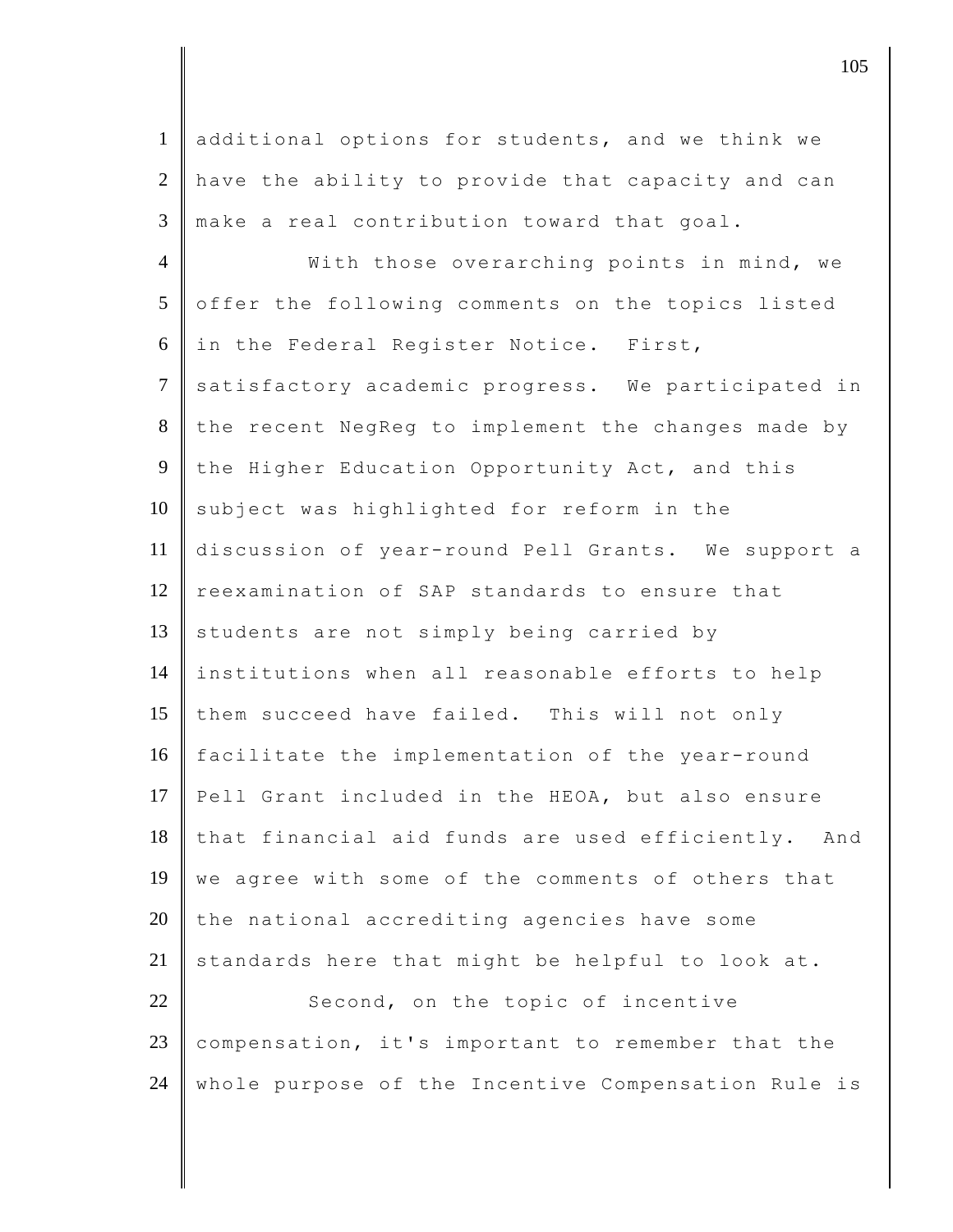1 additional options for students, and we think we 2 have the ability to provide that capacity and can  $3$   $\parallel$  make a real contribution toward that goal. 4 | With those overarching points in mind, we 5 offer the following comments on the topics listed  $6$  in the Federal Register Notice. First, 7 satisfactory academic progress. We participated in 8 the recent NegReg to implement the changes made by 9 the Higher Education Opportunity Act, and this  $10$  subject was highlighted for reform in the 11 discussion of year-round Pell Grants. We support a 12 reexamination of SAP standards to ensure that 13 students are not simply being carried by 14 institutions when all reasonable efforts to help 15 them succeed have failed. This will not only 16 facilitate the implementation of the year-round 17 Pell Grant included in the HEOA, but also ensure  $18$  that financial aid funds are used efficiently. And 19 we agree with some of the comments of others that  $20$  the national accrediting agencies have some  $21$  standards here that might be helpful to look at. 22 Second, on the topic of incentive 23 compensation, it's important to remember that the 24 whole purpose of the Incentive Compensation Rule is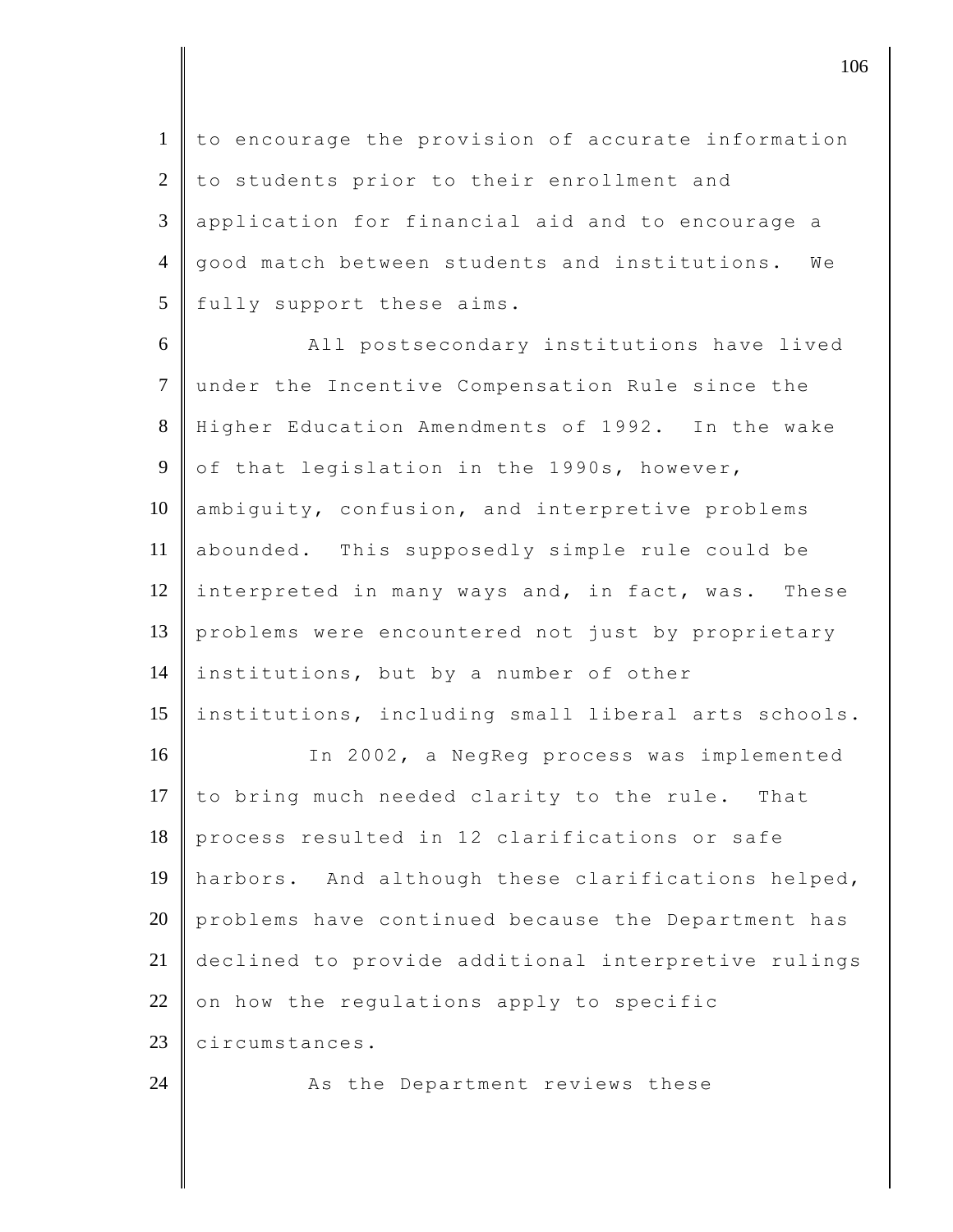to encourage the provision of accurate information to students prior to their enrollment and application for financial aid and to encourage a 4 good match between students and institutions. We fully support these aims.

6 All postsecondary institutions have lived 7 under the Incentive Compensation Rule since the 8 Higher Education Amendments of 1992. In the wake 9 of that legislation in the 1990s, however, 10 ambiguity, confusion, and interpretive problems 11 abounded. This supposedly simple rule could be 12 interpreted in many ways and, in fact, was. These 13 problems were encountered not just by proprietary 14 institutions, but by a number of other 15 institutions, including small liberal arts schools. 16 In 2002, a NegReg process was implemented 17  $\|$  to bring much needed clarity to the rule. That 18 process resulted in 12 clarifications or safe 19 harbors. And although these clarifications helped,  $20$  problems have continued because the Department has 21 declined to provide additional interpretive rulings 22 on how the regulations apply to specific 23 circumstances. 24 As the Department reviews these

 $\parallel$  106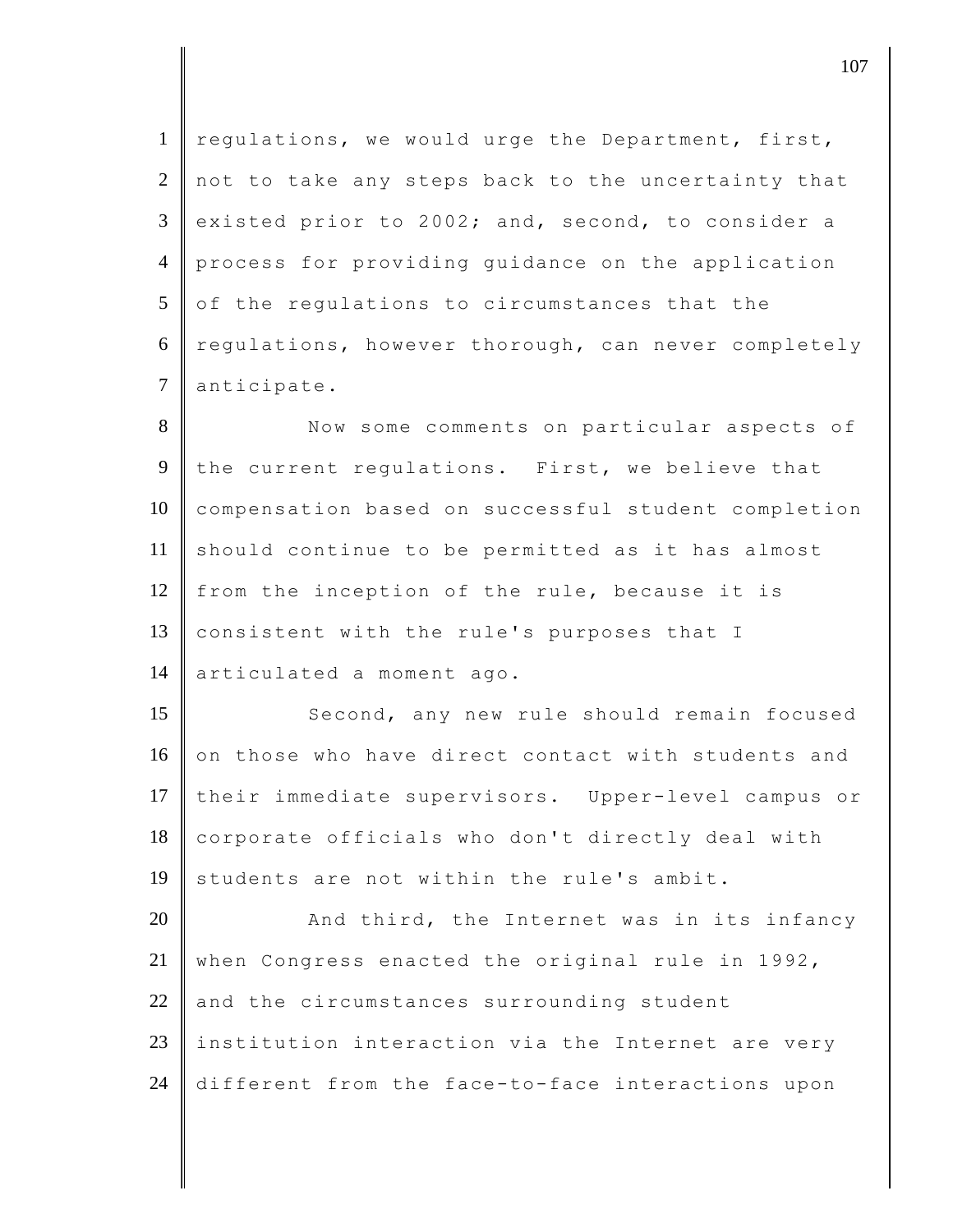1 regulations, we would urge the Department, first, 2 not to take any steps back to the uncertainty that  $3 \parallel$  existed prior to 2002; and, second, to consider a 4 process for providing guidance on the application  $5$  of the regulations to circumstances that the 6 regulations, however thorough, can never completely 7 anticipate.

8 Now some comments on particular aspects of 9 the current regulations. First, we believe that 10 compensation based on successful student completion 11 should continue to be permitted as it has almost 12  $\parallel$  from the inception of the rule, because it is 13 consistent with the rule's purposes that I 14 | articulated a moment ago.

15 Second, any new rule should remain focused 16 on those who have direct contact with students and 17 their immediate supervisors. Upper-level campus or 18 corporate officials who don't directly deal with 19 students are not within the rule's ambit.

20 And third, the Internet was in its infancy 21 when Congress enacted the original rule in 1992,  $22$  and the circumstances surrounding student  $23$  | institution interaction via the Internet are very 24 different from the face-to-face interactions upon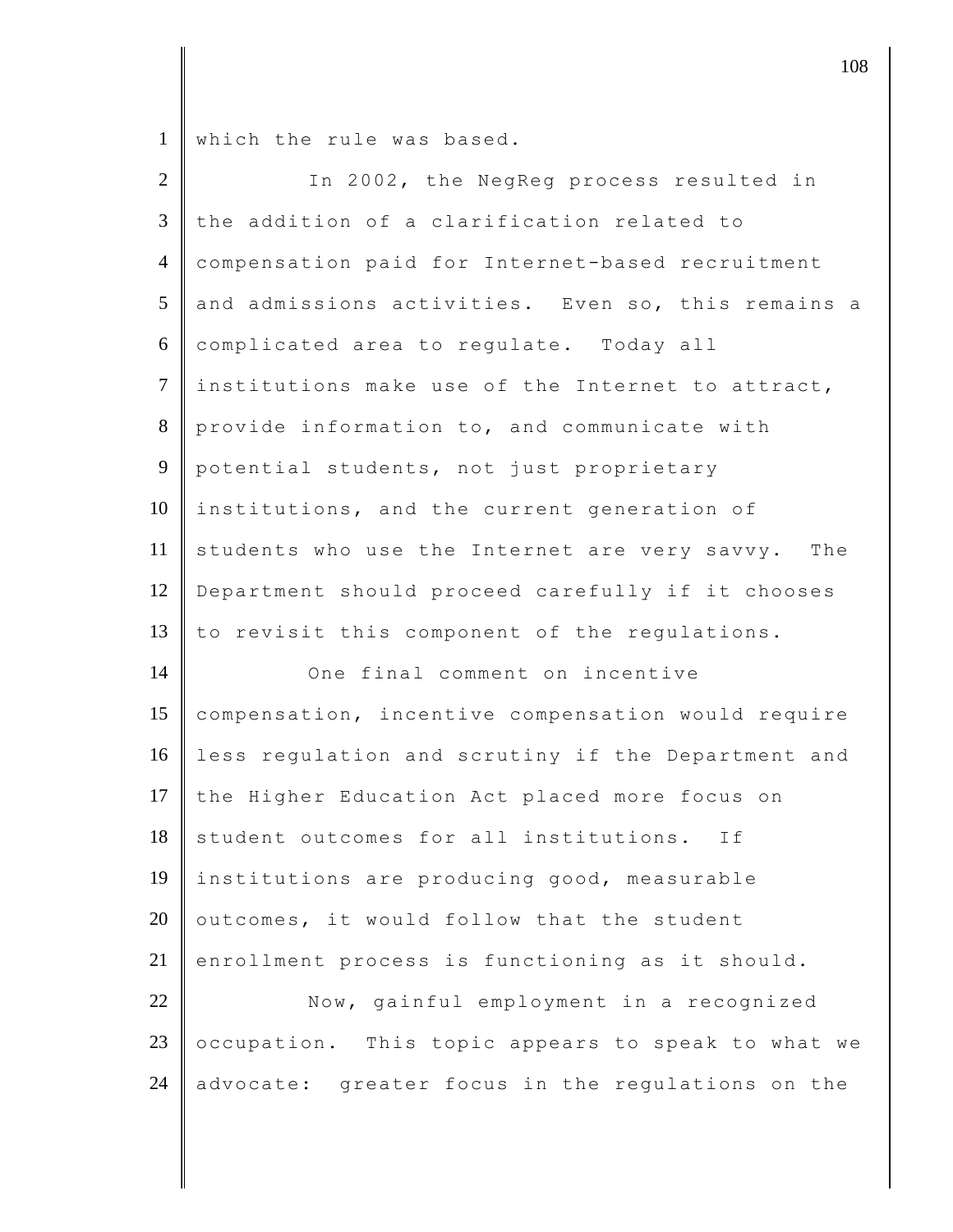1 which the rule was based.

| $\overline{2}$ | In 2002, the NegReg process resulted in            |
|----------------|----------------------------------------------------|
| $\mathfrak{Z}$ | the addition of a clarification related to         |
| $\overline{4}$ | compensation paid for Internet-based recruitment   |
| 5              | and admissions activities. Even so, this remains a |
| 6              | complicated area to regulate. Today all            |
| $\tau$         | institutions make use of the Internet to attract,  |
| 8              | provide information to, and communicate with       |
| $\mathbf{9}$   | potential students, not just proprietary           |
| 10             | institutions, and the current generation of        |
| 11             | students who use the Internet are very savvy. The  |
| 12             | Department should proceed carefully if it chooses  |
| 13             | to revisit this component of the regulations.      |
| 14             | One final comment on incentive                     |
| 15             | compensation, incentive compensation would require |
| 16             | less regulation and scrutiny if the Department and |
| 17             | the Higher Education Act placed more focus on      |
| 18             | student outcomes for all institutions.<br>If       |
| 19             | institutions are producing good, measurable        |
| 20             | outcomes, it would follow that the student         |
| 21             | enrollment process is functioning as it should.    |
| 22             | Now, gainful employment in a recognized            |
| 23             | occupation. This topic appears to speak to what we |
| 24             | advocate: greater focus in the regulations on the  |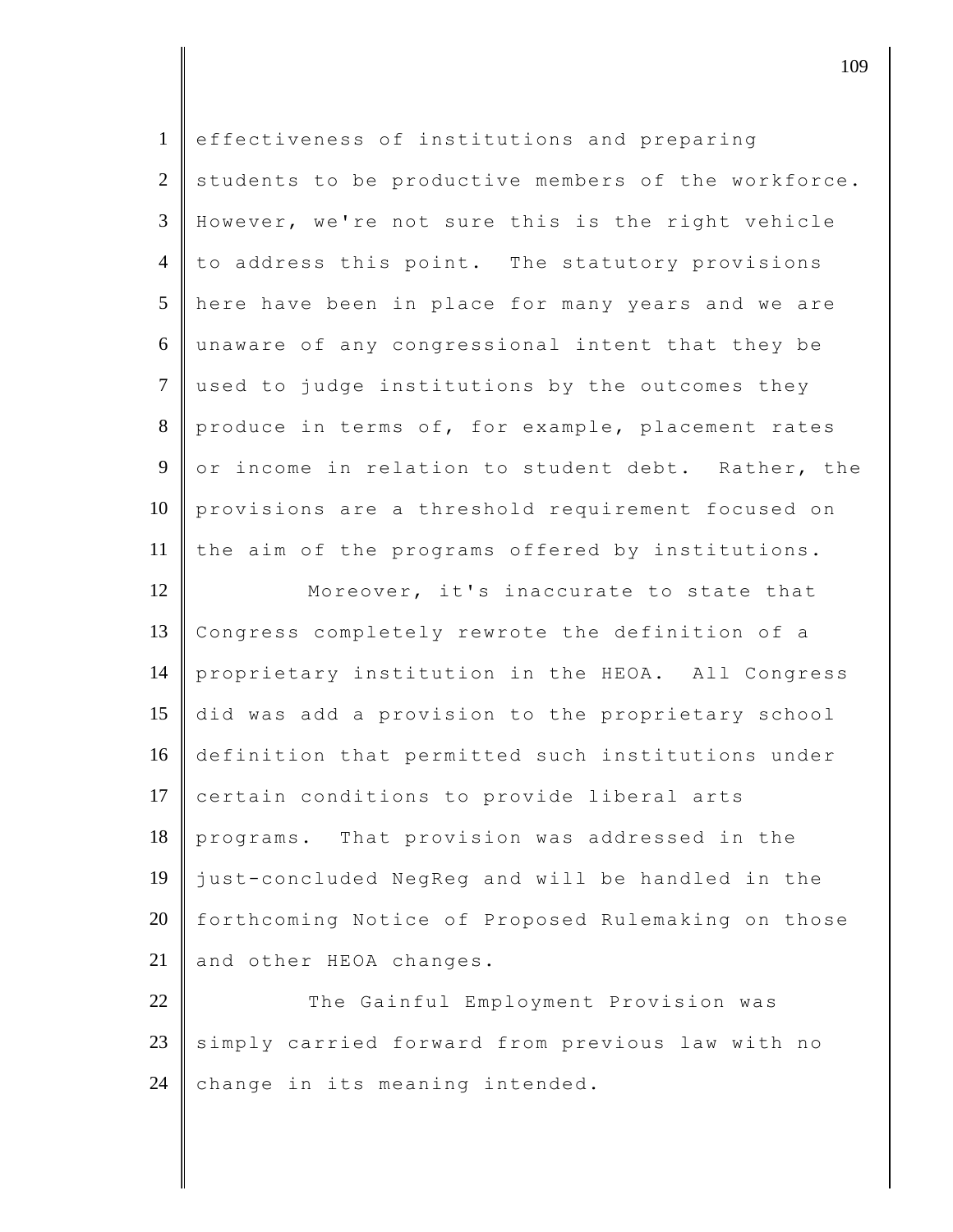| $\mathbf{1}$   | effectiveness of institutions and preparing         |
|----------------|-----------------------------------------------------|
| $\overline{2}$ | students to be productive members of the workforce. |
| 3              | However, we're not sure this is the right vehicle   |
| $\overline{4}$ | to address this point. The statutory provisions     |
| 5              | here have been in place for many years and we are   |
| 6              | unaware of any congressional intent that they be    |
| $\overline{7}$ | used to judge institutions by the outcomes they     |
| 8              | produce in terms of, for example, placement rates   |
| 9              | or income in relation to student debt. Rather, the  |
| 10             | provisions are a threshold requirement focused on   |
| 11             | the aim of the programs offered by institutions.    |
| 12             | Moreover, it's inaccurate to state that             |
| 13             | Congress completely rewrote the definition of a     |
| 14             | proprietary institution in the HEOA. All Congress   |
| 15             | did was add a provision to the proprietary school   |
| 16             | definition that permitted such institutions under   |
| 17             | certain conditions to provide liberal arts          |
| 18             | programs. That provision was addressed in the       |
| 19             | just-concluded NegReg and will be handled in the    |
| 20             | forthcoming Notice of Proposed Rulemaking on those  |
| 21             | and other HEOA changes.                             |
| 22             | The Gainful Employment Provision was                |
| 23             | simply carried forward from previous law with no    |
| 24             | change in its meaning intended.                     |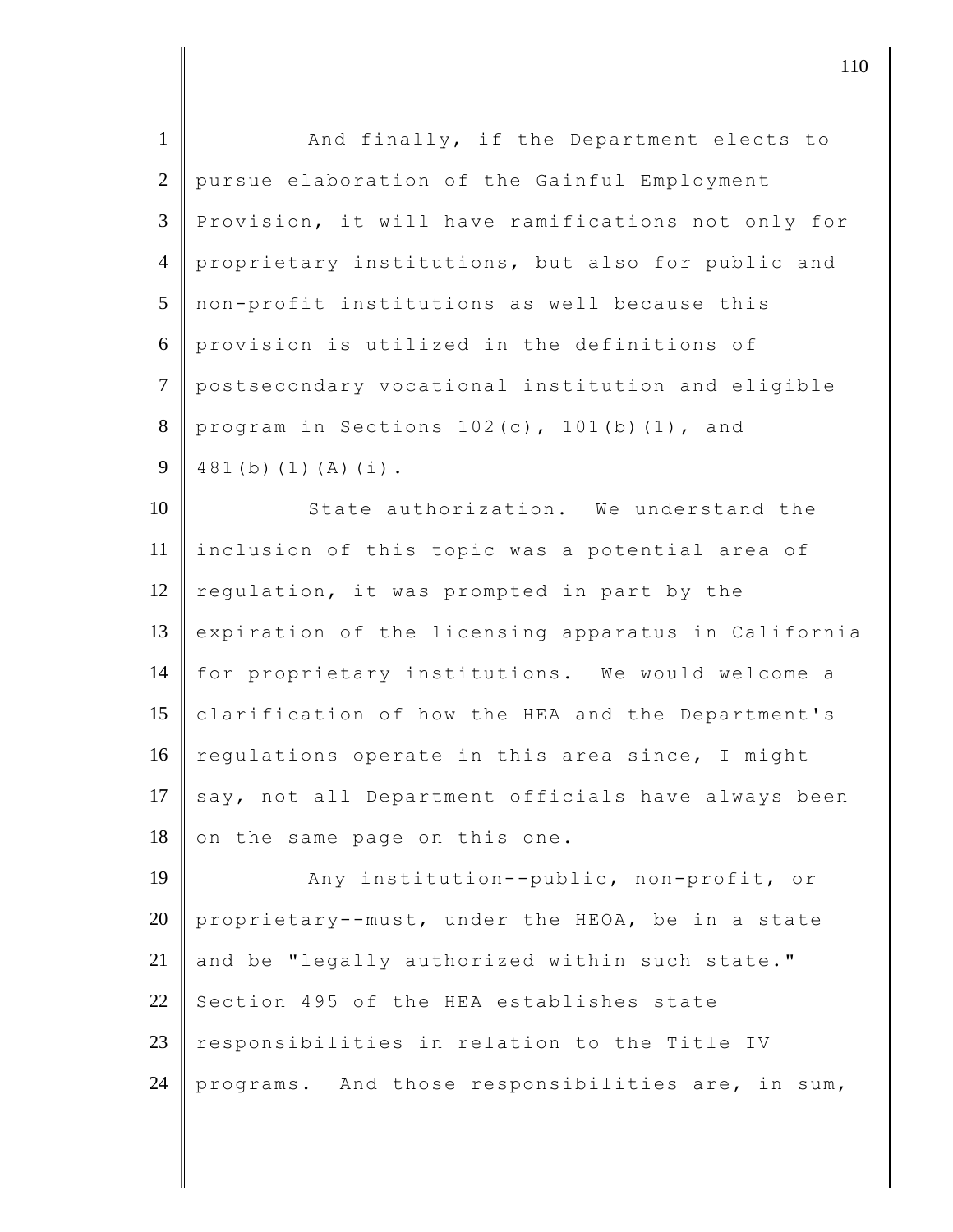| $\mathbf{1}$   | And finally, if the Department elects to             |
|----------------|------------------------------------------------------|
| 2              | pursue elaboration of the Gainful Employment         |
| 3              | Provision, it will have ramifications not only for   |
| $\overline{4}$ | proprietary institutions, but also for public and    |
| 5              | non-profit institutions as well because this         |
| 6              | provision is utilized in the definitions of          |
| $\tau$         | postsecondary vocational institution and eligible    |
| 8              | program in Sections 102(c), 101(b)(1), and           |
| 9              | $481(b) (1) (A) (i)$ .                               |
| 10             | State authorization. We understand the               |
| 11             | inclusion of this topic was a potential area of      |
| 12             | regulation, it was prompted in part by the           |
| 13             | expiration of the licensing apparatus in California  |
| 14             | for proprietary institutions. We would welcome a     |
| 15             | clarification of how the HEA and the Department's    |
| 16             | regulations operate in this area since, I might      |
| 17             | say, not all Department officials have always been   |
| 18             | on the same page on this one.                        |
| 19             | Any institution--public, non-profit, or              |
| 20             | proprietary--must, under the HEOA, be in a state     |
| 21             | and be "legally authorized within such state."       |
| 22             | Section 495 of the HEA establishes state             |
| 23             | responsibilities in relation to the Title IV         |
| 24             | And those responsibilities are, in sum,<br>programs. |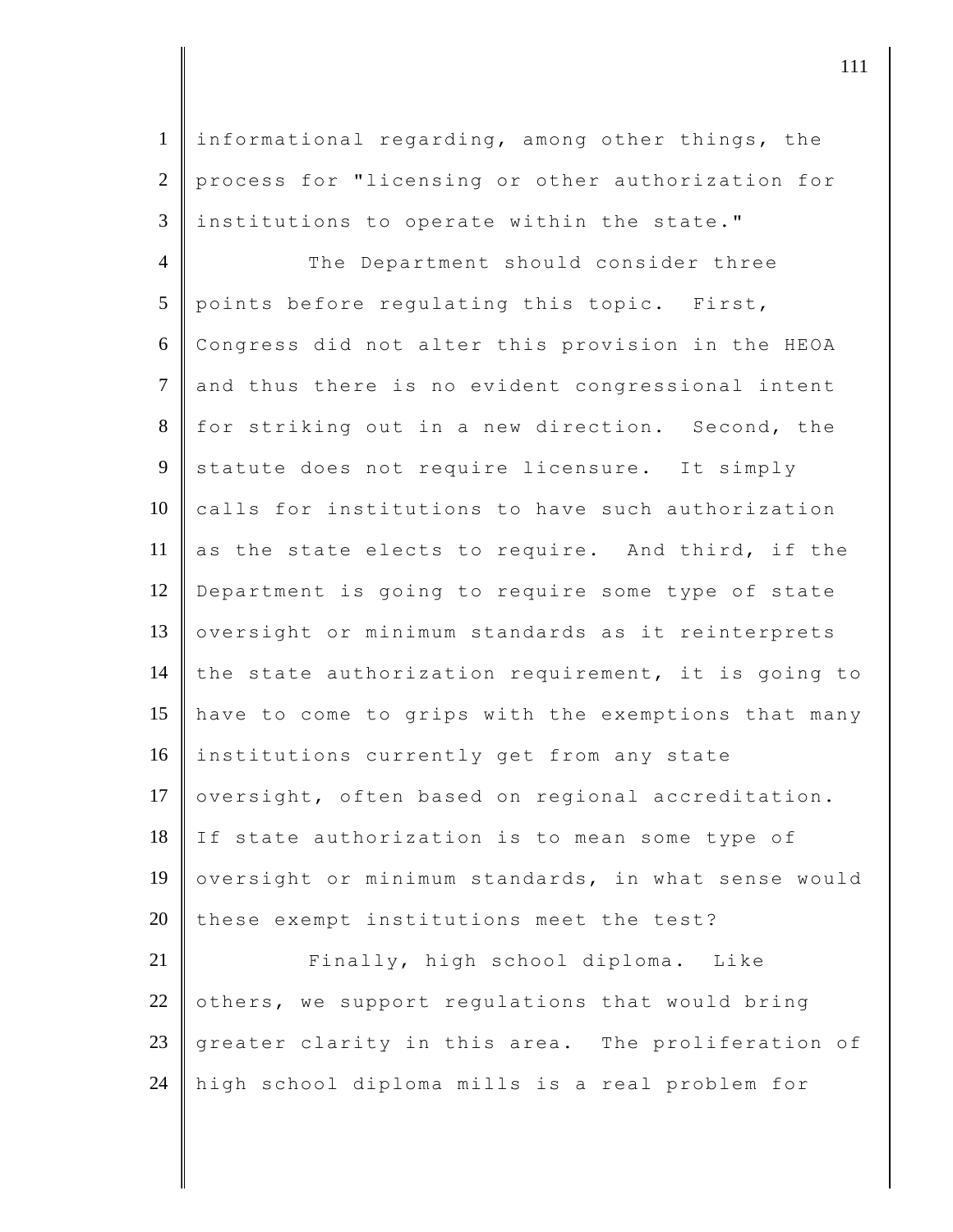1 informational regarding, among other things, the 2 process for "licensing or other authorization for  $3$  | institutions to operate within the state."

4 The Department should consider three 5 points before regulating this topic. First, 6 Congress did not alter this provision in the HEOA 7 and thus there is no evident congressional intent 8 for striking out in a new direction. Second, the 9 statute does not require licensure. It simply 10 calls for institutions to have such authorization 11 as the state elects to require. And third, if the 12 Department is going to require some type of state 13 oversight or minimum standards as it reinterprets 14 the state authorization requirement, it is going to 15 have to come to grips with the exemptions that many 16 institutions currently get from any state 17 oversight, often based on regional accreditation. 18 If state authorization is to mean some type of 19 oversight or minimum standards, in what sense would  $20$  these exempt institutions meet the test? 21 Finally, high school diploma. Like

22 others, we support regulations that would bring 23 greater clarity in this area. The proliferation of 24 high school diploma mills is a real problem for

djecamental in the contract of  $\mathbf{111}$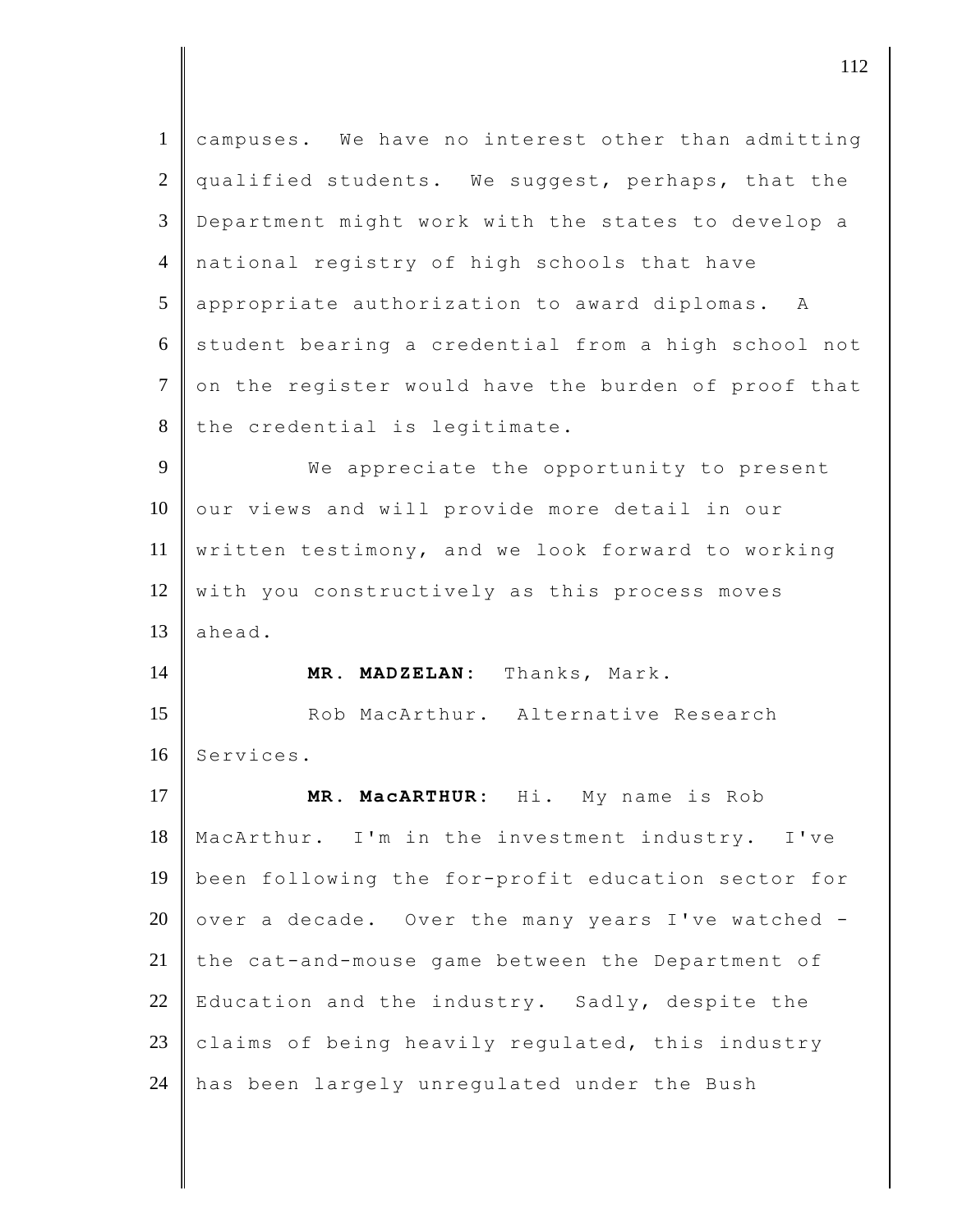| $\mathbf{1}$   | campuses. We have no interest other than admitting  |
|----------------|-----------------------------------------------------|
| $\overline{2}$ | qualified students. We suggest, perhaps, that the   |
| $\mathfrak{Z}$ | Department might work with the states to develop a  |
| $\overline{4}$ | national registry of high schools that have         |
| 5              | appropriate authorization to award diplomas. A      |
| 6              | student bearing a credential from a high school not |
| $\overline{7}$ | on the register would have the burden of proof that |
| 8              | the credential is legitimate.                       |
| 9              | We appreciate the opportunity to present            |
| 10             | our views and will provide more detail in our       |
| 11             | written testimony, and we look forward to working   |
| 12             | with you constructively as this process moves       |
| 13             | ahead.                                              |
| 14             | MR. MADZELAN: Thanks, Mark.                         |
| 15             | Rob MacArthur. Alternative Research                 |
| 16             | Services.                                           |
| 17             | Hi. My name is Rob<br><b>MR. MacARTHUR:</b>         |
| 18             |                                                     |
|                | MacArthur. I'm in the investment industry. I've     |
| 19             | been following the for-profit education sector for  |
| 20             | over a decade. Over the many years I've watched -   |
| 21             | the cat-and-mouse game between the Department of    |
| 22             | Education and the industry. Sadly, despite the      |
| 23             | claims of being heavily regulated, this industry    |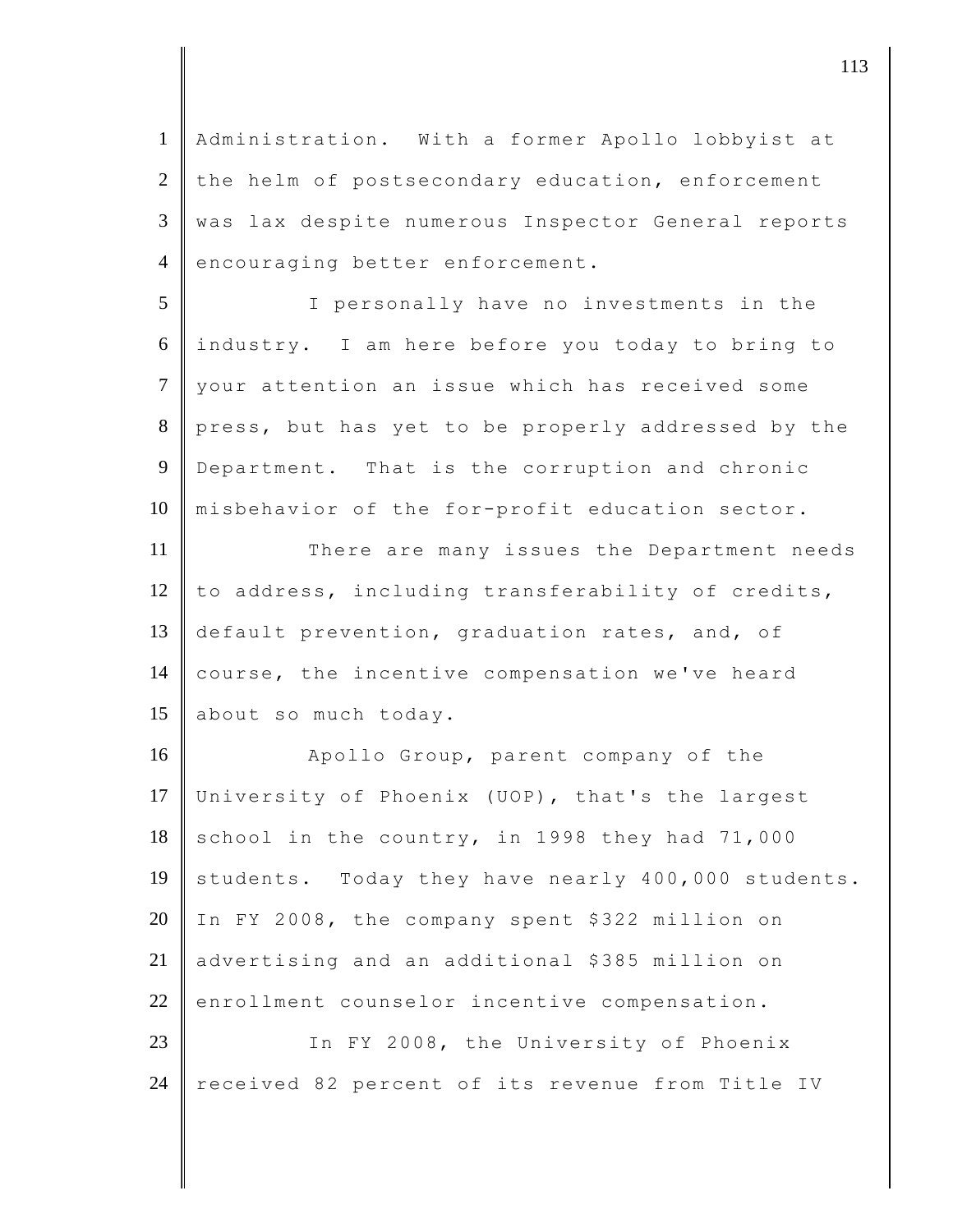1 Administration. With a former Apollo lobbyist at  $2$  the helm of postsecondary education, enforcement 3 was lax despite numerous Inspector General reports 4 encouraging better enforcement. 5 I personally have no investments in the 6 industry. I am here before you today to bring to 7 your attention an issue which has received some 8 press, but has yet to be properly addressed by the 9 Department. That is the corruption and chronic 10 misbehavior of the for-profit education sector. 11 There are many issues the Department needs 12 to address, including transferability of credits, 13 default prevention, graduation rates, and, of 14 | course, the incentive compensation we've heard 15 about so much today. 16 Apollo Group, parent company of the 17 University of Phoenix (UOP), that's the largest  $18$  school in the country, in 1998 they had 71,000 19 students. Today they have nearly 400,000 students. 20 In FY 2008, the company spent \$322 million on 21 advertising and an additional \$385 million on  $22$  enrollment counselor incentive compensation. 23 **I** In FY 2008, the University of Phoenix 24 received 82 percent of its revenue from Title IV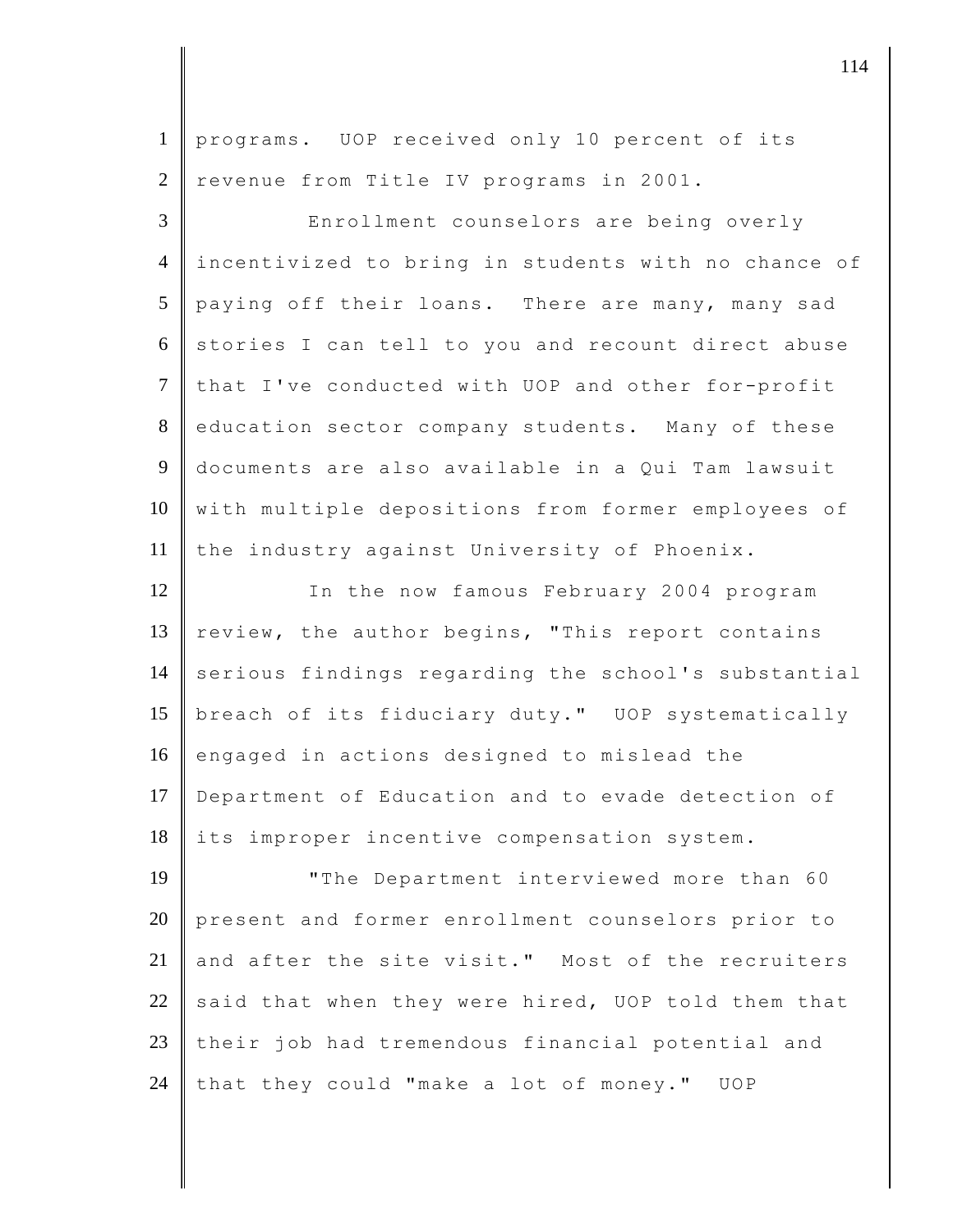| programs. UOP received only 10 percent of its       |
|-----------------------------------------------------|
| revenue from Title IV programs in 2001.             |
| Enrollment counselors are being overly              |
| incentivized to bring in students with no chance of |
| paying off their loans. There are many, many sad    |
| stories I can tell to you and recount direct abuse  |
| that I've conducted with UOP and other for-profit   |
| education sector company students. Many of these    |
| documents are also available in a Qui Tam lawsuit   |
| with multiple depositions from former employees of  |
| the industry against University of Phoenix.         |
| In the now famous February 2004 program             |
| review, the author begins, "This report contains    |
| serious findings regarding the school's substantial |
| breach of its fiduciary duty." UOP systematically   |
| engaged in actions designed to mislead the          |
| Department of Education and to evade detection of   |
| its improper incentive compensation system.         |
| "The Department interviewed more than 60            |
| present and former enrollment counselors prior to   |
| and after the site visit." Most of the recruiters   |
| said that when they were hired, UOP told them that  |
| their job had tremendous financial potential and    |
| that they could "make a lot of money." UOP          |
|                                                     |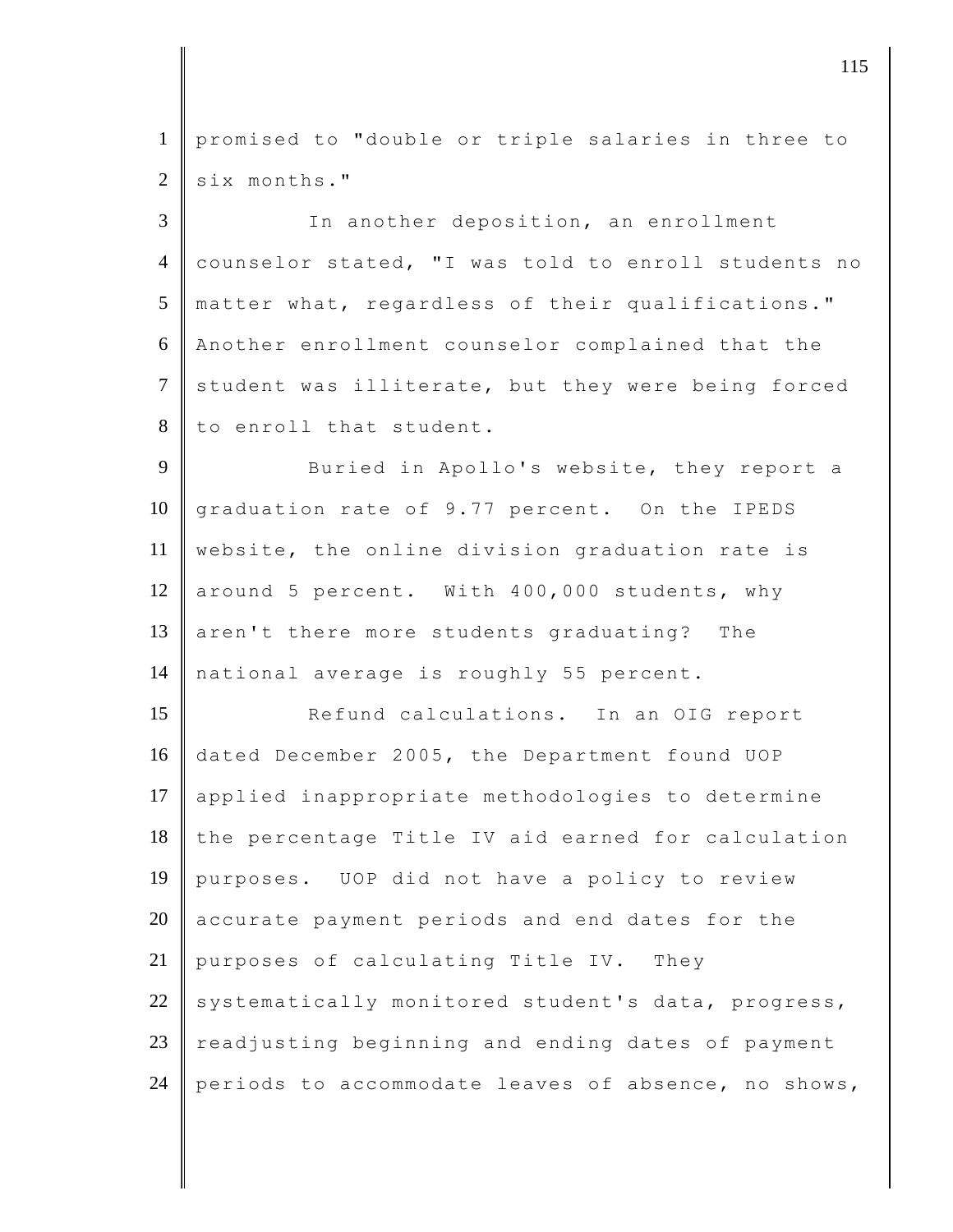1 promised to "double or triple salaries in three to  $2 \parallel$  six months."

3 In another deposition, an enrollment 4 counselor stated, "I was told to enroll students no 5 matter what, regardless of their qualifications." 6 Another enrollment counselor complained that the 7 student was illiterate, but they were being forced 8 to enroll that student.

9 Buried in Apollo's website, they report a 10 graduation rate of 9.77 percent. On the IPEDS 11 website, the online division graduation rate is 12 | around 5 percent. With 400,000 students, why 13 aren't there more students graduating? The 14 national average is roughly 55 percent.

15 Refund calculations. In an OIG report 16 dated December 2005, the Department found UOP 17 applied inappropriate methodologies to determine 18 the percentage Title IV aid earned for calculation 19 purposes. UOP did not have a policy to review  $20$  accurate payment periods and end dates for the 21 | purposes of calculating Title IV. They 22 systematically monitored student's data, progress,  $23$  readjusting beginning and ending dates of payment 24 periods to accommodate leaves of absence, no shows,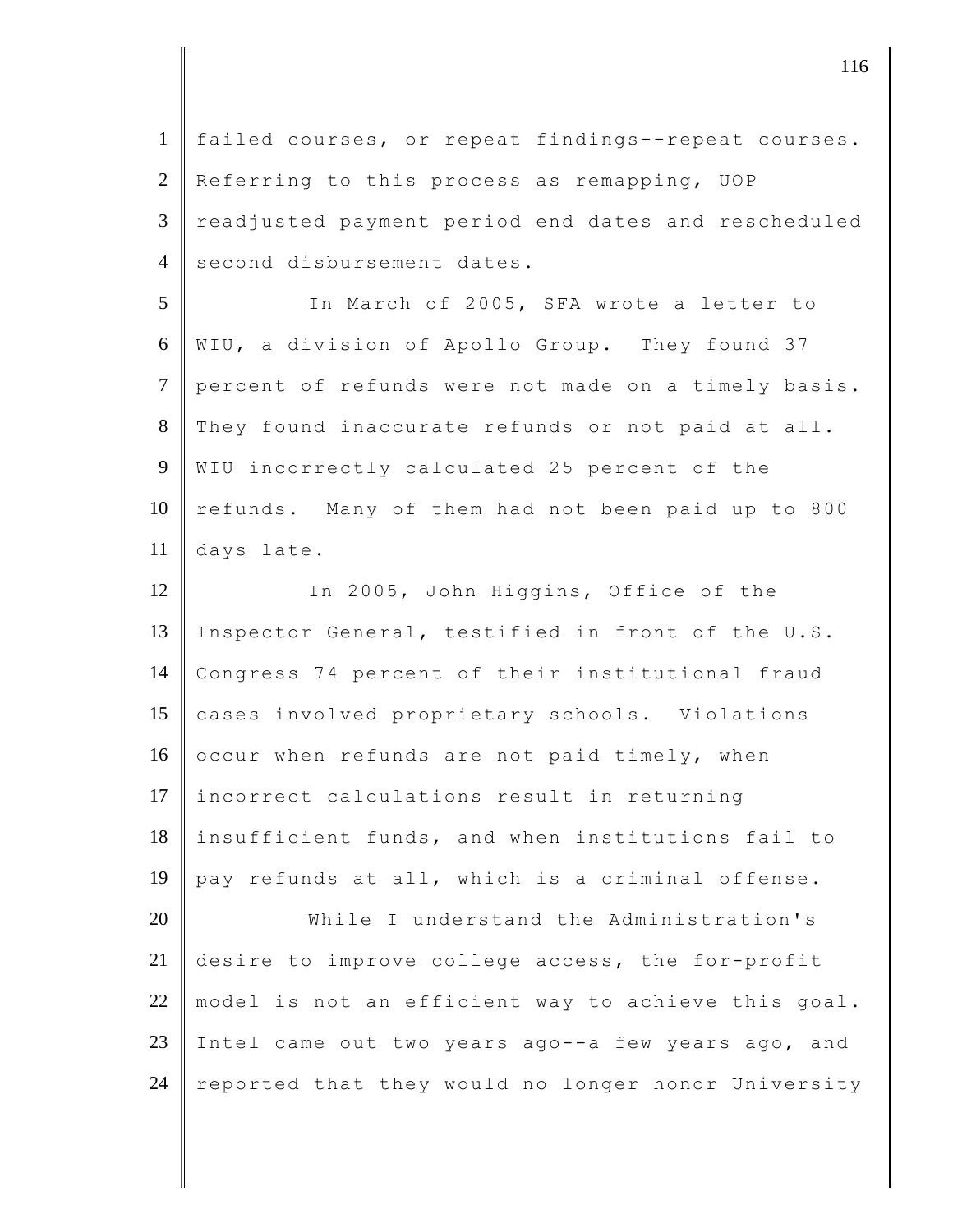1 failed courses, or repeat findings--repeat courses. 2 Referring to this process as remapping, UOP 3 readjusted payment period end dates and rescheduled 4 second disbursement dates. 5 In March of 2005, SFA wrote a letter to 6 WIU, a division of Apollo Group. They found 37 7 percent of refunds were not made on a timely basis. 8 They found inaccurate refunds or not paid at all. 9 WIU incorrectly calculated 25 percent of the 10 refunds. Many of them had not been paid up to 800 11 days late. 12 In 2005, John Higgins, Office of the 13 Inspector General, testified in front of the U.S. 14 Congress 74 percent of their institutional fraud 15 cases involved proprietary schools. Violations 16  $\,$  occur when refunds are not paid timely, when 17 incorrect calculations result in returning 18 insufficient funds, and when institutions fail to 19 pay refunds at all, which is a criminal offense. 20 While I understand the Administration's 21 desire to improve college access, the for-profit 22 || model is not an efficient way to achieve this goal. 23 Intel came out two years ago--a few years ago, and 24 reported that they would no longer honor University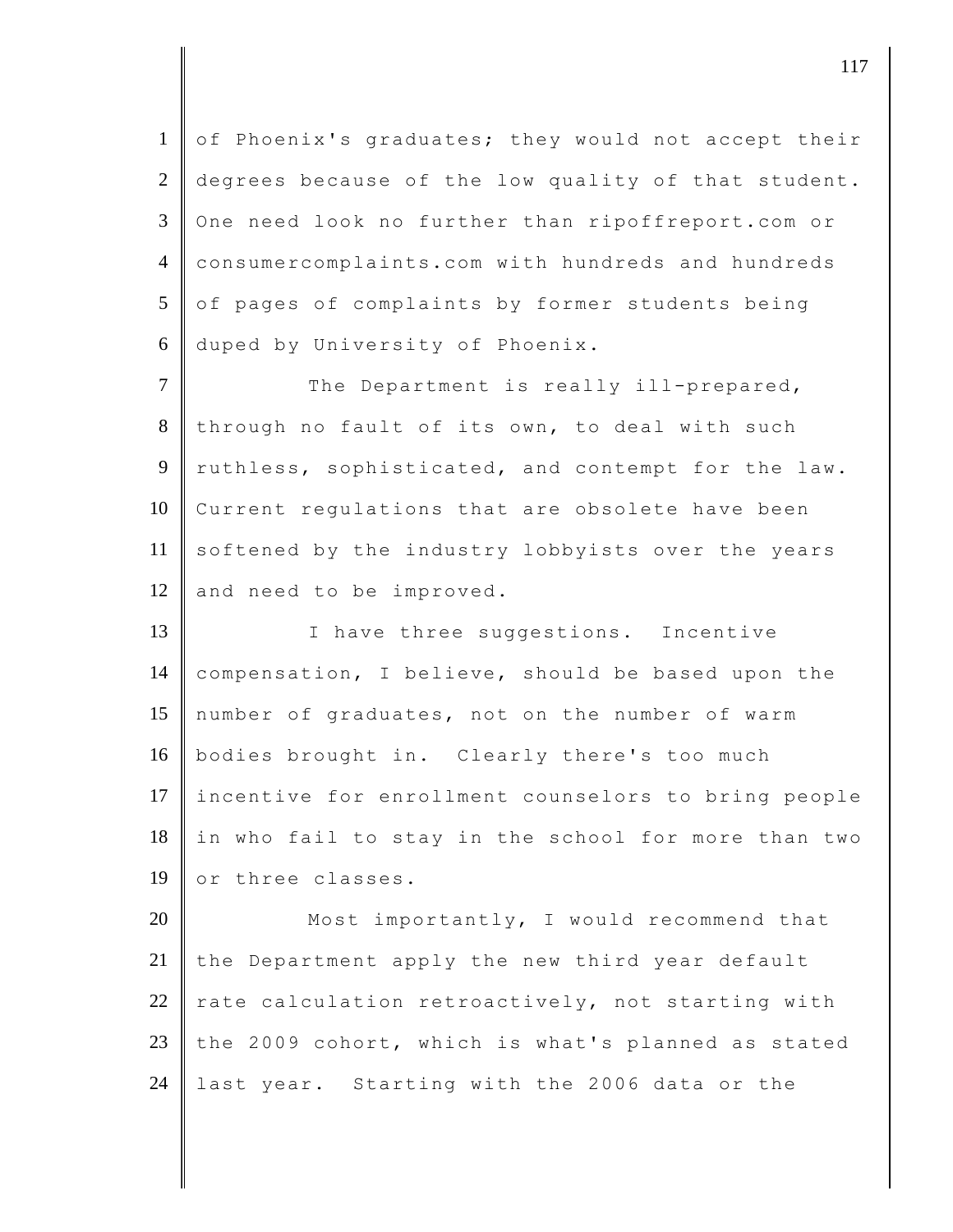1 of Phoenix's graduates; they would not accept their 2 degrees because of the low quality of that student. 3 One need look no further than ripoffreport.com or 4 consumercomplaints.com with hundreds and hundreds  $5$  of pages of complaints by former students being 6 duped by University of Phoenix.

7 The Department is really ill-prepared, 8 through no fault of its own, to deal with such 9 ruthless, sophisticated, and contempt for the law. 10 Current regulations that are obsolete have been 11 softened by the industry lobbyists over the years 12 and need to be improved.

13 I have three suggestions. Incentive 14 compensation, I believe, should be based upon the 15 number of graduates, not on the number of warm 16 bodies brought in. Clearly there's too much 17 incentive for enrollment counselors to bring people 18 in who fail to stay in the school for more than two 19 or three classes.

20 Most importantly, I would recommend that 21 the Department apply the new third year default 22  $\parallel$  rate calculation retroactively, not starting with 23 the 2009 cohort, which is what's planned as stated 24 last year. Starting with the 2006 data or the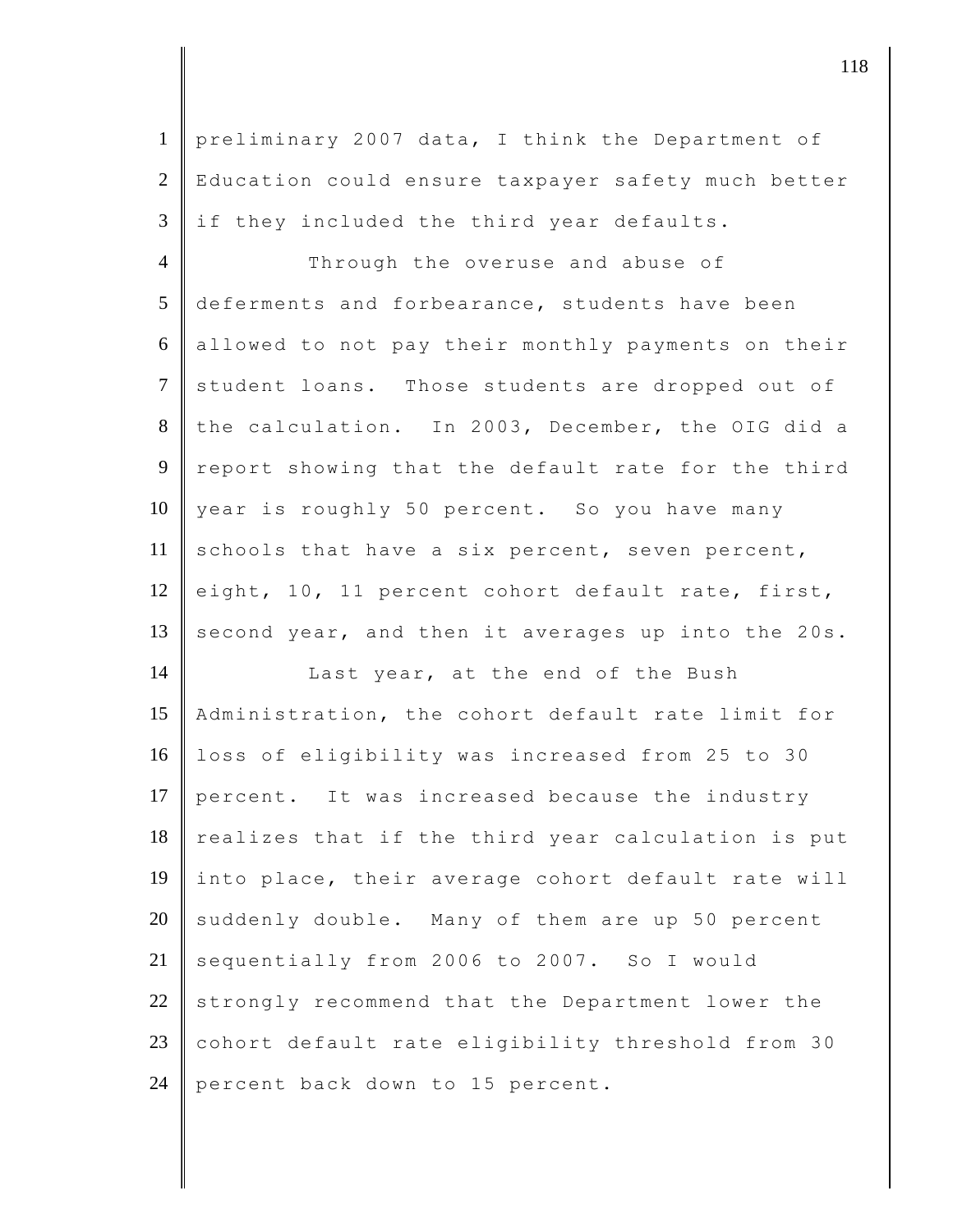1 preliminary 2007 data, I think the Department of 2 Education could ensure taxpayer safety much better  $3$  || if they included the third year defaults.

4 Through the overuse and abuse of 5 deferments and forbearance, students have been 6 allowed to not pay their monthly payments on their 7 student loans. Those students are dropped out of 8 the calculation. In 2003, December, the OIG did a 9 report showing that the default rate for the third 10 year is roughly 50 percent. So you have many 11 schools that have a six percent, seven percent, 12 eight, 10, 11 percent cohort default rate, first, 13 second year, and then it averages up into the 20s.

14 | Last year, at the end of the Bush 15 Administration, the cohort default rate limit for 16 loss of eligibility was increased from 25 to 30 17 percent. It was increased because the industry  $18$  realizes that if the third year calculation is put 19 into place, their average cohort default rate will  $20$  suddenly double. Many of them are up 50 percent 21 sequentially from 2006 to 2007. So I would  $22$  strongly recommend that the Department lower the 23 cohort default rate eligibility threshold from 30 24 percent back down to 15 percent.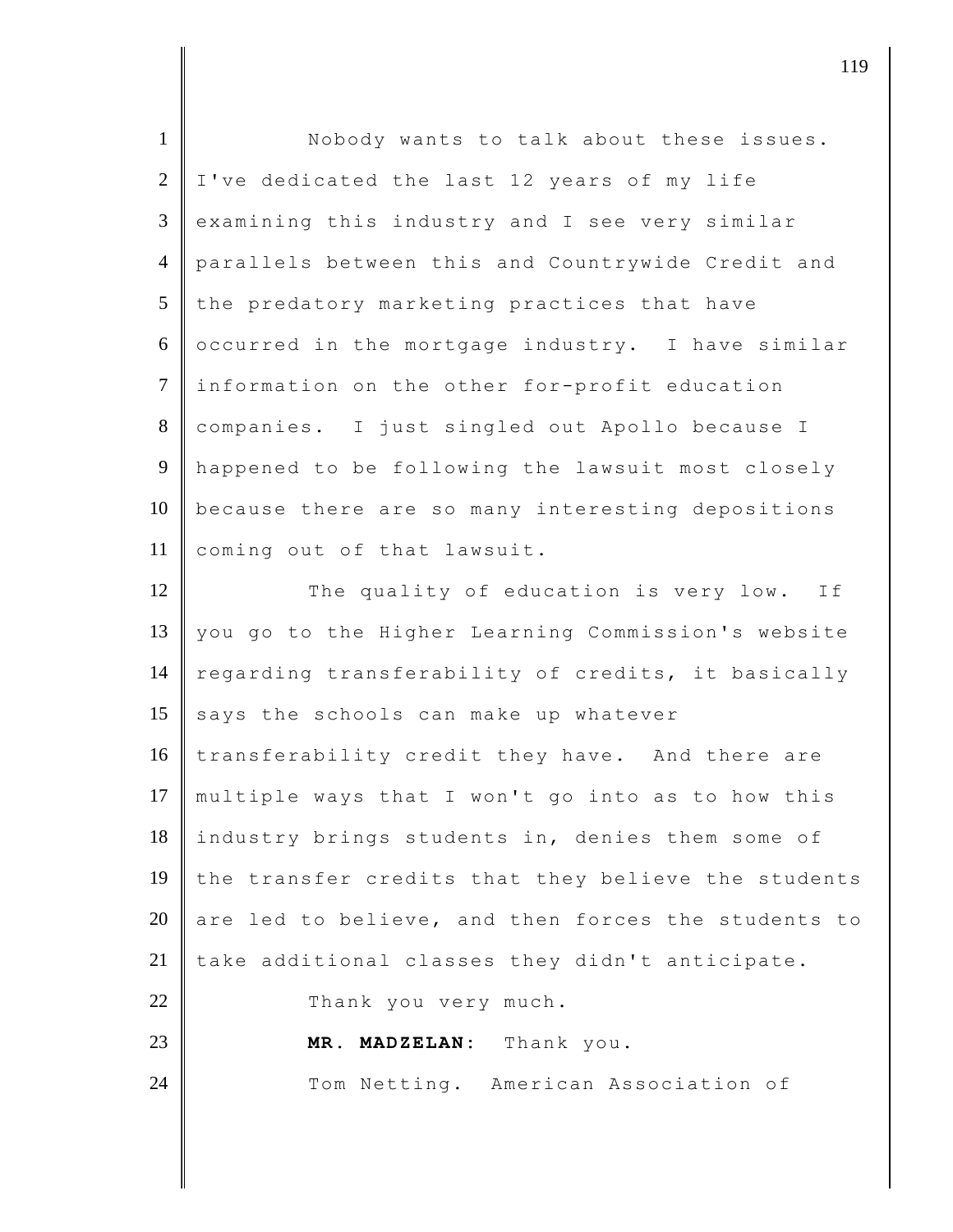| I've dedicated the last 12 years of my life         |
|-----------------------------------------------------|
| examining this industry and I see very similar      |
| parallels between this and Countrywide Credit and   |
| the predatory marketing practices that have         |
| occurred in the mortgage industry. I have similar   |
| information on the other for-profit education       |
| companies. I just singled out Apollo because I      |
| happened to be following the lawsuit most closely   |
| because there are so many interesting depositions   |
| coming out of that lawsuit.                         |
| The quality of education is very low. If            |
| you go to the Higher Learning Commission's website  |
| regarding transferability of credits, it basically  |
| says the schools can make up whatever               |
| transferability credit they have. And there are     |
| multiple ways that I won't go into as to how this   |
| industry brings students in, denies them some of    |
| the transfer credits that they believe the students |
| are led to believe, and then forces the students to |
| take additional classes they didn't anticipate.     |
| Thank you very much.                                |
| MR. MADZELAN: Thank you.                            |
| Tom Netting. American Association of                |
|                                                     |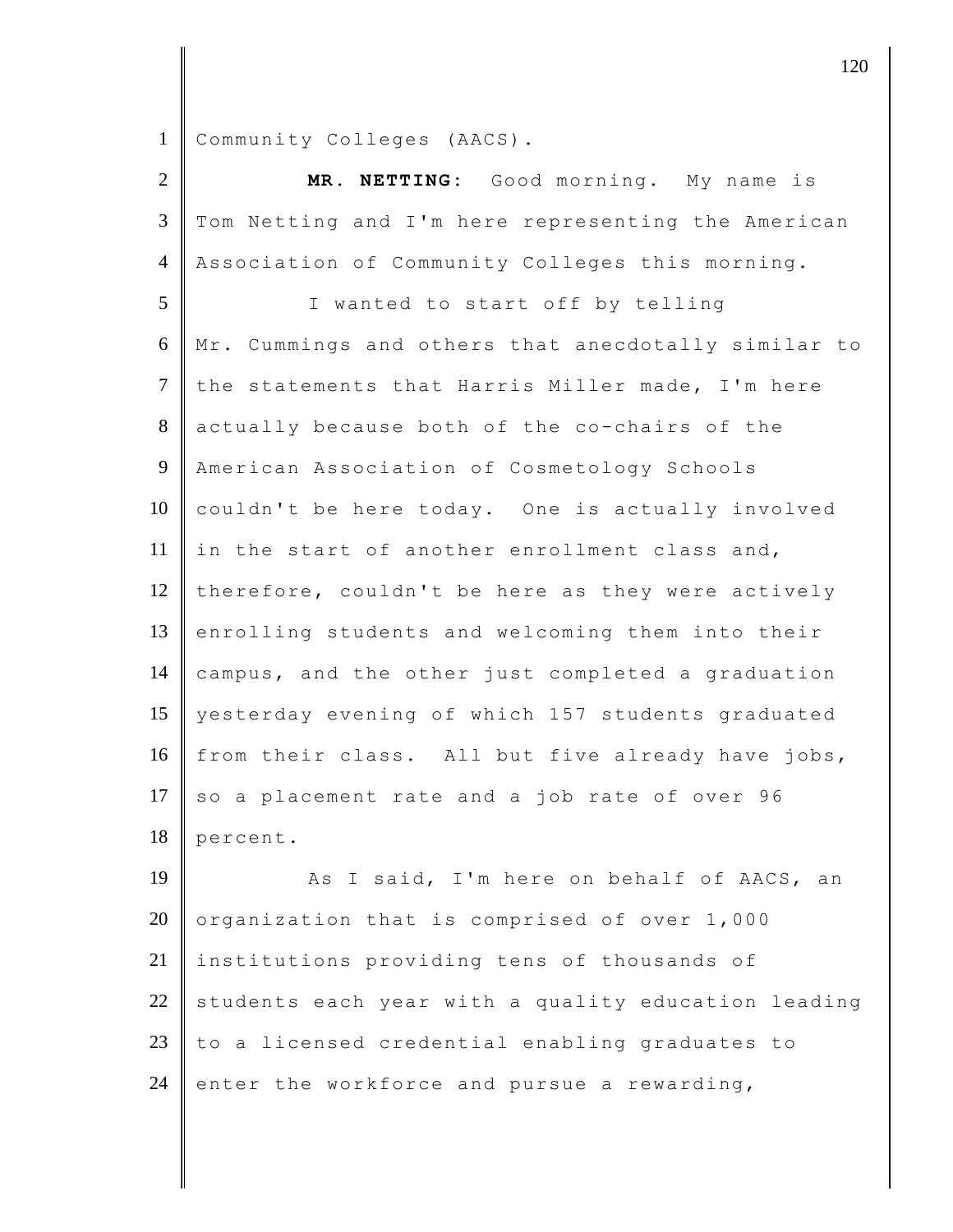Community Colleges (AACS).

| $\overline{2}$ | MR. NETTING: Good morning. My name is               |
|----------------|-----------------------------------------------------|
| $\mathfrak{Z}$ | Tom Netting and I'm here representing the American  |
| $\overline{4}$ | Association of Community Colleges this morning.     |
| 5              | I wanted to start off by telling                    |
| 6              | Mr. Cummings and others that anecdotally similar to |
| $\tau$         | the statements that Harris Miller made, I'm here    |
| 8              | actually because both of the co-chairs of the       |
| 9              | American Association of Cosmetology Schools         |
| 10             | couldn't be here today. One is actually involved    |
| 11             | in the start of another enrollment class and,       |
| 12             | therefore, couldn't be here as they were actively   |
| 13             | enrolling students and welcoming them into their    |
| 14             | campus, and the other just completed a graduation   |
| 15             | yesterday evening of which 157 students graduated   |
| 16             | from their class. All but five already have jobs,   |
| 17             | so a placement rate and a job rate of over 96       |
| 18             | percent.                                            |
| 19             | As I said, I'm here on behalf of AACS, an           |
| 20             | organization that is comprised of over 1,000        |
| 21             | institutions providing tens of thousands of         |
| 22             | students each year with a quality education leading |
| 23             | to a licensed credential enabling graduates to      |
| 24             | enter the workforce and pursue a rewarding,         |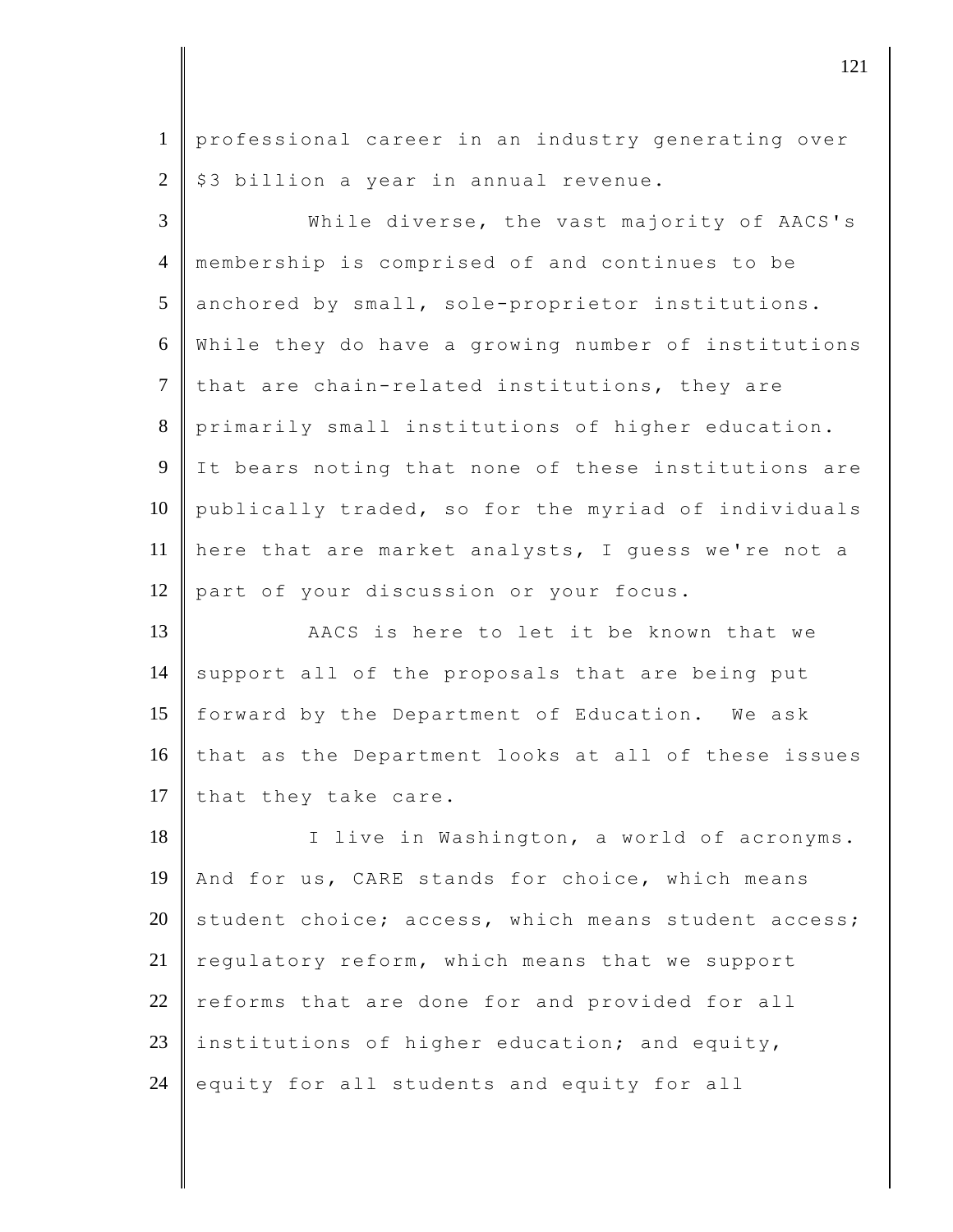1 professional career in an industry generating over  $2 \parallel$  \$3 billion a year in annual revenue.

 While diverse, the vast majority of AACS's membership is comprised of and continues to be 5 anchored by small, sole-proprietor institutions. While they do have a growing number of institutions that are chain-related institutions, they are primarily small institutions of higher education. It bears noting that none of these institutions are 10 publically traded, so for the myriad of individuals here that are market analysts, I guess we're not a 12 part of your discussion or your focus.

13 AACS is here to let it be known that we  $14$  support all of the proposals that are being put 15 forward by the Department of Education. We ask 16 that as the Department looks at all of these issues 17 that they take care.

18 I live in Washington, a world of acronyms. 19 And for us, CARE stands for choice, which means 20 student choice; access, which means student access; 21 regulatory reform, which means that we support  $22$  reforms that are done for and provided for all 23 institutions of higher education; and equity, 24 equity for all students and equity for all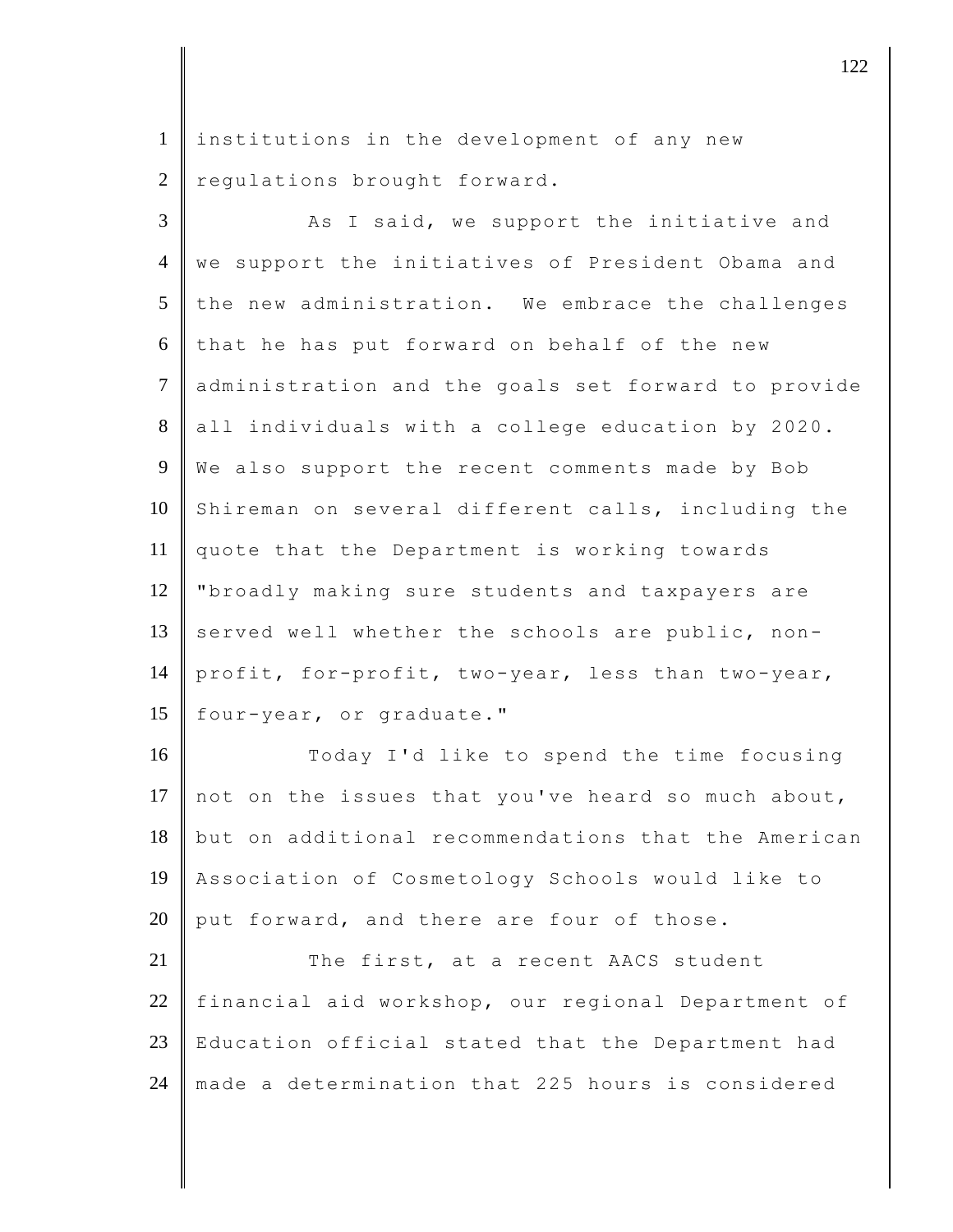1 institutions in the development of any new  $2$  regulations brought forward.

3 As I said, we support the initiative and 4 we support the initiatives of President Obama and  $5$  the new administration. We embrace the challenges 6 that he has put forward on behalf of the new 7 administration and the goals set forward to provide 8 all individuals with a college education by 2020. 9 We also support the recent comments made by Bob 10 Shireman on several different calls, including the 11 quote that the Department is working towards 12 | "broadly making sure students and taxpayers are 13 served well whether the schools are public, non-14 profit, for-profit, two-year, less than two-year, 15 four-year, or graduate."

16 Today I'd like to spend the time focusing 17 not on the issues that you've heard so much about, 18 but on additional recommendations that the American 19 Association of Cosmetology Schools would like to 20 put forward, and there are four of those.

21 The first, at a recent AACS student 22 financial aid workshop, our regional Department of 23 Education official stated that the Department had 24 made a determination that 225 hours is considered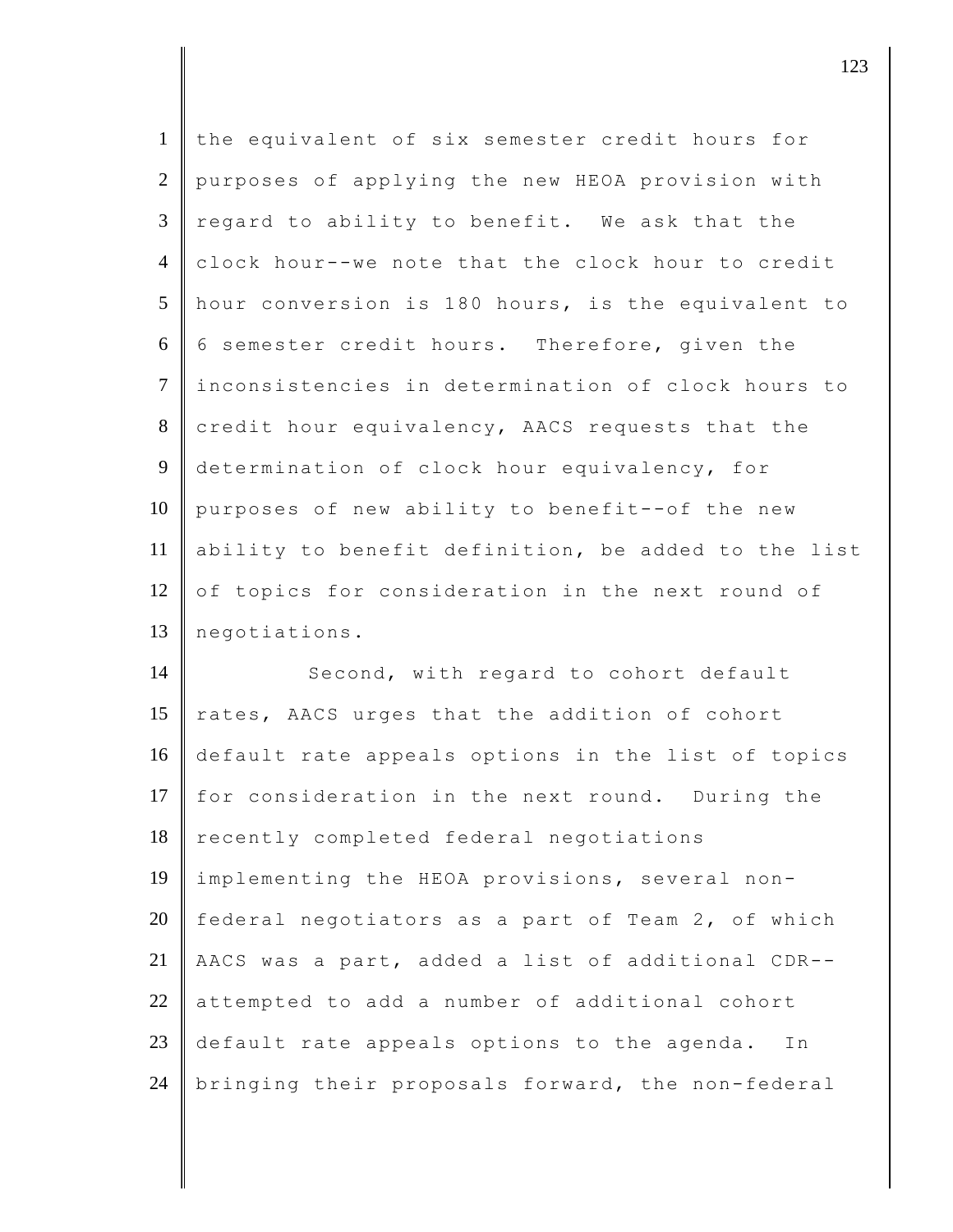| $\mathbf{1}$   | the equivalent of six semester credit hours for     |
|----------------|-----------------------------------------------------|
| 2              | purposes of applying the new HEOA provision with    |
| $\mathfrak{Z}$ | regard to ability to benefit. We ask that the       |
| $\overline{4}$ | clock hour--we note that the clock hour to credit   |
| $\overline{5}$ | hour conversion is 180 hours, is the equivalent to  |
| 6              | 6 semester credit hours. Therefore, given the       |
| $\tau$         | inconsistencies in determination of clock hours to  |
| 8              | credit hour equivalency, AACS requests that the     |
| 9              | determination of clock hour equivalency, for        |
| 10             | purposes of new ability to benefit--of the new      |
| 11             | ability to benefit definition, be added to the list |
| 12             | of topics for consideration in the next round of    |
| 13             | negotiations.                                       |
|                |                                                     |

14 Second, with regard to cohort default 15  $\vert$  rates, AACS urges that the addition of cohort default rate appeals options in the list of topics 17 for consideration in the next round. During the 18 recently completed federal negotiations implementing the HEOA provisions, several non-20 | federal negotiators as a part of Team 2, of which AACS was a part, added a list of additional CDR-- attempted to add a number of additional cohort 23 default rate appeals options to the agenda. In 24 bringing their proposals forward, the non-federal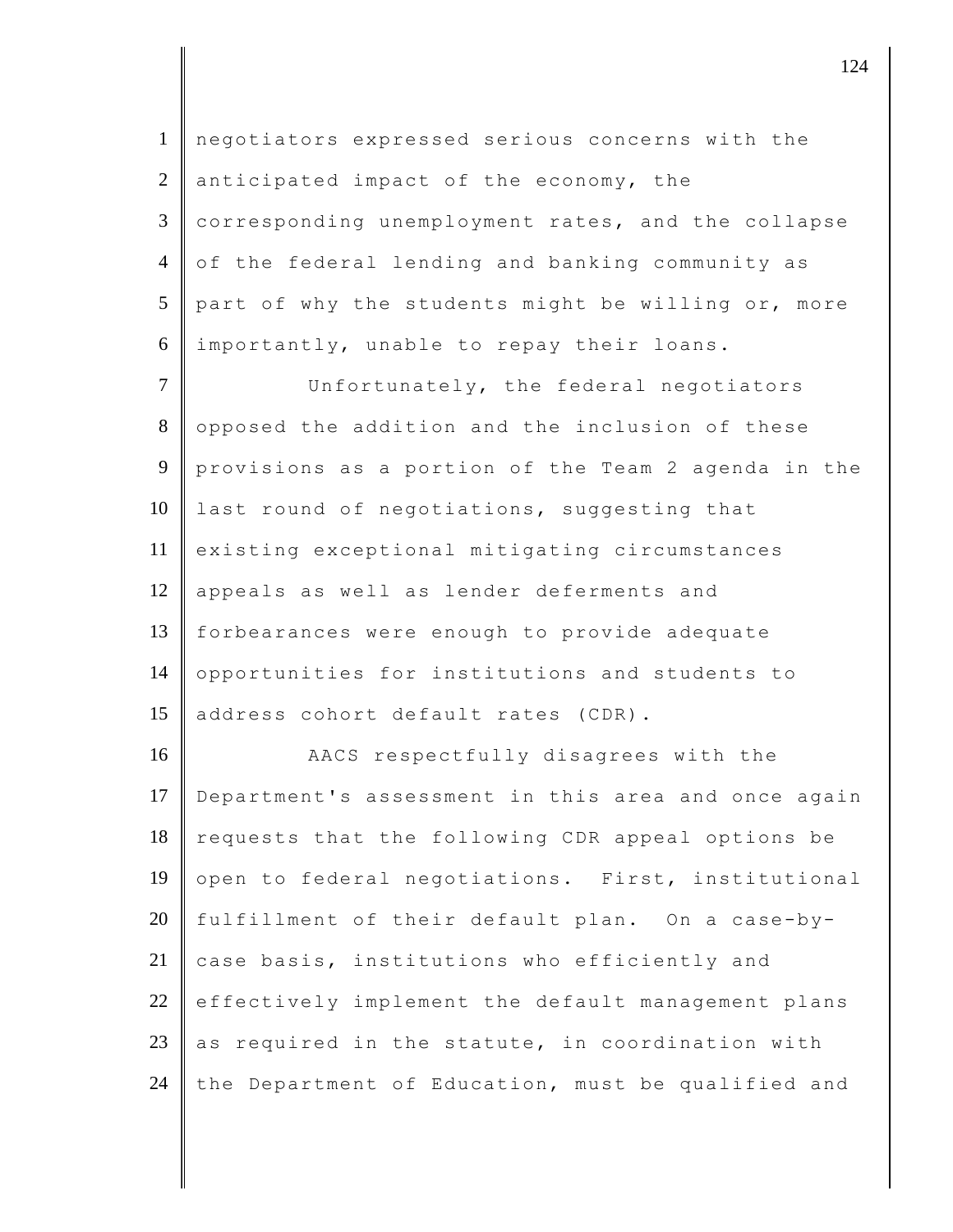1 negotiators expressed serious concerns with the 2 anticipated impact of the economy, the 3 corresponding unemployment rates, and the collapse 4 of the federal lending and banking community as  $5$  part of why the students might be willing or, more 6 importantly, unable to repay their loans. 7 Unfortunately, the federal negotiators 8 opposed the addition and the inclusion of these 9 provisions as a portion of the Team 2 agenda in the 10 last round of negotiations, suggesting that 11 existing exceptional mitigating circumstances 12 appeals as well as lender deferments and 13 forbearances were enough to provide adequate 14 opportunities for institutions and students to 15 address cohort default rates (CDR). 16 AACS respectfully disagrees with the 17 Department's assessment in this area and once again 18 requests that the following CDR appeal options be 19 open to federal negotiations. First, institutional 20  $\parallel$  fulfillment of their default plan. On a case-by- $21$  case basis, institutions who efficiently and  $22$  effectively implement the default management plans 23 as required in the statute, in coordination with 24 the Department of Education, must be qualified and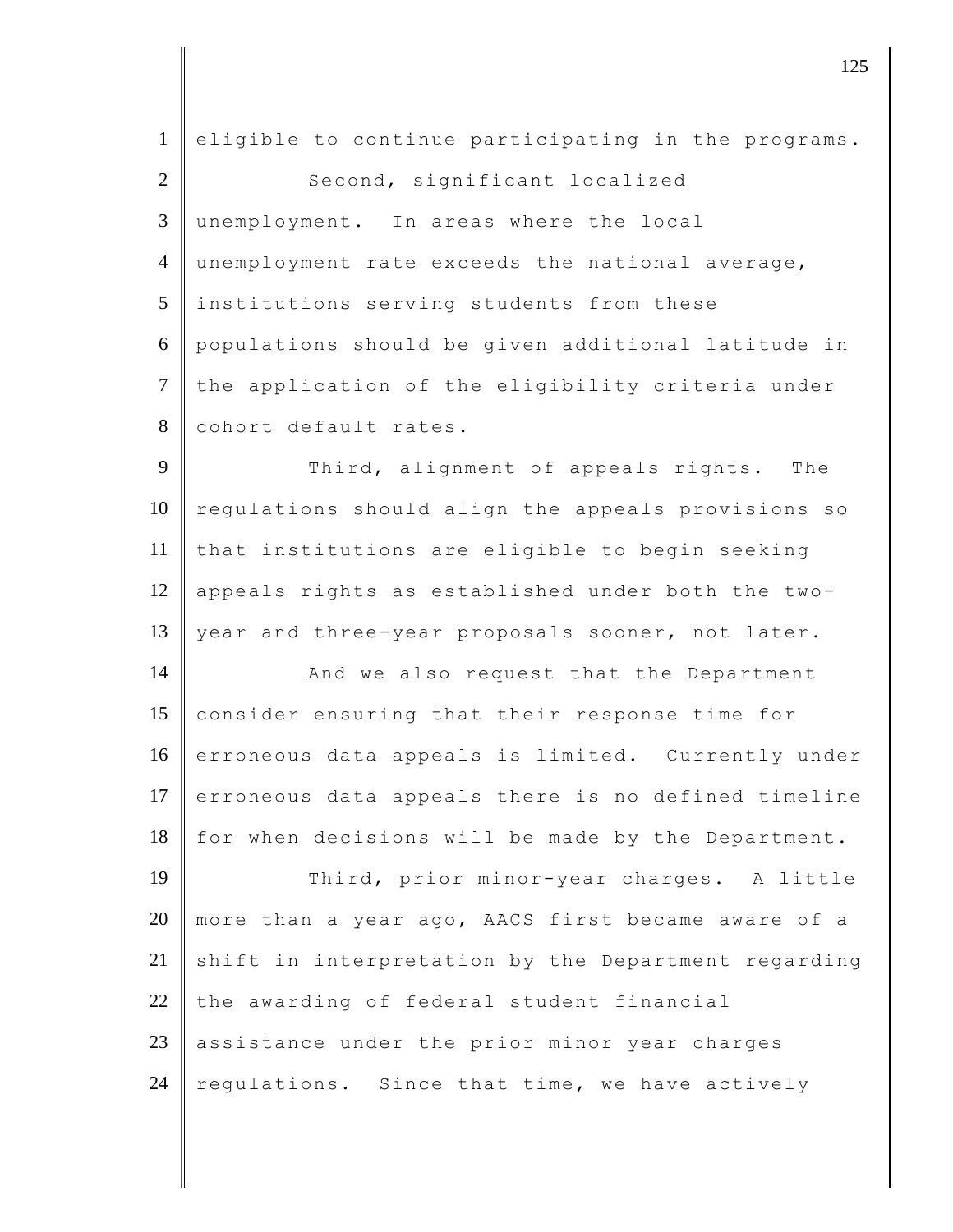| $\mathbf{1}$   | eligible to continue participating in the programs. |
|----------------|-----------------------------------------------------|
| $\overline{2}$ | Second, significant localized                       |
| 3              | unemployment. In areas where the local              |
| $\overline{4}$ | unemployment rate exceeds the national average,     |
| 5              | institutions serving students from these            |
| 6              | populations should be given additional latitude in  |
| $\overline{7}$ | the application of the eligibility criteria under   |
| $8\,$          | cohort default rates.                               |
| 9              | Third, alignment of appeals rights. The             |
| 10             | regulations should align the appeals provisions so  |
| 11             | that institutions are eligible to begin seeking     |
| 12             | appeals rights as established under both the two-   |
| 13             | year and three-year proposals sooner, not later.    |
| 14             | And we also request that the Department             |
| 15             | consider ensuring that their response time for      |
| 16             | erroneous data appeals is limited. Currently under  |
| 17             | erroneous data appeals there is no defined timeline |
| 18             | for when decisions will be made by the Department.  |
| 19             | Third, prior minor-year charges. A little           |
| 20             | more than a year ago, AACS first became aware of a  |
| 21             | shift in interpretation by the Department regarding |
| 22             | the awarding of federal student financial           |
| 23             | assistance under the prior minor year charges       |
| 24             | regulations. Since that time, we have actively      |
|                |                                                     |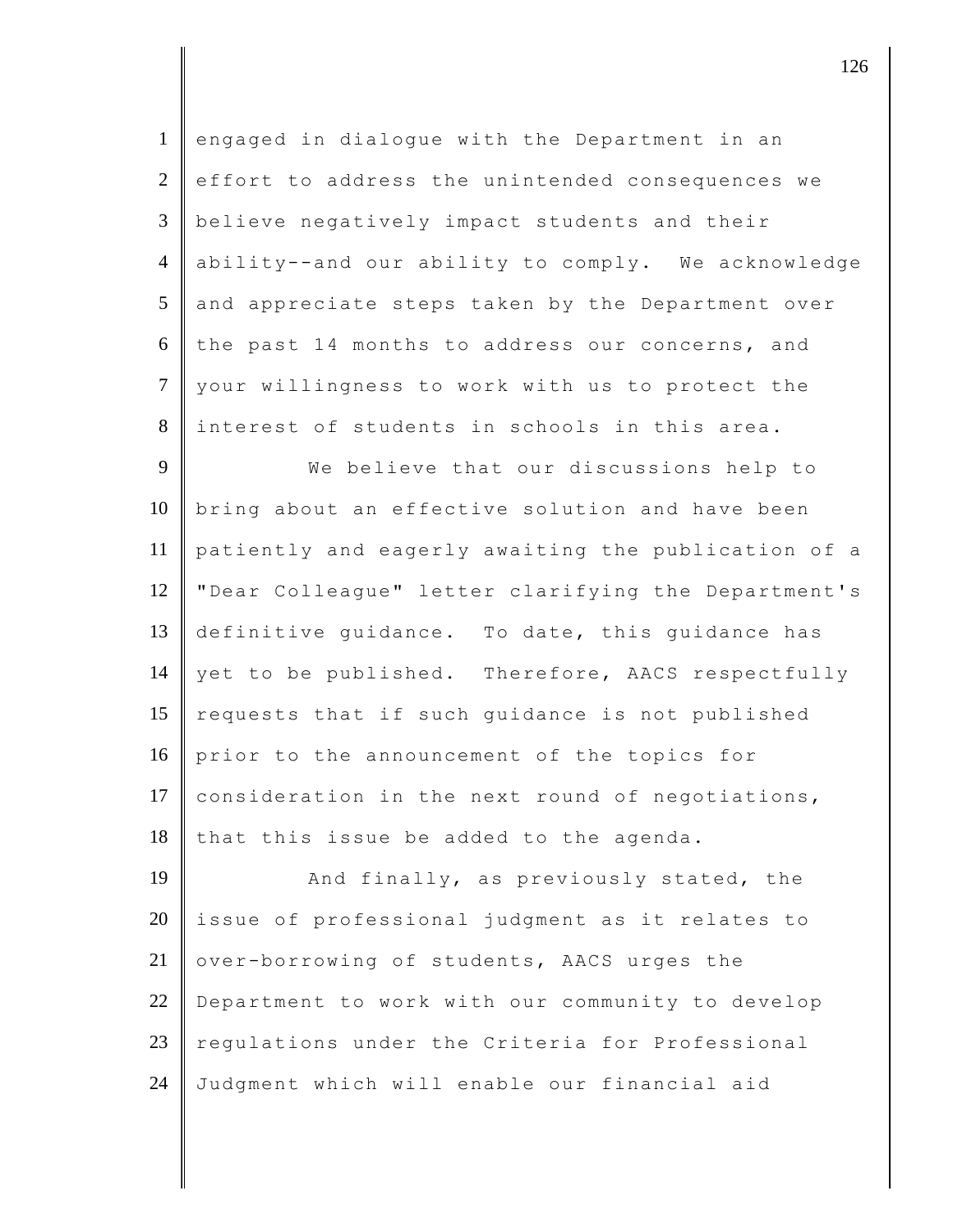| $\mathbf{1}$   | engaged in dialogue with the Department in an       |
|----------------|-----------------------------------------------------|
| 2              | effort to address the unintended consequences we    |
| $\mathfrak{Z}$ | believe negatively impact students and their        |
| $\overline{4}$ | ability--and our ability to comply. We acknowledge  |
| 5              | and appreciate steps taken by the Department over   |
| 6              | the past 14 months to address our concerns, and     |
| $\overline{7}$ | your willingness to work with us to protect the     |
| 8              | interest of students in schools in this area.       |
| 9              | We believe that our discussions help to             |
| 10             | bring about an effective solution and have been     |
| 11             | patiently and eagerly awaiting the publication of a |
| 12             | "Dear Colleague" letter clarifying the Department's |
| 13             | definitive guidance. To date, this guidance has     |
| 14             | yet to be published. Therefore, AACS respectfully   |
| 15             | requests that if such guidance is not published     |
| 16             | prior to the announcement of the topics for         |
| 17             | consideration in the next round of negotiations,    |
| 18             | that this issue be added to the agenda.             |
| 19             | And finally, as previously stated, the              |
| 20             | issue of professional judgment as it relates to     |
| 21             | over-borrowing of students, AACS urges the          |
| 22             | Department to work with our community to develop    |
| 23             | regulations under the Criteria for Professional     |
| 24             | Judgment which will enable our financial aid        |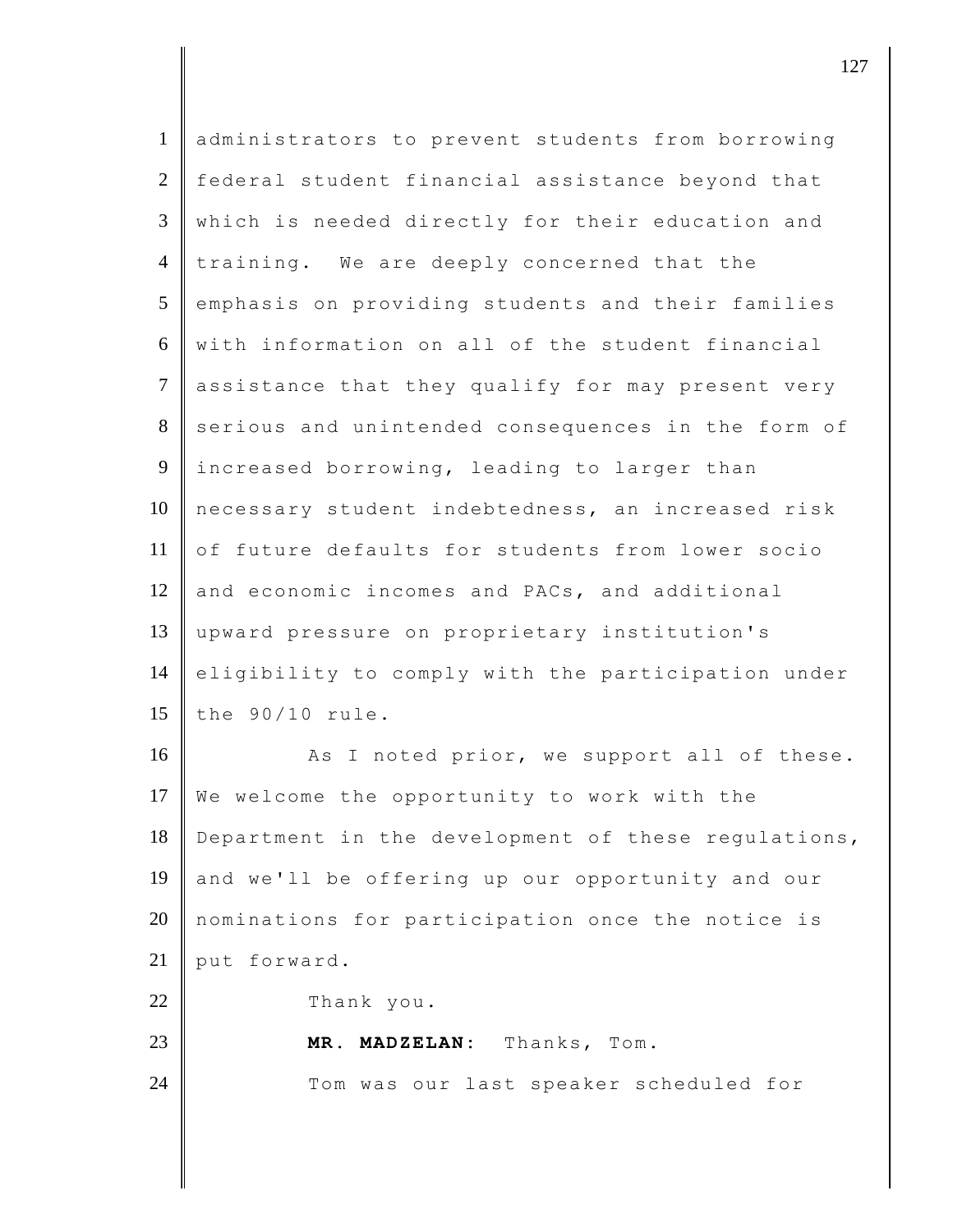| $\mathbf{1}$   | administrators to prevent students from borrowing   |
|----------------|-----------------------------------------------------|
| $\overline{2}$ | federal student financial assistance beyond that    |
| 3              | which is needed directly for their education and    |
| $\overline{4}$ | training. We are deeply concerned that the          |
| 5              | emphasis on providing students and their families   |
| 6              | with information on all of the student financial    |
| $\tau$         | assistance that they qualify for may present very   |
| 8              | serious and unintended consequences in the form of  |
| 9              | increased borrowing, leading to larger than         |
| 10             | necessary student indebtedness, an increased risk   |
| 11             | of future defaults for students from lower socio    |
| 12             | and economic incomes and PACs, and additional       |
| 13             | upward pressure on proprietary institution's        |
| 14             | eligibility to comply with the participation under  |
| 15             | the 90/10 rule.                                     |
| 16             | As I noted prior, we support all of these.          |
| 17             | We welcome the opportunity to work with the         |
| 18             | Department in the development of these regulations, |
| 19             | and we'll be offering up our opportunity and our    |
| 20             | nominations for participation once the notice is    |
| 21             | put forward.                                        |
| 22             | Thank you.                                          |
| 23             | MADZELAN: Thanks, Tom.<br>MR.                       |
| 24             | Tom was our last speaker scheduled for              |
|                |                                                     |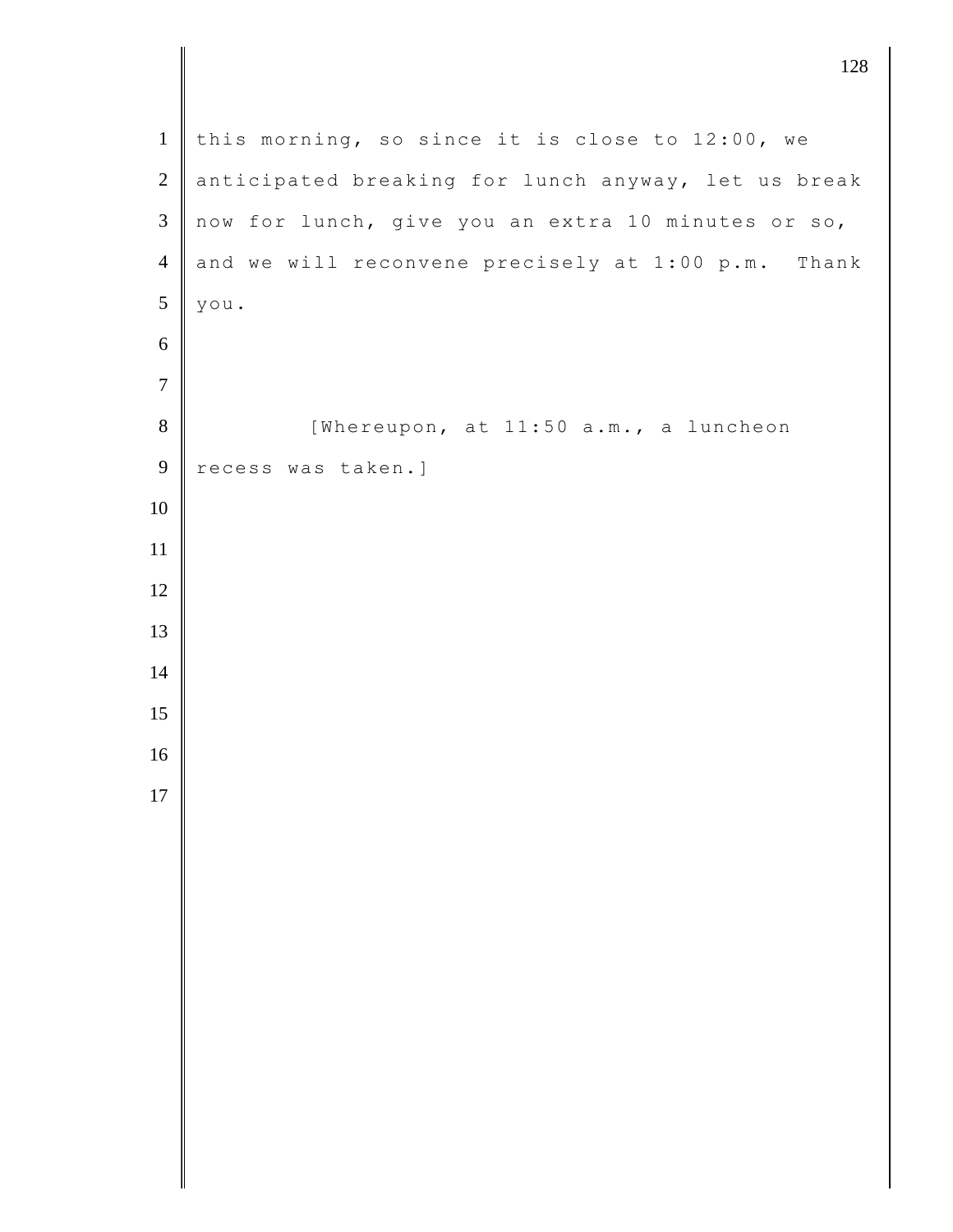| $\mathbf{1}$   | this morning, so since it is close to 12:00, we     |
|----------------|-----------------------------------------------------|
| $\overline{2}$ | anticipated breaking for lunch anyway, let us break |
| $\mathfrak{Z}$ | now for lunch, give you an extra 10 minutes or so,  |
| $\overline{4}$ | and we will reconvene precisely at 1:00 p.m. Thank  |
| $\sqrt{5}$     | you.                                                |
| 6              |                                                     |
| $\overline{7}$ |                                                     |
| 8              | [Whereupon, at 11:50 a.m., a luncheon               |
| 9              | recess was taken.]                                  |
| 10             |                                                     |
| 11             |                                                     |
| 12             |                                                     |
| 13             |                                                     |
| $14$           |                                                     |
| 15             |                                                     |
| 16             |                                                     |
| 17             |                                                     |
|                |                                                     |
|                |                                                     |
|                |                                                     |
|                |                                                     |
|                |                                                     |
|                |                                                     |
|                |                                                     |
|                |                                                     |
|                |                                                     |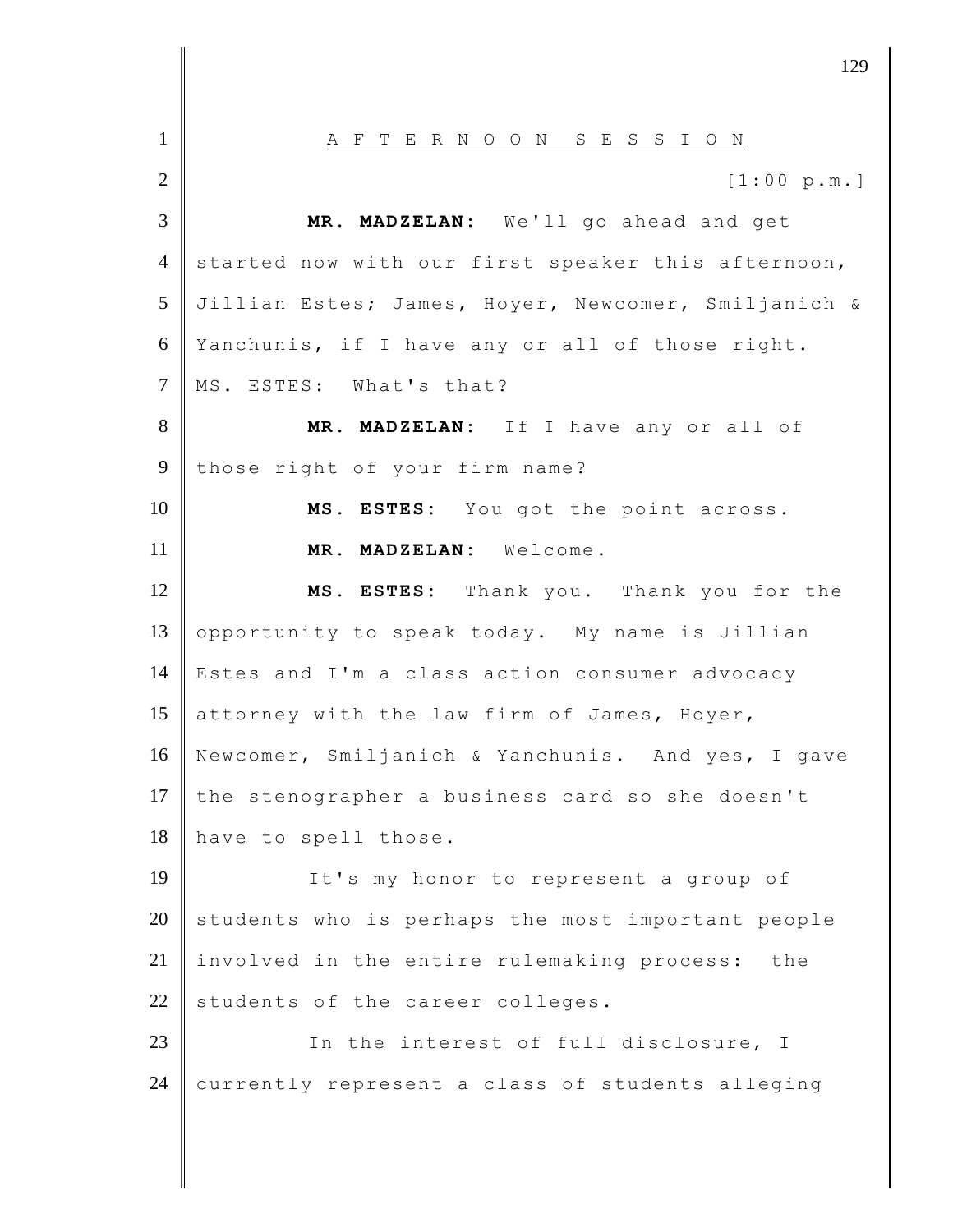1 || A F T E R N O O N S E S S I O N  $2 \|$  [1:00 p.m.] 3 **MR. MADZELAN:** We'll go ahead and get 4 started now with our first speaker this afternoon, 5 Jillian Estes; James, Hoyer, Newcomer, Smiljanich & 6 Yanchunis, if I have any or all of those right. 7 || MS. ESTES: What's that? 8 **MR. MADZELAN:** If I have any or all of 9 those right of your firm name? 10 **MS. ESTES:** You got the point across. 11 **MR. MADZELAN:** Welcome. 12 **MS. ESTES:** Thank you. Thank you for the 13 opportunity to speak today. My name is Jillian 14 Estes and I'm a class action consumer advocacy 15 attorney with the law firm of James, Hoyer, 16 Newcomer, Smiljanich & Yanchunis. And yes, I gave 17 the stenographer a business card so she doesn't 18 have to spell those. 19 It's my honor to represent a group of  $20$  students who is perhaps the most important people  $21$  involved in the entire rulemaking process: the  $22$  students of the career colleges. 23 In the interest of full disclosure, I 24 currently represent a class of students alleging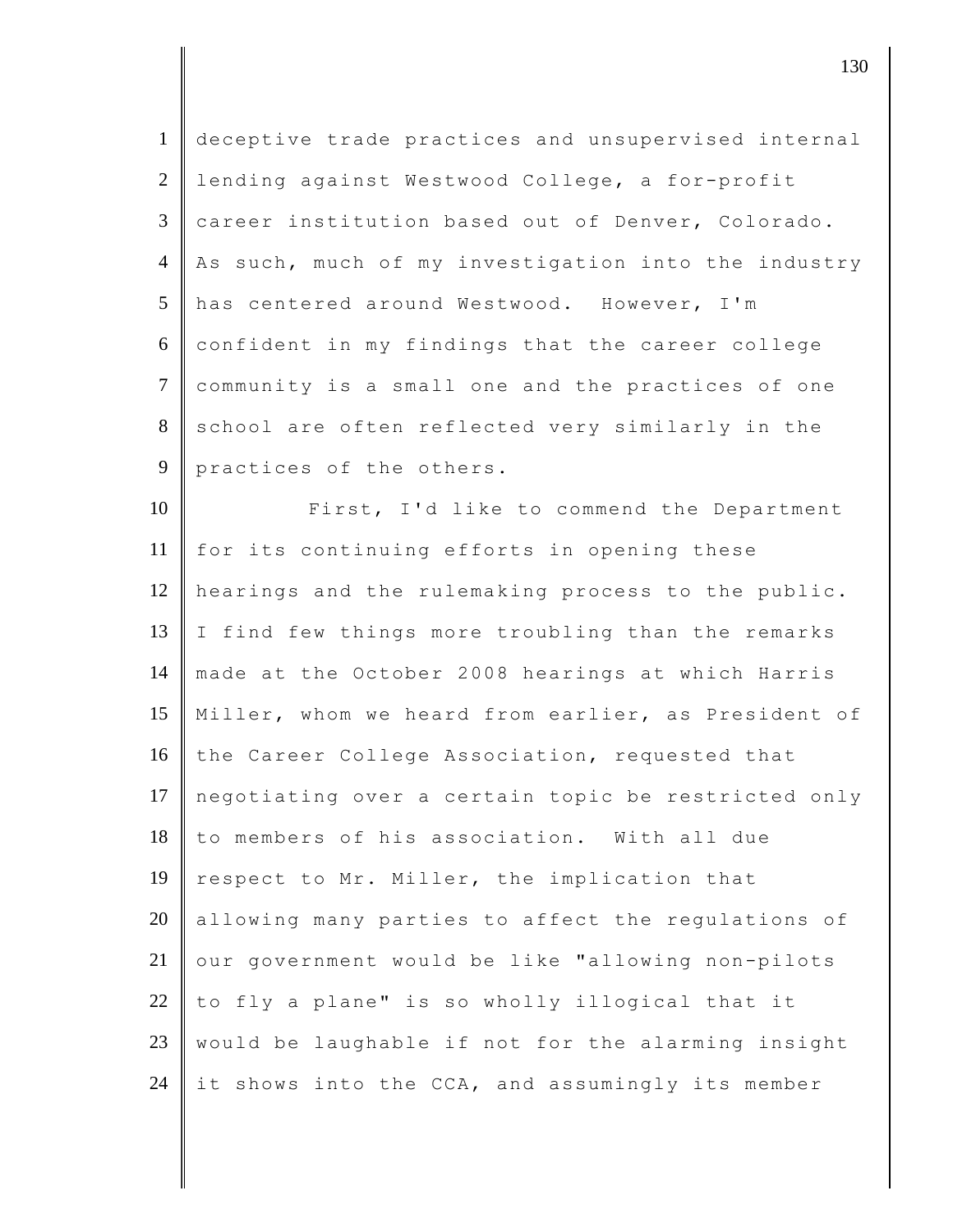| $\mathbf{1}$    | deceptive trade practices and unsupervised internal |
|-----------------|-----------------------------------------------------|
| $\overline{2}$  | lending against Westwood College, a for-profit      |
| $\overline{3}$  | career institution based out of Denver, Colorado.   |
| $\overline{4}$  | As such, much of my investigation into the industry |
| $5\overline{)}$ | has centered around Westwood. However, I'm          |
| 6               | confident in my findings that the career college    |
| $\tau$          | community is a small one and the practices of one   |
| 8               | school are often reflected very similarly in the    |
| 9               | practices of the others.                            |
| 10              | First, I'd like to commend the Department           |
| 11              | for its continuing efforts in opening these         |
| 12              | hearings and the rulemaking process to the public.  |
| 13              | I find few things more troubling than the remarks   |
| 14              | made at the October 2008 hearings at which Harris   |
| 15              | Miller, whom we heard from earlier, as President of |
| 16              | the Career College Association, requested that      |
| 17              | negotiating over a certain topic be restricted only |
| 18              | to members of his association. With all due         |
| 19              | respect to Mr. Miller, the implication that         |
| 20              | allowing many parties to affect the regulations of  |
| 21              | our government would be like "allowing non-pilots   |
| 22              | to fly a plane" is so wholly illogical that it      |
| 23              | would be laughable if not for the alarming insight  |
| 24              | it shows into the CCA, and assumingly its member    |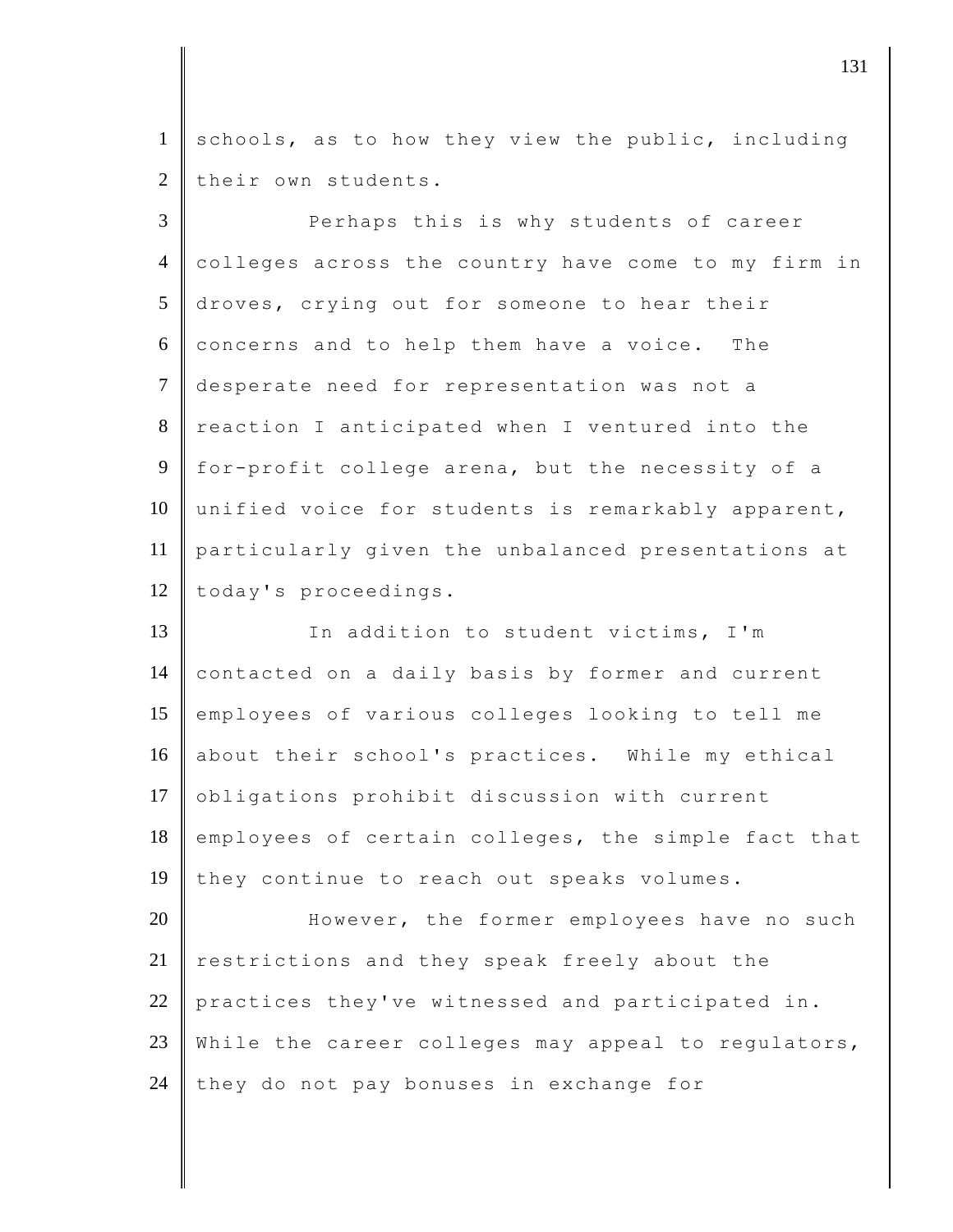1 schools, as to how they view the public, including  $2$  their own students.

3 Perhaps this is why students of career 4 colleges across the country have come to my firm in 5 droves, crying out for someone to hear their  $6 \parallel$  concerns and to help them have a voice. The 7 desperate need for representation was not a 8 reaction I anticipated when I ventured into the 9 for-profit college arena, but the necessity of a 10 unified voice for students is remarkably apparent, 11 particularly given the unbalanced presentations at 12 today's proceedings.

13 In addition to student victims, I'm 14 contacted on a daily basis by former and current 15 employees of various colleges looking to tell me 16 about their school's practices. While my ethical 17 obligations prohibit discussion with current 18 employees of certain colleges, the simple fact that 19 they continue to reach out speaks volumes.

20 However, the former employees have no such 21 restrictions and they speak freely about the 22 practices they've witnessed and participated in. 23 While the career colleges may appeal to regulators,  $24$  they do not pay bonuses in exchange for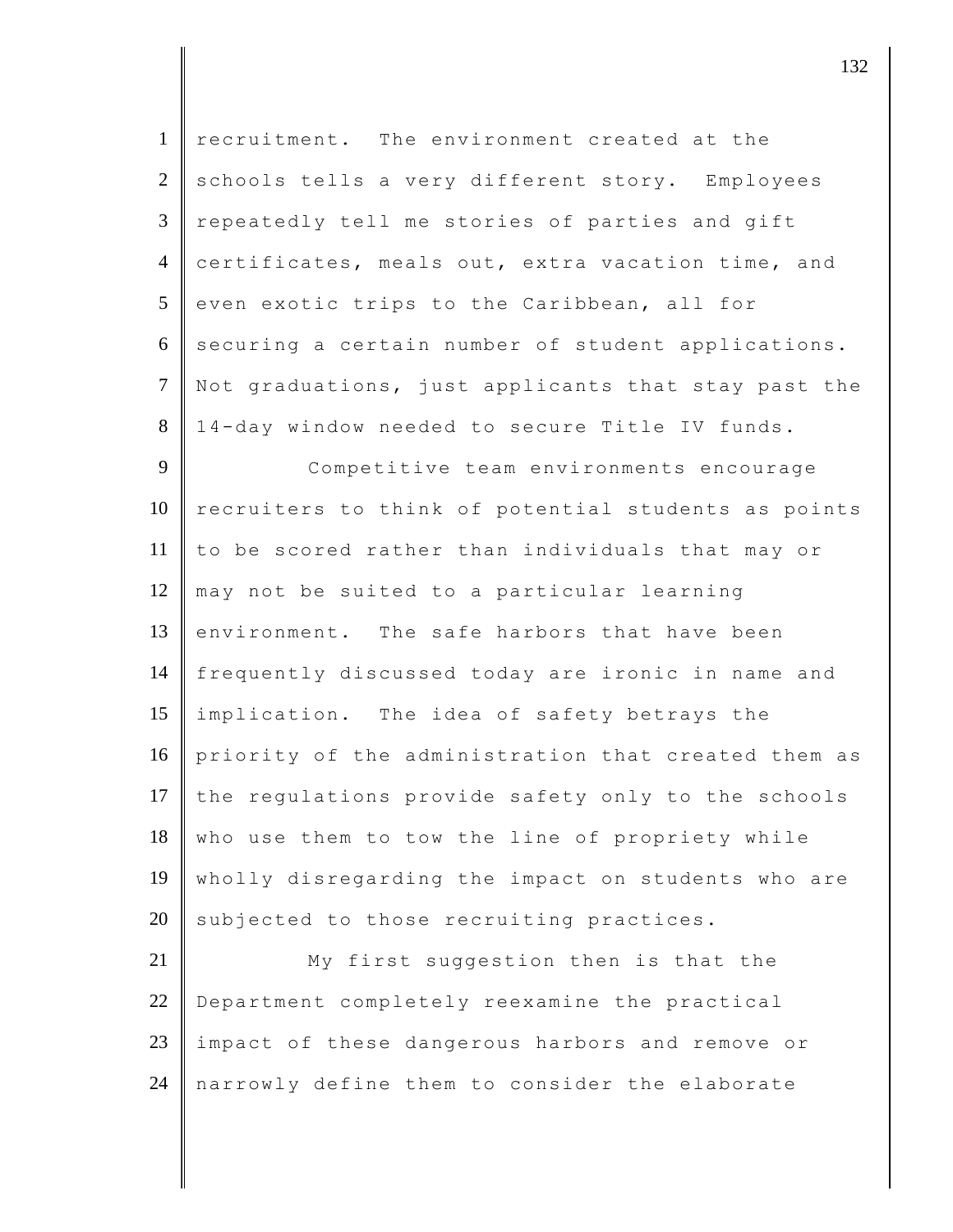| $\mathbf{1}$   | recruitment. The environment created at the         |
|----------------|-----------------------------------------------------|
| $\overline{2}$ | schools tells a very different story. Employees     |
| $\mathfrak{Z}$ | repeatedly tell me stories of parties and gift      |
| $\overline{4}$ | certificates, meals out, extra vacation time, and   |
| 5              | even exotic trips to the Caribbean, all for         |
| 6              | securing a certain number of student applications.  |
| $\overline{7}$ | Not graduations, just applicants that stay past the |
| 8              | 14-day window needed to secure Title IV funds.      |
| 9              | Competitive team environments encourage             |
| 10             | recruiters to think of potential students as points |
| 11             | to be scored rather than individuals that may or    |
| 12             | may not be suited to a particular learning          |
| 13             | environment. The safe harbors that have been        |
| 14             | frequently discussed today are ironic in name and   |
| 15             | implication. The idea of safety betrays the         |
| 16             | priority of the administration that created them as |
| 17             | the regulations provide safety only to the schools  |
| 18             | who use them to tow the line of propriety while     |
| 19             | wholly disregarding the impact on students who are  |
| 20             | subjected to those recruiting practices.            |
| 21             | My first suggestion then is that the                |
| 22             | Department completely reexamine the practical       |
| 23             | impact of these dangerous harbors and remove or     |
| 24             | narrowly define them to consider the elaborate      |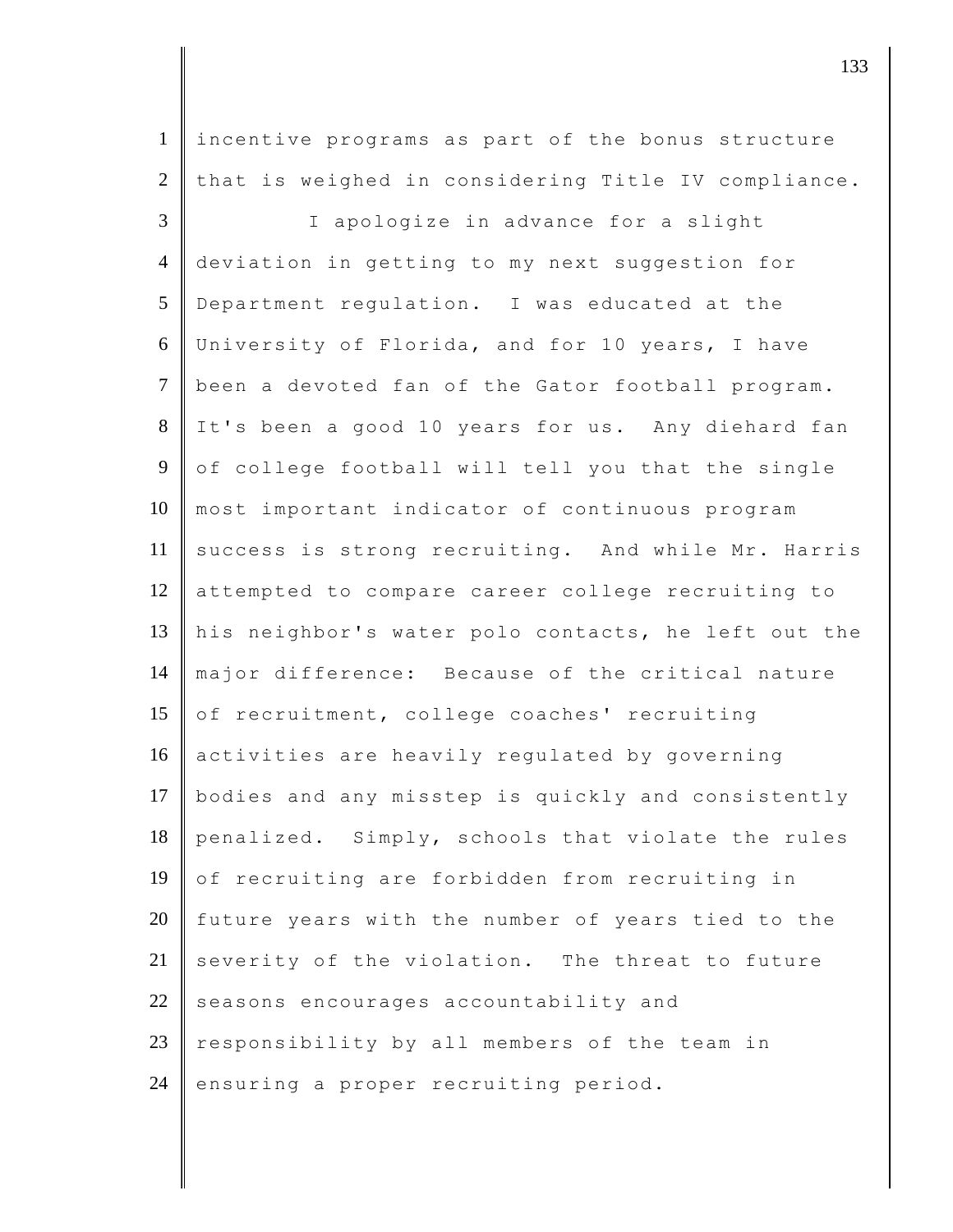1 incentive programs as part of the bonus structure 2 that is weighed in considering Title IV compliance.

3 | I apologize in advance for a slight 4 deviation in getting to my next suggestion for 5 Department regulation. I was educated at the 6 University of Florida, and for 10 years, I have 7 been a devoted fan of the Gator football program. 8 It's been a good 10 years for us. Any diehard fan 9 of college football will tell you that the single 10 most important indicator of continuous program 11 success is strong recruiting. And while Mr. Harris 12 attempted to compare career college recruiting to 13 his neighbor's water polo contacts, he left out the 14 major difference: Because of the critical nature 15 of recruitment, college coaches' recruiting 16 activities are heavily regulated by governing 17 bodies and any misstep is quickly and consistently 18 penalized. Simply, schools that violate the rules  $19$  of recruiting are forbidden from recruiting in  $20$  future years with the number of years tied to the 21 severity of the violation. The threat to future  $22$  seasons encourages accountability and  $23$  responsibility by all members of the team in 24 ensuring a proper recruiting period.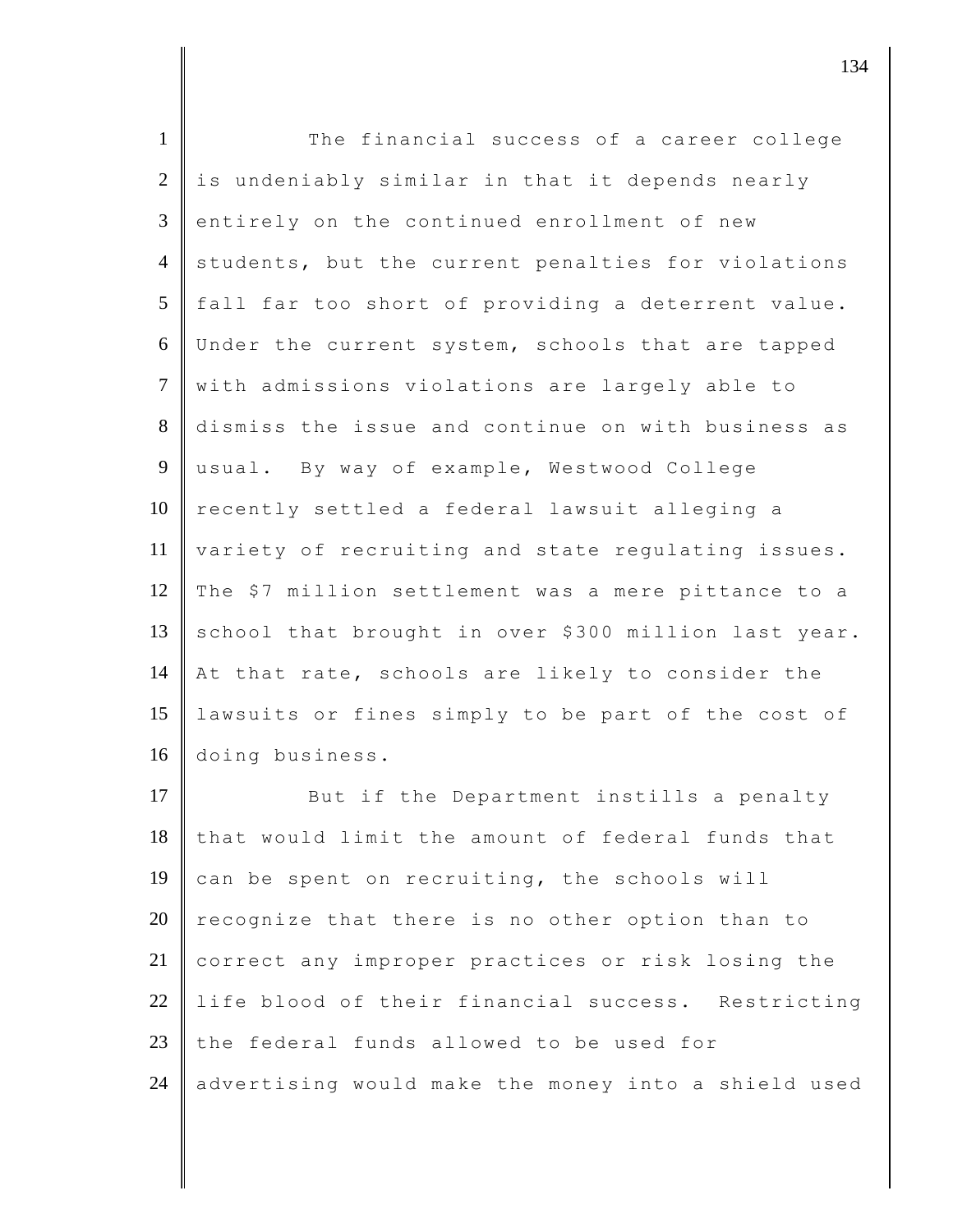| $\mathbf{1}$   | The financial success of a career college            |
|----------------|------------------------------------------------------|
| $\overline{2}$ | is undeniably similar in that it depends nearly      |
| 3              | entirely on the continued enrollment of new          |
| $\overline{4}$ | students, but the current penalties for violations   |
| 5              | fall far too short of providing a deterrent value.   |
| 6              | Under the current system, schools that are tapped    |
| $\overline{7}$ | with admissions violations are largely able to       |
| $8\,$          | dismiss the issue and continue on with business as   |
| 9              | usual. By way of example, Westwood College           |
| 10             | recently settled a federal lawsuit alleging a        |
| 11             | variety of recruiting and state regulating issues.   |
| 12             | The \$7 million settlement was a mere pittance to a  |
| 13             | school that brought in over \$300 million last year. |
| 14             | At that rate, schools are likely to consider the     |
| 15             | lawsuits or fines simply to be part of the cost of   |
| 16             | doing business.                                      |
| 17             | But if the Department instills a penalty             |
| 18             | that would limit the amount of federal funds that    |
| 19             | can be spent on recruiting, the schools will         |
| 20             | recognize that there is no other option than to      |
| 21             | correct any improper practices or risk losing the    |
| 22             | life blood of their financial success. Restricting   |
| 23             | the federal funds allowed to be used for             |
| 24             | advertising would make the money into a shield used  |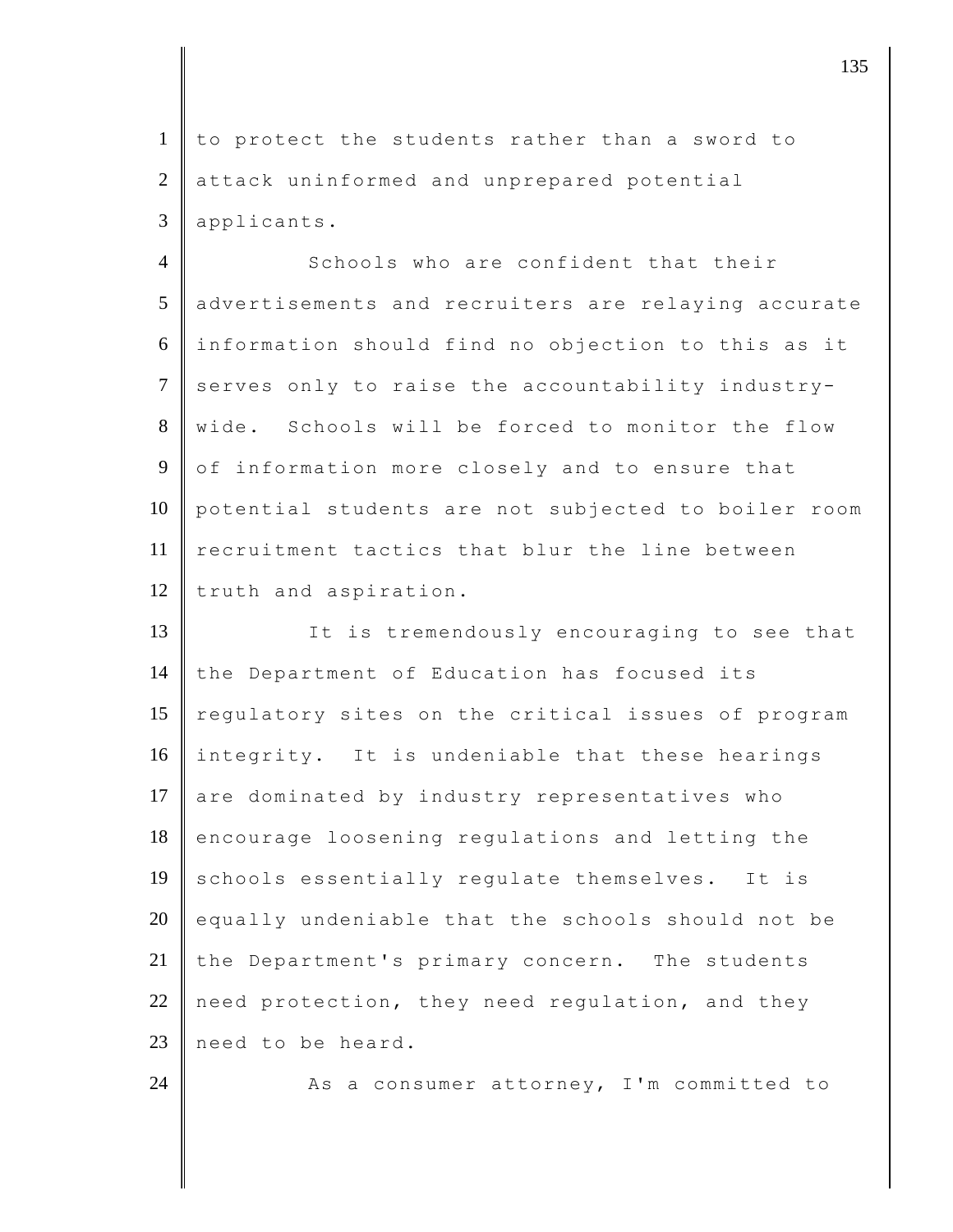1 to protect the students rather than a sword to 2 attack uninformed and unprepared potential 3 applicants.

4 Schools who are confident that their 5 advertisements and recruiters are relaying accurate 6 information should find no objection to this as it 7 serves only to raise the accountability industry-8 wide. Schools will be forced to monitor the flow 9 of information more closely and to ensure that 10 potential students are not subjected to boiler room 11 recruitment tactics that blur the line between 12 truth and aspiration.

13 It is tremendously encouraging to see that 14 the Department of Education has focused its 15 regulatory sites on the critical issues of program 16 integrity. It is undeniable that these hearings 17 are dominated by industry representatives who 18 encourage loosening regulations and letting the 19 schools essentially regulate themselves. It is  $20$  equally undeniable that the schools should not be 21 the Department's primary concern. The students 22 need protection, they need requlation, and they 23 need to be heard.

24  $\parallel$  As a consumer attorney, I'm committed to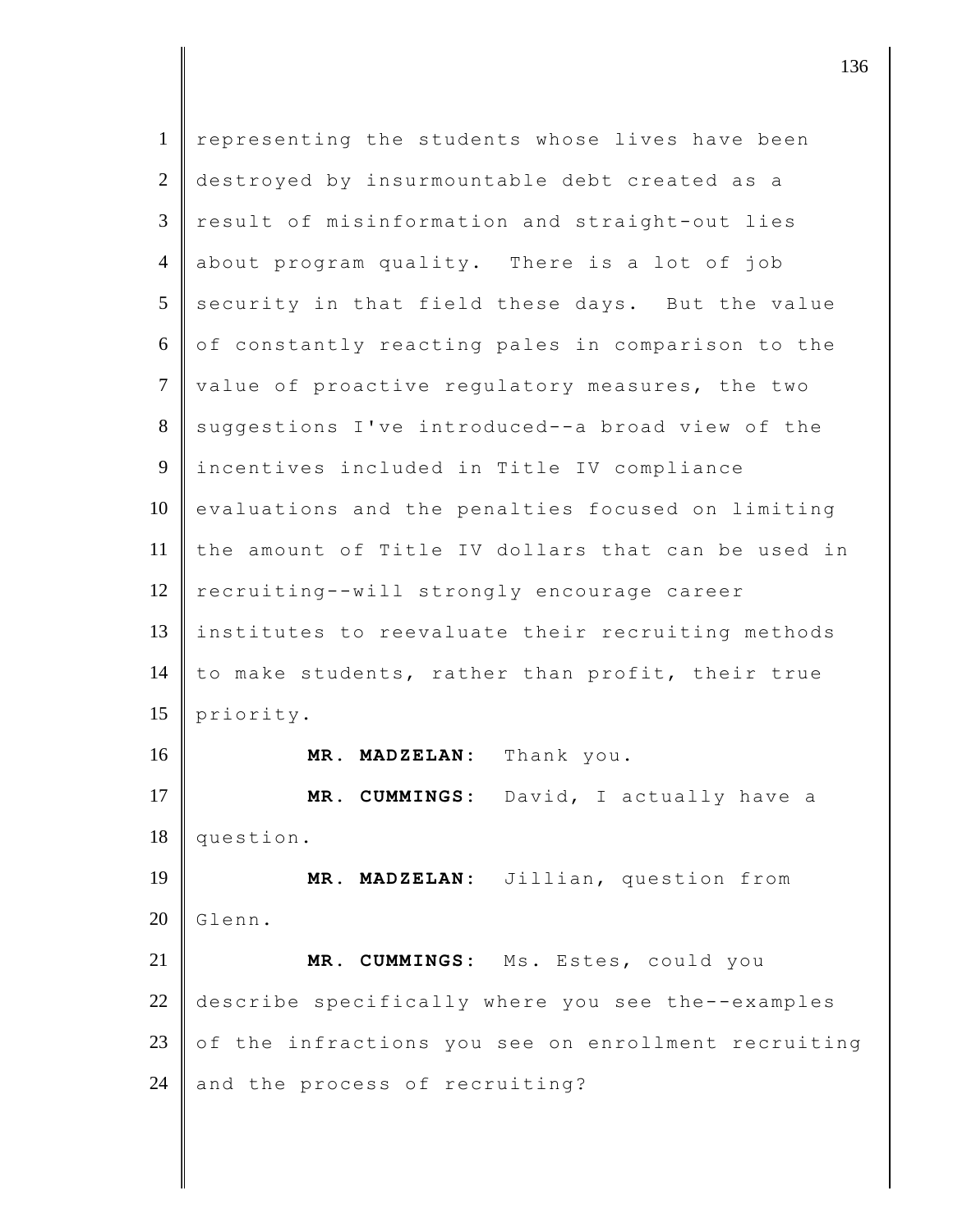| $\mathbf{1}$   | representing the students whose lives have been        |
|----------------|--------------------------------------------------------|
| 2              | destroyed by insurmountable debt created as a          |
| 3              | result of misinformation and straight-out lies         |
| $\overline{4}$ | about program quality. There is a lot of job           |
| 5              | security in that field these days. But the value       |
| 6              | of constantly reacting pales in comparison to the      |
| $\tau$         | value of proactive regulatory measures, the two        |
| 8              | suggestions I've introduced--a broad view of the       |
| 9              | incentives included in Title IV compliance             |
| 10             | evaluations and the penalties focused on limiting      |
| 11             | the amount of Title IV dollars that can be used in     |
| 12             | recruiting--will strongly encourage career             |
| 13             | institutes to reevaluate their recruiting methods      |
| 14             | to make students, rather than profit, their true       |
| 15             | priority.                                              |
| 16             | MR. MADZELAN: Thank you.                               |
| 17             | David, I actually have a<br>MR. CUMMINGS:              |
| 18             | question.                                              |
| 19             | MADZELAN: Jillian, question from<br>MR.                |
| 20             | Glenn.                                                 |
| 21             | CUMMINGS: Ms. Estes, could you<br>MR.                  |
| 22             | describe specifically where you see the--examples      |
| 23             | the infractions you see on enrollment recruiting<br>оf |
|                | and the process of recruiting?                         |
|                |                                                        |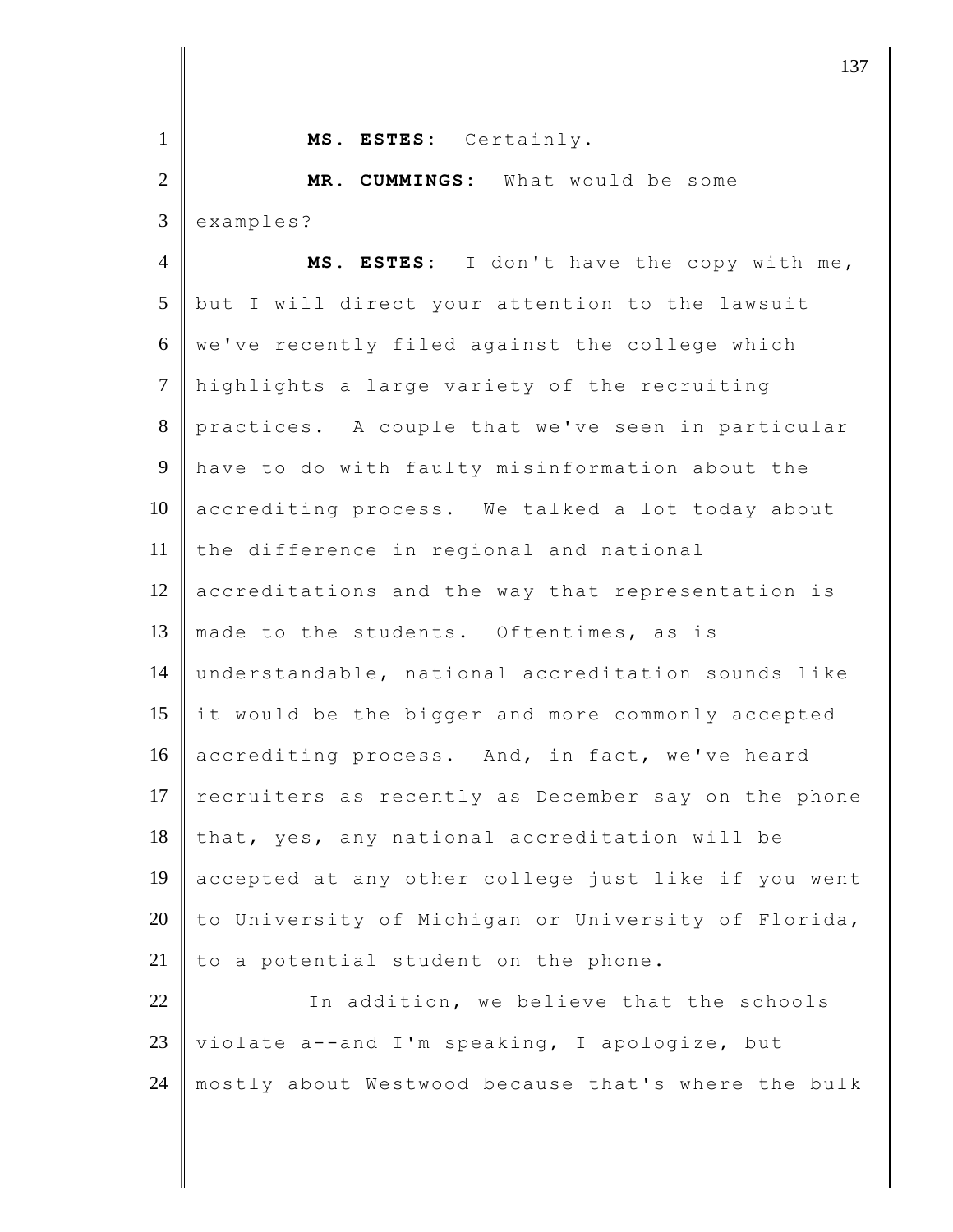| $\mathbf{1}$   | MS. ESTES: Certainly.                               |
|----------------|-----------------------------------------------------|
| $\mathfrak{2}$ | MR. CUMMINGS: What would be some                    |
| 3              | examples?                                           |
| $\overline{4}$ | MS. ESTES: I don't have the copy with me,           |
| 5              | but I will direct your attention to the lawsuit     |
| 6              | we've recently filed against the college which      |
| $\overline{7}$ | highlights a large variety of the recruiting        |
| 8              | practices. A couple that we've seen in particular   |
| 9              | have to do with faulty misinformation about the     |
| 10             | accrediting process. We talked a lot today about    |
| 11             | the difference in regional and national             |
| 12             | accreditations and the way that representation is   |
| 13             | made to the students. Oftentimes, as is             |
| 14             | understandable, national accreditation sounds like  |
| 15             | it would be the bigger and more commonly accepted   |
| 16             | accrediting process. And, in fact, we've heard      |
| 17             | recruiters as recently as December say on the phone |
| 18             | that, yes, any national accreditation will be       |
| 19             | accepted at any other college just like if you went |
| 20             | to University of Michigan or University of Florida, |
| 21             | to a potential student on the phone.                |
| 22             | In addition, we believe that the schools            |
| 23             | violate a--and I'm speaking, I apologize, but       |
| 24             | mostly about Westwood because that's where the bulk |
|                |                                                     |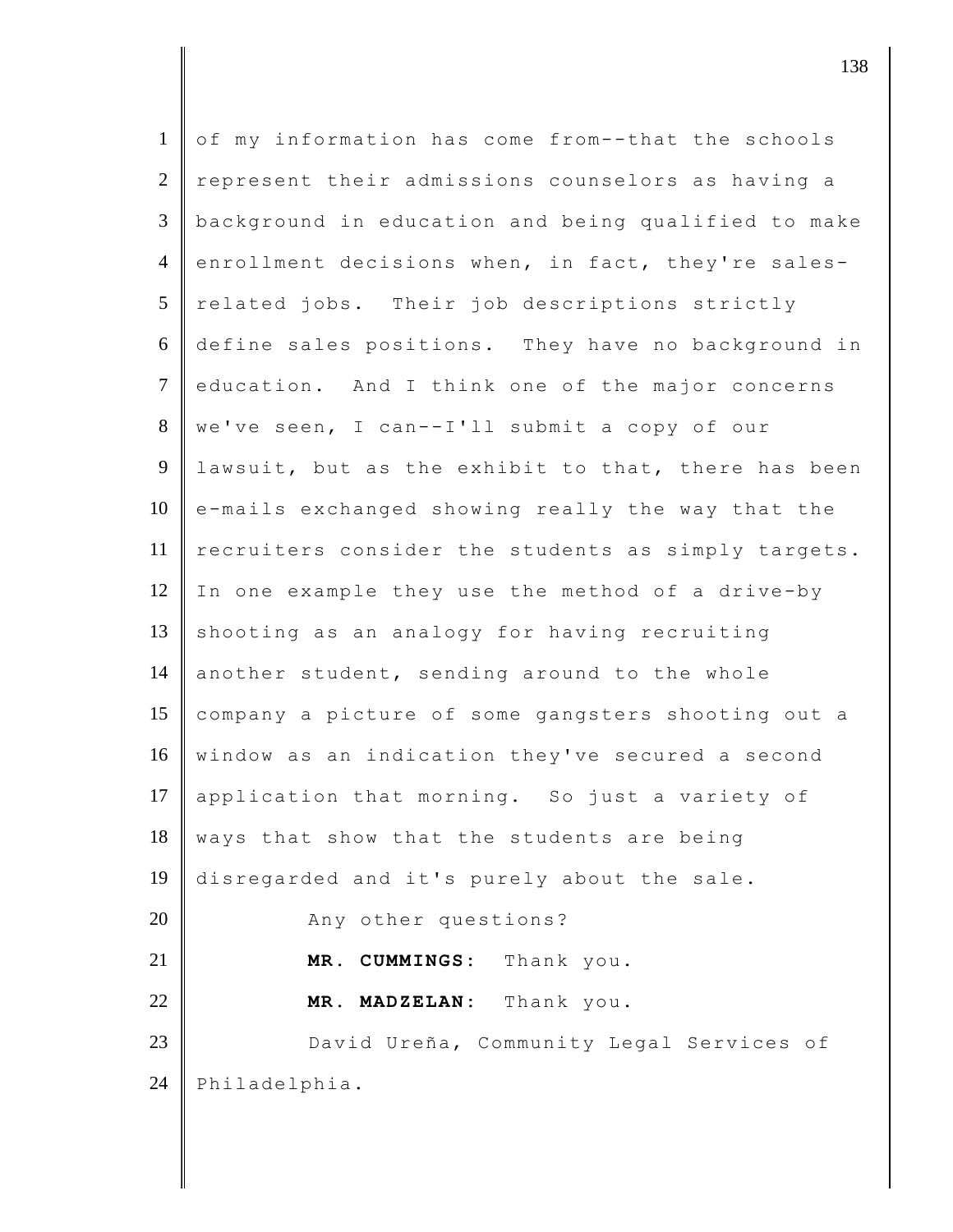| $\mathbf{1}$   | of my information has come from--that the schools   |
|----------------|-----------------------------------------------------|
| $\overline{2}$ | represent their admissions counselors as having a   |
| 3              | background in education and being qualified to make |
| $\overline{4}$ | enrollment decisions when, in fact, they're sales-  |
| 5              | related jobs. Their job descriptions strictly       |
| 6              | define sales positions. They have no background in  |
| $\overline{7}$ | education. And I think one of the major concerns    |
| 8              | we've seen, I can -- I'll submit a copy of our      |
| $\overline{9}$ | lawsuit, but as the exhibit to that, there has been |
| 10             | e-mails exchanged showing really the way that the   |
| 11             | recruiters consider the students as simply targets. |
| 12             | In one example they use the method of a drive-by    |
| 13             | shooting as an analogy for having recruiting        |
| 14             | another student, sending around to the whole        |
| 15             | company a picture of some gangsters shooting out a  |
| 16             | window as an indication they've secured a second    |
| 17             | application that morning. So just a variety of      |
| 18             | ways that show that the students are being          |
| 19             | disregarded and it's purely about the sale.         |
| 20             | Any other questions?                                |
| 21             | CUMMINGS:<br>Thank you.<br>MR.                      |
| 22             | MADZELAN: Thank you.<br>MR.                         |
| 23             | David Ureña, Community Legal Services of            |
| 24             | Philadelphia.                                       |
|                |                                                     |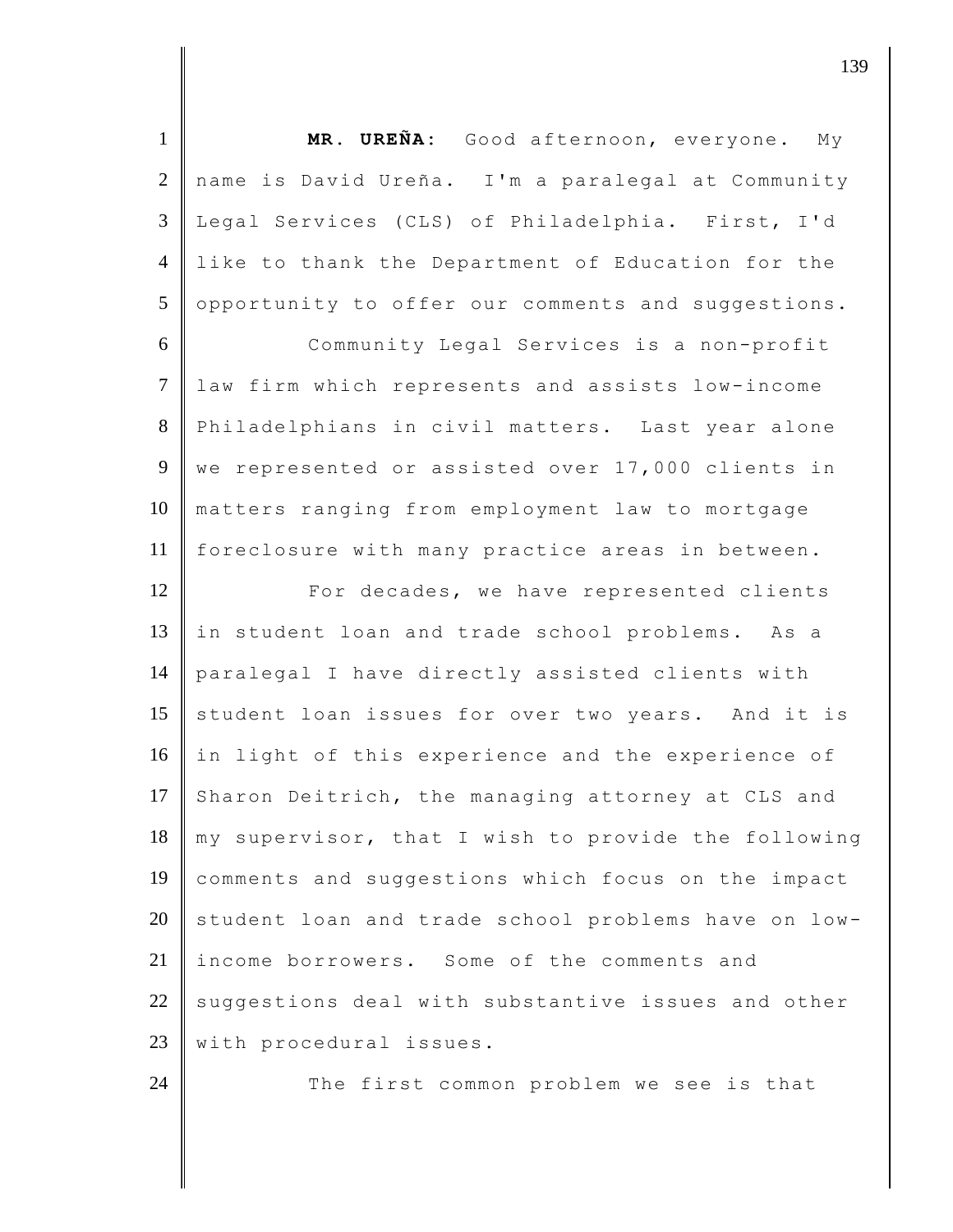1 **MR. UREÑA:** Good afternoon, everyone. My 2 name is David Ureña. I'm a paralegal at Community 3 Legal Services (CLS) of Philadelphia. First, I'd 4 like to thank the Department of Education for the 5 opportunity to offer our comments and suggestions. 6 Community Legal Services is a non-profit 7 law firm which represents and assists low-income 8 Philadelphians in civil matters. Last year alone 9 we represented or assisted over 17,000 clients in 10 matters ranging from employment law to mortgage 11 foreclosure with many practice areas in between. 12 **For decades, we have represented clients** 13 in student loan and trade school problems. As a 14 paralegal I have directly assisted clients with 15 student loan issues for over two years. And it is 16 in light of this experience and the experience of 17 Sharon Deitrich, the managing attorney at CLS and 18 my supervisor, that I wish to provide the following 19 comments and suggestions which focus on the impact  $20$  student loan and trade school problems have on low-21 income borrowers. Some of the comments and  $22$  suggestions deal with substantive issues and other 23 with procedural issues. 24 The first common problem we see is that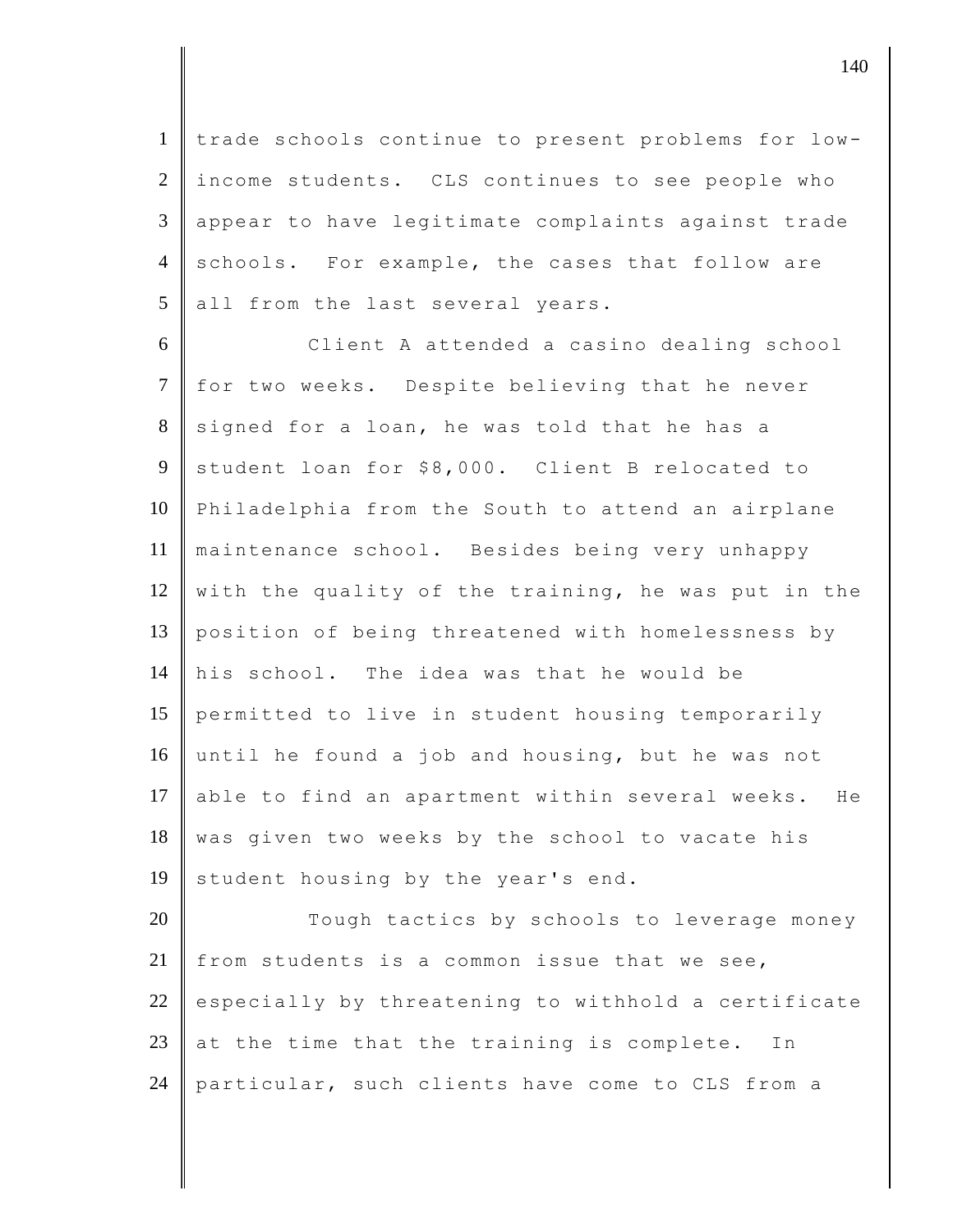1 trade schools continue to present problems for low-2 income students. CLS continues to see people who 3 appear to have legitimate complaints against trade 4 schools. For example, the cases that follow are  $5$  all from the last several years.

 Client A attended a casino dealing school 7 for two weeks. Despite believing that he never signed for a loan, he was told that he has a student loan for \$8,000. Client B relocated to Philadelphia from the South to attend an airplane maintenance school. Besides being very unhappy 12 with the quality of the training, he was put in the position of being threatened with homelessness by his school. The idea was that he would be permitted to live in student housing temporarily until he found a job and housing, but he was not 17 able to find an apartment within several weeks. He 18 was given two weeks by the school to vacate his 19 student housing by the year's end.

20 Tough tactics by schools to leverage money 21  $\parallel$  from students is a common issue that we see, 22 especially by threatening to withhold a certificate 23 at the time that the training is complete. In 24 particular, such clients have come to CLS from a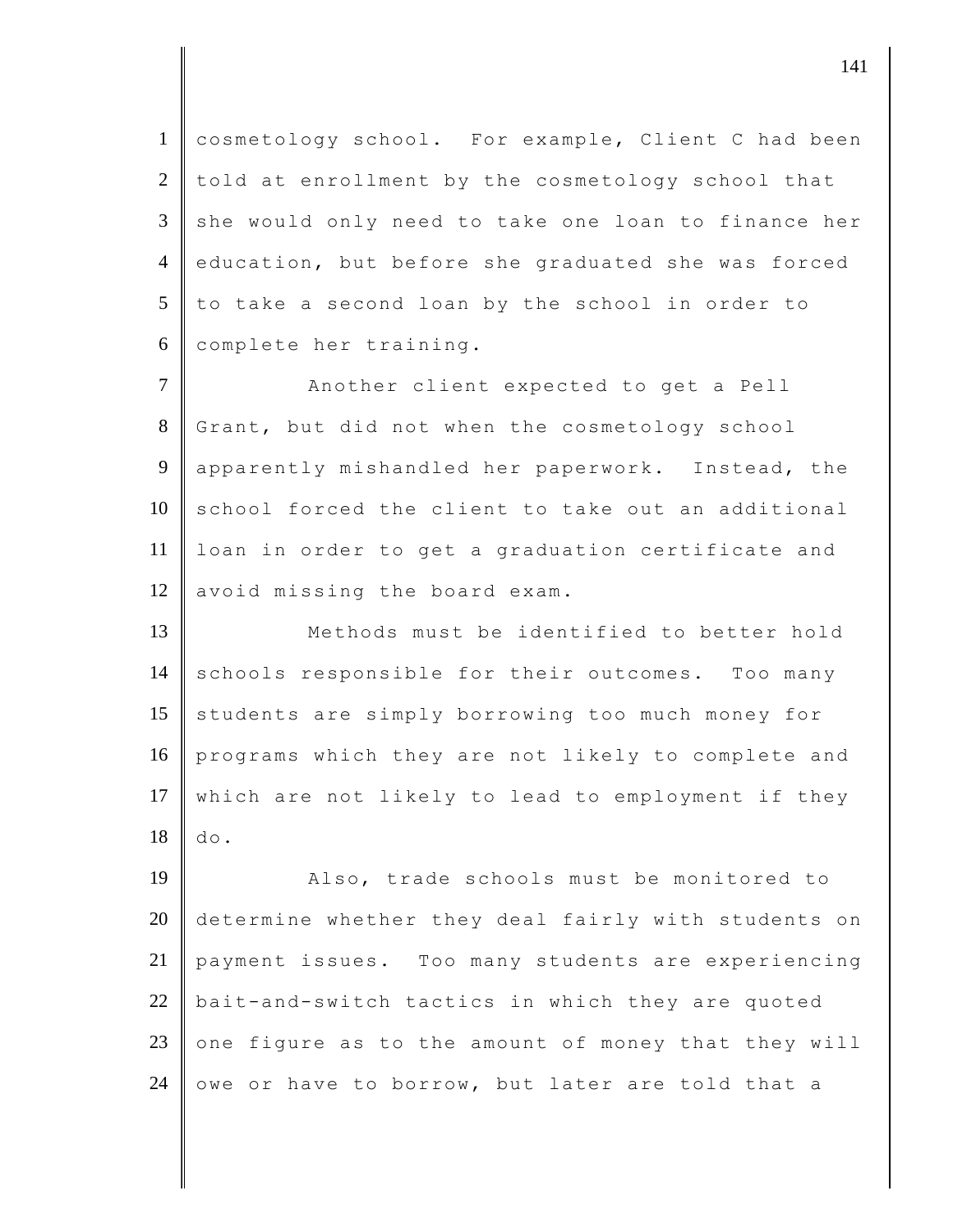cosmetology school. For example, Client C had been told at enrollment by the cosmetology school that  $3 \parallel$  she would only need to take one loan to finance her 4 education, but before she graduated she was forced to take a second loan by the school in order to complete her training.

7 | Another client expected to get a Pell 8 Grant, but did not when the cosmetology school 9 apparently mishandled her paperwork. Instead, the 10 school forced the client to take out an additional 11 loan in order to get a graduation certificate and  $12$  avoid missing the board exam.

13 Methods must be identified to better hold 14 schools responsible for their outcomes. Too many 15 students are simply borrowing too much money for 16 programs which they are not likely to complete and 17 which are not likely to lead to employment if they  $18$  do.

19 **Also, trade schools must be monitored to** 20 determine whether they deal fairly with students on 21 payment issues. Too many students are experiencing 22  $\parallel$  bait-and-switch tactics in which they are quoted 23 one figure as to the amount of money that they will 24 owe or have to borrow, but later are told that a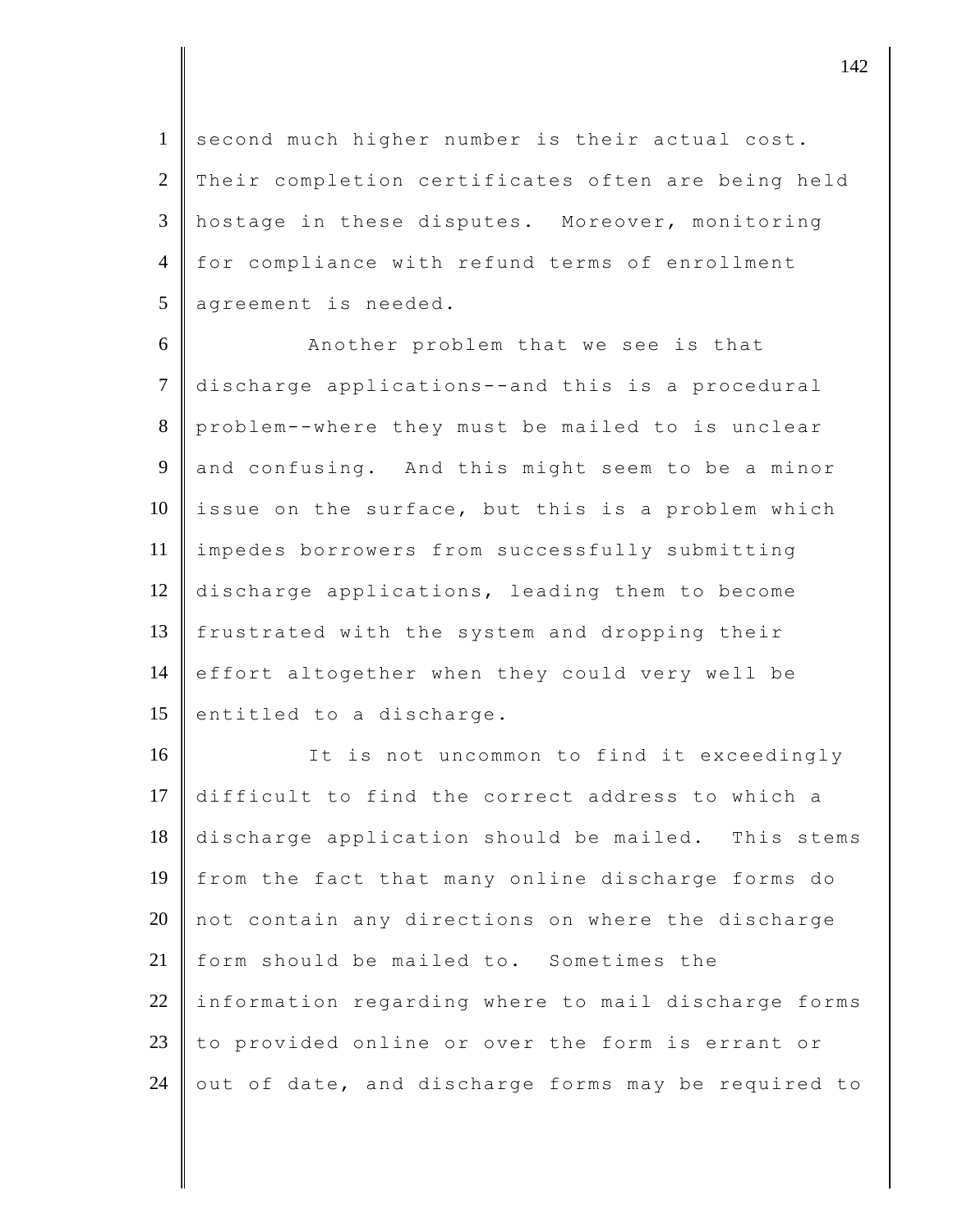1 second much higher number is their actual cost. 2 Their completion certificates often are being held 3 hostage in these disputes. Moreover, monitoring 4 for compliance with refund terms of enrollment  $5$  agreement is needed.

6 Another problem that we see is that 7 discharge applications--and this is a procedural 8 problem--where they must be mailed to is unclear 9 and confusing. And this might seem to be a minor  $10$  issue on the surface, but this is a problem which 11 | impedes borrowers from successfully submitting 12 discharge applications, leading them to become 13 frustrated with the system and dropping their 14 effort altogether when they could very well be 15 entitled to a discharge.

16 It is not uncommon to find it exceedingly difficult to find the correct address to which a discharge application should be mailed. This stems from the fact that many online discharge forms do not contain any directions on where the discharge form should be mailed to. Sometimes the information regarding where to mail discharge forms  $\parallel$  to provided online or over the form is errant or 24 out of date, and discharge forms may be required to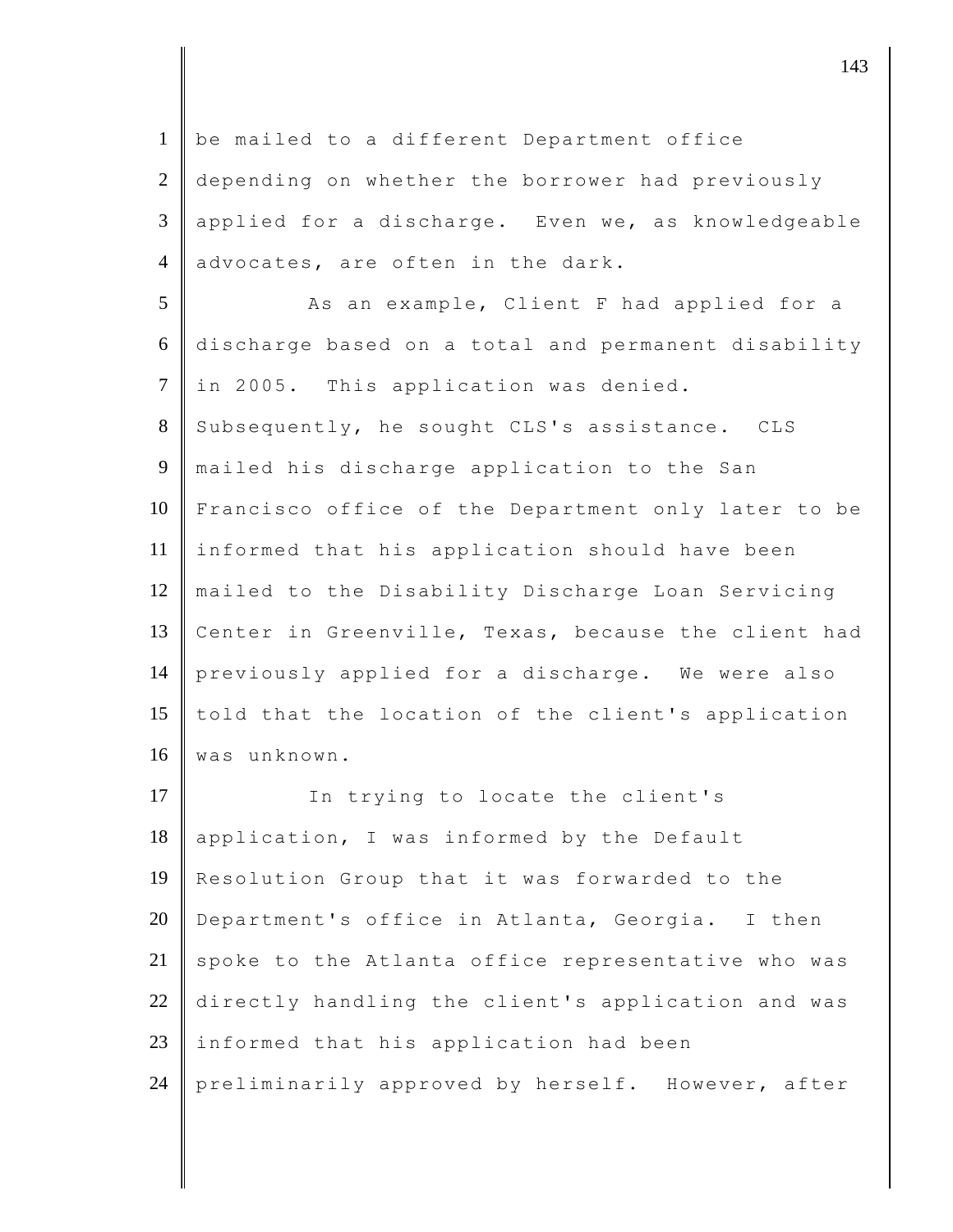1 be mailed to a different Department office 2 depending on whether the borrower had previously 3 applied for a discharge. Even we, as knowledgeable 4 advocates, are often in the dark. 5 As an example, Client F had applied for a 6 discharge based on a total and permanent disability 7 in 2005. This application was denied. 8 Subsequently, he sought CLS's assistance. CLS 9 mailed his discharge application to the San 10 Francisco office of the Department only later to be 11 informed that his application should have been 12 mailed to the Disability Discharge Loan Servicing 13 Center in Greenville, Texas, because the client had 14 previously applied for a discharge. We were also 15 told that the location of the client's application 16 | was unknown. 17 In trying to locate the client's 18 application, I was informed by the Default 19 Resolution Group that it was forwarded to the 20 Department's office in Atlanta, Georgia. I then  $21$  spoke to the Atlanta office representative who was 22 directly handling the client's application and was  $23$  informed that his application had been 24 preliminarily approved by herself. However, after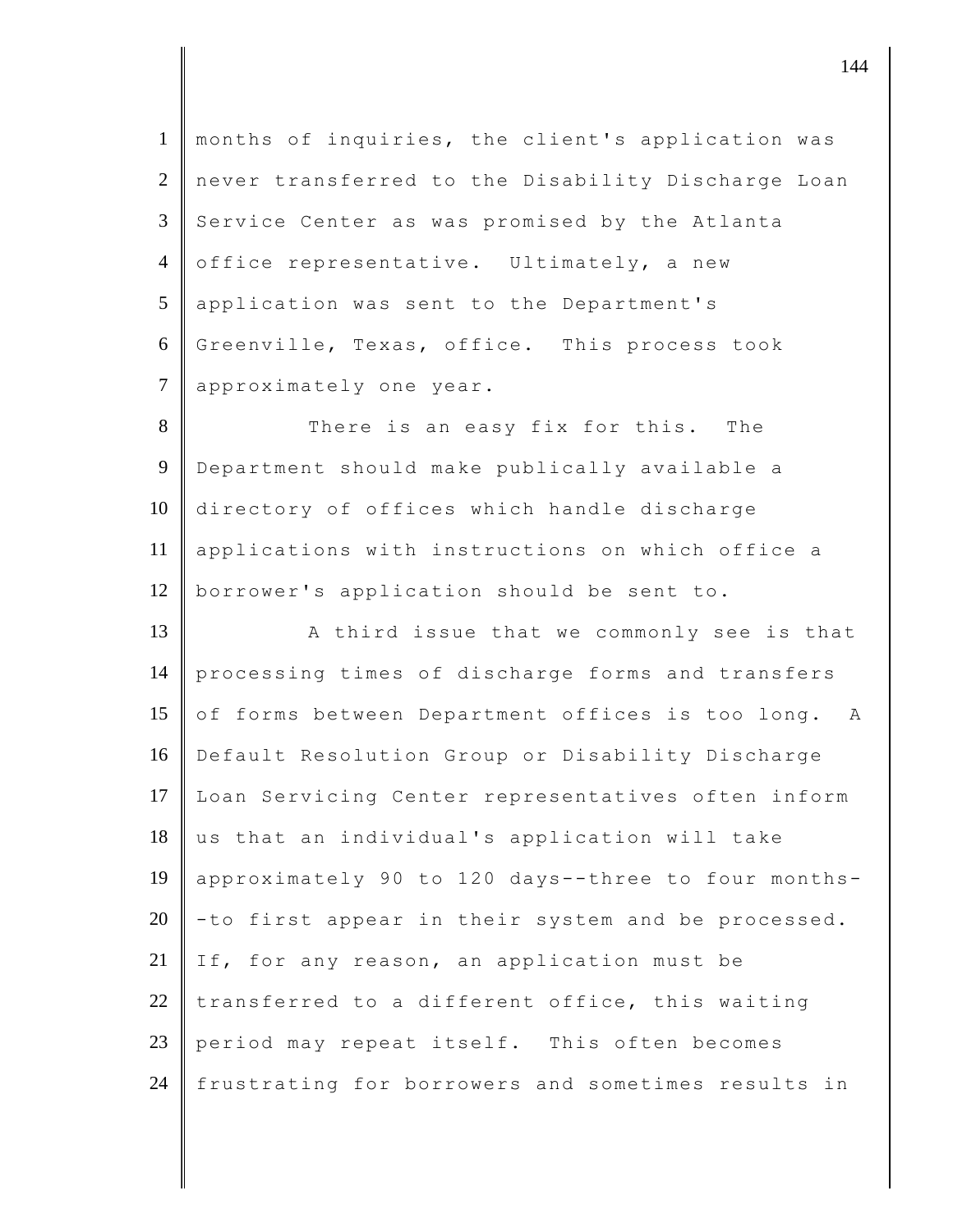1 months of inquiries, the client's application was 2 never transferred to the Disability Discharge Loan 3 Service Center as was promised by the Atlanta 4 office representative. Ultimately, a new 5 application was sent to the Department's 6 Greenville, Texas, office. This process took 7 approximately one year.

8 There is an easy fix for this. The 9 Department should make publically available a 10 directory of offices which handle discharge 11 applications with instructions on which office a 12 borrower's application should be sent to.

13 A third issue that we commonly see is that 14 processing times of discharge forms and transfers 15 of forms between Department offices is too long. A 16 Default Resolution Group or Disability Discharge 17 Loan Servicing Center representatives often inform 18 us that an individual's application will take 19 approximately 90 to 120 days--three to four months-20  $\vert$  -to first appear in their system and be processed. 21 If, for any reason, an application must be 22 transferred to a different office, this waiting 23 period may repeat itself. This often becomes 24 frustrating for borrowers and sometimes results in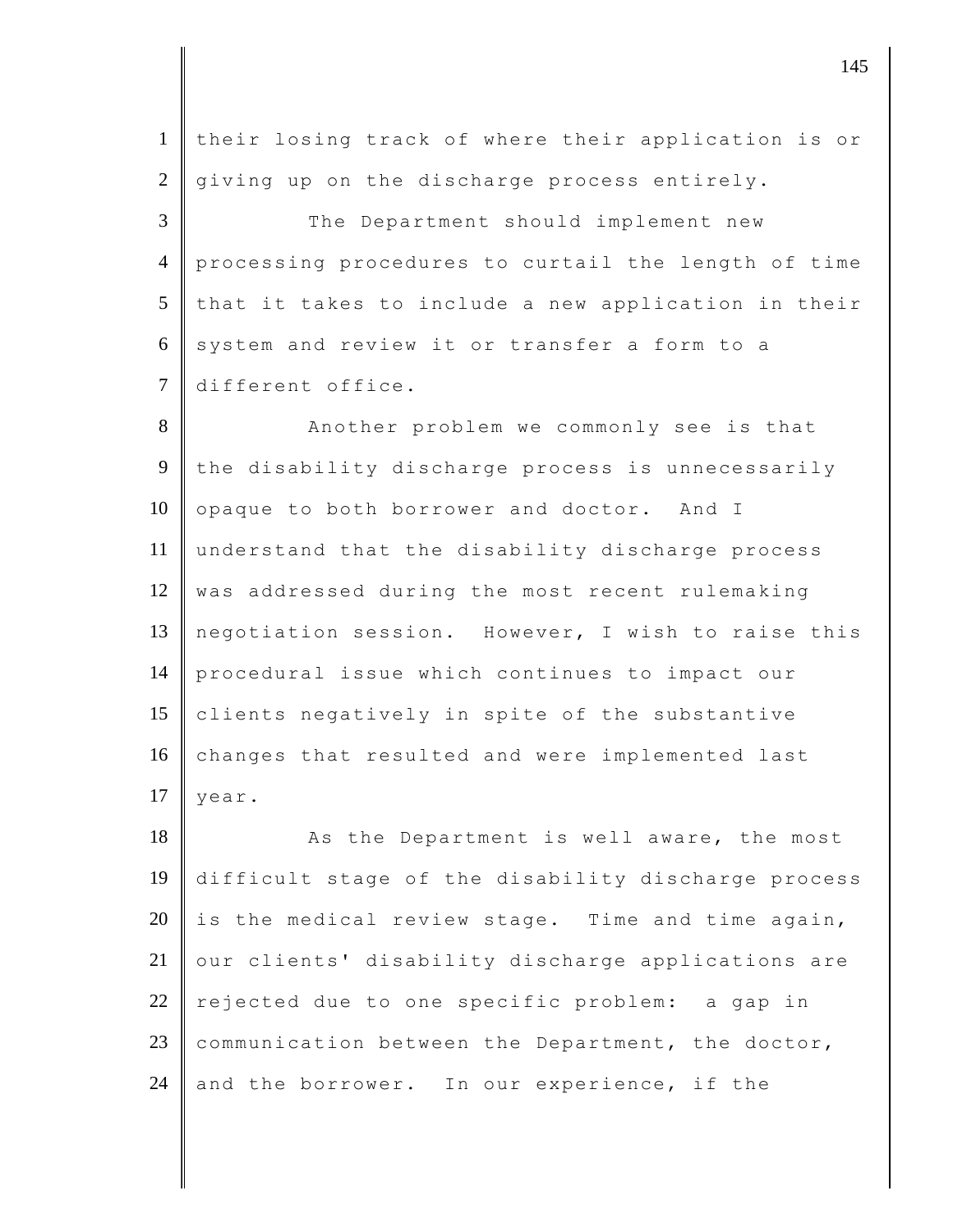1 their losing track of where their application is or  $2 \parallel$  giving up on the discharge process entirely. 3 The Department should implement new 4 processing procedures to curtail the length of time  $5$  that it takes to include a new application in their  $6 \parallel$  system and review it or transfer a form to a 7 different office. 8 Another problem we commonly see is that 9 the disability discharge process is unnecessarily 10 opaque to both borrower and doctor. And I 11 understand that the disability discharge process 12 was addressed during the most recent rulemaking 13 negotiation session. However, I wish to raise this

14 procedural issue which continues to impact our 15 clients negatively in spite of the substantive 16 changes that resulted and were implemented last 17  $\vert$  year.

18 As the Department is well aware, the most 19 difficult stage of the disability discharge process 20 is the medical review stage. Time and time again, 21 | our clients' disability discharge applications are 22 rejected due to one specific problem: a gap in 23 communication between the Department, the doctor, 24 and the borrower. In our experience, if the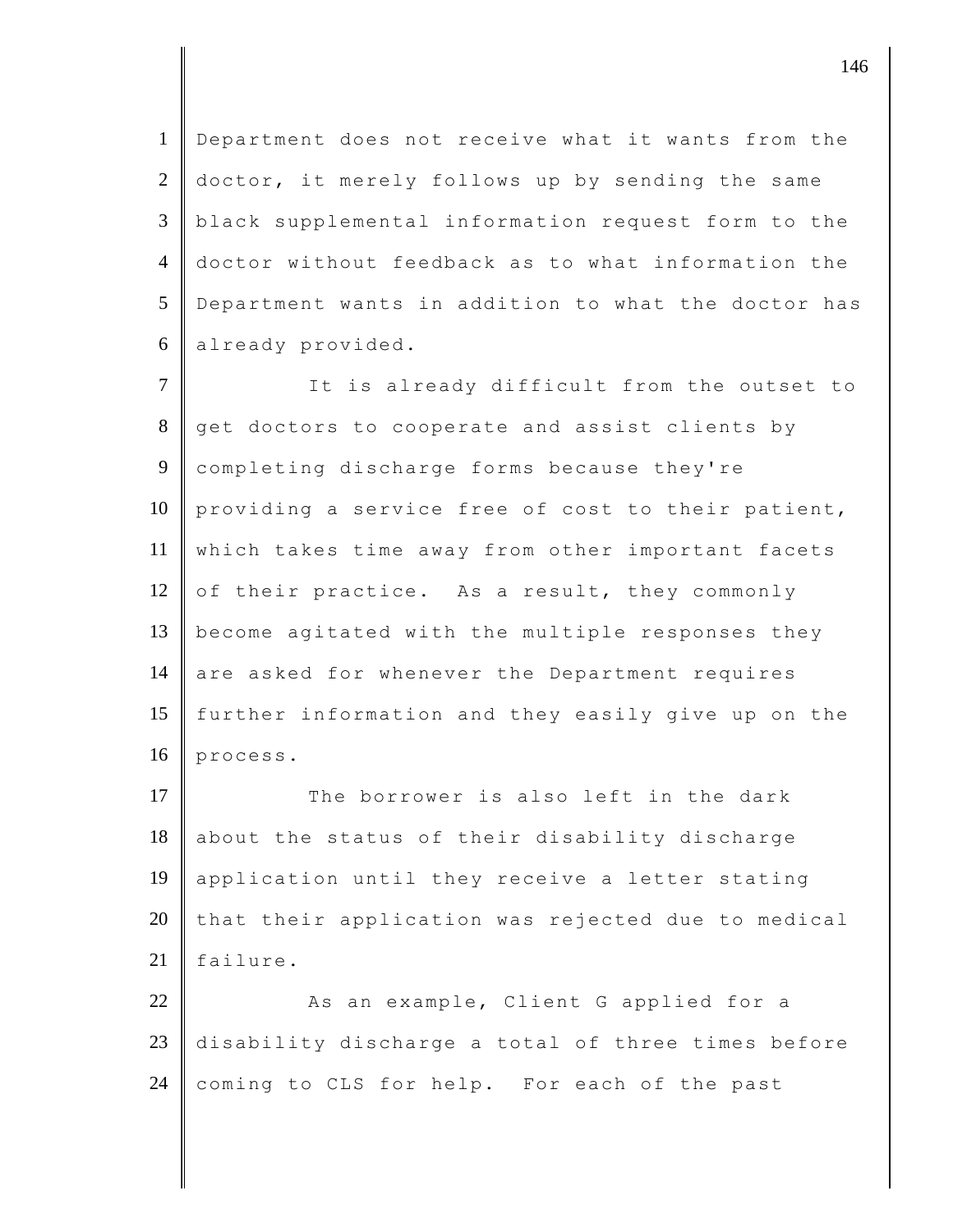Department does not receive what it wants from the 2 doctor, it merely follows up by sending the same black supplemental information request form to the doctor without feedback as to what information the Department wants in addition to what the doctor has already provided.

7 It is already difficult from the outset to 8 get doctors to cooperate and assist clients by 9 completing discharge forms because they're 10 | providing a service free of cost to their patient, 11 which takes time away from other important facets 12 of their practice. As a result, they commonly 13 become agitated with the multiple responses they 14 are asked for whenever the Department requires 15 further information and they easily give up on the 16 process.

 $17$  The borrower is also left in the dark 18 about the status of their disability discharge 19 application until they receive a letter stating  $20$  that their application was rejected due to medical 21 failure.

22 As an example, Client G applied for a 23 disability discharge a total of three times before 24 coming to CLS for help. For each of the past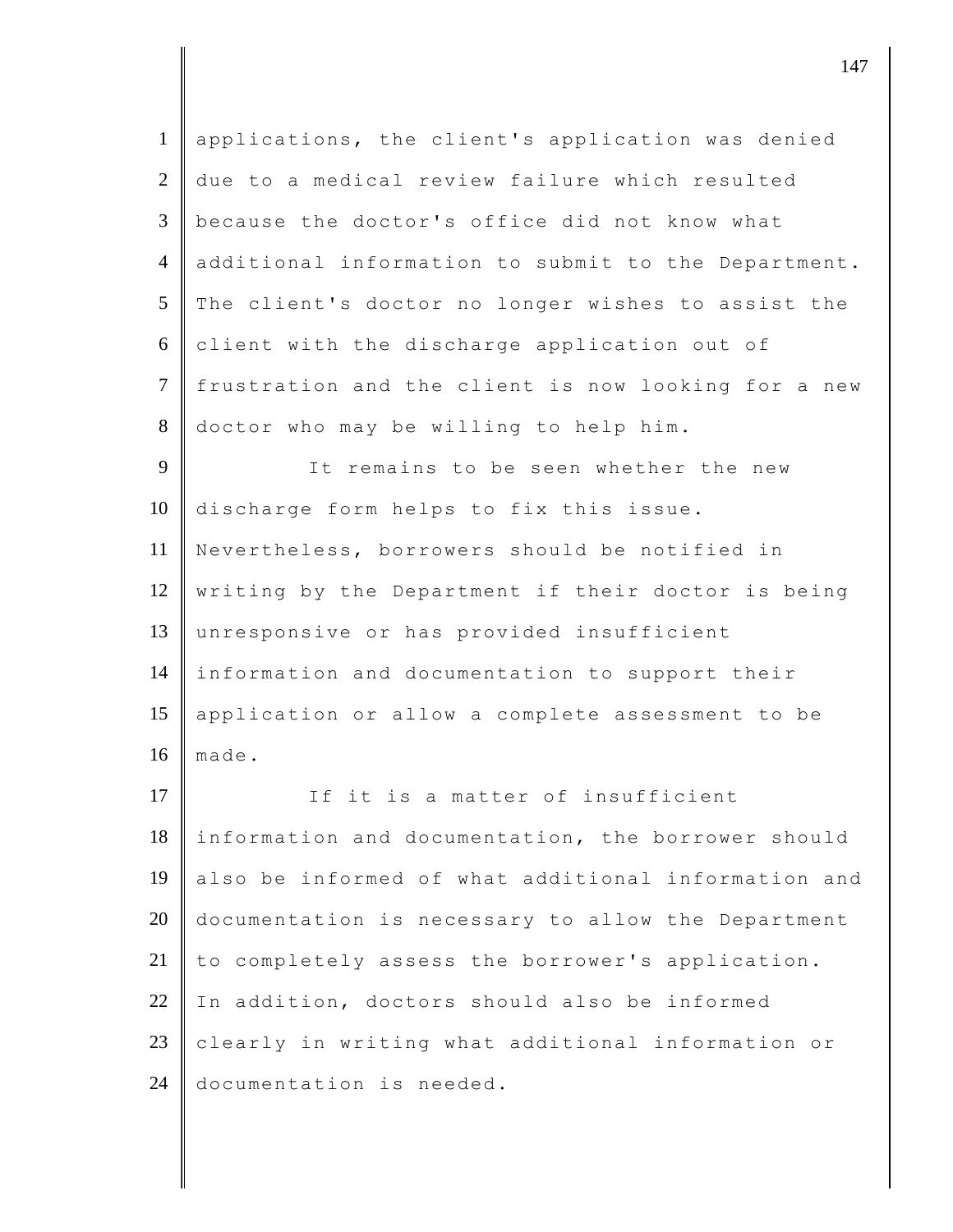| $\mathbf{1}$   | applications, the client's application was denied   |
|----------------|-----------------------------------------------------|
| 2              | due to a medical review failure which resulted      |
| 3              | because the doctor's office did not know what       |
| $\overline{4}$ | additional information to submit to the Department. |
| 5              | The client's doctor no longer wishes to assist the  |
| 6              | client with the discharge application out of        |
| $\tau$         | frustration and the client is now looking for a new |
| $8\,$          | doctor who may be willing to help him.              |
| 9              | It remains to be seen whether the new               |
| 10             | discharge form helps to fix this issue.             |
| 11             | Nevertheless, borrowers should be notified in       |
| 12             | writing by the Department if their doctor is being  |
| 13             | unresponsive or has provided insufficient           |
| 14             | information and documentation to support their      |
| 15             | application or allow a complete assessment to be    |
| 16             | made.                                               |
| 17             | If it is a matter of insufficient                   |
| 18             | information and documentation, the borrower should  |
| 19             | also be informed of what additional information and |
| 20             | documentation is necessary to allow the Department  |
| 21             | to completely assess the borrower's application.    |
| 22             | In addition, doctors should also be informed        |
| 23             | clearly in writing what additional information or   |
| 24             | documentation is needed.                            |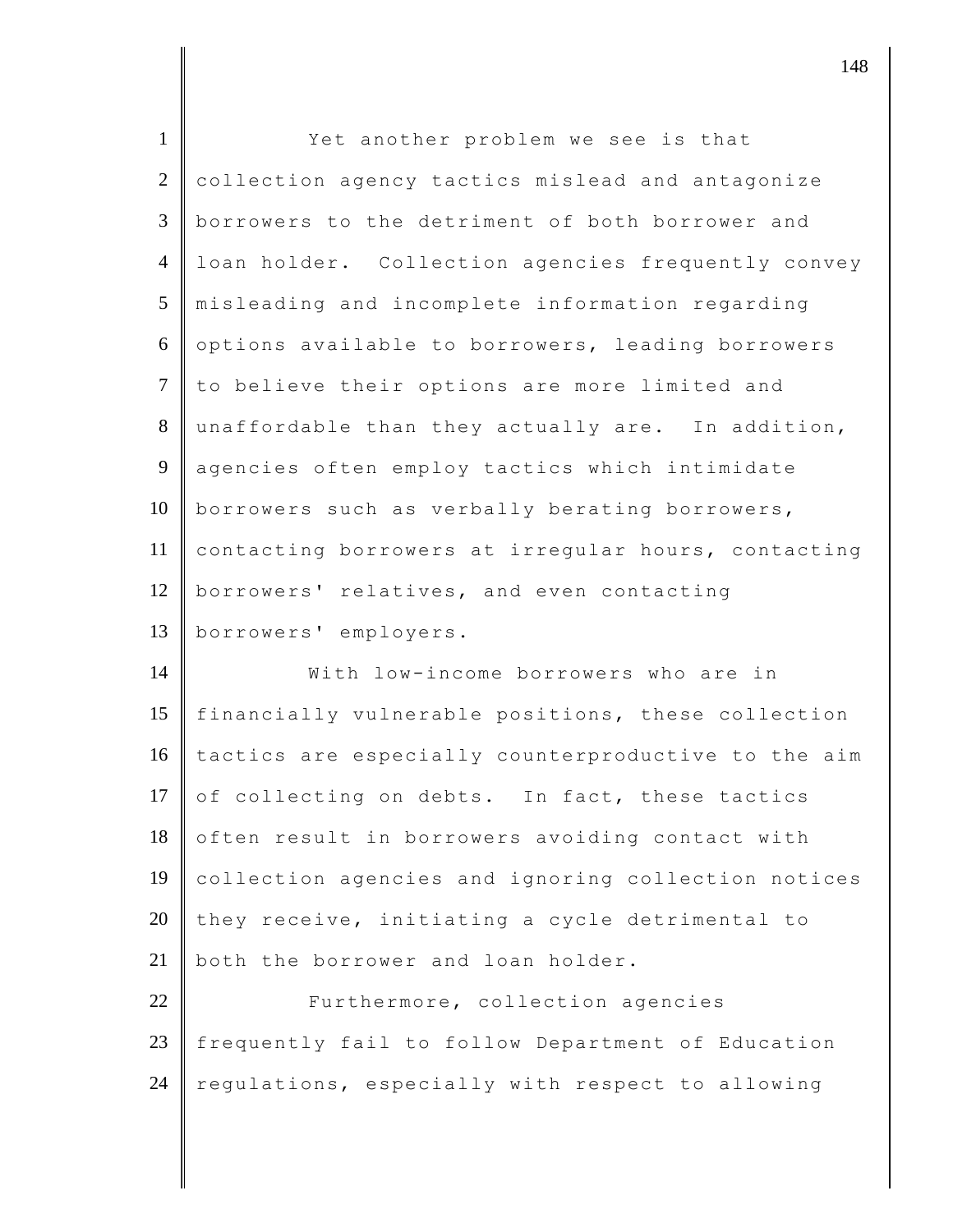| $\mathbf{1}$   | Yet another problem we see is that                  |
|----------------|-----------------------------------------------------|
| $\overline{2}$ | collection agency tactics mislead and antagonize    |
| 3              | borrowers to the detriment of both borrower and     |
| $\overline{4}$ | loan holder. Collection agencies frequently convey  |
| 5              | misleading and incomplete information regarding     |
| 6              | options available to borrowers, leading borrowers   |
| $\overline{7}$ | to believe their options are more limited and       |
| 8              | unaffordable than they actually are. In addition,   |
| $\overline{9}$ | agencies often employ tactics which intimidate      |
| 10             | borrowers such as verbally berating borrowers,      |
| 11             | contacting borrowers at irregular hours, contacting |
| 12             | borrowers' relatives, and even contacting           |
| 13             | borrowers' employers.                               |
| 14             | With low-income borrowers who are in                |
| 15             | financially vulnerable positions, these collection  |
| 16             | tactics are especially counterproductive to the aim |
| 17             | of collecting on debts. In fact, these tactics      |
| 18             | often result in borrowers avoiding contact with     |
| 19             | collection agencies and ignoring collection notices |
| 20             | they receive, initiating a cycle detrimental to     |
| 21             | both the borrower and loan holder.                  |
| 22             | Furthermore, collection agencies                    |
| 23             | frequently fail to follow Department of Education   |
| 24             | regulations, especially with respect to allowing    |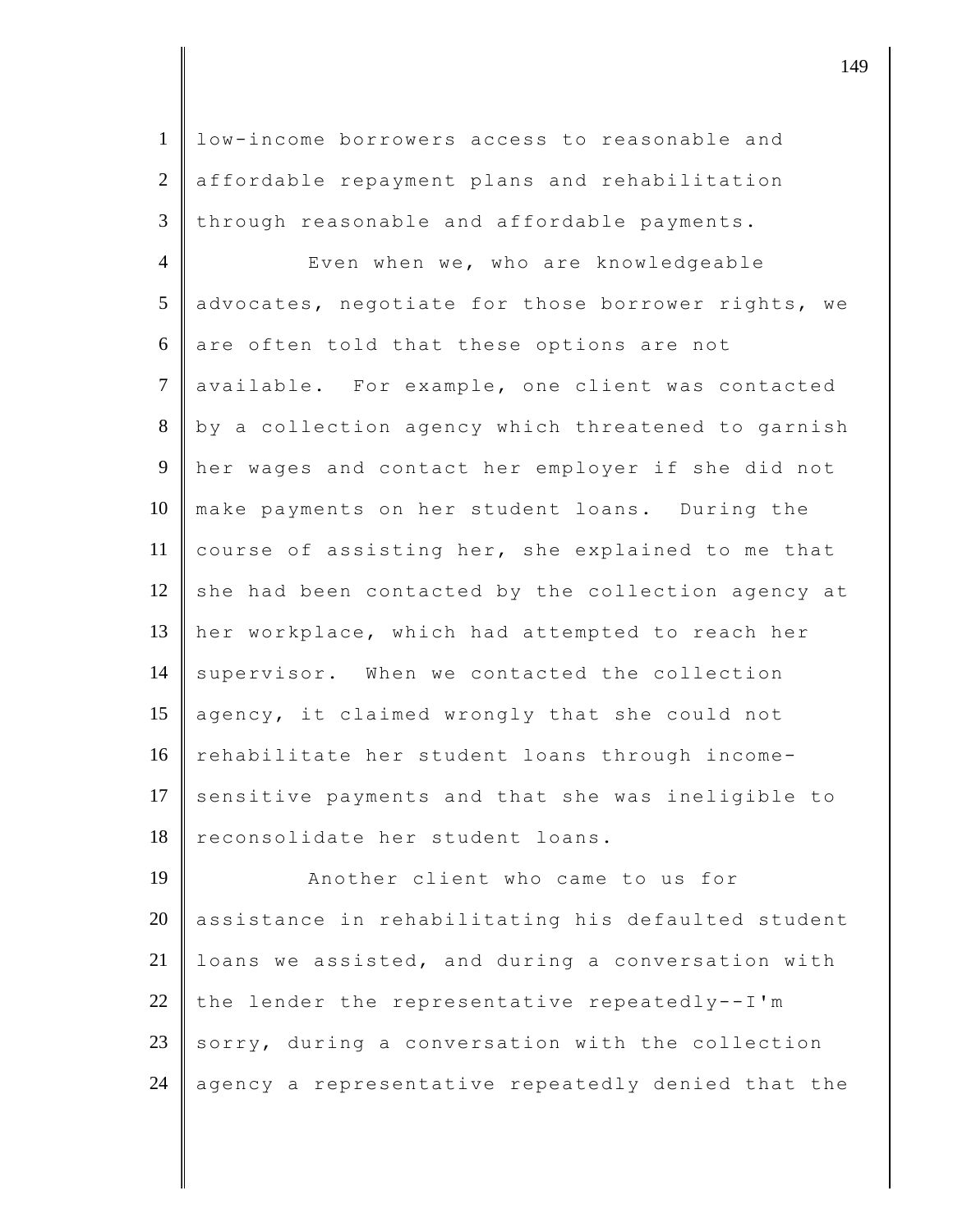1 low-income borrowers access to reasonable and 2 affordable repayment plans and rehabilitation  $3$  through reasonable and affordable payments.

4 Even when we, who are knowledgeable 5 advocates, negotiate for those borrower rights, we  $6$  are often told that these options are not 7 available. For example, one client was contacted 8 by a collection agency which threatened to garnish 9 her wages and contact her employer if she did not 10 make payments on her student loans. During the 11 course of assisting her, she explained to me that 12 she had been contacted by the collection agency at 13 her workplace, which had attempted to reach her 14 supervisor. When we contacted the collection 15 agency, it claimed wrongly that she could not 16 rehabilitate her student loans through income-17 sensitive payments and that she was ineligible to 18 | reconsolidate her student loans.

19 **Another client who came to us for** 20 assistance in rehabilitating his defaulted student 21 loans we assisted, and during a conversation with 22 the lender the representative repeatedly--I'm 23 sorry, during a conversation with the collection 24 agency a representative repeatedly denied that the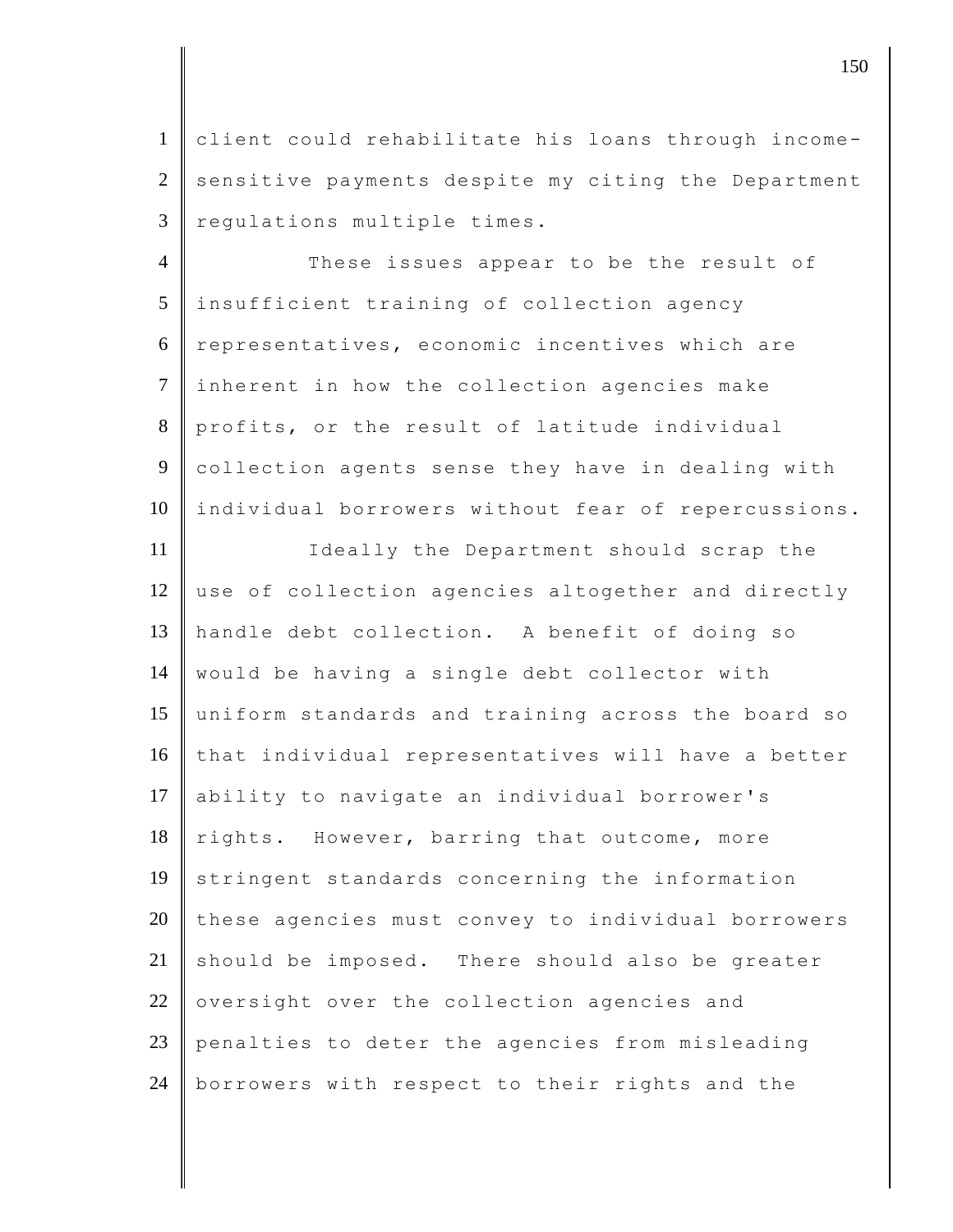1 client could rehabilitate his loans through income- $2 \parallel$  sensitive payments despite my citing the Department 3 regulations multiple times.

4 These issues appear to be the result of 5 insufficient training of collection agency 6 representatives, economic incentives which are 7 inherent in how the collection agencies make 8 profits, or the result of latitude individual 9 collection agents sense they have in dealing with 10 individual borrowers without fear of repercussions.

11 | Ideally the Department should scrap the 12 use of collection agencies altogether and directly 13 handle debt collection. A benefit of doing so 14 would be having a single debt collector with 15 uniform standards and training across the board so 16 that individual representatives will have a better 17 ability to navigate an individual borrower's 18 rights. However, barring that outcome, more 19 stringent standards concerning the information 20 these agencies must convey to individual borrowers  $21$  should be imposed. There should also be greater  $22$  oversight over the collection agencies and 23 penalties to deter the agencies from misleading 24 | borrowers with respect to their rights and the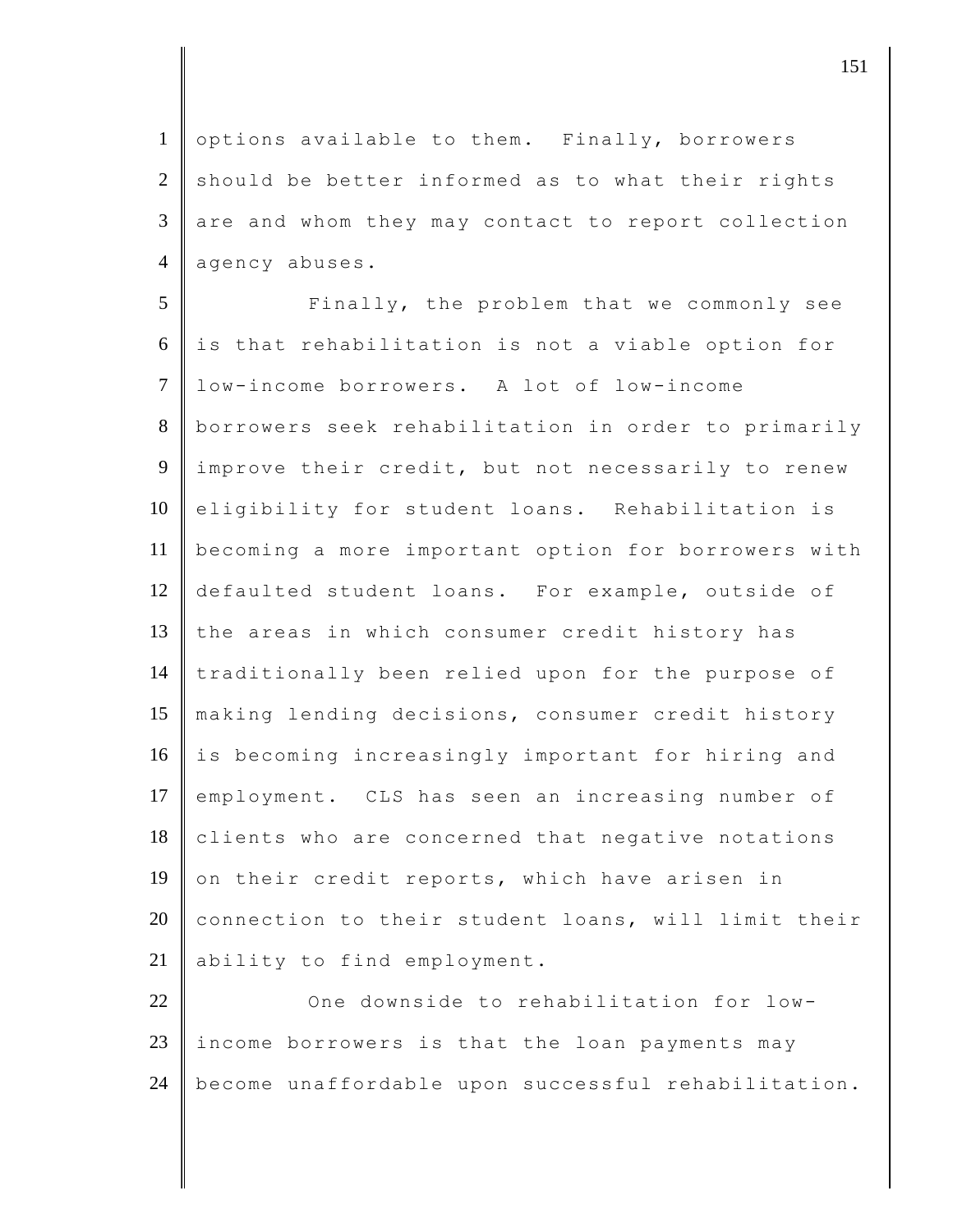1 options available to them. Finally, borrowers  $2 \parallel$  should be better informed as to what their rights  $3 \parallel$  are and whom they may contact to report collection 4 agency abuses.

5 | Finally, the problem that we commonly see  $6$  is that rehabilitation is not a viable option for 7 low-income borrowers. A lot of low-income 8 borrowers seek rehabilitation in order to primarily 9 improve their credit, but not necessarily to renew 10 eligibility for student loans. Rehabilitation is 11 becoming a more important option for borrowers with 12 defaulted student loans. For example, outside of 13 the areas in which consumer credit history has 14 traditionally been relied upon for the purpose of 15 making lending decisions, consumer credit history 16 is becoming increasingly important for hiring and 17 employment. CLS has seen an increasing number of 18 clients who are concerned that negative notations 19 on their credit reports, which have arisen in 20 connection to their student loans, will limit their 21 ability to find employment.

22 One downside to rehabilitation for low-23 income borrowers is that the loan payments may 24 become unaffordable upon successful rehabilitation.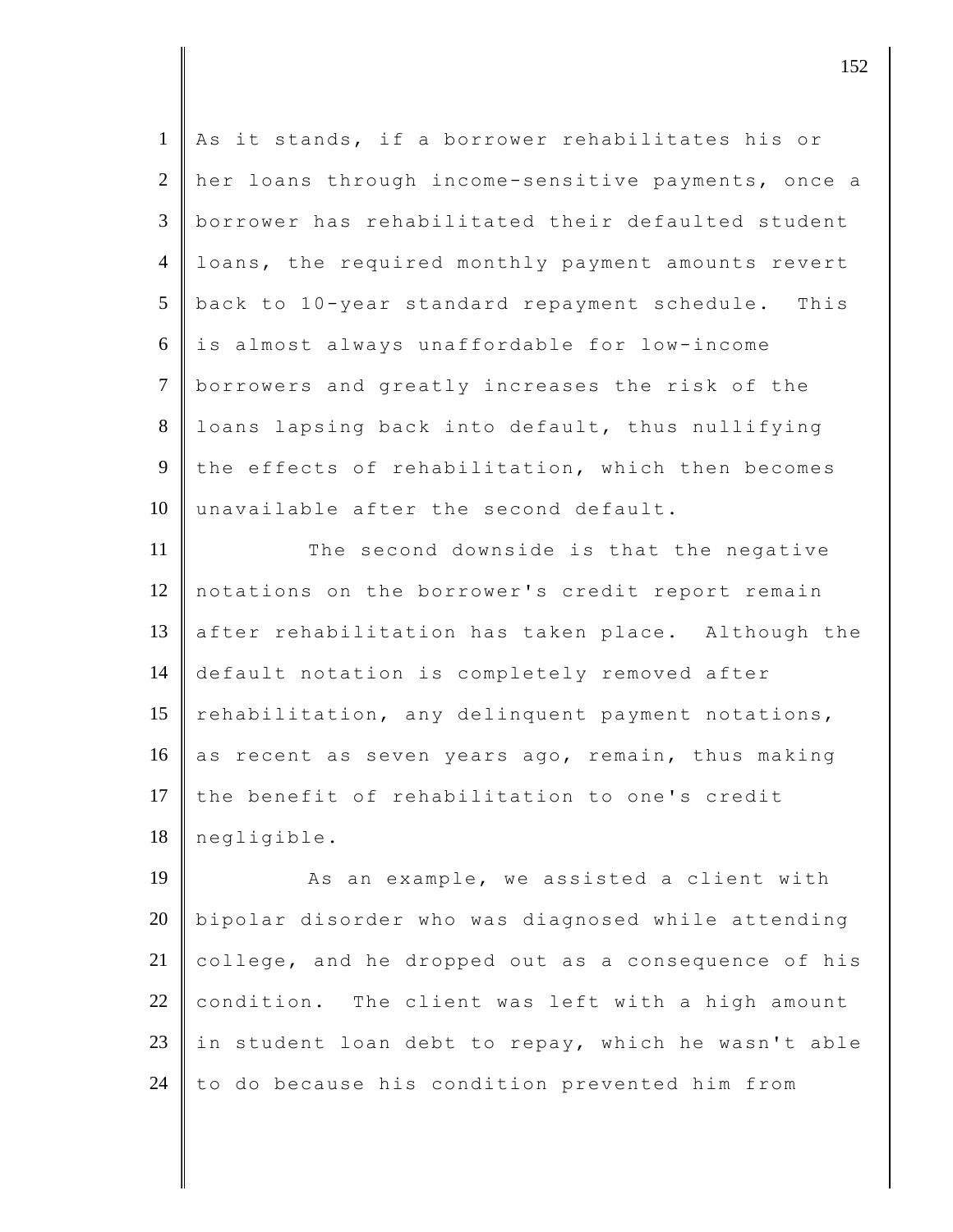| $\mathbf{1}$   | As it stands, if a borrower rehabilitates his or    |
|----------------|-----------------------------------------------------|
| $\overline{2}$ | her loans through income-sensitive payments, once a |
| 3              | borrower has rehabilitated their defaulted student  |
| $\overline{4}$ | loans, the required monthly payment amounts revert  |
| 5              | back to 10-year standard repayment schedule. This   |
| 6              | is almost always unaffordable for low-income        |
| $\tau$         | borrowers and greatly increases the risk of the     |
| 8              | loans lapsing back into default, thus nullifying    |
| 9              | the effects of rehabilitation, which then becomes   |
| 10             | unavailable after the second default.               |
| 11             | The second downside is that the negative            |
| 12             | notations on the borrower's credit report remain    |
| 13             | after rehabilitation has taken place. Although the  |
| 14             | default notation is completely removed after        |
| 15             | rehabilitation, any delinquent payment notations,   |
| 16             | as recent as seven years ago, remain, thus making   |
| 17             | the benefit of rehabilitation to one's credit       |
| 18             | negligible.                                         |
| 19             | As an example, we assisted a client with            |
| 20             | bipolar disorder who was diagnosed while attending  |
| 21             | college, and he dropped out as a consequence of his |
| 22             | condition. The client was left with a high amount   |
| 23             | in student loan debt to repay, which he wasn't able |

 $\parallel$  to do because his condition prevented him from

 $\vert$  152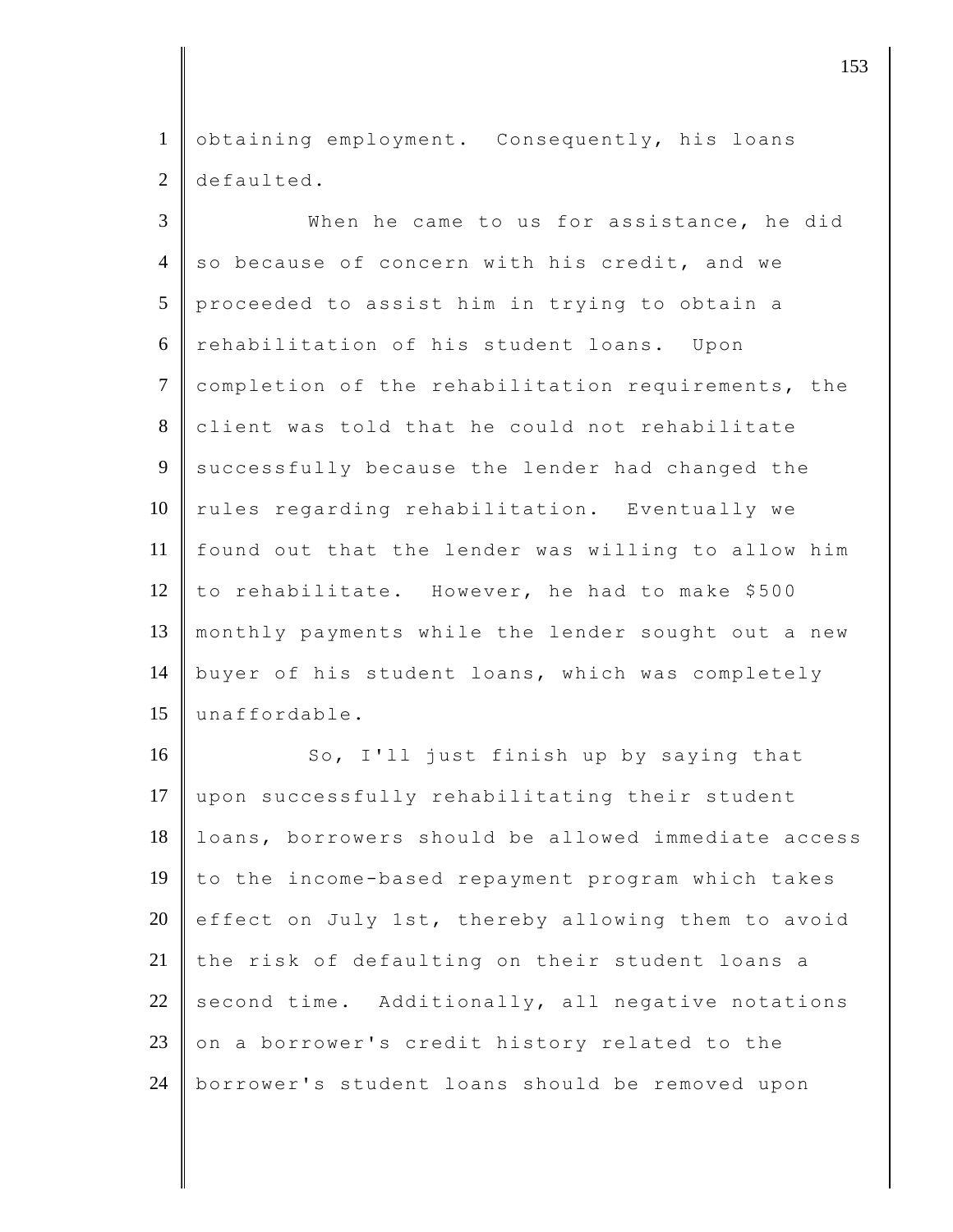1 obtaining employment. Consequently, his loans 2 defaulted.

3 When he came to us for assistance, he did  $4 \parallel$  so because of concern with his credit, and we 5 proceeded to assist him in trying to obtain a 6 rehabilitation of his student loans. Upon 7 completion of the rehabilitation requirements, the 8 client was told that he could not rehabilitate 9 successfully because the lender had changed the 10 rules regarding rehabilitation. Eventually we 11 found out that the lender was willing to allow him 12 to rehabilitate. However, he had to make \$500 13 monthly payments while the lender sought out a new 14 buyer of his student loans, which was completely 15 unaffordable.

16 So, I'll just finish up by saying that 17 | upon successfully rehabilitating their student 18 | loans, borrowers should be allowed immediate access 19 to the income-based repayment program which takes 20 effect on July 1st, thereby allowing them to avoid 21 the risk of defaulting on their student loans a 22 second time. Additionally, all negative notations 23  $\,$  on a borrower's credit history related to the 24 borrower's student loans should be removed upon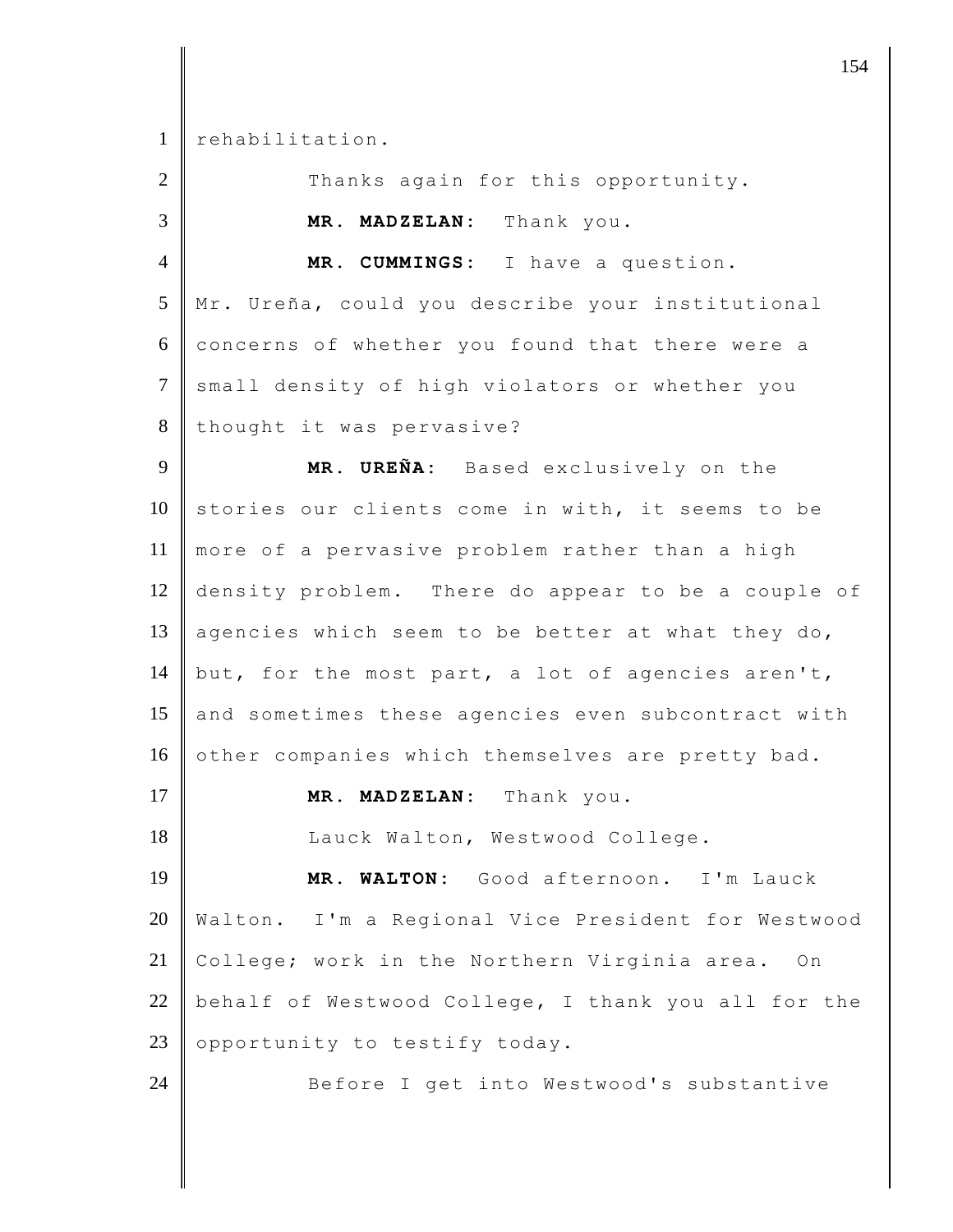rehabilitation.

| $\overline{2}$ | Thanks again for this opportunity.                  |
|----------------|-----------------------------------------------------|
| 3              | MR. MADZELAN: Thank you.                            |
| $\overline{4}$ | MR. CUMMINGS: I have a question.                    |
| 5              | Mr. Ureña, could you describe your institutional    |
| 6              | concerns of whether you found that there were a     |
| $\overline{7}$ | small density of high violators or whether you      |
| 8              | thought it was pervasive?                           |
| 9              | MR. UREÑA: Based exclusively on the                 |
| 10             | stories our clients come in with, it seems to be    |
| 11             | more of a pervasive problem rather than a high      |
| 12             | density problem. There do appear to be a couple of  |
| 13             | agencies which seem to be better at what they do,   |
| 14             | but, for the most part, a lot of agencies aren't,   |
| 15             | and sometimes these agencies even subcontract with  |
| 16             | other companies which themselves are pretty bad.    |
| 17             | MR. MADZELAN: Thank you.                            |
| 18             | Lauck Walton, Westwood College.                     |
| 19             | MR. WALTON: Good afternoon. I'm Lauck               |
| 20             | Walton. I'm a Regional Vice President for Westwood  |
| 21             | College; work in the Northern Virginia area.<br>On  |
| 22             | behalf of Westwood College, I thank you all for the |
| 23             | opportunity to testify today.                       |
| 24             | Before I get into Westwood's substantive            |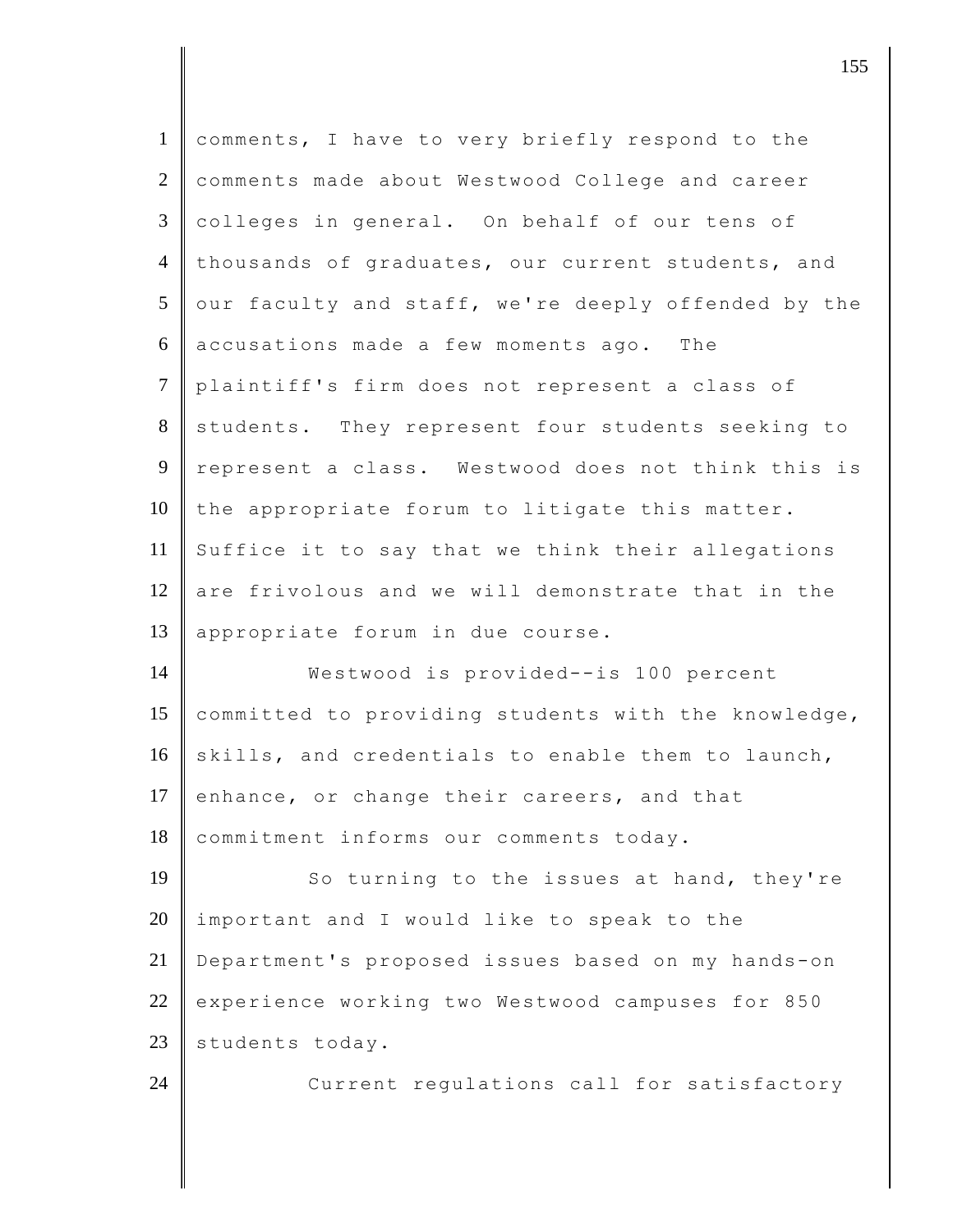| $\mathbf{1}$   | comments, I have to very briefly respond to the     |
|----------------|-----------------------------------------------------|
| $\overline{2}$ | comments made about Westwood College and career     |
| $\mathfrak{Z}$ | colleges in general. On behalf of our tens of       |
| $\overline{4}$ | thousands of graduates, our current students, and   |
| 5              | our faculty and staff, we're deeply offended by the |
| 6              | accusations made a few moments ago. The             |
| $\tau$         | plaintiff's firm does not represent a class of      |
| 8              | students. They represent four students seeking to   |
| 9              | represent a class. Westwood does not think this is  |
| 10             | the appropriate forum to litigate this matter.      |
| 11             | Suffice it to say that we think their allegations   |
| 12             | are frivolous and we will demonstrate that in the   |
| 13             | appropriate forum in due course.                    |
| 14             | Westwood is provided--is 100 percent                |
| 15             | committed to providing students with the knowledge, |
| 16             | skills, and credentials to enable them to launch,   |
| 17             | enhance, or change their careers, and that          |
| 18             | commitment informs our comments today.              |
| 19             | So turning to the issues at hand, they're           |
| 20             | important and I would like to speak to the          |
| 21             | Department's proposed issues based on my hands-on   |
| 22             | experience working two Westwood campuses for 850    |
| 23             | students today.                                     |
| 24             | Current regulations call for satisfactory           |
|                |                                                     |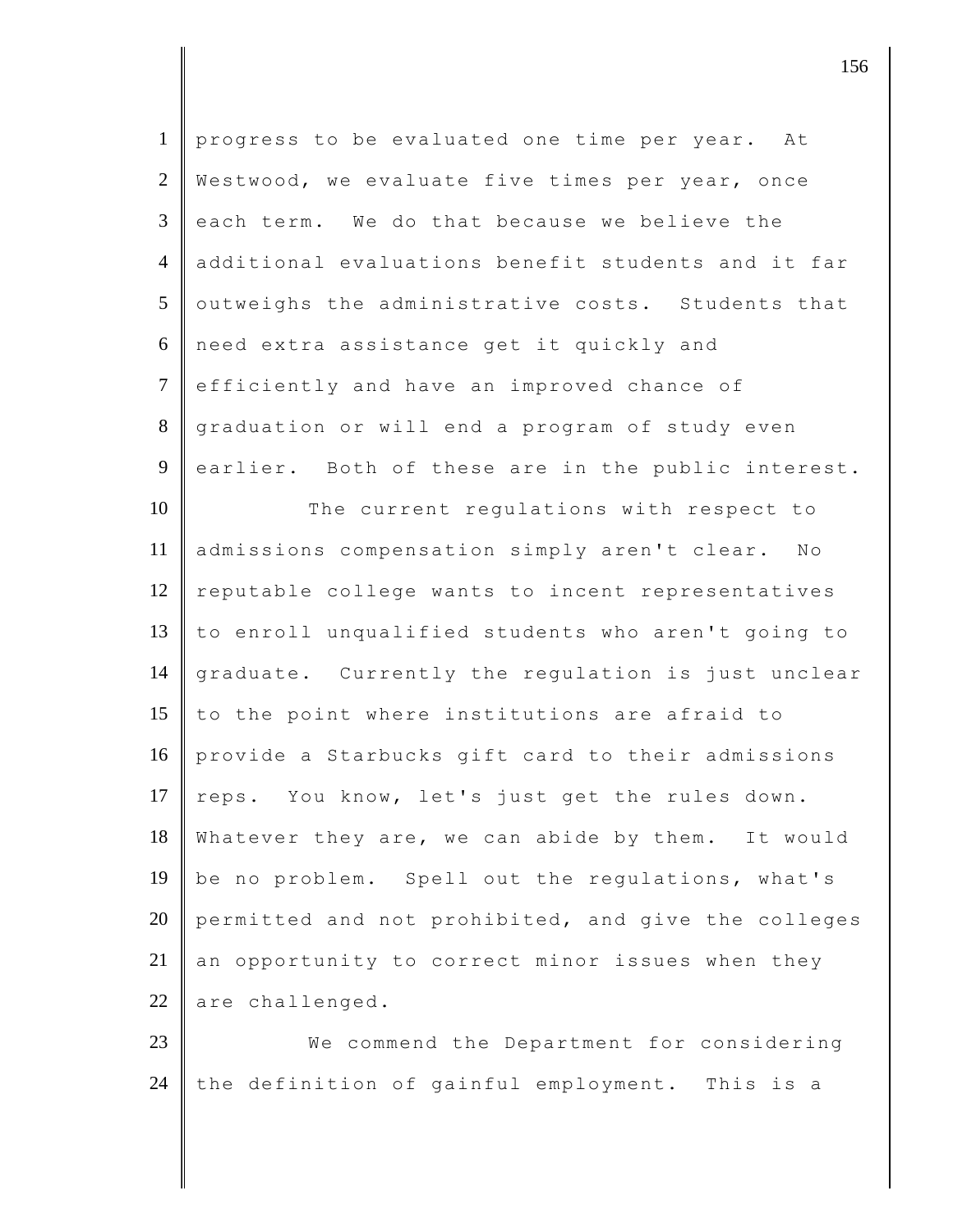| $\mathbf{1}$   | progress to be evaluated one time per year. At      |
|----------------|-----------------------------------------------------|
| 2              | Westwood, we evaluate five times per year, once     |
| $\mathfrak{Z}$ | each term. We do that because we believe the        |
| $\overline{4}$ | additional evaluations benefit students and it far  |
| 5              | outweighs the administrative costs. Students that   |
| 6              | need extra assistance get it quickly and            |
| $\overline{7}$ | efficiently and have an improved chance of          |
| 8              | graduation or will end a program of study even      |
| 9              | earlier. Both of these are in the public interest.  |
| 10             | The current regulations with respect to             |
| 11             | admissions compensation simply aren't clear. No     |
| 12             | reputable college wants to incent representatives   |
| 13             | to enroll unqualified students who aren't going to  |
| 14             | graduate. Currently the regulation is just unclear  |
| 15             | to the point where institutions are afraid to       |
| 16             | provide a Starbucks gift card to their admissions   |
| 17             | reps. You know, let's just get the rules down.      |
| 18             | Whatever they are, we can abide by them. It would   |
| 19             | be no problem. Spell out the regulations, what's    |
| 20             | permitted and not prohibited, and give the colleges |
| 21             | an opportunity to correct minor issues when they    |
| 22             | are challenged.                                     |
| 23             | We commend the Department for considering           |
| 24             | the definition of gainful employment. This is a     |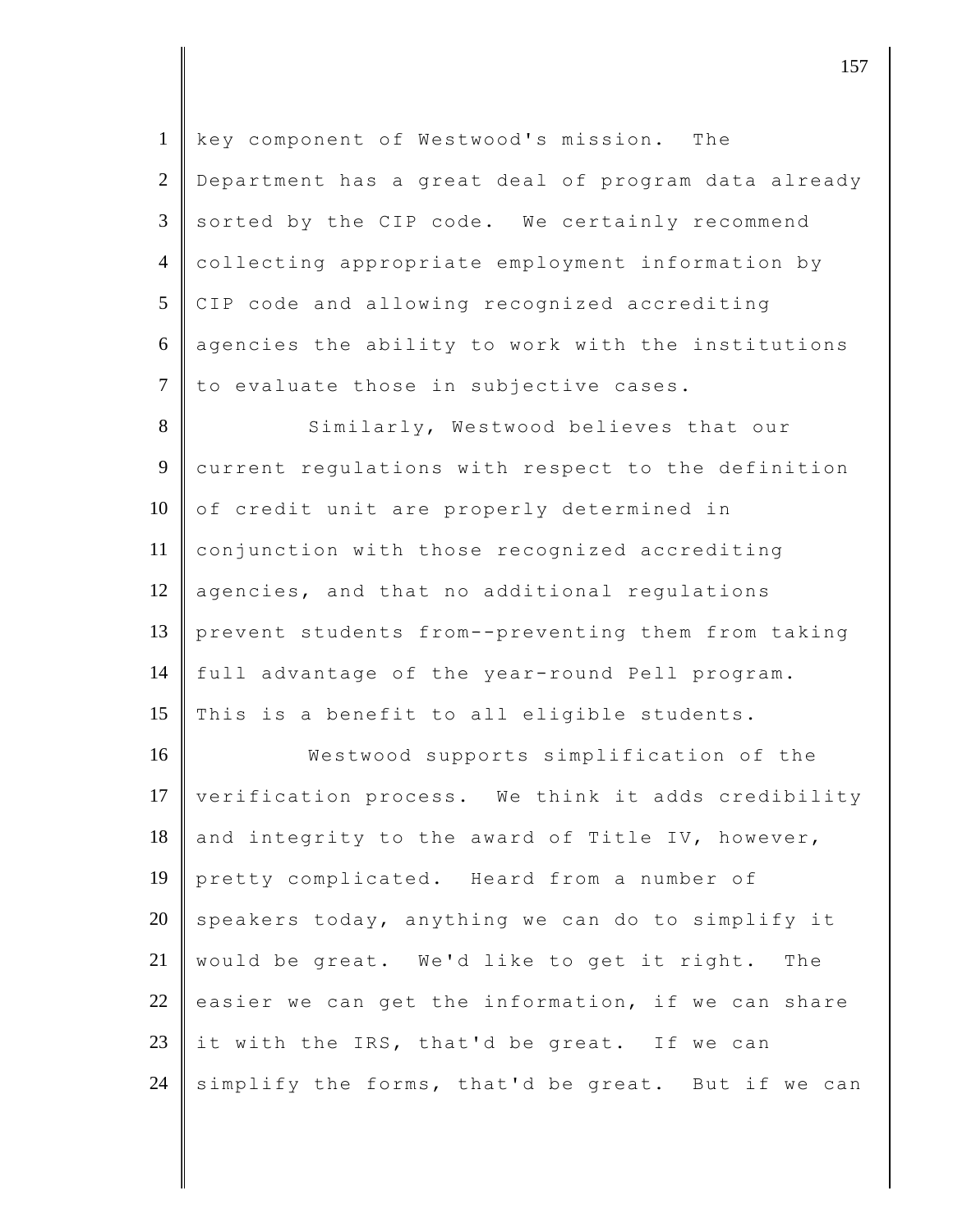| $\mathbf{1}$   | key component of Westwood's mission. The              |
|----------------|-------------------------------------------------------|
| $\mathfrak{2}$ | Department has a great deal of program data already   |
| 3              | sorted by the CIP code. We certainly recommend        |
| $\overline{4}$ | collecting appropriate employment information by      |
| 5              | CIP code and allowing recognized accrediting          |
| 6              | agencies the ability to work with the institutions    |
| $\overline{7}$ | to evaluate those in subjective cases.                |
| 8              | Similarly, Westwood believes that our                 |
| 9              | current regulations with respect to the definition    |
| 10             | of credit unit are properly determined in             |
| 11             | conjunction with those recognized accrediting         |
| 12             | agencies, and that no additional regulations          |
| 13             | prevent students from--preventing them from taking    |
| 14             | full advantage of the year-round Pell program.        |
| 15             | This is a benefit to all eligible students.           |
| 16             | Westwood supports simplification of the               |
| 17             | verification process. We think it adds credibility    |
| 18             | and integrity to the award of Title IV, however,      |
| 19             | pretty complicated. Heard from a number of            |
| 20             | speakers today, anything we can do to simplify it     |
| 21             | would be great. We'd like to get it right.<br>The     |
| 22             | easier we can get the information, if we can<br>share |
| 23             | it with the IRS, that'd be great. If we can           |
| 24             | simplify the forms, that'd be great. But if we can    |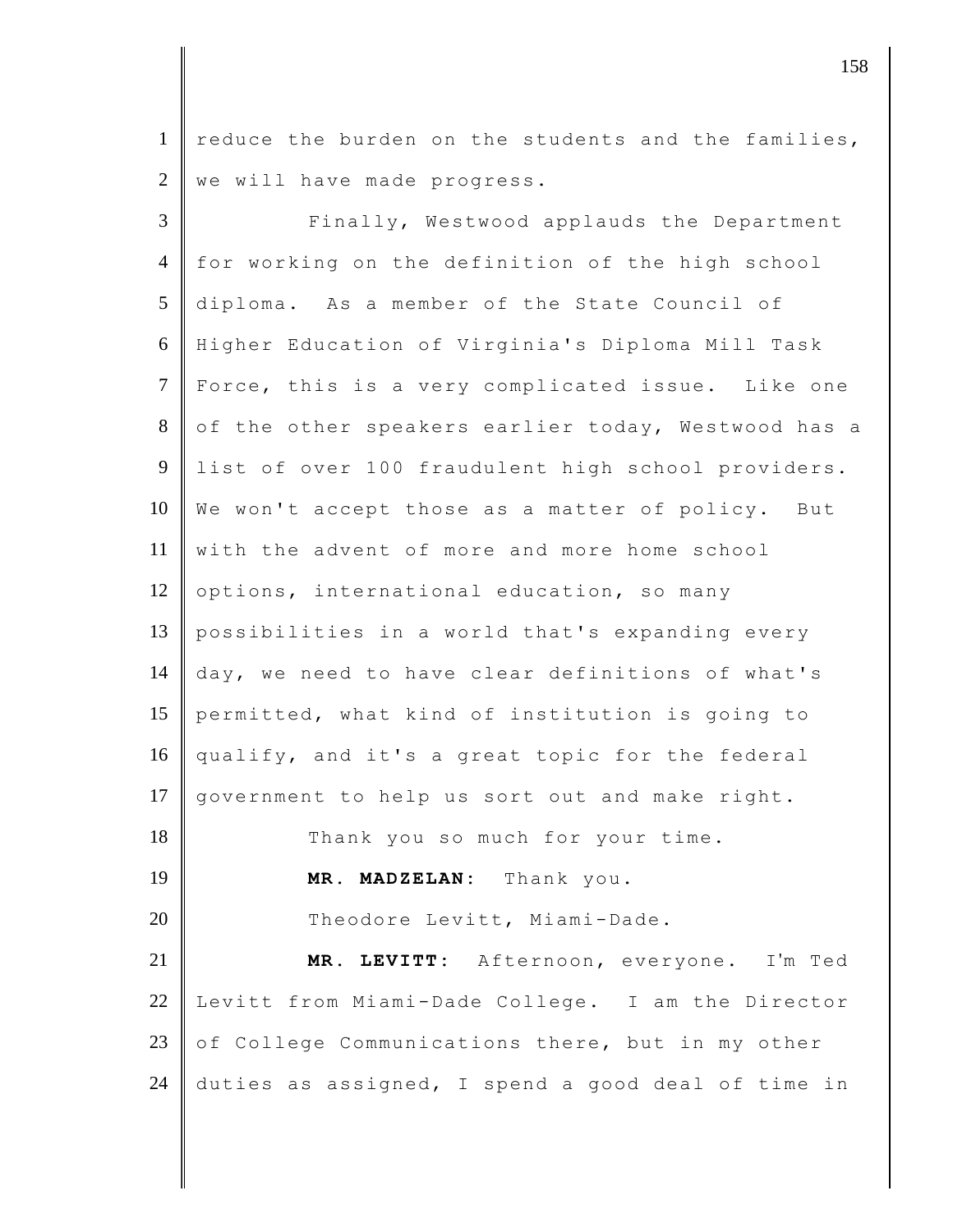1 reduce the burden on the students and the families,  $2 \parallel$  we will have made progress.

3 Finally, Westwood applauds the Department 4 for working on the definition of the high school 5 diploma. As a member of the State Council of 6 Higher Education of Virginia's Diploma Mill Task 7 Force, this is a very complicated issue. Like one 8 of the other speakers earlier today, Westwood has a 9 list of over 100 fraudulent high school providers. 10 We won't accept those as a matter of policy. But 11 with the advent of more and more home school 12 options, international education, so many 13 possibilities in a world that's expanding every 14 day, we need to have clear definitions of what's 15 permitted, what kind of institution is going to 16 qualify, and it's a great topic for the federal 17 government to help us sort out and make right. 18 Thank you so much for your time. 19 **MR. MADZELAN:** Thank you. 20 Theodore Levitt, Miami-Dade. 21 **MR. LEVITT:** Afternoon, everyone. I'm Ted 22 Levitt from Miami-Dade College. I am the Director 23 of College Communications there, but in my other 24 duties as assigned, I spend a good deal of time in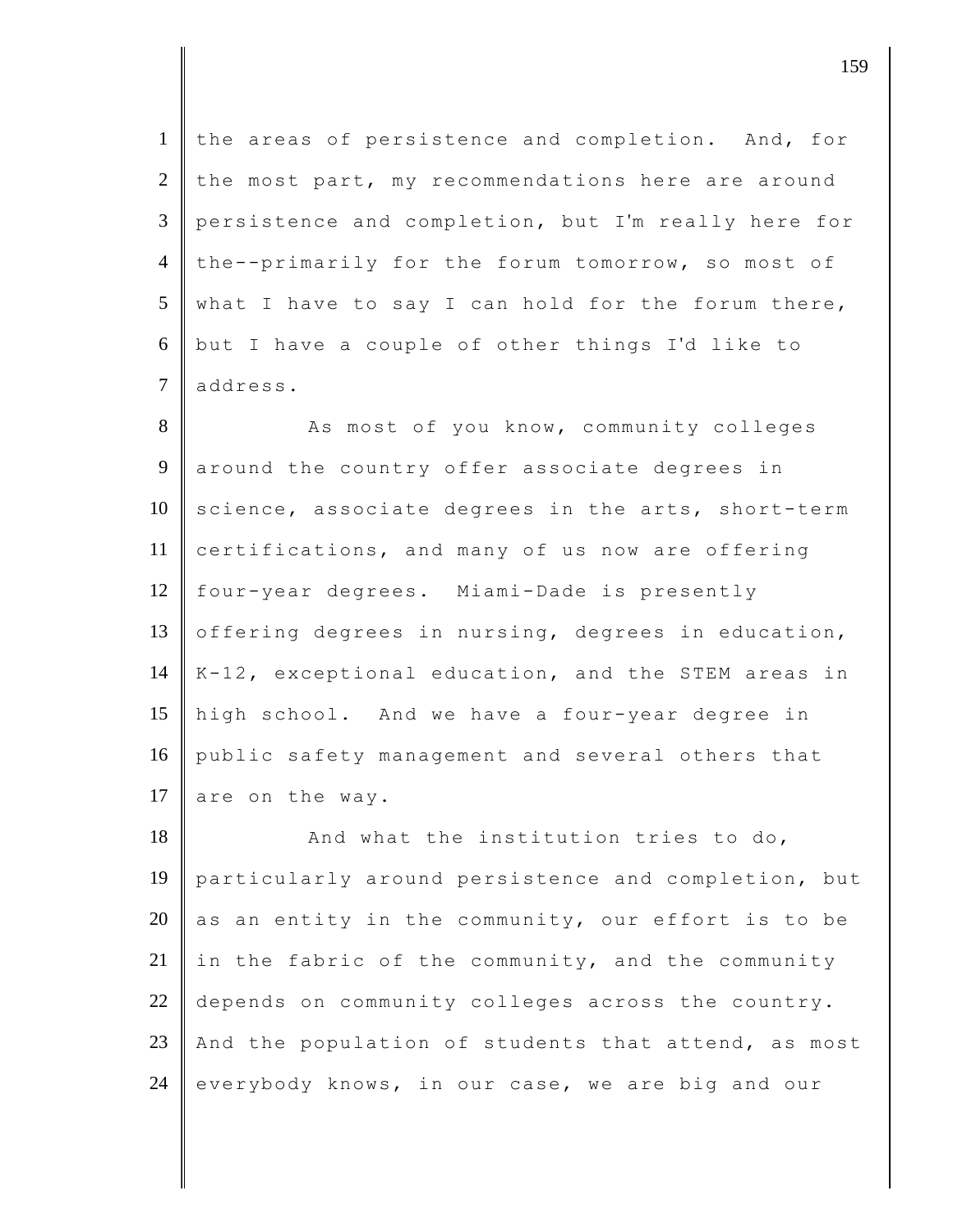the areas of persistence and completion. And, for the most part, my recommendations here are around persistence and completion, but I'm really here for 4 the--primarily for the forum tomorrow, so most of what I have to say I can hold for the forum there, but I have a couple of other things I'd like to 7 address.

8 As most of you know, community colleges 9 around the country offer associate degrees in  $10$  science, associate degrees in the arts, short-term 11 certifications, and many of us now are offering 12 four-year degrees. Miami-Dade is presently 13 offering degrees in nursing, degrees in education,  $14 \parallel K-12$ , exceptional education, and the STEM areas in 15 high school. And we have a four-year degree in 16 public safety management and several others that 17 are on the way.

18 And what the institution tries to do, 19 particularly around persistence and completion, but 20 as an entity in the community, our effort is to be 21 in the fabric of the community, and the community 22 depends on community colleges across the country. 23 And the population of students that attend, as most  $24$  everybody knows, in our case, we are big and our

djective terms of  $159$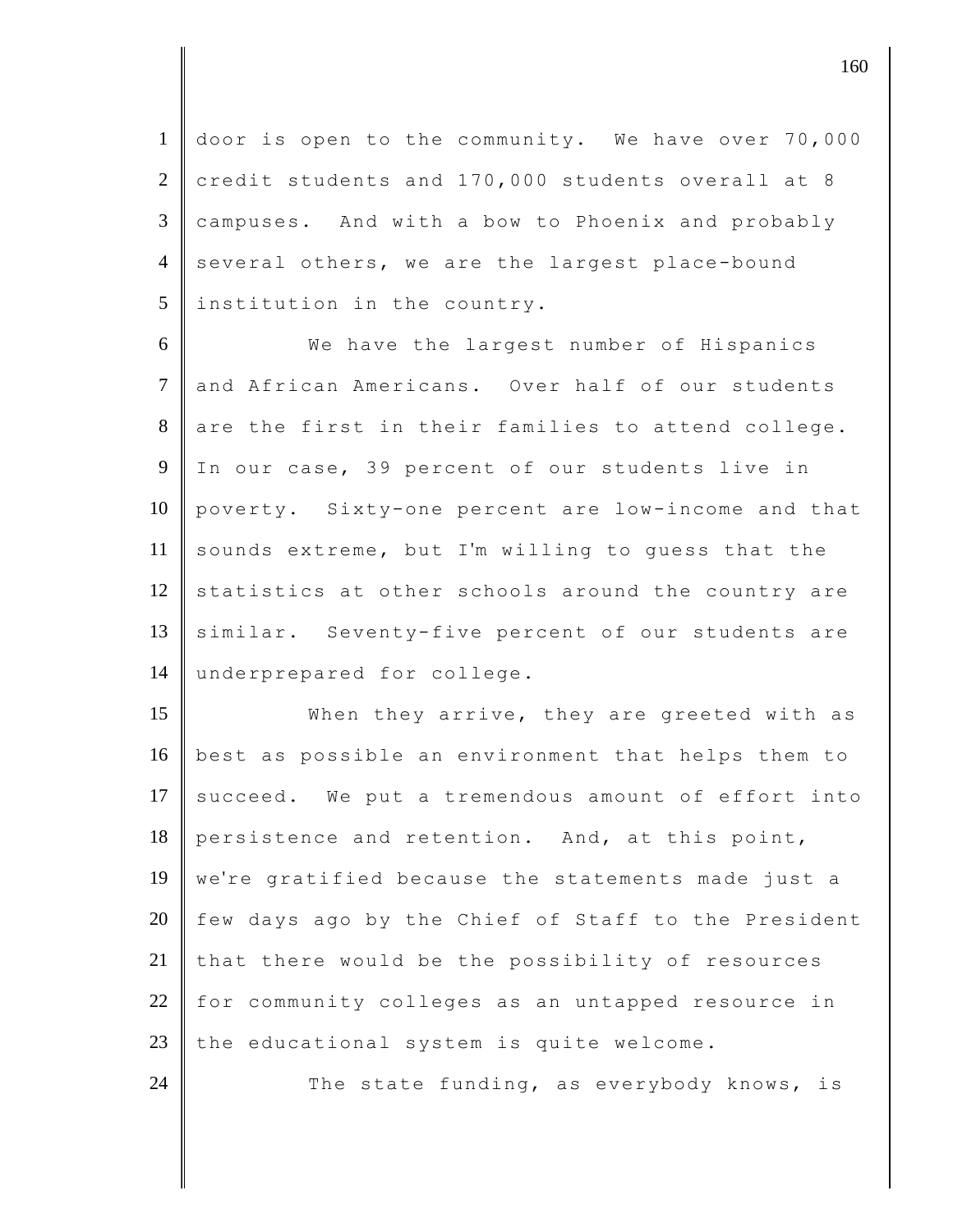1 door is open to the community. We have over 70,000 2 credit students and 170,000 students overall at 8  $3 \parallel$  campuses. And with a bow to Phoenix and probably 4 several others, we are the largest place-bound 5 linstitution in the country.

 We have the largest number of Hispanics and African Americans. Over half of our students are the first in their families to attend college. In our case, 39 percent of our students live in poverty. Sixty-one percent are low-income and that 11 sounds extreme, but I'm willing to quess that the statistics at other schools around the country are 13 similar. Seventy-five percent of our students are 14 underprepared for college.

15 When they arrive, they are greeted with as 16 best as possible an environment that helps them to  $17$  succeed. We put a tremendous amount of effort into 18 persistence and retention. And, at this point, 19 we're gratified because the statements made just a  $20$  few days ago by the Chief of Staff to the President 21 that there would be the possibility of resources 22 for community colleges as an untapped resource in 23 the educational system is quite welcome.

24 The state funding, as everybody knows, is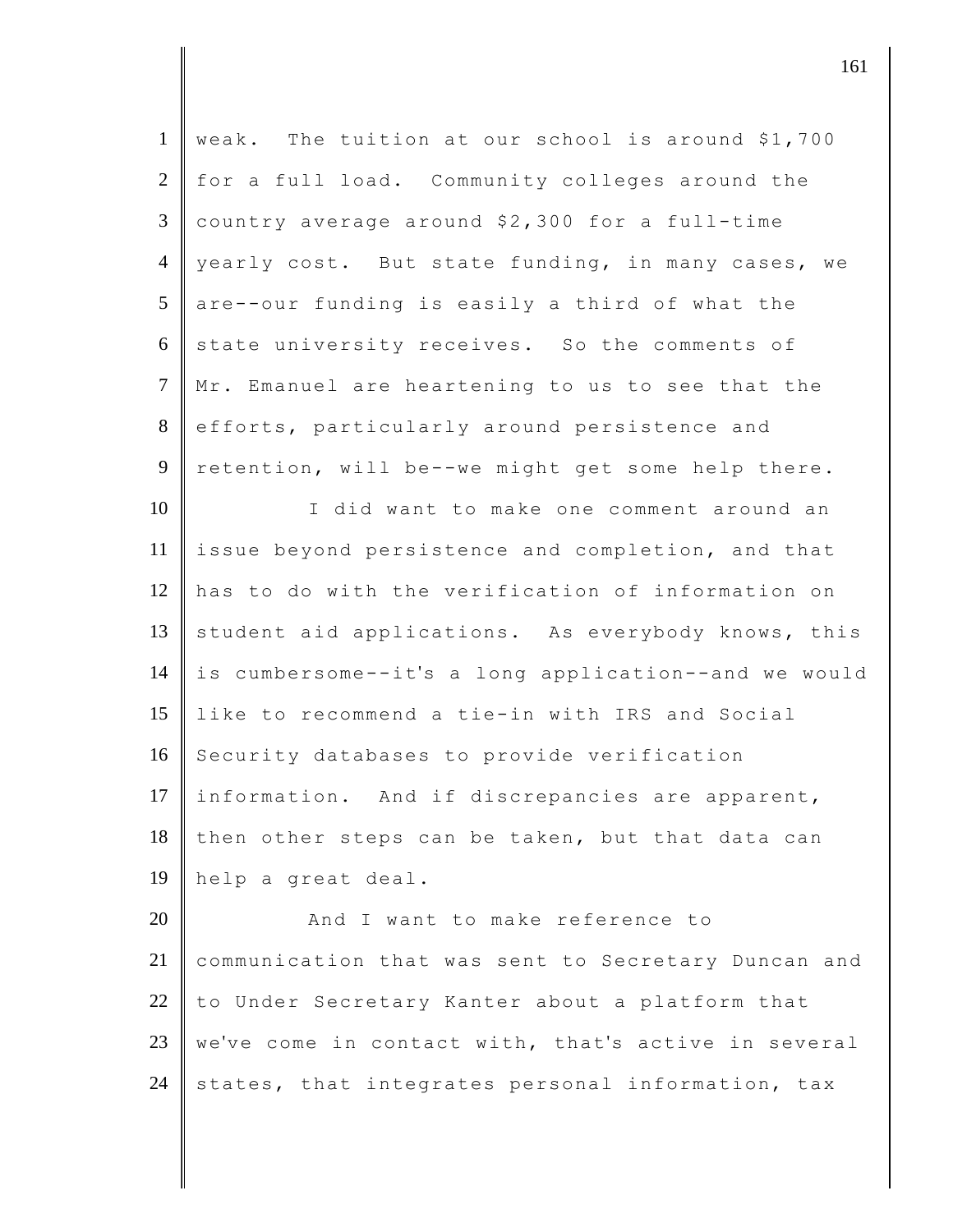| $\mathbf{1}$   | weak. The tuition at our school is around \$1,700    |
|----------------|------------------------------------------------------|
| $\overline{2}$ | for a full load. Community colleges around the       |
| $\mathfrak{Z}$ | country average around \$2,300 for a full-time       |
| $\overline{4}$ | yearly cost. But state funding, in many cases, we    |
| 5              | are--our funding is easily a third of what the       |
| 6              | state university receives. So the comments of        |
| $\tau$         | Mr. Emanuel are heartening to us to see that the     |
| 8              | efforts, particularly around persistence and         |
| 9              | retention, will be--we might get some help there.    |
| 10             | I did want to make one comment around an             |
| 11             | issue beyond persistence and completion, and that    |
| 12             | has to do with the verification of information on    |
| 13             | student aid applications. As everybody knows, this   |
| 14             | is cumbersome--it's a long application--and we would |
| 15             | like to recommend a tie-in with IRS and Social       |
| 16             | Security databases to provide verification           |
| 17             | information. And if discrepancies are apparent,      |
| 18             | then other steps can be taken, but that data can     |
| 19             | help a great deal.                                   |
| 20             | And I want to make reference to                      |
| 21             | communication that was sent to Secretary Duncan and  |
| 22             | to Under Secretary Kanter about a platform that      |
| 23             | we've come in contact with, that's active in several |
| 24             | states, that integrates personal information, tax    |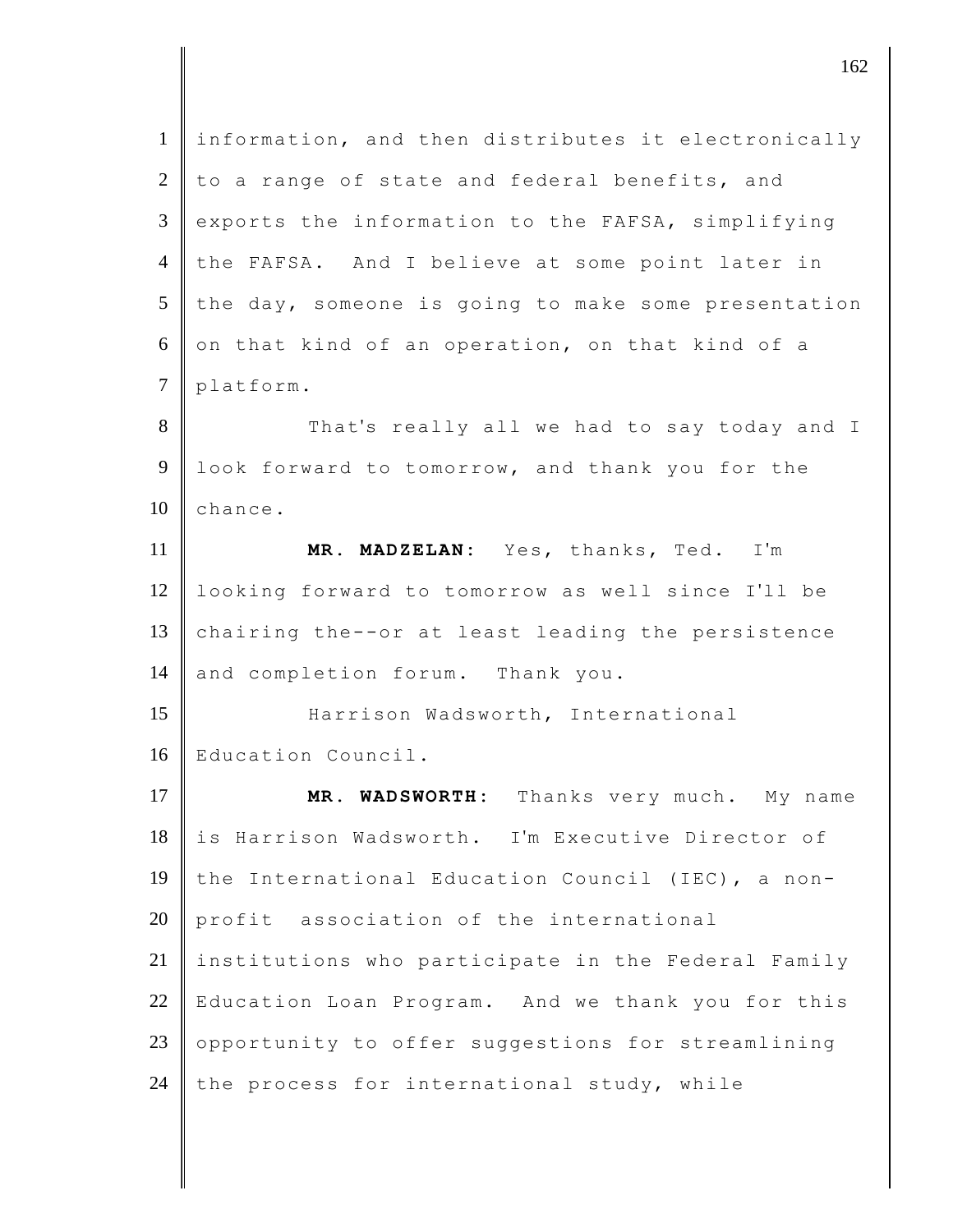| $\mathbf{1}$   | information, and then distributes it electronically |
|----------------|-----------------------------------------------------|
| $\overline{2}$ | to a range of state and federal benefits, and       |
| 3              | exports the information to the FAFSA, simplifying   |
| $\overline{4}$ | the FAFSA. And I believe at some point later in     |
| 5              | the day, someone is going to make some presentation |
| 6              | on that kind of an operation, on that kind of a     |
| $\overline{7}$ | platform.                                           |
| 8              | That's really all we had to say today and I         |
| 9              | look forward to tomorrow, and thank you for the     |
| 10             | chance.                                             |
| 11             | MR. MADZELAN: Yes, thanks, Ted. I'm                 |
| 12             | looking forward to tomorrow as well since I'll be   |
| 13             | chairing the--or at least leading the persistence   |
| 14             | and completion forum. Thank you.                    |
| 15             |                                                     |
|                | Harrison Wadsworth, International                   |
|                | Education Council.                                  |
| 17             | MR. WADSWORTH: Thanks very much. My name            |
| 16<br>18       | is Harrison Wadsworth. I'm Executive Director of    |
|                | the International Education Council (IEC), a non-   |
| 19<br>20       | profit association of the international             |
| 21             | institutions who participate in the Federal Family  |
| 22             | Education Loan Program. And we thank you for this   |
| 23             | opportunity to offer suggestions for streamlining   |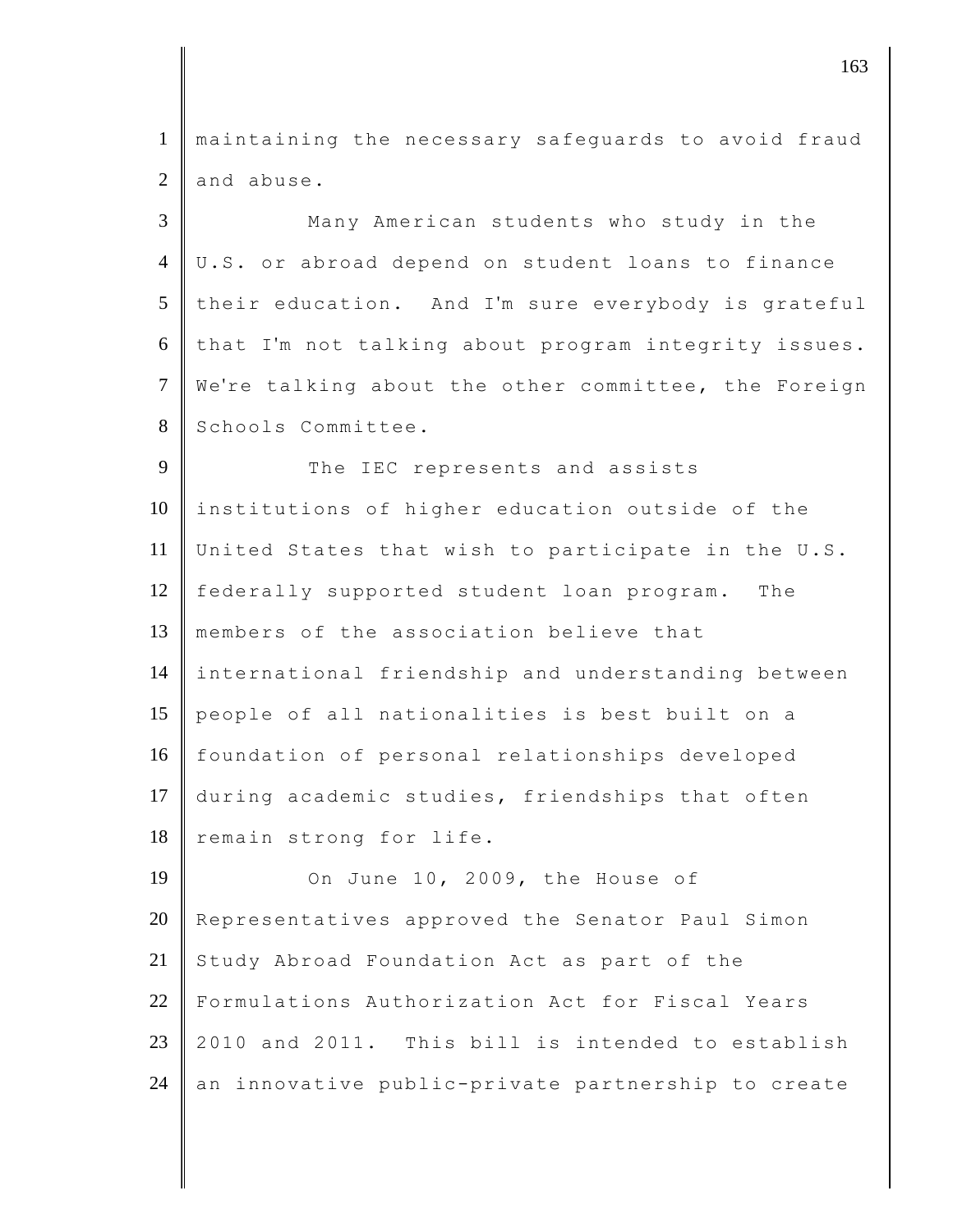1 maintaining the necessary safeguards to avoid fraud  $2 \parallel$  and abuse.

 Many American students who study in the U.S. or abroad depend on student loans to finance their education. And I'm sure everybody is grateful that I'm not talking about program integrity issues. 7 We're talking about the other committee, the Foreign 8 Schools Committee.

9 The IEC represents and assists 10 institutions of higher education outside of the 11 United States that wish to participate in the U.S. 12 federally supported student loan program. The 13 Imembers of the association believe that 14 international friendship and understanding between 15 people of all nationalities is best built on a 16 foundation of personal relationships developed 17 during academic studies, friendships that often 18 remain strong for life.

**On June 10, 2009, the House of** 20 Representatives approved the Senator Paul Simon Study Abroad Foundation Act as part of the Formulations Authorization Act for Fiscal Years 2010 and 2011. This bill is intended to establish 24 an innovative public-private partnership to create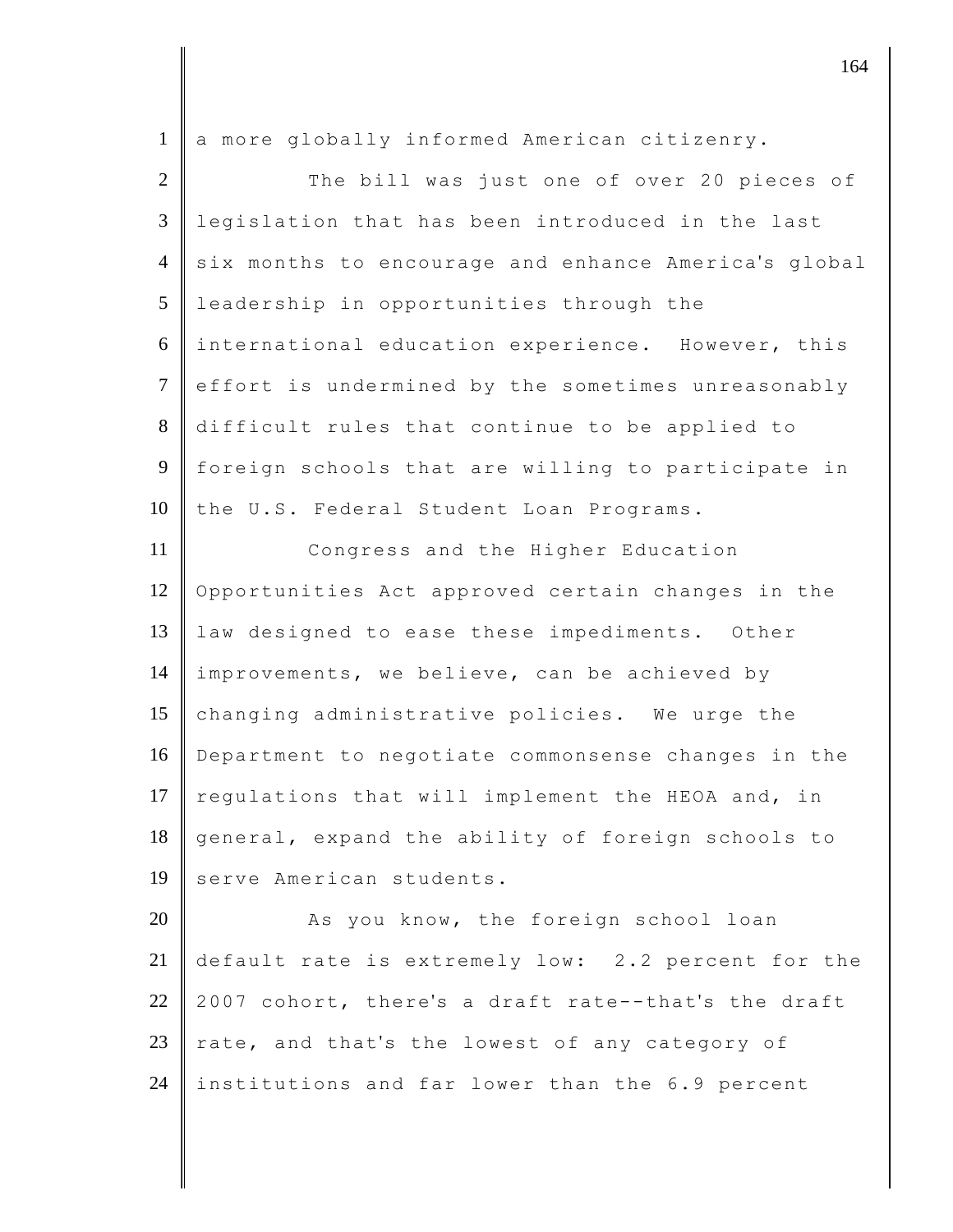1 a more globally informed American citizenry.

| $\overline{2}$ | The bill was just one of over 20 pieces of           |
|----------------|------------------------------------------------------|
| 3              | legislation that has been introduced in the last     |
| $\overline{4}$ | six months to encourage and enhance America's global |
| 5              | leadership in opportunities through the              |
| 6              | international education experience. However, this    |
| $\tau$         | effort is undermined by the sometimes unreasonably   |
| 8              | difficult rules that continue to be applied to       |
| $\overline{9}$ | foreign schools that are willing to participate in   |
| 10             | the U.S. Federal Student Loan Programs.              |
| 11             | Congress and the Higher Education                    |
| 12             | Opportunities Act approved certain changes in the    |
| 13             | law designed to ease these impediments. Other        |
| 14             | improvements, we believe, can be achieved by         |
| 15             | changing administrative policies. We urge the        |
| 16             | Department to negotiate commonsense changes in the   |
| 17             | regulations that will implement the HEOA and, in     |
| 18             | general, expand the ability of foreign schools to    |
| 19             | serve American students.                             |
| 20             | As you know, the foreign school loan                 |
| 21             | default rate is extremely low: 2.2 percent for the   |
| 22             | 2007 cohort, there's a draft rate--that's the draft  |
| 23             | rate, and that's the lowest of any category of       |

24 institutions and far lower than the 6.9 percent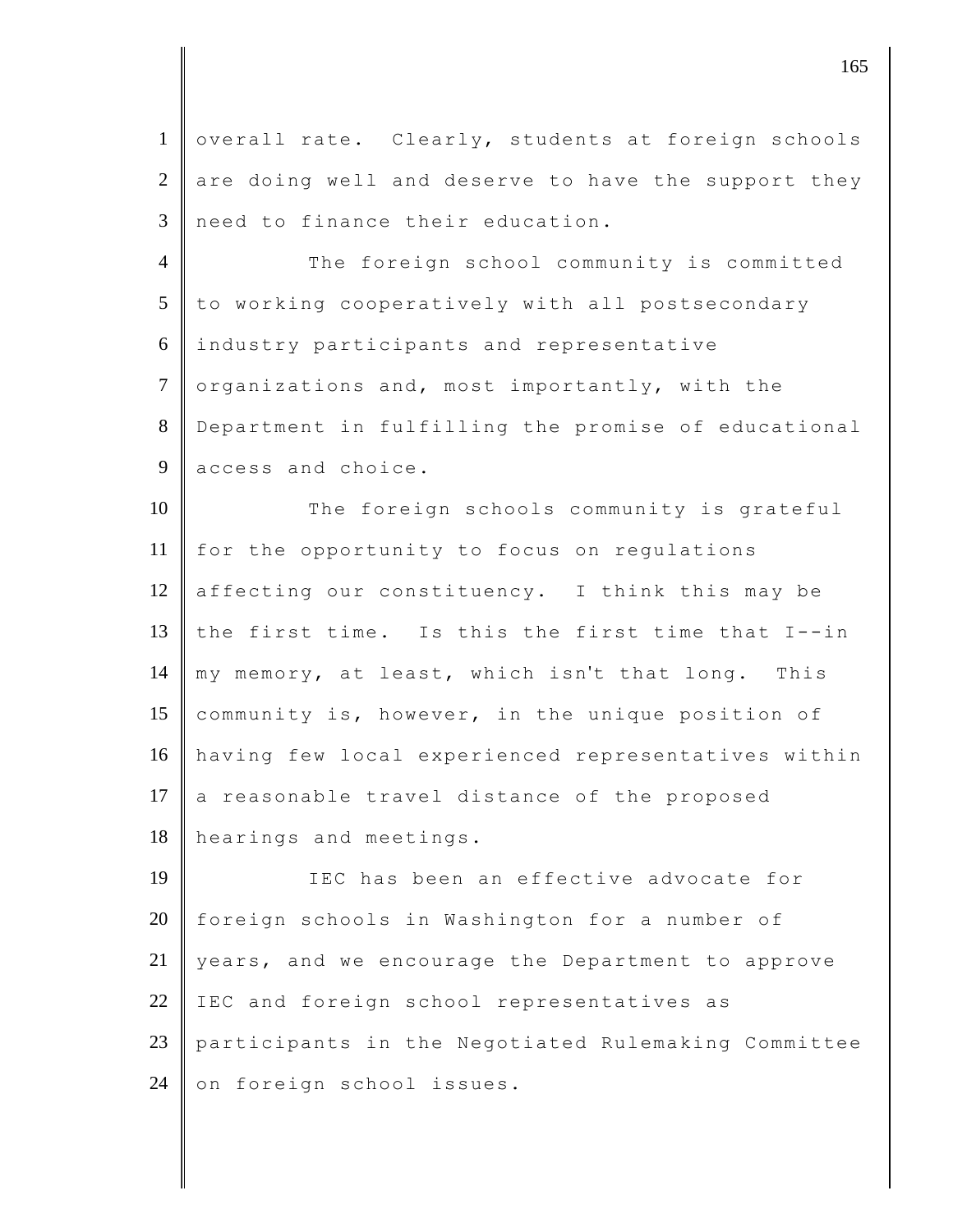1 overall rate. Clearly, students at foreign schools  $2 \parallel$  are doing well and deserve to have the support they 3 need to finance their education.

4 The foreign school community is committed 5 to working cooperatively with all postsecondary 6 industry participants and representative  $7 \parallel$  organizations and, most importantly, with the 8 Department in fulfilling the promise of educational 9 access and choice.

10 The foreign schools community is grateful 11 for the opportunity to focus on regulations 12 affecting our constituency. I think this may be 13 the first time. Is this the first time that I--in 14 my memory, at least, which isn't that long. This 15 community is, however, in the unique position of 16 having few local experienced representatives within 17  $\parallel$  a reasonable travel distance of the proposed 18 hearings and meetings.

 IEC has been an effective advocate for foreign schools in Washington for a number of vears, and we encourage the Department to approve 22 IEC and foreign school representatives as participants in the Negotiated Rulemaking Committee 24 on foreign school issues.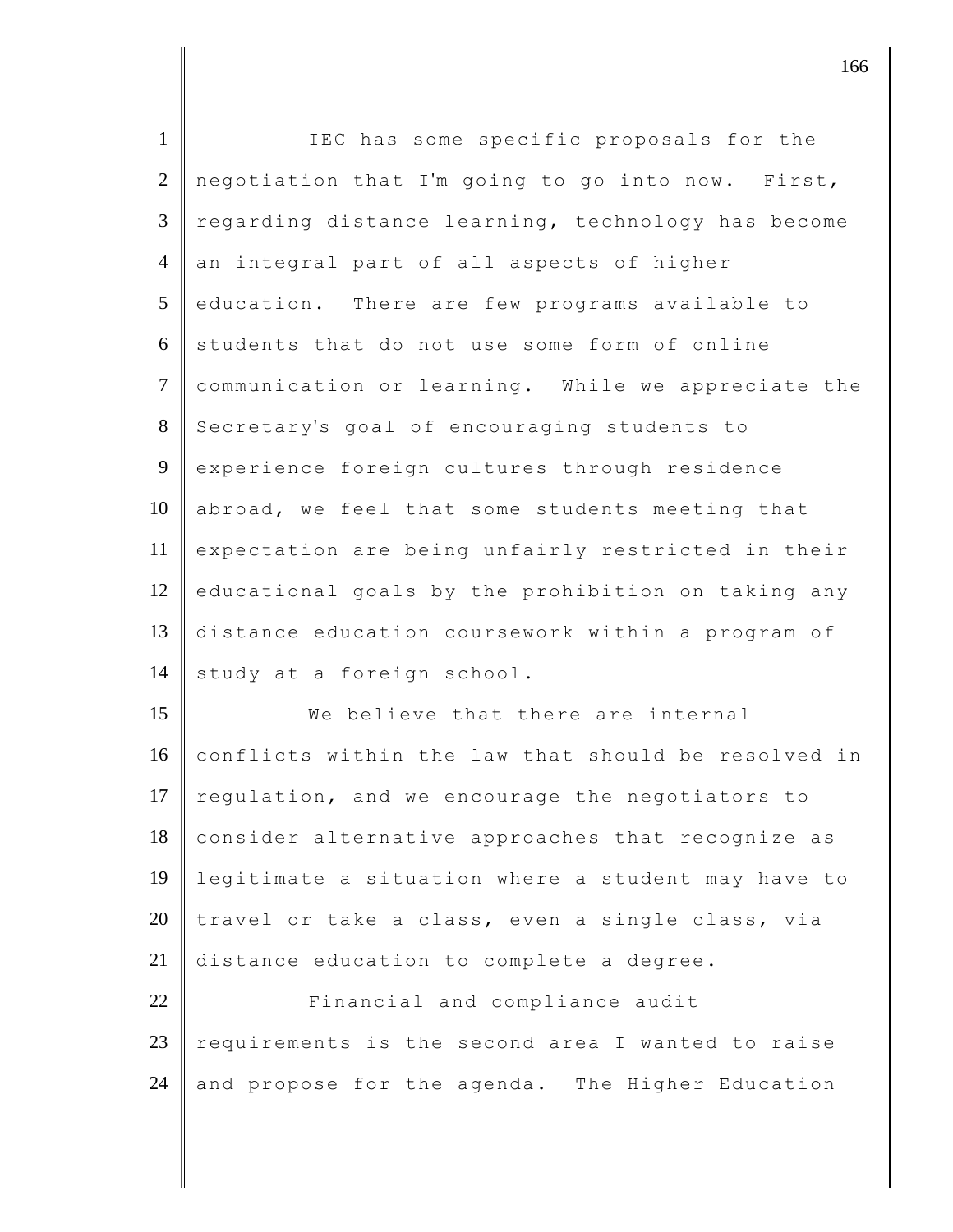| $\mathbf{1}$   | IEC has some specific proposals for the             |
|----------------|-----------------------------------------------------|
| $\overline{2}$ | negotiation that I'm going to go into now. First,   |
| 3              | regarding distance learning, technology has become  |
| $\overline{4}$ | an integral part of all aspects of higher           |
| 5              | education. There are few programs available to      |
| 6              | students that do not use some form of online        |
| $\overline{7}$ | communication or learning. While we appreciate the  |
| $8\,$          | Secretary's goal of encouraging students to         |
| 9              | experience foreign cultures through residence       |
| 10             | abroad, we feel that some students meeting that     |
| 11             | expectation are being unfairly restricted in their  |
| 12             | educational goals by the prohibition on taking any  |
| 13             | distance education coursework within a program of   |
| 14             | study at a foreign school.                          |
| 15             | We believe that there are internal                  |
| 16             | conflicts within the law that should be resolved in |
| 17             | regulation, and we encourage the negotiators to     |
| 18             | consider alternative approaches that recognize as   |
| 19             | legitimate a situation where a student may have to  |
| 20             | travel or take a class, even a single class, via    |
| 21             | distance education to complete a degree.            |
| 22             | Financial and compliance audit                      |
| 23             | requirements is the second area I wanted to raise   |
| 24             | and propose for the agenda. The Higher Education    |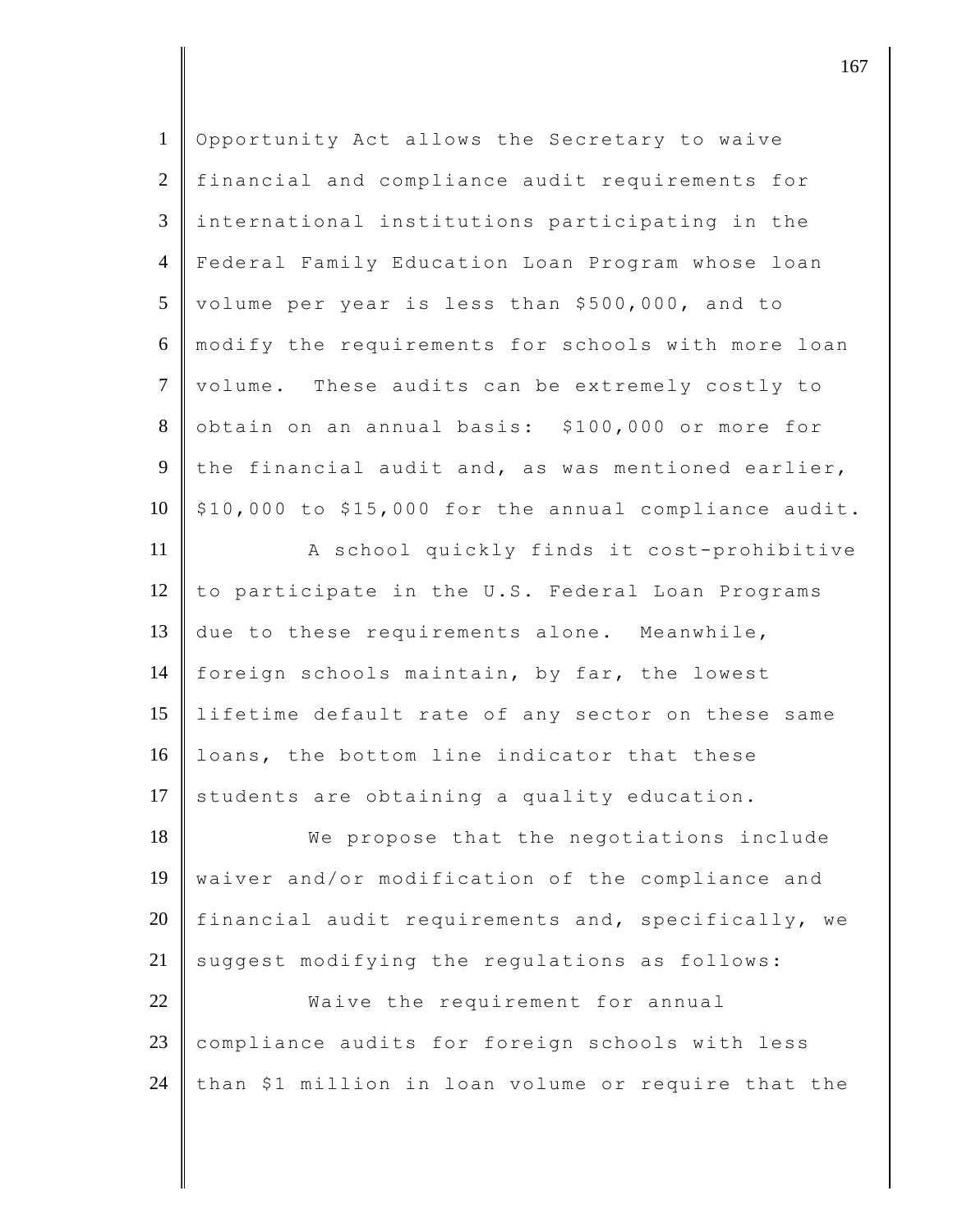| $\mathbf{1}$   | Opportunity Act allows the Secretary to waive         |
|----------------|-------------------------------------------------------|
| $\overline{2}$ | financial and compliance audit requirements for       |
| $\mathfrak{Z}$ | international institutions participating in the       |
| $\overline{4}$ | Federal Family Education Loan Program whose loan      |
| 5              | volume per year is less than \$500,000, and to        |
| 6              | modify the requirements for schools with more loan    |
| $\tau$         | volume. These audits can be extremely costly to       |
| $8\,$          | obtain on an annual basis: \$100,000 or more for      |
| 9              | the financial audit and, as was mentioned earlier,    |
| 10             | \$10,000 to \$15,000 for the annual compliance audit. |
| 11             | A school quickly finds it cost-prohibitive            |
| 12             | to participate in the U.S. Federal Loan Programs      |
| 13             | due to these requirements alone. Meanwhile,           |
| 14             | foreign schools maintain, by far, the lowest          |
| 15             | lifetime default rate of any sector on these same     |
| 16             | loans, the bottom line indicator that these           |
| 17             | students are obtaining a quality education.           |
| 18             | We propose that the negotiations include              |
| 19             | waiver and/or modification of the compliance and      |
| 20             | financial audit requirements and, specifically, we    |
| 21             | suggest modifying the regulations as follows:         |
| 22             | Waive the requirement for annual                      |
| 23             | compliance audits for foreign schools with less       |
| 24             | than \$1 million in loan volume or require that the   |
|                |                                                       |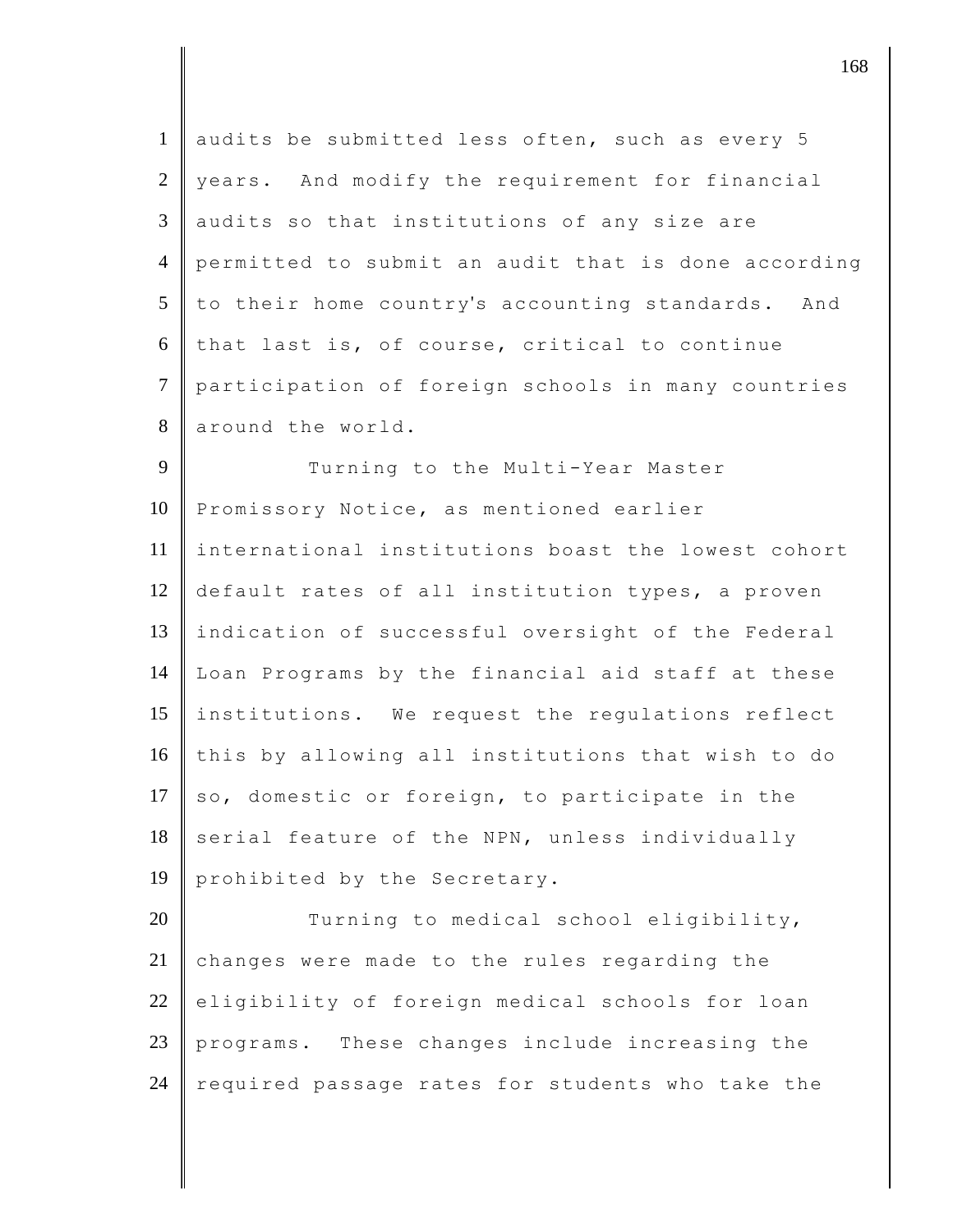| $\mathbf{1}$   | audits be submitted less often, such as every 5     |
|----------------|-----------------------------------------------------|
| 2              | years. And modify the requirement for financial     |
| 3              | audits so that institutions of any size are         |
| $\overline{4}$ | permitted to submit an audit that is done according |
| 5              | to their home country's accounting standards. And   |
| 6              | that last is, of course, critical to continue       |
| $\tau$         | participation of foreign schools in many countries  |
| 8              | around the world.                                   |
| 9              | Turning to the Multi-Year Master                    |
| 10             | Promissory Notice, as mentioned earlier             |
| 11             | international institutions boast the lowest cohort  |
| 12             | default rates of all institution types, a proven    |
| 13             | indication of successful oversight of the Federal   |
| 14             | Loan Programs by the financial aid staff at these   |
| 15             | institutions. We request the regulations reflect    |
| 16             | this by allowing all institutions that wish to do   |
| 17             | so, domestic or foreign, to participate in the      |
| 18             | serial feature of the NPN, unless individually      |
| 19             | prohibited by the Secretary.                        |
| 20             | Turning to medical school eligibility,              |
| 21             | changes were made to the rules regarding the        |
| 22             | eligibility of foreign medical schools for loan     |
| 23             | These changes include increasing the<br>programs.   |
| 24             | required passage rates for students who take the    |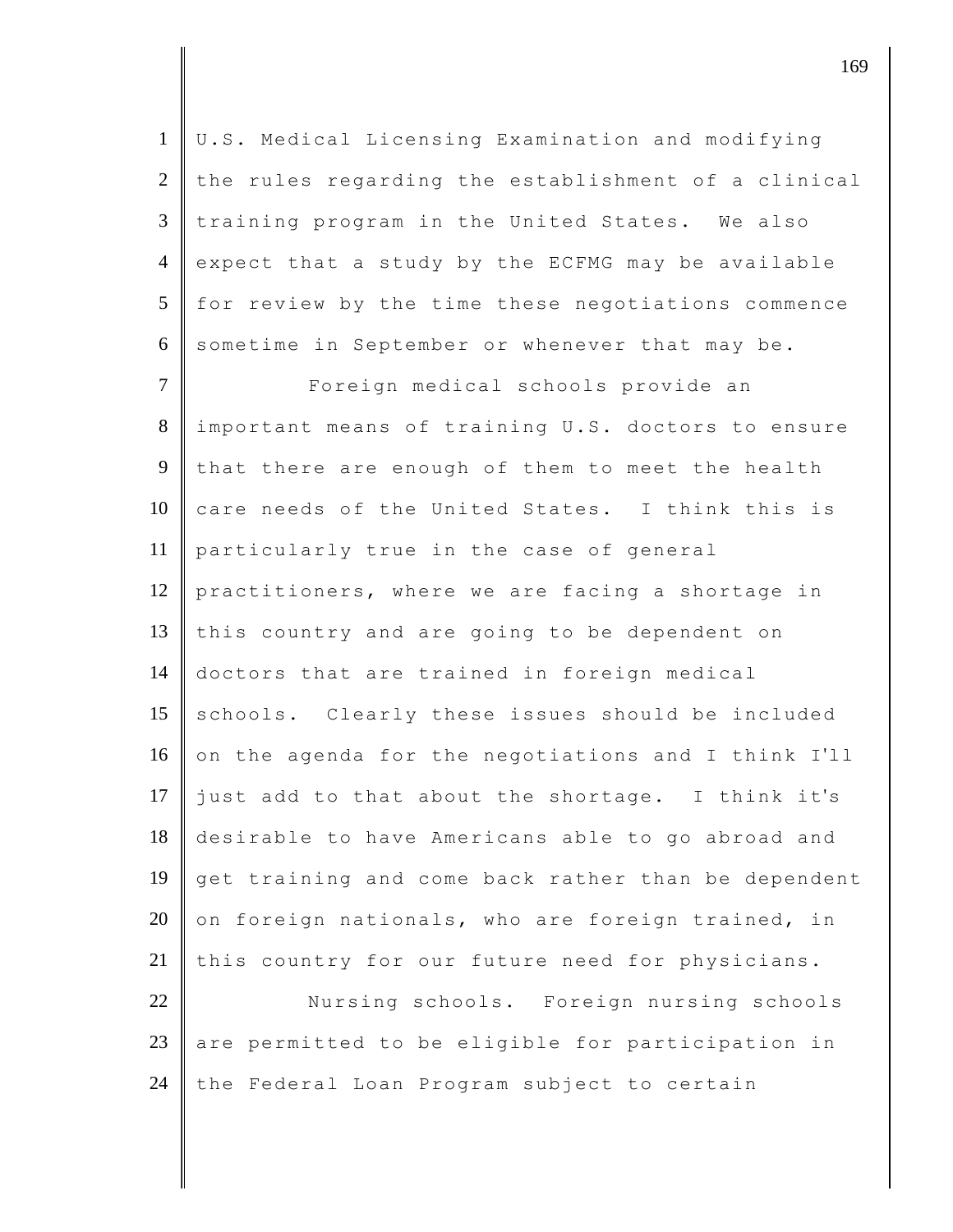U.S. Medical Licensing Examination and modifying the rules regarding the establishment of a clinical training program in the United States. We also 4 expect that a study by the ECFMG may be available for review by the time these negotiations commence 6 sometime in September or whenever that may be.

7 Foreign medical schools provide an 8 important means of training U.S. doctors to ensure 9 that there are enough of them to meet the health  $10$  care needs of the United States. I think this is 11 particularly true in the case of general 12 practitioners, where we are facing a shortage in 13 this country and are going to be dependent on 14 doctors that are trained in foreign medical 15 schools. Clearly these issues should be included 16 on the agenda for the negotiations and I think I'll 17 just add to that about the shortage. I think it's 18 desirable to have Americans able to go abroad and 19 get training and come back rather than be dependent  $20$  on foreign nationals, who are foreign trained, in 21 this country for our future need for physicians.

22 Nursing schools. Foreign nursing schools 23 are permitted to be eligible for participation in 24 the Federal Loan Program subject to certain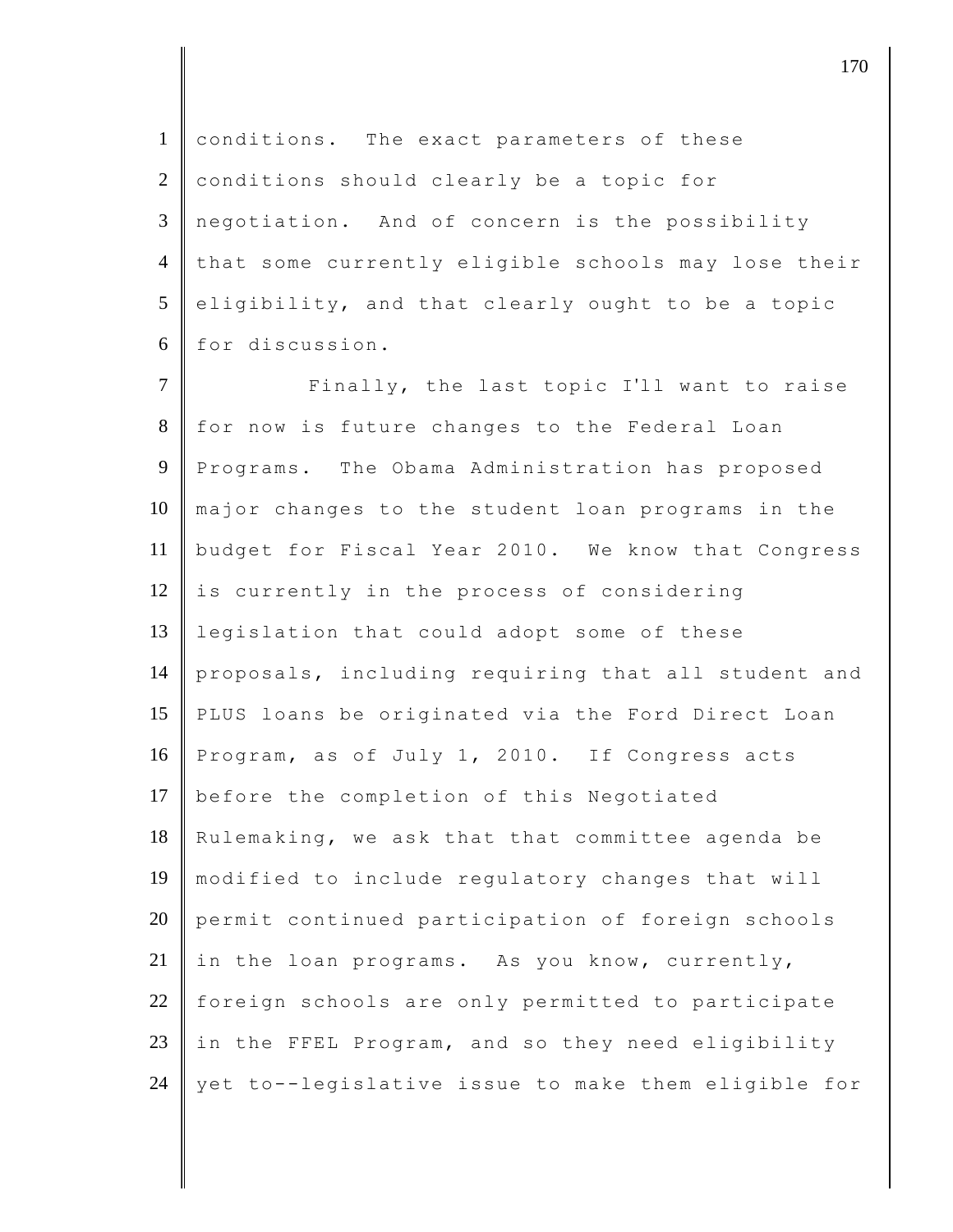1 conditions. The exact parameters of these 2 conditions should clearly be a topic for 3 negotiation. And of concern is the possibility 4 that some currently eligible schools may lose their  $5$  eligibility, and that clearly ought to be a topic 6 for discussion.

7 | Finally, the last topic I'll want to raise 8 for now is future changes to the Federal Loan 9 Programs. The Obama Administration has proposed 10 major changes to the student loan programs in the 11 budget for Fiscal Year 2010. We know that Congress  $12$  is currently in the process of considering 13 legislation that could adopt some of these 14 proposals, including requiring that all student and 15 PLUS loans be originated via the Ford Direct Loan 16 Program, as of July 1, 2010. If Congress acts 17 before the completion of this Negotiated 18 Rulemaking, we ask that that committee agenda be 19 modified to include regulatory changes that will 20 permit continued participation of foreign schools 21 in the loan programs. As you know, currently, 22 foreign schools are only permitted to participate 23 in the FFEL Program, and so they need eligibility 24  $\parallel$  yet to--legislative issue to make them eligible for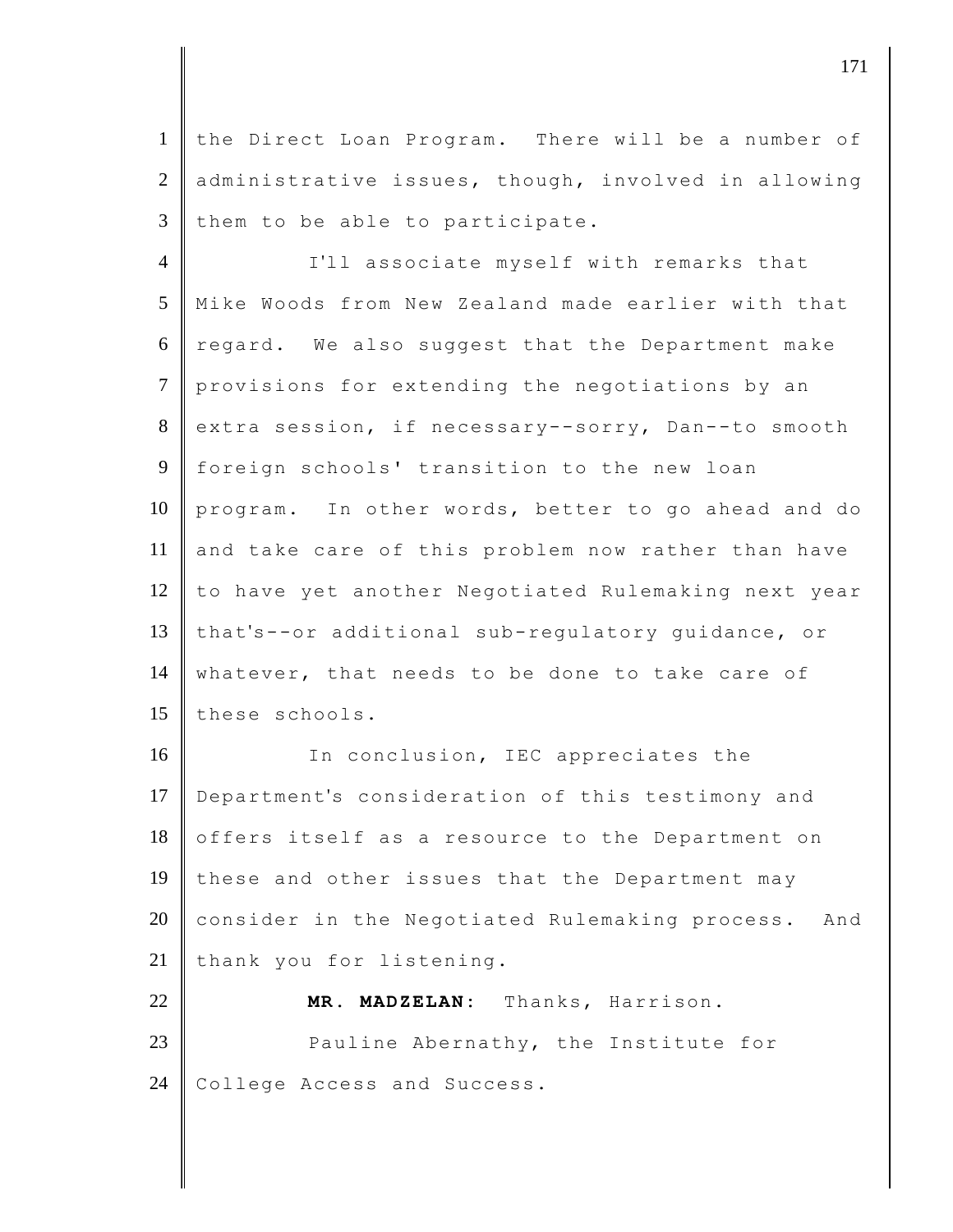1 the Direct Loan Program. There will be a number of 2 administrative issues, though, involved in allowing  $3$  them to be able to participate.

4 I'll associate myself with remarks that 5 Mike Woods from New Zealand made earlier with that  $6 \parallel$  regard. We also suggest that the Department make 7 provisions for extending the negotiations by an 8 extra session, if necessary--sorry, Dan--to smooth 9 foreign schools' transition to the new loan 10 program. In other words, better to go ahead and do 11 and take care of this problem now rather than have 12 to have yet another Negotiated Rulemaking next year 13 that's--or additional sub-regulatory guidance, or 14 whatever, that needs to be done to take care of 15 these schools.

16 In conclusion, IEC appreciates the 17 Department's consideration of this testimony and 18 offers itself as a resource to the Department on 19 these and other issues that the Department may 20 consider in the Negotiated Rulemaking process. And 21 thank you for listening.

22 **MR. MADZELAN:** Thanks, Harrison. 23 **Pauline Abernathy, the Institute for** 24 College Access and Success.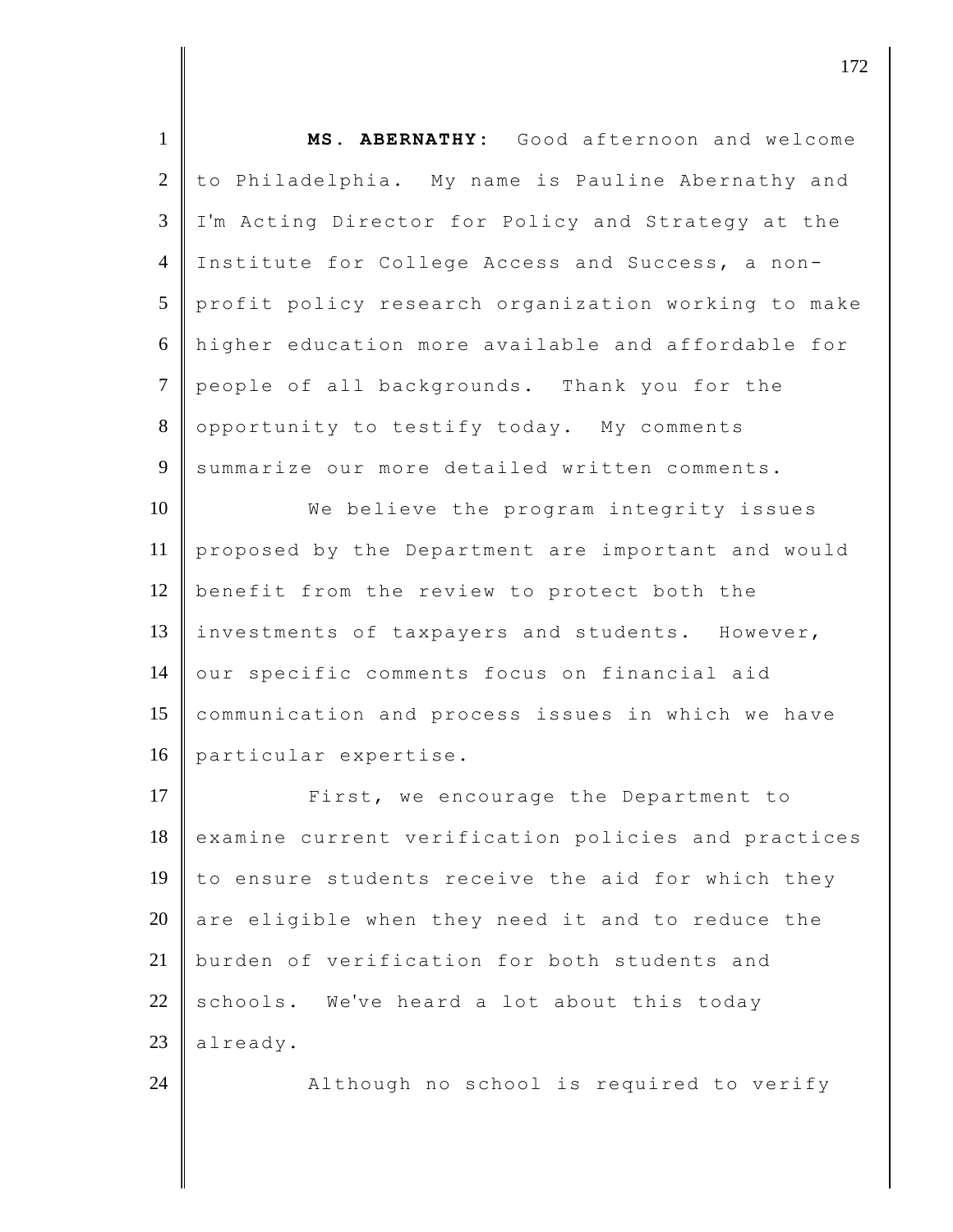| $\mathbf{1}$   | MS. ABERNATHY: Good afternoon and welcome           |
|----------------|-----------------------------------------------------|
| 2              | to Philadelphia. My name is Pauline Abernathy and   |
| 3              | I'm Acting Director for Policy and Strategy at the  |
| $\overline{4}$ | Institute for College Access and Success, a non-    |
| 5              | profit policy research organization working to make |
| 6              | higher education more available and affordable for  |
| $\overline{7}$ | people of all backgrounds. Thank you for the        |
| 8              | opportunity to testify today. My comments           |
| 9              | summarize our more detailed written comments.       |
| 10             | We believe the program integrity issues             |
| 11             | proposed by the Department are important and would  |
| 12             | benefit from the review to protect both the         |
| 13             | investments of taxpayers and students. However,     |
| 14             | our specific comments focus on financial aid        |
| 15             | communication and process issues in which we have   |
| 16             | particular expertise.                               |
| 17             | First, we encourage the Department to               |
| 18             | examine current verification policies and practices |
| 19             | to ensure students receive the aid for which they   |
| 20             | are eligible when they need it and to reduce the    |
| 21             | burden of verification for both students and        |
| 22             | schools. We've heard a lot about this today         |
| 23             | already.                                            |
| 24             | Although no school is required to verify            |
|                |                                                     |

 $\vert$  172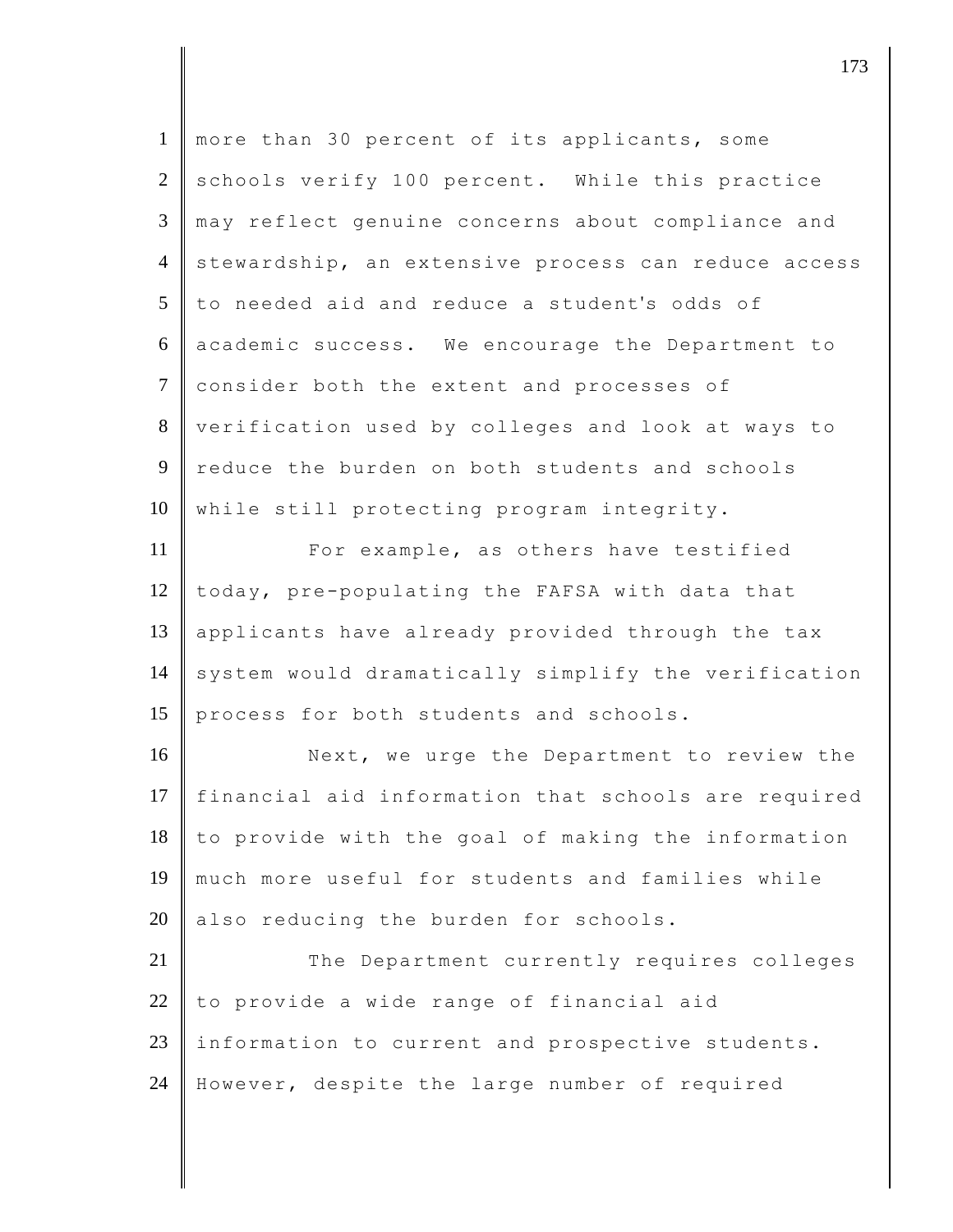| $\mathbf{1}$   | more than 30 percent of its applicants, some        |
|----------------|-----------------------------------------------------|
| $\mathbf{2}$   | schools verify 100 percent. While this practice     |
| 3              | may reflect genuine concerns about compliance and   |
| $\overline{4}$ | stewardship, an extensive process can reduce access |
| 5              | to needed aid and reduce a student's odds of        |
| 6              | academic success. We encourage the Department to    |
| $\overline{7}$ | consider both the extent and processes of           |
| $8\,$          | verification used by colleges and look at ways to   |
| 9              | reduce the burden on both students and schools      |
| 10             | while still protecting program integrity.           |
| 11             | For example, as others have testified               |
| 12             | today, pre-populating the FAFSA with data that      |
| 13             | applicants have already provided through the tax    |
| 14             | system would dramatically simplify the verification |
| 15             | process for both students and schools.              |
| 16             | Next, we urge the Department to review the          |
| 17             | financial aid information that schools are required |
| 18             | to provide with the goal of making the information  |
| 19             | much more useful for students and families while    |
| 20             | also reducing the burden for schools.               |
| 21             | The Department currently requires colleges          |
| 22             | to provide a wide range of financial aid            |
| 23             | information to current and prospective students.    |
| 24             | However, despite the large number of required       |
|                |                                                     |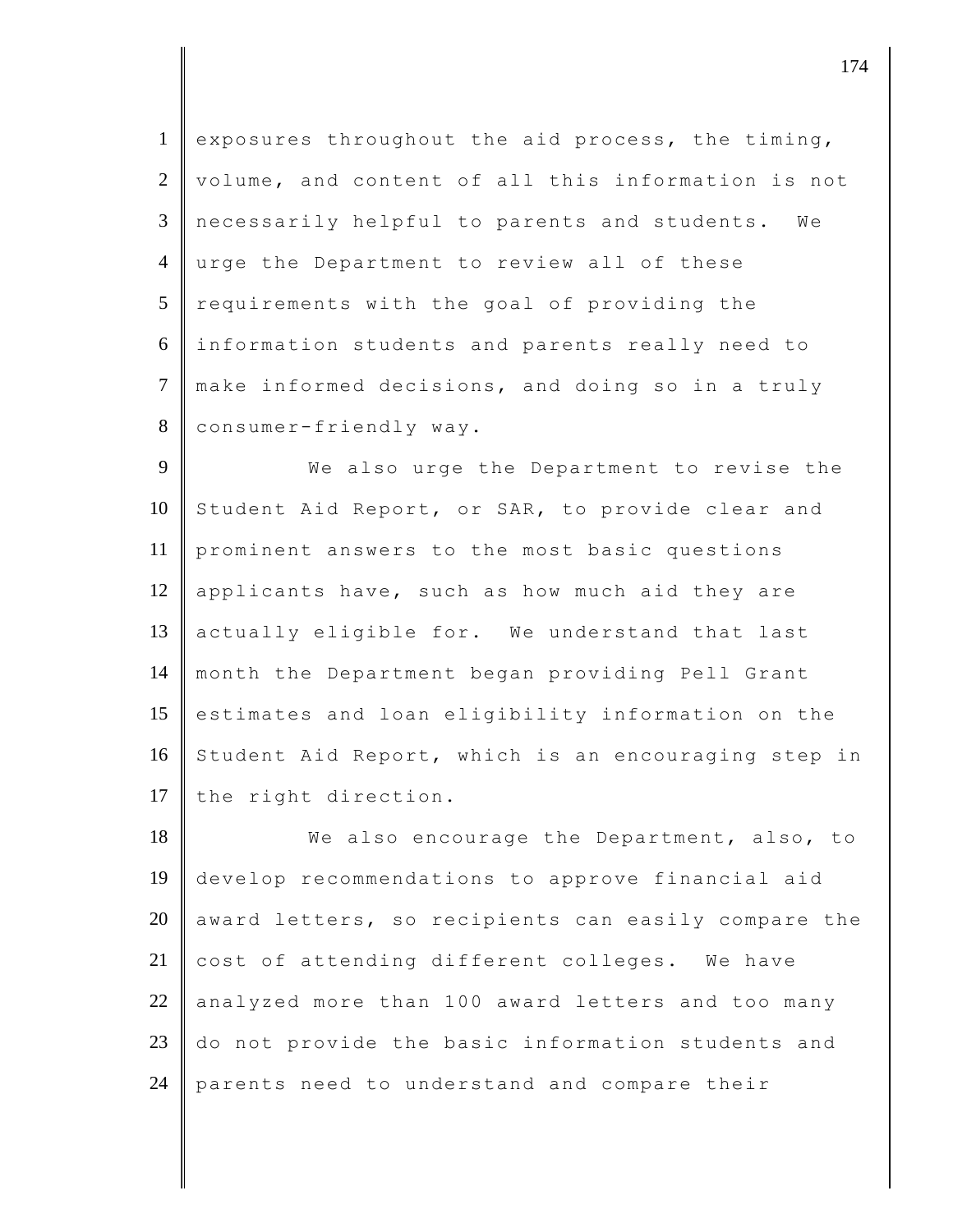1 exposures throughout the aid process, the timing, 2 volume, and content of all this information is not 3 necessarily helpful to parents and students. We 4 urge the Department to review all of these  $5$  requirements with the goal of providing the 6 information students and parents really need to 7 make informed decisions, and doing so in a truly 8 consumer-friendly way.

9 We also urge the Department to revise the 10 Student Aid Report, or SAR, to provide clear and 11 prominent answers to the most basic questions 12 applicants have, such as how much aid they are 13 actually eligible for. We understand that last 14 month the Department began providing Pell Grant 15 estimates and loan eligibility information on the 16 Student Aid Report, which is an encouraging step in 17 the right direction.

18 We also encourage the Department, also, to 19 develop recommendations to approve financial aid 20 award letters, so recipients can easily compare the  $21$  cost of attending different colleges. We have  $22$  analyzed more than 100 award letters and too many 23 do not provide the basic information students and 24 parents need to understand and compare their

djective terms of  $\overline{174}$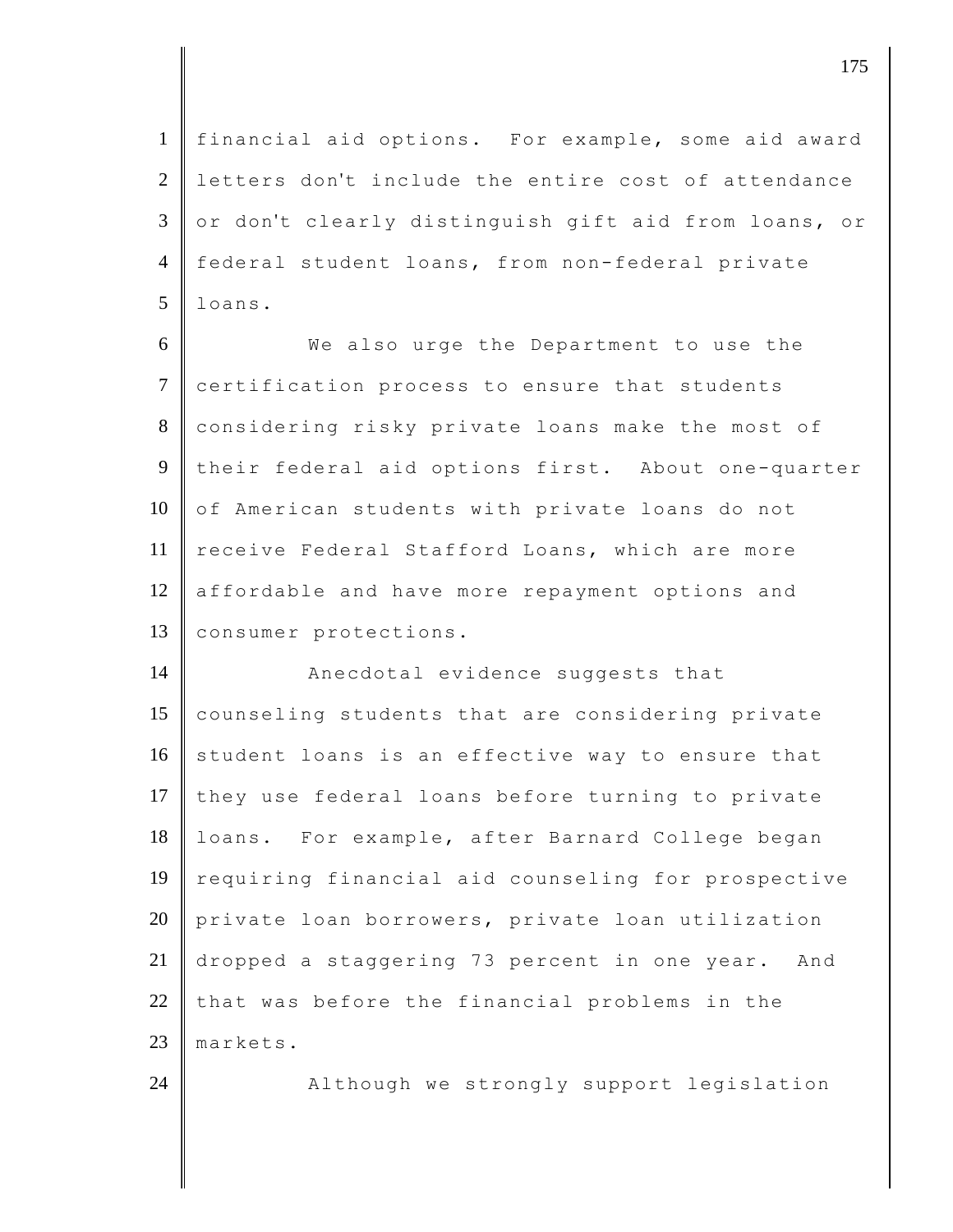1 financial aid options. For example, some aid award 2 letters don't include the entire cost of attendance  $3 \parallel$  or don't clearly distinguish gift aid from loans, or 4 federal student loans, from non-federal private  $5$  loans.

6 We also urge the Department to use the 7 certification process to ensure that students 8 considering risky private loans make the most of 9 their federal aid options first. About one-quarter 10 of American students with private loans do not 11 receive Federal Stafford Loans, which are more 12 affordable and have more repayment options and 13 | consumer protections.

14 **Anecdotal** evidence suggests that 15 counseling students that are considering private  $16$  student loans is an effective way to ensure that 17 they use federal loans before turning to private 18 | loans. For example, after Barnard College began 19 requiring financial aid counseling for prospective 20 private loan borrowers, private loan utilization 21 dropped a staggering 73 percent in one year. And 22 that was before the financial problems in the 23 markets. 24 Although we strongly support legislation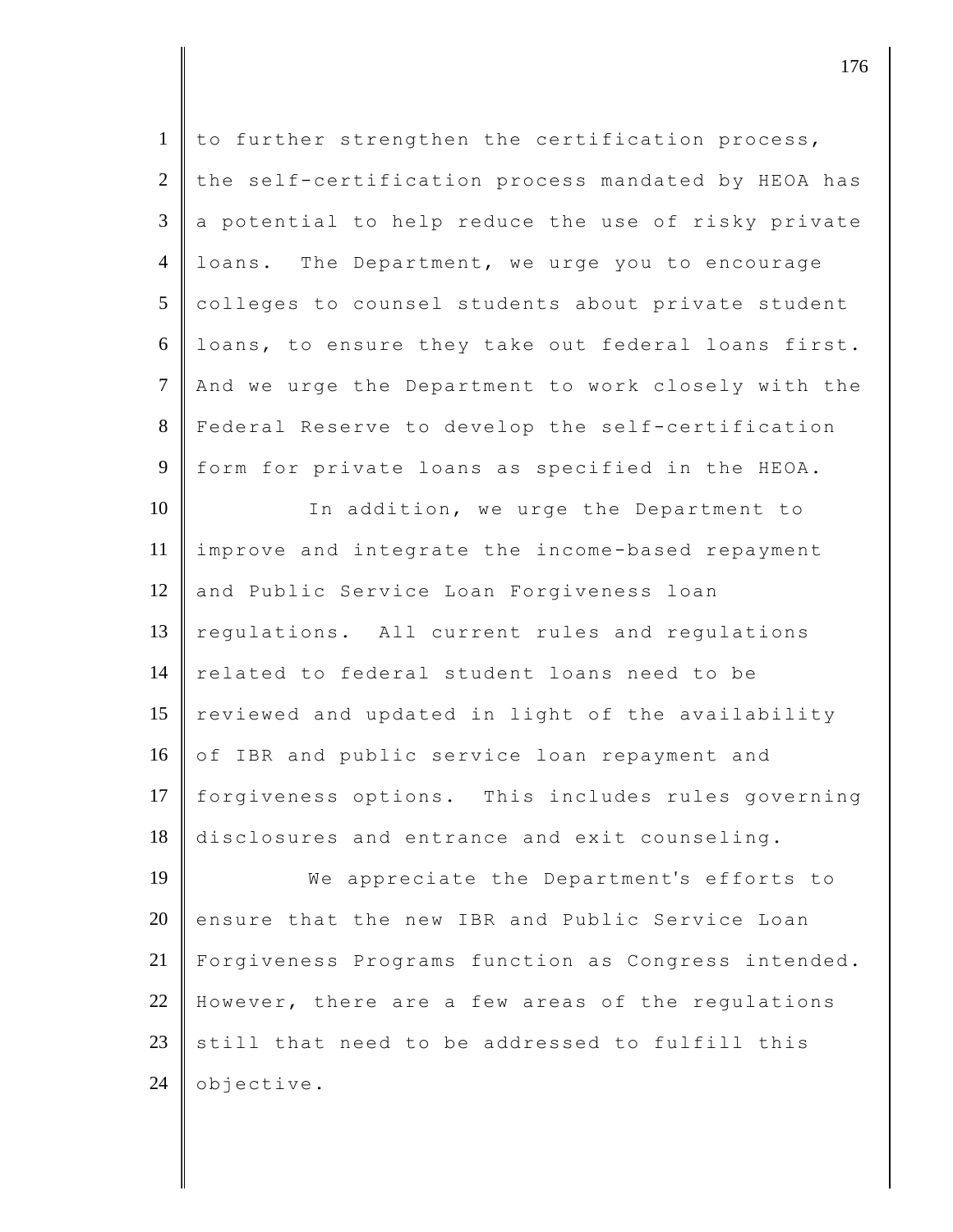| $\mathbf{1}$   | to further strengthen the certification process,    |
|----------------|-----------------------------------------------------|
| $\mathbf{2}$   | the self-certification process mandated by HEOA has |
| 3              | a potential to help reduce the use of risky private |
| $\overline{4}$ | loans. The Department, we urge you to encourage     |
| 5              | colleges to counsel students about private student  |
| 6              | loans, to ensure they take out federal loans first. |
| $\overline{7}$ | And we urge the Department to work closely with the |
| $8\,$          | Federal Reserve to develop the self-certification   |
| 9              | form for private loans as specified in the HEOA.    |
| 10             |                                                     |
|                | In addition, we urge the Department to              |
| 11             | improve and integrate the income-based repayment    |
| 12             | and Public Service Loan Forgiveness loan            |
| 13             | regulations. All current rules and regulations      |
| 14             | related to federal student loans need to be         |
| 15             | reviewed and updated in light of the availability   |
| 16             | of IBR and public service loan repayment and        |
| 17             | forgiveness options. This includes rules governing  |
| 18             | disclosures and entrance and exit counseling.       |
| 19             | We appreciate the Department's efforts to           |
| 20             | ensure that the new IBR and Public Service Loan     |
| 21             | Forgiveness Programs function as Congress intended. |
| 22             | However, there are a few areas of the regulations   |
| 23             | still that need to be addressed to fulfill this     |
|                |                                                     |
| 24             | objective.                                          |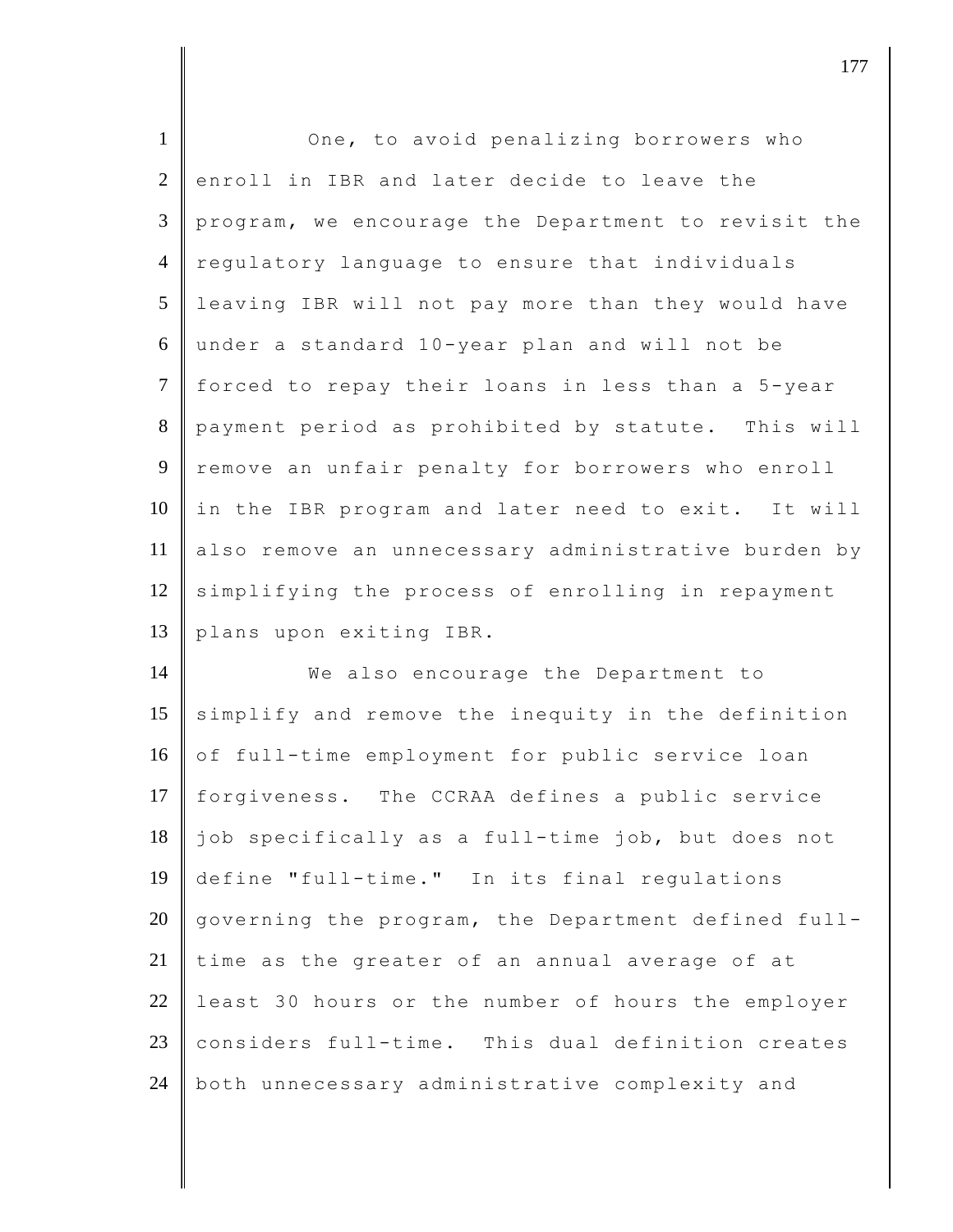| $\mathbf{1}$   | One, to avoid penalizing borrowers who              |
|----------------|-----------------------------------------------------|
| $\overline{2}$ | enroll in IBR and later decide to leave the         |
| 3              | program, we encourage the Department to revisit the |
| $\overline{4}$ | regulatory language to ensure that individuals      |
| 5              | leaving IBR will not pay more than they would have  |
| 6              | under a standard 10-year plan and will not be       |
| $\overline{7}$ | forced to repay their loans in less than a 5-year   |
| 8              | payment period as prohibited by statute. This will  |
| 9              | remove an unfair penalty for borrowers who enroll   |
| 10             | in the IBR program and later need to exit. It will  |
| 11             | also remove an unnecessary administrative burden by |
| 12             | simplifying the process of enrolling in repayment   |
| 13             | plans upon exiting IBR.                             |
| 14             | We also encourage the Department to                 |
| 15             | simplify and remove the inequity in the definition  |
| 16             | of full-time employment for public service loan     |
| 17             | forgiveness. The CCRAA defines a public service     |
| 18             | job specifically as a full-time job, but does not   |
| 19             | define "full-time." In its final regulations        |
| 20             | governing the program, the Department defined full- |
| 21             | time as the greater of an annual average of at      |
| 22             | least 30 hours or the number of hours the employer  |
| 23             | considers full-time. This dual definition creates   |
| 24             | both unnecessary administrative complexity and      |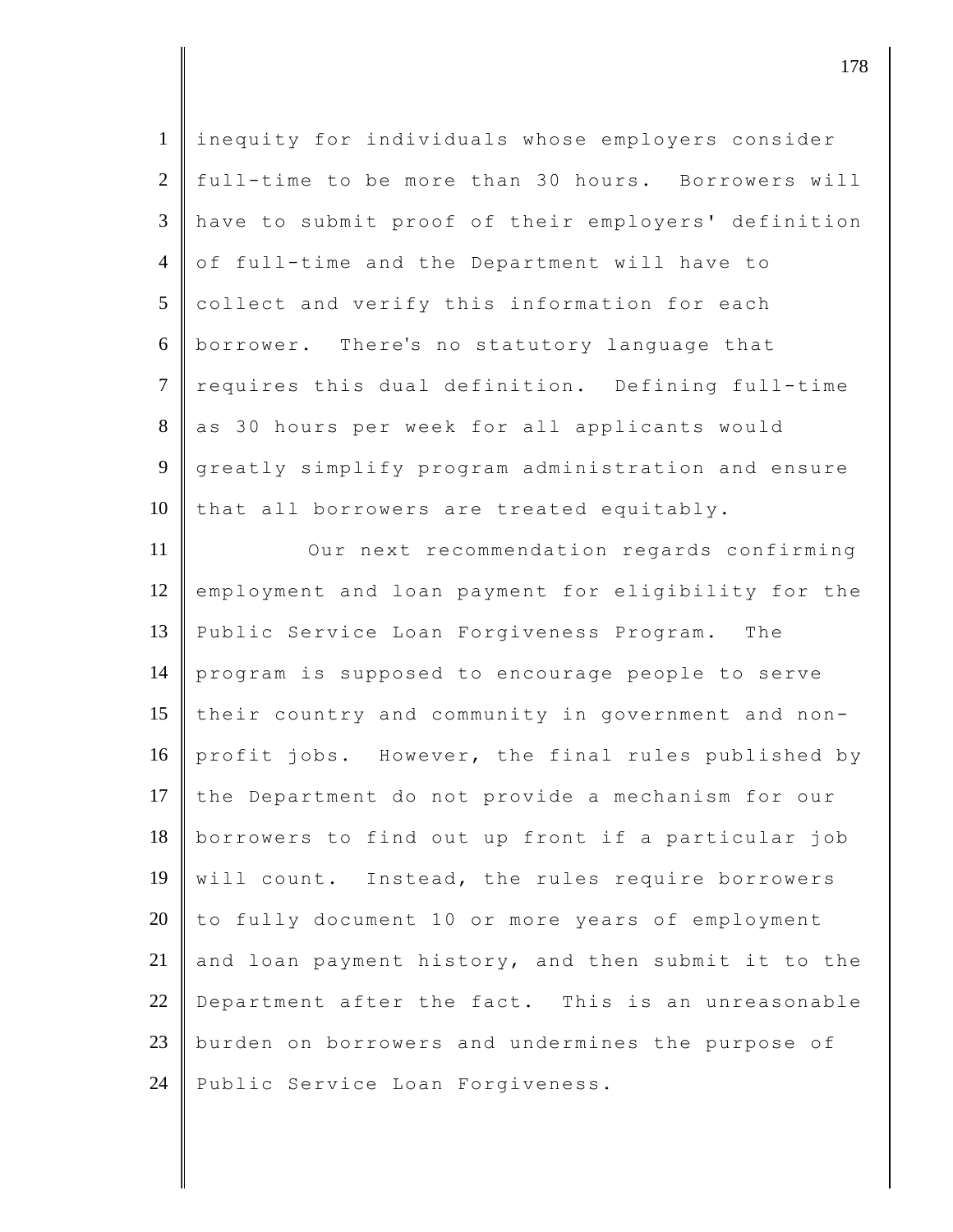| $\mathbf{1}$    | inequity for individuals whose employers consider   |
|-----------------|-----------------------------------------------------|
| $\overline{2}$  | full-time to be more than 30 hours. Borrowers will  |
| 3               | have to submit proof of their employers' definition |
| $\overline{4}$  | of full-time and the Department will have to        |
| $5\overline{)}$ | collect and verify this information for each        |
| 6               | borrower. There's no statutory language that        |
| $\tau$          | requires this dual definition. Defining full-time   |
| 8               | as 30 hours per week for all applicants would       |
| 9               | greatly simplify program administration and ensure  |
| 10              | that all borrowers are treated equitably.           |
| 11              | Our next recommendation regards confirming          |
| 12              | employment and loan payment for eligibility for the |
| 13              | Public Service Loan Forgiveness Program. The        |
| 14              | program is supposed to encourage people to serve    |
| 15              | their country and community in government and non-  |
| 16              | profit jobs. However, the final rules published by  |
| 17              | the Department do not provide a mechanism for our   |
| 18              | borrowers to find out up front if a particular job  |
| 19              | will count. Instead, the rules require borrowers    |
| 20              | to fully document 10 or more years of employment    |
| 21              | and loan payment history, and then submit it to the |
| 22              | Department after the fact. This is an unreasonable  |
| 23              | burden on borrowers and undermines the purpose of   |
| 24              | Public Service Loan Forgiveness.                    |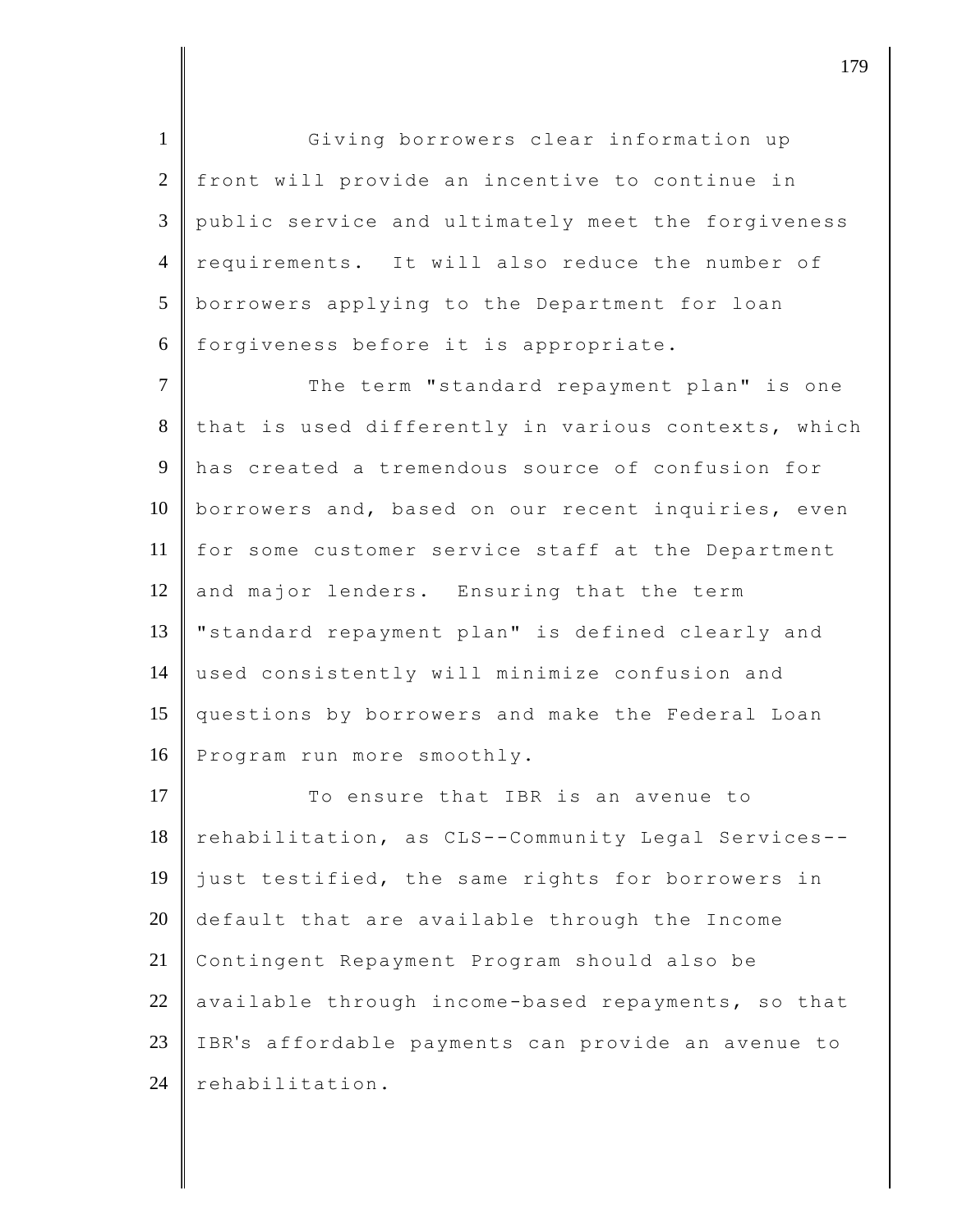1 Giving borrowers clear information up 2 front will provide an incentive to continue in 3 public service and ultimately meet the forgiveness 4 requirements. It will also reduce the number of 5 borrowers applying to the Department for loan 6 forgiveness before it is appropriate.

7 The term "standard repayment plan" is one  $8$  that is used differently in various contexts, which 9 has created a tremendous source of confusion for 10 borrowers and, based on our recent inquiries, even 11 for some customer service staff at the Department  $12$  and major lenders. Ensuring that the term 13 | "standard repayment plan" is defined clearly and 14 used consistently will minimize confusion and 15 questions by borrowers and make the Federal Loan 16 Program run more smoothly.

17 To ensure that IBR is an avenue to rehabilitation, as CLS--Community Legal Services-- just testified, the same rights for borrowers in default that are available through the Income Contingent Repayment Program should also be 22 available through income-based repayments, so that IBR's affordable payments can provide an avenue to rehabilitation.

djective terms of  $179$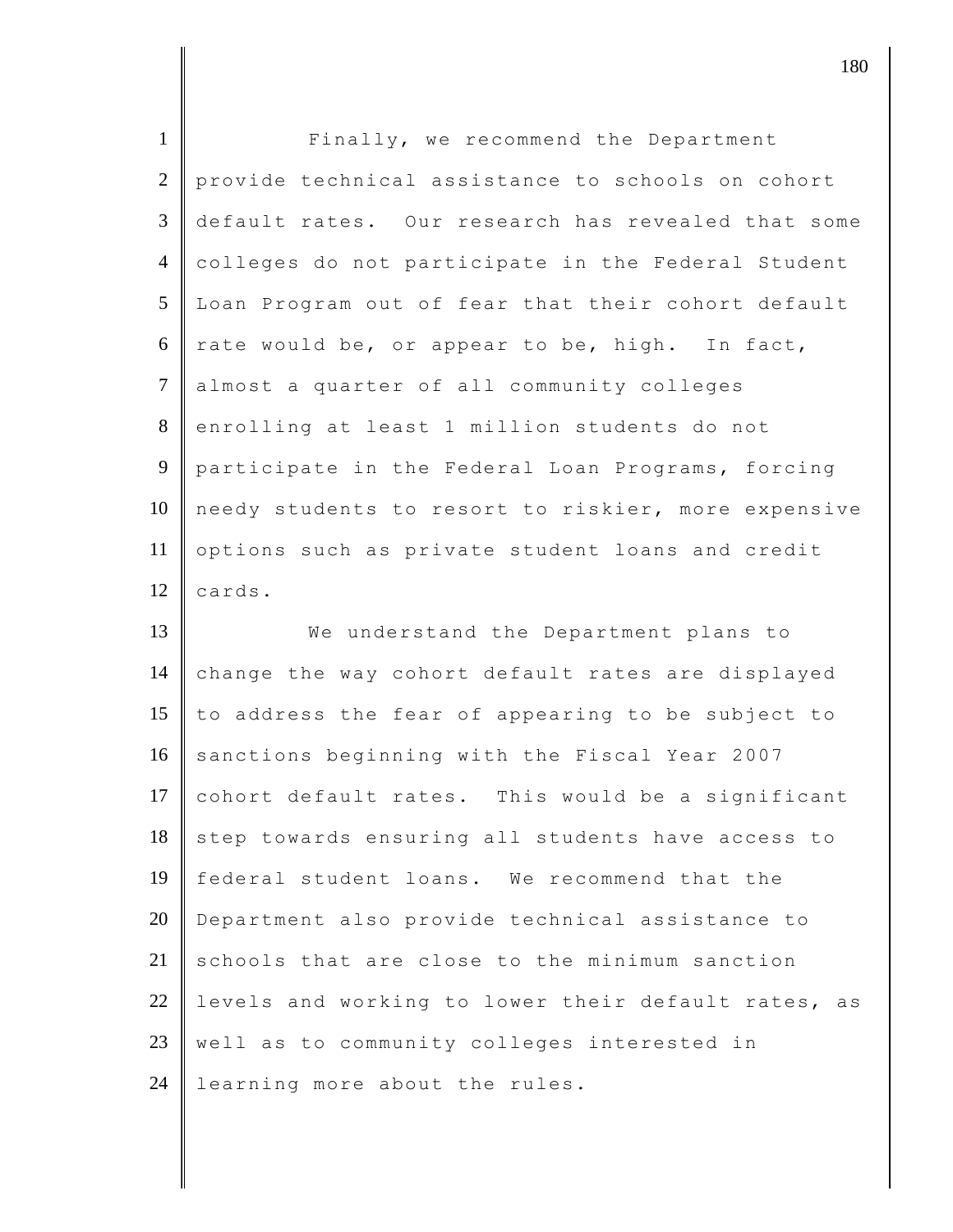| $\mathbf{1}$         | Finally, we recommend the Department                |
|----------------------|-----------------------------------------------------|
| $\overline{2}$       | provide technical assistance to schools on cohort   |
| 3                    | default rates. Our research has revealed that some  |
| $\overline{4}$       | colleges do not participate in the Federal Student  |
| 5                    | Loan Program out of fear that their cohort default  |
| 6                    | rate would be, or appear to be, high. In fact,      |
| $\tau$               | almost a quarter of all community colleges          |
| 8                    | enrolling at least 1 million students do not        |
| 9                    | participate in the Federal Loan Programs, forcing   |
| 10                   | needy students to resort to riskier, more expensive |
| 11                   | options such as private student loans and credit    |
| 12                   | cards.                                              |
|                      |                                                     |
|                      | We understand the Department plans to               |
|                      | change the way cohort default rates are displayed   |
|                      | to address the fear of appearing to be subject to   |
| 13<br>14<br>15<br>16 | sanctions beginning with the Fiscal Year 2007       |
|                      | cohort default rates. This would be a significant   |
| 17<br>18             | step towards ensuring all students have access to   |
| 19                   | federal student loans. We recommend that the        |
| 20                   | Department also provide technical assistance to     |
| 21                   | schools that are close to the minimum sanction      |
| 22                   | levels and working to lower their default rates, as |
| 23                   | well as to community colleges interested in         |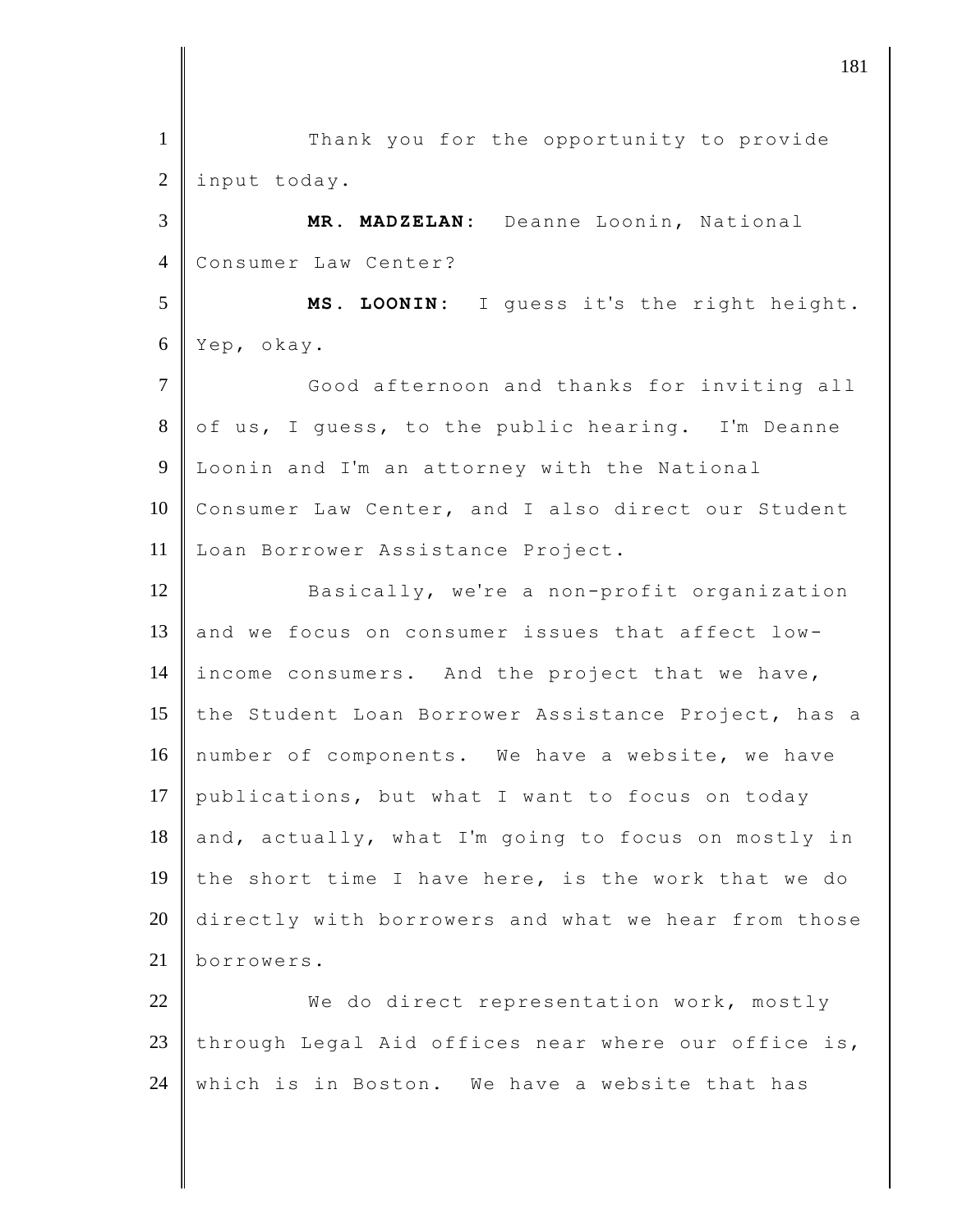1 || Thank you for the opportunity to provide 2 | input today. 3 **MR. MADZELAN:** Deanne Loonin, National 4 Consumer Law Center? 5 **MS. LOONIN:** I guess it's the right height. 6 Yep, okay. 7 Good afternoon and thanks for inviting all 8 of us, I guess, to the public hearing. I'm Deanne 9 Loonin and I'm an attorney with the National 10 Consumer Law Center, and I also direct our Student 11 Loan Borrower Assistance Project. 12 Basically, we're a non-profit organization 13 and we focus on consumer issues that affect low-14 income consumers. And the project that we have, 15 the Student Loan Borrower Assistance Project, has a 16 number of components. We have a website, we have 17 publications, but what I want to focus on today  $18$  and, actually, what I'm going to focus on mostly in 19 the short time I have here, is the work that we do 20 directly with borrowers and what we hear from those 21 borrowers. 22 We do direct representation work, mostly 23 through Legal Aid offices near where our office is, 24 | which is in Boston. We have a website that has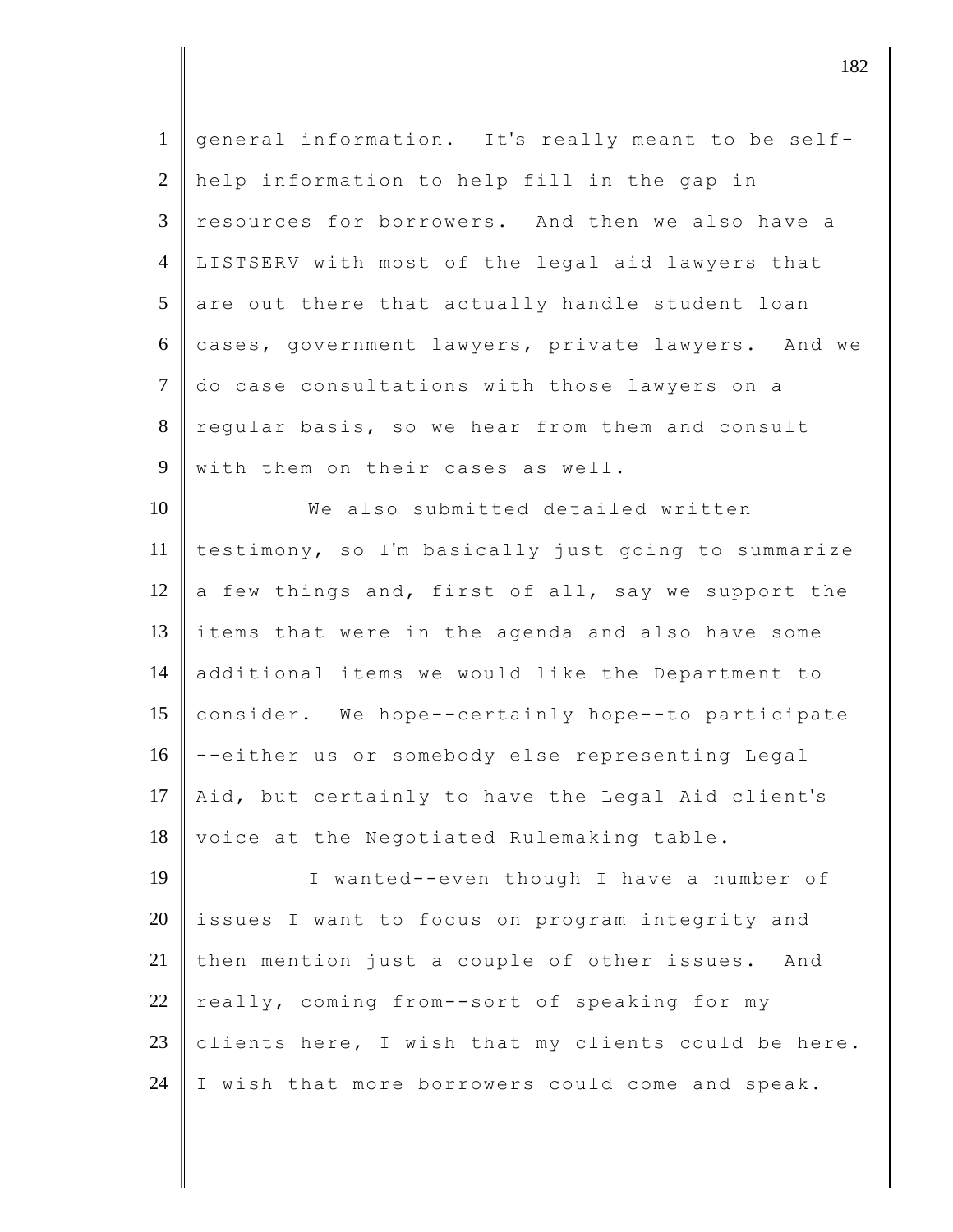| $\mathbf{1}$    | general information. It's really meant to be self-  |
|-----------------|-----------------------------------------------------|
| $\overline{2}$  | help information to help fill in the gap in         |
| $\mathfrak{Z}$  | resources for borrowers. And then we also have a    |
| $\overline{4}$  | LISTSERV with most of the legal aid lawyers that    |
| $5\overline{)}$ | are out there that actually handle student loan     |
| 6               | cases, government lawyers, private lawyers. And we  |
| $\tau$          | do case consultations with those lawyers on a       |
| 8               | regular basis, so we hear from them and consult     |
| 9               | with them on their cases as well.                   |
| 10              | We also submitted detailed written                  |
| 11              | testimony, so I'm basically just going to summarize |
| 12              | a few things and, first of all, say we support the  |
| 13              | items that were in the agenda and also have some    |
| 14              | additional items we would like the Department to    |
| 15              | consider. We hope--certainly hope--to participate   |
| 16              | --either us or somebody else representing Legal     |
| 17              | Aid, but certainly to have the Legal Aid client's   |
| 18              | voice at the Negotiated Rulemaking table.           |
| 19              | I wanted--even though I have a number of            |
| 20              | issues I want to focus on program integrity and     |
| 21              | then mention just a couple of other issues.<br>And  |
| 22              | really, coming from--sort of speaking for my        |
| 23              | clients here, I wish that my clients could be here. |
| 24              | I wish that more borrowers could come and speak.    |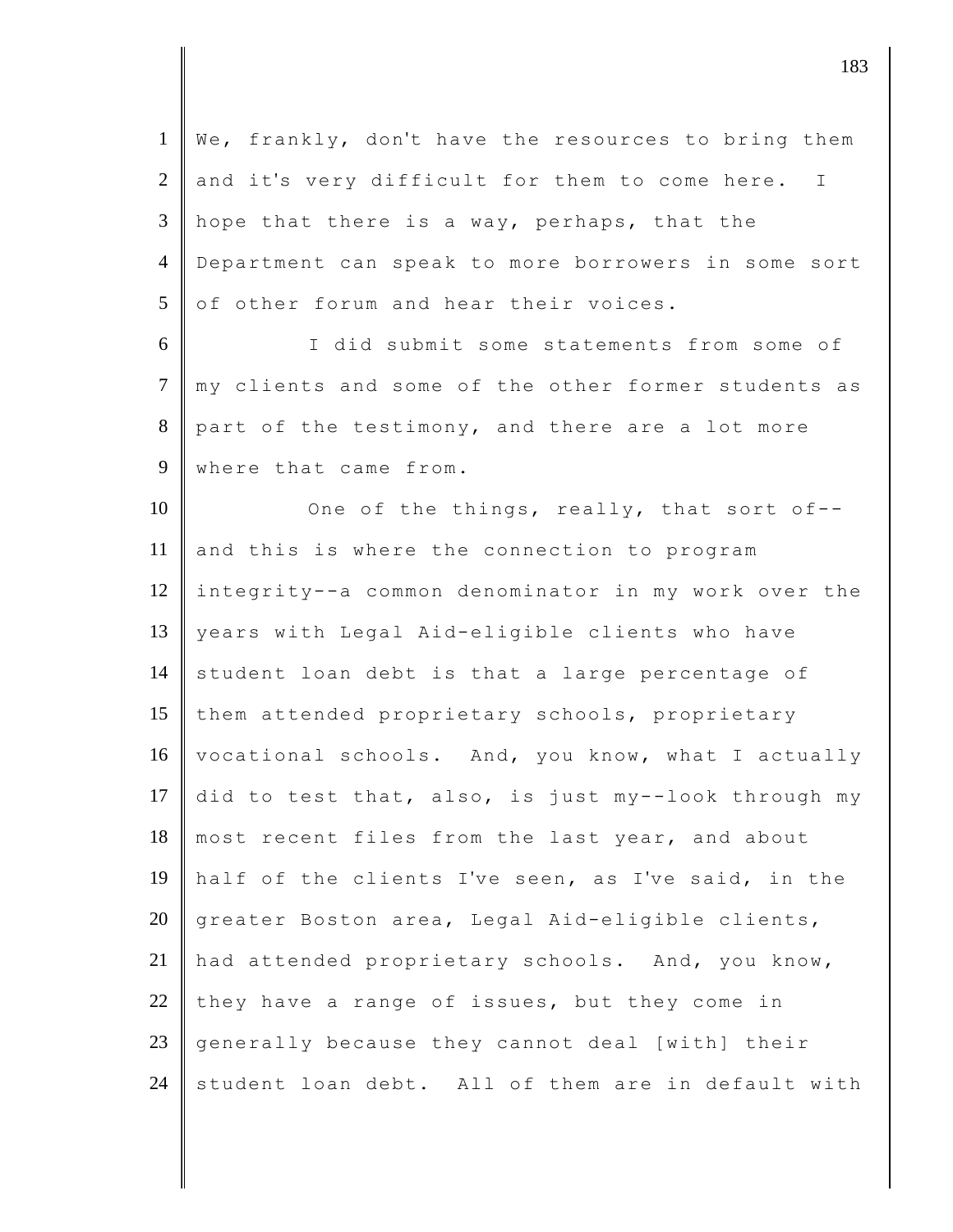1 We, frankly, don't have the resources to bring them  $2$  and it's very difficult for them to come here. I 3 || hope that there is a way, perhaps, that the 4 Department can speak to more borrowers in some sort  $5 \parallel$  of other forum and hear their voices. 6 I did submit some statements from some of 7 || my clients and some of the other former students as 8 part of the testimony, and there are a lot more 9 where that came from. 10 One of the things, really, that sort of--11 and this is where the connection to program 12 integrity--a common denominator in my work over the 13 years with Legal Aid-eligible clients who have  $14$  student loan debt is that a large percentage of 15 them attended proprietary schools, proprietary 16 vocational schools. And, you know, what I actually 17 did to test that, also, is just my--look through my  $18$  most recent files from the last year, and about 19 half of the clients I've seen, as I've said, in the

20 greater Boston area, Legal Aid-eligible clients, 21 had attended proprietary schools. And, you know, 22 they have a range of issues, but they come in 23 generally because they cannot deal [with] their 24 student loan debt. All of them are in default with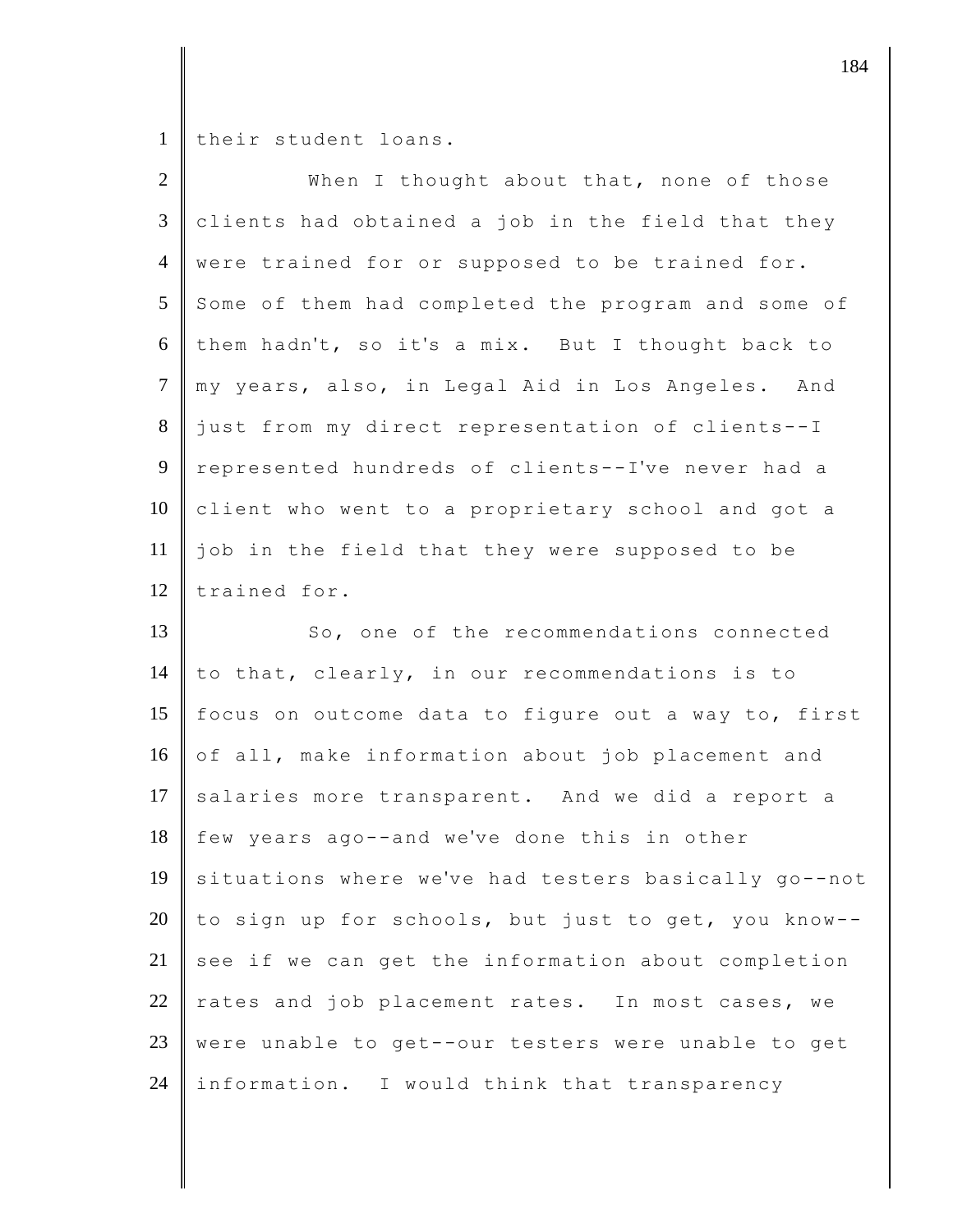1 their student loans.

| $\overline{2}$ | When I thought about that, none of those             |
|----------------|------------------------------------------------------|
| $\mathfrak{Z}$ | clients had obtained a job in the field that they    |
| $\overline{4}$ | were trained for or supposed to be trained for.      |
| 5              | Some of them had completed the program and some of   |
| 6              | them hadn't, so it's a mix. But I thought back to    |
| $\overline{7}$ | my years, also, in Legal Aid in Los Angeles. And     |
| 8              | just from my direct representation of clients--I     |
| 9              | represented hundreds of clients--I've never had a    |
| 10             | client who went to a proprietary school and got a    |
| 11             | job in the field that they were supposed to be       |
| 12             | trained for.                                         |
| 13             | So, one of the recommendations connected             |
| 14             | to that, clearly, in our recommendations is to       |
| 15             | focus on outcome data to figure out a way to, first  |
| 16             | of all, make information about job placement and     |
| 17             | salaries more transparent. And we did a report a     |
| 18             | few years ago--and we've done this in other          |
| 19             | situations where we've had testers basically go--not |
| 20             | to sign up for schools, but just to get, you know--  |
| 21             | see if we can get the information about completion   |
| 22             | rates and job placement rates. In most cases, we     |
| 23             | were unable to get--our testers were unable to get   |
| 24             | information. I would think that transparency         |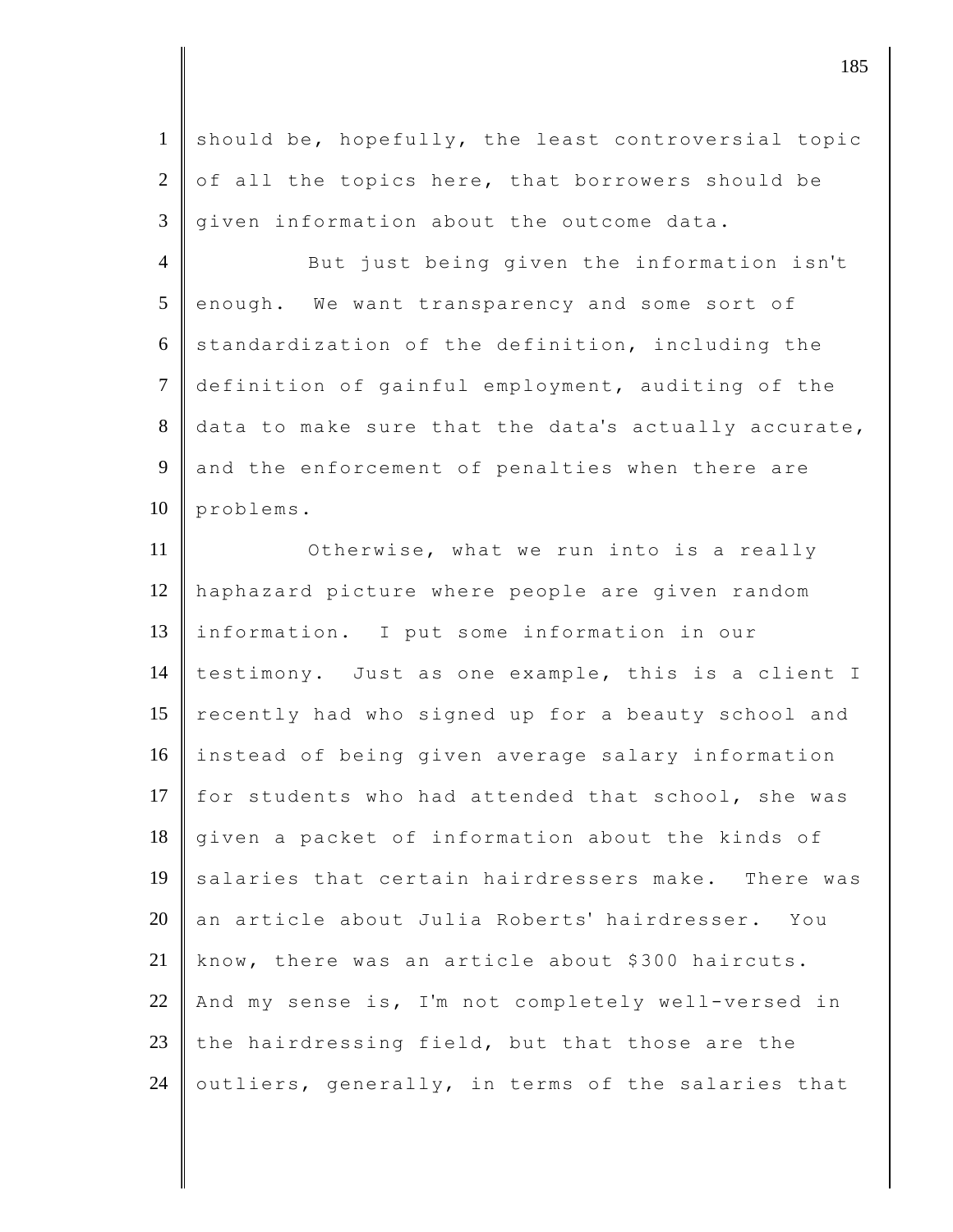1 should be, hopefully, the least controversial topic 2 of all the topics here, that borrowers should be  $3 \parallel$  given information about the outcome data.

4 But just being given the information isn't  $5$  enough. We want transparency and some sort of  $6 \parallel$  standardization of the definition, including the 7 definition of gainful employment, auditing of the  $8$  data to make sure that the data's actually accurate, 9 and the enforcement of penalties when there are  $10$  problems.

11 **Otherwise, what we run into is a really** 12 haphazard picture where people are given random 13 information. I put some information in our 14 testimony. Just as one example, this is a client I 15 recently had who signed up for a beauty school and 16 instead of being given average salary information 17 for students who had attended that school, she was 18 given a packet of information about the kinds of 19 salaries that certain hairdressers make. There was 20 an article about Julia Roberts' hairdresser. You 21 know, there was an article about \$300 haircuts. 22 And my sense is, I'm not completely well-versed in 23 the hairdressing field, but that those are the 24 | outliers, generally, in terms of the salaries that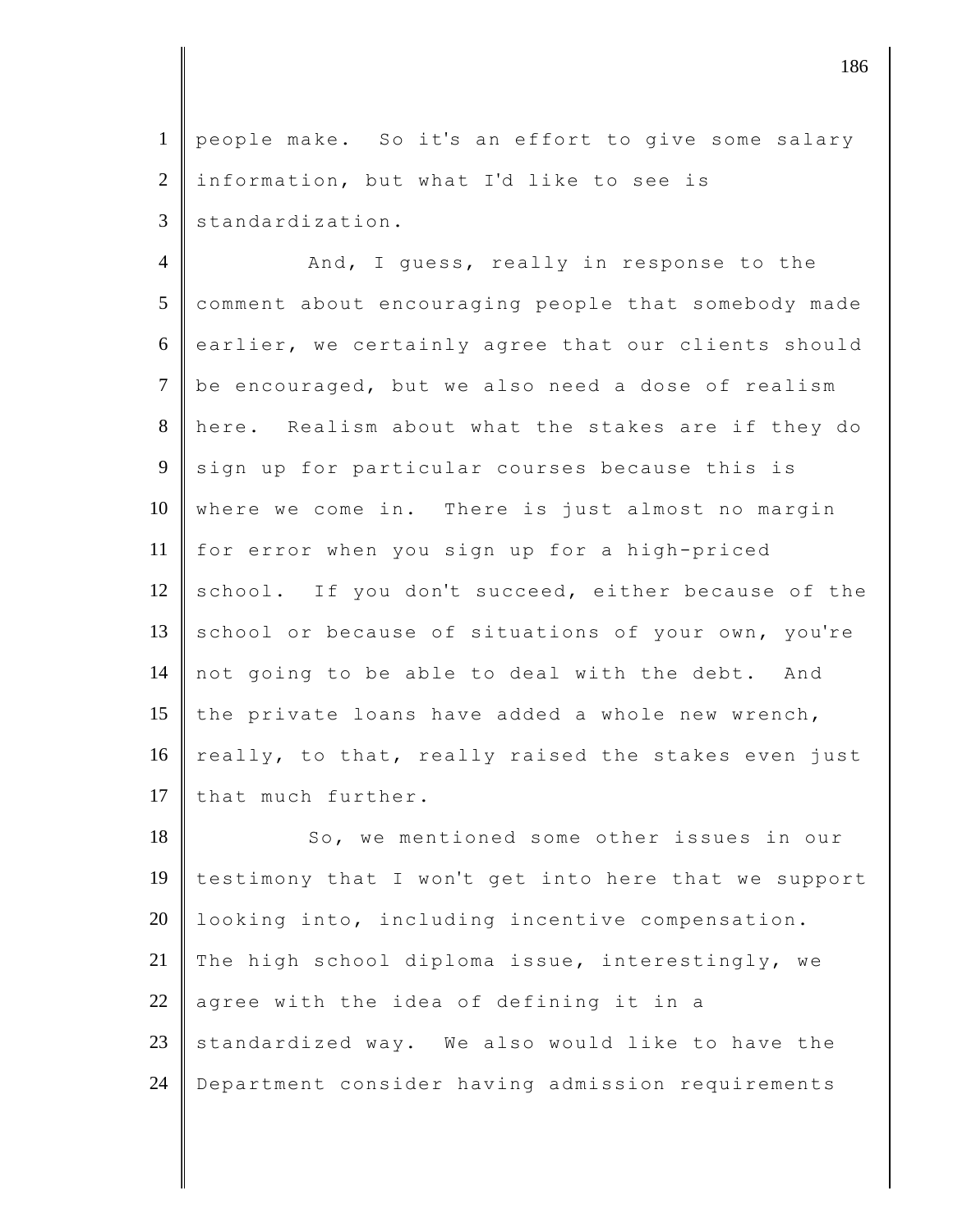1 people make. So it's an effort to give some salary  $2$  information, but what I'd like to see is  $3$  standardization.

4 And, I guess, really in response to the 5 comment about encouraging people that somebody made 6 earlier, we certainly agree that our clients should 7 be encouraged, but we also need a dose of realism 8 here. Realism about what the stakes are if they do 9 sign up for particular courses because this is 10 where we come in. There is just almost no margin 11 for error when you sign up for a high-priced 12 school. If you don't succeed, either because of the 13 school or because of situations of your own, you're 14 not going to be able to deal with the debt. And 15 the private loans have added a whole new wrench, 16 really, to that, really raised the stakes even just 17 that much further.

18 So, we mentioned some other issues in our 19 testimony that I won't get into here that we support 20 | looking into, including incentive compensation. 21 The high school diploma issue, interestingly, we  $22$  agree with the idea of defining it in a 23 standardized way. We also would like to have the 24 Department consider having admission requirements

djective the contract of  $\sim$  186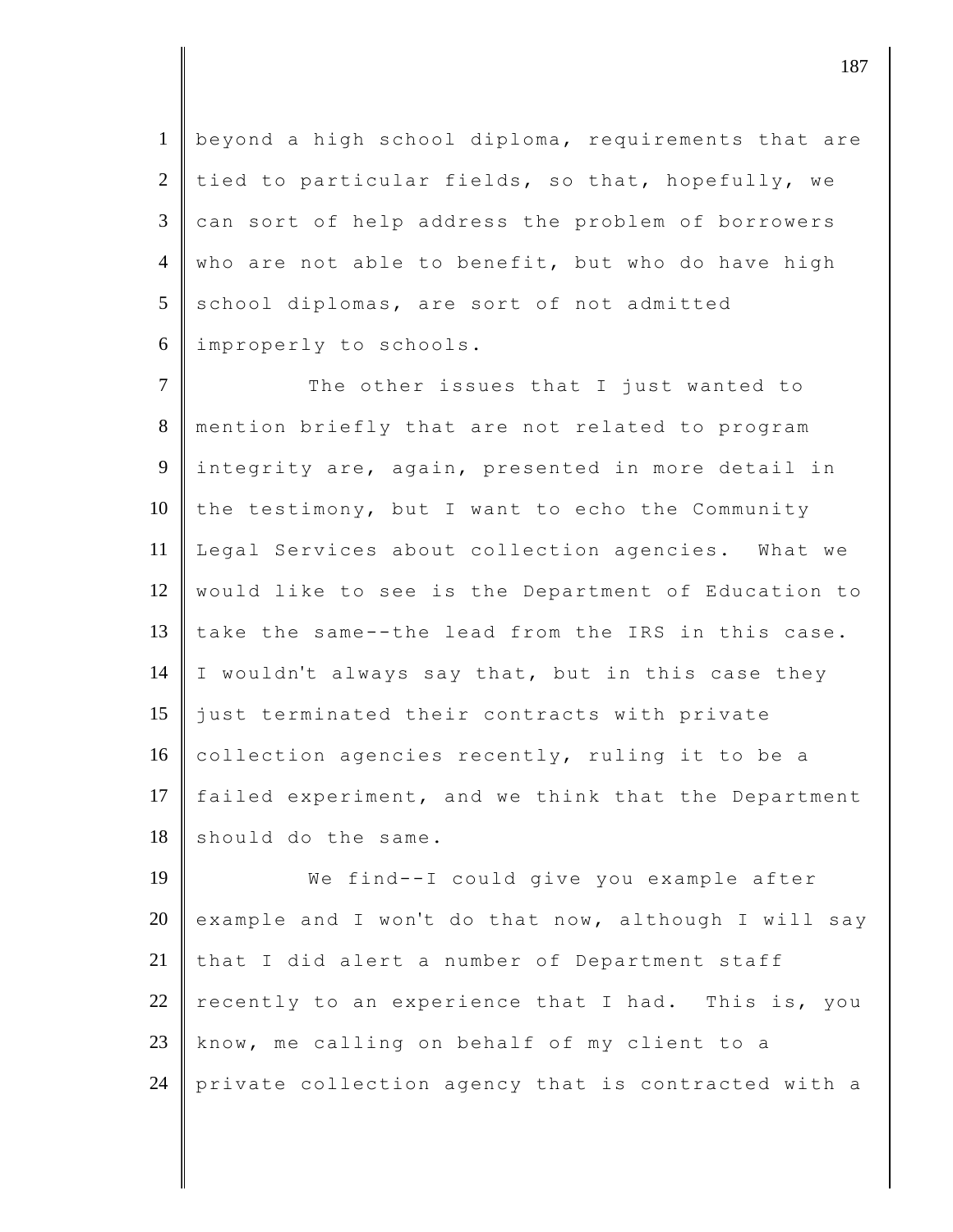beyond a high school diploma, requirements that are tied to particular fields, so that, hopefully, we can sort of help address the problem of borrowers 4 who are not able to benefit, but who do have high school diplomas, are sort of not admitted improperly to schools.

7 The other issues that I just wanted to 8 mention briefly that are not related to program 9 integrity are, again, presented in more detail in 10 the testimony, but I want to echo the Community 11 Legal Services about collection agencies. What we 12 would like to see is the Department of Education to 13 take the same--the lead from the IRS in this case. 14  $\parallel$  I wouldn't always say that, but in this case they 15 just terminated their contracts with private 16 collection agencies recently, ruling it to be a 17 failed experiment, and we think that the Department  $18$  should do the same.

19 We find--I could give you example after 20 example and I won't do that now, although I will say 21 that I did alert a number of Department staff 22 recently to an experience that I had. This is, you  $23$  know, me calling on behalf of my client to a 24 private collection agency that is contracted with a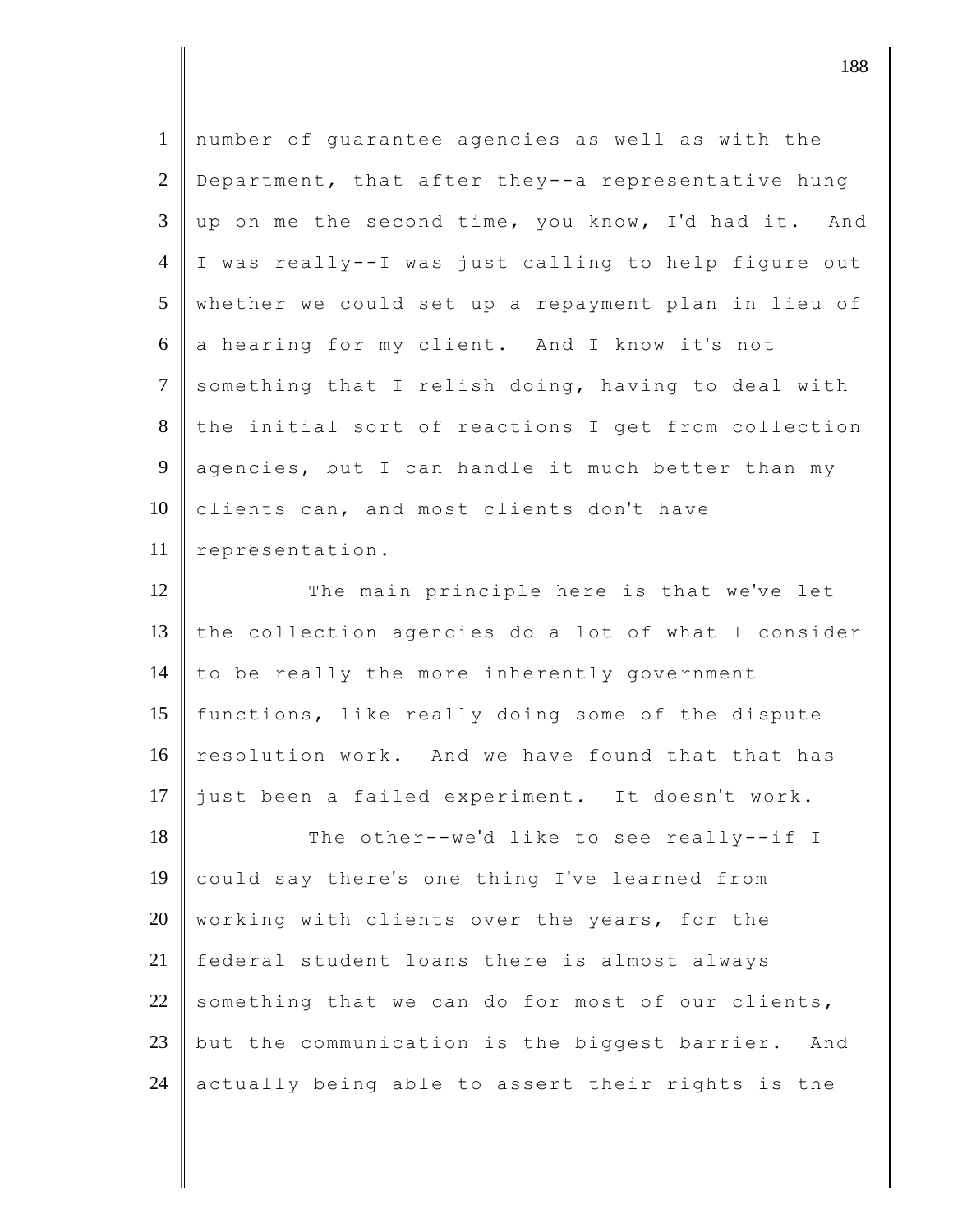| $\mathbf{1}$    | number of guarantee agencies as well as with the    |
|-----------------|-----------------------------------------------------|
| $\overline{2}$  | Department, that after they--a representative hung  |
| 3               | up on me the second time, you know, I'd had it. And |
| $\overline{4}$  | I was really--I was just calling to help figure out |
| $5\overline{)}$ | whether we could set up a repayment plan in lieu of |
| 6               | a hearing for my client. And I know it's not        |
| $\tau$          | something that I relish doing, having to deal with  |
| 8               | the initial sort of reactions I get from collection |
| 9               | agencies, but I can handle it much better than my   |
| 10              | clients can, and most clients don't have            |
| 11              | representation.                                     |
| 12              | The main principle here is that we've let           |
| 13              | the collection agencies do a lot of what I consider |
| 14              | to be really the more inherently government         |
| 15              | functions, like really doing some of the dispute    |
| 16              | resolution work. And we have found that that has    |
| 17              | just been a failed experiment. It doesn't work.     |
| 18              | The other--we'd like to see really--if I            |
| 19              | could say there's one thing I've learned from       |
| 20              | working with clients over the years, for the        |
| 21              | federal student loans there is almost always        |
| 22              | something that we can do for most of our clients,   |
| 23              | but the communication is the biggest barrier. And   |
| 24              | actually being able to assert their rights is the   |

djective the contract of  $\sim$  188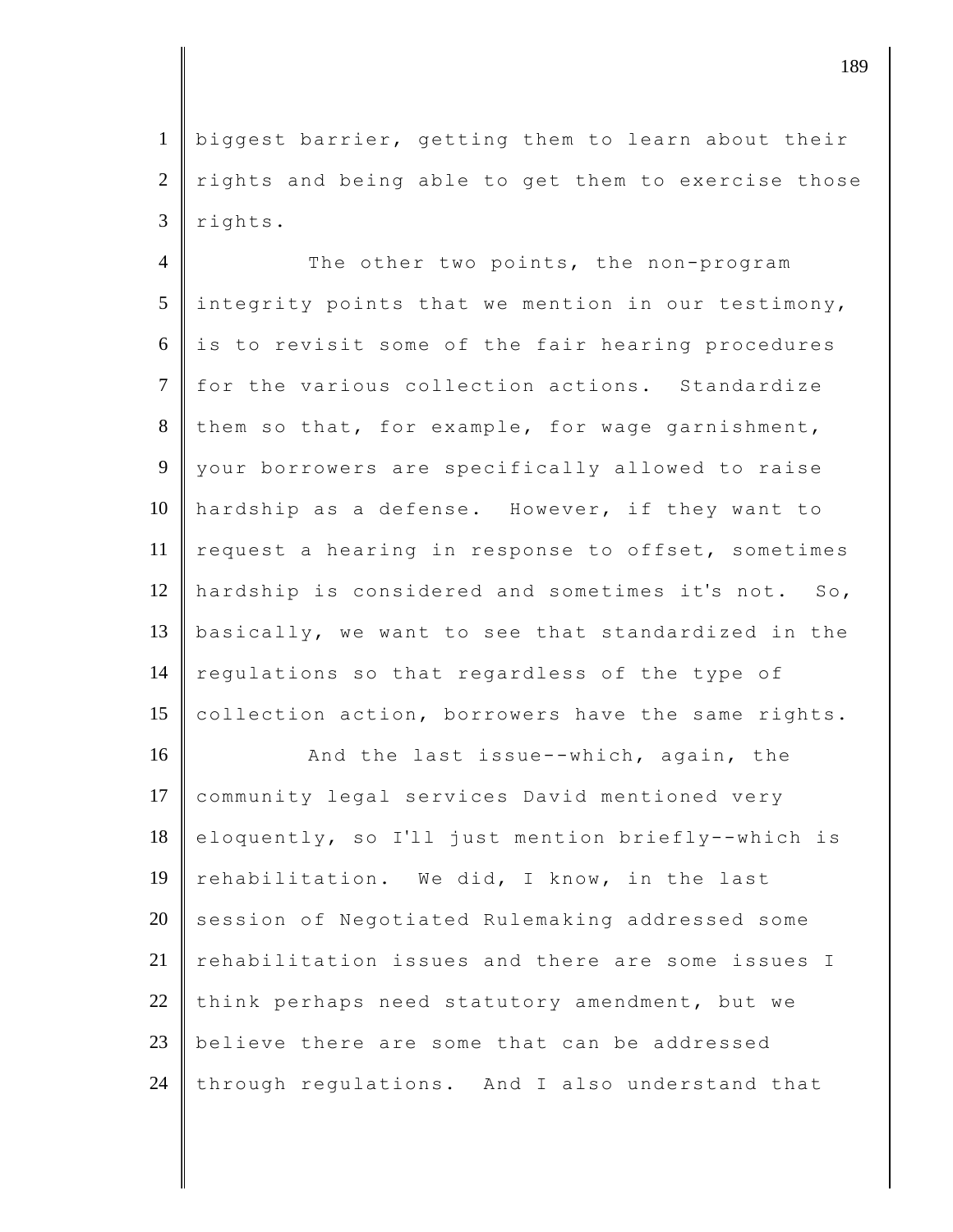1 biggest barrier, getting them to learn about their  $2 \parallel$  rights and being able to get them to exercise those  $3$  rights.

4 The other two points, the non-program  $5$  integrity points that we mention in our testimony,  $6$  is to revisit some of the fair hearing procedures 7 for the various collection actions. Standardize  $8$  them so that, for example, for wage garnishment, 9 your borrowers are specifically allowed to raise 10 hardship as a defense. However, if they want to 11 request a hearing in response to offset, sometimes 12 hardship is considered and sometimes it's not. So, 13 basically, we want to see that standardized in the 14 regulations so that regardless of the type of 15 collection action, borrowers have the same rights.

16 And the last issue--which, again, the 17 community legal services David mentioned very 18 eloquently, so I'll just mention briefly--which is 19 rehabilitation. We did, I know, in the last 20 session of Negotiated Rulemaking addressed some 21 rehabilitation issues and there are some issues I 22 think perhaps need statutory amendment, but we 23 believe there are some that can be addressed  $24$  through regulations. And I also understand that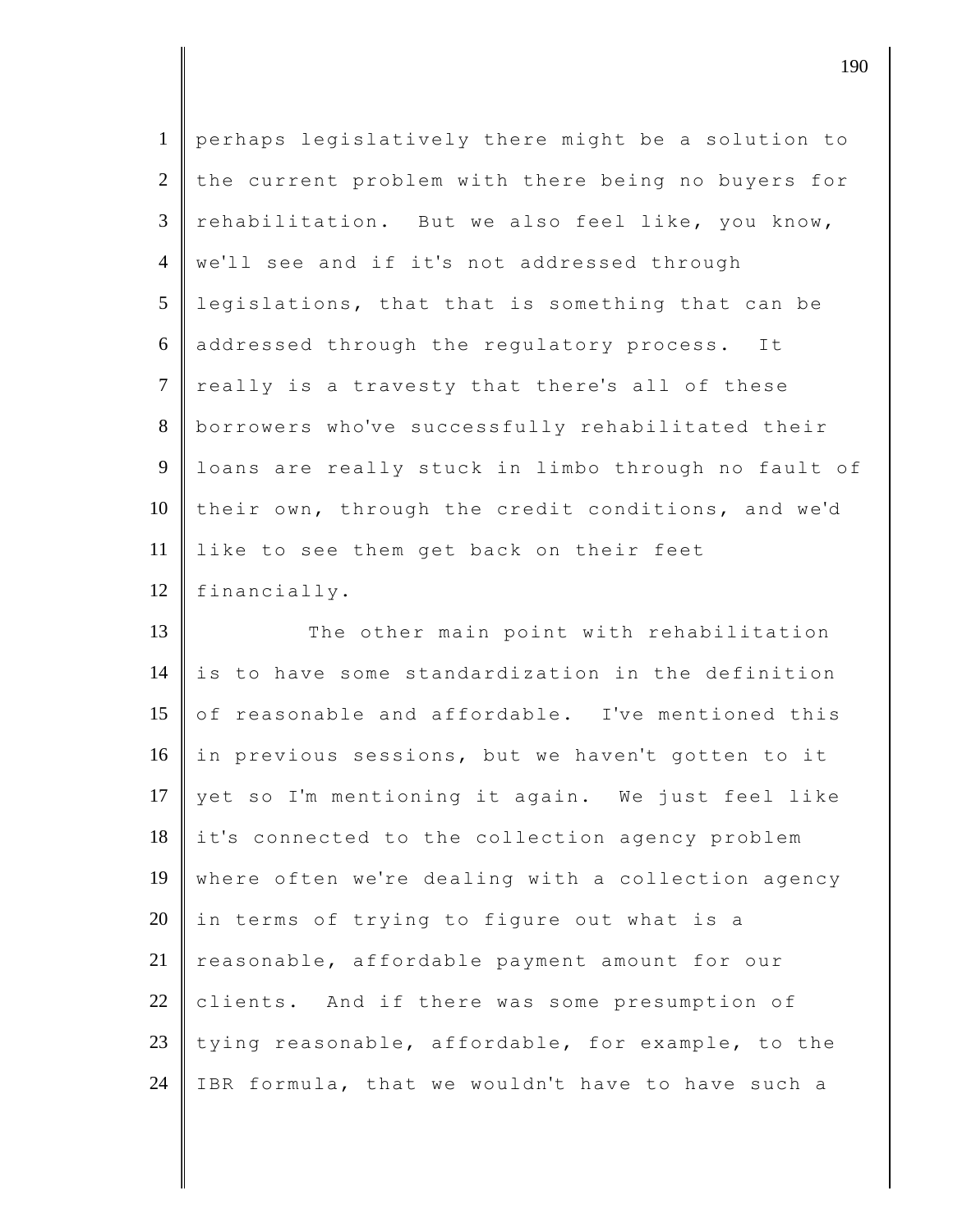| $\mathbf{1}$   | perhaps legislatively there might be a solution to  |
|----------------|-----------------------------------------------------|
| $\overline{2}$ | the current problem with there being no buyers for  |
| $\overline{3}$ | rehabilitation. But we also feel like, you know,    |
| $\overline{4}$ | we'll see and if it's not addressed through         |
| 5              | legislations, that that is something that can be    |
| 6              | addressed through the regulatory process. It        |
| $\tau$         | really is a travesty that there's all of these      |
| 8              | borrowers who've successfully rehabilitated their   |
| 9              | loans are really stuck in limbo through no fault of |
| 10             | their own, through the credit conditions, and we'd  |
| 11             | like to see them get back on their feet             |
| 12             | financially.                                        |
| 13             | The other main point with rehabilitation            |
| 14             | is to have some standardization in the definition   |
| 15             | of reasonable and affordable. I've mentioned this   |
| 16             | in previous sessions, but we haven't gotten to it   |
| 17             | yet so I'm mentioning it again. We just feel like   |
| 18             | it's connected to the collection agency problem     |
| 19             | where often we're dealing with a collection agency  |
| 20             | in terms of trying to figure out what is a          |
| 21             | reasonable, affordable payment amount for our       |
| 22             | clients. And if there was some presumption of       |
| 23             |                                                     |
|                | tying reasonable, affordable, for example, to the   |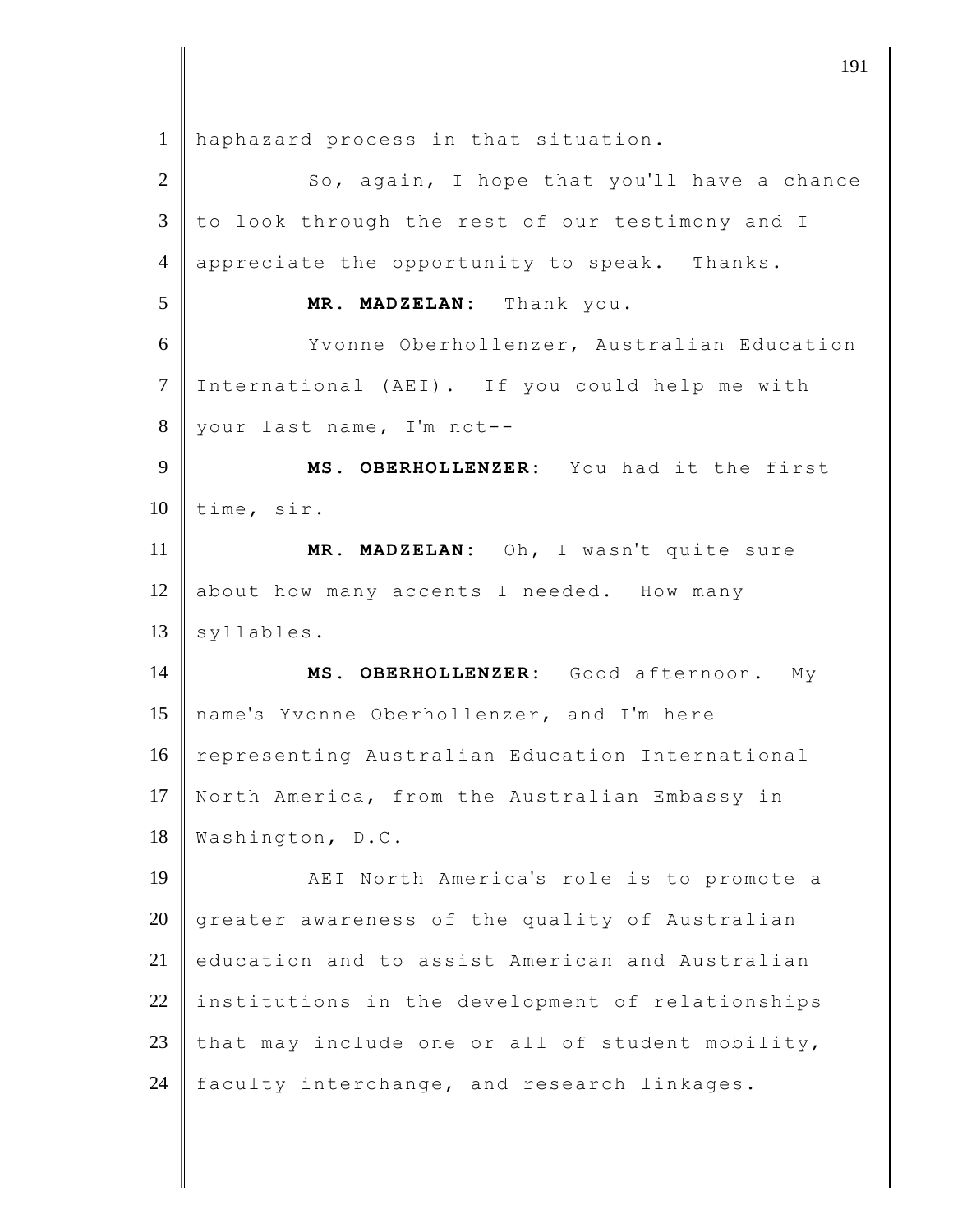haphazard process in that situation. 2 | So, again, I hope that you'll have a chance  $\parallel$  to look through the rest of our testimony and I 4 appreciate the opportunity to speak. Thanks. **MR. MADZELAN:** Thank you. Yvonne Oberhollenzer, Australian Education International (AEI). If you could help me with your last name, I'm not-- **MS. OBERHOLLENZER:** You had it the first 10 time, sir. **MR. MADZELAN:** Oh, I wasn't quite sure 12 about how many accents I needed. How many syllables. **MS. OBERHOLLENZER:** Good afternoon. My name's Yvonne Oberhollenzer, and I'm here 16 representing Australian Education International 17 North America, from the Australian Embassy in Washington, D.C. **AEI** North America's role is to promote a 20 greater awareness of the quality of Australian education and to assist American and Australian institutions in the development of relationships 23 that may include one or all of student mobility, 24 faculty interchange, and research linkages.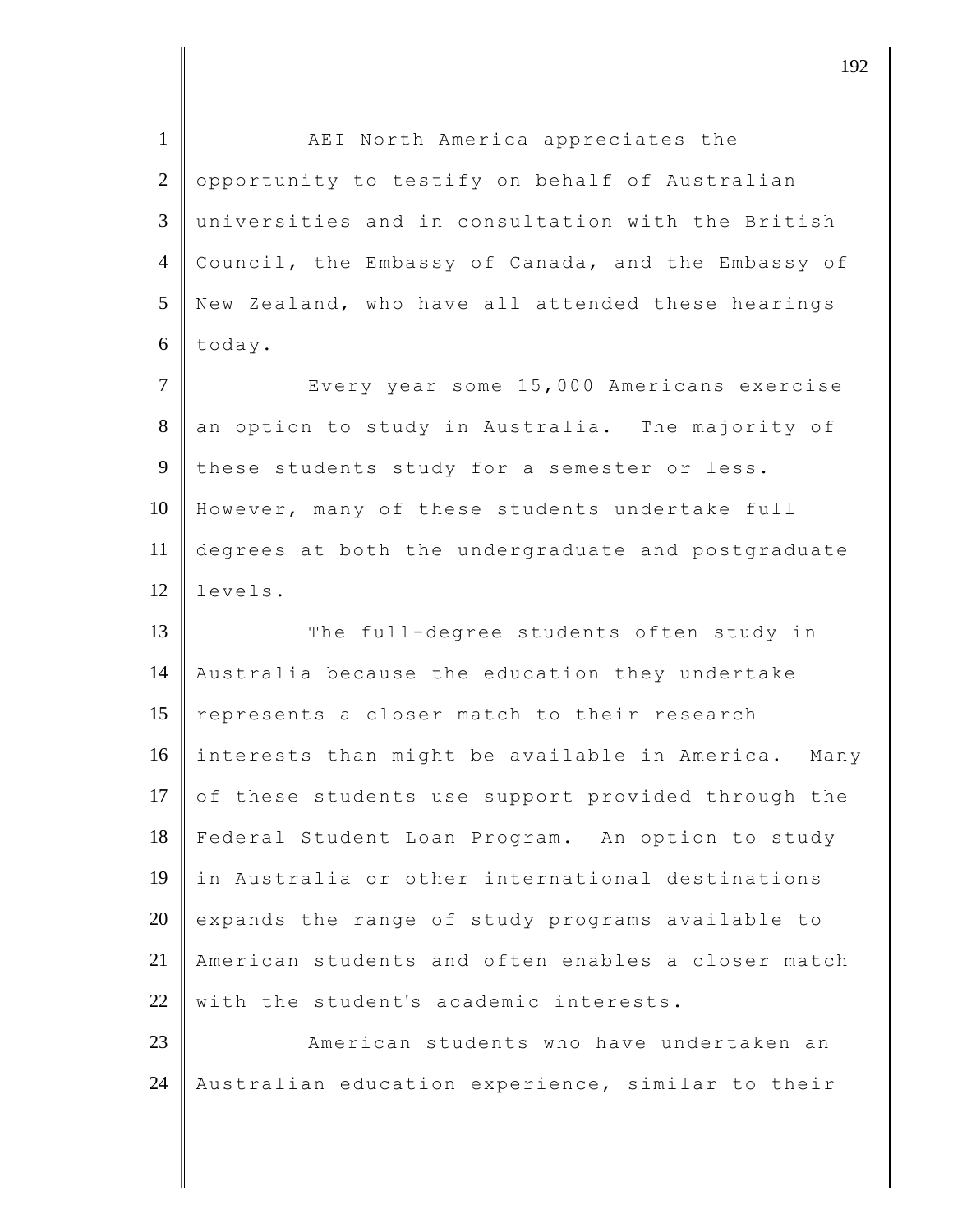1 | AEI North America appreciates the  $2$  opportunity to testify on behalf of Australian 3 universities and in consultation with the British 4 Council, the Embassy of Canada, and the Embassy of 5 New Zealand, who have all attended these hearings 6 today. 7 Every year some 15,000 Americans exercise 8 an option to study in Australia. The majority of 9 these students study for a semester or less. 10 However, many of these students undertake full 11 degrees at both the undergraduate and postgraduate 12 levels. 13 The full-degree students often study in 14 Australia because the education they undertake 15 represents a closer match to their research 16 interests than might be available in America. Many 17 of these students use support provided through the 18 Federal Student Loan Program. An option to study 19 in Australia or other international destinations  $20$  expands the range of study programs available to 21 American students and often enables a closer match  $22$  with the student's academic interests. 23 **American students who have undertaken an** 24 | Australian education experience, similar to their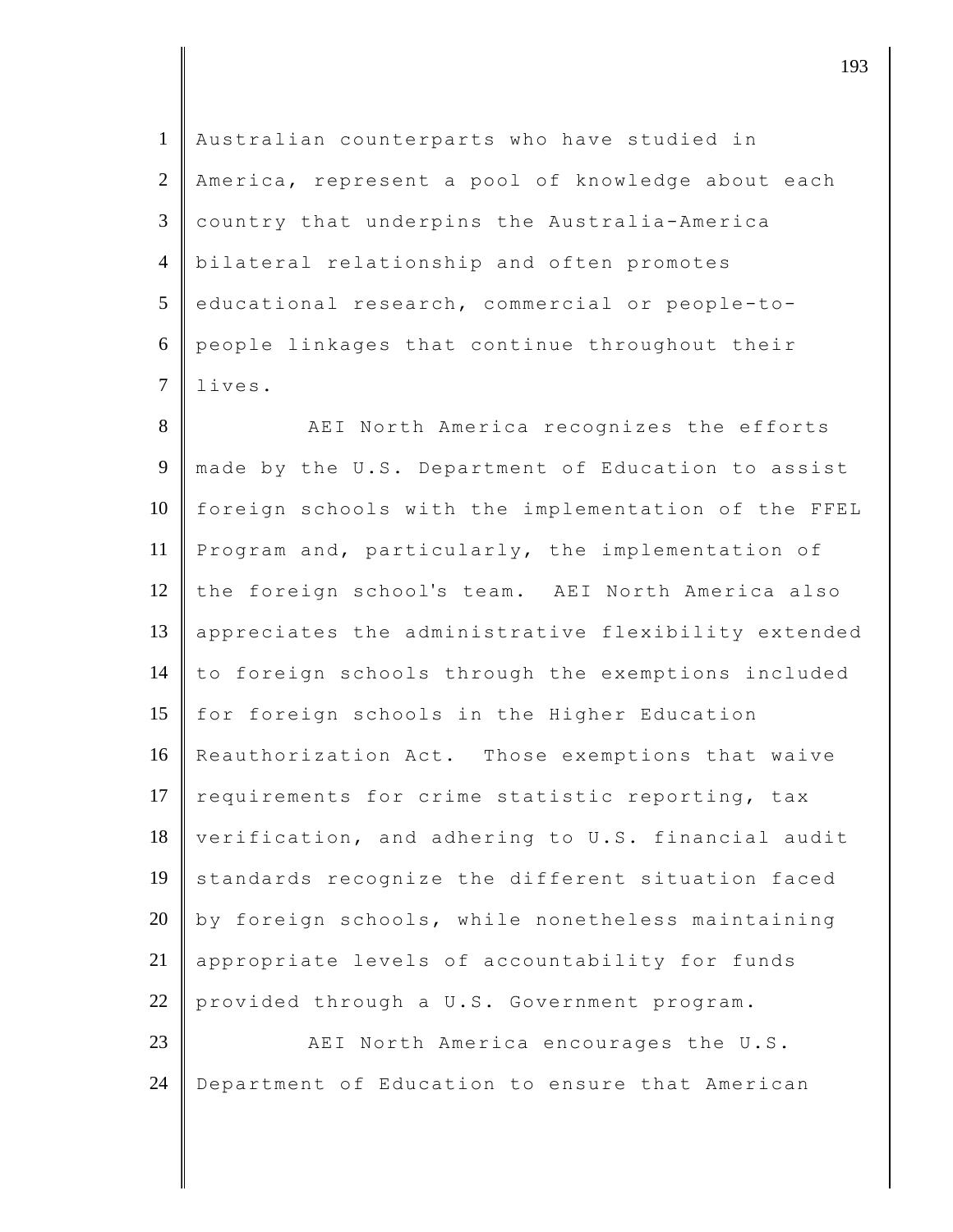Australian counterparts who have studied in 2 America, represent a pool of knowledge about each country that underpins the Australia-America bilateral relationship and often promotes educational research, commercial or people-to- people linkages that continue throughout their 7 lives.

8 AEI North America recognizes the efforts 9 made by the U.S. Department of Education to assist 10 foreign schools with the implementation of the FFEL 11 Program and, particularly, the implementation of 12 the foreign school's team. AEI North America also 13 appreciates the administrative flexibility extended 14 to foreign schools through the exemptions included 15 for foreign schools in the Higher Education 16 Reauthorization Act. Those exemptions that waive 17 requirements for crime statistic reporting, tax 18 verification, and adhering to U.S. financial audit 19 standards recognize the different situation faced  $20$  by foreign schools, while nonetheless maintaining 21 appropriate levels of accountability for funds 22 provided through a U.S. Government program.

23 **AEI** North America encourages the U.S. 24 Department of Education to ensure that American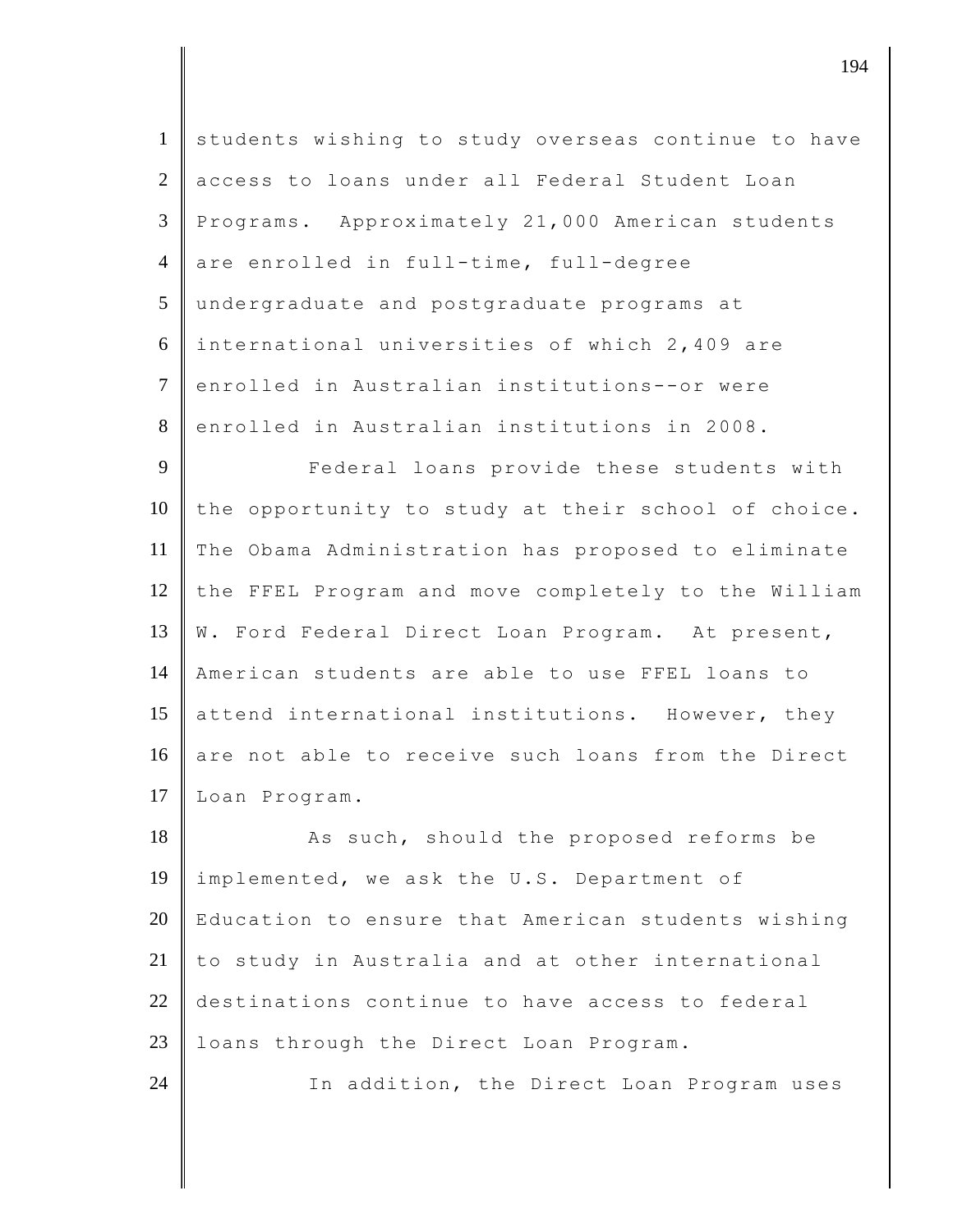| $\mathbf{1}$   | students wishing to study overseas continue to have |
|----------------|-----------------------------------------------------|
| 2              | access to loans under all Federal Student Loan      |
| 3              | Programs. Approximately 21,000 American students    |
| $\overline{4}$ | are enrolled in full-time, full-degree              |
| 5              | undergraduate and postgraduate programs at          |
| 6              | international universities of which 2,409 are       |
| $\tau$         | enrolled in Australian institutions--or were        |
| 8              | enrolled in Australian institutions in 2008.        |
| 9              | Federal loans provide these students with           |
| 10             | the opportunity to study at their school of choice. |
| 11             | The Obama Administration has proposed to eliminate  |
| 12             | the FFEL Program and move completely to the William |
| 13             | W. Ford Federal Direct Loan Program. At present,    |
| 14             | American students are able to use FFEL loans to     |
| 15             | attend international institutions. However, they    |
| 16             | are not able to receive such loans from the Direct  |
| 17             | Loan Program.                                       |
| 18             | As such, should the proposed reforms be             |
| 19             | implemented, we ask the U.S. Department of          |
| 20             | Education to ensure that American students wishing  |
| 21             | to study in Australia and at other international    |
| 22             | destinations continue to have access to federal     |
| 23             | loans through the Direct Loan Program.              |
| 24             | In addition, the Direct Loan Program uses           |
|                |                                                     |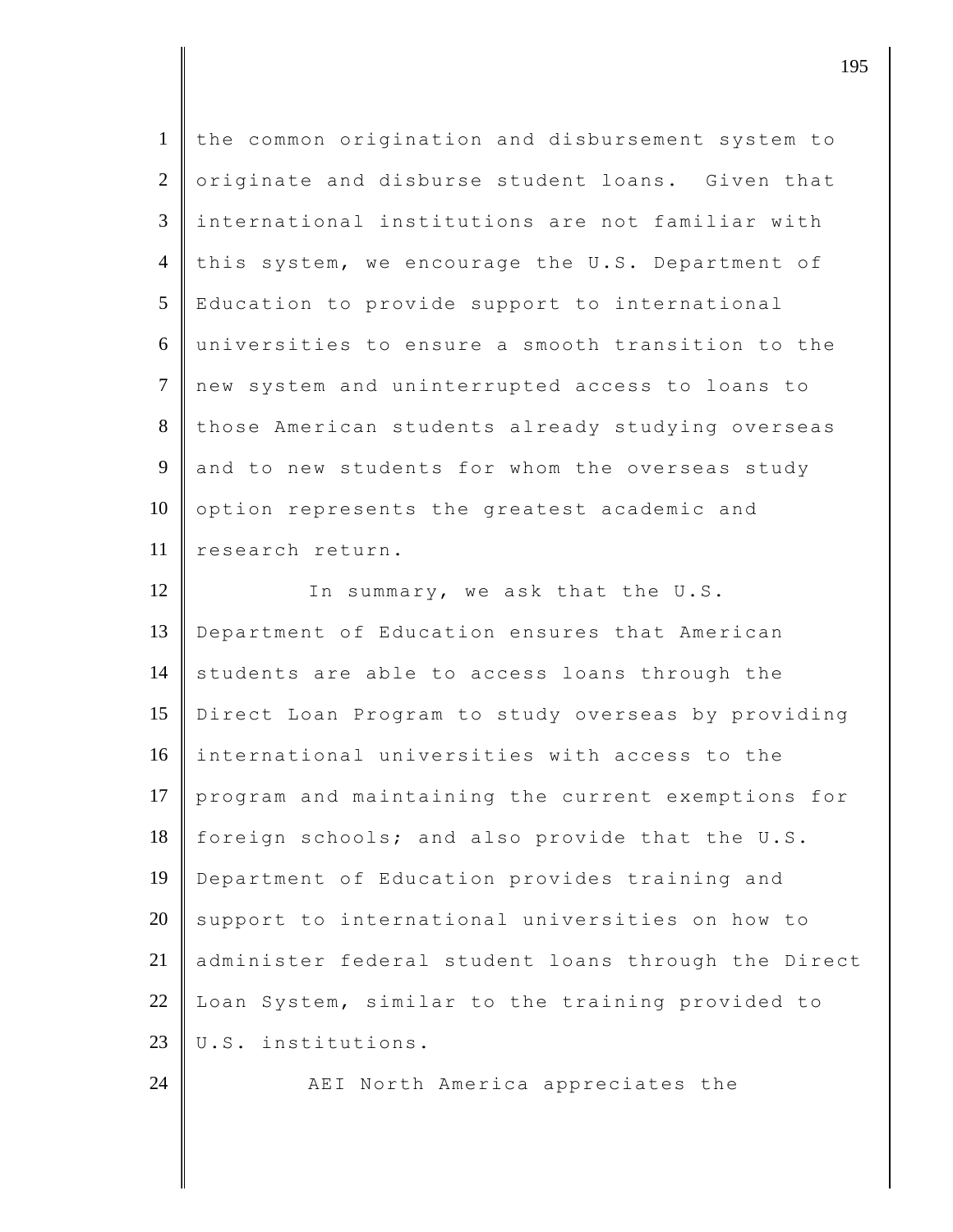| $\mathbf{1}$    | the common origination and disbursement system to   |
|-----------------|-----------------------------------------------------|
| $\overline{2}$  | originate and disburse student loans. Given that    |
| $\mathfrak{Z}$  | international institutions are not familiar with    |
| $\overline{4}$  | this system, we encourage the U.S. Department of    |
| $5\overline{)}$ | Education to provide support to international       |
| 6               | universities to ensure a smooth transition to the   |
| $\tau$          | new system and uninterrupted access to loans to     |
| 8               | those American students already studying overseas   |
| 9               | and to new students for whom the overseas study     |
| 10              | option represents the greatest academic and         |
| 11              | research return.                                    |
| 12              | In summary, we ask that the U.S.                    |
| 13              | Department of Education ensures that American       |
| 14              | students are able to access loans through the       |
| 15              | Direct Loan Program to study overseas by providing  |
| 16              | international universities with access to the       |
| 17              | program and maintaining the current exemptions for  |
| 18              | foreign schools; and also provide that the U.S.     |
| 19              | Department of Education provides training and       |
| 20              | support to international universities on how to     |
| 21              | administer federal student loans through the Direct |
| 22              | Loan System, similar to the training provided to    |
| 23              | U.S. institutions.                                  |
| 24              | AEI North America appreciates the                   |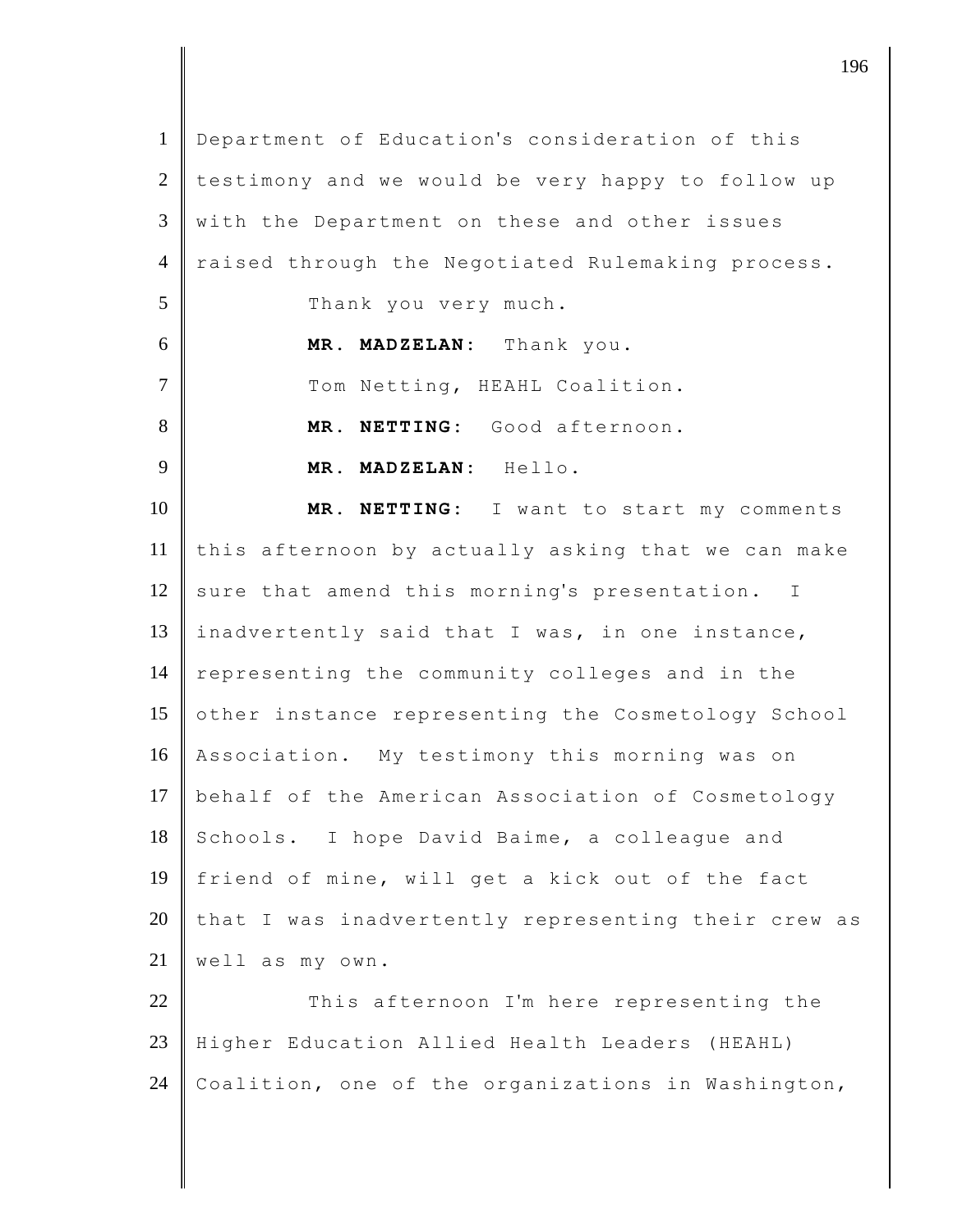| $\mathbf{1}$   | Department of Education's consideration of this     |
|----------------|-----------------------------------------------------|
| $\overline{2}$ | testimony and we would be very happy to follow up   |
| 3              | with the Department on these and other issues       |
| $\overline{4}$ | raised through the Negotiated Rulemaking process.   |
| 5              | Thank you very much.                                |
| 6              | MR. MADZELAN: Thank you.                            |
| $\tau$         | Tom Netting, HEAHL Coalition.                       |
| 8              | MR. NETTING: Good afternoon.                        |
| 9              | MR. MADZELAN: Hello.                                |
| 10             | MR. NETTING: I want to start my comments            |
| 11             | this afternoon by actually asking that we can make  |
| 12             | sure that amend this morning's presentation. I      |
| 13             | inadvertently said that I was, in one instance,     |
| 14             | representing the community colleges and in the      |
| 15             | other instance representing the Cosmetology School  |
| 16             | Association. My testimony this morning was on       |
| 17             | behalf of the American Association of Cosmetology   |
| 18             | Schools. I hope David Baime, a colleague and        |
| 19             | friend of mine, will get a kick out of the fact     |
| 20             | that I was inadvertently representing their crew as |
| 21             | well as my own.                                     |
| 22             | This afternoon I'm here representing the            |
| 23             | Higher Education Allied Health Leaders (HEAHL)      |
| 24             | Coalition, one of the organizations in Washington,  |
|                |                                                     |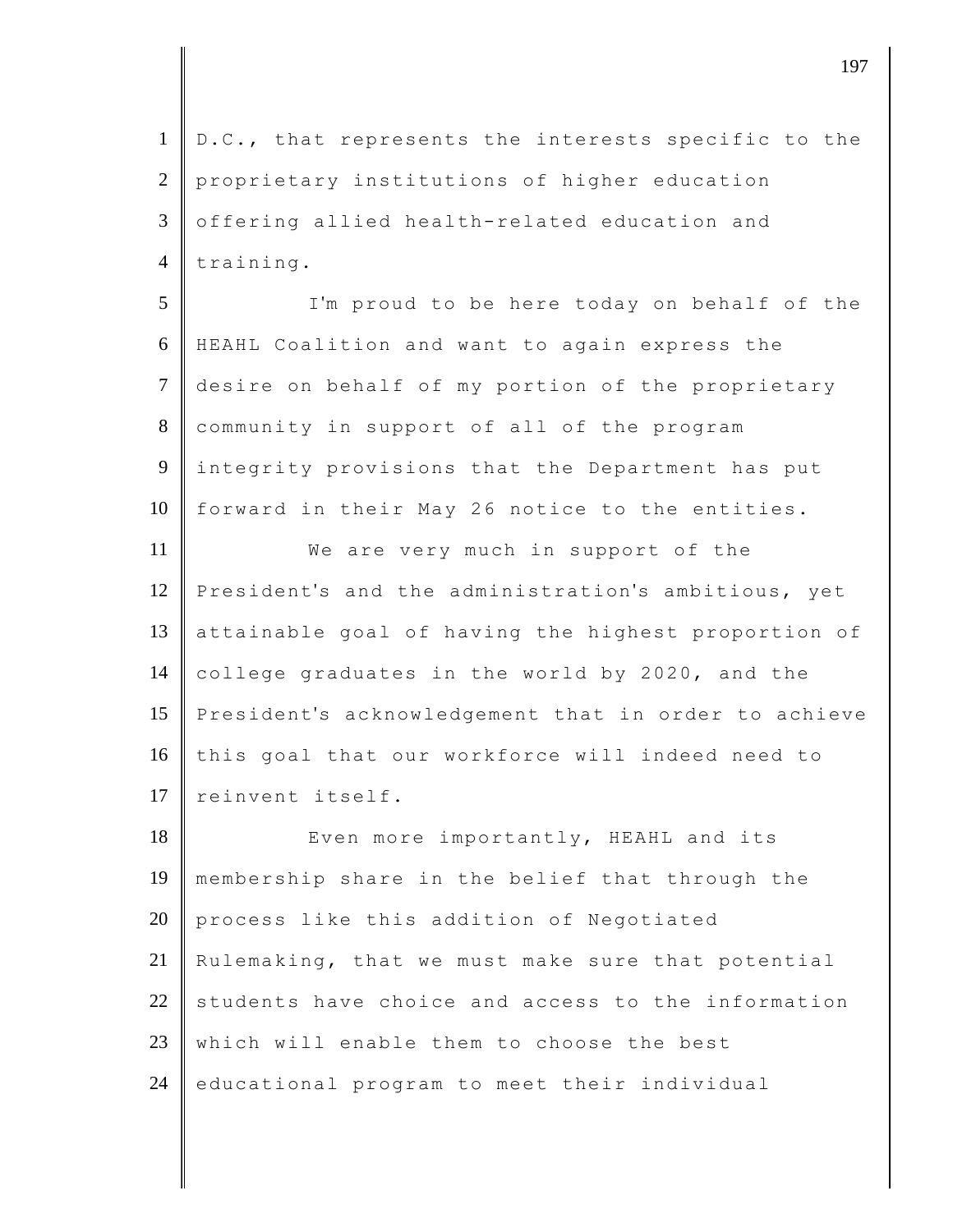1 | D.C., that represents the interests specific to the 2 proprietary institutions of higher education 3 offering allied health-related education and  $4$  | training. 5 I'm proud to be here today on behalf of the 6 HEAHL Coalition and want to again express the 7 desire on behalf of my portion of the proprietary 8 community in support of all of the program 9 integrity provisions that the Department has put 10 | forward in their May 26 notice to the entities. 11 **We are very much in support of the** 12 President's and the administration's ambitious, yet 13 attainable goal of having the highest proportion of 14 college graduates in the world by 2020, and the 15 President's acknowledgement that in order to achieve 16 this goal that our workforce will indeed need to 17 reinvent itself. 18 Even more importantly, HEAHL and its 19 membership share in the belief that through the 20 process like this addition of Negotiated

21 Rulemaking, that we must make sure that potential 22 students have choice and access to the information 23 which will enable them to choose the best  $24$  educational program to meet their individual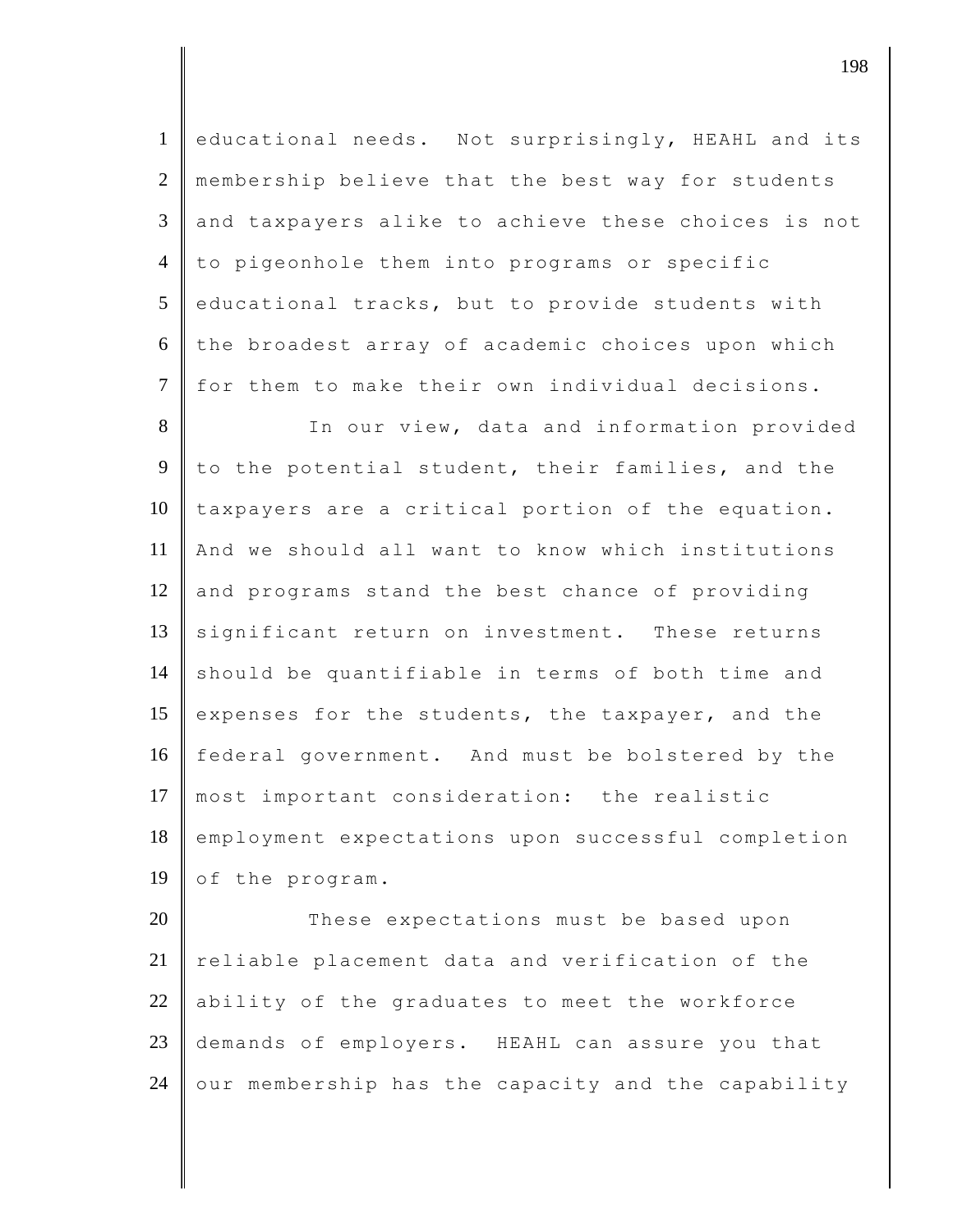1 educational needs. Not surprisingly, HEAHL and its 2 | membership believe that the best way for students 3 and taxpayers alike to achieve these choices is not 4 to pigeonhole them into programs or specific  $5$  educational tracks, but to provide students with  $6$  the broadest array of academic choices upon which 7 | for them to make their own individual decisions.

8 In our view, data and information provided 9 to the potential student, their families, and the  $10$  taxpayers are a critical portion of the equation. 11 And we should all want to know which institutions  $12$  and programs stand the best chance of providing 13 significant return on investment. These returns 14 should be quantifiable in terms of both time and 15 expenses for the students, the taxpayer, and the 16 federal government. And must be bolstered by the 17 most important consideration: the realistic 18 employment expectations upon successful completion 19 of the program.

20 These expectations must be based upon  $21$  reliable placement data and verification of the 22 ability of the graduates to meet the workforce 23 demands of employers. HEAHL can assure you that  $24$  our membership has the capacity and the capability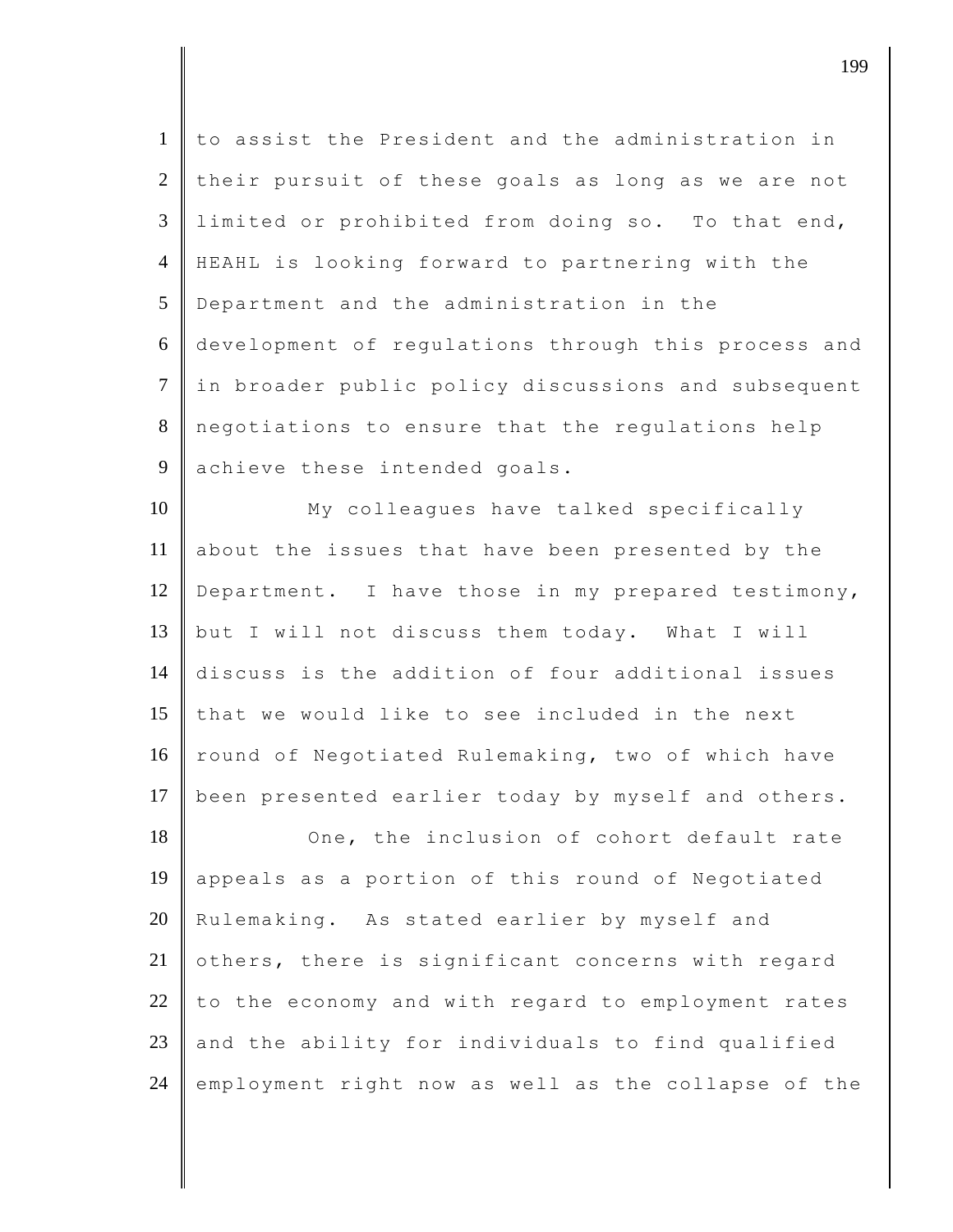| $\mathbf{1}$   | to assist the President and the administration in   |
|----------------|-----------------------------------------------------|
| $\overline{2}$ | their pursuit of these goals as long as we are not  |
| $\mathfrak{Z}$ | limited or prohibited from doing so. To that end,   |
| $\overline{4}$ | HEAHL is looking forward to partnering with the     |
| 5              | Department and the administration in the            |
| 6              | development of regulations through this process and |
| $\overline{7}$ | in broader public policy discussions and subsequent |
| 8              | negotiations to ensure that the regulations help    |
| 9              | achieve these intended goals.                       |
| 10             | My colleagues have talked specifically              |
| 11             | about the issues that have been presented by the    |
| 12             | Department. I have those in my prepared testimony,  |
| 13             | but I will not discuss them today. What I will      |
| 14             | discuss is the addition of four additional issues   |
| 15             | that we would like to see included in the next      |
| 16             | round of Negotiated Rulemaking, two of which have   |
| 17             | been presented earlier today by myself and others.  |
| 18             | One, the inclusion of cohort default rate           |
| 19             | appeals as a portion of this round of Negotiated    |
| 20             | Rulemaking. As stated earlier by myself and         |
| 21             | others, there is significant concerns with regard   |
| 22             | to the economy and with regard to employment rates  |
| 23             | and the ability for individuals to find qualified   |
| 24             | employment right now as well as the collapse of the |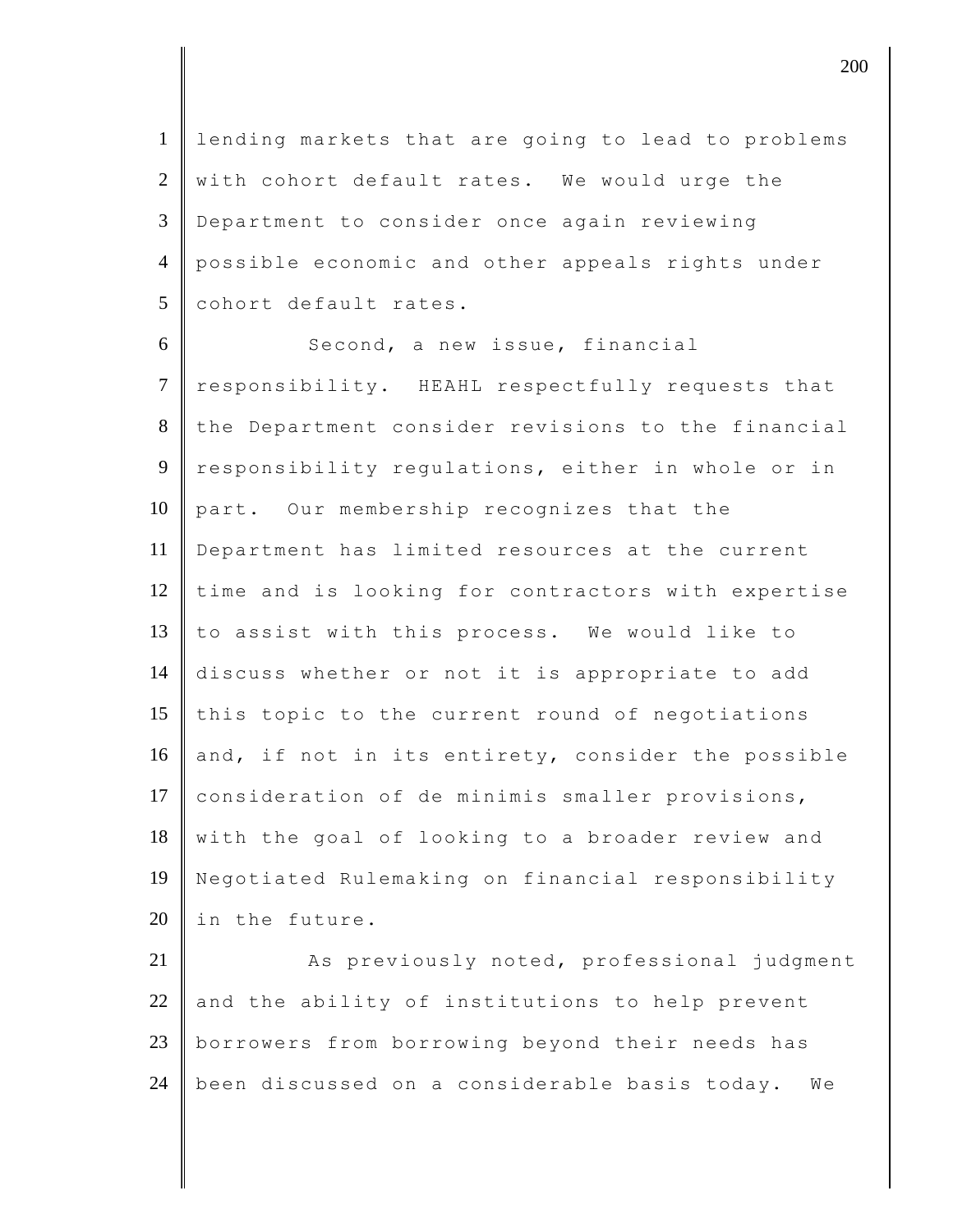1 lending markets that are going to lead to problems  $2 \parallel$  with cohort default rates. We would urge the 3 Department to consider once again reviewing 4 possible economic and other appeals rights under 5 cohort default rates.

6 Second, a new issue, financial 7 responsibility. HEAHL respectfully requests that 8 the Department consider revisions to the financial 9 responsibility regulations, either in whole or in 10 part. Our membership recognizes that the 11 Department has limited resources at the current 12 time and is looking for contractors with expertise 13  $\parallel$  to assist with this process. We would like to 14 discuss whether or not it is appropriate to add 15  $\parallel$  this topic to the current round of negotiations 16 and, if not in its entirety, consider the possible 17 consideration of de minimis smaller provisions, 18 with the goal of looking to a broader review and 19 Negotiated Rulemaking on financial responsibility 20 In the future.

21 As previously noted, professional judgment 22 and the ability of institutions to help prevent 23 borrowers from borrowing beyond their needs has  $24$  been discussed on a considerable basis today. We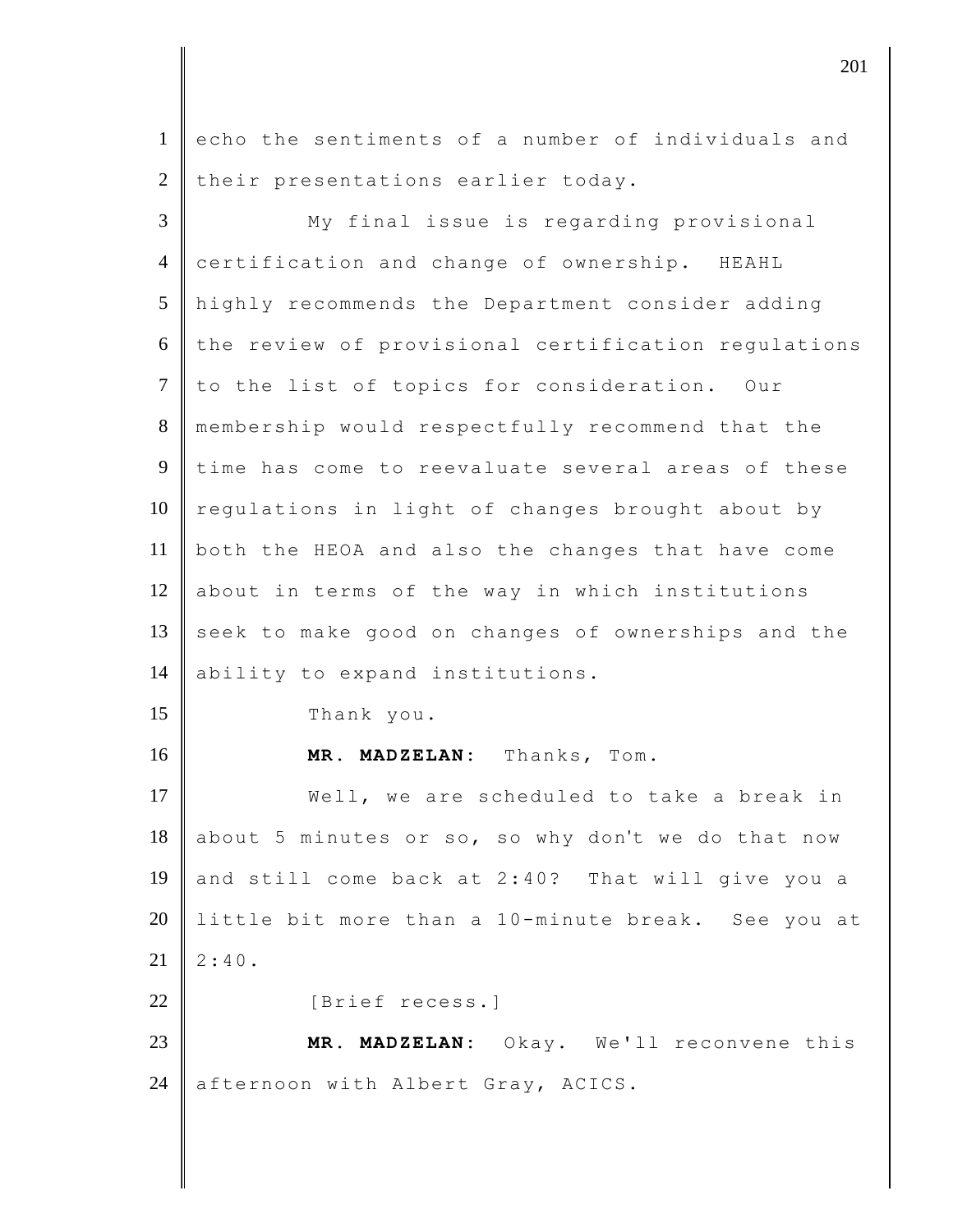1 echo the sentiments of a number of individuals and  $2$  their presentations earlier today.

3 My final issue is regarding provisional 4 certification and change of ownership. HEAHL 5 highly recommends the Department consider adding  $6$  the review of provisional certification regulations 7 to the list of topics for consideration. Our 8 membership would respectfully recommend that the 9 time has come to reevaluate several areas of these  $10$  regulations in light of changes brought about by 11 both the HEOA and also the changes that have come 12 about in terms of the way in which institutions 13 seek to make good on changes of ownerships and the 14 ability to expand institutions. 15 Thank you. 16 **MR. MADZELAN:** Thanks, Tom. 17 Well, we are scheduled to take a break in 18 about 5 minutes or so, so why don't we do that now 19 and still come back at 2:40? That will give you a 20 little bit more than a 10-minute break. See you at  $21 \mid 2:40.$ 22 | [Brief recess.] 23 **MR. MADZELAN:** Okay. We'll reconvene this 24 afternoon with Albert Gray, ACICS.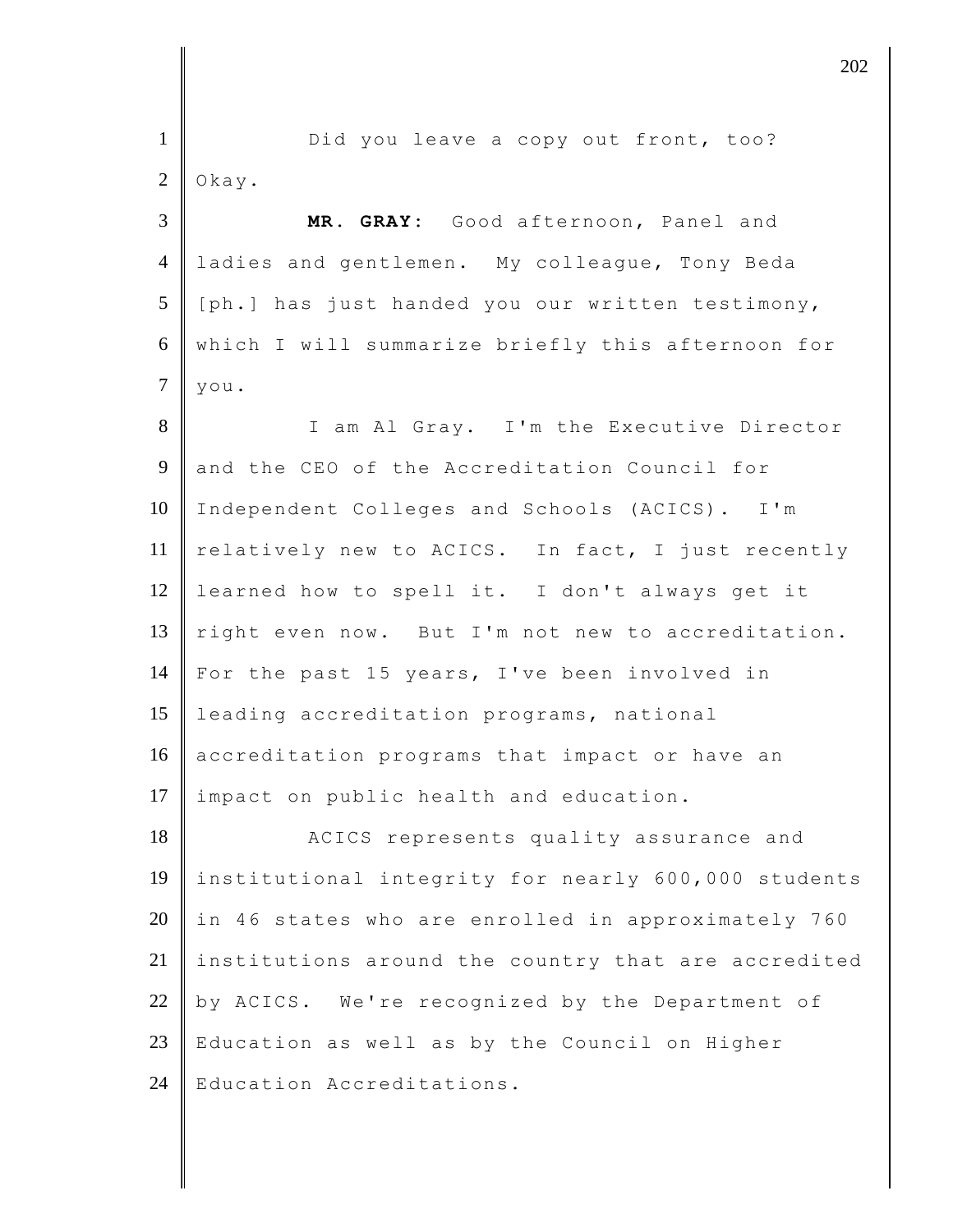| $\mathbf{1}$   | Did you leave a copy out front, too?                |
|----------------|-----------------------------------------------------|
| $\overline{2}$ | Okay.                                               |
| 3              | MR. GRAY: Good afternoon, Panel and                 |
| $\overline{4}$ | ladies and gentlemen. My colleague, Tony Beda       |
| 5              | [ph.] has just handed you our written testimony,    |
| 6              | which I will summarize briefly this afternoon for   |
| $\overline{7}$ | you.                                                |
| 8              | I am Al Gray. I'm the Executive Director            |
| $\overline{9}$ | and the CEO of the Accreditation Council for        |
| 10             | Independent Colleges and Schools (ACICS). I'm       |
| 11             | relatively new to ACICS. In fact, I just recently   |
| 12             | learned how to spell it. I don't always get it      |
| 13             | right even now. But I'm not new to accreditation.   |
| 14             | For the past 15 years, I've been involved in        |
| 15             | leading accreditation programs, national            |
| 16             | accreditation programs that impact or have an       |
| 17             | impact on public health and education.              |
| 18             | ACICS represents quality assurance and              |
| 19             | institutional integrity for nearly 600,000 students |
| 20             | in 46 states who are enrolled in approximately 760  |
| 21             | institutions around the country that are accredited |
| 22             | by ACICS. We're recognized by the Department of     |
| 23             | Education as well as by the Council on Higher       |
| 24             | Education Accreditations.                           |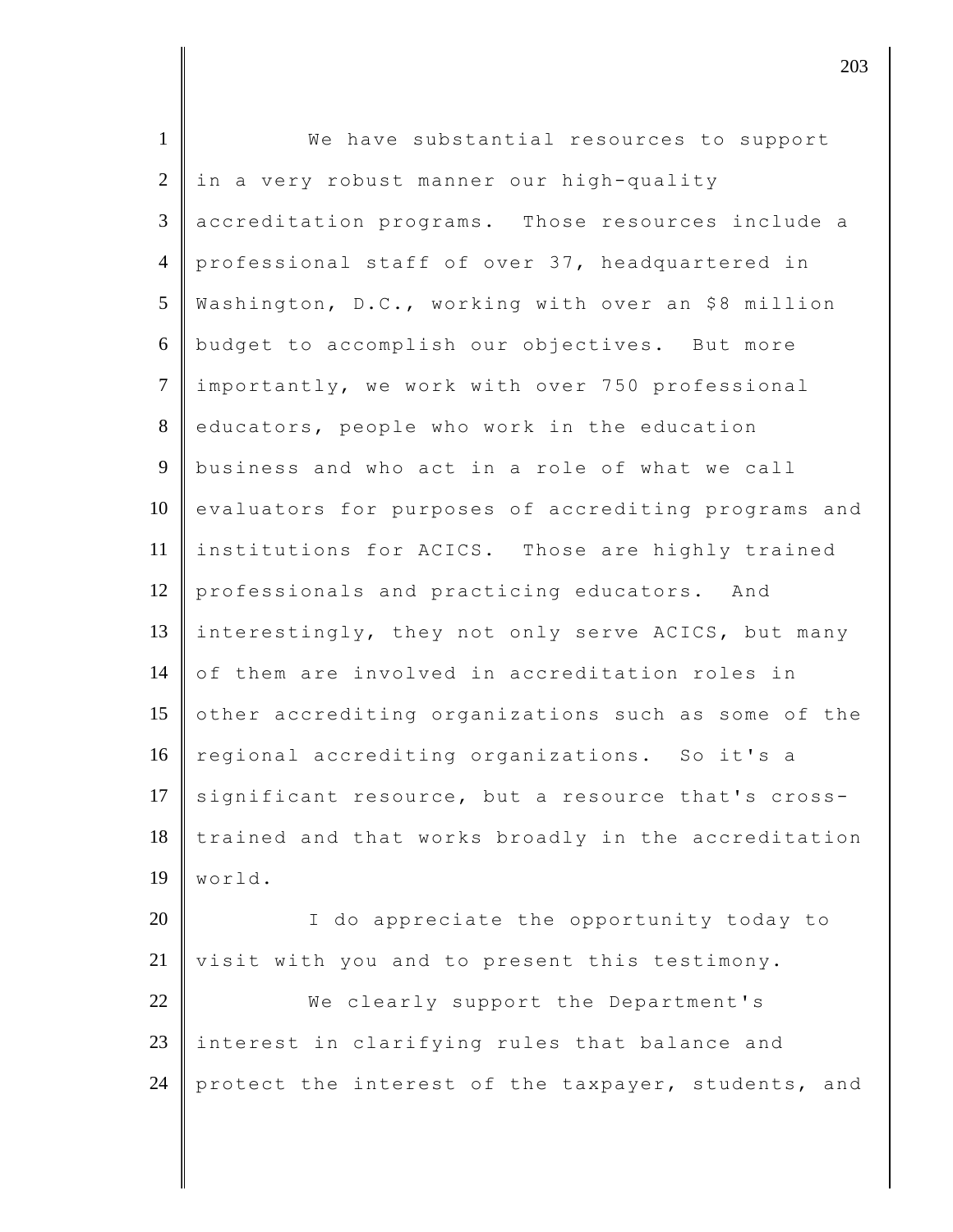| $\mathbf{1}$   | We have substantial resources to support            |
|----------------|-----------------------------------------------------|
| $\overline{2}$ | in a very robust manner our high-quality            |
| $\mathfrak{Z}$ | accreditation programs. Those resources include a   |
| $\overline{4}$ | professional staff of over 37, headquartered in     |
| 5              | Washington, D.C., working with over an \$8 million  |
| 6              | budget to accomplish our objectives. But more       |
| $\tau$         | importantly, we work with over 750 professional     |
| 8              | educators, people who work in the education         |
| 9              | business and who act in a role of what we call      |
| 10             | evaluators for purposes of accrediting programs and |
| 11             | institutions for ACICS. Those are highly trained    |
| 12             | professionals and practicing educators. And         |
| 13             | interestingly, they not only serve ACICS, but many  |
| 14             | of them are involved in accreditation roles in      |
| 15             | other accrediting organizations such as some of the |
| 16             | regional accrediting organizations. So it's a       |
| 17             | significant resource, but a resource that's cross-  |
| 18             | trained and that works broadly in the accreditation |
| 19             | world.                                              |
| 20             | I do appreciate the opportunity today to            |
| 21             | visit with you and to present this testimony.       |
| 22             | We clearly support the Department's                 |
| 23             | interest in clarifying rules that balance and       |
| 24             | protect the interest of the taxpayer, students, and |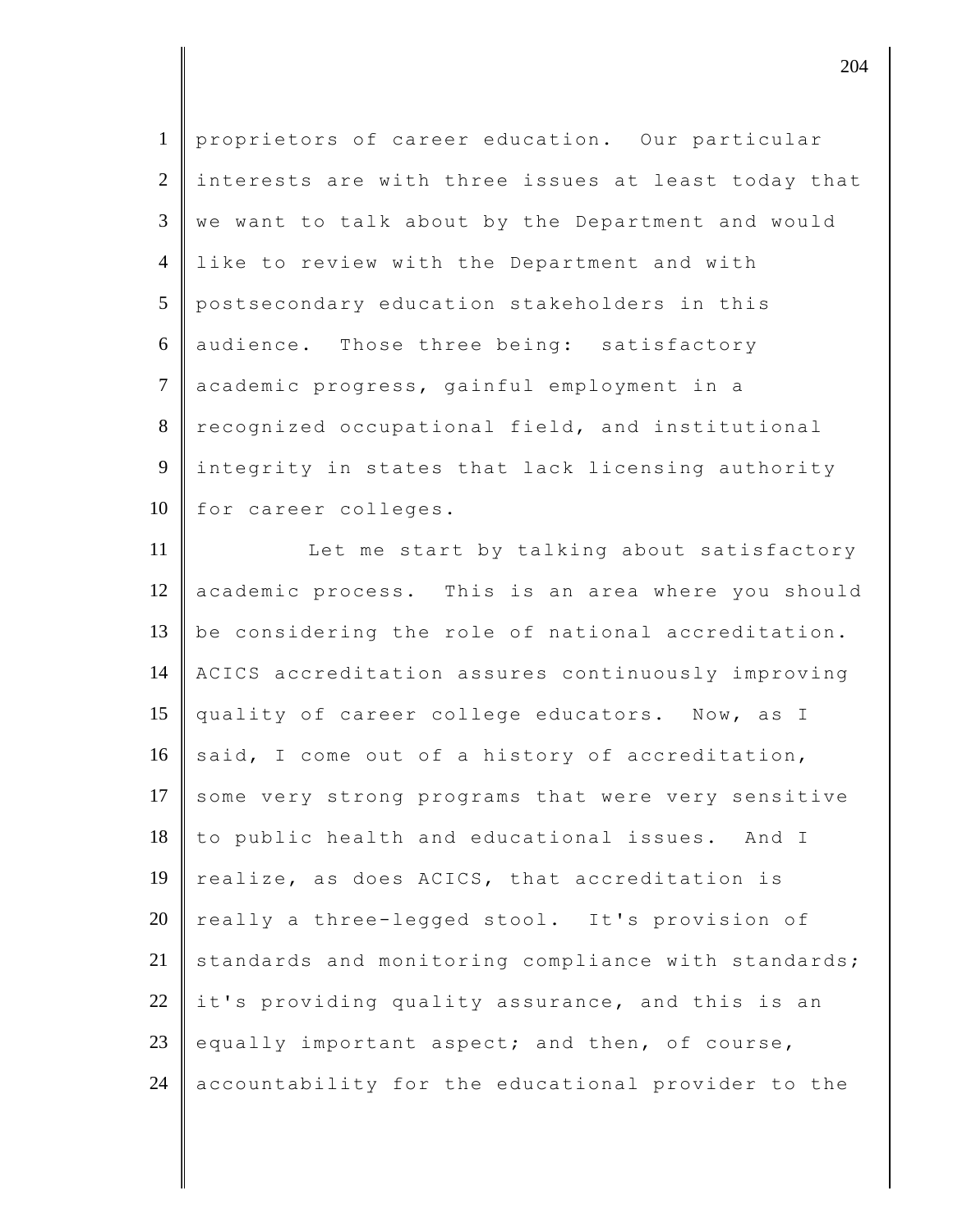1 proprietors of career education. Our particular 2 interests are with three issues at least today that  $3 \parallel w$ e want to talk about by the Department and would 4 like to review with the Department and with 5 postsecondary education stakeholders in this 6 audience. Those three being: satisfactory 7 academic progress, gainful employment in a 8 recognized occupational field, and institutional 9 integrity in states that lack licensing authority 10 for career colleges.

11 | Let me start by talking about satisfactory 12 academic process. This is an area where you should 13 be considering the role of national accreditation. 14 ACICS accreditation assures continuously improving 15 quality of career college educators. Now, as I 16 said, I come out of a history of accreditation, 17 some very strong programs that were very sensitive 18 to public health and educational issues. And I 19  $\parallel$  realize, as does ACICS, that accreditation is 20 really a three-legged stool. It's provision of  $21$  standards and monitoring compliance with standards;  $22$  it's providing quality assurance, and this is an 23 equally important aspect; and then, of course, 24 accountability for the educational provider to the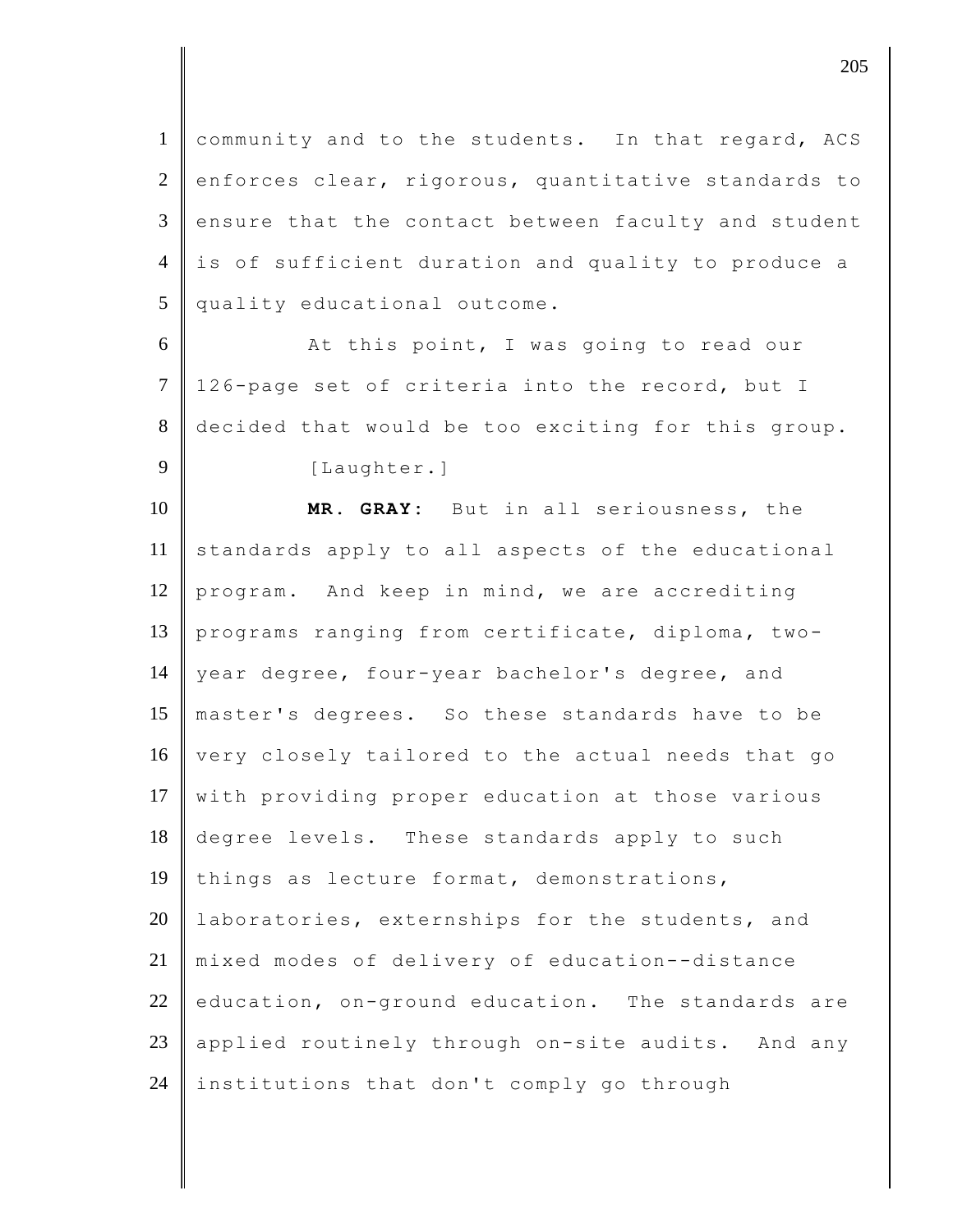1 community and to the students. In that regard, ACS  $2$  enforces clear, rigorous, quantitative standards to  $3$  ensure that the contact between faculty and student 4 is of sufficient duration and quality to produce a 5 quality educational outcome.

6 At this point, I was going to read our 7 | 126-page set of criteria into the record, but I 8 decided that would be too exciting for this group. 9 [Laughter.]

10 **MR. GRAY:** But in all seriousness, the 11 standards apply to all aspects of the educational 12 program. And keep in mind, we are accrediting 13 programs ranging from certificate, diploma, two-14 year degree, four-year bachelor's degree, and 15 master's degrees. So these standards have to be 16 very closely tailored to the actual needs that go 17 with providing proper education at those various 18 degree levels. These standards apply to such 19 things as lecture format, demonstrations, 20 | laboratories, externships for the students, and 21 mixed modes of delivery of education--distance  $22$  education, on-ground education. The standards are 23 applied routinely through on-site audits. And any 24 institutions that don't comply go through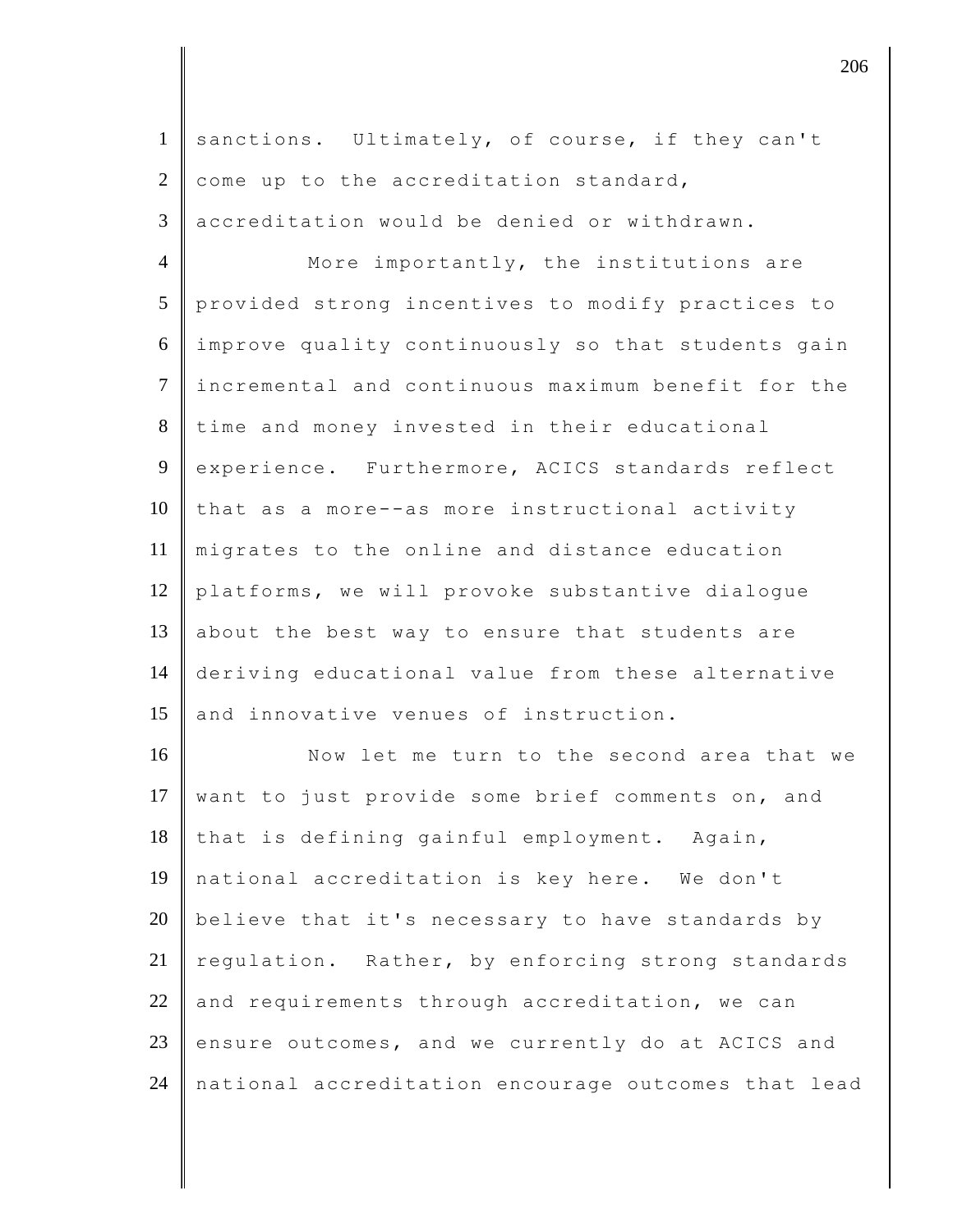| $\mathbf{1}$   | sanctions. Ultimately, of course, if they can't     |
|----------------|-----------------------------------------------------|
| $\overline{2}$ | come up to the accreditation standard,              |
| 3              | accreditation would be denied or withdrawn.         |
| $\overline{4}$ | More importantly, the institutions are              |
| 5              | provided strong incentives to modify practices to   |
| 6              | improve quality continuously so that students gain  |
| $\tau$         | incremental and continuous maximum benefit for the  |
| $8\,$          | time and money invested in their educational        |
| 9              | experience. Furthermore, ACICS standards reflect    |
| 10             | that as a more--as more instructional activity      |
| 11             | migrates to the online and distance education       |
| 12             | platforms, we will provoke substantive dialogue     |
| 13             | about the best way to ensure that students are      |
| 14             | deriving educational value from these alternative   |
| 15             | and innovative venues of instruction.               |
| 16             | Now let me turn to the second area that we          |
| 17             | want to just provide some brief comments on, and    |
| 18             | that is defining gainful employment. Again,         |
| 19             | national accreditation is key here. We don't        |
| 20             | believe that it's necessary to have standards by    |
| 21             | requlation. Rather, by enforcing strong standards   |
| 22             | and requirements through accreditation, we can      |
| 23             | ensure outcomes, and we currently do at ACICS and   |
| 24             | national accreditation encourage outcomes that lead |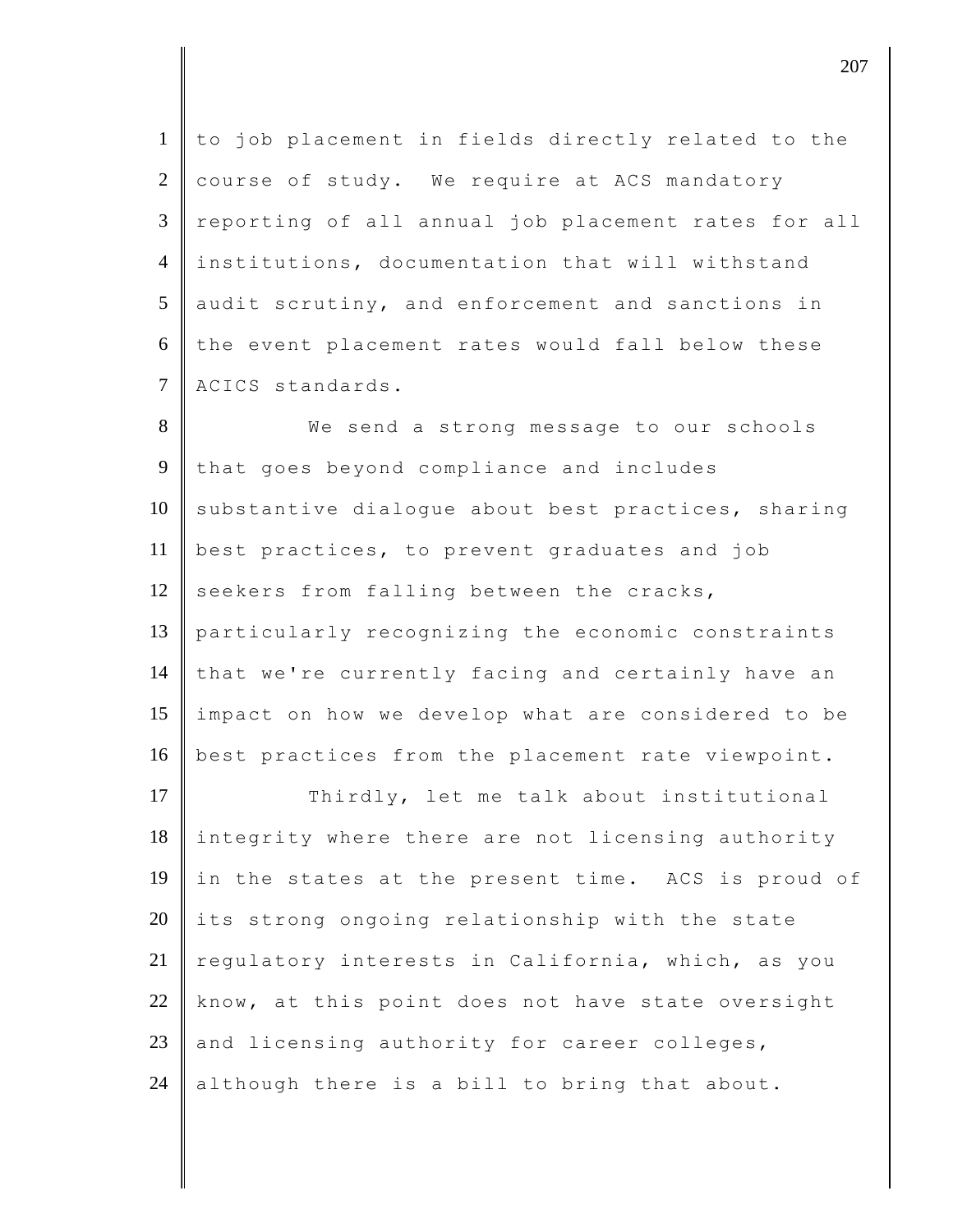to job placement in fields directly related to the  $2 \parallel$  course of study. We require at ACS mandatory reporting of all annual job placement rates for all institutions, documentation that will withstand audit scrutiny, and enforcement and sanctions in the event placement rates would fall below these 7 ACICS standards.

8 We send a strong message to our schools 9 that goes beyond compliance and includes  $10$  substantive dialogue about best practices, sharing 11 best practices, to prevent graduates and job 12 seekers from falling between the cracks, 13 particularly recognizing the economic constraints 14 that we're currently facing and certainly have an 15 impact on how we develop what are considered to be 16 best practices from the placement rate viewpoint.

17 Thirdly, let me talk about institutional 18 integrity where there are not licensing authority 19 in the states at the present time. ACS is proud of  $20$  its strong ongoing relationship with the state 21 regulatory interests in California, which, as you  $22$  know, at this point does not have state oversight 23 | and licensing authority for career colleges, 24 although there is a bill to bring that about.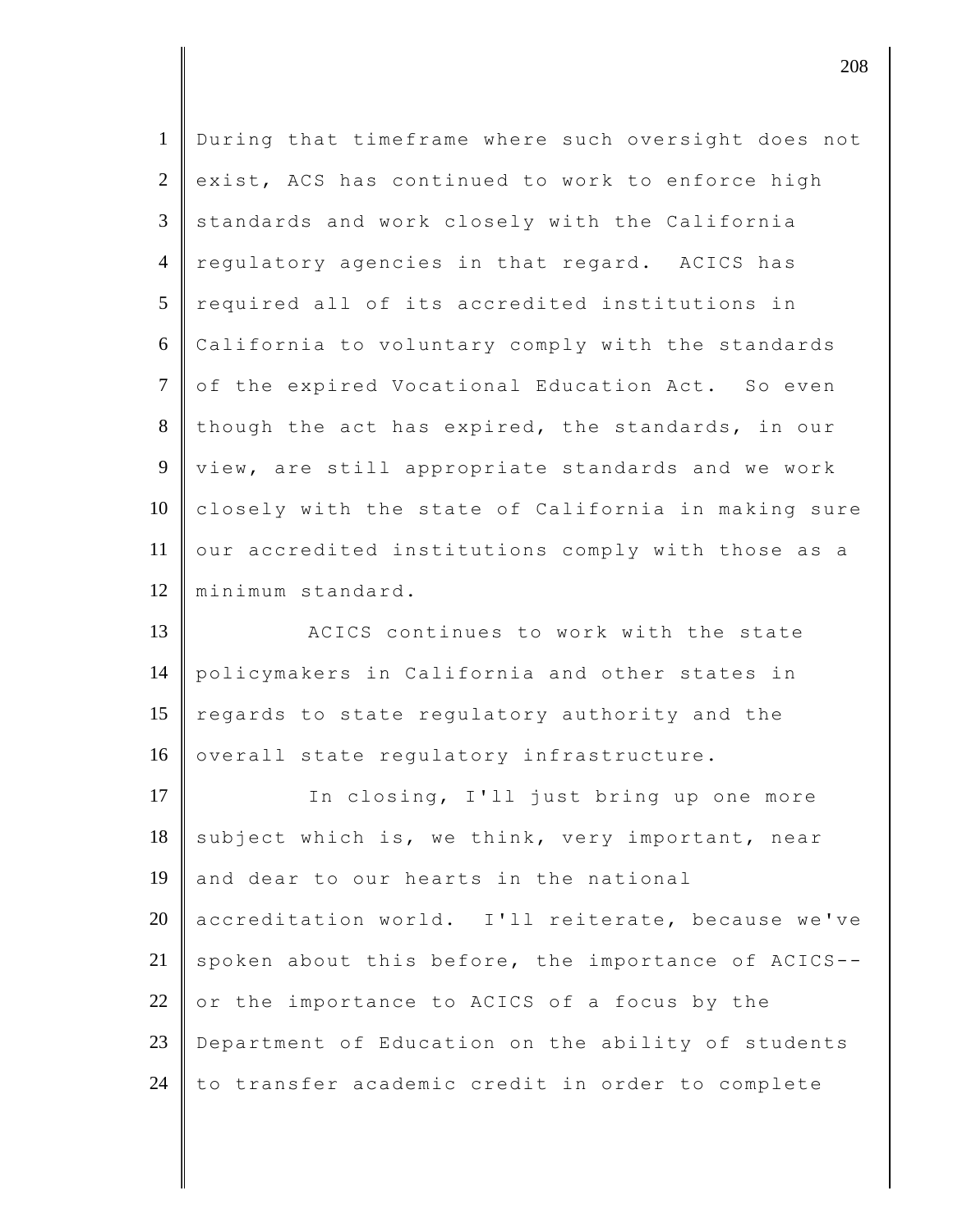| $\mathbf{1}$   | During that timeframe where such oversight does not |
|----------------|-----------------------------------------------------|
| $\overline{2}$ | exist, ACS has continued to work to enforce high    |
| 3              | standards and work closely with the California      |
| $\overline{4}$ | regulatory agencies in that regard. ACICS has       |
| 5              | required all of its accredited institutions in      |
| 6              | California to voluntary comply with the standards   |
| $\tau$         | of the expired Vocational Education Act. So even    |
| 8              | though the act has expired, the standards, in our   |
| 9              | view, are still appropriate standards and we work   |
| 10             | closely with the state of California in making sure |
| 11             | our accredited institutions comply with those as a  |
| 12             | minimum standard.                                   |
| 13             | ACICS continues to work with the state              |
| 14             | policymakers in California and other states in      |
| 15             | regards to state regulatory authority and the       |
| 16             | overall state regulatory infrastructure.            |
| 17             | In closing, I'll just bring up one more             |
| 18             | subject which is, we think, very important, near    |
| 19             | and dear to our hearts in the national              |
| 20             | accreditation world. I'll reiterate, because we've  |
| 21             |                                                     |
| 22             | spoken about this before, the importance of ACICS-- |
|                | or the importance to ACICS of a focus by the        |
| 23             | Department of Education on the ability of students  |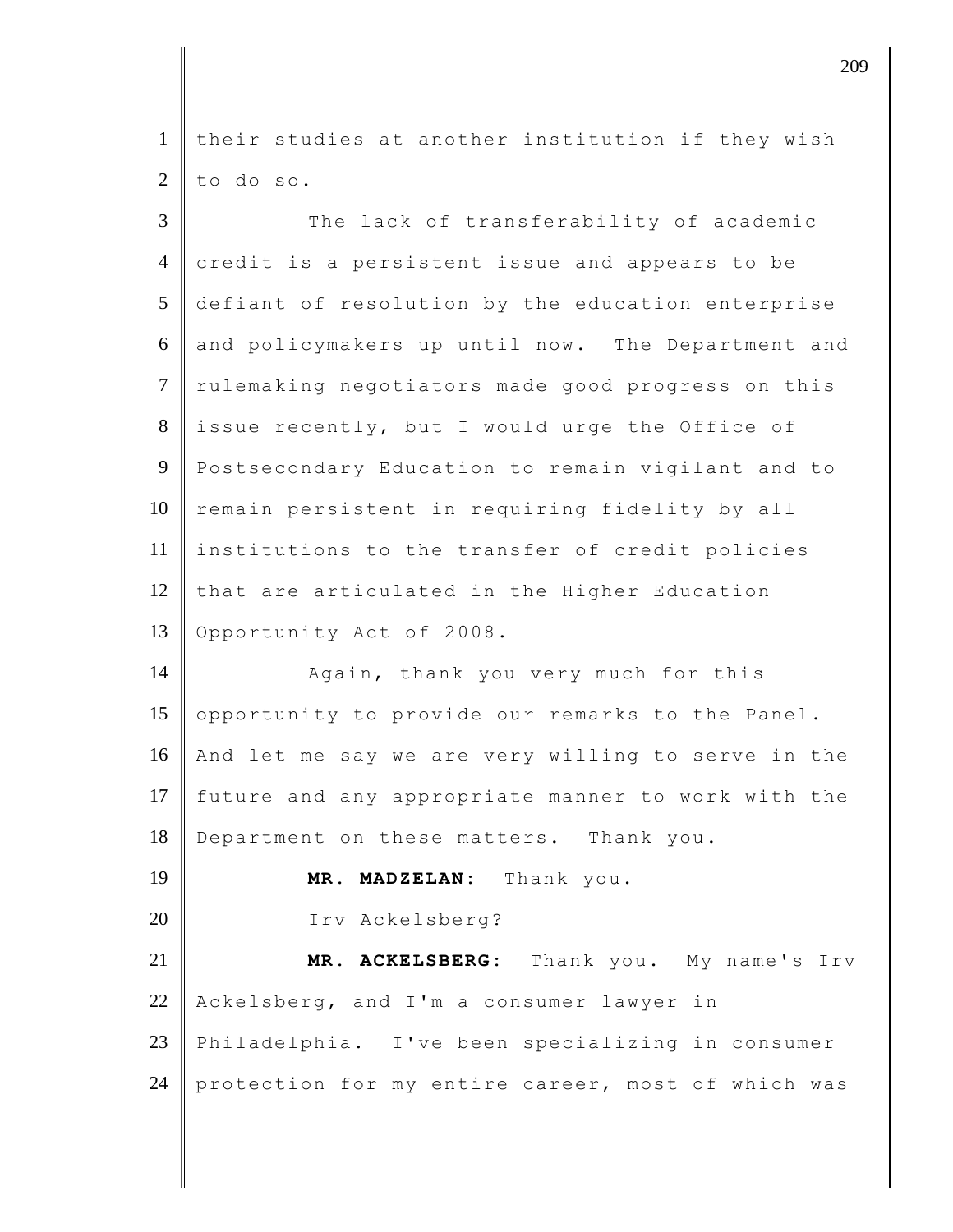1 their studies at another institution if they wish to do so.

| $\overline{3}$ | The lack of transferability of academic            |
|----------------|----------------------------------------------------|
| $\overline{4}$ | credit is a persistent issue and appears to be     |
| 5              | defiant of resolution by the education enterprise  |
| 6              | and policymakers up until now. The Department and  |
| $\tau$         | rulemaking negotiators made good progress on this  |
| 8              | issue recently, but I would urge the Office of     |
| 9              | Postsecondary Education to remain vigilant and to  |
| 10             | remain persistent in requiring fidelity by all     |
| 11             | institutions to the transfer of credit policies    |
| 12             | that are articulated in the Higher Education       |
| 13             | Opportunity Act of 2008.                           |
| 14             | Again, thank you very much for this                |
| 15             | opportunity to provide our remarks to the Panel.   |
| 16             | And let me say we are very willing to serve in the |
| 17             | future and any appropriate manner to work with the |
| 18             | Department on these matters. Thank you.            |
| 19             | MR. MADZELAN: Thank you.                           |
| 20             | Irv Ackelsberg?                                    |
| 21             | ACKELSBERG: Thank you. My name's Irv<br>MR.        |
| 22             |                                                    |
|                | Ackelsberg, and I'm a consumer lawyer in           |
| 23             | Philadelphia. I've been specializing in consumer   |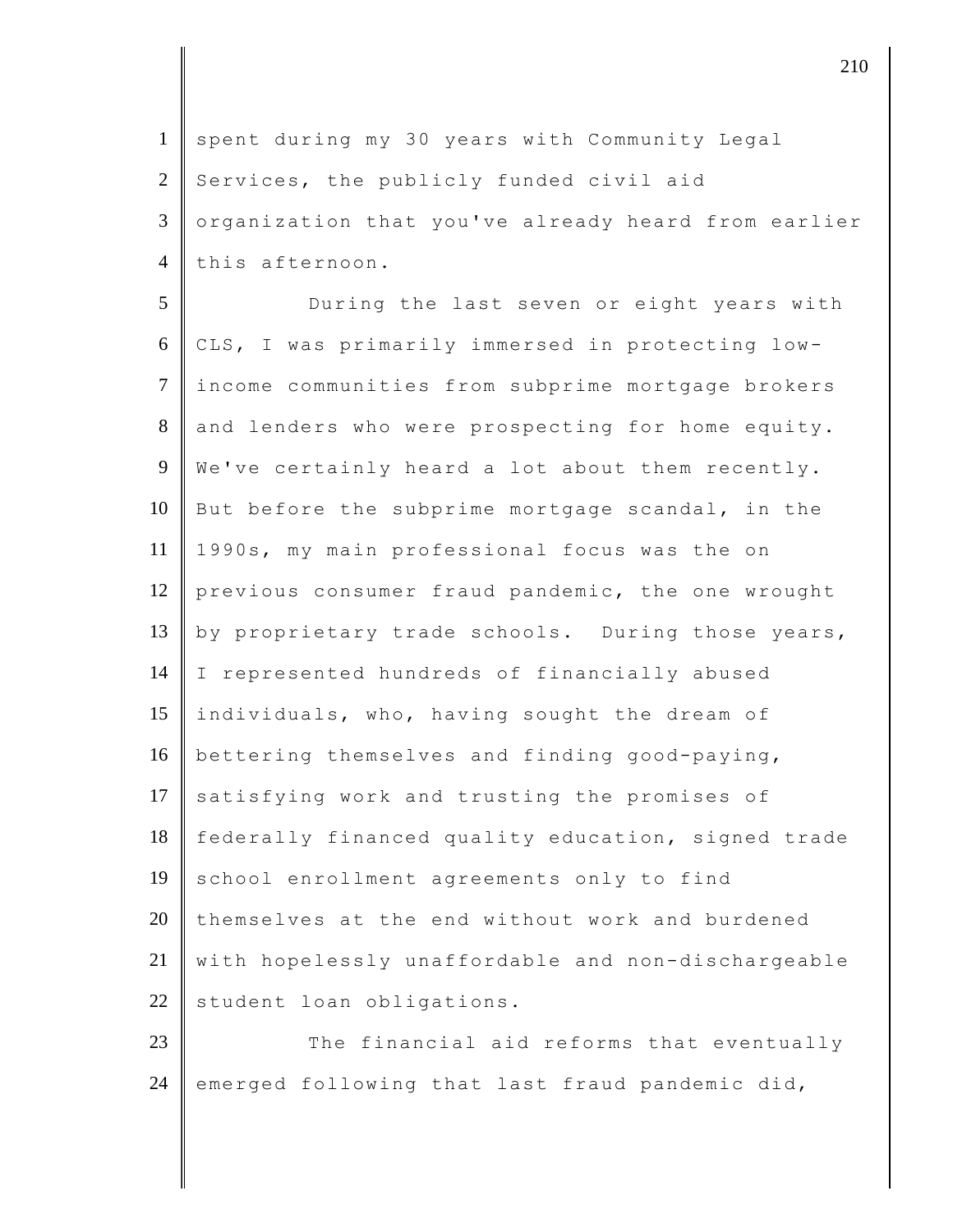1 spent during my 30 years with Community Legal  $2$  Services, the publicly funded civil aid 3 | organization that you've already heard from earlier 4 this afternoon.

5 During the last seven or eight years with 6 CLS, I was primarily immersed in protecting low-7 income communities from subprime mortgage brokers 8 and lenders who were prospecting for home equity. 9 | We've certainly heard a lot about them recently. 10 But before the subprime mortgage scandal, in the 11 1990s, my main professional focus was the on 12 previous consumer fraud pandemic, the one wrought 13  $\parallel$  by proprietary trade schools. During those years, 14 I represented hundreds of financially abused 15 individuals, who, having sought the dream of 16 bettering themselves and finding good-paying, 17 satisfying work and trusting the promises of 18 federally financed quality education, signed trade 19 school enrollment agreements only to find 20 themselves at the end without work and burdened 21 with hopelessly unaffordable and non-dischargeable 22 student loan obligations.

23 The financial aid reforms that eventually 24 emerged following that last fraud pandemic did,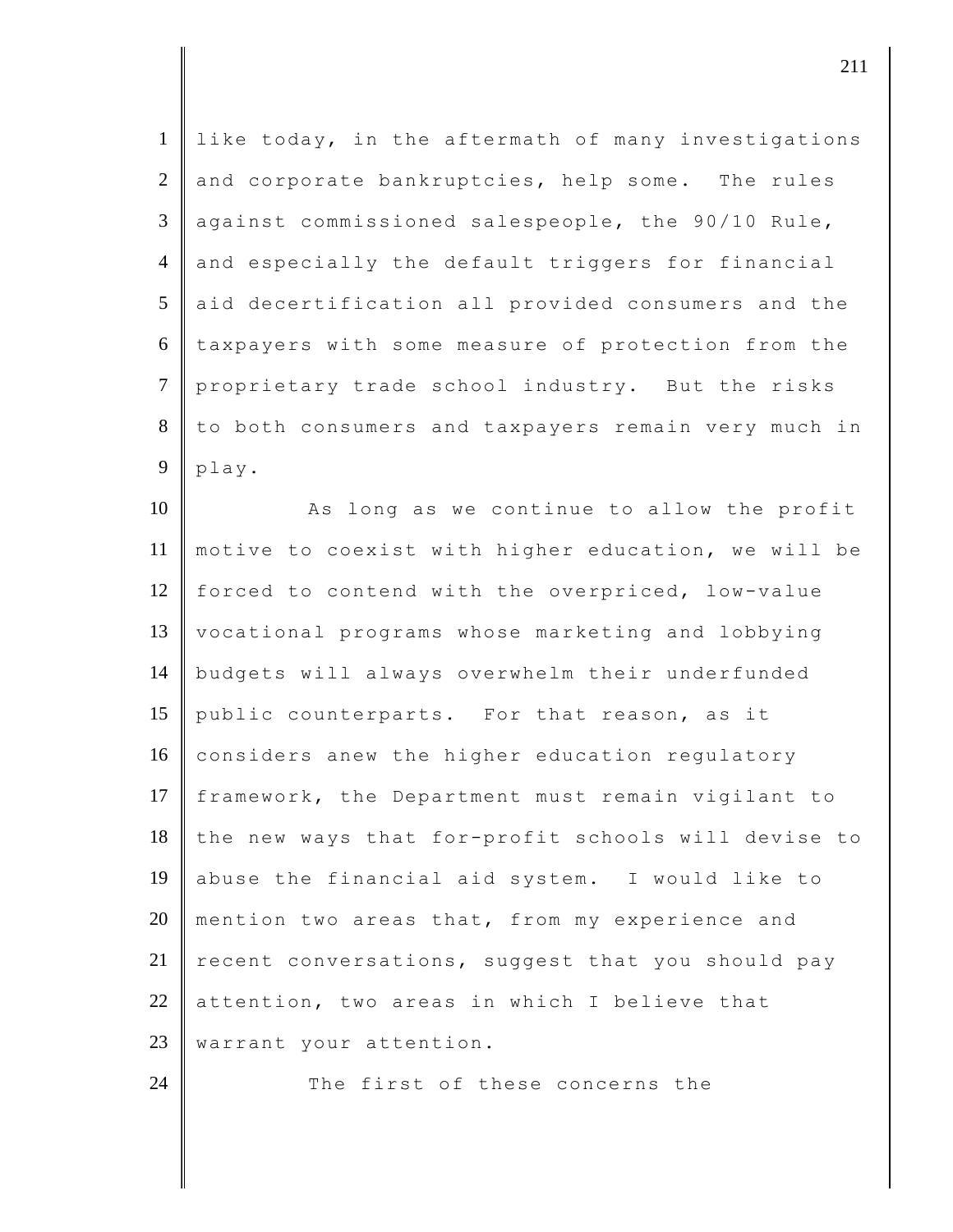| $\mathbf{1}$   | like today, in the aftermath of many investigations |
|----------------|-----------------------------------------------------|
| $\overline{2}$ | and corporate bankruptcies, help some. The rules    |
| 3              | against commissioned salespeople, the 90/10 Rule,   |
| $\overline{4}$ | and especially the default triggers for financial   |
| 5              | aid decertification all provided consumers and the  |
| 6              | taxpayers with some measure of protection from the  |
| $\overline{7}$ | proprietary trade school industry. But the risks    |
| 8              | to both consumers and taxpayers remain very much in |
| 9              | play.                                               |
| 10             | As long as we continue to allow the profit          |
| 11             | motive to coexist with higher education, we will be |
| 12             | forced to contend with the overpriced, low-value    |
| 13             | vocational programs whose marketing and lobbying    |
| 14             | budgets will always overwhelm their underfunded     |
| 15             | public counterparts. For that reason, as it         |
| 16             | considers anew the higher education regulatory      |
| 17             | framework, the Department must remain vigilant to   |
| 18             | the new ways that for-profit schools will devise to |
| 19             | abuse the financial aid system. I would like to     |
| 20             | mention two areas that, from my experience and      |
| 21             | recent conversations, suggest that you should pay   |
| 22             | attention, two areas in which I believe that        |
| 23             | warrant your attention.                             |
| 24             | The first of these concerns the                     |

djective the contract of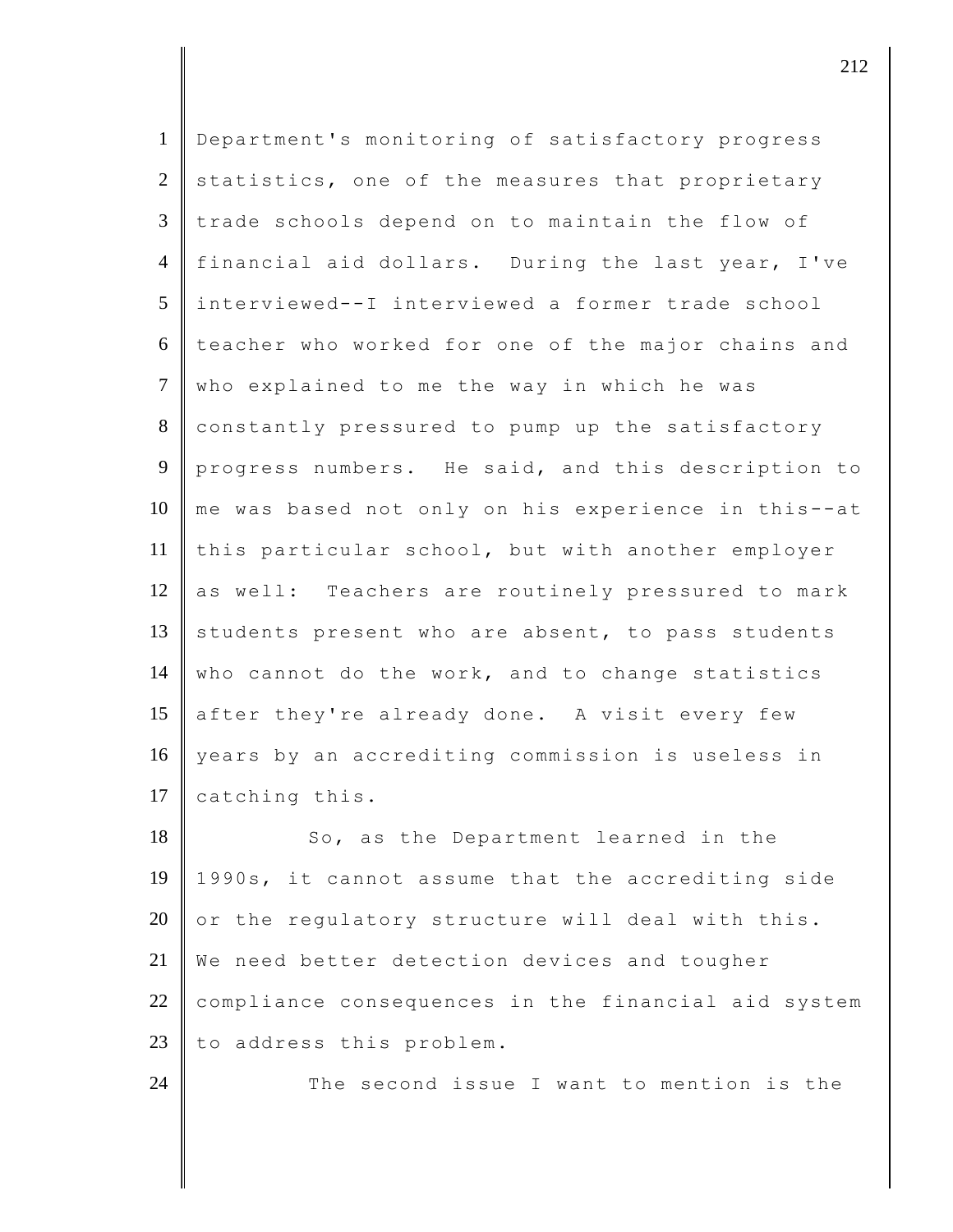| $\mathbf{1}$   | Department's monitoring of satisfactory progress    |
|----------------|-----------------------------------------------------|
| 2              | statistics, one of the measures that proprietary    |
| 3              | trade schools depend on to maintain the flow of     |
| $\overline{4}$ | financial aid dollars. During the last year, I've   |
| 5              | interviewed--I interviewed a former trade school    |
| 6              | teacher who worked for one of the major chains and  |
| $\tau$         | who explained to me the way in which he was         |
| 8              | constantly pressured to pump up the satisfactory    |
| 9              | progress numbers. He said, and this description to  |
| 10             | me was based not only on his experience in this--at |
| 11             | this particular school, but with another employer   |
| 12             | as well: Teachers are routinely pressured to mark   |
| 13             | students present who are absent, to pass students   |
| 14             | who cannot do the work, and to change statistics    |
| 15             | after they're already done. A visit every few       |
| 16             | years by an accrediting commission is useless in    |
| 17             | catching this.                                      |
| 18             | So, as the Department learned in the                |
| 19             | 1990s, it cannot assume that the accrediting side   |
| 20             | or the regulatory structure will deal with this.    |
| 21             | We need better detection devices and tougher        |
| 22             | compliance consequences in the financial aid system |
| 23             | to address this problem.                            |
| 24             | The second issue I want to mention is the           |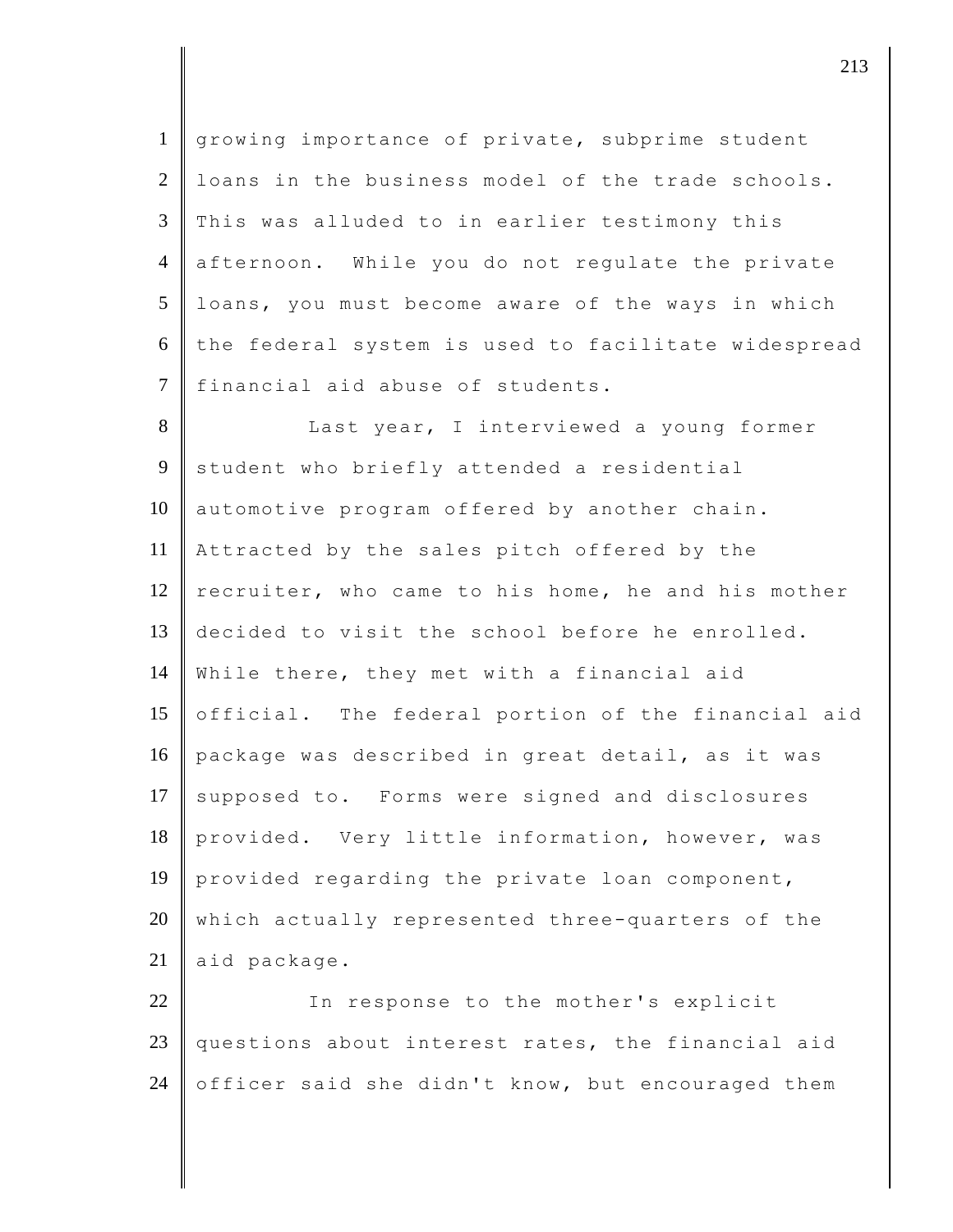1 growing importance of private, subprime student 2 loans in the business model of the trade schools. 3 This was alluded to in earlier testimony this 4 afternoon. While you do not regulate the private 5 loans, you must become aware of the ways in which  $6$  the federal system is used to facilitate widespread 7 financial aid abuse of students.

8 Last year, I interviewed a young former 9 student who briefly attended a residential 10 automotive program offered by another chain. 11 Attracted by the sales pitch offered by the 12  $\parallel$  recruiter, who came to his home, he and his mother 13 decided to visit the school before he enrolled. 14 While there, they met with a financial aid 15 official. The federal portion of the financial aid 16 package was described in great detail, as it was 17 supposed to. Forms were signed and disclosures 18 provided. Very little information, however, was 19 provided regarding the private loan component,  $20$  which actually represented three-quarters of the 21 aid package.

22 In response to the mother's explicit 23 questions about interest rates, the financial aid 24 officer said she didn't know, but encouraged them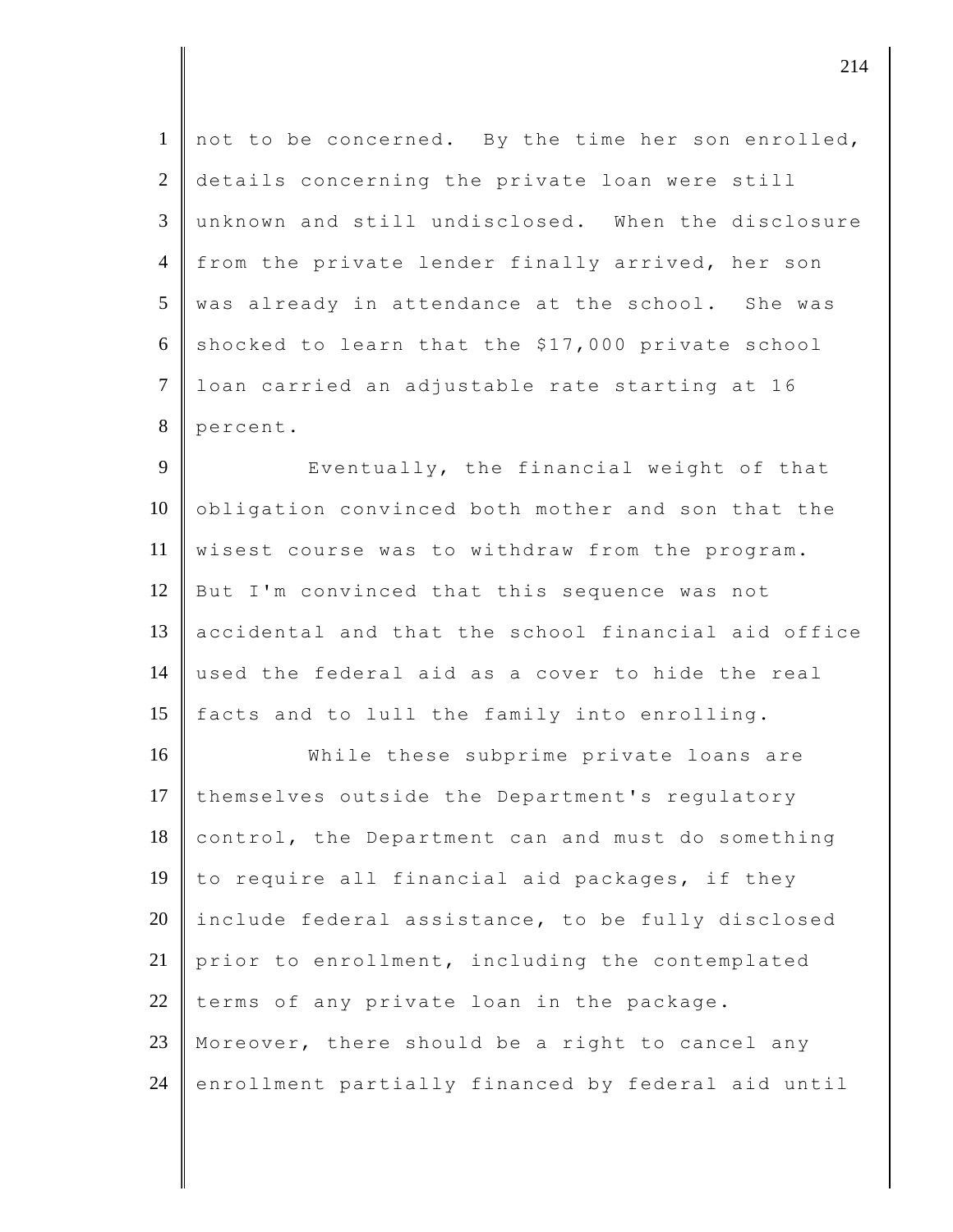| $\mathbf{1}$   | not to be concerned. By the time her son enrolled,  |
|----------------|-----------------------------------------------------|
| $\overline{2}$ | details concerning the private loan were still      |
| 3              | unknown and still undisclosed. When the disclosure  |
| $\overline{4}$ | from the private lender finally arrived, her son    |
| 5              | was already in attendance at the school. She was    |
| 6              | shocked to learn that the \$17,000 private school   |
| $\tau$         | loan carried an adjustable rate starting at 16      |
| 8              | percent.                                            |
| 9              | Eventually, the financial weight of that            |
| 10             | obligation convinced both mother and son that the   |
| 11             | wisest course was to withdraw from the program.     |
| 12             | But I'm convinced that this sequence was not        |
| 13             | accidental and that the school financial aid office |
| 14             | used the federal aid as a cover to hide the real    |
| 15             | facts and to lull the family into enrolling.        |
| 16             | While these subprime private loans are              |
| 17             | themselves outside the Department's regulatory      |
| 18             | control, the Department can and must do something   |
| 19             | to require all financial aid packages, if they      |
| 20             | include federal assistance, to be fully disclosed   |
| 21             | prior to enrollment, including the contemplated     |
| 22             | terms of any private loan in the package.           |

23 Moreover, there should be a right to cancel any 24 enrollment partially financed by federal aid until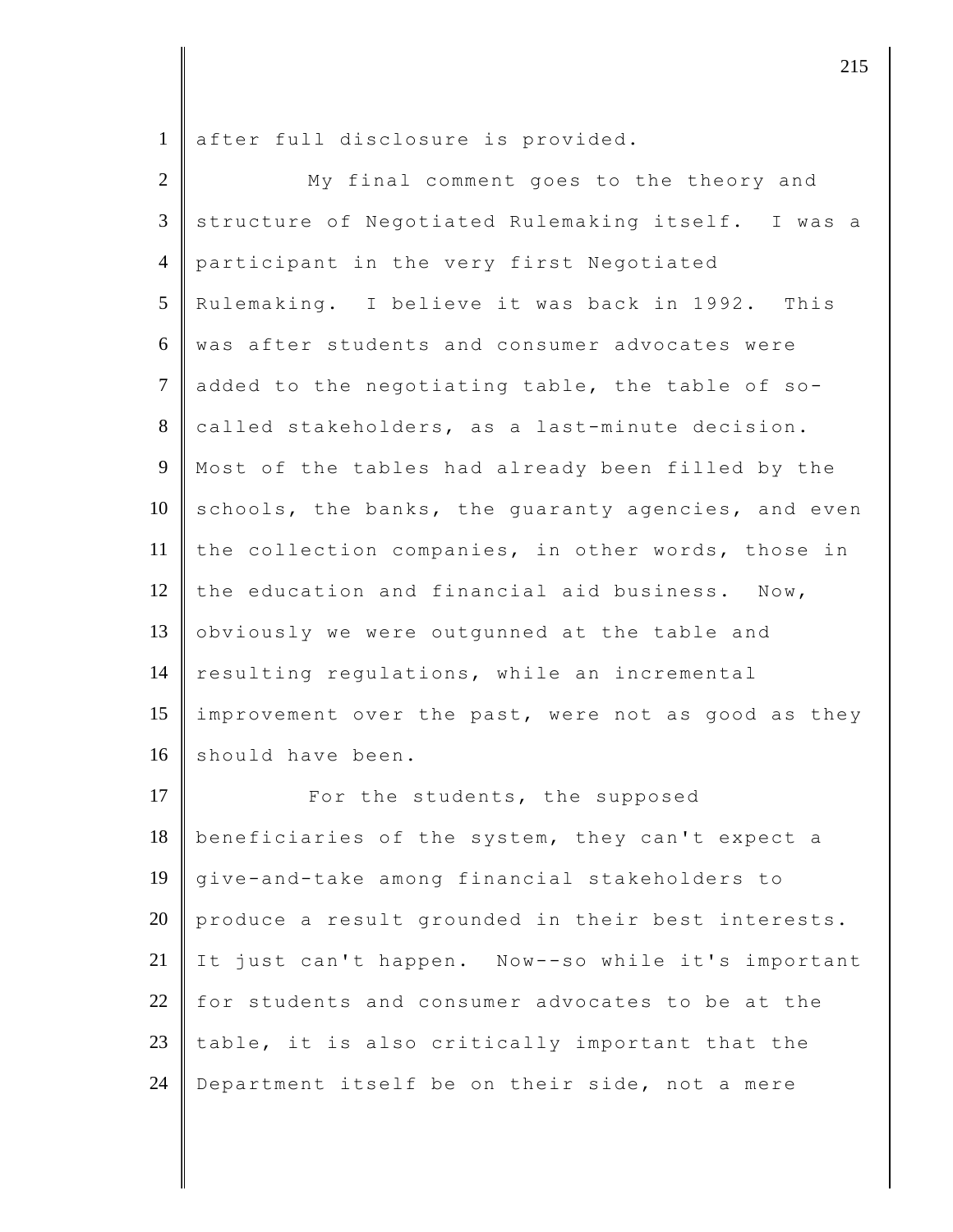1 after full disclosure is provided.

| $\overline{2}$ | My final comment goes to the theory and             |
|----------------|-----------------------------------------------------|
| 3              | structure of Negotiated Rulemaking itself. I was a  |
| $\overline{4}$ | participant in the very first Negotiated            |
| 5              | Rulemaking. I believe it was back in 1992. This     |
| 6              | was after students and consumer advocates were      |
| $\overline{7}$ | added to the negotiating table, the table of so-    |
| $8\,$          | called stakeholders, as a last-minute decision.     |
| 9              | Most of the tables had already been filled by the   |
| 10             | schools, the banks, the quaranty agencies, and even |
| 11             | the collection companies, in other words, those in  |
| 12             | the education and financial aid business. Now,      |
| 13             | obviously we were outgunned at the table and        |
| 14             | resulting regulations, while an incremental         |
| 15             | improvement over the past, were not as good as they |
| 16             | should have been.                                   |
| 17             | For the students, the supposed                      |
| 18             | beneficiaries of the system, they can't expect a    |
| 19             | give-and-take among financial stakeholders to       |
| $20\,$         | produce a result grounded in their best interests.  |
| 21             | It just can't happen. Now--so while it's important  |
| $22\,$         | for students and consumer advocates to be at the    |
| 23             | table, it is also critically important that the     |
| 24             | Department itself be on their side, not a mere      |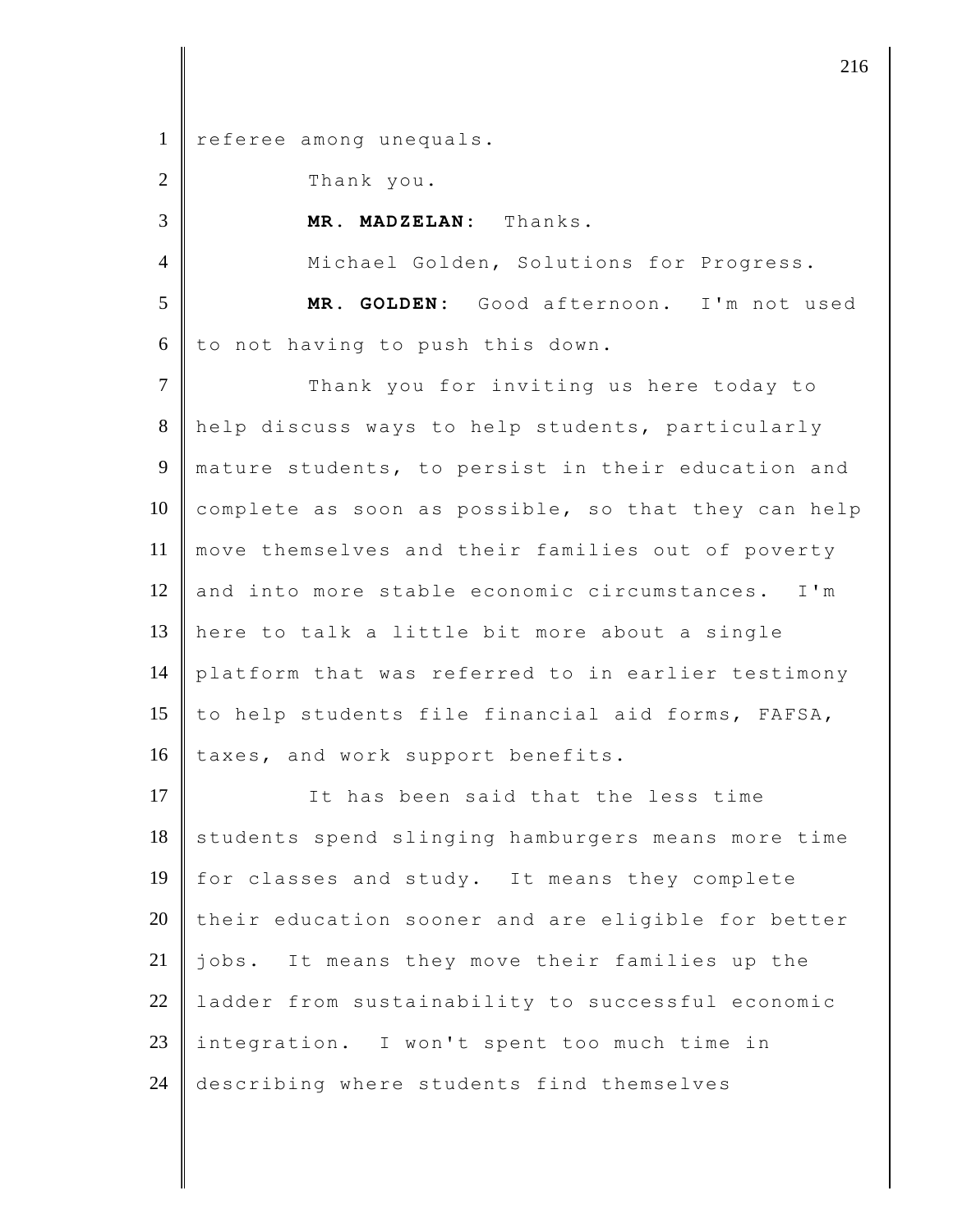1 referee among unequals.

| $\overline{2}$ | Thank you.                                          |
|----------------|-----------------------------------------------------|
| 3              | MR. MADZELAN: Thanks.                               |
| $\overline{4}$ | Michael Golden, Solutions for Progress.             |
| 5              | MR. GOLDEN: Good afternoon. I'm not used            |
| 6              | to not having to push this down.                    |
| $\overline{7}$ | Thank you for inviting us here today to             |
| 8              | help discuss ways to help students, particularly    |
| 9              | mature students, to persist in their education and  |
| 10             | complete as soon as possible, so that they can help |
| 11             | move themselves and their families out of poverty   |
| 12             | and into more stable economic circumstances. I'm    |
| 13             | here to talk a little bit more about a single       |
| 14             | platform that was referred to in earlier testimony  |
| 15             | to help students file financial aid forms, FAFSA,   |
| 16             | taxes, and work support benefits.                   |
| 17             | It has been said that the less time                 |
| 18             | students spend slinging hamburgers means more time  |
| 19             | for classes and study. It means they complete       |
| 20             | their education sooner and are eligible for better  |
| 21             | jobs. It means they move their families up the      |
| 22             | ladder from sustainability to successful economic   |
| 23             | integration. I won't spent too much time in         |
| 24             | describing where students find themselves           |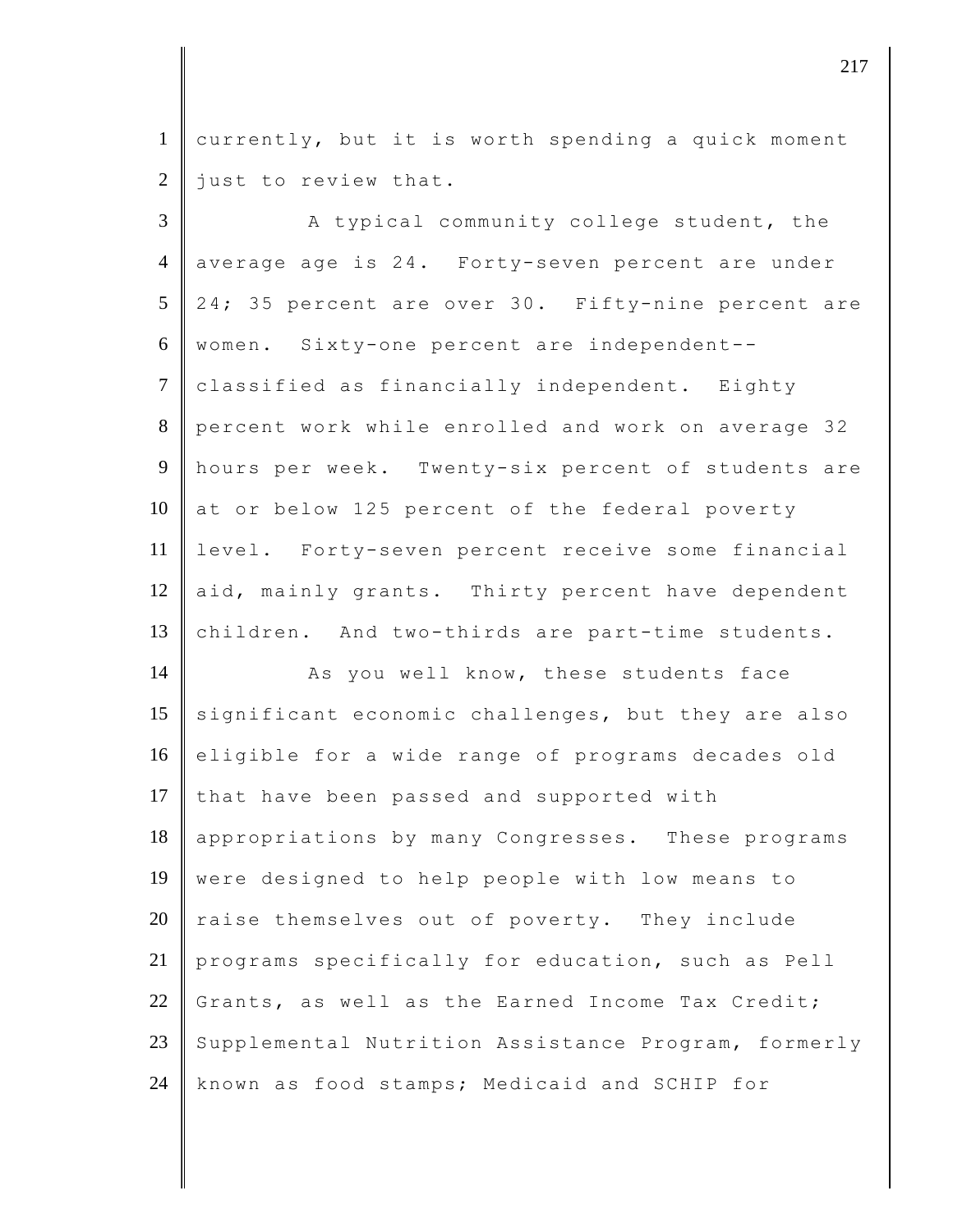1 currently, but it is worth spending a quick moment  $2$  just to review that.

 $3$  || The analong all community college student, the 4 average age is 24. Forty-seven percent are under 5 | 24; 35 percent are over 30. Fifty-nine percent are 6 women. Sixty-one percent are independent-- 7 classified as financially independent. Eighty 8 percent work while enrolled and work on average 32 9 hours per week. Twenty-six percent of students are 10  $\vert$  at or below 125 percent of the federal poverty 11 level. Forty-seven percent receive some financial 12 aid, mainly grants. Thirty percent have dependent 13 children. And two-thirds are part-time students.

14 As you well know, these students face 15 significant economic challenges, but they are also 16 eligible for a wide range of programs decades old 17 that have been passed and supported with 18 appropriations by many Congresses. These programs 19 were designed to help people with low means to  $20$  raise themselves out of poverty. They include 21 programs specifically for education, such as Pell 22 Grants, as well as the Earned Income Tax Credit; 23 Supplemental Nutrition Assistance Program, formerly 24 known as food stamps; Medicaid and SCHIP for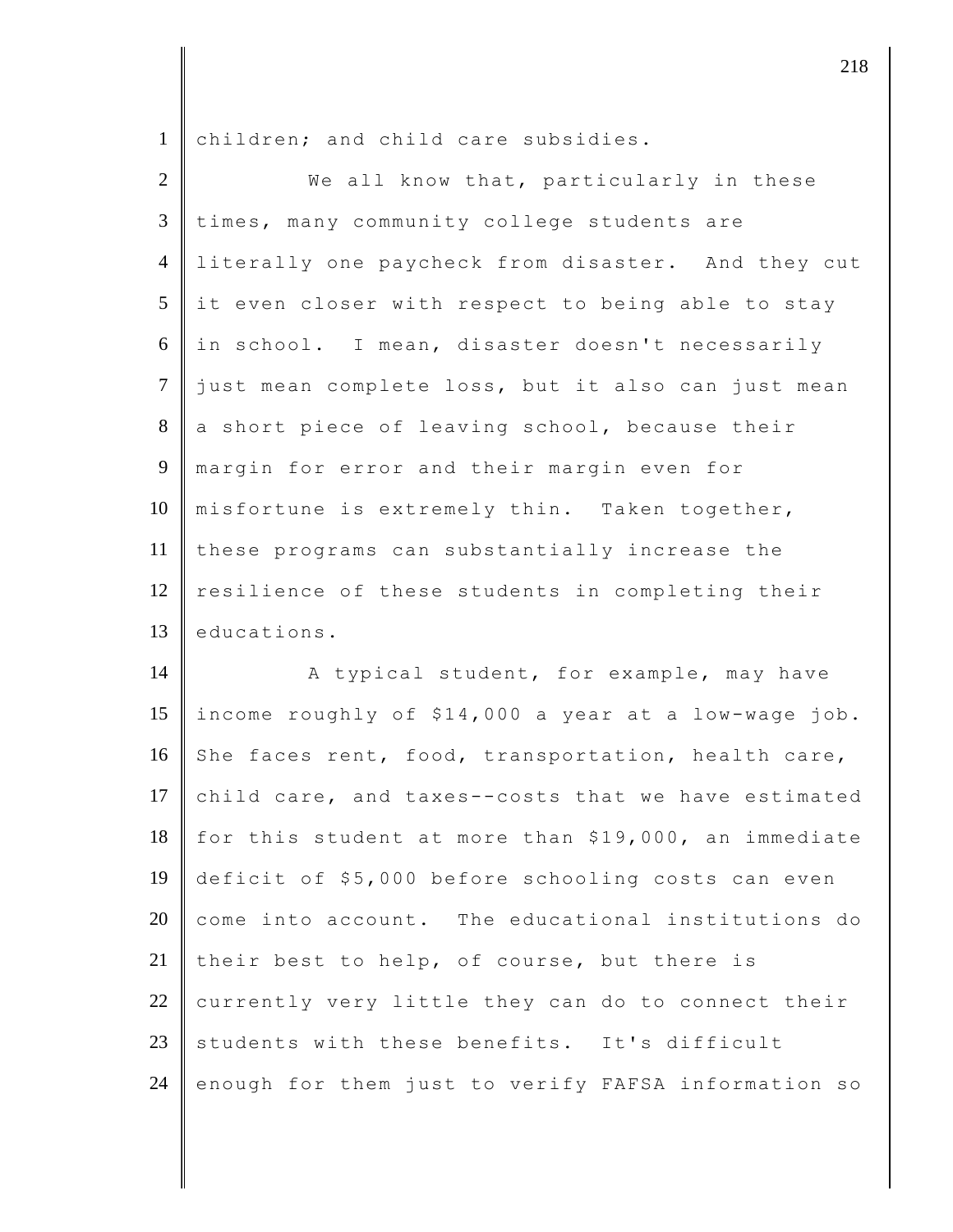1 children; and child care subsidies.

| $\overline{2}$ | We all know that, particularly in these              |
|----------------|------------------------------------------------------|
| 3              | times, many community college students are           |
| $\overline{4}$ | literally one paycheck from disaster. And they cut   |
| 5              | it even closer with respect to being able to stay    |
| 6              | in school. I mean, disaster doesn't necessarily      |
| $\overline{7}$ | just mean complete loss, but it also can just mean   |
| $8\,$          | a short piece of leaving school, because their       |
| 9              | margin for error and their margin even for           |
| 10             | misfortune is extremely thin. Taken together,        |
| 11             | these programs can substantially increase the        |
| 12             | resilience of these students in completing their     |
| 13             | educations.                                          |
| 14             | A typical student, for example, may have             |
| 15             | income roughly of \$14,000 a year at a low-wage job. |
| 16             | She faces rent, food, transportation, health care,   |
| 17             | child care, and taxes--costs that we have estimated  |
| 18             | for this student at more than \$19,000, an immediate |
| 19             | deficit of \$5,000 before schooling costs can even   |
| 20             | come into account. The educational institutions do   |
| 21             | their best to help, of course, but there is          |
| $22\,$         | currently very little they can do to connect their   |
| 23             | students with these benefits. It's difficult         |
| 24             | enough for them just to verify FAFSA information so  |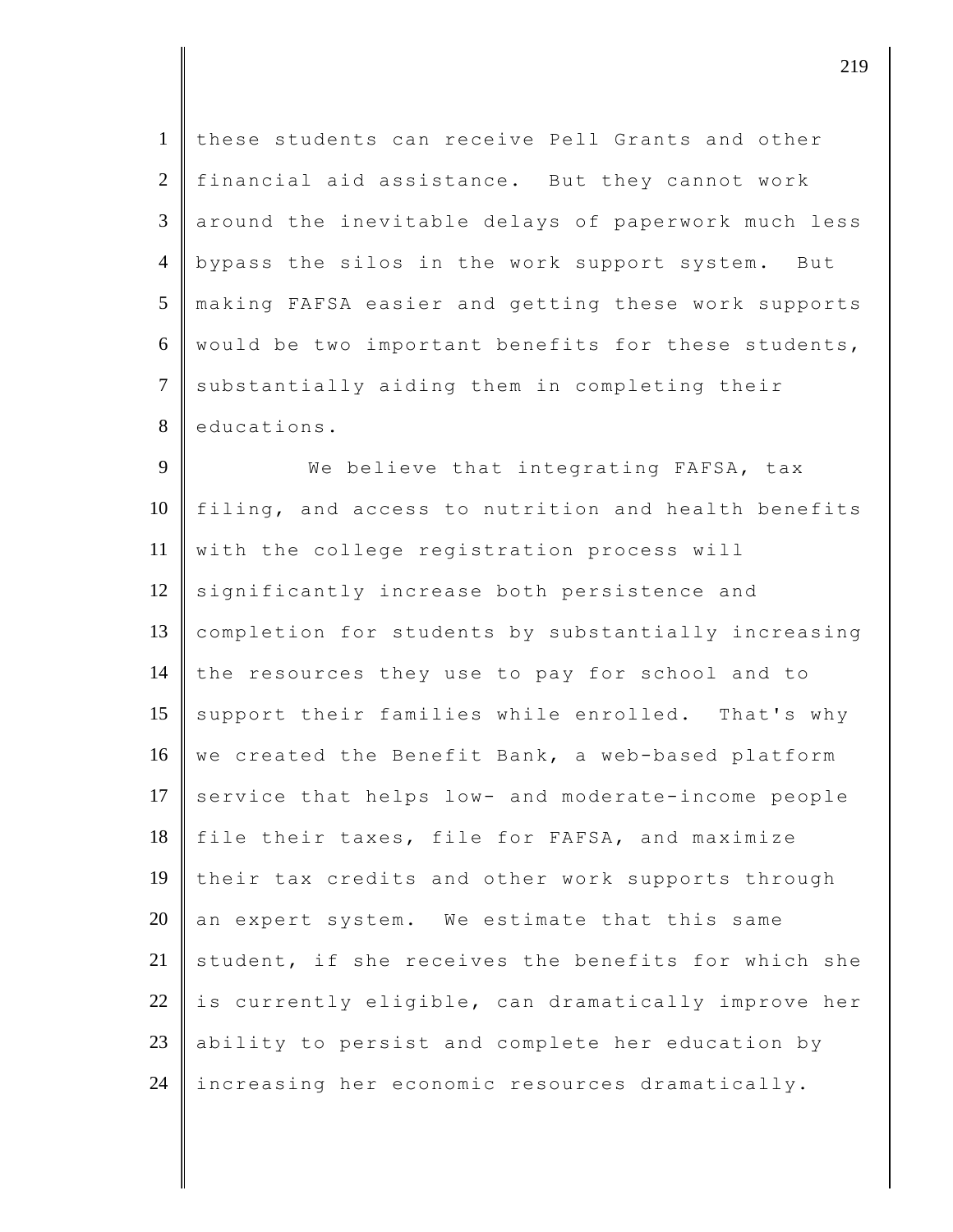| $\mathbf{1}$   | these students can receive Pell Grants and other    |  |  |  |  |  |  |
|----------------|-----------------------------------------------------|--|--|--|--|--|--|
| $\overline{2}$ | financial aid assistance. But they cannot work      |  |  |  |  |  |  |
| 3              | around the inevitable delays of paperwork much less |  |  |  |  |  |  |
| $\overline{4}$ | bypass the silos in the work support system. But    |  |  |  |  |  |  |
| 5              | making FAFSA easier and getting these work supports |  |  |  |  |  |  |
| 6              | would be two important benefits for these students, |  |  |  |  |  |  |
| $\tau$         | substantially aiding them in completing their       |  |  |  |  |  |  |
| 8              | educations.                                         |  |  |  |  |  |  |
| 9              | We believe that integrating FAFSA, tax              |  |  |  |  |  |  |
| 10             | filing, and access to nutrition and health benefits |  |  |  |  |  |  |
| 11             | with the college registration process will          |  |  |  |  |  |  |
| 12             | significantly increase both persistence and         |  |  |  |  |  |  |
| 13             | completion for students by substantially increasing |  |  |  |  |  |  |
| 14             | the resources they use to pay for school and to     |  |  |  |  |  |  |
| 15             | support their families while enrolled. That's why   |  |  |  |  |  |  |
| 16             | we created the Benefit Bank, a web-based platform   |  |  |  |  |  |  |
| 17             | service that helps low- and moderate-income people  |  |  |  |  |  |  |
| 18             | file their taxes, file for FAFSA, and maximize      |  |  |  |  |  |  |
| 19             | their tax credits and other work supports through   |  |  |  |  |  |  |
| 20             | an expert system. We estimate that this same        |  |  |  |  |  |  |
| 21             | student, if she receives the benefits for which she |  |  |  |  |  |  |
| 22             | is currently eligible, can dramatically improve her |  |  |  |  |  |  |
| 23             | ability to persist and complete her education by    |  |  |  |  |  |  |
| 24             | increasing her economic resources dramatically.     |  |  |  |  |  |  |

 $\parallel$  219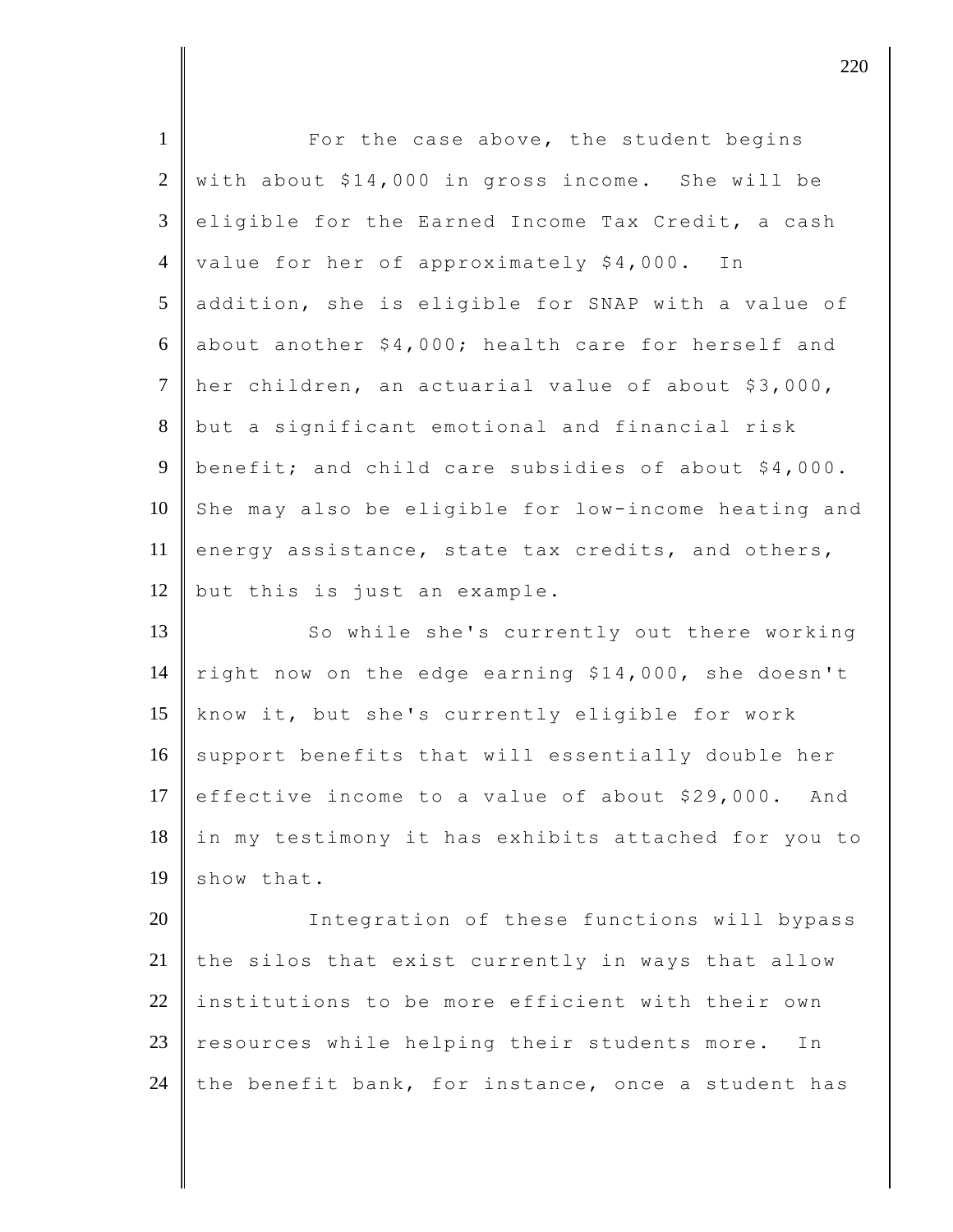| $\mathbf{1}$   | For the case above, the student begins                |
|----------------|-------------------------------------------------------|
| $\overline{2}$ | with about \$14,000 in gross income. She will be      |
| 3              | eligible for the Earned Income Tax Credit, a cash     |
| $\overline{4}$ | value for her of approximately \$4,000. In            |
| 5              | addition, she is eligible for SNAP with a value of    |
| 6              | about another \$4,000; health care for herself and    |
| $\overline{7}$ | her children, an actuarial value of about \$3,000,    |
| 8              | but a significant emotional and financial risk        |
| 9              | benefit; and child care subsidies of about \$4,000.   |
| 10             | She may also be eligible for low-income heating and   |
| 11             | energy assistance, state tax credits, and others,     |
| 12             | but this is just an example.                          |
| 13             | So while she's currently out there working            |
| 14             | right now on the edge earning \$14,000, she doesn't   |
| 15             | know it, but she's currently eligible for work        |
| 16             | support benefits that will essentially double her     |
| 17             | effective income to a value of about \$29,000.<br>And |
| 18             | in my testimony it has exhibits attached for you to   |
| 19             | show that.                                            |
| 20             | Integration of these functions will bypass            |
| 21             | the silos that exist currently in ways that allow     |
| 22             | institutions to be more efficient with their own      |
| 23             | resources while helping their students more.<br>Ιn    |
| 24             | the benefit bank, for instance, once a student has    |

 $\parallel$  220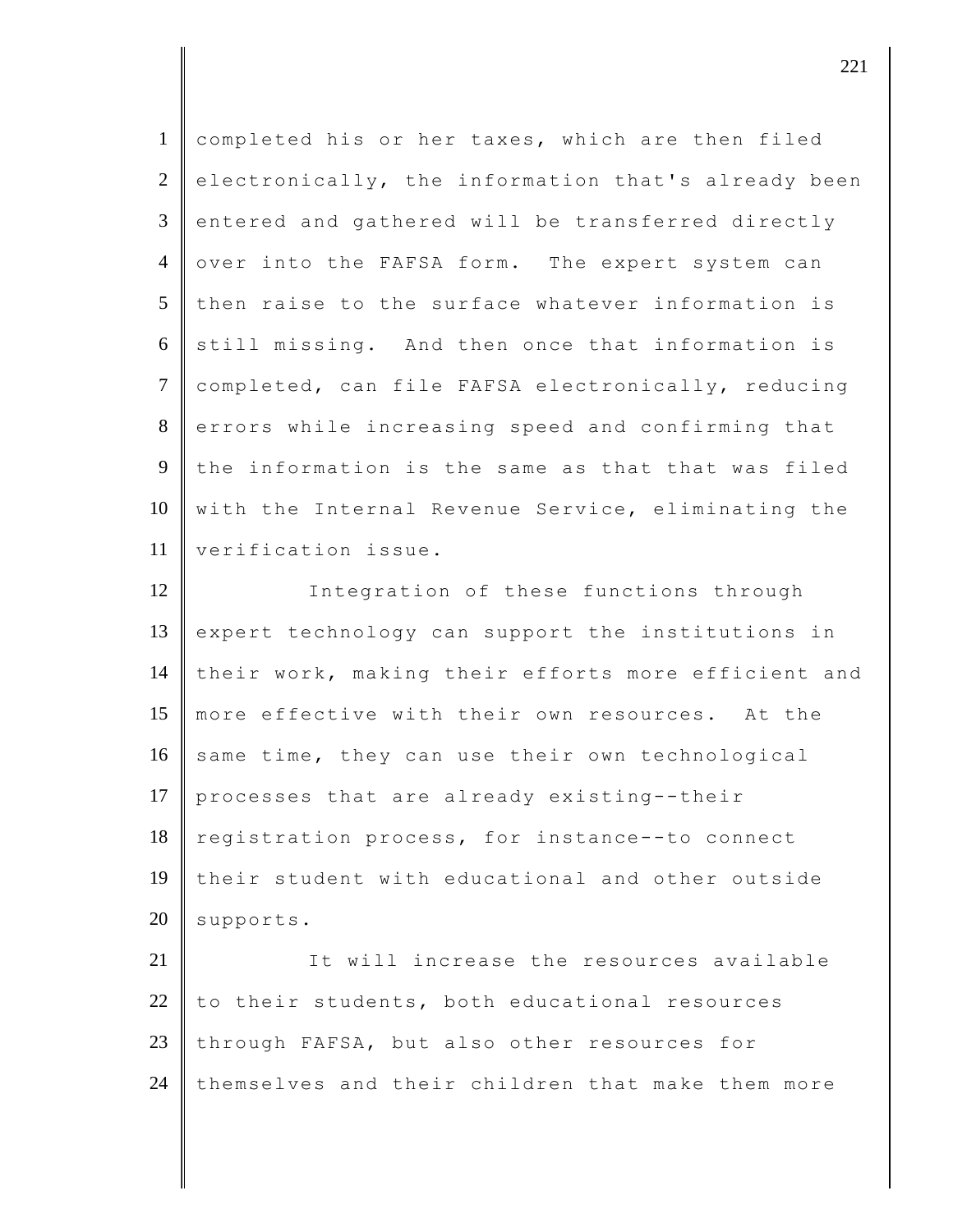| completed his or her taxes, which are then filed    |
|-----------------------------------------------------|
| electronically, the information that's already been |
| entered and gathered will be transferred directly   |
| over into the FAFSA form. The expert system can     |
| then raise to the surface whatever information is   |
| still missing. And then once that information is    |
| completed, can file FAFSA electronically, reducing  |
| errors while increasing speed and confirming that   |
| the information is the same as that that was filed  |
| with the Internal Revenue Service, eliminating the  |
| verification issue.                                 |
| Integration of these functions through              |
| expert technology can support the institutions in   |
| their work, making their efforts more efficient and |
| more effective with their own resources. At the     |
| same time, they can use their own technological     |
| processes that are already existing--their          |
| registration process, for instance--to connect      |
| their student with educational and other outside    |
| supports.                                           |
| It will increase the resources available            |
|                                                     |
| to their students, both educational resources       |
| through FAFSA, but also other resources for         |
|                                                     |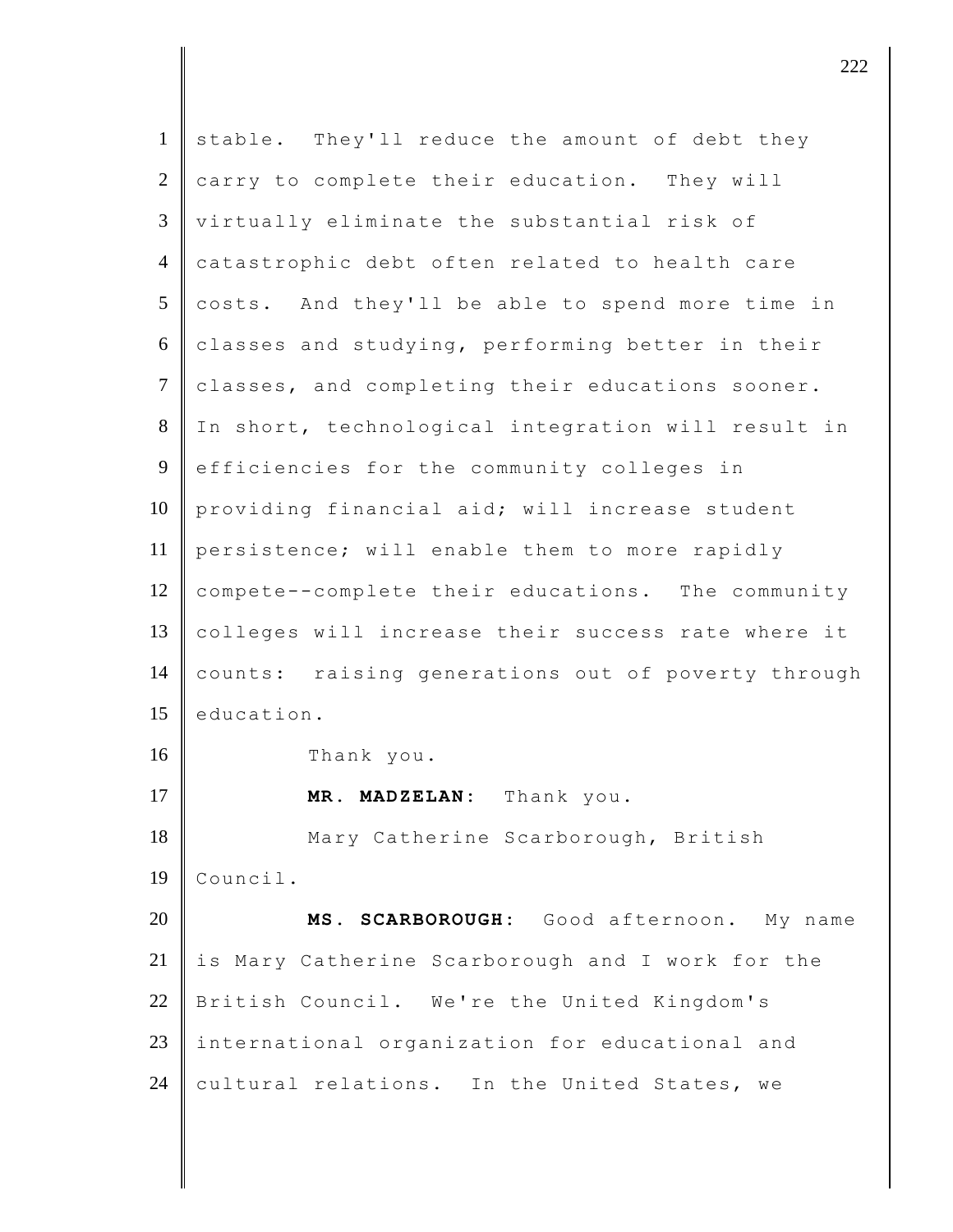| $\mathbf{1}$   | stable. They'll reduce the amount of debt they     |
|----------------|----------------------------------------------------|
| $\overline{2}$ | carry to complete their education. They will       |
| $\mathfrak{Z}$ | virtually eliminate the substantial risk of        |
| $\overline{4}$ | catastrophic debt often related to health care     |
| 5              | costs. And they'll be able to spend more time in   |
| 6              | classes and studying, performing better in their   |
| $\tau$         | classes, and completing their educations sooner.   |
| $8\,$          | In short, technological integration will result in |
| 9              | efficiencies for the community colleges in         |
| 10             | providing financial aid; will increase student     |
| 11             | persistence; will enable them to more rapidly      |
| 12             | compete--complete their educations. The community  |
| 13             | colleges will increase their success rate where it |
| 14             | counts: raising generations out of poverty through |
| 15             | education.                                         |
| 16             | Thank you.                                         |
| 17             | MR. MADZELAN: Thank you.                           |
| 18             | Mary Catherine Scarborough, British                |
| 19             | Council.                                           |
| 20             | SCARBOROUGH: Good afternoon. My name<br>MS.        |
| 21             | is Mary Catherine Scarborough and I work for the   |
| 22             | British Council. We're the United Kingdom's        |
| 23             | international organization for educational and     |
| 24             | cultural relations. In the United States, we       |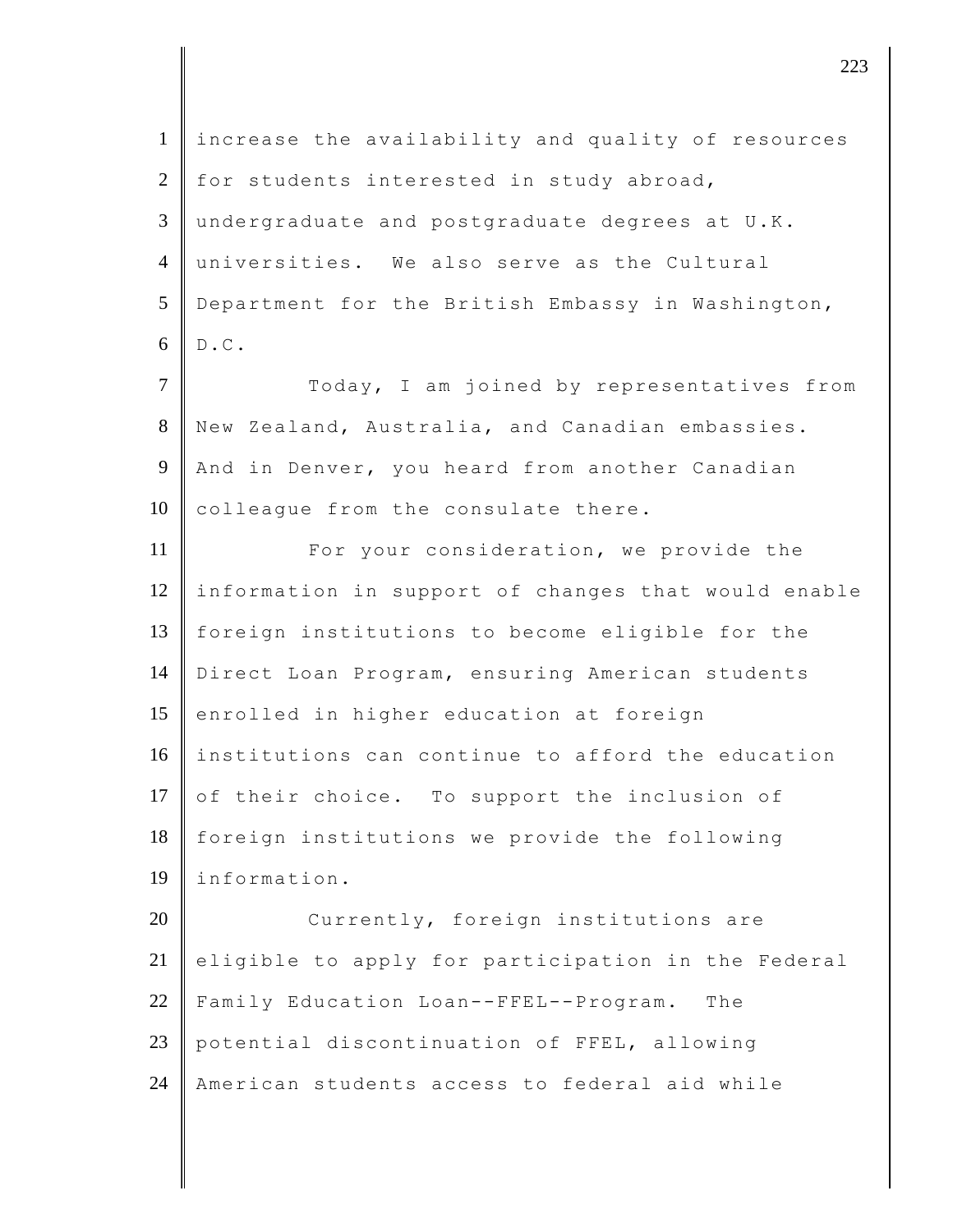| $\mathbf{1}$   | increase the availability and quality of resources  |
|----------------|-----------------------------------------------------|
| $\overline{2}$ | for students interested in study abroad,            |
| 3              | undergraduate and postgraduate degrees at U.K.      |
| $\overline{4}$ | universities. We also serve as the Cultural         |
| 5              | Department for the British Embassy in Washington,   |
| 6              | $\texttt{D}$ . $\texttt{C}$ .                       |
| $\tau$         | Today, I am joined by representatives from          |
| 8              | New Zealand, Australia, and Canadian embassies.     |
| 9              | And in Denver, you heard from another Canadian      |
| 10             | colleague from the consulate there.                 |
| 11             | For your consideration, we provide the              |
| 12             | information in support of changes that would enable |
| 13             | foreign institutions to become eligible for the     |
| 14             | Direct Loan Program, ensuring American students     |
| 15             | enrolled in higher education at foreign             |
| 16             | institutions can continue to afford the education   |
| 17             | of their choice. To support the inclusion of        |
| 18             | foreign institutions we provide the following       |
| 19             | information.                                        |
| 20             | Currently, foreign institutions are                 |
| 21             | eligible to apply for participation in the Federal  |
| 22             | Family Education Loan--FFEL--Program.<br>The        |
| 23             | potential discontinuation of FFEL, allowing         |
| 24             | American students access to federal aid while       |

 $\vert$  223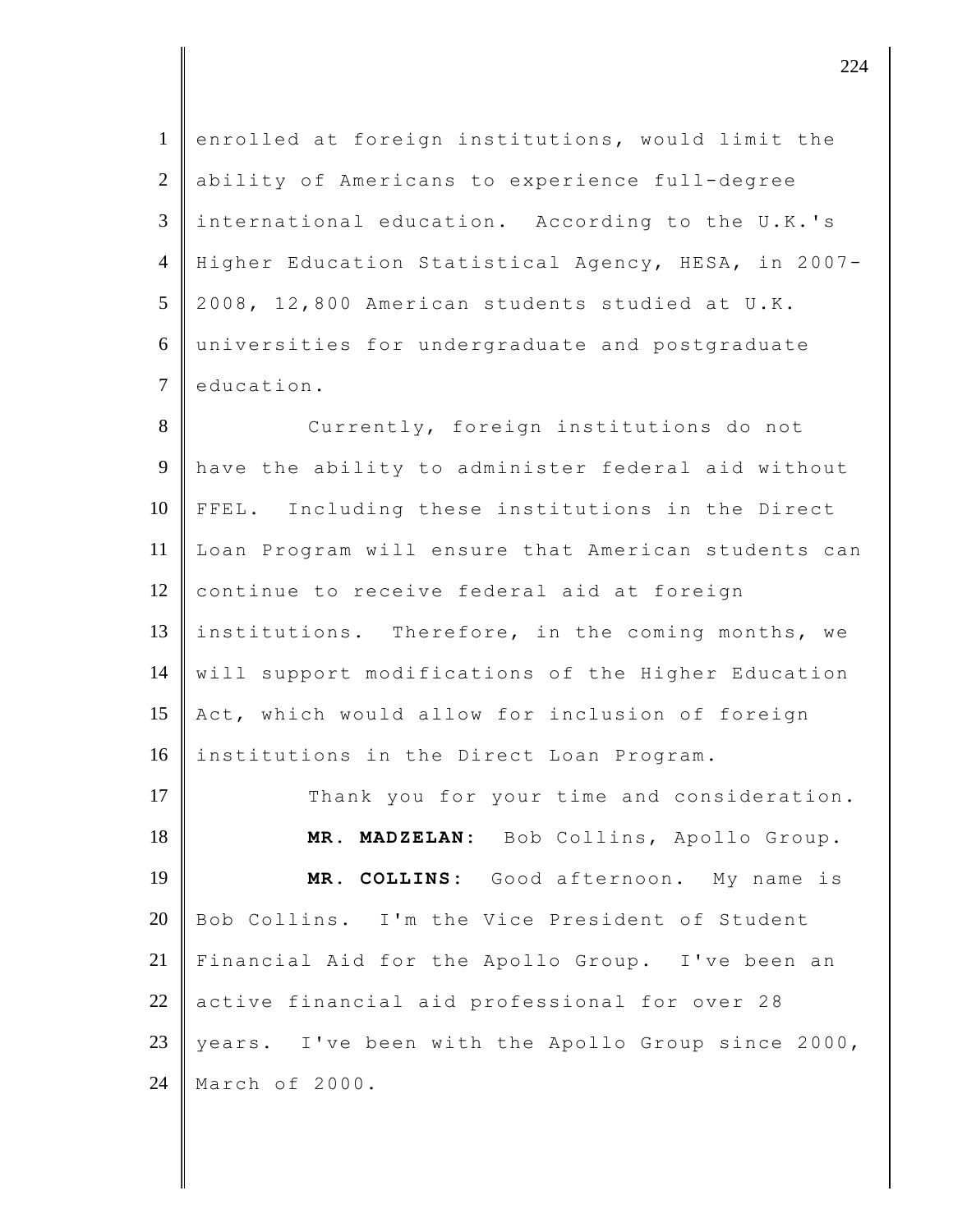1 enrolled at foreign institutions, would limit the 2 ability of Americans to experience full-degree 3 international education. According to the U.K.'s 4 Higher Education Statistical Agency, HESA, in 2007-  $5 \parallel 2008$ , 12,800 American students studied at U.K. 6 universities for undergraduate and postgraduate 7 education.

8 Currently, foreign institutions do not 9 have the ability to administer federal aid without 10 FFEL. Including these institutions in the Direct 11 Loan Program will ensure that American students can 12 continue to receive federal aid at foreign 13 institutions. Therefore, in the coming months, we 14 will support modifications of the Higher Education 15 Act, which would allow for inclusion of foreign 16 institutions in the Direct Loan Program.

17 Thank you for your time and consideration. **MR. MADZELAN:** Bob Collins, Apollo Group. **MR. COLLINS:** Good afternoon. My name is Bob Collins. I'm the Vice President of Student Financial Aid for the Apollo Group. I've been an 22 active financial aid professional for over 28 23 years. I've been with the Apollo Group since 2000, March of 2000.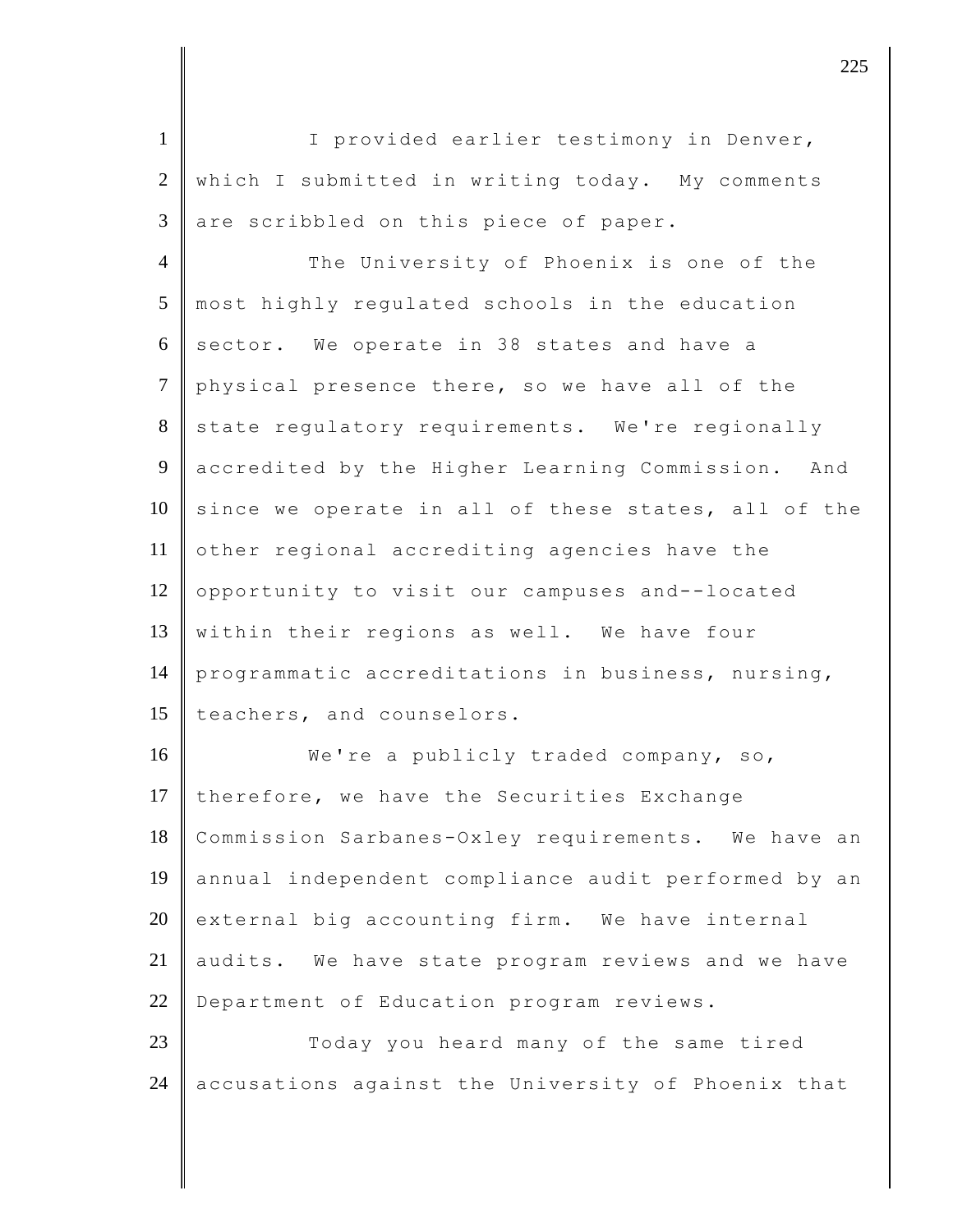1 | I provided earlier testimony in Denver, 2 which I submitted in writing today. My comments  $3$  are scribbled on this piece of paper. 4 The University of Phoenix is one of the 5 most highly regulated schools in the education  $6$  sector. We operate in 38 states and have a 7 physical presence there, so we have all of the 8 state regulatory requirements. We're regionally 9 accredited by the Higher Learning Commission. And  $10$  since we operate in all of these states, all of the 11 other regional accrediting agencies have the 12 opportunity to visit our campuses and--located 13 within their regions as well. We have four 14 programmatic accreditations in business, nursing, 15 teachers, and counselors. 16 We're a publicly traded company, so, 17 therefore, we have the Securities Exchange 18 Commission Sarbanes-Oxley requirements. We have an 19 annual independent compliance audit performed by an  $20$  external big accounting firm. We have internal 21 audits. We have state program reviews and we have 22 Department of Education program reviews. 23 Today you heard many of the same tired 24 accusations against the University of Phoenix that

discrete the contract of  $\overline{225}$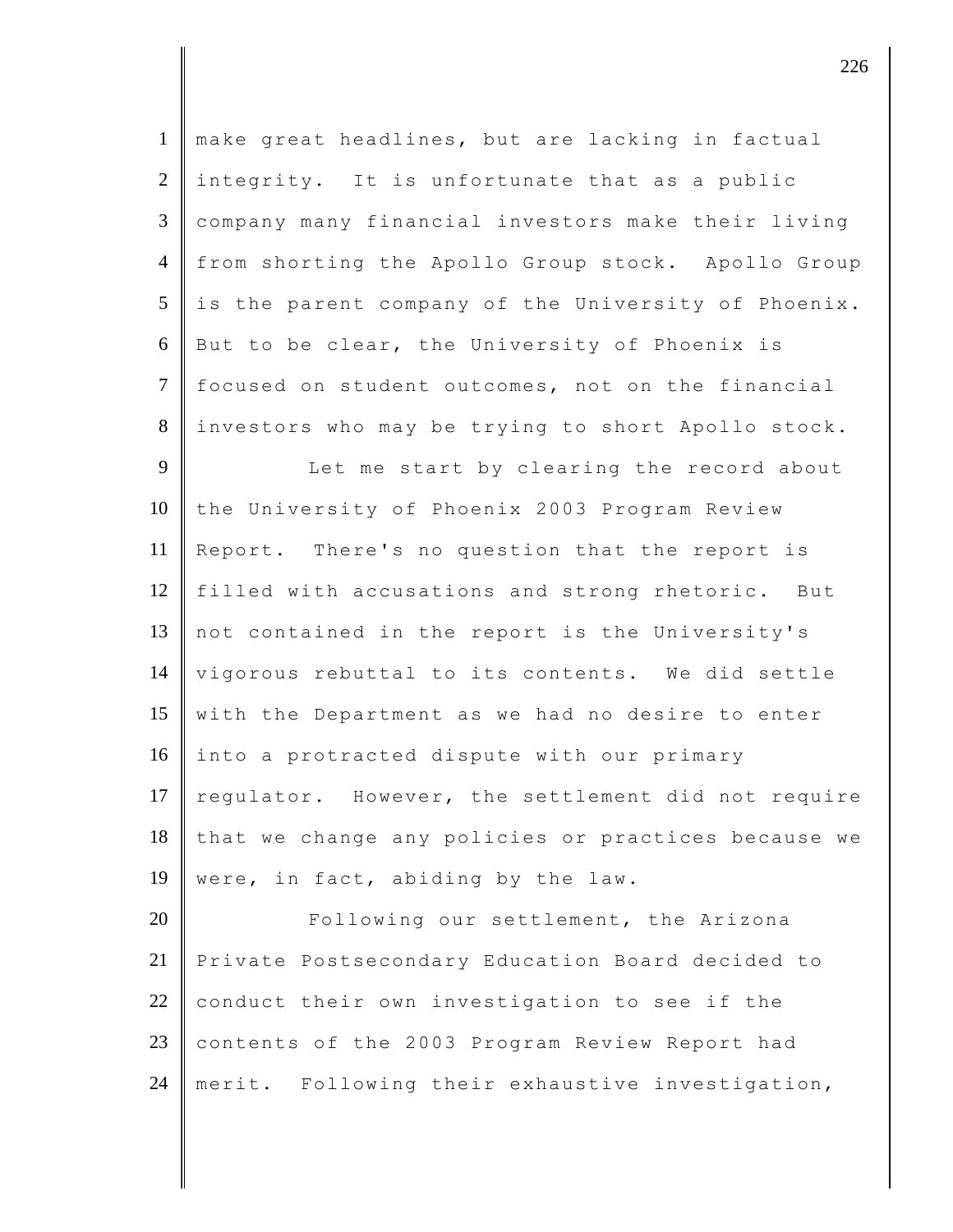| $\mathbf{1}$   | make great headlines, but are lacking in factual    |
|----------------|-----------------------------------------------------|
| $\overline{2}$ | integrity. It is unfortunate that as a public       |
| 3              | company many financial investors make their living  |
| $\overline{4}$ | from shorting the Apollo Group stock. Apollo Group  |
| 5              | is the parent company of the University of Phoenix. |
| 6              | But to be clear, the University of Phoenix is       |
| $\tau$         | focused on student outcomes, not on the financial   |
| 8              | investors who may be trying to short Apollo stock.  |
| 9              | Let me start by clearing the record about           |
| 10             | the University of Phoenix 2003 Program Review       |
| 11             | Report. There's no question that the report is      |
| 12             | filled with accusations and strong rhetoric. But    |
| 13             | not contained in the report is the University's     |
| 14             | vigorous rebuttal to its contents. We did settle    |
| 15             | with the Department as we had no desire to enter    |
| 16             | into a protracted dispute with our primary          |
| 17             | regulator. However, the settlement did not require  |
| 18             | that we change any policies or practices because we |
| 19             | were, in fact, abiding by the law.                  |
| 20             | Following our settlement, the Arizona               |
| 21             | Private Postsecondary Education Board decided to    |
| 22             | conduct their own investigation to see if the       |
| 23             | contents of the 2003 Program Review Report had      |
| 24             | merit. Following their exhaustive investigation,    |

 $\parallel$  226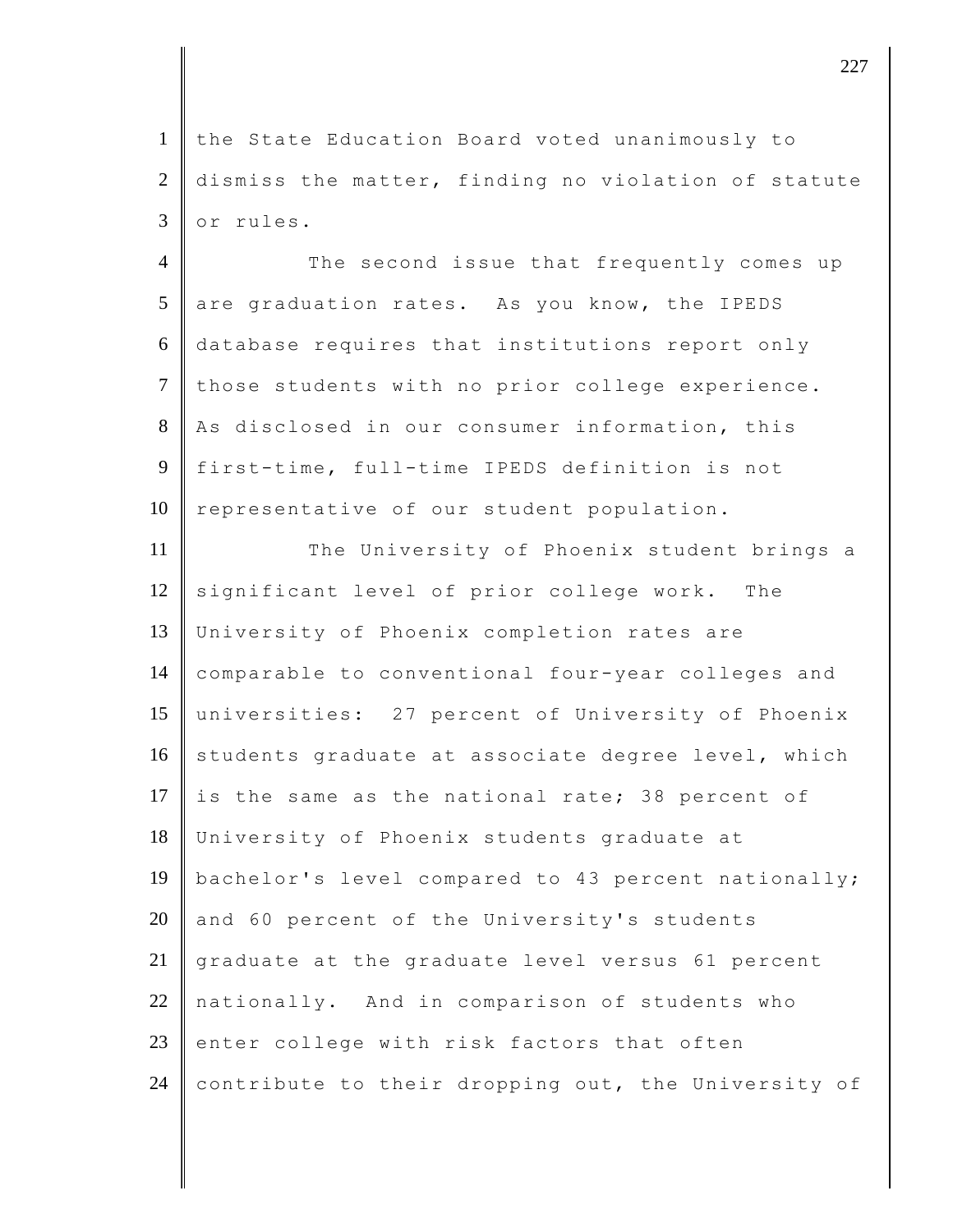1 the State Education Board voted unanimously to 2 dismiss the matter, finding no violation of statute 3 or rules.

4 The second issue that frequently comes up  $5$  are graduation rates. As you know, the IPEDS 6 database requires that institutions report only 7 those students with no prior college experience. 8 As disclosed in our consumer information, this 9 first-time, full-time IPEDS definition is not 10 representative of our student population.

11 The University of Phoenix student brings a 12 significant level of prior college work. The 13 University of Phoenix completion rates are 14 comparable to conventional four-year colleges and 15 universities: 27 percent of University of Phoenix 16 students graduate at associate degree level, which 17 is the same as the national rate; 38 percent of 18 University of Phoenix students graduate at 19 bachelor's level compared to 43 percent nationally; 20  $\parallel$  and 60 percent of the University's students 21 graduate at the graduate level versus 61 percent  $22$  nationally. And in comparison of students who 23 enter college with risk factors that often 24 contribute to their dropping out, the University of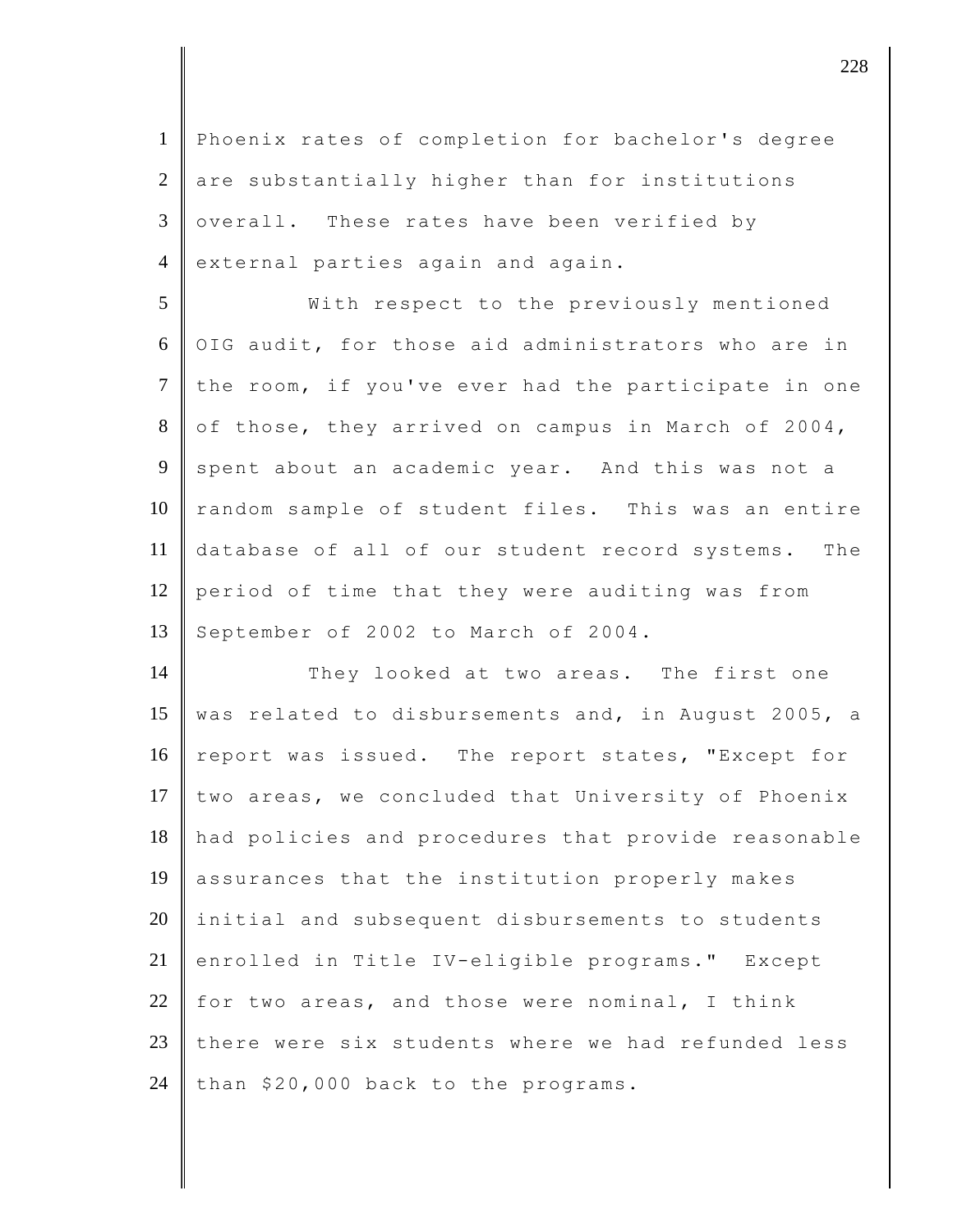1 Phoenix rates of completion for bachelor's degree 2 are substantially higher than for institutions  $3 \parallel$  overall. These rates have been verified by 4 external parties again and again.

5 With respect to the previously mentioned  $6$  OIG audit, for those aid administrators who are in  $7$  the room, if you've ever had the participate in one 8 of those, they arrived on campus in March of 2004, 9 spent about an academic year. And this was not a 10 random sample of student files. This was an entire 11 database of all of our student record systems. The 12 period of time that they were auditing was from 13 September of 2002 to March of 2004.

14 They looked at two areas. The first one 15 was related to disbursements and, in August 2005, a 16 report was issued. The report states, "Except for 17 two areas, we concluded that University of Phoenix 18 || had policies and procedures that provide reasonable 19 assurances that the institution properly makes  $20$  initial and subsequent disbursements to students 21 enrolled in Title IV-eligible programs." Except 22 for two areas, and those were nominal, I think 23 there were six students where we had refunded less 24 than  $$20,000$  back to the programs.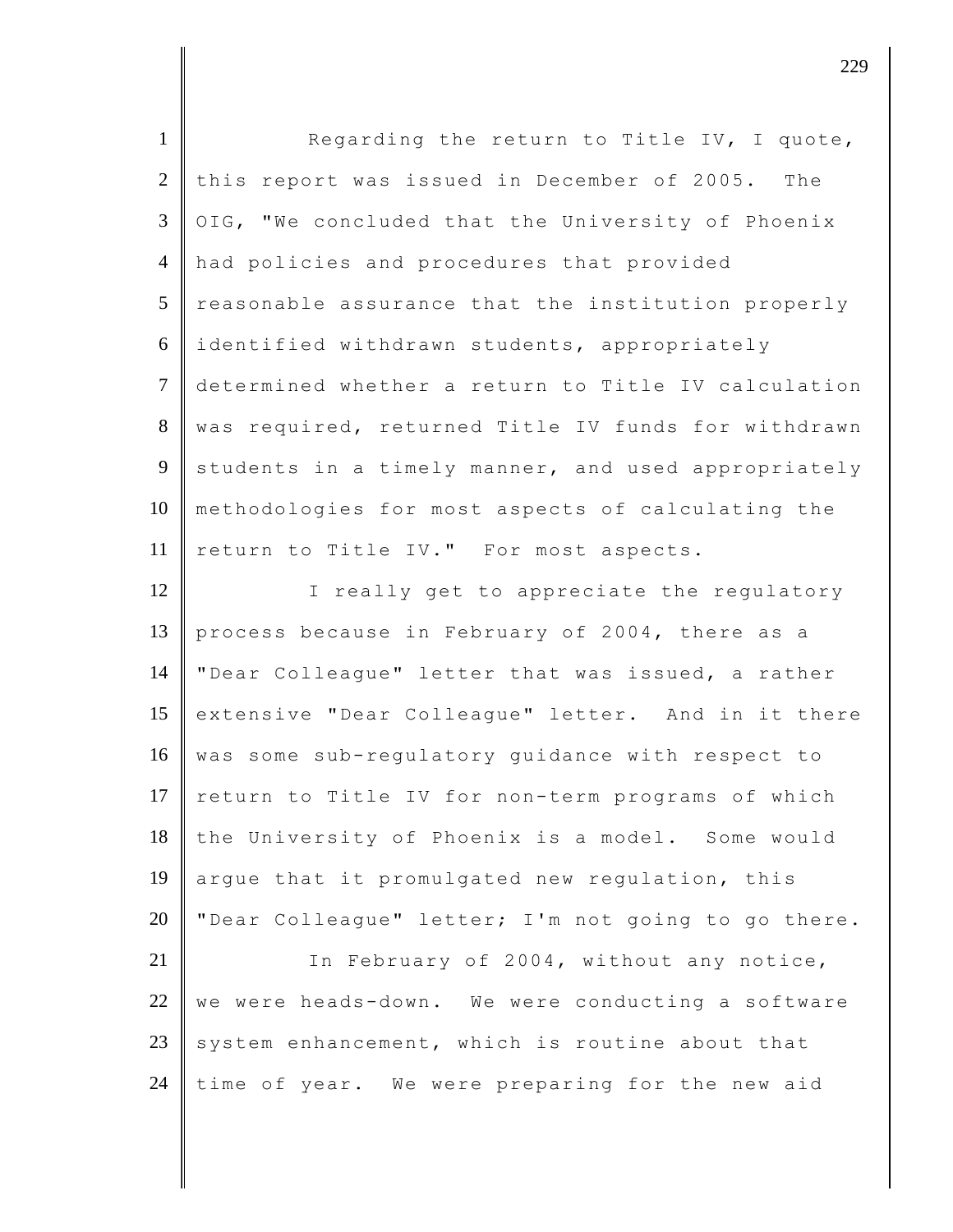| $\mathbf{1}$    | Regarding the return to Title IV, I quote,          |
|-----------------|-----------------------------------------------------|
| 2               | this report was issued in December of 2005. The     |
| $\mathfrak{Z}$  | OIG, "We concluded that the University of Phoenix   |
| $\overline{4}$  | had policies and procedures that provided           |
| $5\overline{)}$ | reasonable assurance that the institution properly  |
| 6               | identified withdrawn students, appropriately        |
| $\overline{7}$  | determined whether a return to Title IV calculation |
| 8               | was required, returned Title IV funds for withdrawn |
| 9               | students in a timely manner, and used appropriately |
| 10              | methodologies for most aspects of calculating the   |
| 11              | return to Title IV." For most aspects.              |
| 12              | I really get to appreciate the regulatory           |
| 13              | process because in February of 2004, there as a     |
| 14              | "Dear Colleague" letter that was issued, a rather   |
| 15              | extensive "Dear Colleague" letter. And in it there  |
| 16              | was some sub-regulatory guidance with respect to    |
| 17              | return to Title IV for non-term programs of which   |
| 18              | the University of Phoenix is a model. Some would    |
| 19              | arque that it promulgated new regulation, this      |
| 20              | "Dear Colleague" letter; I'm not going to go there. |
| 21              | In February of 2004, without any notice,            |
| 22              | we were heads-down. We were conducting a software   |
| 23              | system enhancement, which is routine about that     |
| 24              | time of year. We were preparing for the new aid     |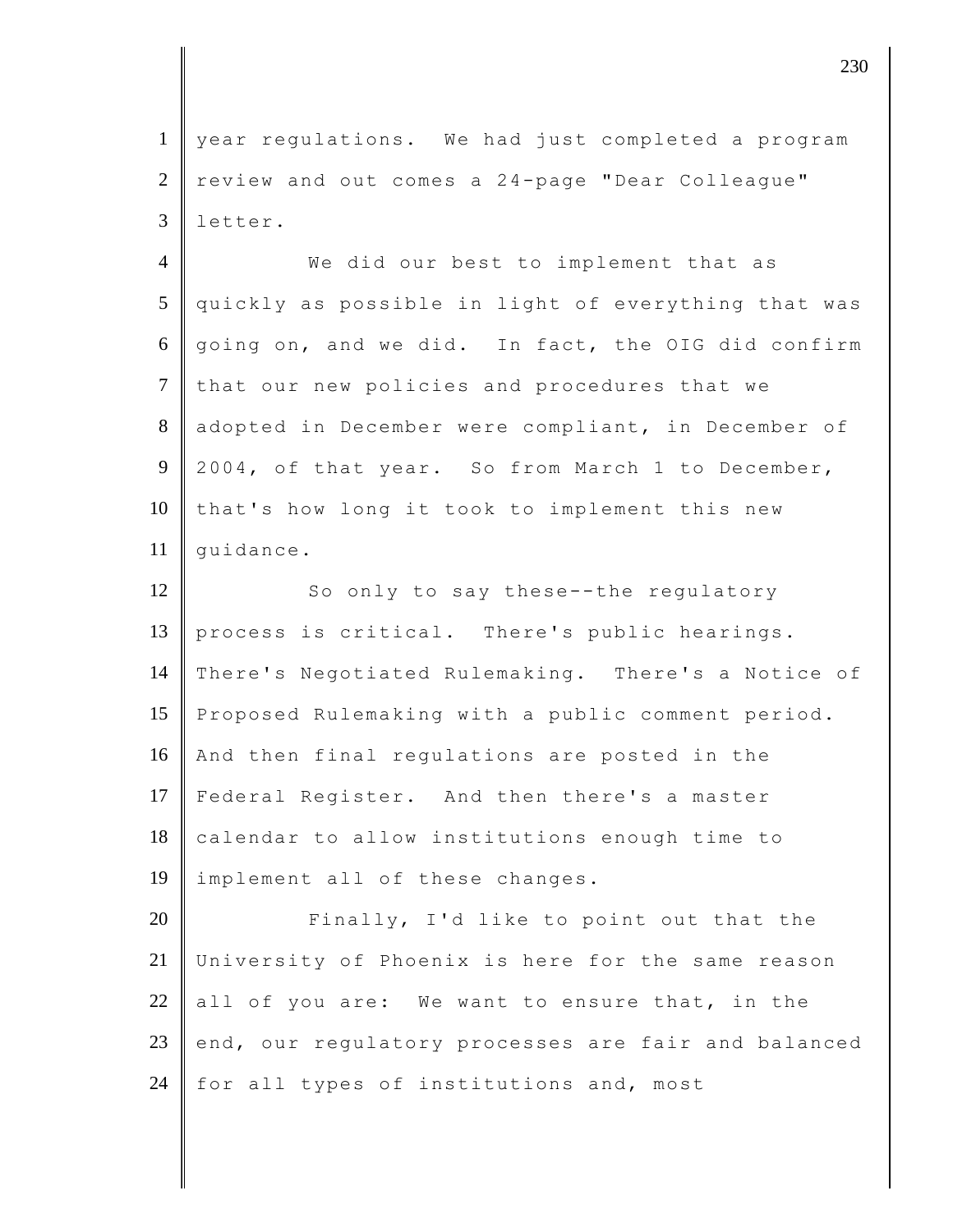1 year regulations. We had just completed a program 2 review and out comes a 24-page "Dear Colleague" 3 letter.

4 We did our best to implement that as 5 quickly as possible in light of everything that was 6 going on, and we did. In fact, the OIG did confirm 7 that our new policies and procedures that we 8 adopted in December were compliant, in December of 9 2004, of that year. So from March 1 to December, 10 that's how long it took to implement this new 11 | quidance.

12 So only to say these--the requiatory 13 process is critical. There's public hearings. 14 There's Negotiated Rulemaking. There's a Notice of 15 Proposed Rulemaking with a public comment period. 16 And then final regulations are posted in the 17 Federal Register. And then there's a master 18 calendar to allow institutions enough time to 19 implement all of these changes.

20 Finally, I'd like to point out that the 21 University of Phoenix is here for the same reason 22 all of you are: We want to ensure that, in the 23 end, our regulatory processes are fair and balanced 24  $\parallel$  for all types of institutions and, most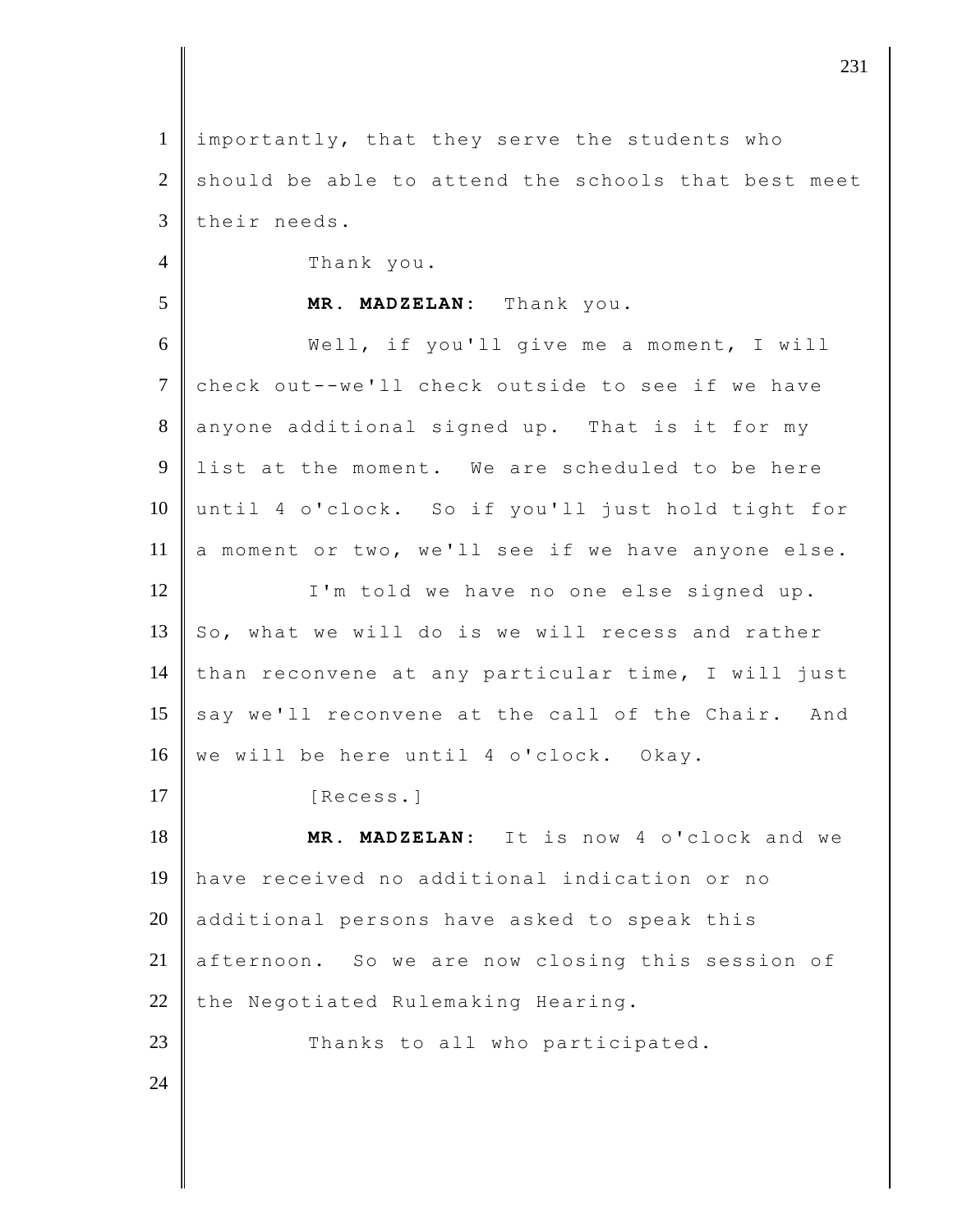| $\mathbf{1}$   | importantly, that they serve the students who       |
|----------------|-----------------------------------------------------|
| $\overline{2}$ | should be able to attend the schools that best meet |
| 3              | their needs.                                        |
| $\overline{4}$ | Thank you.                                          |
| 5              | MR. MADZELAN: Thank you.                            |
| 6              | Well, if you'll give me a moment, I will            |
| $\tau$         | check out--we'll check outside to see if we have    |
| $8\,$          | anyone additional signed up. That is it for my      |
| 9              | list at the moment. We are scheduled to be here     |
| 10             | until 4 o'clock. So if you'll just hold tight for   |
| 11             | a moment or two, we'll see if we have anyone else.  |
| 12             | I'm told we have no one else signed up.             |
| 13             | So, what we will do is we will recess and rather    |
| 14             | than reconvene at any particular time, I will just  |
| 15             | say we'll reconvene at the call of the Chair. And   |
| 16             | we will be here until 4 o'clock. Okay.              |
| 17             | [Recess.]                                           |
| 18             | MR. MADZELAN: It is now 4 o'clock and we            |
| 19             | have received no additional indication or no        |
| 20             | additional persons have asked to speak this         |
| 21             | afternoon. So we are now closing this session of    |
| 22             | the Negotiated Rulemaking Hearing.                  |
| 23             | Thanks to all who participated.                     |
| 24             |                                                     |
|                |                                                     |

 $\vert$  231